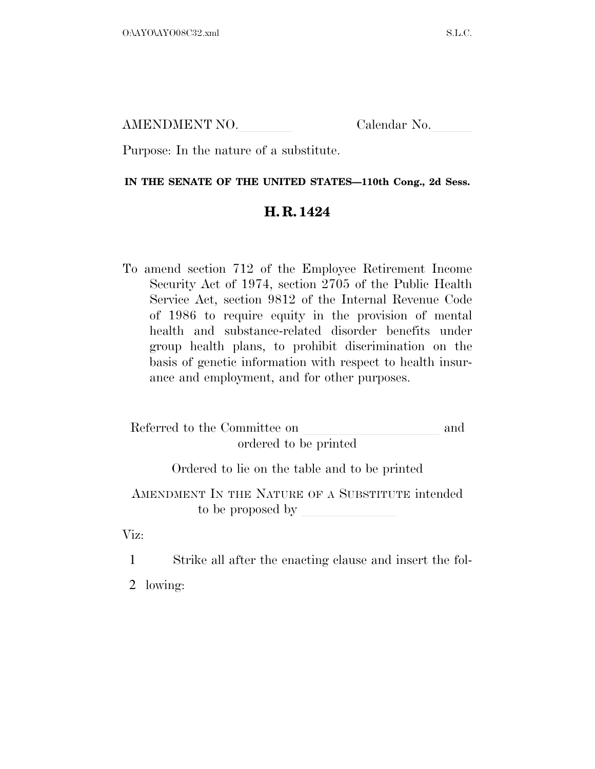AMENDMENT NO.

Purpose: In the nature of a substitute.

#### **IN THE SENATE OF THE UNITED STATES—110th Cong., 2d Sess.**

### **H. R. 1424**

To amend section 712 of the Employee Retirement Income Security Act of 1974, section 2705 of the Public Health Service Act, section 9812 of the Internal Revenue Code of 1986 to require equity in the provision of mental health and substance-related disorder benefits under group health plans, to prohibit discrimination on the basis of genetic information with respect to health insurance and employment, and for other purposes.

| Referred to the Committee on<br>ordered to be printed                 |  |
|-----------------------------------------------------------------------|--|
| Ordered to lie on the table and to be printed                         |  |
| AMENDMENT IN THE NATURE OF A SUBSTITUTE intended<br>to be proposed by |  |

Viz:

1 Strike all after the enacting clause and insert the fol-

2 lowing: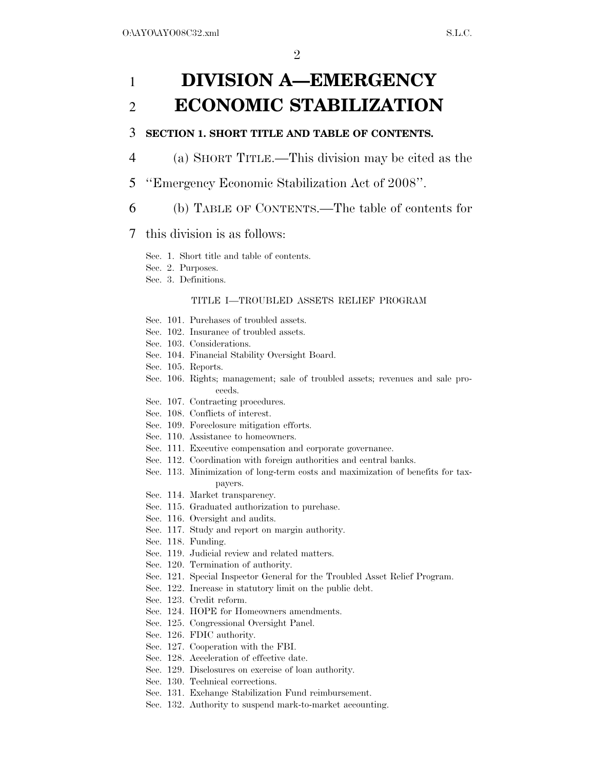# 1 **DIVISION A—EMERGENCY**  2 **ECONOMIC STABILIZATION**

#### 3 **SECTION 1. SHORT TITLE AND TABLE OF CONTENTS.**

- 4 (a) SHORT TITLE.—This division may be cited as the
- 5 ''Emergency Economic Stabilization Act of 2008''.
- 6 (b) TABLE OF CONTENTS.—The table of contents for

#### 7 this division is as follows:

Sec. 1. Short title and table of contents.

- Sec. 2. Purposes.
- Sec. 3. Definitions.

#### TITLE I—TROUBLED ASSETS RELIEF PROGRAM

- Sec. 101. Purchases of troubled assets.
- Sec. 102. Insurance of troubled assets.
- Sec. 103. Considerations.
- Sec. 104. Financial Stability Oversight Board.
- Sec. 105. Reports.
- Sec. 106. Rights; management; sale of troubled assets; revenues and sale proceeds.
- Sec. 107. Contracting procedures.
- Sec. 108. Conflicts of interest.
- Sec. 109. Foreclosure mitigation efforts.
- Sec. 110. Assistance to homeowners.
- Sec. 111. Executive compensation and corporate governance.
- Sec. 112. Coordination with foreign authorities and central banks.
- Sec. 113. Minimization of long-term costs and maximization of benefits for taxpayers.
- Sec. 114. Market transparency.
- Sec. 115. Graduated authorization to purchase.
- Sec. 116. Oversight and audits.
- Sec. 117. Study and report on margin authority.
- Sec. 118. Funding.
- Sec. 119. Judicial review and related matters.
- Sec. 120. Termination of authority.
- Sec. 121. Special Inspector General for the Troubled Asset Relief Program.
- Sec. 122. Increase in statutory limit on the public debt.
- Sec. 123. Credit reform.
- Sec. 124. HOPE for Homeowners amendments.
- Sec. 125. Congressional Oversight Panel.
- Sec. 126. FDIC authority.
- Sec. 127. Cooperation with the FBI.
- Sec. 128. Acceleration of effective date.
- Sec. 129. Disclosures on exercise of loan authority.
- Sec. 130. Technical corrections.
- Sec. 131. Exchange Stabilization Fund reimbursement.
- Sec. 132. Authority to suspend mark-to-market accounting.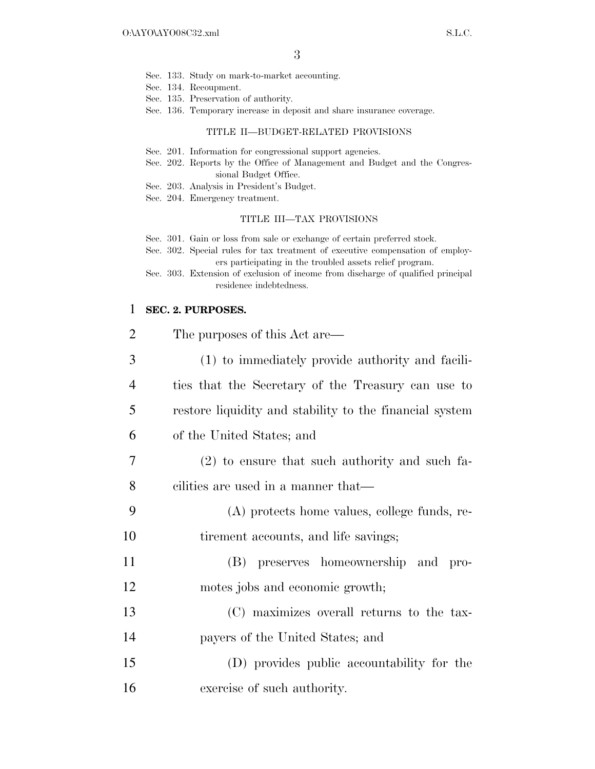- Sec. 133. Study on mark-to-market accounting.
- Sec. 134. Recoupment.
- Sec. 135. Preservation of authority.
- Sec. 136. Temporary increase in deposit and share insurance coverage.

#### TITLE II—BUDGET-RELATED PROVISIONS

- Sec. 201. Information for congressional support agencies.
- Sec. 202. Reports by the Office of Management and Budget and the Congressional Budget Office.
- Sec. 203. Analysis in President's Budget.
- Sec. 204. Emergency treatment.

#### TITLE III—TAX PROVISIONS

Sec. 301. Gain or loss from sale or exchange of certain preferred stock.

- Sec. 302. Special rules for tax treatment of executive compensation of employers participating in the troubled assets relief program.
- Sec. 303. Extension of exclusion of income from discharge of qualified principal residence indebtedness.

#### 1 **SEC. 2. PURPOSES.**

| $\overline{2}$ | The purposes of this Act are—                           |
|----------------|---------------------------------------------------------|
| 3              | (1) to immediately provide authority and facili-        |
| 4              | ties that the Secretary of the Treasury can use to      |
| 5              | restore liquidity and stability to the financial system |
| 6              | of the United States; and                               |
| 7              | (2) to ensure that such authority and such fa-          |
| 8              | cilities are used in a manner that—                     |
| 9              | (A) protects home values, college funds, re-            |
| 10             | tirement accounts, and life savings;                    |
| 11             | (B) preserves homeownership and<br>pro-                 |
| 12             | motes jobs and economic growth;                         |
| 13             | (C) maximizes overall returns to the tax-               |
| 14             | payers of the United States; and                        |
| 15             | (D) provides public accountability for the              |
| 16             | exercise of such authority.                             |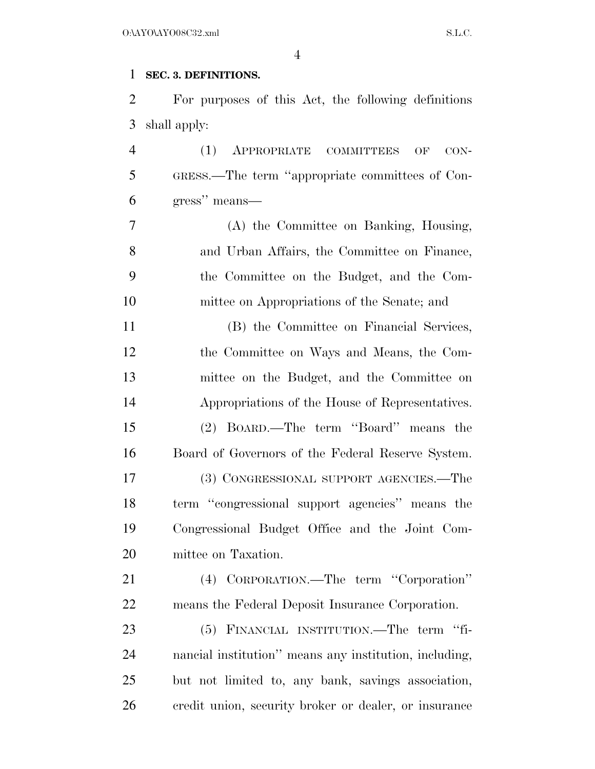### **SEC. 3. DEFINITIONS.**

 For purposes of this Act, the following definitions shall apply:

 (1) APPROPRIATE COMMITTEES OF CON- GRESS.—The term ''appropriate committees of Con-gress'' means—

 (A) the Committee on Banking, Housing, and Urban Affairs, the Committee on Finance, the Committee on the Budget, and the Com-mittee on Appropriations of the Senate; and

 (B) the Committee on Financial Services, the Committee on Ways and Means, the Com- mittee on the Budget, and the Committee on Appropriations of the House of Representatives. (2) BOARD.—The term ''Board'' means the Board of Governors of the Federal Reserve System. (3) CONGRESSIONAL SUPPORT AGENCIES.—The term ''congressional support agencies'' means the Congressional Budget Office and the Joint Com-mittee on Taxation.

 (4) CORPORATION.—The term ''Corporation'' means the Federal Deposit Insurance Corporation.

 (5) FINANCIAL INSTITUTION.—The term ''fi- nancial institution'' means any institution, including, but not limited to, any bank, savings association, credit union, security broker or dealer, or insurance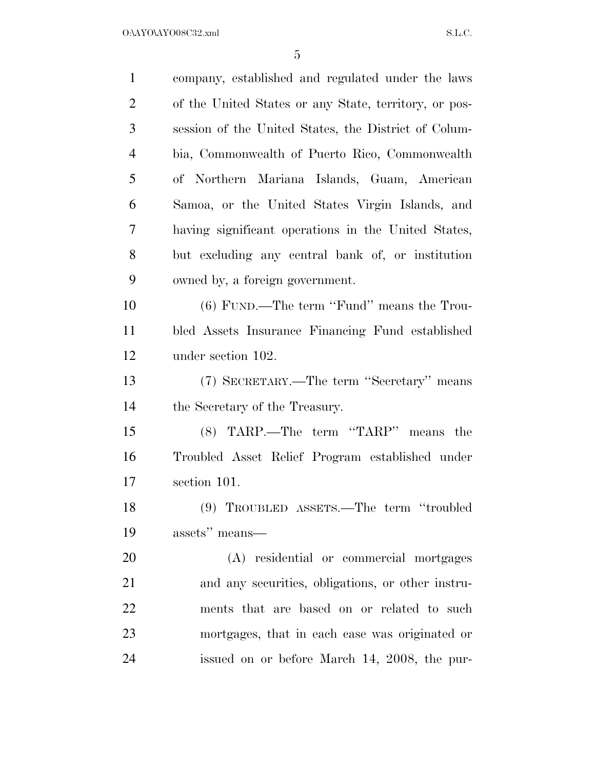| $\mathbf{1}$   | company, established and regulated under the laws     |
|----------------|-------------------------------------------------------|
| $\overline{2}$ | of the United States or any State, territory, or pos- |
| 3              | session of the United States, the District of Colum-  |
| $\overline{4}$ | bia, Commonwealth of Puerto Rico, Commonwealth        |
| 5              | of Northern Mariana Islands, Guam, American           |
| 6              | Samoa, or the United States Virgin Islands, and       |
| 7              | having significant operations in the United States,   |
| 8              | but excluding any central bank of, or institution     |
| 9              | owned by, a foreign government.                       |
| 10             | $(6)$ FUND.—The term "Fund" means the Trou-           |
| 11             | bled Assets Insurance Financing Fund established      |
| 12             | under section 102.                                    |
| 13             | (7) SECRETARY.—The term "Secretary" means             |
| 14             | the Secretary of the Treasury.                        |
| 15             | (8) TARP.—The term "TARP" means the                   |
| 16             | Troubled Asset Relief Program established under       |
| 17             | section 101.                                          |
| 18             | (9) TROUBLED ASSETS.—The term "troubled               |
| 19             | assets" means—                                        |
| 20             | (A) residential or commercial mortgages               |
| 21             | and any securities, obligations, or other instru-     |
| 22             | ments that are based on or related to such            |
| 23             | mortgages, that in each case was originated or        |
| 24             | issued on or before March 14, 2008, the pur-          |
|                |                                                       |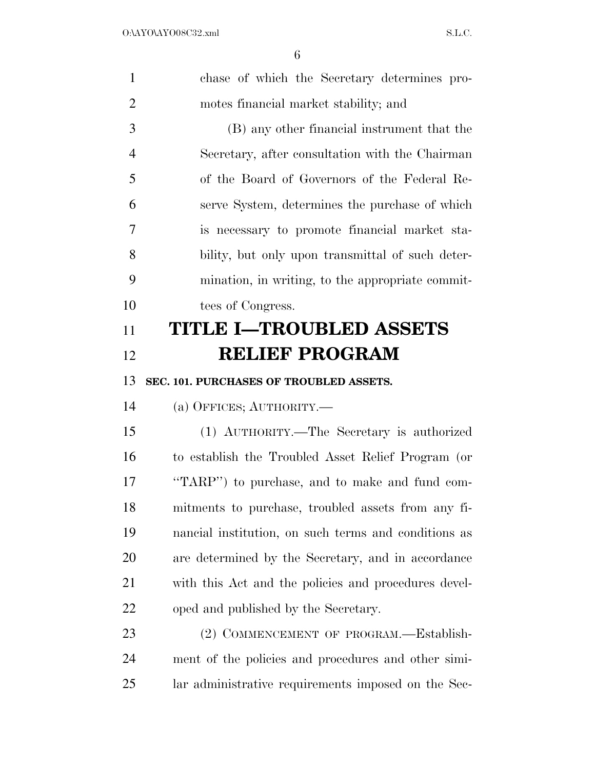| $\mathbf{1}$   | chase of which the Secretary determines pro-         |
|----------------|------------------------------------------------------|
| $\overline{2}$ | motes financial market stability; and                |
| 3              | (B) any other financial instrument that the          |
| $\overline{4}$ | Secretary, after consultation with the Chairman      |
| 5              | of the Board of Governors of the Federal Re-         |
| 6              | serve System, determines the purchase of which       |
| 7              | is necessary to promote financial market sta-        |
| 8              | bility, but only upon transmittal of such deter-     |
| 9              | mination, in writing, to the appropriate commit-     |
| 10             | tees of Congress.                                    |
| 11             | <b>TITLE I-TROUBLED ASSETS</b>                       |
| 12             | <b>RELIEF PROGRAM</b>                                |
| 13             | SEC. 101. PURCHASES OF TROUBLED ASSETS.              |
| 14             | (a) OFFICES; AUTHORITY.                              |
| 15             | (1) AUTHORITY.—The Secretary is authorized           |
| 16             | to establish the Troubled Asset Relief Program (or   |
| 17             | "TARP") to purchase, and to make and fund com-       |
| 18             | mitments to purchase, troubled assets from any fi-   |
| 19             | nancial institution, on such terms and conditions as |
| 20             | are determined by the Secretary, and in accordance   |
| 21             | with this Act and the policies and procedures devel- |
|                | oped and published by the Secretary.                 |
| 22             |                                                      |
| 23             | (2) COMMENCEMENT OF PROGRAM.—Establish-              |
| 24             | ment of the policies and procedures and other simi-  |
| 25             | lar administrative requirements imposed on the Sec-  |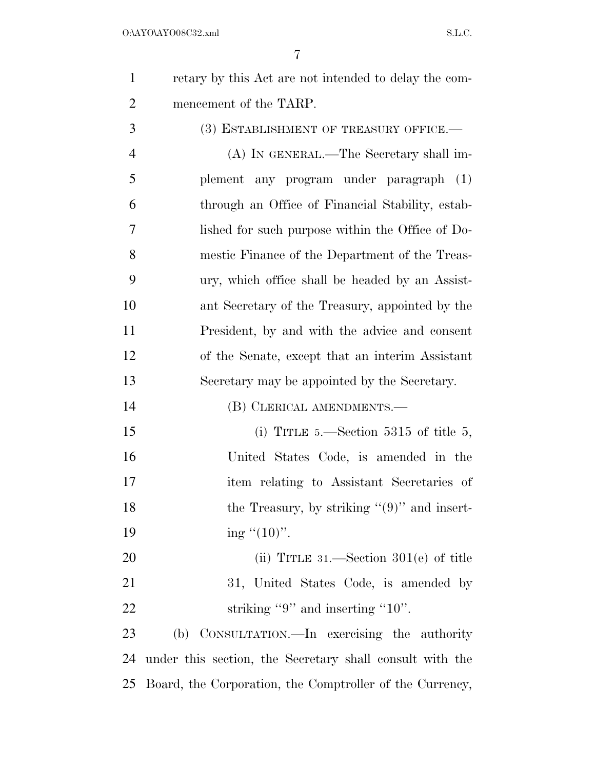retary by this Act are not intended to delay the com-mencement of the TARP.

3 (3) ESTABLISHMENT OF TREASURY OFFICE.— (A) IN GENERAL.—The Secretary shall im- plement any program under paragraph (1) through an Office of Financial Stability, estab- lished for such purpose within the Office of Do- mestic Finance of the Department of the Treas- ury, which office shall be headed by an Assist- ant Secretary of the Treasury, appointed by the President, by and with the advice and consent of the Senate, except that an interim Assistant Secretary may be appointed by the Secretary.

(B) CLERICAL AMENDMENTS.—

15 (i) TITLE 5.—Section 5315 of title 5, United States Code, is amended in the item relating to Assistant Secretaries of 18 the Treasury, by striking "(9)" and insert-19 ing  $\lq(10)$ ".

20 (ii) TITLE 31.—Section 301(e) of title 31, United States Code, is amended by 22 striking "9" and inserting "10".

 (b) CONSULTATION.—In exercising the authority under this section, the Secretary shall consult with the Board, the Corporation, the Comptroller of the Currency,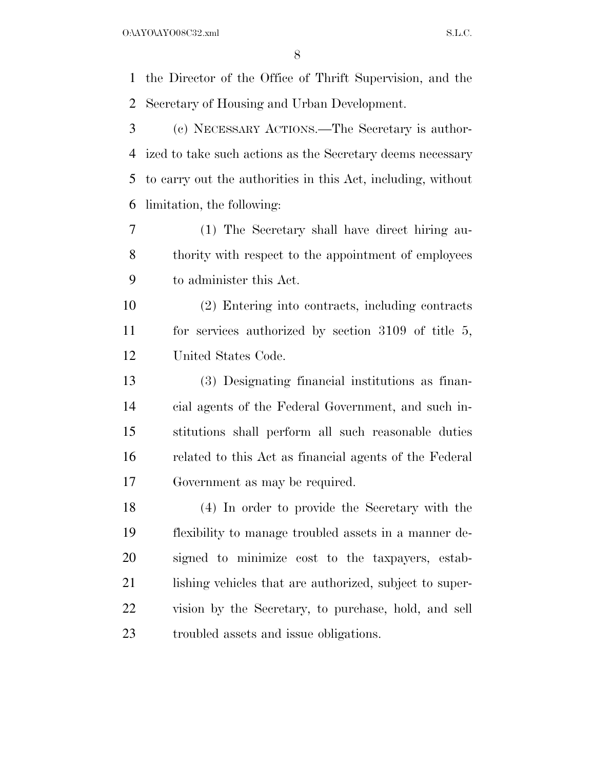the Director of the Office of Thrift Supervision, and the Secretary of Housing and Urban Development.

 (c) NECESSARY ACTIONS.—The Secretary is author- ized to take such actions as the Secretary deems necessary to carry out the authorities in this Act, including, without limitation, the following:

 (1) The Secretary shall have direct hiring au- thority with respect to the appointment of employees to administer this Act.

 (2) Entering into contracts, including contracts for services authorized by section 3109 of title 5, United States Code.

 (3) Designating financial institutions as finan- cial agents of the Federal Government, and such in- stitutions shall perform all such reasonable duties related to this Act as financial agents of the Federal Government as may be required.

 (4) In order to provide the Secretary with the flexibility to manage troubled assets in a manner de- signed to minimize cost to the taxpayers, estab-21 lishing vehicles that are authorized, subject to super- vision by the Secretary, to purchase, hold, and sell troubled assets and issue obligations.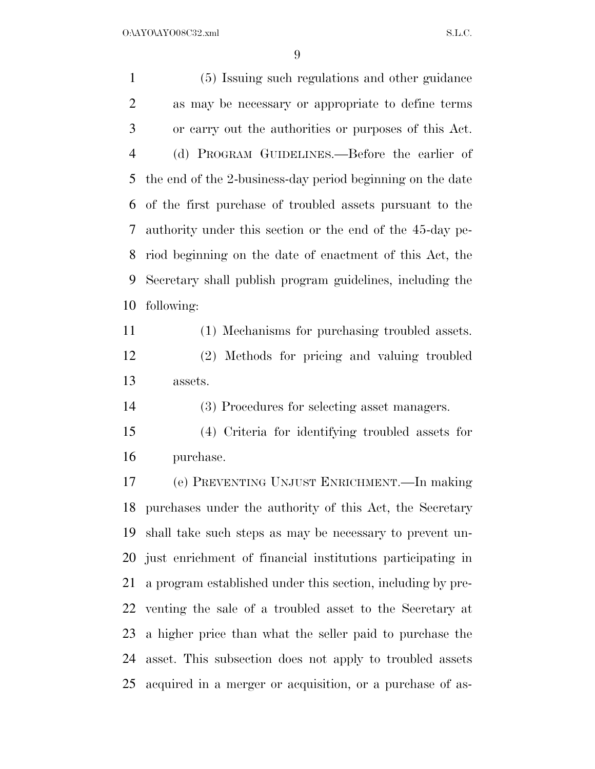(5) Issuing such regulations and other guidance as may be necessary or appropriate to define terms or carry out the authorities or purposes of this Act. (d) PROGRAM GUIDELINES.—Before the earlier of the end of the 2-business-day period beginning on the date of the first purchase of troubled assets pursuant to the authority under this section or the end of the 45-day pe- riod beginning on the date of enactment of this Act, the Secretary shall publish program guidelines, including the following: (1) Mechanisms for purchasing troubled assets.

 (2) Methods for pricing and valuing troubled assets.

(3) Procedures for selecting asset managers.

 (4) Criteria for identifying troubled assets for purchase.

 (e) PREVENTING UNJUST ENRICHMENT.—In making purchases under the authority of this Act, the Secretary shall take such steps as may be necessary to prevent un- just enrichment of financial institutions participating in a program established under this section, including by pre- venting the sale of a troubled asset to the Secretary at a higher price than what the seller paid to purchase the asset. This subsection does not apply to troubled assets acquired in a merger or acquisition, or a purchase of as-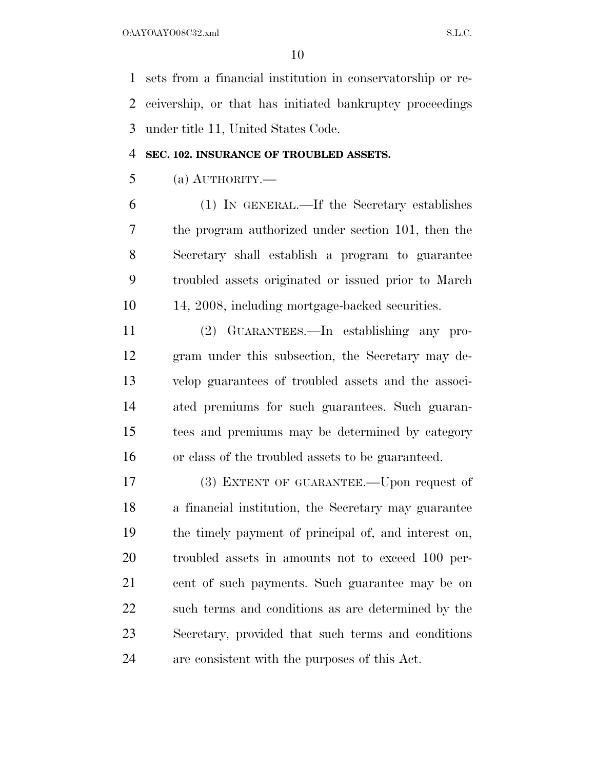sets from a financial institution in conservatorship or re- ceivership, or that has initiated bankruptcy proceedings under title 11, United States Code.

#### **SEC. 102. INSURANCE OF TROUBLED ASSETS.**

(a) AUTHORITY.—

 (1) IN GENERAL.—If the Secretary establishes the program authorized under section 101, then the Secretary shall establish a program to guarantee troubled assets originated or issued prior to March 14, 2008, including mortgage-backed securities.

 (2) GUARANTEES.—In establishing any pro- gram under this subsection, the Secretary may de- velop guarantees of troubled assets and the associ- ated premiums for such guarantees. Such guaran- tees and premiums may be determined by category or class of the troubled assets to be guaranteed.

 (3) EXTENT OF GUARANTEE.—Upon request of a financial institution, the Secretary may guarantee the timely payment of principal of, and interest on, troubled assets in amounts not to exceed 100 per- cent of such payments. Such guarantee may be on such terms and conditions as are determined by the Secretary, provided that such terms and conditions are consistent with the purposes of this Act.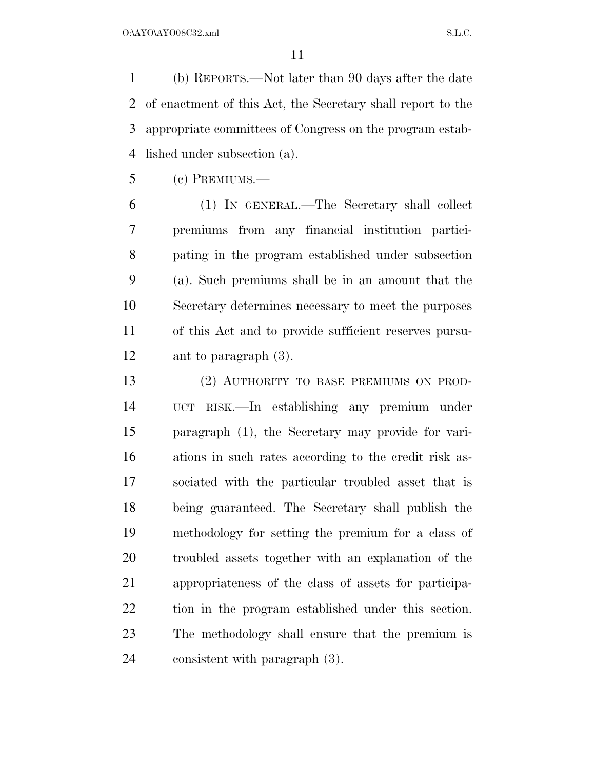(b) REPORTS.—Not later than 90 days after the date of enactment of this Act, the Secretary shall report to the appropriate committees of Congress on the program estab-lished under subsection (a).

(c) PREMIUMS.—

 (1) IN GENERAL.—The Secretary shall collect premiums from any financial institution partici- pating in the program established under subsection (a). Such premiums shall be in an amount that the Secretary determines necessary to meet the purposes of this Act and to provide sufficient reserves pursu-ant to paragraph (3).

 (2) AUTHORITY TO BASE PREMIUMS ON PROD- UCT RISK.—In establishing any premium under paragraph (1), the Secretary may provide for vari- ations in such rates according to the credit risk as- sociated with the particular troubled asset that is being guaranteed. The Secretary shall publish the methodology for setting the premium for a class of troubled assets together with an explanation of the appropriateness of the class of assets for participa- tion in the program established under this section. The methodology shall ensure that the premium is consistent with paragraph (3).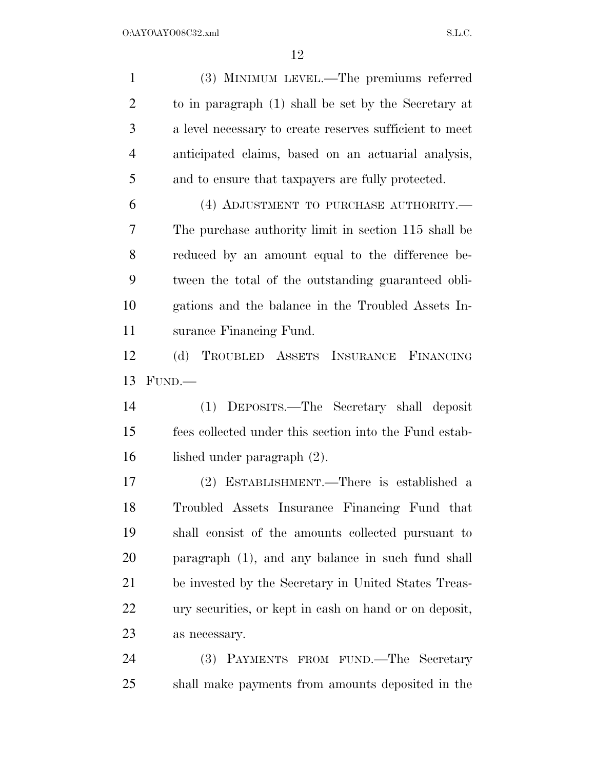(3) MINIMUM LEVEL.—The premiums referred to in paragraph (1) shall be set by the Secretary at a level necessary to create reserves sufficient to meet anticipated claims, based on an actuarial analysis, and to ensure that taxpayers are fully protected. (4) ADJUSTMENT TO PURCHASE AUTHORITY.— The purchase authority limit in section 115 shall be reduced by an amount equal to the difference be- tween the total of the outstanding guaranteed obli- gations and the balance in the Troubled Assets In- surance Financing Fund. (d) TROUBLED ASSETS INSURANCE FINANCING FUND.— (1) DEPOSITS.—The Secretary shall deposit fees collected under this section into the Fund estab- lished under paragraph (2). (2) ESTABLISHMENT.—There is established a Troubled Assets Insurance Financing Fund that shall consist of the amounts collected pursuant to paragraph (1), and any balance in such fund shall be invested by the Secretary in United States Treas- ury securities, or kept in cash on hand or on deposit, as necessary. (3) PAYMENTS FROM FUND.—The Secretary shall make payments from amounts deposited in the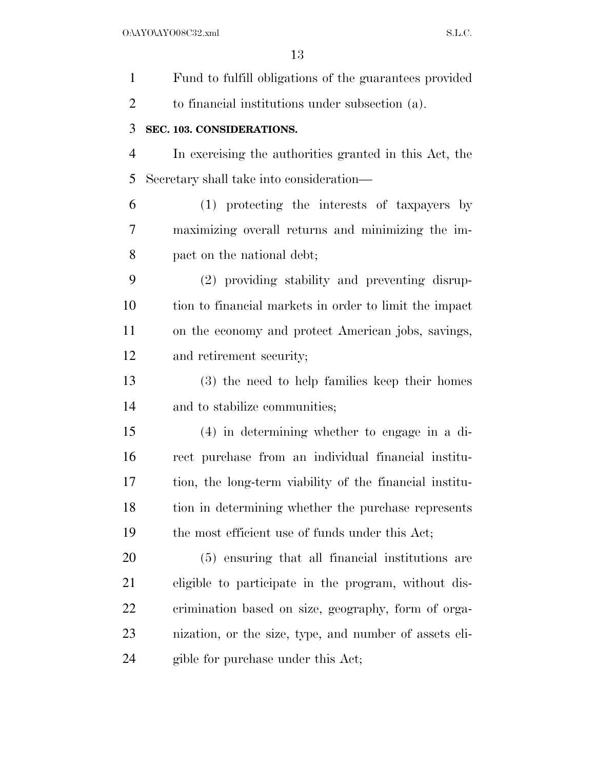| $\mathbf{1}$   | Fund to fulfill obligations of the guarantees provided  |
|----------------|---------------------------------------------------------|
| $\overline{2}$ | to financial institutions under subsection (a).         |
| 3              | SEC. 103. CONSIDERATIONS.                               |
| $\overline{4}$ | In exercising the authorities granted in this Act, the  |
| 5              | Secretary shall take into consideration—                |
| 6              | (1) protecting the interests of taxpayers by            |
| 7              | maximizing overall returns and minimizing the im-       |
| 8              | pact on the national debt;                              |
| 9              | (2) providing stability and preventing disrup-          |
| 10             | tion to financial markets in order to limit the impact  |
| 11             | on the economy and protect American jobs, savings,      |
| 12             | and retirement security;                                |
| 13             | (3) the need to help families keep their homes          |
| 14             | and to stabilize communities;                           |
| 15             | $(4)$ in determining whether to engage in a di-         |
| 16             | rect purchase from an individual financial institu-     |
| 17             | tion, the long-term viability of the financial institu- |
| 18             | tion in determining whether the purchase represents     |
| 19             | the most efficient use of funds under this Act;         |
| 20             | (5) ensuring that all financial institutions are        |
| 21             | eligible to participate in the program, without dis-    |
| 22             | crimination based on size, geography, form of orga-     |
| 23             | nization, or the size, type, and number of assets eli-  |
| 24             | gible for purchase under this Act;                      |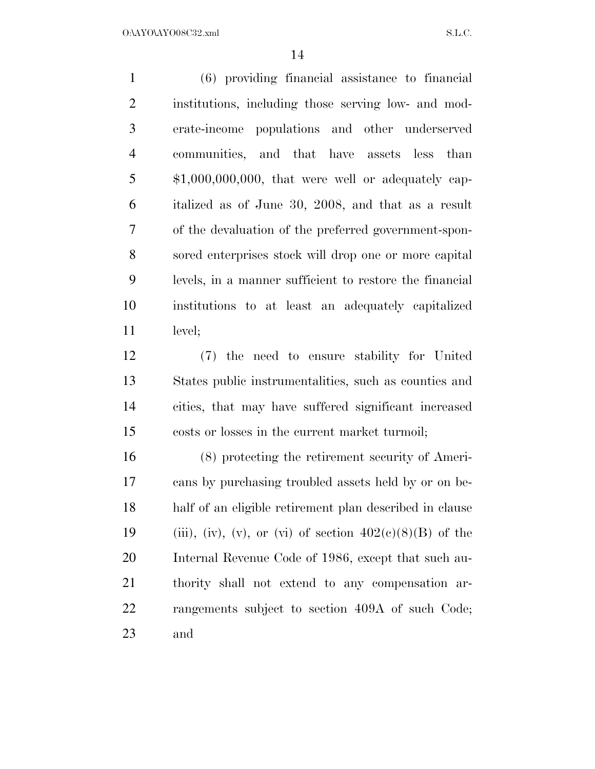(6) providing financial assistance to financial institutions, including those serving low- and mod- erate-income populations and other underserved communities, and that have assets less than 5 \$1,000,000,000, that were well or adequately cap- italized as of June 30, 2008, and that as a result of the devaluation of the preferred government-spon- sored enterprises stock will drop one or more capital levels, in a manner sufficient to restore the financial institutions to at least an adequately capitalized level;

 (7) the need to ensure stability for United States public instrumentalities, such as counties and cities, that may have suffered significant increased costs or losses in the current market turmoil;

 (8) protecting the retirement security of Ameri- cans by purchasing troubled assets held by or on be- half of an eligible retirement plan described in clause 19 (iii), (iv), (v), or (vi) of section  $402(e)(8)(B)$  of the Internal Revenue Code of 1986, except that such au- thority shall not extend to any compensation ar- rangements subject to section 409A of such Code; and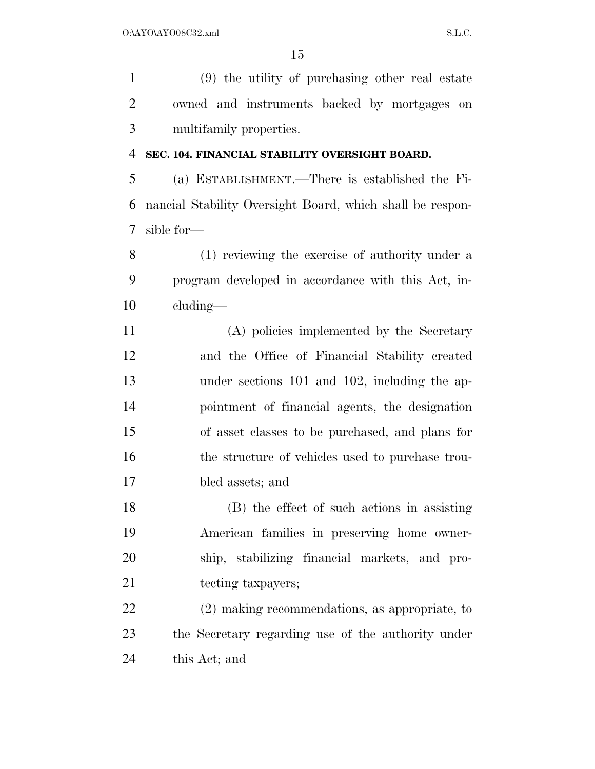(9) the utility of purchasing other real estate owned and instruments backed by mortgages on multifamily properties.

#### **SEC. 104. FINANCIAL STABILITY OVERSIGHT BOARD.**

 (a) ESTABLISHMENT.—There is established the Fi- nancial Stability Oversight Board, which shall be respon-sible for—

 (1) reviewing the exercise of authority under a program developed in accordance with this Act, in-cluding—

 (A) policies implemented by the Secretary and the Office of Financial Stability created under sections 101 and 102, including the ap- pointment of financial agents, the designation of asset classes to be purchased, and plans for 16 the structure of vehicles used to purchase trou-bled assets; and

 (B) the effect of such actions in assisting American families in preserving home owner- ship, stabilizing financial markets, and pro-21 tecting taxpayers;

 (2) making recommendations, as appropriate, to the Secretary regarding use of the authority under this Act; and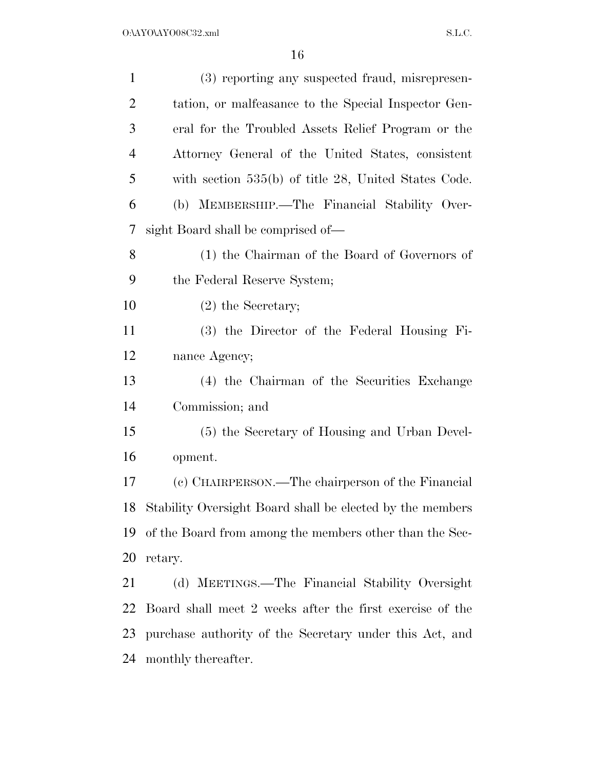| $\mathbf{1}$   | (3) reporting any suspected fraud, misrepresen-           |
|----------------|-----------------------------------------------------------|
| $\overline{2}$ | tation, or malfeasance to the Special Inspector Gen-      |
| 3              | eral for the Troubled Assets Relief Program or the        |
| $\overline{4}$ | Attorney General of the United States, consistent         |
| 5              | with section $535(b)$ of title 28, United States Code.    |
| 6              | (b) MEMBERSHIP.—The Financial Stability Over-             |
| 7              | sight Board shall be comprised of—                        |
| 8              | (1) the Chairman of the Board of Governors of             |
| 9              | the Federal Reserve System;                               |
| 10             | $(2)$ the Secretary;                                      |
| 11             | (3) the Director of the Federal Housing Fi-               |
| 12             | nance Agency;                                             |
| 13             | (4) the Chairman of the Securities Exchange               |
| 14             | Commission; and                                           |
| 15             | (5) the Secretary of Housing and Urban Devel-             |
| 16             | opment.                                                   |
| 17             | (c) CHAIRPERSON.—The chairperson of the Financial         |
| 18             | Stability Oversight Board shall be elected by the members |
| 19             | of the Board from among the members other than the Sec-   |
| 20             | retary.                                                   |
| 21             | (d) MEETINGS.—The Financial Stability Oversight           |
| 22             | Board shall meet 2 weeks after the first exercise of the  |
| 23             | purchase authority of the Secretary under this Act, and   |
| 24             | monthly thereafter.                                       |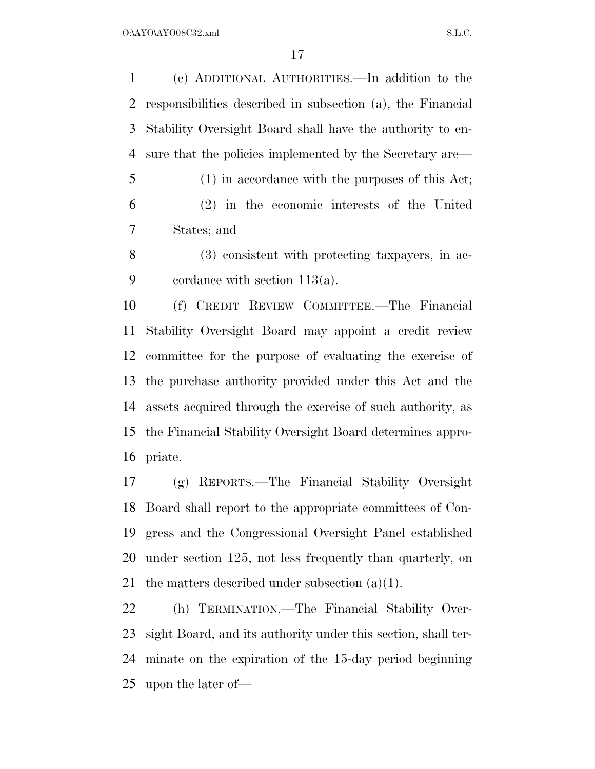(e) ADDITIONAL AUTHORITIES.—In addition to the responsibilities described in subsection (a), the Financial Stability Oversight Board shall have the authority to en-sure that the policies implemented by the Secretary are—

 (1) in accordance with the purposes of this Act; (2) in the economic interests of the United States; and

 (3) consistent with protecting taxpayers, in ac-cordance with section 113(a).

 (f) CREDIT REVIEW COMMITTEE.—The Financial Stability Oversight Board may appoint a credit review committee for the purpose of evaluating the exercise of the purchase authority provided under this Act and the assets acquired through the exercise of such authority, as the Financial Stability Oversight Board determines appro-priate.

 (g) REPORTS.—The Financial Stability Oversight Board shall report to the appropriate committees of Con- gress and the Congressional Oversight Panel established under section 125, not less frequently than quarterly, on 21 the matters described under subsection  $(a)(1)$ .

 (h) TERMINATION.—The Financial Stability Over- sight Board, and its authority under this section, shall ter- minate on the expiration of the 15-day period beginning upon the later of—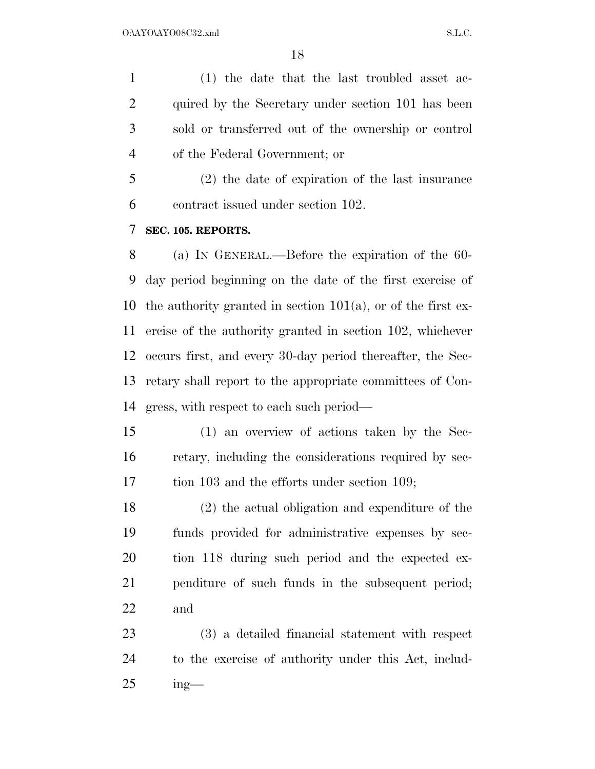(1) the date that the last troubled asset ac- quired by the Secretary under section 101 has been sold or transferred out of the ownership or control of the Federal Government; or

 (2) the date of expiration of the last insurance contract issued under section 102.

#### **SEC. 105. REPORTS.**

 (a) IN GENERAL.—Before the expiration of the 60- day period beginning on the date of the first exercise of 10 the authority granted in section  $101(a)$ , or of the first ex- ercise of the authority granted in section 102, whichever occurs first, and every 30-day period thereafter, the Sec- retary shall report to the appropriate committees of Con-gress, with respect to each such period—

 (1) an overview of actions taken by the Sec- retary, including the considerations required by sec-tion 103 and the efforts under section 109;

 (2) the actual obligation and expenditure of the funds provided for administrative expenses by sec- tion 118 during such period and the expected ex- penditure of such funds in the subsequent period; and

 (3) a detailed financial statement with respect to the exercise of authority under this Act, includ-ing—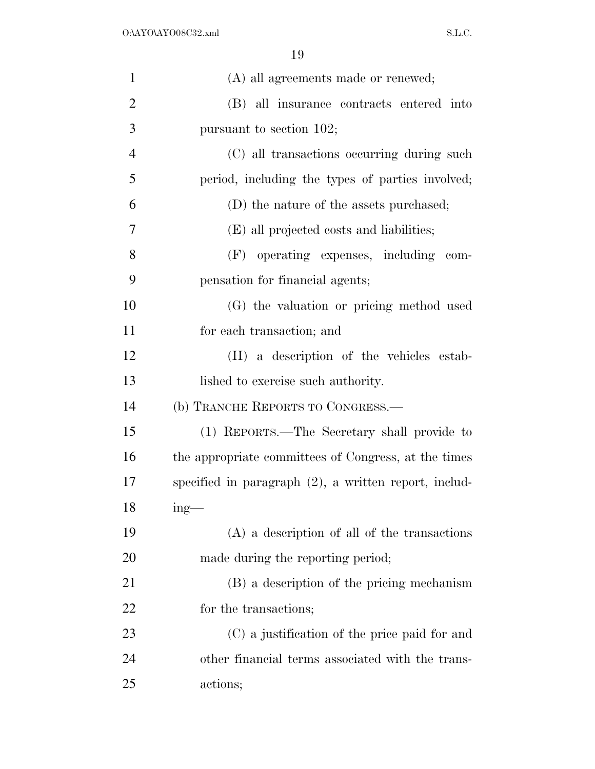| $\mathbf{1}$   | (A) all agreements made or renewed;                      |
|----------------|----------------------------------------------------------|
| $\overline{2}$ | (B) all insurance contracts entered into                 |
| 3              | pursuant to section 102;                                 |
| $\overline{4}$ | (C) all transactions occurring during such               |
| 5              | period, including the types of parties involved;         |
| 6              | (D) the nature of the assets purchased;                  |
| $\overline{7}$ | (E) all projected costs and liabilities;                 |
| 8              | (F) operating expenses, including com-                   |
| 9              | pensation for financial agents;                          |
| 10             | (G) the valuation or pricing method used                 |
| 11             | for each transaction; and                                |
| 12             | (H) a description of the vehicles estab-                 |
| 13             | lished to exercise such authority.                       |
| 14             | (b) TRANCHE REPORTS TO CONGRESS.-                        |
| 15             | (1) REPORTS.—The Secretary shall provide to              |
| 16             | the appropriate committees of Congress, at the times     |
| 17             | specified in paragraph $(2)$ , a written report, includ- |
| 18             | $mg -$                                                   |
| 19             | $(A)$ a description of all of the transactions           |
| 20             | made during the reporting period;                        |
| 21             | (B) a description of the pricing mechanism               |
| 22             | for the transactions;                                    |
| 23             | (C) a justification of the price paid for and            |
| 24             | other financial terms associated with the trans-         |
| 25             | actions;                                                 |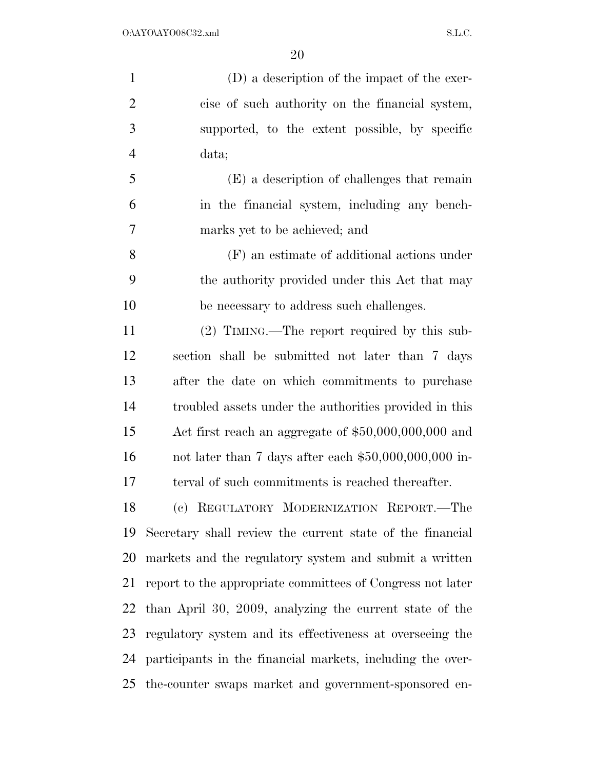| $\mathbf{1}$   | (D) a description of the impact of the exer-               |
|----------------|------------------------------------------------------------|
| $\overline{2}$ | cise of such authority on the financial system,            |
| 3              | supported, to the extent possible, by specific             |
| $\overline{4}$ | data;                                                      |
| 5              | (E) a description of challenges that remain                |
| 6              | in the financial system, including any bench-              |
| 7              | marks yet to be achieved; and                              |
| 8              | (F) an estimate of additional actions under                |
| 9              | the authority provided under this Act that may             |
| 10             | be necessary to address such challenges.                   |
| 11             | $(2)$ TIMING.—The report required by this sub-             |
| 12             | section shall be submitted not later than 7 days           |
| 13             | after the date on which commitments to purchase            |
| 14             | troubled assets under the authorities provided in this     |
| 15             | Act first reach an aggregate of $$50,000,000,000$ and      |
| 16             | not later than 7 days after each $$50,000,000,000$ in-     |
| 17             | terval of such commitments is reached thereafter.          |
| 18             | (c) REGULATORY MODERNIZATION REPORT.-The                   |
| 19             | Secretary shall review the current state of the financial  |
| 20             | markets and the regulatory system and submit a written     |
| 21             | report to the appropriate committees of Congress not later |
| 22             | than April 30, 2009, analyzing the current state of the    |
| 23             | regulatory system and its effectiveness at overseeing the  |
| 24             | participants in the financial markets, including the over- |
| 25             | the-counter swaps market and government-sponsored en-      |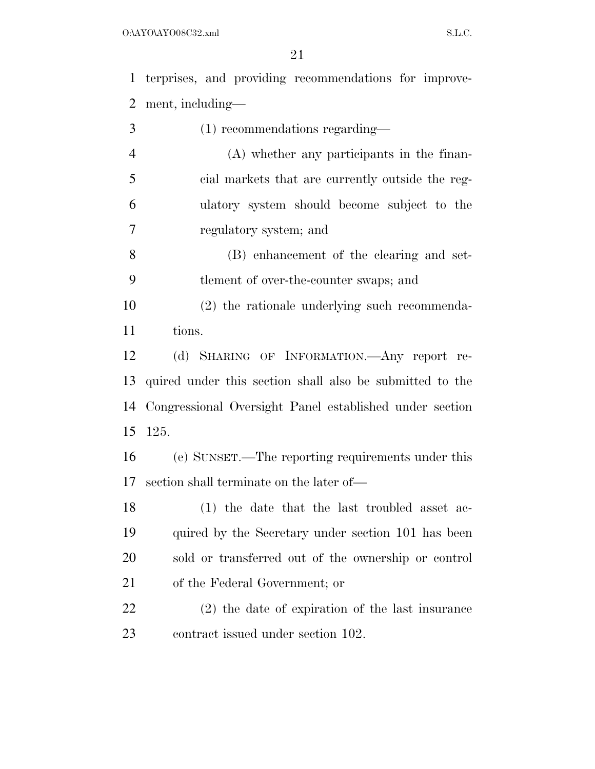terprises, and providing recommendations for improve-ment, including—

- (1) recommendations regarding— (A) whether any participants in the finan- cial markets that are currently outside the reg- ulatory system should become subject to the regulatory system; and (B) enhancement of the clearing and set- tlement of over-the-counter swaps; and (2) the rationale underlying such recommenda- tions. (d) SHARING OF INFORMATION.—Any report re- quired under this section shall also be submitted to the Congressional Oversight Panel established under section 125. (e) SUNSET.—The reporting requirements under this section shall terminate on the later of— (1) the date that the last troubled asset ac- quired by the Secretary under section 101 has been sold or transferred out of the ownership or control of the Federal Government; or
- (2) the date of expiration of the last insurance 23 contract issued under section 102.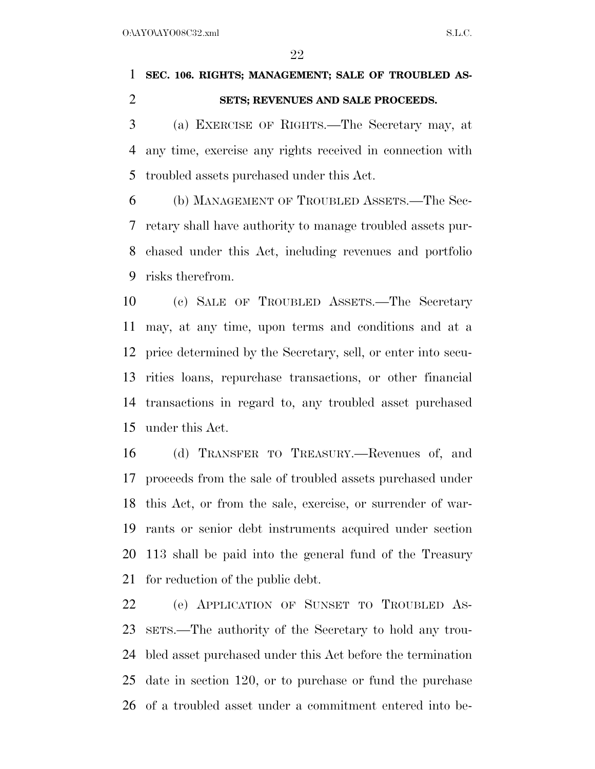# **SEC. 106. RIGHTS; MANAGEMENT; SALE OF TROUBLED AS-SETS; REVENUES AND SALE PROCEEDS.**

 (a) EXERCISE OF RIGHTS.—The Secretary may, at any time, exercise any rights received in connection with troubled assets purchased under this Act.

 (b) MANAGEMENT OF TROUBLED ASSETS.—The Sec- retary shall have authority to manage troubled assets pur- chased under this Act, including revenues and portfolio risks therefrom.

 (c) SALE OF TROUBLED ASSETS.—The Secretary may, at any time, upon terms and conditions and at a price determined by the Secretary, sell, or enter into secu- rities loans, repurchase transactions, or other financial transactions in regard to, any troubled asset purchased under this Act.

 (d) TRANSFER TO TREASURY.—Revenues of, and proceeds from the sale of troubled assets purchased under this Act, or from the sale, exercise, or surrender of war- rants or senior debt instruments acquired under section 113 shall be paid into the general fund of the Treasury for reduction of the public debt.

 (e) APPLICATION OF SUNSET TO TROUBLED AS- SETS.—The authority of the Secretary to hold any trou- bled asset purchased under this Act before the termination date in section 120, or to purchase or fund the purchase of a troubled asset under a commitment entered into be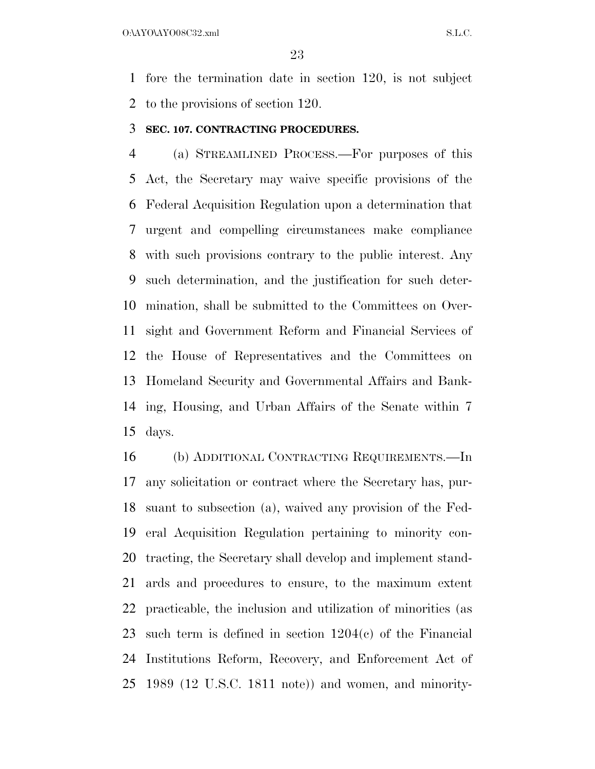O:\AYO\AYO08C32.xml S.L.C.

 fore the termination date in section 120, is not subject to the provisions of section 120.

#### **SEC. 107. CONTRACTING PROCEDURES.**

 (a) STREAMLINED PROCESS.—For purposes of this Act, the Secretary may waive specific provisions of the Federal Acquisition Regulation upon a determination that urgent and compelling circumstances make compliance with such provisions contrary to the public interest. Any such determination, and the justification for such deter- mination, shall be submitted to the Committees on Over- sight and Government Reform and Financial Services of the House of Representatives and the Committees on Homeland Security and Governmental Affairs and Bank- ing, Housing, and Urban Affairs of the Senate within 7 days.

 (b) ADDITIONAL CONTRACTING REQUIREMENTS.—In any solicitation or contract where the Secretary has, pur- suant to subsection (a), waived any provision of the Fed- eral Acquisition Regulation pertaining to minority con- tracting, the Secretary shall develop and implement stand- ards and procedures to ensure, to the maximum extent practicable, the inclusion and utilization of minorities (as such term is defined in section 1204(c) of the Financial Institutions Reform, Recovery, and Enforcement Act of 1989 (12 U.S.C. 1811 note)) and women, and minority-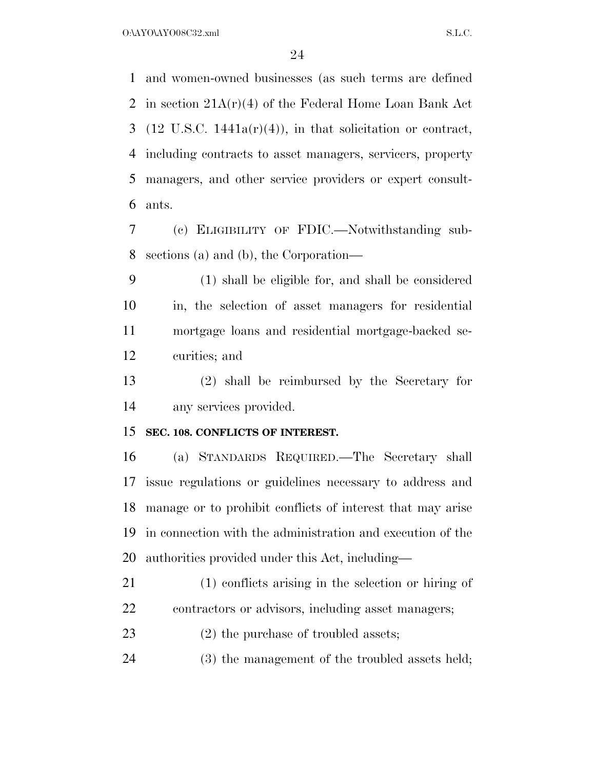and women-owned businesses (as such terms are defined in section 21A(r)(4) of the Federal Home Loan Bank Act 3 (12 U.S.C. 1441a( $r$ )(4)), in that solicitation or contract, including contracts to asset managers, servicers, property managers, and other service providers or expert consult-ants.

 (c) ELIGIBILITY OF FDIC.—Notwithstanding sub-sections (a) and (b), the Corporation—

 (1) shall be eligible for, and shall be considered in, the selection of asset managers for residential mortgage loans and residential mortgage-backed se-curities; and

 (2) shall be reimbursed by the Secretary for any services provided.

### **SEC. 108. CONFLICTS OF INTEREST.**

 (a) STANDARDS REQUIRED.—The Secretary shall issue regulations or guidelines necessary to address and manage or to prohibit conflicts of interest that may arise in connection with the administration and execution of the authorities provided under this Act, including—

 (1) conflicts arising in the selection or hiring of contractors or advisors, including asset managers;

23 (2) the purchase of troubled assets;

(3) the management of the troubled assets held;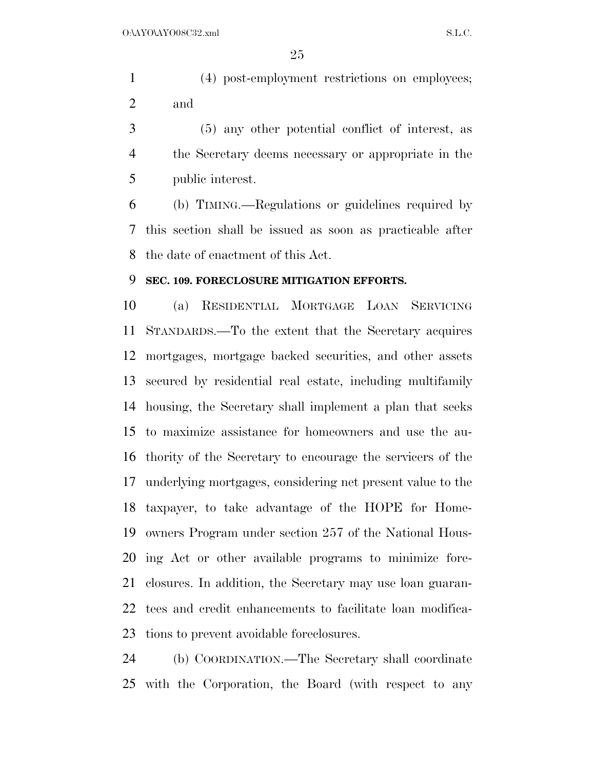(4) post-employment restrictions on employees; and

 (5) any other potential conflict of interest, as the Secretary deems necessary or appropriate in the public interest.

 (b) TIMING.—Regulations or guidelines required by this section shall be issued as soon as practicable after the date of enactment of this Act.

### **SEC. 109. FORECLOSURE MITIGATION EFFORTS.**

 (a) RESIDENTIAL MORTGAGE LOAN SERVICING STANDARDS.—To the extent that the Secretary acquires mortgages, mortgage backed securities, and other assets secured by residential real estate, including multifamily housing, the Secretary shall implement a plan that seeks to maximize assistance for homeowners and use the au- thority of the Secretary to encourage the servicers of the underlying mortgages, considering net present value to the taxpayer, to take advantage of the HOPE for Home- owners Program under section 257 of the National Hous- ing Act or other available programs to minimize fore- closures. In addition, the Secretary may use loan guaran- tees and credit enhancements to facilitate loan modifica-tions to prevent avoidable foreclosures.

 (b) COORDINATION.—The Secretary shall coordinate with the Corporation, the Board (with respect to any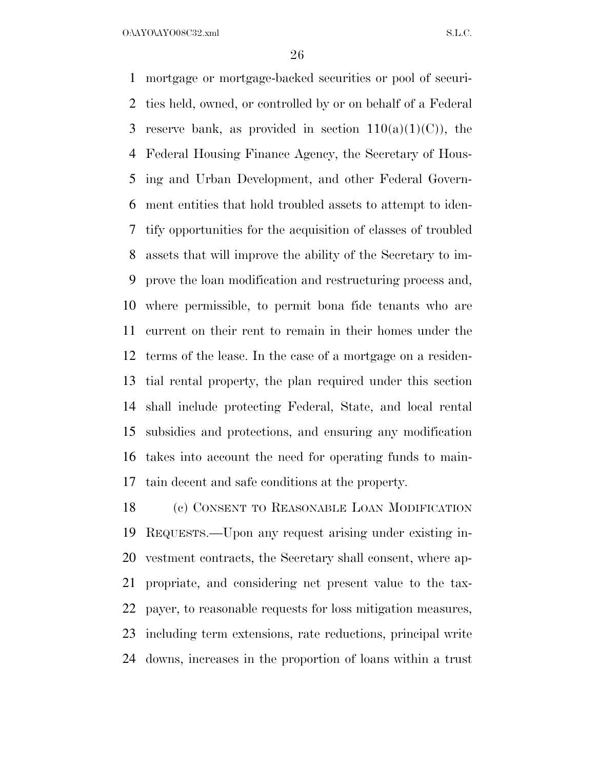O:\AYO\AYO08C32.xml S.L.C.

 mortgage or mortgage-backed securities or pool of securi- ties held, owned, or controlled by or on behalf of a Federal 3 reserve bank, as provided in section  $110(a)(1)(C)$ , the Federal Housing Finance Agency, the Secretary of Hous- ing and Urban Development, and other Federal Govern- ment entities that hold troubled assets to attempt to iden- tify opportunities for the acquisition of classes of troubled assets that will improve the ability of the Secretary to im- prove the loan modification and restructuring process and, where permissible, to permit bona fide tenants who are current on their rent to remain in their homes under the terms of the lease. In the case of a mortgage on a residen- tial rental property, the plan required under this section shall include protecting Federal, State, and local rental subsidies and protections, and ensuring any modification takes into account the need for operating funds to main-tain decent and safe conditions at the property.

 (c) CONSENT TO REASONABLE LOAN MODIFICATION REQUESTS.—Upon any request arising under existing in- vestment contracts, the Secretary shall consent, where ap- propriate, and considering net present value to the tax- payer, to reasonable requests for loss mitigation measures, including term extensions, rate reductions, principal write downs, increases in the proportion of loans within a trust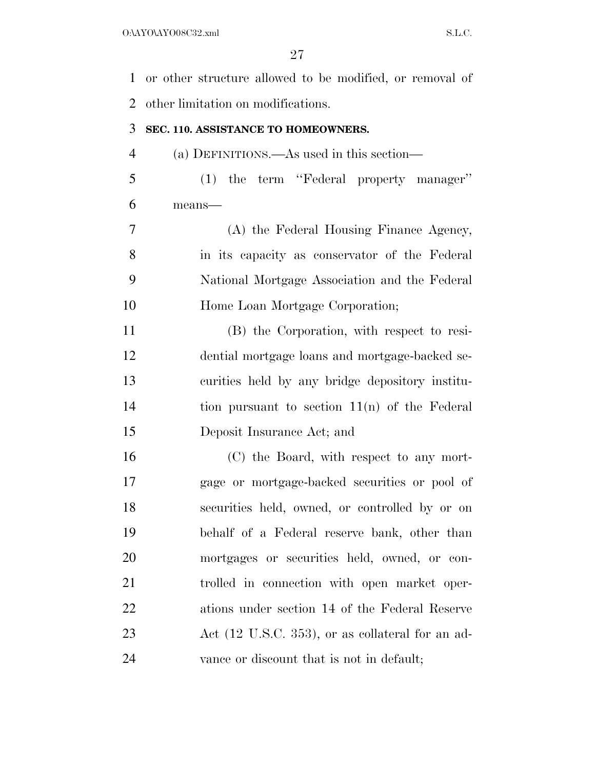or other structure allowed to be modified, or removal of other limitation on modifications. **SEC. 110. ASSISTANCE TO HOMEOWNERS.**  (a) DEFINITIONS.—As used in this section— (1) the term ''Federal property manager'' means— (A) the Federal Housing Finance Agency, in its capacity as conservator of the Federal National Mortgage Association and the Federal Home Loan Mortgage Corporation; (B) the Corporation, with respect to resi- dential mortgage loans and mortgage-backed se- curities held by any bridge depository institu- tion pursuant to section 11(n) of the Federal Deposit Insurance Act; and (C) the Board, with respect to any mort- gage or mortgage-backed securities or pool of securities held, owned, or controlled by or on behalf of a Federal reserve bank, other than mortgages or securities held, owned, or con- trolled in connection with open market oper- ations under section 14 of the Federal Reserve 23 Act (12 U.S.C. 353), or as collateral for an ad-vance or discount that is not in default;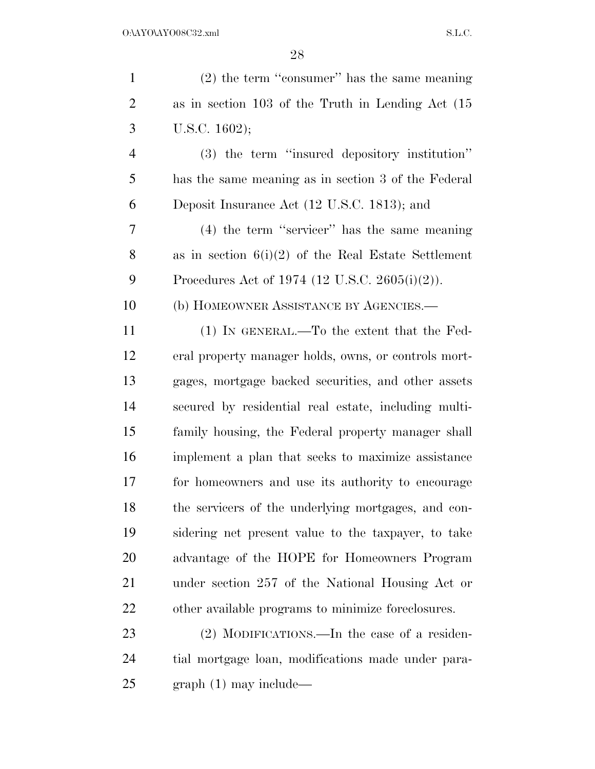| $\mathbf{1}$   | $(2)$ the term "consumer" has the same meaning         |
|----------------|--------------------------------------------------------|
| $\overline{2}$ | as in section $103$ of the Truth in Lending Act $(15)$ |
| 3              | U.S.C. 1602);                                          |
| $\overline{4}$ | (3) the term "insured depository institution"          |
| 5              | has the same meaning as in section 3 of the Federal    |
| 6              | Deposit Insurance Act (12 U.S.C. 1813); and            |
| 7              | (4) the term "servicer" has the same meaning           |
| 8              | as in section $6(i)(2)$ of the Real Estate Settlement  |
| 9              | Procedures Act of 1974 (12 U.S.C. 2605(i)(2)).         |
| 10             | (b) HOMEOWNER ASSISTANCE BY AGENCIES.—                 |
| 11             | (1) IN GENERAL.—To the extent that the Fed-            |
| 12             | eral property manager holds, owns, or controls mort-   |
| 13             | gages, mortgage backed securities, and other assets    |
| 14             | secured by residential real estate, including multi-   |
| 15             | family housing, the Federal property manager shall     |
| 16             | implement a plan that seeks to maximize assistance     |
| 17             | for homeowners and use its authority to encourage      |
| 18             | the servicers of the underlying mortgages, and con-    |
| 19             | sidering net present value to the taxpayer, to take    |
| 20             | advantage of the HOPE for Homeowners Program           |
| 21             | under section 257 of the National Housing Act or       |
| 22             | other available programs to minimize foreclosures.     |
| 23             | $(2)$ MODIFICATIONS.—In the case of a residen-         |
| 24             | tial mortgage loan, modifications made under para-     |
| 25             | $graph(1)$ may include—                                |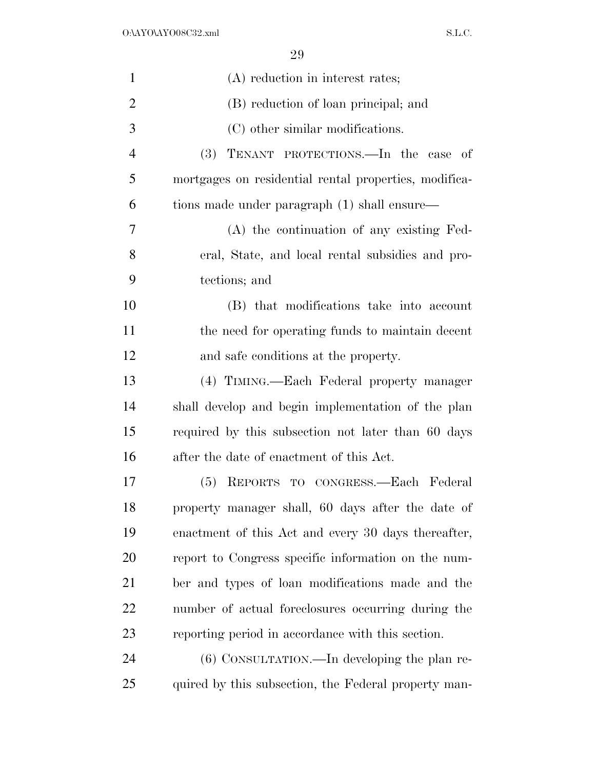| $\mathbf{1}$   | (A) reduction in interest rates;                      |
|----------------|-------------------------------------------------------|
| $\overline{2}$ | (B) reduction of loan principal; and                  |
| 3              | (C) other similar modifications.                      |
| $\overline{4}$ | (3) TENANT PROTECTIONS.—In the case of                |
| 5              | mortgages on residential rental properties, modifica- |
| 6              | tions made under paragraph (1) shall ensure—          |
| 7              | (A) the continuation of any existing Fed-             |
| 8              | eral, State, and local rental subsidies and pro-      |
| 9              | tections; and                                         |
| 10             | (B) that modifications take into account              |
| 11             | the need for operating funds to maintain decent       |
| 12             | and safe conditions at the property.                  |
| 13             | (4) TIMING.—Each Federal property manager             |
| 14             | shall develop and begin implementation of the plan    |
| 15             | required by this subsection not later than 60 days    |
| 16             | after the date of enactment of this Act.              |
| 17             | REPORTS TO CONGRESS.-Each Federal<br>(5)              |
| 18             | property manager shall, 60 days after the date of     |
| 19             | enactment of this Act and every 30 days thereafter,   |
| 20             | report to Congress specific information on the num-   |
| 21             | ber and types of loan modifications made and the      |
| 22             | number of actual foreclosures occurring during the    |
| 23             | reporting period in accordance with this section.     |
| 24             | $(6)$ CONSULTATION.—In developing the plan re-        |
| 25             | quired by this subsection, the Federal property man-  |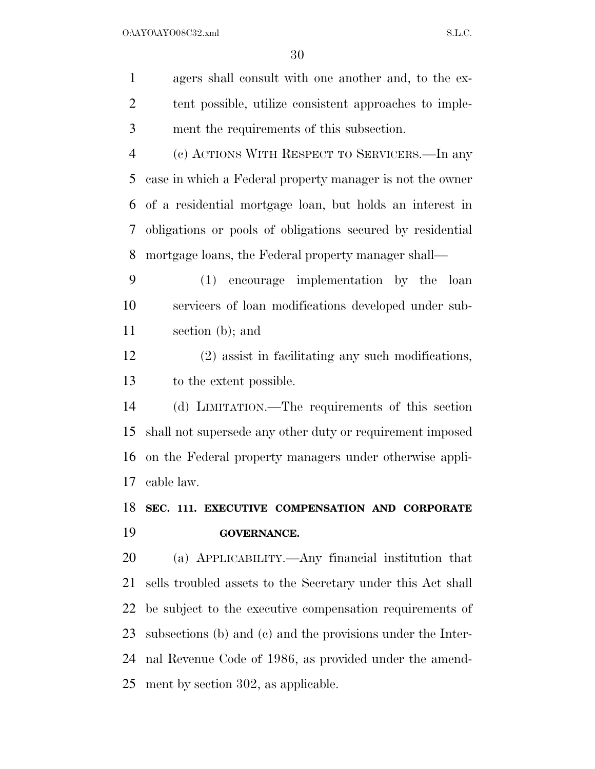$\begin{minipage}{.4\linewidth} \textbf{0:} \textbf{A} \textbf{Y} \textbf{O} \textbf{A} \textbf{Y} \textbf{O} \textbf{0} \textbf{8} \textbf{C} \textbf{3} \textbf{2} \textbf{.} \textbf{x} \textbf{m} \textbf{1} \textbf{1} \textbf{1} \textbf{1} \textbf{1} \textbf{1} \textbf{1} \textbf{1} \textbf{1} \textbf{1} \textbf{1} \textbf{1} \textbf{1} \textbf{1} \textbf{1} \textbf{1} \textbf{1} \textbf{1} \textbf{1} \textbf$ 

| $\mathbf{1}$   | agers shall consult with one another and, to the ex-        |
|----------------|-------------------------------------------------------------|
| $\overline{2}$ | tent possible, utilize consistent approaches to imple-      |
| 3              | ment the requirements of this subsection.                   |
| $\overline{4}$ | (c) ACTIONS WITH RESPECT TO SERVICERS.—In any               |
| 5              | case in which a Federal property manager is not the owner   |
| 6              | of a residential mortgage loan, but holds an interest in    |
| 7              | obligations or pools of obligations secured by residential  |
| 8              | mortgage loans, the Federal property manager shall—         |
| 9              | (1) encourage implementation by the loan                    |
| 10             | servicers of loan modifications developed under sub-        |
| 11             | section (b); and                                            |
| 12             | (2) assist in facilitating any such modifications,          |
| 13             | to the extent possible.                                     |
| 14             | (d) LIMITATION.—The requirements of this section            |
| 15             | shall not supersede any other duty or requirement imposed   |
| 16             | on the Federal property managers under otherwise appli-     |
| 17             | cable law.                                                  |
| 18             | SEC. 111. EXECUTIVE COMPENSATION AND CORPORATE              |
| 19             | <b>GOVERNANCE.</b>                                          |
| 20             | (a) APPLICABILITY.—Any financial institution that           |
| 21             | sells troubled assets to the Secretary under this Act shall |
| 22             | be subject to the executive compensation requirements of    |
| 23             | subsections (b) and (c) and the provisions under the Inter- |
| 24             | nal Revenue Code of 1986, as provided under the amend-      |
|                |                                                             |

ment by section 302, as applicable.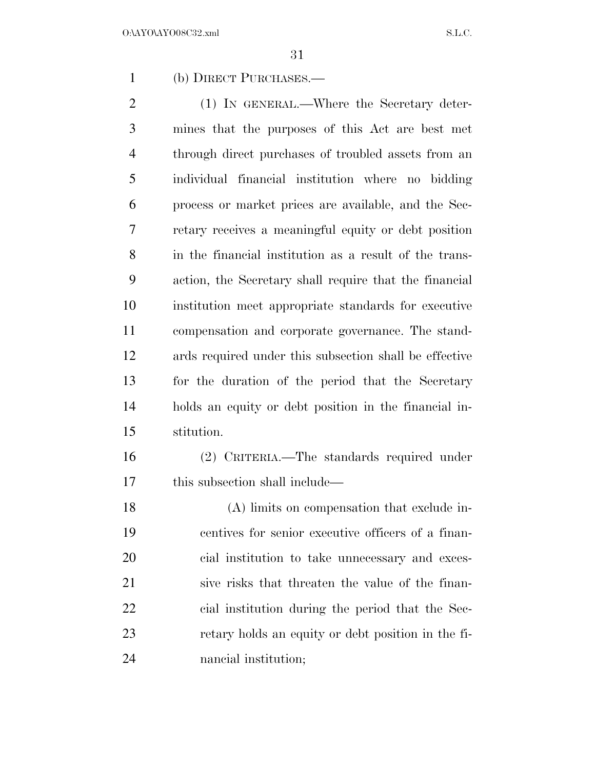(b) DIRECT PURCHASES.—

2 (1) IN GENERAL.—Where the Secretary deter- mines that the purposes of this Act are best met through direct purchases of troubled assets from an individual financial institution where no bidding process or market prices are available, and the Sec- retary receives a meaningful equity or debt position in the financial institution as a result of the trans- action, the Secretary shall require that the financial institution meet appropriate standards for executive compensation and corporate governance. The stand- ards required under this subsection shall be effective for the duration of the period that the Secretary holds an equity or debt position in the financial in-stitution.

 (2) CRITERIA.—The standards required under this subsection shall include—

 (A) limits on compensation that exclude in- centives for senior executive officers of a finan- cial institution to take unnecessary and exces- sive risks that threaten the value of the finan- cial institution during the period that the Sec- retary holds an equity or debt position in the fi-nancial institution;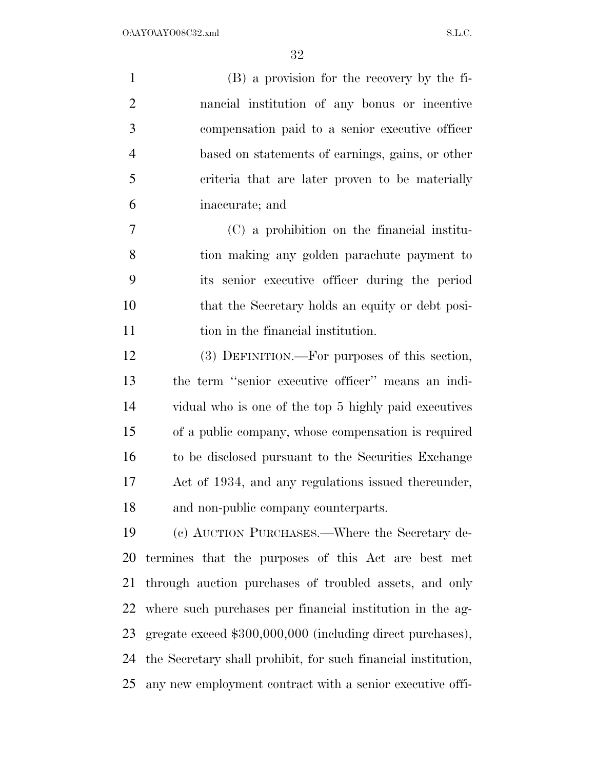| $\mathbf{1}$   | (B) a provision for the recovery by the fi-      |
|----------------|--------------------------------------------------|
| 2              | nancial institution of any bonus or incentive    |
| 3              | compensation paid to a senior executive officer  |
| $\overline{4}$ | based on statements of earnings, gains, or other |
| 5              | criteria that are later proven to be materially  |
| 6              | inaccurate; and                                  |
|                | $(C)$ a probibition on the financial institu-    |

 (C) a prohibition on the financial institu- tion making any golden parachute payment to its senior executive officer during the period that the Secretary holds an equity or debt posi-11 tion in the financial institution.

 (3) DEFINITION.—For purposes of this section, the term ''senior executive officer'' means an indi- vidual who is one of the top 5 highly paid executives of a public company, whose compensation is required to be disclosed pursuant to the Securities Exchange Act of 1934, and any regulations issued thereunder, and non-public company counterparts.

 (c) AUCTION PURCHASES.—Where the Secretary de- termines that the purposes of this Act are best met through auction purchases of troubled assets, and only where such purchases per financial institution in the ag- gregate exceed \$300,000,000 (including direct purchases), the Secretary shall prohibit, for such financial institution, any new employment contract with a senior executive offi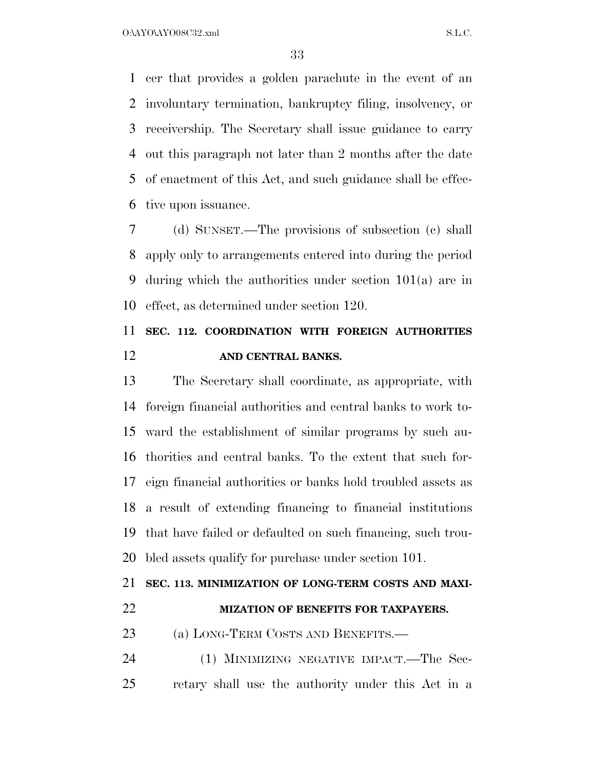O:\AYO\AYO08C32.xml S.L.C.

 cer that provides a golden parachute in the event of an involuntary termination, bankruptcy filing, insolvency, or receivership. The Secretary shall issue guidance to carry out this paragraph not later than 2 months after the date of enactment of this Act, and such guidance shall be effec-tive upon issuance.

 (d) SUNSET.—The provisions of subsection (c) shall apply only to arrangements entered into during the period during which the authorities under section 101(a) are in effect, as determined under section 120.

# **SEC. 112. COORDINATION WITH FOREIGN AUTHORITIES AND CENTRAL BANKS.**

 The Secretary shall coordinate, as appropriate, with foreign financial authorities and central banks to work to- ward the establishment of similar programs by such au- thorities and central banks. To the extent that such for- eign financial authorities or banks hold troubled assets as a result of extending financing to financial institutions that have failed or defaulted on such financing, such trou-bled assets qualify for purchase under section 101.

## **SEC. 113. MINIMIZATION OF LONG-TERM COSTS AND MAXI-**

#### **MIZATION OF BENEFITS FOR TAXPAYERS.**

23 (a) LONG-TERM COSTS AND BENEFITS.—

24 (1) MINIMIZING NEGATIVE IMPACT.—The Sec-retary shall use the authority under this Act in a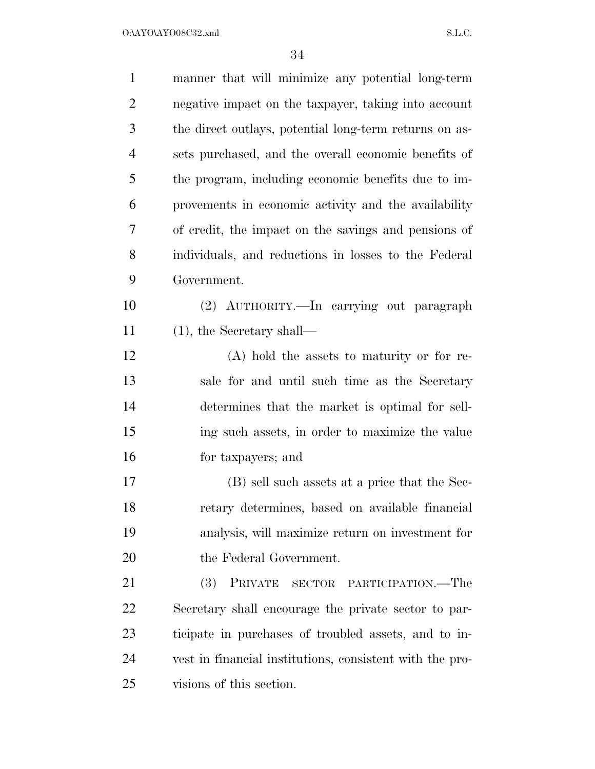$O:\Delta YO\Delta YO08C32.xml$  S.L.C.

| $\mathbf{1}$   | manner that will minimize any potential long-term        |
|----------------|----------------------------------------------------------|
| $\overline{2}$ | negative impact on the taxpayer, taking into account     |
| 3              | the direct outlays, potential long-term returns on as-   |
| $\overline{4}$ | sets purchased, and the overall economic benefits of     |
| 5              | the program, including economic benefits due to im-      |
| 6              | provements in economic activity and the availability     |
| 7              | of credit, the impact on the savings and pensions of     |
| 8              | individuals, and reductions in losses to the Federal     |
| 9              | Government.                                              |
| 10             | (2) AUTHORITY.—In carrying out paragraph                 |
| 11             | $(1)$ , the Secretary shall—                             |
| 12             | (A) hold the assets to maturity or for re-               |
| 13             | sale for and until such time as the Secretary            |
| 14             | determines that the market is optimal for sell-          |
| 15             | ing such assets, in order to maximize the value          |
| 16             | for taxpayers; and                                       |
| 17             | (B) sell such assets at a price that the Sec-            |
| 18             | retary determines, based on available financial          |
| 19             | analysis, will maximize return on investment for         |
| 20             | the Federal Government.                                  |
| 21             | (3)<br>PRIVATE<br>SECTOR PARTICIPATION.—The              |
| 22             | Secretary shall encourage the private sector to par-     |
| 23             | ticipate in purchases of troubled assets, and to in-     |
| 24             | vest in financial institutions, consistent with the pro- |
| 25             | visions of this section.                                 |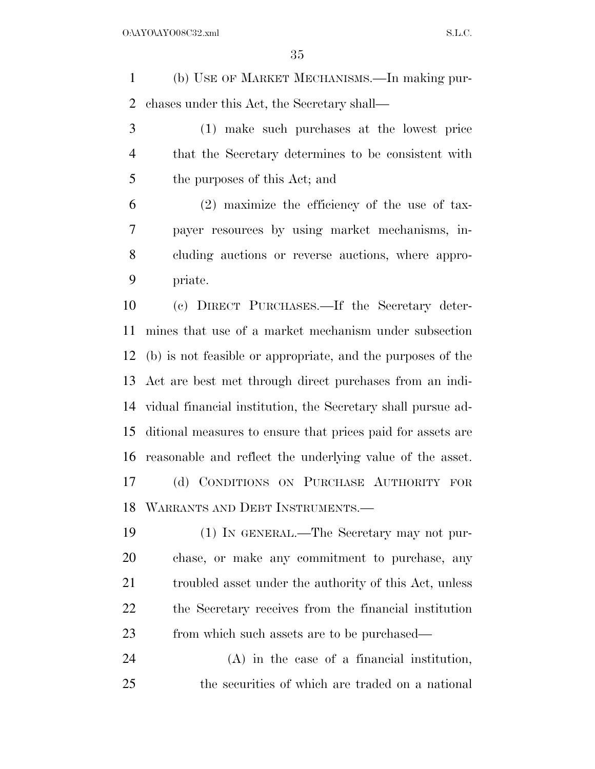(b) USE OF MARKET MECHANISMS.—In making pur-chases under this Act, the Secretary shall—

 (1) make such purchases at the lowest price that the Secretary determines to be consistent with the purposes of this Act; and

 (2) maximize the efficiency of the use of tax- payer resources by using market mechanisms, in- cluding auctions or reverse auctions, where appro-priate.

 (c) DIRECT PURCHASES.—If the Secretary deter- mines that use of a market mechanism under subsection (b) is not feasible or appropriate, and the purposes of the Act are best met through direct purchases from an indi- vidual financial institution, the Secretary shall pursue ad- ditional measures to ensure that prices paid for assets are reasonable and reflect the underlying value of the asset. (d) CONDITIONS ON PURCHASE AUTHORITY FOR WARRANTS AND DEBT INSTRUMENTS.—

 (1) IN GENERAL.—The Secretary may not pur- chase, or make any commitment to purchase, any 21 troubled asset under the authority of this Act, unless the Secretary receives from the financial institution from which such assets are to be purchased—

 (A) in the case of a financial institution, the securities of which are traded on a national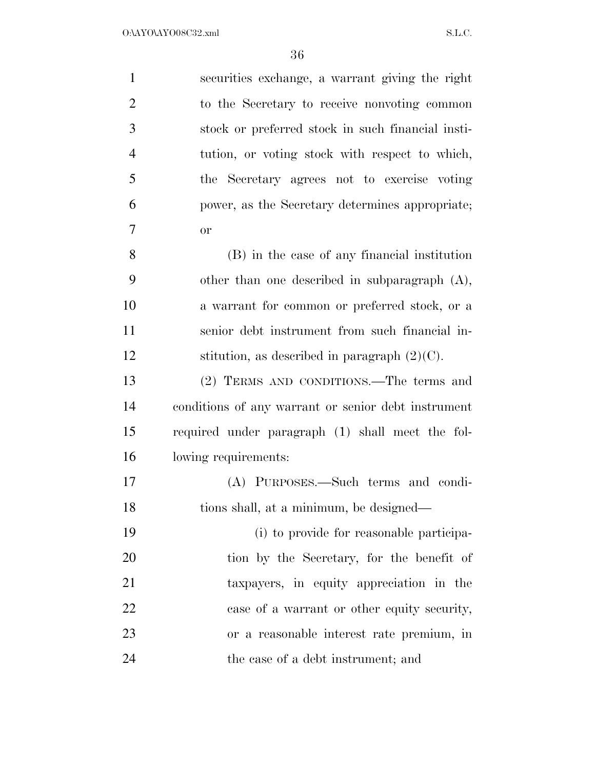| $\mathbf{1}$   | securities exchange, a warrant giving the right     |
|----------------|-----------------------------------------------------|
| $\overline{2}$ | to the Secretary to receive nonvoting common        |
| 3              | stock or preferred stock in such financial insti-   |
| $\overline{4}$ | tution, or voting stock with respect to which,      |
| 5              | the Secretary agrees not to exercise voting         |
| 6              | power, as the Secretary determines appropriate;     |
| 7              | <b>or</b>                                           |
| 8              | (B) in the case of any financial institution        |
| 9              | other than one described in subparagraph $(A)$ ,    |
| 10             | a warrant for common or preferred stock, or a       |
| 11             | senior debt instrument from such financial in-      |
| 12             | stitution, as described in paragraph $(2)(C)$ .     |
| 13             | (2) TERMS AND CONDITIONS.—The terms and             |
| 14             | conditions of any warrant or senior debt instrument |
| 15             | required under paragraph (1) shall meet the fol-    |
| 16             | lowing requirements:                                |
| 17             | (A) PURPOSES.—Such terms and condi-                 |
| 18             | tions shall, at a minimum, be designed—             |
| 19             | (i) to provide for reasonable participa-            |
| 20             | tion by the Secretary, for the benefit of           |
| 21             | taxpayers, in equity appreciation in the            |
| 22             | case of a warrant or other equity security,         |
| 23             | or a reasonable interest rate premium, in           |
| 24             | the case of a debt instrument; and                  |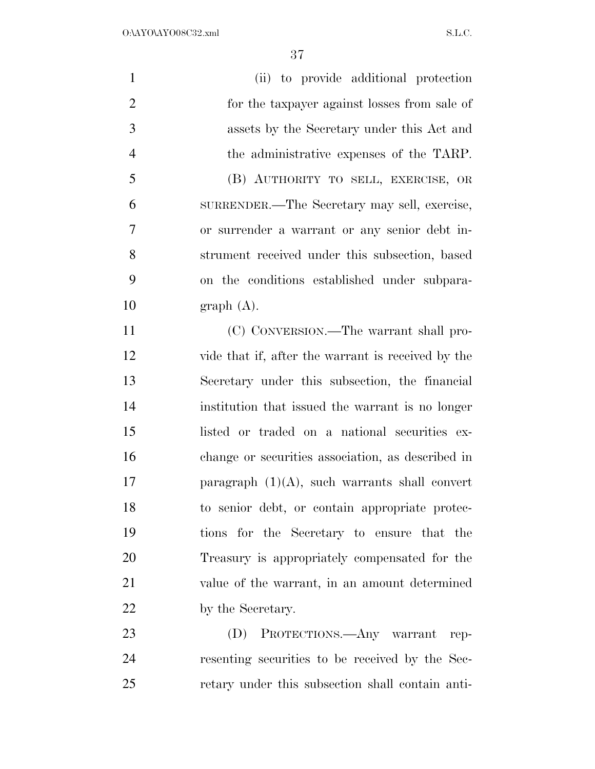$O:\Delta YO\Delta YO08C32.xml$  S.L.C.

| $\mathbf{1}$   | (ii) to provide additional protection              |
|----------------|----------------------------------------------------|
| $\overline{2}$ | for the taxpayer against losses from sale of       |
| 3              | assets by the Secretary under this Act and         |
| $\overline{4}$ | the administrative expenses of the TARP.           |
| 5              | (B) AUTHORITY TO SELL, EXERCISE, OR                |
| 6              | SURRENDER.—The Secretary may sell, exercise,       |
| 7              | or surrender a warrant or any senior debt in-      |
| 8              | strument received under this subsection, based     |
| 9              | on the conditions established under subpara-       |
| 10             | graph(A).                                          |
| 11             | (C) CONVERSION.—The warrant shall pro-             |
| 12             | vide that if, after the warrant is received by the |
| 13             | Secretary under this subsection, the financial     |
| 14             | institution that issued the warrant is no longer   |
| 15             | listed or traded on a national securities ex-      |
| 16             | change or securities association, as described in  |
| 17             | paragraph $(1)(A)$ , such warrants shall convert   |
| 18             | to senior debt, or contain appropriate protec-     |
| 19             | tions for the Secretary to ensure that the         |
| 20             | Treasury is appropriately compensated for the      |
| 21             | value of the warrant, in an amount determined      |
| 22             | by the Secretary.                                  |
| 23             | (D) PROTECTIONS.—Any warrant rep-                  |
| 24             | resenting securities to be received by the Sec-    |

retary under this subsection shall contain anti-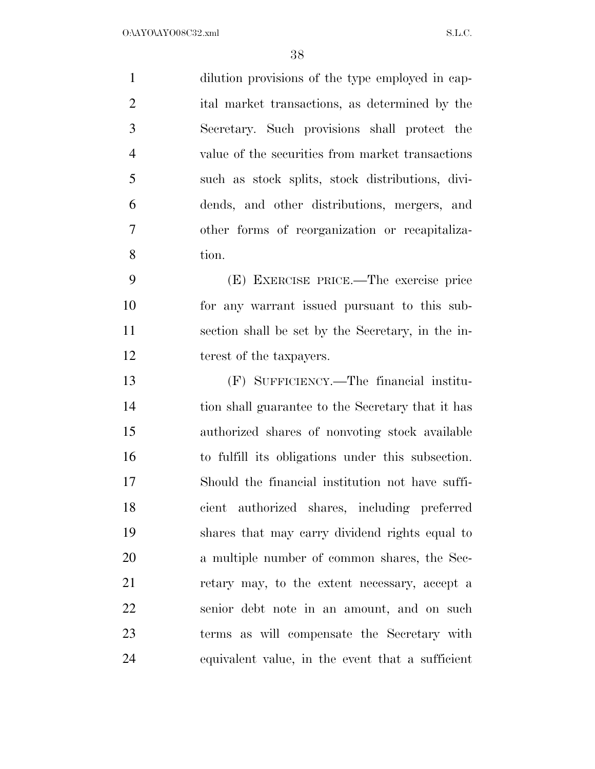dilution provisions of the type employed in cap- ital market transactions, as determined by the Secretary. Such provisions shall protect the value of the securities from market transactions such as stock splits, stock distributions, divi- dends, and other distributions, mergers, and other forms of reorganization or recapitaliza-tion.

 (E) EXERCISE PRICE.—The exercise price for any warrant issued pursuant to this sub- section shall be set by the Secretary, in the in-terest of the taxpayers.

 (F) SUFFICIENCY.—The financial institu- tion shall guarantee to the Secretary that it has authorized shares of nonvoting stock available to fulfill its obligations under this subsection. Should the financial institution not have suffi- cient authorized shares, including preferred shares that may carry dividend rights equal to a multiple number of common shares, the Sec- retary may, to the extent necessary, accept a senior debt note in an amount, and on such terms as will compensate the Secretary with equivalent value, in the event that a sufficient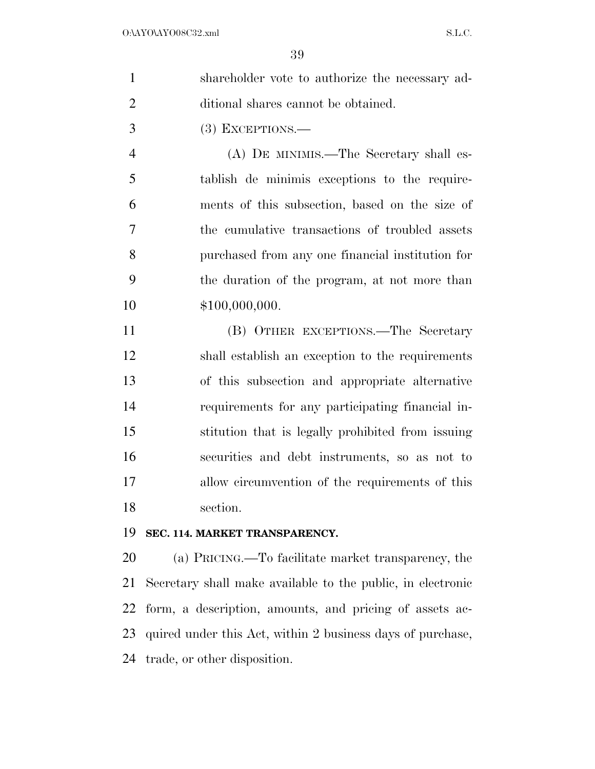|               | shareholder vote to authorize the necessary ad- |
|---------------|-------------------------------------------------|
| $\mathcal{D}$ | ditional shares cannot be obtained.             |
| $\mathcal{R}$ | $(3)$ EXCEPTIONS.—                              |

 (A) DE MINIMIS.—The Secretary shall es- tablish de minimis exceptions to the require- ments of this subsection, based on the size of the cumulative transactions of troubled assets purchased from any one financial institution for the duration of the program, at not more than  $$100,000,000.$ 

 (B) OTHER EXCEPTIONS.—The Secretary shall establish an exception to the requirements of this subsection and appropriate alternative requirements for any participating financial in- stitution that is legally prohibited from issuing securities and debt instruments, so as not to allow circumvention of the requirements of this section.

## **SEC. 114. MARKET TRANSPARENCY.**

 (a) PRICING.—To facilitate market transparency, the Secretary shall make available to the public, in electronic form, a description, amounts, and pricing of assets ac- quired under this Act, within 2 business days of purchase, trade, or other disposition.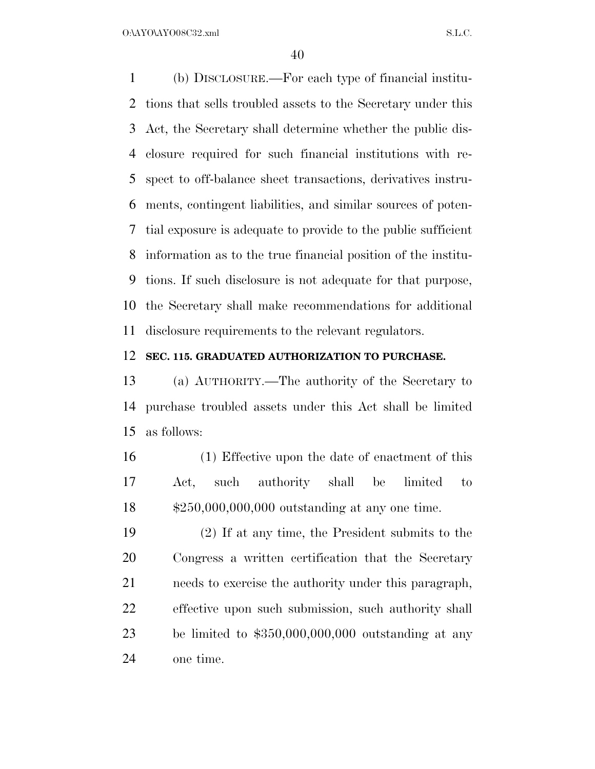(b) DISCLOSURE.—For each type of financial institu- tions that sells troubled assets to the Secretary under this Act, the Secretary shall determine whether the public dis- closure required for such financial institutions with re- spect to off-balance sheet transactions, derivatives instru- ments, contingent liabilities, and similar sources of poten- tial exposure is adequate to provide to the public sufficient information as to the true financial position of the institu- tions. If such disclosure is not adequate for that purpose, the Secretary shall make recommendations for additional disclosure requirements to the relevant regulators.

#### **SEC. 115. GRADUATED AUTHORIZATION TO PURCHASE.**

 (a) AUTHORITY.—The authority of the Secretary to purchase troubled assets under this Act shall be limited as follows:

 (1) Effective upon the date of enactment of this Act, such authority shall be limited to \$250,000,000,000 outstanding at any one time.

 (2) If at any time, the President submits to the Congress a written certification that the Secretary needs to exercise the authority under this paragraph, effective upon such submission, such authority shall be limited to \$350,000,000,000 outstanding at any one time.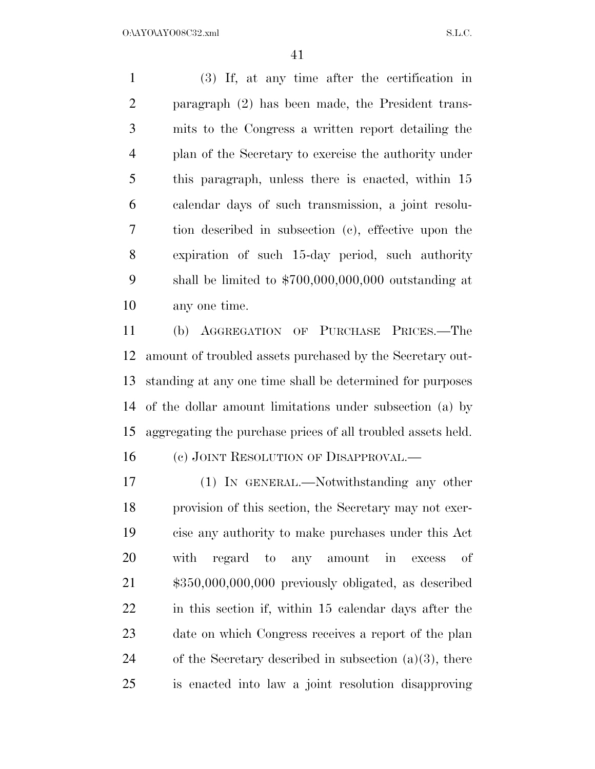(3) If, at any time after the certification in paragraph (2) has been made, the President trans- mits to the Congress a written report detailing the plan of the Secretary to exercise the authority under this paragraph, unless there is enacted, within 15 calendar days of such transmission, a joint resolu- tion described in subsection (c), effective upon the expiration of such 15-day period, such authority shall be limited to \$700,000,000,000 outstanding at any one time.

 (b) AGGREGATION OF PURCHASE PRICES.—The amount of troubled assets purchased by the Secretary out- standing at any one time shall be determined for purposes of the dollar amount limitations under subsection (a) by aggregating the purchase prices of all troubled assets held.

16 (c) JOINT RESOLUTION OF DISAPPROVAL.—

 (1) IN GENERAL.—Notwithstanding any other provision of this section, the Secretary may not exer- cise any authority to make purchases under this Act with regard to any amount in excess of \$350,000,000,000 previously obligated, as described in this section if, within 15 calendar days after the date on which Congress receives a report of the plan 24 of the Secretary described in subsection  $(a)(3)$ , there is enacted into law a joint resolution disapproving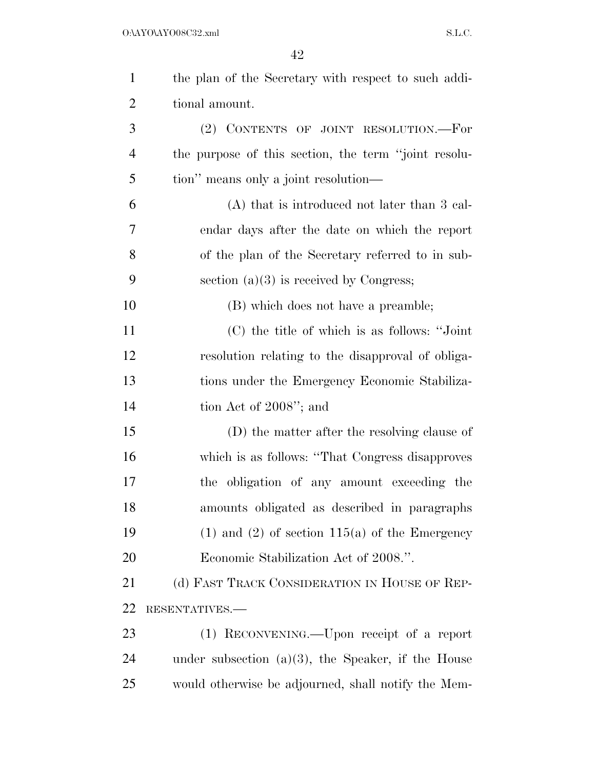| $\mathbf{1}$   | the plan of the Secretary with respect to such addi-  |
|----------------|-------------------------------------------------------|
| $\overline{2}$ | tional amount.                                        |
| 3              | (2) CONTENTS OF JOINT RESOLUTION.—For                 |
| $\overline{4}$ | the purpose of this section, the term "joint resolu-  |
| 5              | tion" means only a joint resolution—                  |
| 6              | $(A)$ that is introduced not later than 3 cal-        |
| 7              | endar days after the date on which the report         |
| 8              | of the plan of the Secretary referred to in sub-      |
| 9              | section $(a)(3)$ is received by Congress;             |
| 10             | (B) which does not have a preamble;                   |
| 11             | (C) the title of which is as follows: "Joint"         |
| 12             | resolution relating to the disapproval of obliga-     |
| 13             | tions under the Emergency Economic Stabiliza-         |
| 14             | tion Act of 2008"; and                                |
| 15             | (D) the matter after the resolving clause of          |
| 16             | which is as follows: "That Congress disapproves"      |
| 17             | the obligation of any amount exceeding the            |
| 18             | amounts obligated as described in paragraphs          |
| 19             | $(1)$ and $(2)$ of section $115(a)$ of the Emergency  |
| 20             | Economic Stabilization Act of 2008.".                 |
| 21             | (d) FAST TRACK CONSIDERATION IN HOUSE OF REP-         |
| 22             | RESENTATIVES.-                                        |
| 23             | (1) RECONVENING.—Upon receipt of a report             |
| 24             | under subsection $(a)(3)$ , the Speaker, if the House |
| 25             | would otherwise be adjourned, shall notify the Mem-   |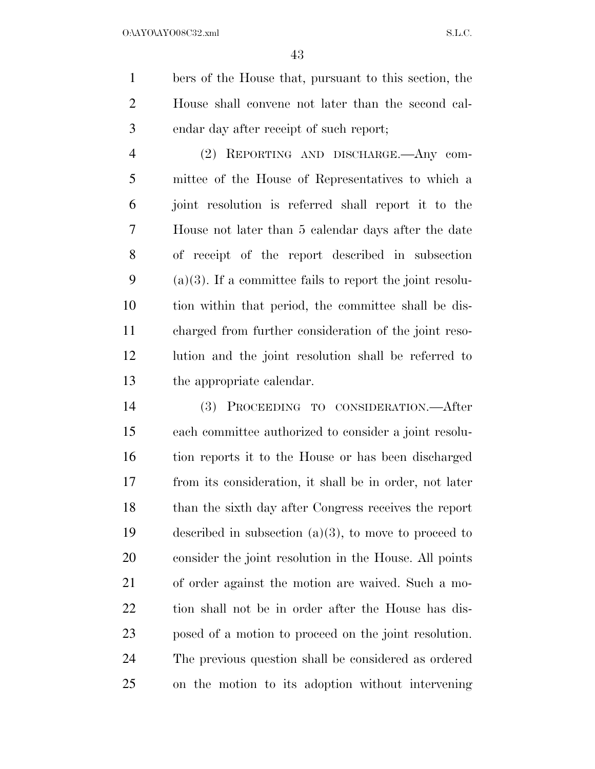bers of the House that, pursuant to this section, the House shall convene not later than the second cal-endar day after receipt of such report;

 (2) REPORTING AND DISCHARGE.—Any com- mittee of the House of Representatives to which a joint resolution is referred shall report it to the House not later than 5 calendar days after the date of receipt of the report described in subsection 9 (a)(3). If a committee fails to report the joint resolu- tion within that period, the committee shall be dis- charged from further consideration of the joint reso- lution and the joint resolution shall be referred to the appropriate calendar.

 (3) PROCEEDING TO CONSIDERATION.—After each committee authorized to consider a joint resolu- tion reports it to the House or has been discharged from its consideration, it shall be in order, not later than the sixth day after Congress receives the report described in subsection (a)(3), to move to proceed to consider the joint resolution in the House. All points of order against the motion are waived. Such a mo- tion shall not be in order after the House has dis- posed of a motion to proceed on the joint resolution. The previous question shall be considered as ordered on the motion to its adoption without intervening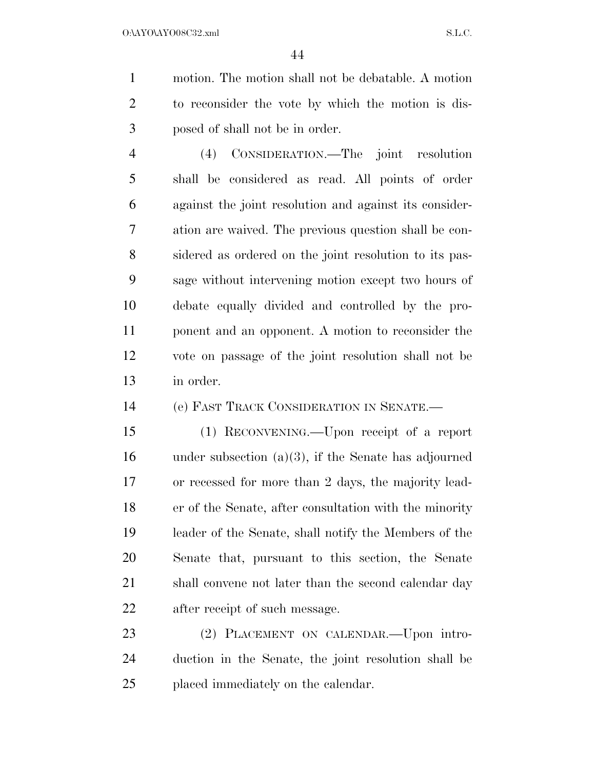motion. The motion shall not be debatable. A motion to reconsider the vote by which the motion is dis-posed of shall not be in order.

 (4) CONSIDERATION.—The joint resolution shall be considered as read. All points of order against the joint resolution and against its consider- ation are waived. The previous question shall be con- sidered as ordered on the joint resolution to its pas- sage without intervening motion except two hours of debate equally divided and controlled by the pro- ponent and an opponent. A motion to reconsider the vote on passage of the joint resolution shall not be in order.

(e) FAST TRACK CONSIDERATION IN SENATE.—

 (1) RECONVENING.—Upon receipt of a report under subsection (a)(3), if the Senate has adjourned or recessed for more than 2 days, the majority lead- er of the Senate, after consultation with the minority leader of the Senate, shall notify the Members of the Senate that, pursuant to this section, the Senate 21 shall convene not later than the second calendar day after receipt of such message.

23 (2) PLACEMENT ON CALENDAR. Upon intro- duction in the Senate, the joint resolution shall be placed immediately on the calendar.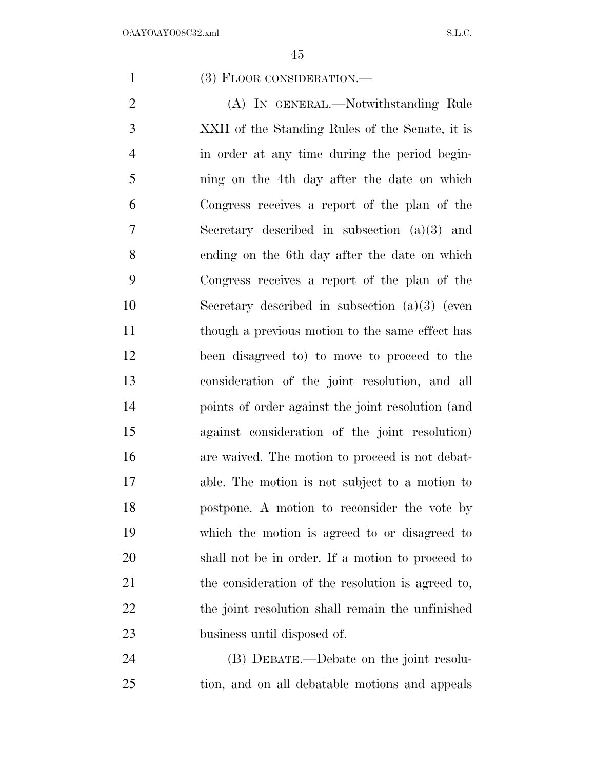(3) FLOOR CONSIDERATION.—

2 (A) IN GENERAL.—Notwithstanding Rule XXII of the Standing Rules of the Senate, it is in order at any time during the period begin- ning on the 4th day after the date on which Congress receives a report of the plan of the Secretary described in subsection (a)(3) and ending on the 6th day after the date on which Congress receives a report of the plan of the Secretary described in subsection (a)(3) (even though a previous motion to the same effect has been disagreed to) to move to proceed to the consideration of the joint resolution, and all points of order against the joint resolution (and against consideration of the joint resolution) are waived. The motion to proceed is not debat- able. The motion is not subject to a motion to postpone. A motion to reconsider the vote by which the motion is agreed to or disagreed to shall not be in order. If a motion to proceed to the consideration of the resolution is agreed to, 22 the joint resolution shall remain the unfinished business until disposed of.

 (B) DEBATE.—Debate on the joint resolu-tion, and on all debatable motions and appeals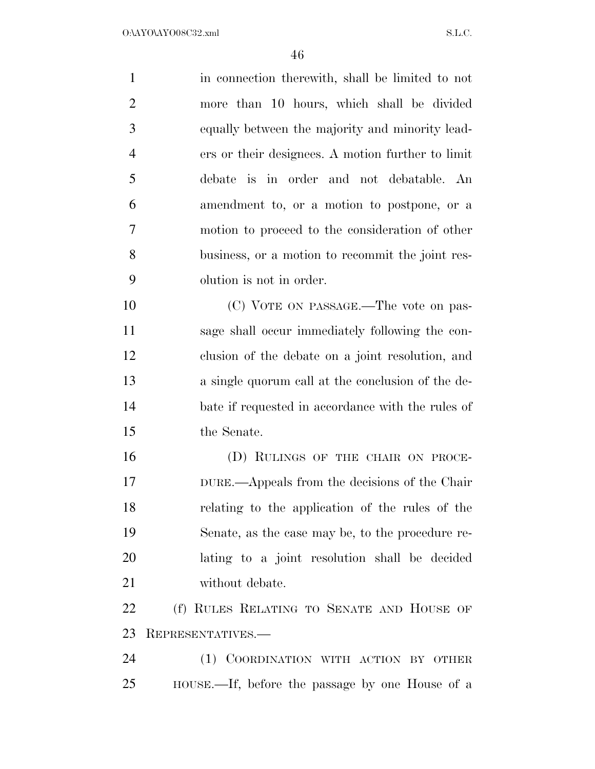| $\mathbf{1}$   | in connection therewith, shall be limited to not  |
|----------------|---------------------------------------------------|
| $\overline{2}$ | more than 10 hours, which shall be divided        |
| 3              | equally between the majority and minority lead-   |
| $\overline{4}$ | ers or their designees. A motion further to limit |
| 5              | debate is in order and not debatable. An          |
| 6              | amendment to, or a motion to postpone, or a       |
| 7              | motion to proceed to the consideration of other   |
| $8\,$          | business, or a motion to recommit the joint res-  |
| 9              | olution is not in order.                          |
| 10             | (C) VOTE ON PASSAGE.—The vote on pas-             |
| 11             | sage shall occur immediately following the con-   |
| 12             | clusion of the debate on a joint resolution, and  |
| 13             | a single quorum call at the conclusion of the de- |
| 14             | bate if requested in accordance with the rules of |
| 15             | the Senate.                                       |
| 16             | (D) RULINGS OF THE CHAIR ON PROCE-                |
| 17             | DURE.—Appeals from the decisions of the Chair     |
| 18             | relating to the application of the rules of the   |
| 19             | Senate, as the case may be, to the procedure re-  |
| 20             | lating to a joint resolution shall be decided     |
| 21             | without debate.                                   |
| 22             | (f) RULES RELATING TO SENATE AND HOUSE OF         |
| 23             | REPRESENTATIVES.-                                 |
| 24             | (1) COORDINATION WITH ACTION BY OTHER             |
| 25             | HOUSE.—If, before the passage by one House of a   |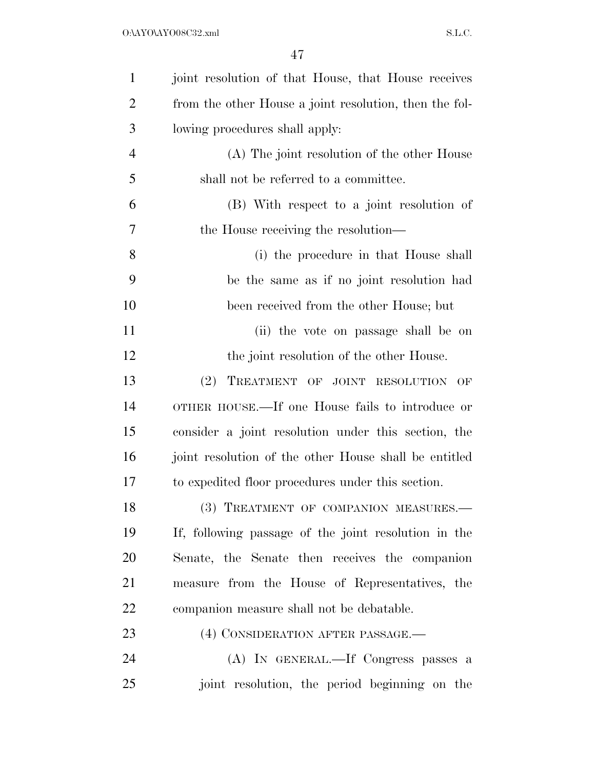| $\mathbf{1}$   | joint resolution of that House, that House receives    |
|----------------|--------------------------------------------------------|
| $\overline{2}$ | from the other House a joint resolution, then the fol- |
| 3              | lowing procedures shall apply:                         |
| $\overline{4}$ | (A) The joint resolution of the other House            |
| 5              | shall not be referred to a committee.                  |
| 6              | (B) With respect to a joint resolution of              |
| 7              | the House receiving the resolution—                    |
| 8              | (i) the procedure in that House shall                  |
| 9              | be the same as if no joint resolution had              |
| 10             | been received from the other House; but                |
| 11             | (ii) the vote on passage shall be on                   |
| 12             | the joint resolution of the other House.               |
| 13             | (2)<br>TREATMENT OF JOINT RESOLUTION<br>OF             |
| 14             | OTHER HOUSE.—If one House fails to introduce or        |
| 15             | consider a joint resolution under this section, the    |
| 16             | joint resolution of the other House shall be entitled  |
| 17             | to expedited floor procedures under this section.      |
| 18             | (3) TREATMENT OF COMPANION MEASURES.-                  |
| 19             | If, following passage of the joint resolution in the   |
| 20             | Senate, the Senate then receives the companion         |
| 21             | measure from the House of Representatives, the         |
| 22             | companion measure shall not be debatable.              |
| 23             | (4) CONSIDERATION AFTER PASSAGE.—                      |
| 24             | (A) IN GENERAL.—If Congress passes a                   |
| 25             | joint resolution, the period beginning on the          |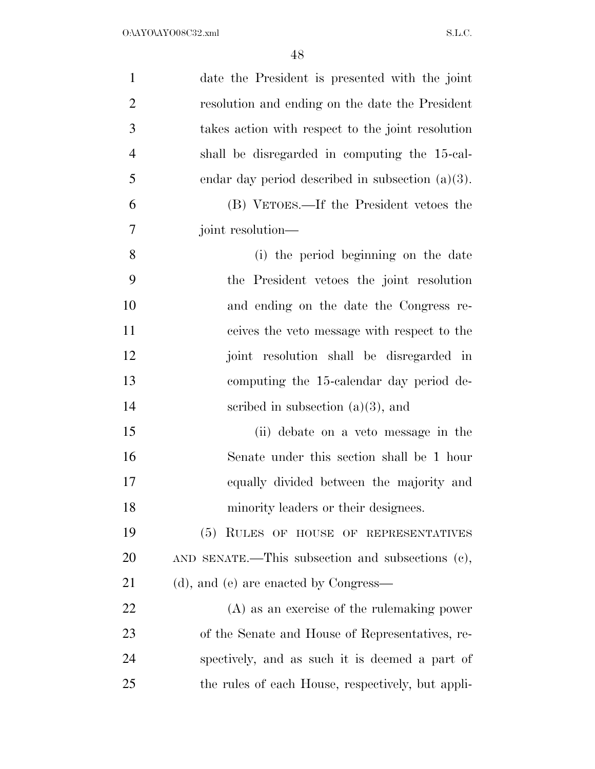| $\mathbf{1}$   | date the President is presented with the joint      |
|----------------|-----------------------------------------------------|
| $\overline{2}$ | resolution and ending on the date the President     |
| 3              | takes action with respect to the joint resolution   |
| $\overline{4}$ | shall be disregarded in computing the 15-cal-       |
| 5              | endar day period described in subsection $(a)(3)$ . |
| 6              | (B) VETOES.—If the President vetoes the             |
| 7              | joint resolution—                                   |
| 8              | (i) the period beginning on the date                |
| 9              | the President vetoes the joint resolution           |
| 10             | and ending on the date the Congress re-             |
| 11             | ceives the veto message with respect to the         |
| 12             | joint resolution shall be disregarded in            |
| 13             | computing the 15-calendar day period de-            |
| 14             | scribed in subsection $(a)(3)$ , and                |
| 15             | (ii) debate on a veto message in the                |
| 16             | Senate under this section shall be 1 hour           |
| 17             | equally divided between the majority and            |
| 18             | minority leaders or their designees.                |
| 19             | (5) RULES OF HOUSE OF REPRESENTATIVES               |
| 20             | AND SENATE.—This subsection and subsections $(e)$ , |
| 21             | (d), and (e) are enacted by Congress—               |
| <u>22</u>      | (A) as an exercise of the rulemaking power          |
| 23             | of the Senate and House of Representatives, re-     |
| 24             | spectively, and as such it is deemed a part of      |
| 25             | the rules of each House, respectively, but appli-   |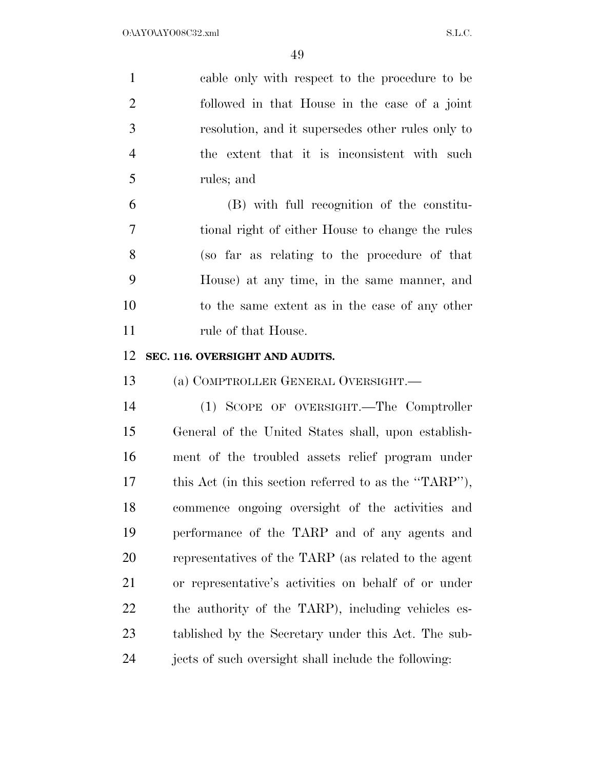| $\mathbf{1}$   | cable only with respect to the procedure to be        |
|----------------|-------------------------------------------------------|
| $\overline{2}$ | followed in that House in the case of a joint         |
| 3              | resolution, and it supersedes other rules only to     |
| $\overline{4}$ | the extent that it is inconsistent with such          |
| 5              | rules; and                                            |
| 6              | (B) with full recognition of the constitu-            |
| $\overline{7}$ | tional right of either House to change the rules      |
| 8              | (so far as relating to the procedure of that          |
| 9              | House) at any time, in the same manner, and           |
| 10             | to the same extent as in the case of any other        |
| 11             | rule of that House.                                   |
| 12             | SEC. 116. OVERSIGHT AND AUDITS.                       |
|                |                                                       |
| 13             | (a) COMPTROLLER GENERAL OVERSIGHT.                    |
| 14             | (1) SCOPE OF OVERSIGHT.—The Comptroller               |
| 15             | General of the United States shall, upon establish-   |
| 16             | ment of the troubled assets relief program under      |
| 17             | this Act (in this section referred to as the "TARP"), |
| 18             | commence ongoing oversight of the activities and      |
| 19             | performance of the TARP and of any agents and         |
| 20             | representatives of the TARP (as related to the agent  |
| 21             | or representative's activities on behalf of or under  |
| 22             | the authority of the TARP), including vehicles es-    |
| 23             | tablished by the Secretary under this Act. The sub-   |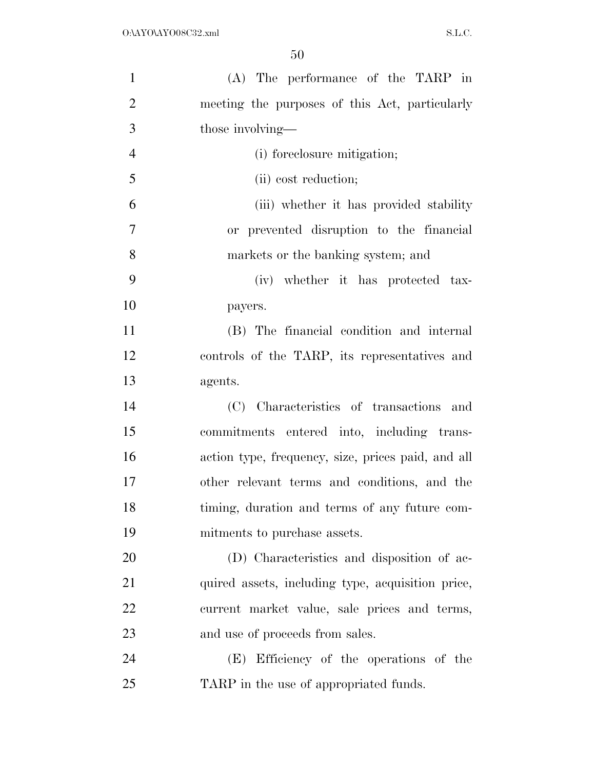| $\mathbf{1}$   | (A) The performance of the TARP in                 |
|----------------|----------------------------------------------------|
| $\overline{2}$ | meeting the purposes of this Act, particularly     |
| 3              | those involving—                                   |
| $\overline{4}$ | (i) foreclosure mitigation;                        |
| 5              | (ii) cost reduction;                               |
| 6              | (iii) whether it has provided stability            |
| $\overline{7}$ | or prevented disruption to the financial           |
| 8              | markets or the banking system; and                 |
| 9              | (iv) whether it has protected tax-                 |
| 10             | payers.                                            |
| 11             | (B) The financial condition and internal           |
| 12             | controls of the TARP, its representatives and      |
| 13             | agents.                                            |
| 14             | (C) Characteristics of transactions and            |
| 15             | commitments entered into, including trans-         |
| 16             | action type, frequency, size, prices paid, and all |
| 17             | other relevant terms and conditions, and the       |
| 18             | timing, duration and terms of any future com-      |
| 19             | mitments to purchase assets.                       |
| 20             | (D) Characteristics and disposition of ac-         |
| 21             | quired assets, including type, acquisition price,  |
| 22             | current market value, sale prices and terms,       |
| 23             | and use of proceeds from sales.                    |
| 24             | (E) Efficiency of the operations of the            |
| 25             | TARP in the use of appropriated funds.             |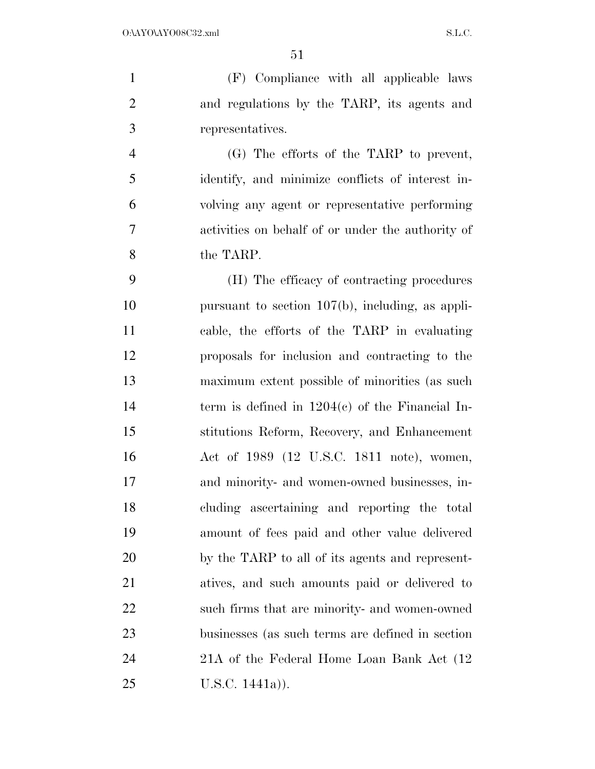(F) Compliance with all applicable laws and regulations by the TARP, its agents and representatives.

 (G) The efforts of the TARP to prevent, identify, and minimize conflicts of interest in- volving any agent or representative performing activities on behalf of or under the authority of the TARP.

 (H) The efficacy of contracting procedures pursuant to section 107(b), including, as appli- cable, the efforts of the TARP in evaluating proposals for inclusion and contracting to the maximum extent possible of minorities (as such term is defined in 1204(c) of the Financial In- stitutions Reform, Recovery, and Enhancement Act of 1989 (12 U.S.C. 1811 note), women, and minority- and women-owned businesses, in- cluding ascertaining and reporting the total amount of fees paid and other value delivered by the TARP to all of its agents and represent- atives, and such amounts paid or delivered to such firms that are minority- and women-owned businesses (as such terms are defined in section 21A of the Federal Home Loan Bank Act (12 U.S.C. 1441a)).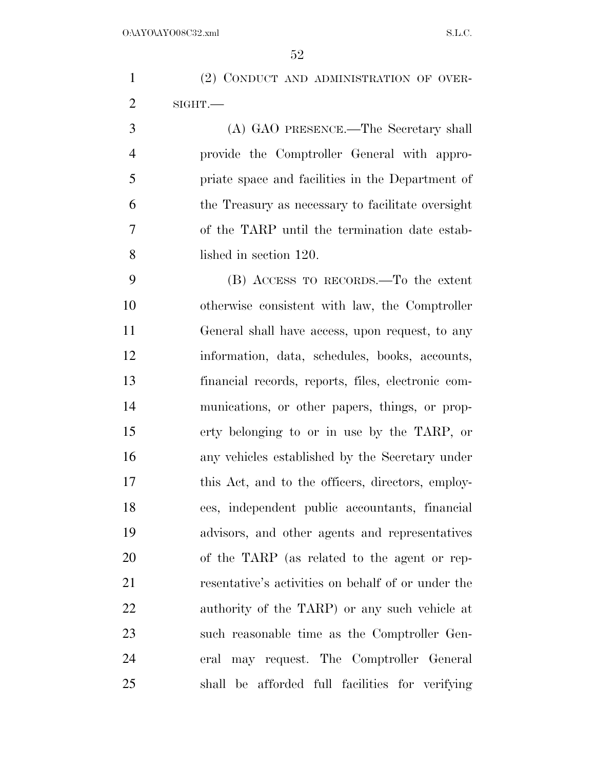(2) CONDUCT AND ADMINISTRATION OF OVER- SIGHT.— (A) GAO PRESENCE.—The Secretary shall provide the Comptroller General with appro- priate space and facilities in the Department of the Treasury as necessary to facilitate oversight of the TARP until the termination date estab- lished in section 120. (B) ACCESS TO RECORDS.—To the extent otherwise consistent with law, the Comptroller General shall have access, upon request, to any information, data, schedules, books, accounts,

 financial records, reports, files, electronic com- munications, or other papers, things, or prop- erty belonging to or in use by the TARP, or any vehicles established by the Secretary under this Act, and to the officers, directors, employ- ees, independent public accountants, financial advisors, and other agents and representatives of the TARP (as related to the agent or rep- resentative's activities on behalf of or under the authority of the TARP) or any such vehicle at such reasonable time as the Comptroller Gen- eral may request. The Comptroller General shall be afforded full facilities for verifying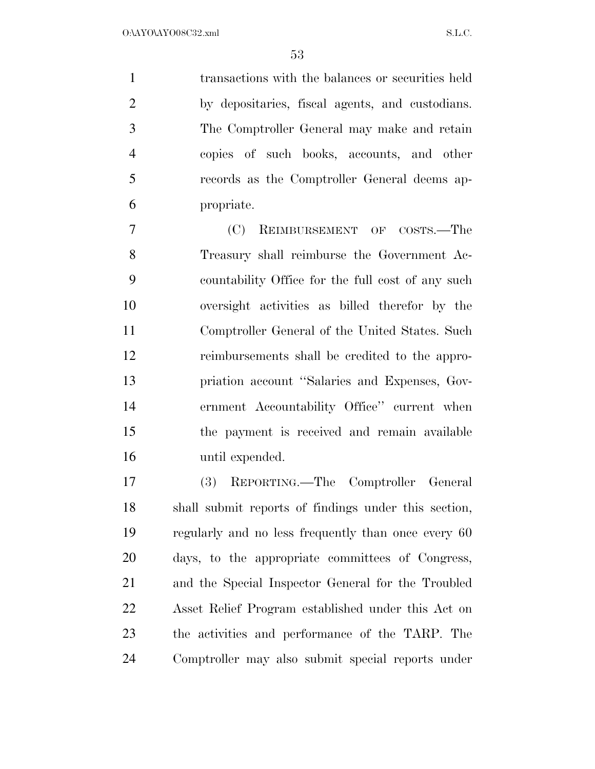transactions with the balances or securities held by depositaries, fiscal agents, and custodians. The Comptroller General may make and retain copies of such books, accounts, and other records as the Comptroller General deems ap-propriate.

 (C) REIMBURSEMENT OF COSTS.—The Treasury shall reimburse the Government Ac- countability Office for the full cost of any such oversight activities as billed therefor by the Comptroller General of the United States. Such reimbursements shall be credited to the appro- priation account ''Salaries and Expenses, Gov- ernment Accountability Office'' current when the payment is received and remain available until expended.

 (3) REPORTING.—The Comptroller General shall submit reports of findings under this section, regularly and no less frequently than once every 60 days, to the appropriate committees of Congress, and the Special Inspector General for the Troubled Asset Relief Program established under this Act on the activities and performance of the TARP. The Comptroller may also submit special reports under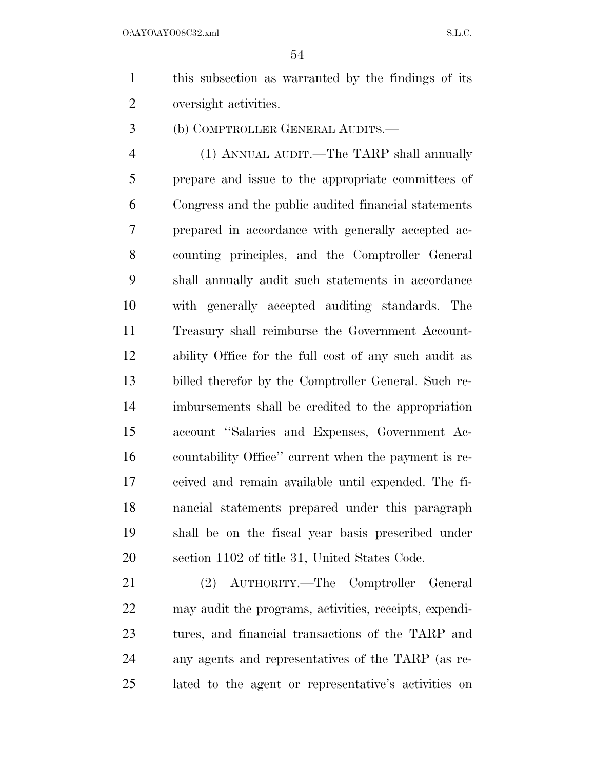O:\AYO\AYO08C32.xml S.L.C.

- this subsection as warranted by the findings of its oversight activities.
- (b) COMPTROLLER GENERAL AUDITS.—

 (1) ANNUAL AUDIT.—The TARP shall annually prepare and issue to the appropriate committees of Congress and the public audited financial statements prepared in accordance with generally accepted ac- counting principles, and the Comptroller General shall annually audit such statements in accordance with generally accepted auditing standards. The Treasury shall reimburse the Government Account- ability Office for the full cost of any such audit as billed therefor by the Comptroller General. Such re- imbursements shall be credited to the appropriation account ''Salaries and Expenses, Government Ac- countability Office'' current when the payment is re- ceived and remain available until expended. The fi- nancial statements prepared under this paragraph shall be on the fiscal year basis prescribed under section 1102 of title 31, United States Code.

 (2) AUTHORITY.—The Comptroller General may audit the programs, activities, receipts, expendi- tures, and financial transactions of the TARP and any agents and representatives of the TARP (as re-lated to the agent or representative's activities on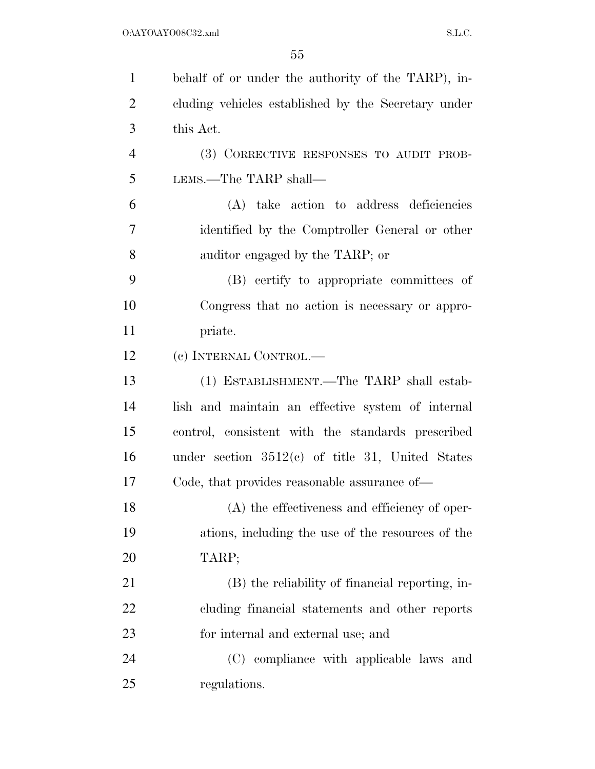| $\mathbf{1}$   | behalf of or under the authority of the TARP), in-  |
|----------------|-----------------------------------------------------|
| $\overline{2}$ | cluding vehicles established by the Secretary under |
| 3              | this Act.                                           |
| $\overline{4}$ | (3) CORRECTIVE RESPONSES TO AUDIT PROB-             |
| 5              | LEMS.—The TARP shall—                               |
| 6              | (A) take action to address deficiencies             |
| 7              | identified by the Comptroller General or other      |
| 8              | auditor engaged by the TARP; or                     |
| 9              | (B) certify to appropriate committees of            |
| 10             | Congress that no action is necessary or appro-      |
| 11             | priate.                                             |
| 12             | (c) INTERNAL CONTROL.—                              |
| 13             | (1) ESTABLISHMENT.—The TARP shall estab-            |
| 14             | lish and maintain an effective system of internal   |
| 15             | control, consistent with the standards prescribed   |
| 16             | under section $3512(c)$ of title 31, United States  |
| 17             | Code, that provides reasonable assurance of—        |
| 18             | (A) the effectiveness and efficiency of oper-       |
| 19             | ations, including the use of the resources of the   |
| 20             | TARP;                                               |
| 21             | (B) the reliability of financial reporting, in-     |
| 22             | cluding financial statements and other reports      |
| 23             | for internal and external use; and                  |
| 24             | (C) compliance with applicable laws and             |
| 25             | regulations.                                        |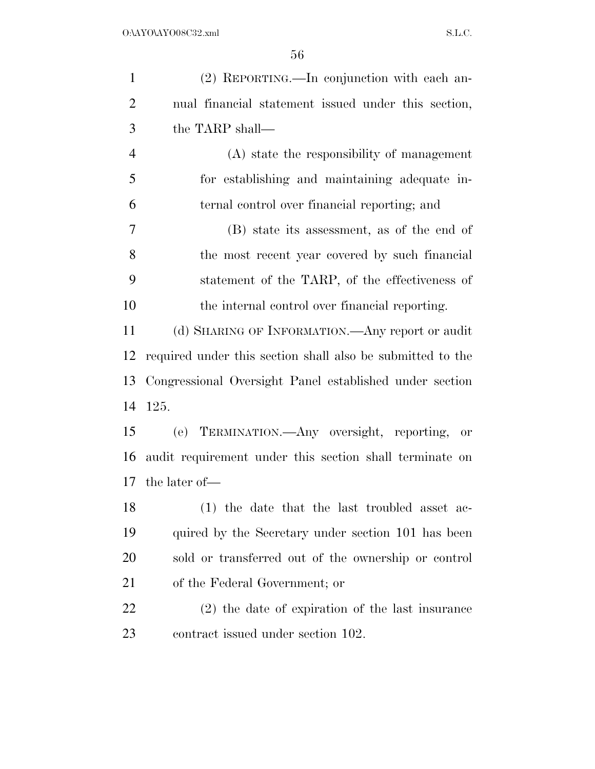| $\mathbf{1}$   | (2) REPORTING.—In conjunction with each an-                |
|----------------|------------------------------------------------------------|
| $\overline{2}$ | nual financial statement issued under this section,        |
| 3              | the TARP shall—                                            |
| $\overline{4}$ | (A) state the responsibility of management                 |
| 5              | for establishing and maintaining adequate in-              |
| 6              | ternal control over financial reporting; and               |
| $\overline{7}$ | (B) state its assessment, as of the end of                 |
| 8              | the most recent year covered by such financial             |
| 9              | statement of the TARP, of the effectiveness of             |
| 10             | the internal control over financial reporting.             |
| 11             | (d) SHARING OF INFORMATION.—Any report or audit            |
| 12             | required under this section shall also be submitted to the |
| 13             | Congressional Oversight Panel established under section    |
| 14             | 125.                                                       |
| 15             | (e) TERMINATION. Any oversight, reporting, or              |
| 16             | audit requirement under this section shall terminate on    |
| 17             | the later of—                                              |
| 18             | (1) the date that the last troubled asset ac-              |
| 19             | quired by the Secretary under section 101 has been         |
| 20             | sold or transferred out of the ownership or control        |
| 21             | of the Federal Government; or                              |
| 22             | $(2)$ the date of expiration of the last insurance         |
| 23             | contract issued under section 102.                         |
|                |                                                            |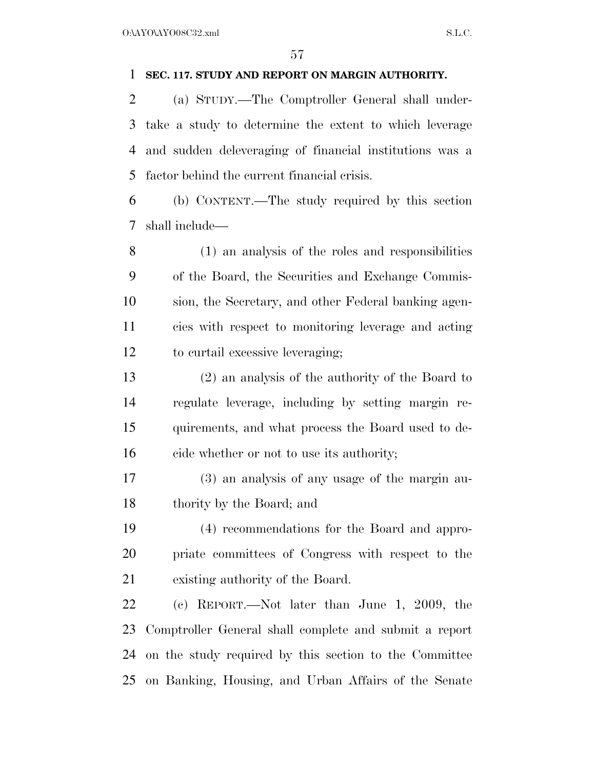## **SEC. 117. STUDY AND REPORT ON MARGIN AUTHORITY.**

 (a) STUDY.—The Comptroller General shall under- take a study to determine the extent to which leverage and sudden deleveraging of financial institutions was a factor behind the current financial crisis.

 (b) CONTENT.—The study required by this section shall include—

 (1) an analysis of the roles and responsibilities of the Board, the Securities and Exchange Commis- sion, the Secretary, and other Federal banking agen- cies with respect to monitoring leverage and acting to curtail excessive leveraging;

 (2) an analysis of the authority of the Board to regulate leverage, including by setting margin re- quirements, and what process the Board used to de-cide whether or not to use its authority;

 (3) an analysis of any usage of the margin au-thority by the Board; and

 (4) recommendations for the Board and appro- priate committees of Congress with respect to the existing authority of the Board.

 (c) REPORT.—Not later than June 1, 2009, the Comptroller General shall complete and submit a report on the study required by this section to the Committee on Banking, Housing, and Urban Affairs of the Senate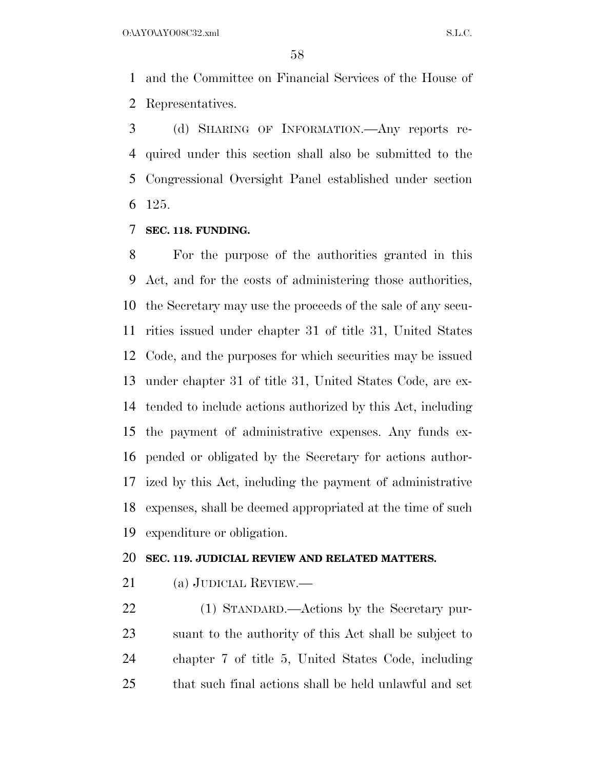and the Committee on Financial Services of the House of Representatives.

 (d) SHARING OF INFORMATION.—Any reports re- quired under this section shall also be submitted to the Congressional Oversight Panel established under section 125.

**SEC. 118. FUNDING.** 

 For the purpose of the authorities granted in this Act, and for the costs of administering those authorities, the Secretary may use the proceeds of the sale of any secu- rities issued under chapter 31 of title 31, United States Code, and the purposes for which securities may be issued under chapter 31 of title 31, United States Code, are ex- tended to include actions authorized by this Act, including the payment of administrative expenses. Any funds ex- pended or obligated by the Secretary for actions author- ized by this Act, including the payment of administrative expenses, shall be deemed appropriated at the time of such expenditure or obligation.

## **SEC. 119. JUDICIAL REVIEW AND RELATED MATTERS.**

(a) JUDICIAL REVIEW.—

 (1) STANDARD.—Actions by the Secretary pur- suant to the authority of this Act shall be subject to chapter 7 of title 5, United States Code, including that such final actions shall be held unlawful and set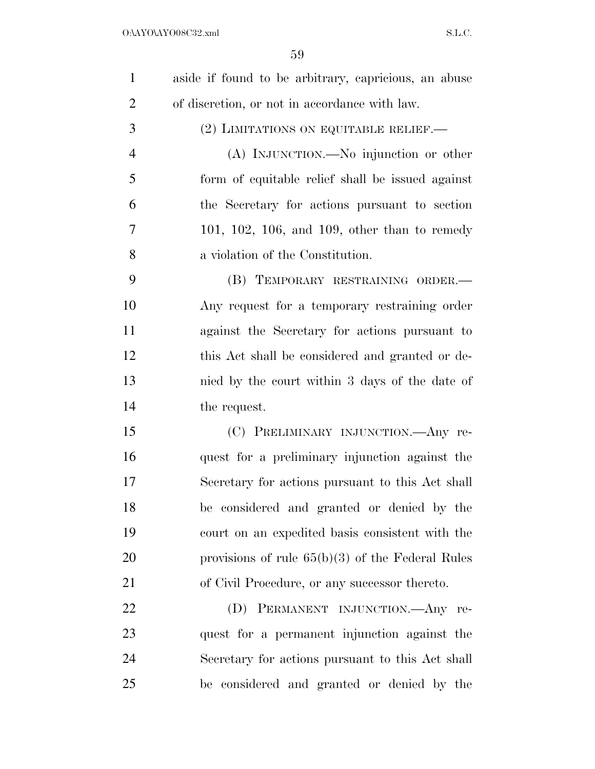| $\mathbf{1}$   | aside if found to be arbitrary, capricious, an abuse |
|----------------|------------------------------------------------------|
| $\overline{2}$ | of discretion, or not in accordance with law.        |
| 3              | (2) LIMITATIONS ON EQUITABLE RELIEF.                 |
| $\overline{4}$ | (A) INJUNCTION.—No injunction or other               |
| 5              | form of equitable relief shall be issued against     |
| 6              | the Secretary for actions pursuant to section        |
| 7              | $101, 102, 106,$ and $109,$ other than to remedy     |
| 8              | a violation of the Constitution.                     |
| 9              | (B) TEMPORARY RESTRAINING ORDER.-                    |
| 10             | Any request for a temporary restraining order        |
| 11             | against the Secretary for actions pursuant to        |
| 12             | this Act shall be considered and granted or de-      |
| 13             | nied by the court within 3 days of the date of       |
| 14             | the request.                                         |
| 15             | (C) PRELIMINARY INJUNCTION.—Any re-                  |
| 16             | quest for a preliminary injunction against the       |
| 17             | Secretary for actions pursuant to this Act shall     |
| 18             | be considered and granted or denied by the           |
| 19             | court on an expedited basis consistent with the      |
| 20             | provisions of rule $65(b)(3)$ of the Federal Rules   |
| 21             | of Civil Procedure, or any successor thereto.        |
| 22             | (D)<br>PERMANENT INJUNCTION.—Any re-                 |
| 23             | quest for a permanent injunction against the         |
| 24             | Secretary for actions pursuant to this Act shall     |
| 25             | be considered and granted or denied by the           |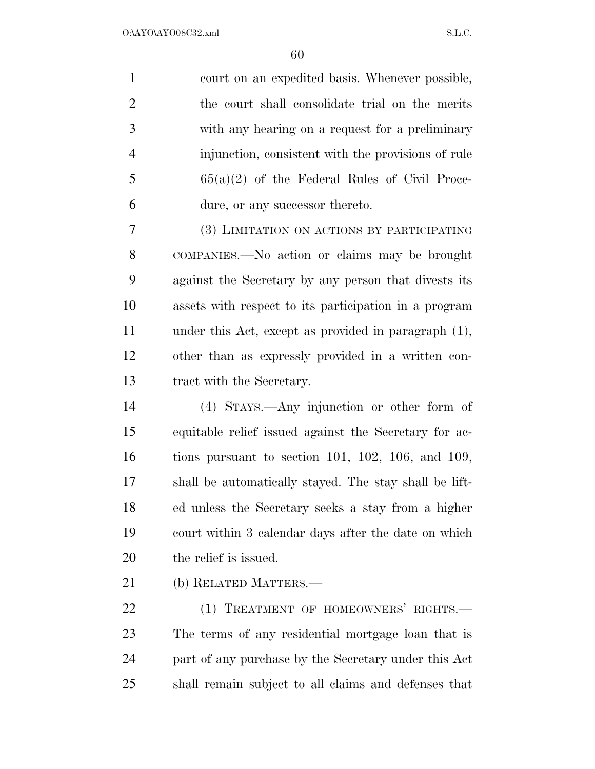court on an expedited basis. Whenever possible, the court shall consolidate trial on the merits with any hearing on a request for a preliminary injunction, consistent with the provisions of rule  $5 \qquad \qquad 65(a)(2)$  of the Federal Rules of Civil Proce-dure, or any successor thereto.

 (3) LIMITATION ON ACTIONS BY PARTICIPATING COMPANIES.—No action or claims may be brought against the Secretary by any person that divests its assets with respect to its participation in a program under this Act, except as provided in paragraph (1), other than as expressly provided in a written con-tract with the Secretary.

 (4) STAYS.—Any injunction or other form of equitable relief issued against the Secretary for ac- tions pursuant to section 101, 102, 106, and 109, shall be automatically stayed. The stay shall be lift- ed unless the Secretary seeks a stay from a higher court within 3 calendar days after the date on which the relief is issued.

(b) RELATED MATTERS.—

22 (1) TREATMENT OF HOMEOWNERS' RIGHTS. The terms of any residential mortgage loan that is part of any purchase by the Secretary under this Act shall remain subject to all claims and defenses that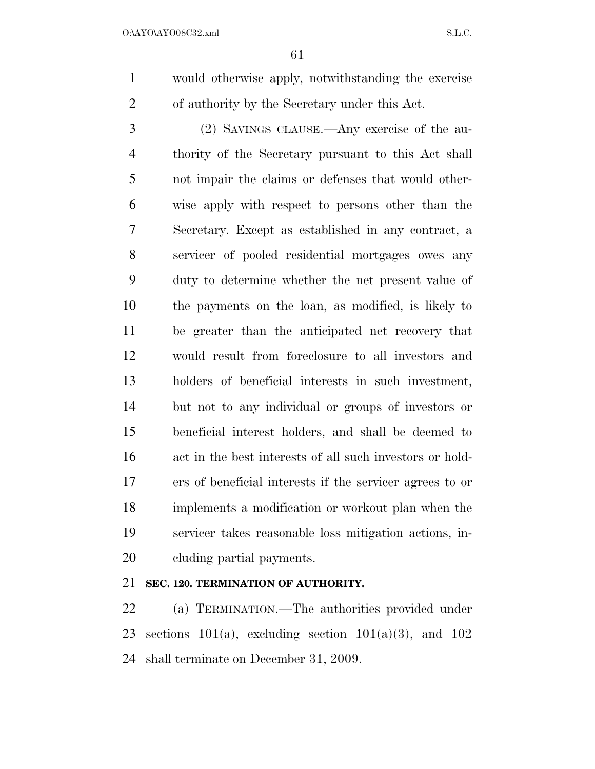would otherwise apply, notwithstanding the exercise of authority by the Secretary under this Act.

 (2) SAVINGS CLAUSE.—Any exercise of the au- thority of the Secretary pursuant to this Act shall not impair the claims or defenses that would other- wise apply with respect to persons other than the Secretary. Except as established in any contract, a servicer of pooled residential mortgages owes any duty to determine whether the net present value of the payments on the loan, as modified, is likely to be greater than the anticipated net recovery that would result from foreclosure to all investors and holders of beneficial interests in such investment, but not to any individual or groups of investors or beneficial interest holders, and shall be deemed to act in the best interests of all such investors or hold- ers of beneficial interests if the servicer agrees to or implements a modification or workout plan when the servicer takes reasonable loss mitigation actions, in-cluding partial payments.

# **SEC. 120. TERMINATION OF AUTHORITY.**

 (a) TERMINATION.—The authorities provided under 23 sections 101(a), excluding section 101(a)(3), and 102 shall terminate on December 31, 2009.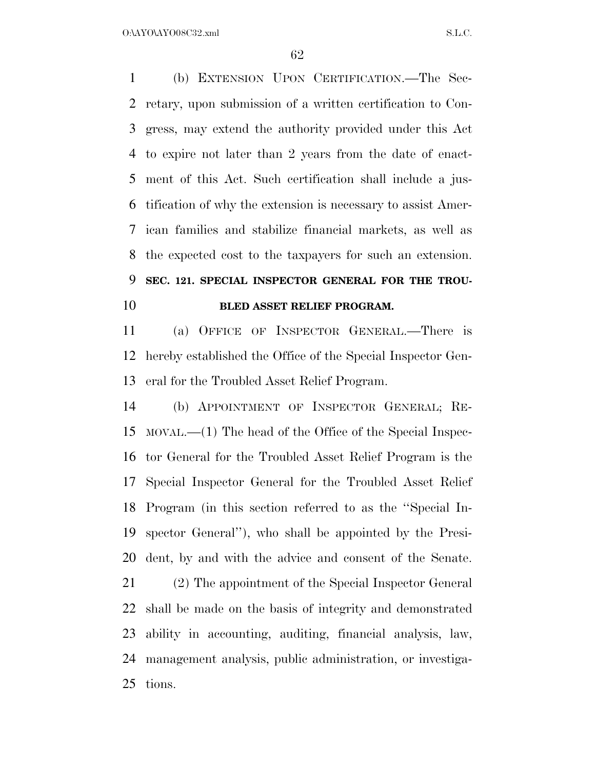(b) EXTENSION UPON CERTIFICATION.—The Sec- retary, upon submission of a written certification to Con- gress, may extend the authority provided under this Act to expire not later than 2 years from the date of enact- ment of this Act. Such certification shall include a jus- tification of why the extension is necessary to assist Amer- ican families and stabilize financial markets, as well as the expected cost to the taxpayers for such an extension. **SEC. 121. SPECIAL INSPECTOR GENERAL FOR THE TROU-BLED ASSET RELIEF PROGRAM.** 

 (a) OFFICE OF INSPECTOR GENERAL.—There is hereby established the Office of the Special Inspector Gen-eral for the Troubled Asset Relief Program.

 (b) APPOINTMENT OF INSPECTOR GENERAL; RE- MOVAL.—(1) The head of the Office of the Special Inspec- tor General for the Troubled Asset Relief Program is the Special Inspector General for the Troubled Asset Relief Program (in this section referred to as the ''Special In- spector General''), who shall be appointed by the Presi-dent, by and with the advice and consent of the Senate.

 (2) The appointment of the Special Inspector General shall be made on the basis of integrity and demonstrated ability in accounting, auditing, financial analysis, law, management analysis, public administration, or investiga-tions.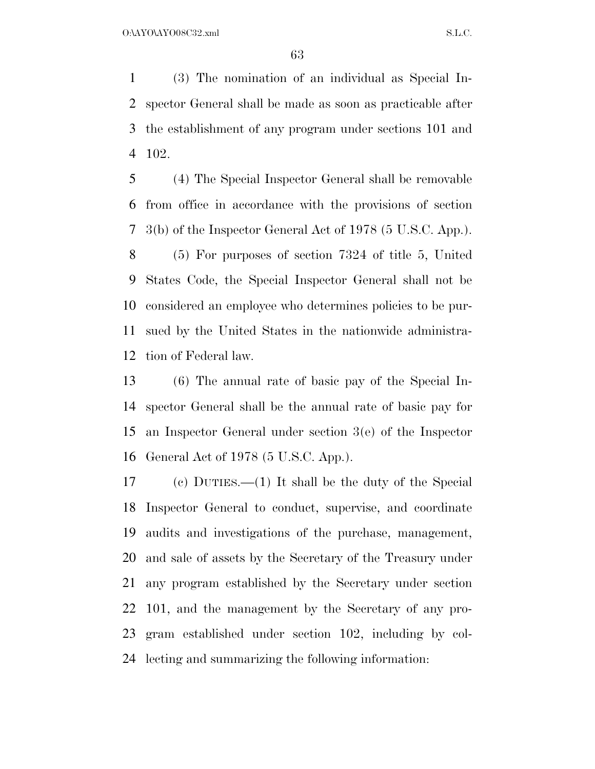(3) The nomination of an individual as Special In- spector General shall be made as soon as practicable after the establishment of any program under sections 101 and 102.

 (4) The Special Inspector General shall be removable from office in accordance with the provisions of section 3(b) of the Inspector General Act of 1978 (5 U.S.C. App.).

 (5) For purposes of section 7324 of title 5, United States Code, the Special Inspector General shall not be considered an employee who determines policies to be pur- sued by the United States in the nationwide administra-tion of Federal law.

 (6) The annual rate of basic pay of the Special In- spector General shall be the annual rate of basic pay for an Inspector General under section 3(e) of the Inspector General Act of 1978 (5 U.S.C. App.).

 (c) DUTIES.—(1) It shall be the duty of the Special Inspector General to conduct, supervise, and coordinate audits and investigations of the purchase, management, and sale of assets by the Secretary of the Treasury under any program established by the Secretary under section 101, and the management by the Secretary of any pro- gram established under section 102, including by col-lecting and summarizing the following information: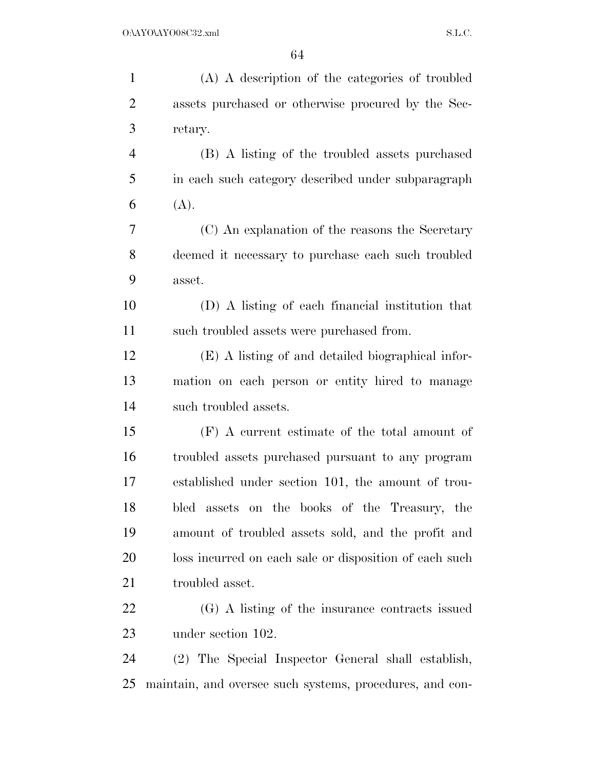| $\mathbf{1}$   | (A) A description of the categories of troubled          |
|----------------|----------------------------------------------------------|
| $\overline{2}$ | assets purchased or otherwise procured by the Sec-       |
| 3              | retary.                                                  |
| $\overline{4}$ | (B) A listing of the troubled assets purchased           |
| 5              | in each such category described under subparagraph       |
| 6              | (A).                                                     |
| 7              | (C) An explanation of the reasons the Secretary          |
| 8              | deemed it necessary to purchase each such troubled       |
| 9              | asset.                                                   |
| 10             | (D) A listing of each financial institution that         |
| 11             | such troubled assets were purchased from.                |
| 12             | (E) A listing of and detailed biographical infor-        |
| 13             | mation on each person or entity hired to manage          |
| 14             | such troubled assets.                                    |
| 15             | $(F)$ A current estimate of the total amount of          |
| 16             | troubled assets purchased pursuant to any program        |
| 17             | established under section 101, the amount of trou-       |
| 18             | bled assets on the books of the Treasury, the            |
| 19             | amount of troubled assets sold, and the profit and       |
| 20             | loss incurred on each sale or disposition of each such   |
| 21             | troubled asset.                                          |
| 22             | (G) A listing of the insurance contracts issued          |
| 23             | under section 102.                                       |
| 24             | (2) The Special Inspector General shall establish,       |
| 25             | maintain, and oversee such systems, procedures, and con- |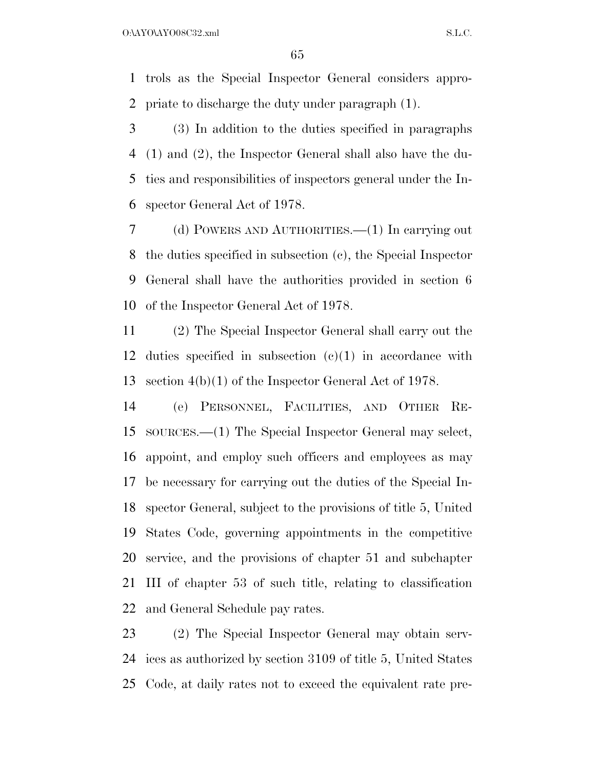trols as the Special Inspector General considers appro-priate to discharge the duty under paragraph (1).

 (3) In addition to the duties specified in paragraphs (1) and (2), the Inspector General shall also have the du- ties and responsibilities of inspectors general under the In-spector General Act of 1978.

 (d) POWERS AND AUTHORITIES.—(1) In carrying out the duties specified in subsection (c), the Special Inspector General shall have the authorities provided in section 6 of the Inspector General Act of 1978.

 (2) The Special Inspector General shall carry out the duties specified in subsection (c)(1) in accordance with section 4(b)(1) of the Inspector General Act of 1978.

 (e) PERSONNEL, FACILITIES, AND OTHER RE- SOURCES.—(1) The Special Inspector General may select, appoint, and employ such officers and employees as may be necessary for carrying out the duties of the Special In- spector General, subject to the provisions of title 5, United States Code, governing appointments in the competitive service, and the provisions of chapter 51 and subchapter III of chapter 53 of such title, relating to classification and General Schedule pay rates.

 (2) The Special Inspector General may obtain serv- ices as authorized by section 3109 of title 5, United States Code, at daily rates not to exceed the equivalent rate pre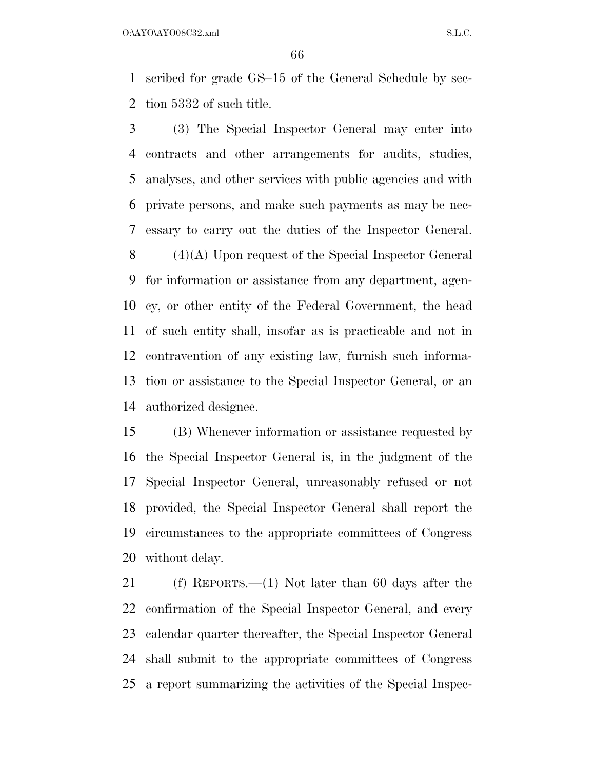O:\AYO\AYO08C32.xml S.L.C.

 scribed for grade GS–15 of the General Schedule by sec-tion 5332 of such title.

 (3) The Special Inspector General may enter into contracts and other arrangements for audits, studies, analyses, and other services with public agencies and with private persons, and make such payments as may be nec- essary to carry out the duties of the Inspector General. (4)(A) Upon request of the Special Inspector General for information or assistance from any department, agen- cy, or other entity of the Federal Government, the head of such entity shall, insofar as is practicable and not in contravention of any existing law, furnish such informa- tion or assistance to the Special Inspector General, or an authorized designee.

 (B) Whenever information or assistance requested by the Special Inspector General is, in the judgment of the Special Inspector General, unreasonably refused or not provided, the Special Inspector General shall report the circumstances to the appropriate committees of Congress without delay.

 (f) REPORTS.—(1) Not later than 60 days after the confirmation of the Special Inspector General, and every calendar quarter thereafter, the Special Inspector General shall submit to the appropriate committees of Congress a report summarizing the activities of the Special Inspec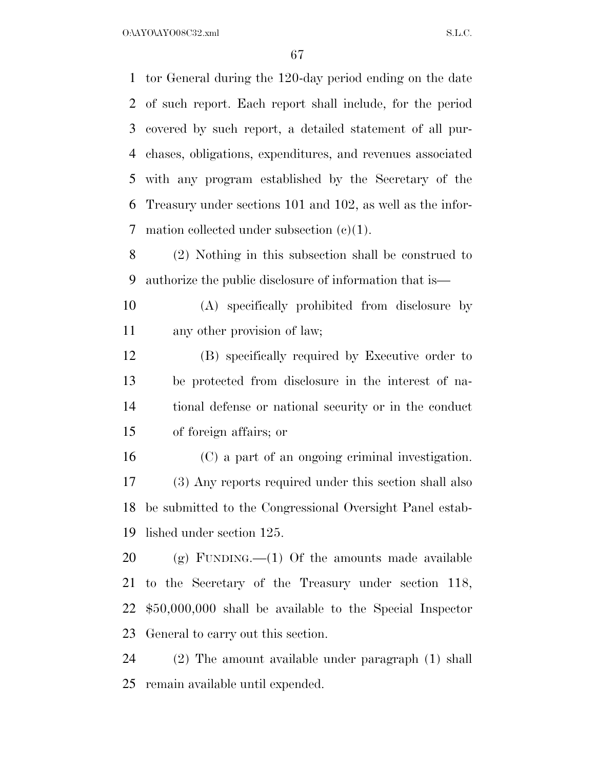O:\AYO\AYO08C32.xml S.L.C.

 tor General during the 120-day period ending on the date of such report. Each report shall include, for the period covered by such report, a detailed statement of all pur- chases, obligations, expenditures, and revenues associated with any program established by the Secretary of the Treasury under sections 101 and 102, as well as the infor-mation collected under subsection (c)(1).

 (2) Nothing in this subsection shall be construed to authorize the public disclosure of information that is—

 (A) specifically prohibited from disclosure by any other provision of law;

 (B) specifically required by Executive order to be protected from disclosure in the interest of na- tional defense or national security or in the conduct of foreign affairs; or

 (C) a part of an ongoing criminal investigation. (3) Any reports required under this section shall also be submitted to the Congressional Oversight Panel estab-lished under section 125.

20 (g) FUNDING.—(1) Of the amounts made available to the Secretary of the Treasury under section 118, \$50,000,000 shall be available to the Special Inspector General to carry out this section.

 (2) The amount available under paragraph (1) shall remain available until expended.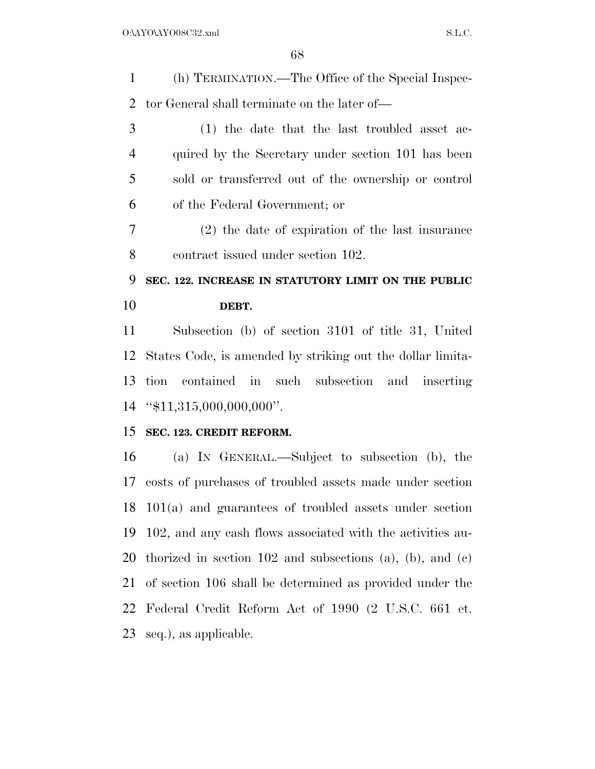(h) TERMINATION.—The Office of the Special Inspec-tor General shall terminate on the later of—

 (1) the date that the last troubled asset ac- quired by the Secretary under section 101 has been sold or transferred out of the ownership or control of the Federal Government; or

 (2) the date of expiration of the last insurance contract issued under section 102.

# **SEC. 122. INCREASE IN STATUTORY LIMIT ON THE PUBLIC DEBT.**

 Subsection (b) of section 3101 of title 31, United States Code, is amended by striking out the dollar limita- tion contained in such subsection and inserting ''\$11,315,000,000,000''.

## **SEC. 123. CREDIT REFORM.**

 (a) IN GENERAL.—Subject to subsection (b), the costs of purchases of troubled assets made under section 101(a) and guarantees of troubled assets under section 102, and any cash flows associated with the activities au- thorized in section 102 and subsections (a), (b), and (c) of section 106 shall be determined as provided under the Federal Credit Reform Act of 1990 (2 U.S.C. 661 et. seq.), as applicable.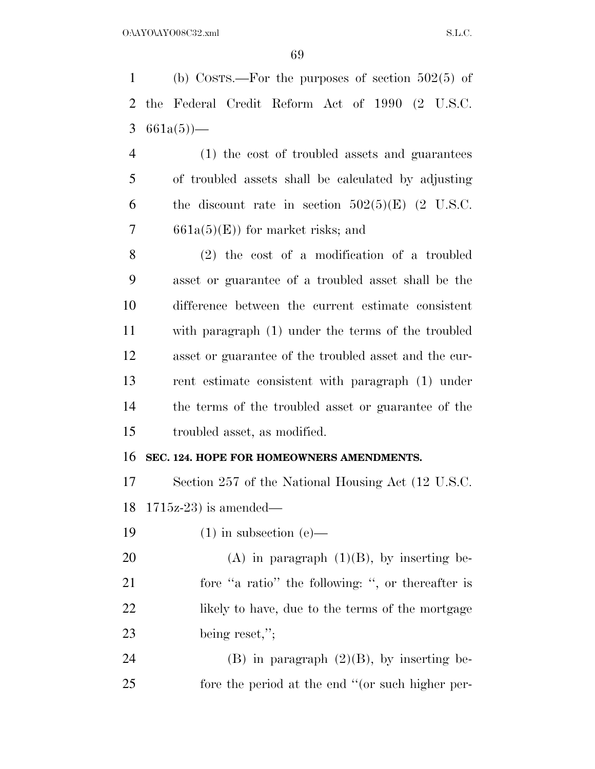(b) COSTS.—For the purposes of section 502(5) of the Federal Credit Reform Act of 1990 (2 U.S.C. 3  $661a(5)$  (1) the cost of troubled assets and guarantees of troubled assets shall be calculated by adjusting 6 the discount rate in section  $502(5)(E)$  (2 U.S.C. 7 661a(5)(E)) for market risks; and (2) the cost of a modification of a troubled asset or guarantee of a troubled asset shall be the

 difference between the current estimate consistent with paragraph (1) under the terms of the troubled asset or guarantee of the troubled asset and the cur- rent estimate consistent with paragraph (1) under the terms of the troubled asset or guarantee of the troubled asset, as modified.

### **SEC. 124. HOPE FOR HOMEOWNERS AMENDMENTS.**

 Section 257 of the National Housing Act (12 U.S.C. 1715z-23) is amended—

19  $(1)$  in subsection  $(e)$ —

20 (A) in paragraph  $(1)(B)$ , by inserting be- fore ''a ratio'' the following: '', or thereafter is 22 likely to have, due to the terms of the mortgage being reset,'';

24 (B) in paragraph  $(2)(B)$ , by inserting be-fore the period at the end ''(or such higher per-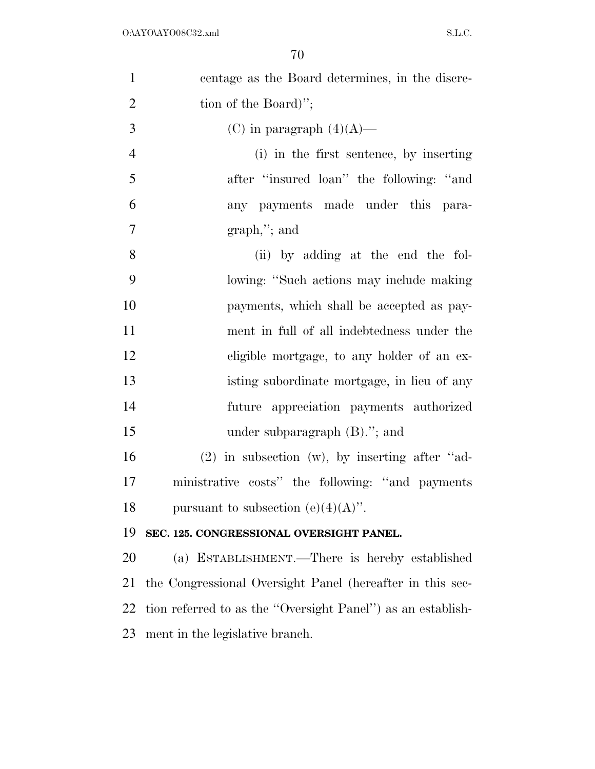| $\mathbf{1}$   | centage as the Board determines, in the discre-             |
|----------------|-------------------------------------------------------------|
| $\overline{2}$ | tion of the Board)";                                        |
| 3              | (C) in paragraph $(4)(A)$ —                                 |
| $\overline{4}$ | (i) in the first sentence, by inserting                     |
| 5              | after "insured loan" the following: "and                    |
| 6              | any payments made under this para-                          |
| $\overline{7}$ | $graph,$ "; and                                             |
| 8              | (ii) by adding at the end the fol-                          |
| 9              | lowing: "Such actions may include making                    |
| 10             | payments, which shall be accepted as pay-                   |
| 11             | ment in full of all indebtedness under the                  |
| 12             | eligible mortgage, to any holder of an ex-                  |
| 13             | isting subordinate mortgage, in lieu of any                 |
| 14             | future appreciation payments authorized                     |
| 15             | under subparagraph $(B)$ ."; and                            |
| 16             | $(2)$ in subsection $(w)$ , by inserting after "ad-         |
| 17             | ministrative costs" the following: "and payments"           |
| 18             | pursuant to subsection (e)(4)(A)".                          |
| 19             | SEC. 125. CONGRESSIONAL OVERSIGHT PANEL.                    |
| 20             | (a) ESTABLISHMENT.—There is hereby established              |
| 21             | the Congressional Oversight Panel (hereafter in this sec-   |
| 22             | tion referred to as the "Oversight Panel") as an establish- |
| 23             | ment in the legislative branch.                             |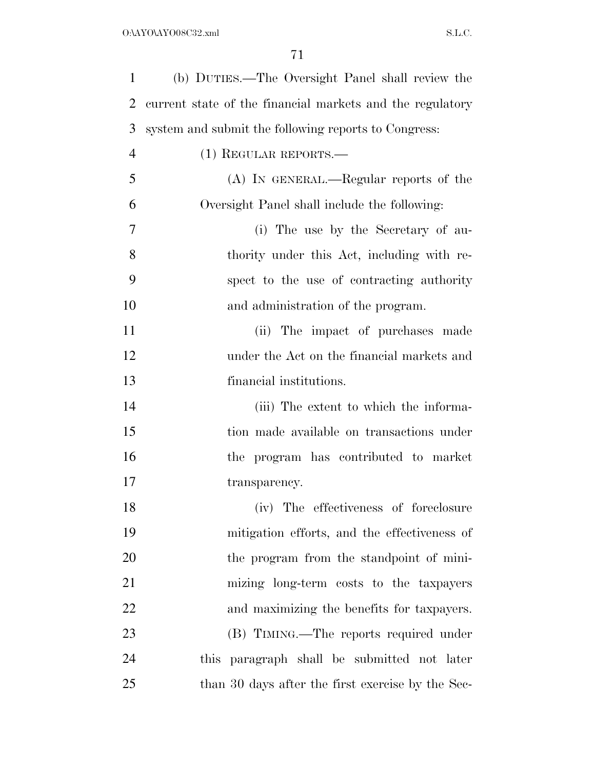| $\mathbf{1}$   | (b) DUTIES.—The Oversight Panel shall review the          |
|----------------|-----------------------------------------------------------|
| 2              | current state of the financial markets and the regulatory |
| 3              | system and submit the following reports to Congress:      |
| $\overline{4}$ | $(1)$ REGULAR REPORTS.—                                   |
| 5              | (A) IN GENERAL.—Regular reports of the                    |
| 6              | Oversight Panel shall include the following:              |
| 7              | (i) The use by the Secretary of au-                       |
| 8              | thority under this Act, including with re-                |
| 9              | spect to the use of contracting authority                 |
| 10             | and administration of the program.                        |
| 11             | (ii) The impact of purchases made                         |
| 12             | under the Act on the financial markets and                |
| 13             | financial institutions.                                   |
| 14             | (iii) The extent to which the informa-                    |
| 15             | tion made available on transactions under                 |
| 16             | the program has contributed to market                     |
| 17             | transparency.                                             |
| 18             | (iv) The effectiveness of foreclosure                     |
| 19             | mitigation efforts, and the effectiveness of              |
| 20             | the program from the standpoint of mini-                  |
| 21             | mizing long-term costs to the taxpayers                   |
| 22             | and maximizing the benefits for taxpayers.                |
| 23             | (B) TIMING.—The reports required under                    |
| 24             | this paragraph shall be submitted not later               |
| 25             | than 30 days after the first exercise by the Sec-         |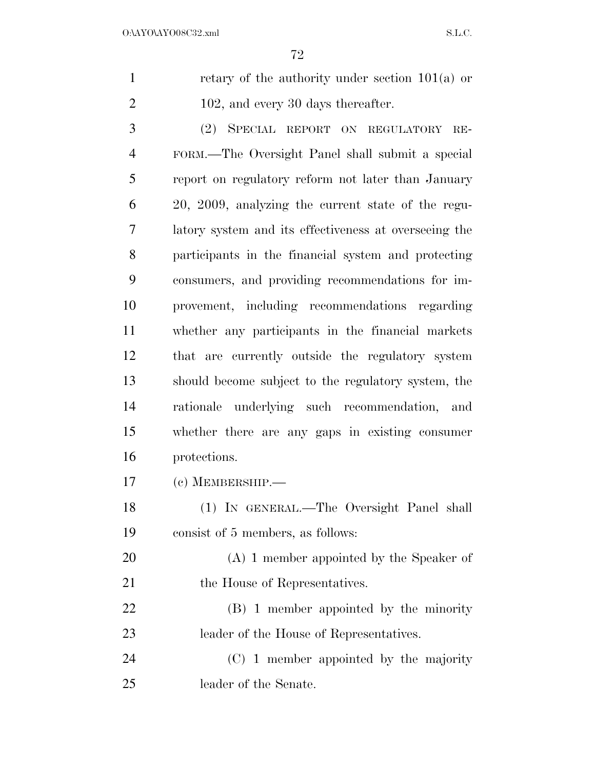|                | retary of the authority under section $101(a)$ or |
|----------------|---------------------------------------------------|
| $\overline{2}$ | 102, and every 30 days thereafter.                |
| $\mathcal{R}$  | (2) SPECIAL REPORT ON REGULATORY RE-              |

 FORM.—The Oversight Panel shall submit a special report on regulatory reform not later than January 20, 2009, analyzing the current state of the regu- latory system and its effectiveness at overseeing the participants in the financial system and protecting consumers, and providing recommendations for im- provement, including recommendations regarding whether any participants in the financial markets that are currently outside the regulatory system should become subject to the regulatory system, the rationale underlying such recommendation, and whether there are any gaps in existing consumer protections.

(c) MEMBERSHIP.—

 (1) IN GENERAL.—The Oversight Panel shall consist of 5 members, as follows:

 (A) 1 member appointed by the Speaker of 21 the House of Representatives.

 (B) 1 member appointed by the minority leader of the House of Representatives.

 (C) 1 member appointed by the majority leader of the Senate.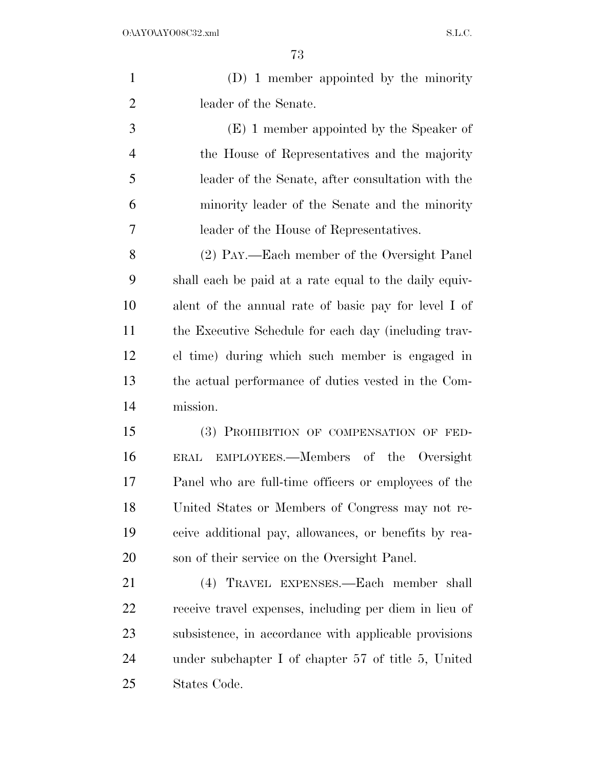| $\mathbf{1}$   | (D) 1 member appointed by the minority                 |
|----------------|--------------------------------------------------------|
| $\overline{2}$ | leader of the Senate.                                  |
| 3              | (E) 1 member appointed by the Speaker of               |
| $\overline{4}$ | the House of Representatives and the majority          |
| 5              | leader of the Senate, after consultation with the      |
| 6              | minority leader of the Senate and the minority         |
| 7              | leader of the House of Representatives.                |
| 8              | (2) PAY.—Each member of the Oversight Panel            |
| 9              | shall each be paid at a rate equal to the daily equiv- |
| 10             | alent of the annual rate of basic pay for level I of   |
| 11             | the Executive Schedule for each day (including trav-   |
| 12             | el time) during which such member is engaged in        |
| 13             | the actual performance of duties vested in the Com-    |
| 14             | mission.                                               |
| 15             | (3) PROHIBITION OF COMPENSATION OF FED-                |
| 16             | EMPLOYEES.—Members of the Oversight<br>ERAL            |
| 17             | Panel who are full-time officers or employees of the   |
| 18             | United States or Members of Congress may not re-       |
| 19             | ceive additional pay, allowances, or benefits by rea-  |
| 20             | son of their service on the Oversight Panel.           |
| 21             | (4) TRAVEL EXPENSES.—Each member shall                 |
| 22             | receive travel expenses, including per diem in lieu of |
| 23             | subsistence, in accordance with applicable provisions  |
| 24             | under subchapter I of chapter 57 of title 5, United    |
| 25             | States Code.                                           |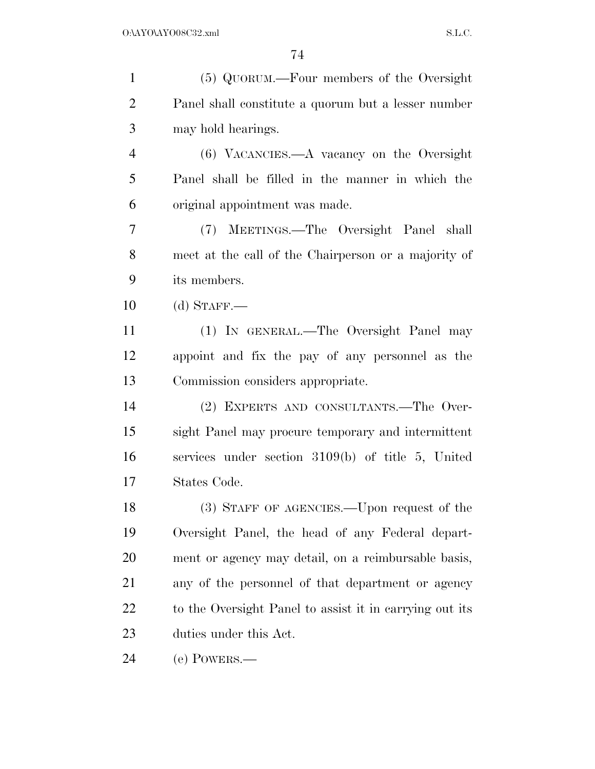| $\mathbf{1}$   | (5) QUORUM.—Four members of the Oversight               |
|----------------|---------------------------------------------------------|
| $\overline{2}$ | Panel shall constitute a quorum but a lesser number     |
| 3              | may hold hearings.                                      |
| $\overline{4}$ | $(6)$ VACANCIES.— $A$ vacancy on the Oversight          |
| 5              | Panel shall be filled in the manner in which the        |
| 6              | original appointment was made.                          |
| 7              | (7) MEETINGS.—The Oversight Panel shall                 |
| 8              | meet at the call of the Chairperson or a majority of    |
| 9              | its members.                                            |
| 10             | $(d)$ STAFF.—                                           |
| 11             | (1) IN GENERAL.—The Oversight Panel may                 |
| 12             | appoint and fix the pay of any personnel as the         |
| 13             | Commission considers appropriate.                       |
| 14             | (2) EXPERTS AND CONSULTANTS.—The Over-                  |
| 15             | sight Panel may procure temporary and intermittent      |
| 16             | services under section 3109(b) of title 5, United       |
| 17             | States Code.                                            |
| 18             | (3) STAFF OF AGENCIES.—Upon request of the              |
| 19             | Oversight Panel, the head of any Federal depart-        |
| 20             | ment or agency may detail, on a reimbursable basis,     |
| 21             | any of the personnel of that department or agency       |
| 22             | to the Oversight Panel to assist it in carrying out its |
| 23             | duties under this Act.                                  |
| 24             | (e) POWERS.—                                            |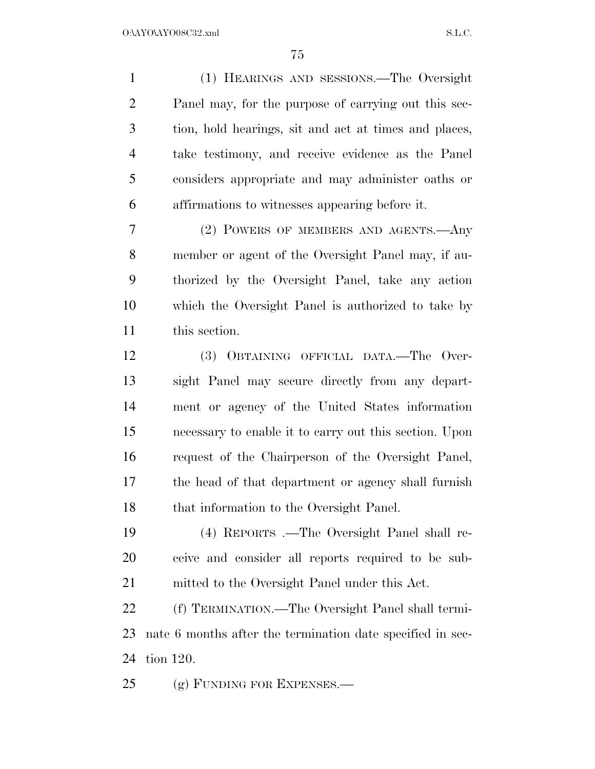(1) HEARINGS AND SESSIONS.—The Oversight Panel may, for the purpose of carrying out this sec- tion, hold hearings, sit and act at times and places, take testimony, and receive evidence as the Panel considers appropriate and may administer oaths or affirmations to witnesses appearing before it.

 (2) POWERS OF MEMBERS AND AGENTS.—Any member or agent of the Oversight Panel may, if au- thorized by the Oversight Panel, take any action which the Oversight Panel is authorized to take by this section.

 (3) OBTAINING OFFICIAL DATA.—The Over- sight Panel may secure directly from any depart- ment or agency of the United States information necessary to enable it to carry out this section. Upon request of the Chairperson of the Oversight Panel, the head of that department or agency shall furnish 18 that information to the Oversight Panel.

 (4) REPORTS .—The Oversight Panel shall re- ceive and consider all reports required to be sub-mitted to the Oversight Panel under this Act.

 (f) TERMINATION.—The Oversight Panel shall termi- nate 6 months after the termination date specified in sec-tion 120.

25 (g) FUNDING FOR EXPENSES.—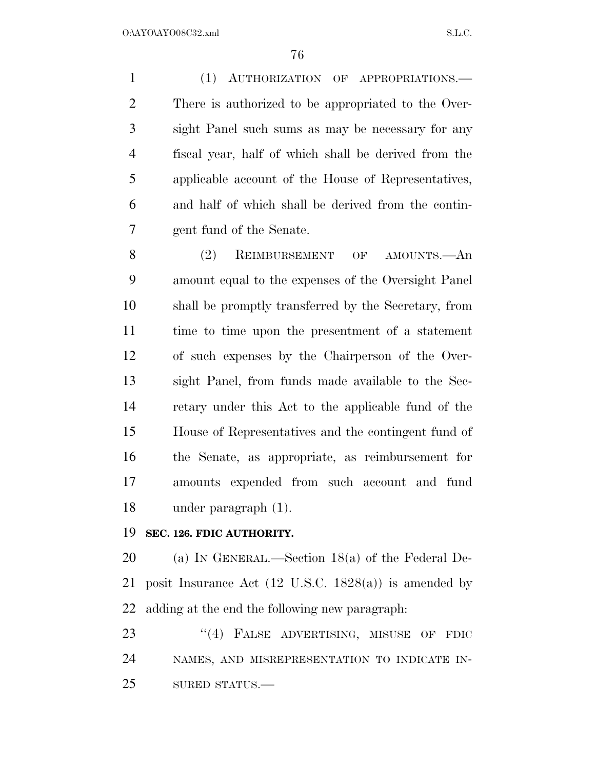(1) AUTHORIZATION OF APPROPRIATIONS.— There is authorized to be appropriated to the Over- sight Panel such sums as may be necessary for any fiscal year, half of which shall be derived from the applicable account of the House of Representatives, and half of which shall be derived from the contin-gent fund of the Senate.

 (2) REIMBURSEMENT OF AMOUNTS.—An amount equal to the expenses of the Oversight Panel shall be promptly transferred by the Secretary, from time to time upon the presentment of a statement of such expenses by the Chairperson of the Over- sight Panel, from funds made available to the Sec- retary under this Act to the applicable fund of the House of Representatives and the contingent fund of the Senate, as appropriate, as reimbursement for amounts expended from such account and fund under paragraph (1).

#### **SEC. 126. FDIC AUTHORITY.**

 (a) IN GENERAL.—Section 18(a) of the Federal De- posit Insurance Act (12 U.S.C. 1828(a)) is amended by adding at the end the following new paragraph:

23 "(4) FALSE ADVERTISING, MISUSE OF FDIC NAMES, AND MISREPRESENTATION TO INDICATE IN-SURED STATUS.—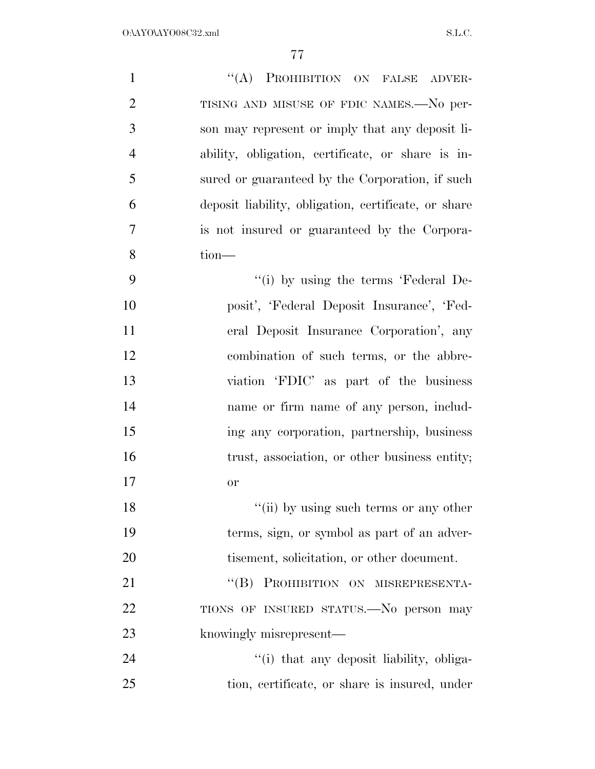| $\mathbf{1}$   | "(A) PROHIBITION ON FALSE ADVER-                     |
|----------------|------------------------------------------------------|
| $\overline{2}$ | TISING AND MISUSE OF FDIC NAMES.-No per-             |
| 3              | son may represent or imply that any deposit li-      |
| $\overline{4}$ | ability, obligation, certificate, or share is in-    |
| 5              | sured or guaranteed by the Corporation, if such      |
| 6              | deposit liability, obligation, certificate, or share |
| 7              | is not insured or guaranteed by the Corpora-         |
| 8              | tion-                                                |
| 9              | "(i) by using the terms 'Federal De-                 |
| 10             | posit', 'Federal Deposit Insurance', 'Fed-           |
| 11             | eral Deposit Insurance Corporation', any             |
| 12             | combination of such terms, or the abbre-             |
| 13             | viation 'FDIC' as part of the business               |
| 14             | name or firm name of any person, includ-             |
| 15             | ing any corporation, partnership, business           |
| 16             | trust, association, or other business entity;        |
| 17             | or                                                   |
| 18             | "(ii) by using such terms or any other               |
| 19             | terms, sign, or symbol as part of an adver-          |
| 20             | tisement, solicitation, or other document.           |
| 21             | "(B) PROHIBITION ON MISREPRESENTA-                   |
| 22             | TIONS OF INSURED STATUS.—No person may               |
| 23             | knowingly misrepresent—                              |
| 24             | "(i) that any deposit liability, obliga-             |
| 25             | tion, certificate, or share is insured, under        |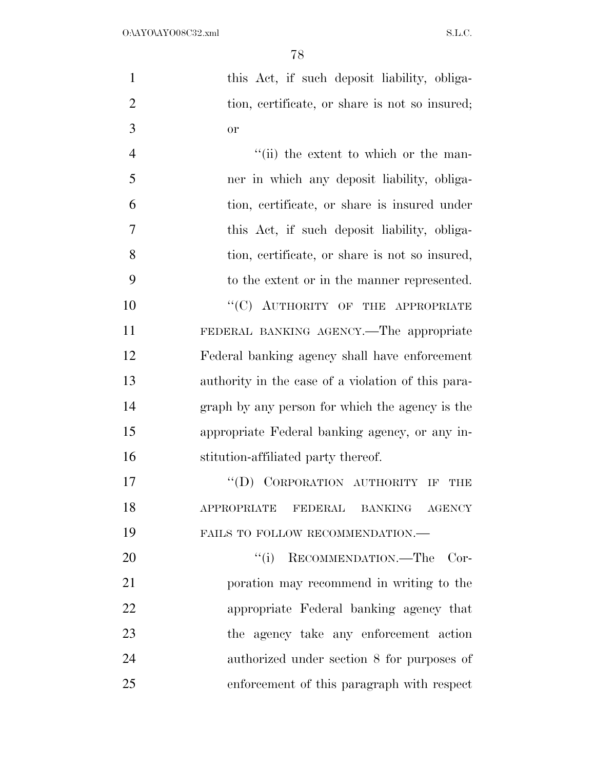| 1              | this Act, if such deposit liability, obliga-   |
|----------------|------------------------------------------------|
| 2              | tion, certificate, or share is not so insured; |
| 3              | <sub>or</sub>                                  |
| $\overline{4}$ | "(ii) the extent to which or the man-          |
| 5              | ner in which any deposit liability, obliga-    |
| 6              | tion, certificate, or share is insured under   |
| 7              | this Act, if such deposit liability, obliga-   |
| 8              | tion, certificate, or share is not so insured, |
| 9              | to the extent or in the manner represented.    |
| 10             | "(C) AUTHORITY OF THE APPROPRIATE              |
| 11             | FEDERAL BANKING AGENCY.—The appropriate        |

 appropriate Federal banking agency, or any in- stitution-affiliated party thereof. 17 "(D) CORPORATION AUTHORITY IF THE APPROPRIATE FEDERAL BANKING AGENCY

FAILS TO FOLLOW RECOMMENDATION.—

Federal banking agency shall have enforcement

authority in the case of a violation of this para-

graph by any person for which the agency is the

20 "(i) RECOMMENDATION.—The Cor- poration may recommend in writing to the appropriate Federal banking agency that the agency take any enforcement action authorized under section 8 for purposes of enforcement of this paragraph with respect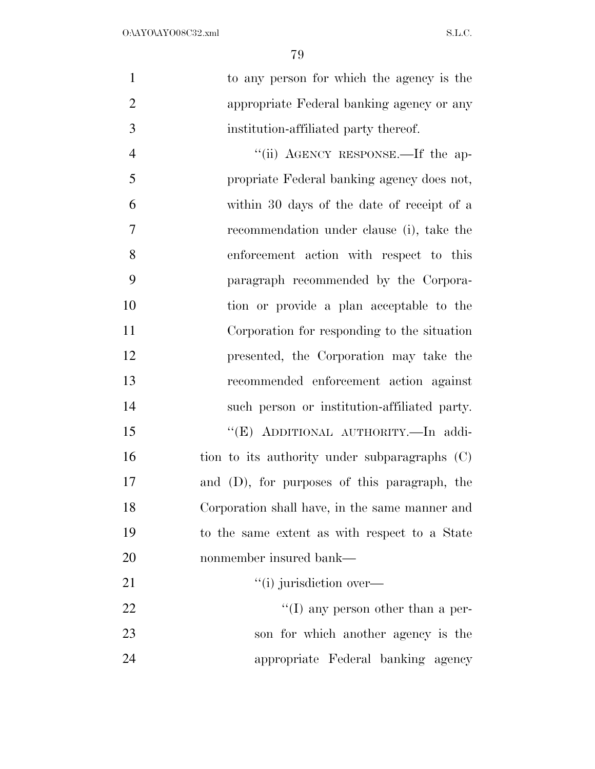| $\mathbf{1}$   | to any person for which the agency is the      |
|----------------|------------------------------------------------|
| $\overline{2}$ | appropriate Federal banking agency or any      |
| 3              | institution-affiliated party thereof.          |
| $\overline{4}$ | "(ii) AGENCY RESPONSE.—If the ap-              |
| 5              | propriate Federal banking agency does not,     |
| 6              | within 30 days of the date of receipt of a     |
| $\overline{7}$ | recommendation under clause (i), take the      |
| 8              | enforcement action with respect to this        |
| 9              | paragraph recommended by the Corpora-          |
| 10             | tion or provide a plan acceptable to the       |
| 11             | Corporation for responding to the situation    |
| 12             | presented, the Corporation may take the        |
| 13             | recommended enforcement action against         |
| 14             | such person or institution-affiliated party.   |
| 15             | "(E) ADDITIONAL AUTHORITY.-In addi-            |
| 16             | tion to its authority under subparagraphs (C)  |
| 17             | and (D), for purposes of this paragraph, the   |
| 18             | Corporation shall have, in the same manner and |
| 19             | to the same extent as with respect to a State  |
| 20             | nonmember insured bank—                        |
| 21             | "(i) jurisdiction over—                        |
| 22             | $\lq\lq$ (I) any person other than a per-      |
| 23             | son for which another agency is the            |
| 24             | appropriate Federal banking agency             |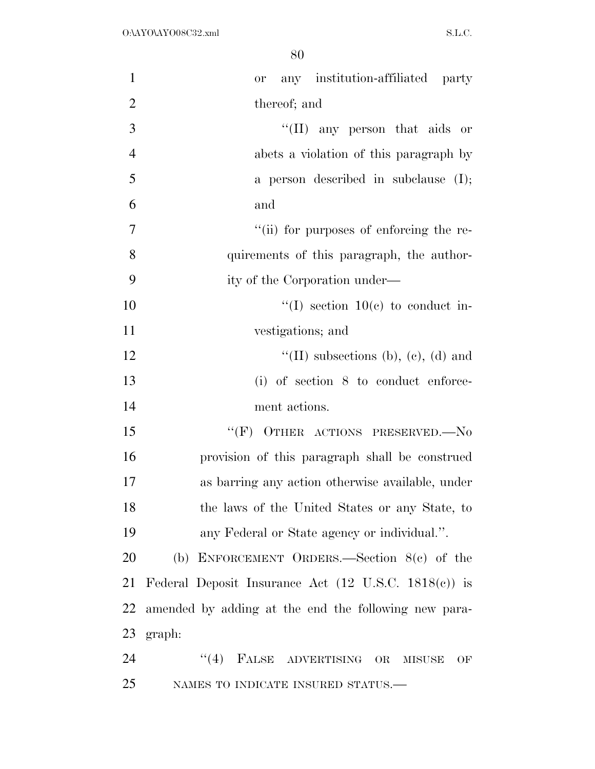| $\mathbf{1}$   | any institution-affiliated party<br>or                          |
|----------------|-----------------------------------------------------------------|
| $\overline{2}$ | thereof; and                                                    |
| $\overline{3}$ | "(II) any person that aids or                                   |
| $\overline{4}$ | abets a violation of this paragraph by                          |
| 5              | a person described in subclause $(I);$                          |
| 6              | and                                                             |
| $\tau$         | "(ii) for purposes of enforcing the re-                         |
| 8              | quirements of this paragraph, the author-                       |
| 9              | ity of the Corporation under—                                   |
| 10             | "(I) section $10(e)$ to conduct in-                             |
| 11             | vestigations; and                                               |
| 12             | "(II) subsections (b), (c), (d) and                             |
| 13             | $(i)$ of section 8 to conduct enforce-                          |
| 14             | ment actions.                                                   |
| 15             | "(F) OTHER ACTIONS PRESERVED.—No                                |
| 16             | provision of this paragraph shall be construed                  |
| 17             | as barring any action otherwise available, under                |
| 18             | the laws of the United States or any State, to                  |
| 19             | any Federal or State agency or individual.".                    |
| 20             | (b) ENFORCEMENT ORDERS.—Section $8(c)$ of the                   |
| 21             | Federal Deposit Insurance Act $(12 \text{ U.S.C. } 1818(e))$ is |
| 22             | amended by adding at the end the following new para-            |
| 23             | graph:                                                          |
| 24             | "(4) FALSE ADVERTISING OR<br><b>MISUSE</b><br>OF                |
| 25             | NAMES TO INDICATE INSURED STATUS.-                              |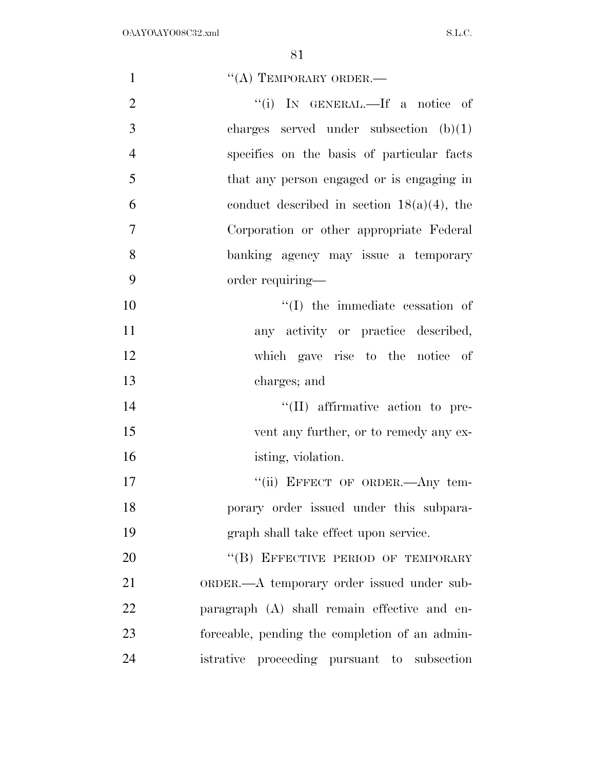| $\mathbf{1}$   | $\lq\lq$ (A) TEMPORARY ORDER.—                 |
|----------------|------------------------------------------------|
| $\overline{2}$ | "(i) IN GENERAL.—If a notice of                |
| 3              | charges served under subsection $(b)(1)$       |
| $\overline{4}$ | specifies on the basis of particular facts     |
| 5              | that any person engaged or is engaging in      |
| 6              | conduct described in section $18(a)(4)$ , the  |
| $\overline{7}$ | Corporation or other appropriate Federal       |
| 8              | banking agency may issue a temporary           |
| 9              | order requiring-                               |
| 10             | $\lq\lq$ (I) the immediate cessation of        |
| 11             | any activity or practice described,            |
| 12             | which gave rise to the notice of               |
| 13             | charges; and                                   |
| 14             | $\lq\lq$ (II) affirmative action to pre-       |
| 15             | vent any further, or to remedy any ex-         |
| 16             | isting, violation.                             |
| 17             | "(ii) EFFECT OF ORDER.—Any tem-                |
| 18             | porary order issued under this subpara-        |
| 19             | graph shall take effect upon service.          |
| 20             | "(B) EFFECTIVE PERIOD OF TEMPORARY             |
| 21             | ORDER.—A temporary order issued under sub-     |
| 22             | paragraph (A) shall remain effective and en-   |
| 23             | forceable, pending the completion of an admin- |
| 24             | istrative proceeding pursuant to subsection    |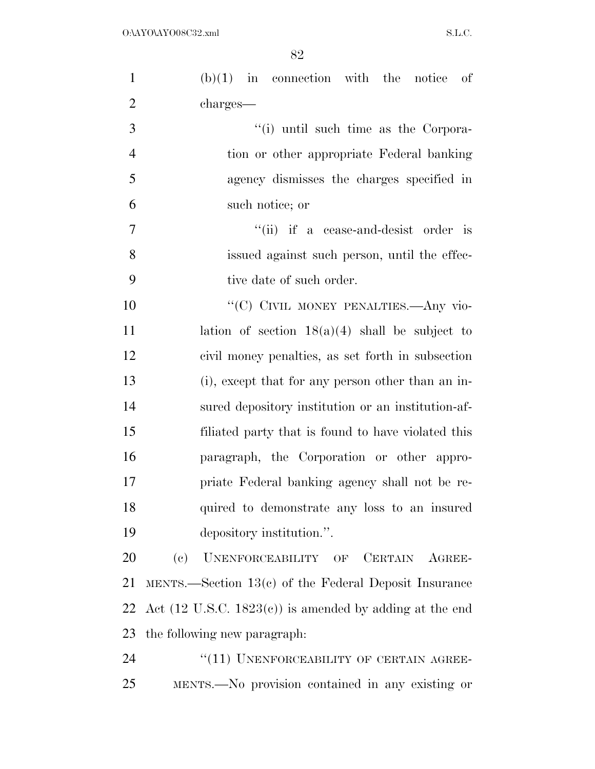| $\mathbf{1}$   | $(b)(1)$ in connection with the notice of                          |
|----------------|--------------------------------------------------------------------|
| $\overline{2}$ | charges—                                                           |
| 3              | "(i) until such time as the Corpora-                               |
| $\overline{4}$ | tion or other appropriate Federal banking                          |
| 5              | agency dismisses the charges specified in                          |
| 6              | such notice; or                                                    |
| $\overline{7}$ | "(ii) if a cease-and-desist order is                               |
| 8              | issued against such person, until the effec-                       |
| 9              | tive date of such order.                                           |
| 10             | "(C) CIVIL MONEY PENALTIES. Any vio-                               |
| 11             | lation of section $18(a)(4)$ shall be subject to                   |
| 12             | civil money penalties, as set forth in subsection                  |
| 13             | (i), except that for any person other than an in-                  |
| 14             | sured depository institution or an institution-af-                 |
| 15             | filiated party that is found to have violated this                 |
| 16             | paragraph, the Corporation or other appro-                         |
| 17             | priate Federal banking agency shall not be re-                     |
| 18             | quired to demonstrate any loss to an insured                       |
| 19             | depository institution.".                                          |
| 20             | (e)<br>UNENFORCEABILITY OF CERTAIN AGREE-                          |
| 21             | MENTS.—Section $13(c)$ of the Federal Deposit Insurance            |
| 22             | Act $(12 \text{ U.S.C. } 1823(c))$ is amended by adding at the end |
| 23             | the following new paragraph:                                       |
| 24             | "(11) UNENFORCEABILITY OF CERTAIN AGREE-                           |
| 25             | MENTS.—No provision contained in any existing or                   |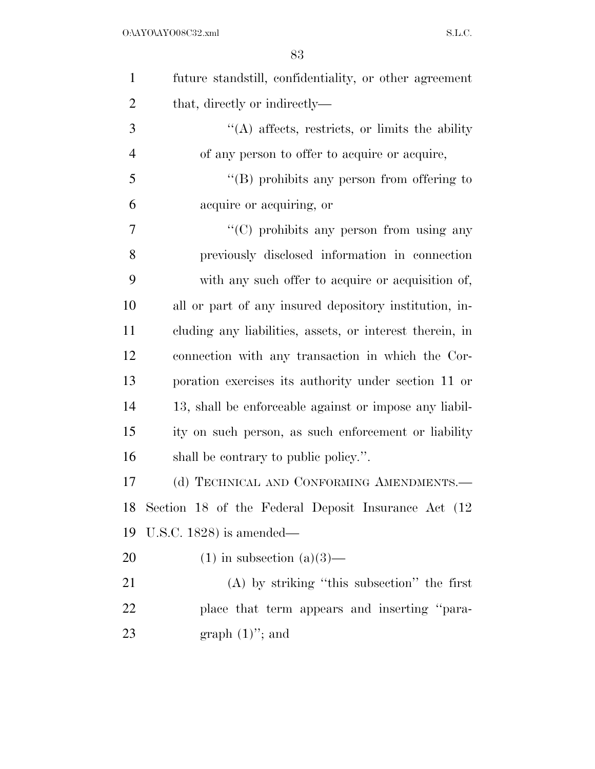| $\mathbf{1}$   | future standstill, confidentiality, or other agreement   |
|----------------|----------------------------------------------------------|
| $\overline{2}$ | that, directly or indirectly—                            |
| 3              | $\lq\lq$ affects, restricts, or limits the ability       |
| $\overline{4}$ | of any person to offer to acquire or acquire,            |
| 5              | $\lq\lq (B)$ prohibits any person from offering to       |
| 6              | acquire or acquiring, or                                 |
| 7              | $\cdot\cdot$ (C) prohibits any person from using any     |
| 8              | previously disclosed information in connection           |
| 9              | with any such offer to acquire or acquisition of,        |
| 10             | all or part of any insured depository institution, in-   |
| 11             | cluding any liabilities, assets, or interest therein, in |
| 12             | connection with any transaction in which the Cor-        |
| 13             | poration exercises its authority under section 11 or     |
| 14             | 13, shall be enforceable against or impose any liabil-   |
| 15             | ity on such person, as such enforcement or liability     |
| 16             | shall be contrary to public policy.".                    |
| 17             | (d) TECHNICAL AND CONFORMING AMENDMENTS.-                |
| 18             | Section 18 of the Federal Deposit Insurance Act (12      |
| 19             | U.S.C. $1828$ ) is amended—                              |
| 20             | $(1)$ in subsection $(a)(3)$ —                           |
| 21             | $(A)$ by striking "this subsection" the first            |
| 22             | place that term appears and inserting "para-             |
| 23             | graph $(1)$ "; and                                       |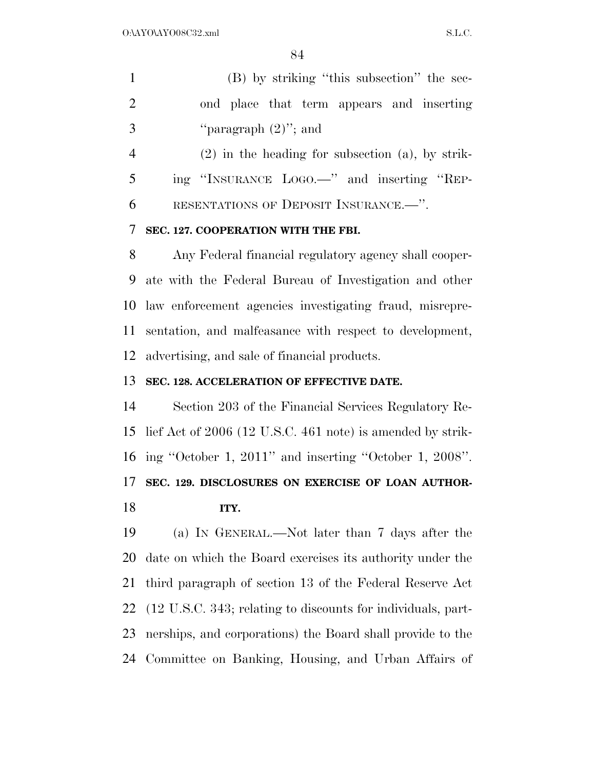|    | (B) by striking "this subsection" the sec-            |
|----|-------------------------------------------------------|
| 2  | ond place that term appears and inserting             |
| -3 | "paragraph $(2)$ "; and                               |
|    | $(2)$ in the heading for subsection $(a)$ , by strik- |

 ing ''INSURANCE LOGO.—'' and inserting ''REP-RESENTATIONS OF DEPOSIT INSURANCE.—''.

#### **SEC. 127. COOPERATION WITH THE FBI.**

 Any Federal financial regulatory agency shall cooper- ate with the Federal Bureau of Investigation and other law enforcement agencies investigating fraud, misrepre- sentation, and malfeasance with respect to development, advertising, and sale of financial products.

#### **SEC. 128. ACCELERATION OF EFFECTIVE DATE.**

 Section 203 of the Financial Services Regulatory Re- lief Act of 2006 (12 U.S.C. 461 note) is amended by strik- ing ''October 1, 2011'' and inserting ''October 1, 2008''. **SEC. 129. DISCLOSURES ON EXERCISE OF LOAN AUTHOR-ITY.** 

 (a) IN GENERAL.—Not later than 7 days after the date on which the Board exercises its authority under the third paragraph of section 13 of the Federal Reserve Act (12 U.S.C. 343; relating to discounts for individuals, part- nerships, and corporations) the Board shall provide to the Committee on Banking, Housing, and Urban Affairs of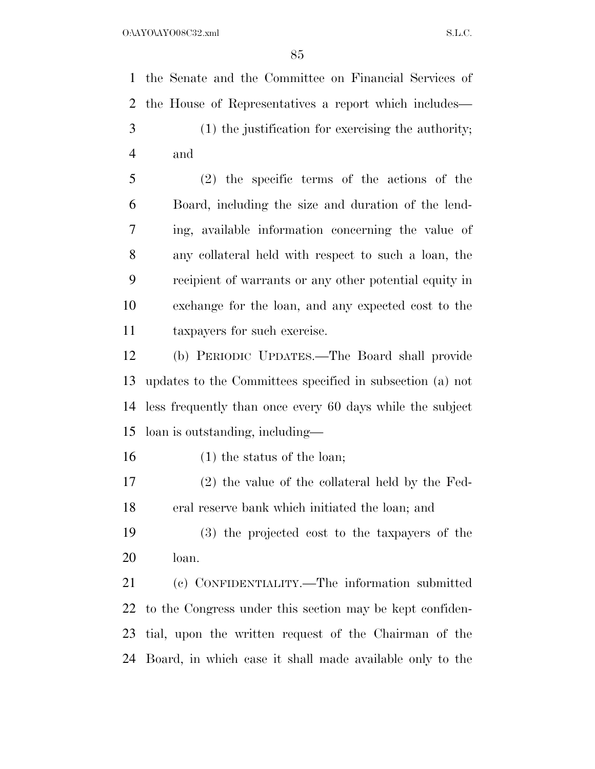the Senate and the Committee on Financial Services of the House of Representatives a report which includes— (1) the justification for exercising the authority; and (2) the specific terms of the actions of the Board, including the size and duration of the lend- ing, available information concerning the value of any collateral held with respect to such a loan, the recipient of warrants or any other potential equity in exchange for the loan, and any expected cost to the taxpayers for such exercise. (b) PERIODIC UPDATES.—The Board shall provide updates to the Committees specified in subsection (a) not less frequently than once every 60 days while the subject loan is outstanding, including— (1) the status of the loan; (2) the value of the collateral held by the Fed- eral reserve bank which initiated the loan; and (3) the projected cost to the taxpayers of the

loan.

 (c) CONFIDENTIALITY.—The information submitted to the Congress under this section may be kept confiden- tial, upon the written request of the Chairman of the Board, in which case it shall made available only to the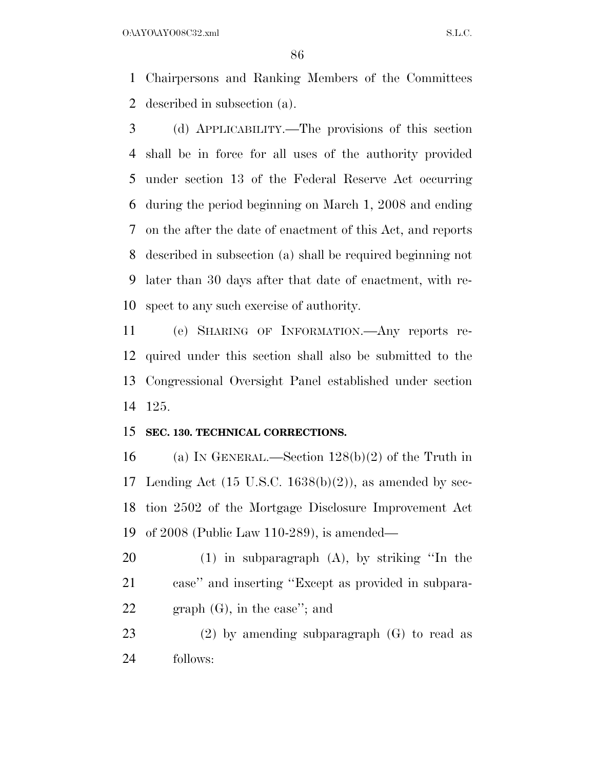$O:\Delta YO\Delta YO08C32.xml$  S.L.C.

 Chairpersons and Ranking Members of the Committees described in subsection (a).

 (d) APPLICABILITY.—The provisions of this section shall be in force for all uses of the authority provided under section 13 of the Federal Reserve Act occurring during the period beginning on March 1, 2008 and ending on the after the date of enactment of this Act, and reports described in subsection (a) shall be required beginning not later than 30 days after that date of enactment, with re-spect to any such exercise of authority.

 (e) SHARING OF INFORMATION.—Any reports re- quired under this section shall also be submitted to the Congressional Oversight Panel established under section 125.

#### **SEC. 130. TECHNICAL CORRECTIONS.**

 (a) IN GENERAL.—Section 128(b)(2) of the Truth in 17 Lending Act  $(15 \text{ U.S.C. } 1638(b)(2))$ , as amended by sec- tion 2502 of the Mortgage Disclosure Improvement Act of 2008 (Public Law 110-289), is amended—

 (1) in subparagraph (A), by striking ''In the case'' and inserting ''Except as provided in subpara-graph (G), in the case''; and

 (2) by amending subparagraph (G) to read as follows: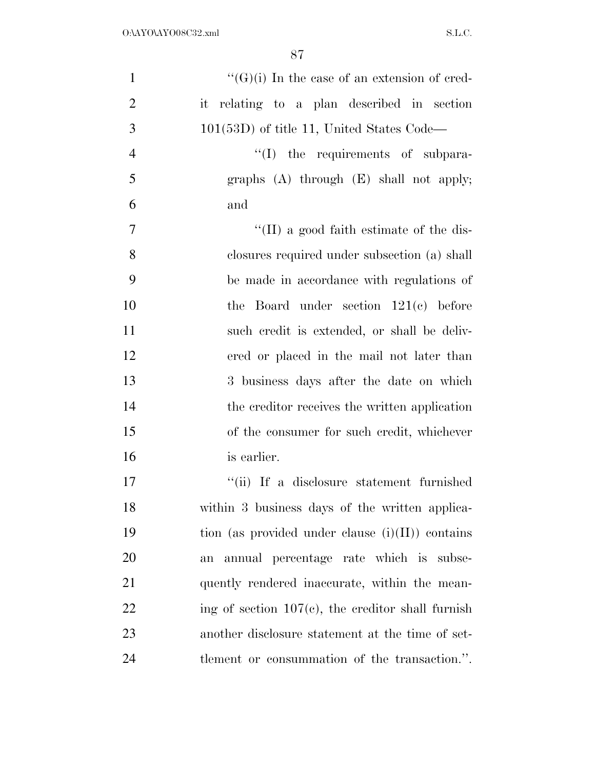| $\mathbf{1}$   | $\lq\lq(G)(i)$ In the case of an extension of cred-  |
|----------------|------------------------------------------------------|
| $\overline{2}$ | it relating to a plan described in section           |
| 3              | $101(53D)$ of title 11, United States Code—          |
| $\overline{4}$ | "(I) the requirements of subpara-                    |
| 5              | graphs $(A)$ through $(E)$ shall not apply;          |
| 6              | and                                                  |
| $\tau$         | $\lq\lq$ (II) a good faith estimate of the dis-      |
| 8              | closures required under subsection (a) shall         |
| 9              | be made in accordance with regulations of            |
| 10             | the Board under section $121(c)$ before              |
| 11             | such credit is extended, or shall be deliv-          |
| 12             | ered or placed in the mail not later than            |
| 13             | 3 business days after the date on which              |
| 14             | the creditor receives the written application        |
| 15             | of the consumer for such credit, whichever           |
| 16             | is earlier.                                          |
| 17             | "(ii) If a disclosure statement furnished            |
| 18             | within 3 business days of the written applica-       |
| 19             | tion (as provided under clause $(i)(II)$ ) contains  |
| 20             | annual percentage rate which is subse-<br>an         |
| 21             | quently rendered inaccurate, within the mean-        |
| 22             | ing of section $107(c)$ , the creditor shall furnish |
| 23             | another disclosure statement at the time of set-     |
| 24             | tlement or consummation of the transaction.".        |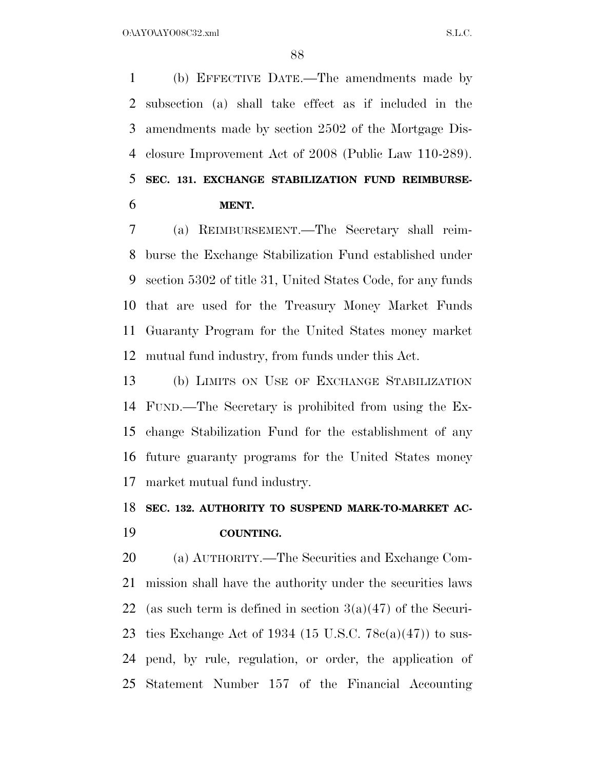(b) EFFECTIVE DATE.—The amendments made by subsection (a) shall take effect as if included in the amendments made by section 2502 of the Mortgage Dis- closure Improvement Act of 2008 (Public Law 110-289). **SEC. 131. EXCHANGE STABILIZATION FUND REIMBURSE-MENT.** 

 (a) REIMBURSEMENT.—The Secretary shall reim- burse the Exchange Stabilization Fund established under section 5302 of title 31, United States Code, for any funds that are used for the Treasury Money Market Funds Guaranty Program for the United States money market mutual fund industry, from funds under this Act.

 (b) LIMITS ON USE OF EXCHANGE STABILIZATION FUND.—The Secretary is prohibited from using the Ex- change Stabilization Fund for the establishment of any future guaranty programs for the United States money market mutual fund industry.

### **SEC. 132. AUTHORITY TO SUSPEND MARK-TO-MARKET AC-COUNTING.**

 (a) AUTHORITY.—The Securities and Exchange Com- mission shall have the authority under the securities laws 22 (as such term is defined in section  $3(a)(47)$  of the Securi-23 ties Exchange Act of 1934 (15 U.S.C.  $78c(a)(47)$ ) to sus- pend, by rule, regulation, or order, the application of Statement Number 157 of the Financial Accounting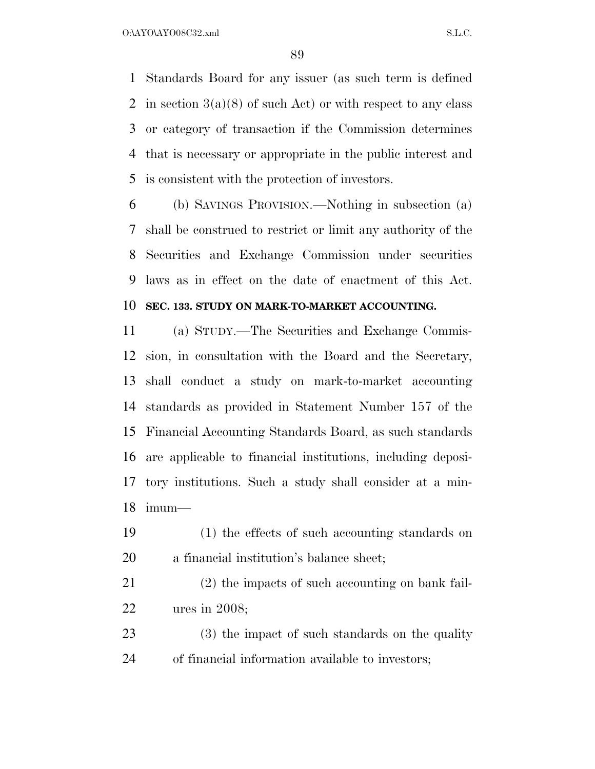O:\AYO\AYO08C32.xml S.L.C.

 Standards Board for any issuer (as such term is defined 2 in section  $3(a)(8)$  of such Act) or with respect to any class or category of transaction if the Commission determines that is necessary or appropriate in the public interest and is consistent with the protection of investors.

 (b) SAVINGS PROVISION.—Nothing in subsection (a) shall be construed to restrict or limit any authority of the Securities and Exchange Commission under securities laws as in effect on the date of enactment of this Act.

#### **SEC. 133. STUDY ON MARK-TO-MARKET ACCOUNTING.**

 (a) STUDY.—The Securities and Exchange Commis- sion, in consultation with the Board and the Secretary, shall conduct a study on mark-to-market accounting standards as provided in Statement Number 157 of the Financial Accounting Standards Board, as such standards are applicable to financial institutions, including deposi- tory institutions. Such a study shall consider at a min-imum—

- (1) the effects of such accounting standards on a financial institution's balance sheet;
- (2) the impacts of such accounting on bank fail-ures in 2008;
- (3) the impact of such standards on the quality of financial information available to investors;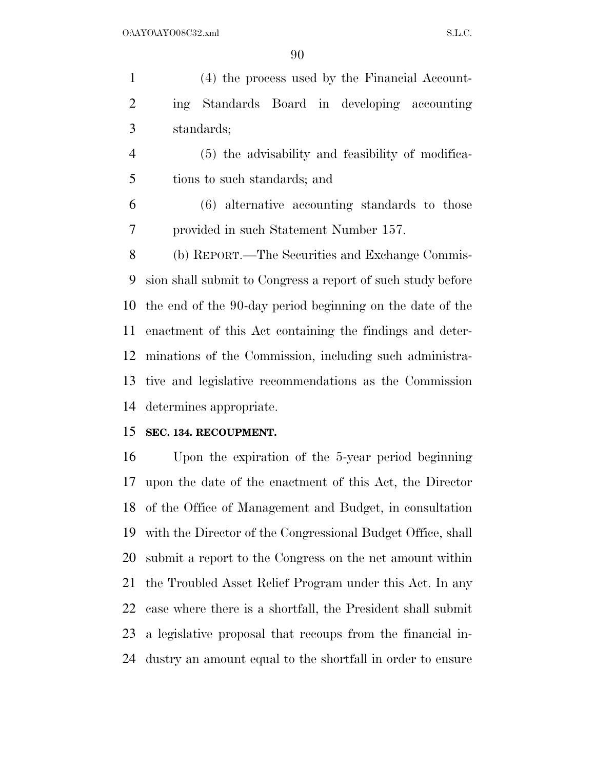(4) the process used by the Financial Account- ing Standards Board in developing accounting standards;

 (5) the advisability and feasibility of modifica-tions to such standards; and

 (6) alternative accounting standards to those provided in such Statement Number 157.

 (b) REPORT.—The Securities and Exchange Commis- sion shall submit to Congress a report of such study before the end of the 90-day period beginning on the date of the enactment of this Act containing the findings and deter- minations of the Commission, including such administra- tive and legislative recommendations as the Commission determines appropriate.

#### **SEC. 134. RECOUPMENT.**

 Upon the expiration of the 5-year period beginning upon the date of the enactment of this Act, the Director of the Office of Management and Budget, in consultation with the Director of the Congressional Budget Office, shall submit a report to the Congress on the net amount within the Troubled Asset Relief Program under this Act. In any case where there is a shortfall, the President shall submit a legislative proposal that recoups from the financial in-dustry an amount equal to the shortfall in order to ensure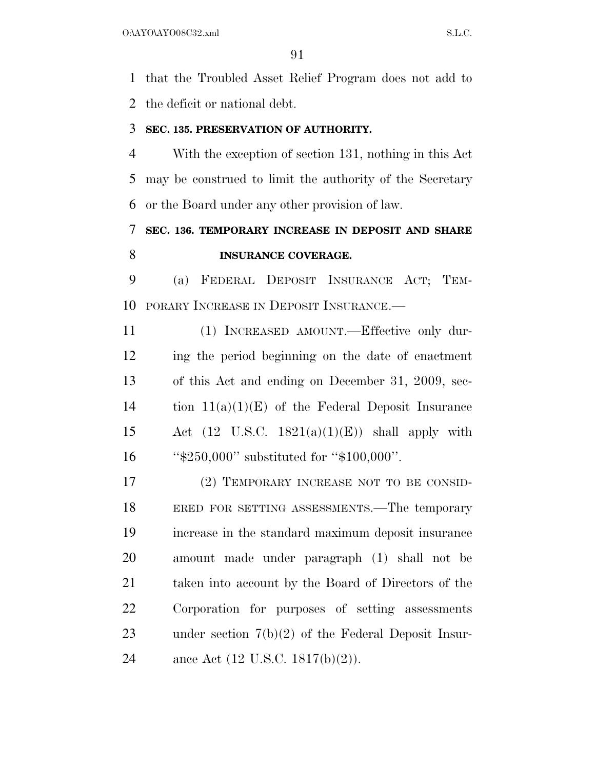that the Troubled Asset Relief Program does not add to the deficit or national debt.

#### **SEC. 135. PRESERVATION OF AUTHORITY.**

 With the exception of section 131, nothing in this Act may be construed to limit the authority of the Secretary or the Board under any other provision of law.

### **SEC. 136. TEMPORARY INCREASE IN DEPOSIT AND SHARE INSURANCE COVERAGE.**

 (a) FEDERAL DEPOSIT INSURANCE ACT; TEM-PORARY INCREASE IN DEPOSIT INSURANCE.—

 (1) INCREASED AMOUNT.—Effective only dur- ing the period beginning on the date of enactment of this Act and ending on December 31, 2009, sec-14 tion  $11(a)(1)(E)$  of the Federal Deposit Insurance 15 Act (12 U.S.C.  $1821(a)(1)(E)$ ) shall apply with ''\$250,000'' substituted for ''\$100,000''.

 (2) TEMPORARY INCREASE NOT TO BE CONSID- ERED FOR SETTING ASSESSMENTS.—The temporary increase in the standard maximum deposit insurance amount made under paragraph (1) shall not be taken into account by the Board of Directors of the Corporation for purposes of setting assessments under section 7(b)(2) of the Federal Deposit Insur-ance Act (12 U.S.C. 1817(b)(2)).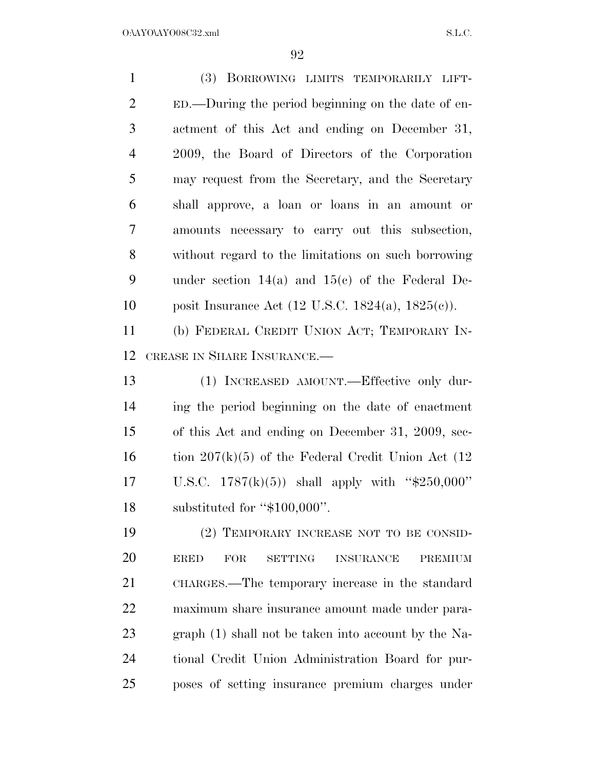(3) BORROWING LIMITS TEMPORARILY LIFT- ED.—During the period beginning on the date of en- actment of this Act and ending on December 31, 2009, the Board of Directors of the Corporation may request from the Secretary, and the Secretary shall approve, a loan or loans in an amount or amounts necessary to carry out this subsection, without regard to the limitations on such borrowing under section 14(a) and 15(c) of the Federal De- posit Insurance Act (12 U.S.C. 1824(a), 1825(c)). (b) FEDERAL CREDIT UNION ACT; TEMPORARY IN- CREASE IN SHARE INSURANCE.— (1) INCREASED AMOUNT.—Effective only dur- ing the period beginning on the date of enactment of this Act and ending on December 31, 2009, sec-16 tion  $207(k)(5)$  of the Federal Credit Union Act (12) U.S.C. 1787(k)(5)) shall apply with ''\$250,000'' substituted for ''\$100,000''. (2) TEMPORARY INCREASE NOT TO BE CONSID- ERED FOR SETTING INSURANCE PREMIUM CHARGES.—The temporary increase in the standard maximum share insurance amount made under para- graph (1) shall not be taken into account by the Na- tional Credit Union Administration Board for pur-poses of setting insurance premium charges under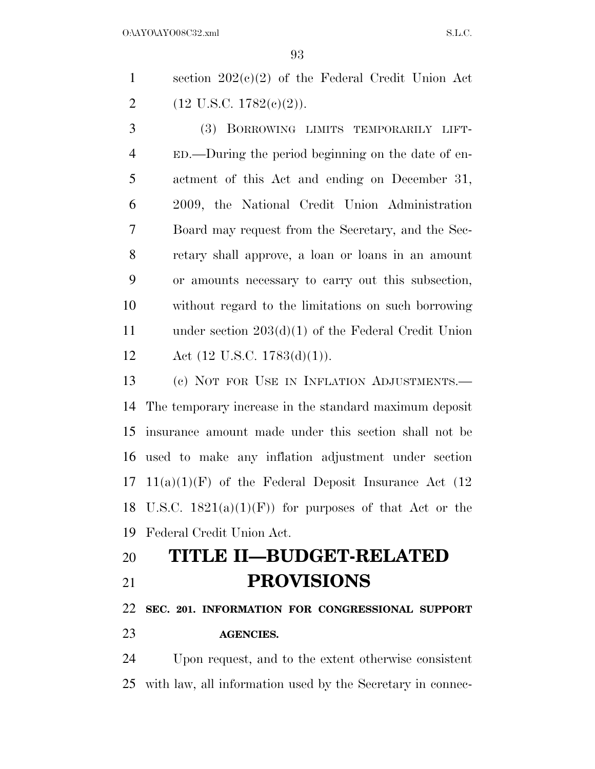section 202(c)(2) of the Federal Credit Union Act 2 (12 U.S.C. 1782(c)(2)).

 (3) BORROWING LIMITS TEMPORARILY LIFT- ED.—During the period beginning on the date of en- actment of this Act and ending on December 31, 2009, the National Credit Union Administration Board may request from the Secretary, and the Sec- retary shall approve, a loan or loans in an amount or amounts necessary to carry out this subsection, without regard to the limitations on such borrowing under section 203(d)(1) of the Federal Credit Union 12 Act  $(12 \text{ U.S.C. } 1783(d)(1))$ .

 (c) NOT FOR USE IN INFLATION ADJUSTMENTS.— The temporary increase in the standard maximum deposit insurance amount made under this section shall not be used to make any inflation adjustment under section 17 11(a)(1)(F) of the Federal Deposit Insurance Act  $(12)$ 18 U.S.C.  $1821(a)(1)(F)$  for purposes of that Act or the Federal Credit Union Act.

# **TITLE II—BUDGET-RELATED PROVISIONS**

 **SEC. 201. INFORMATION FOR CONGRESSIONAL SUPPORT AGENCIES.** 

 Upon request, and to the extent otherwise consistent with law, all information used by the Secretary in connec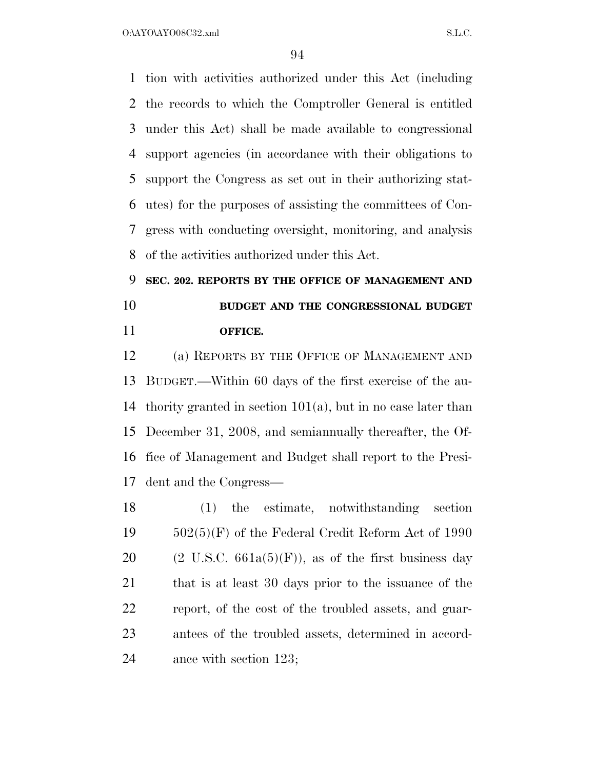O:\AYO\AYO08C32.xml S.L.C.

 tion with activities authorized under this Act (including the records to which the Comptroller General is entitled under this Act) shall be made available to congressional support agencies (in accordance with their obligations to support the Congress as set out in their authorizing stat- utes) for the purposes of assisting the committees of Con- gress with conducting oversight, monitoring, and analysis of the activities authorized under this Act.

## **SEC. 202. REPORTS BY THE OFFICE OF MANAGEMENT AND BUDGET AND THE CONGRESSIONAL BUDGET OFFICE.**

 (a) REPORTS BY THE OFFICE OF MANAGEMENT AND BUDGET.—Within 60 days of the first exercise of the au- thority granted in section 101(a), but in no case later than December 31, 2008, and semiannually thereafter, the Of- fice of Management and Budget shall report to the Presi-dent and the Congress—

 (1) the estimate, notwithstanding section 502(5)(F) of the Federal Credit Reform Act of 1990 20 (2 U.S.C.  $661a(5)(F)$ ), as of the first business day 21 that is at least 30 days prior to the issuance of the report, of the cost of the troubled assets, and guar- antees of the troubled assets, determined in accord-ance with section 123;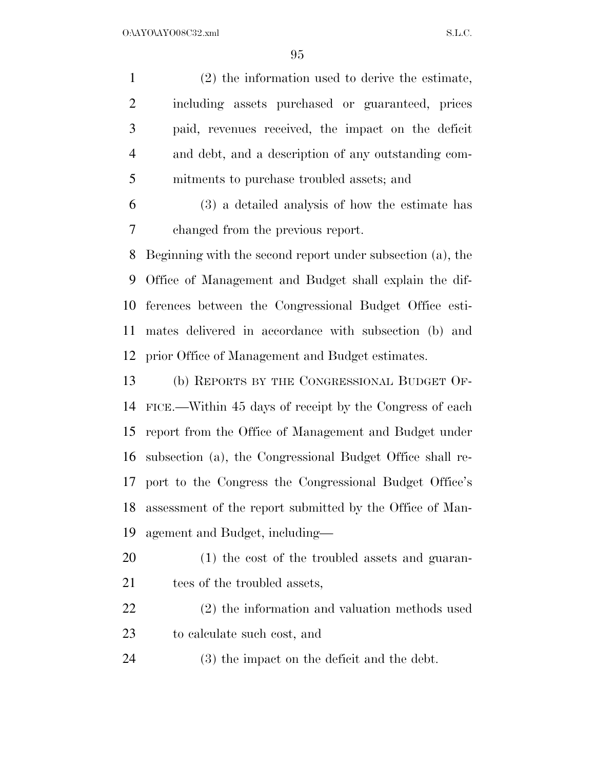(2) the information used to derive the estimate, including assets purchased or guaranteed, prices paid, revenues received, the impact on the deficit and debt, and a description of any outstanding com- mitments to purchase troubled assets; and (3) a detailed analysis of how the estimate has

changed from the previous report.

 Beginning with the second report under subsection (a), the Office of Management and Budget shall explain the dif- ferences between the Congressional Budget Office esti- mates delivered in accordance with subsection (b) and prior Office of Management and Budget estimates.

 (b) REPORTS BY THE CONGRESSIONAL BUDGET OF- FICE.—Within 45 days of receipt by the Congress of each report from the Office of Management and Budget under subsection (a), the Congressional Budget Office shall re- port to the Congress the Congressional Budget Office's assessment of the report submitted by the Office of Man-agement and Budget, including—

 (1) the cost of the troubled assets and guaran-21 tees of the troubled assets,

 (2) the information and valuation methods used to calculate such cost, and

(3) the impact on the deficit and the debt.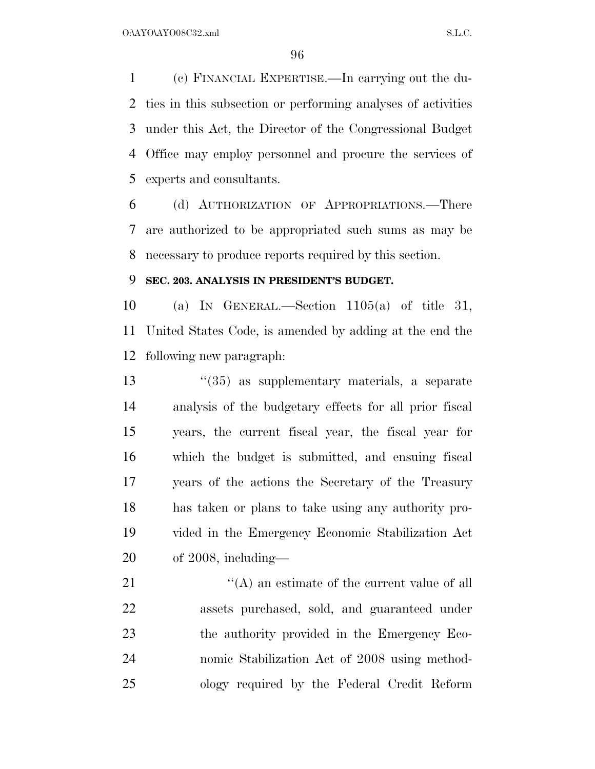(c) FINANCIAL EXPERTISE.—In carrying out the du- ties in this subsection or performing analyses of activities under this Act, the Director of the Congressional Budget Office may employ personnel and procure the services of experts and consultants.

 (d) AUTHORIZATION OF APPROPRIATIONS.—There are authorized to be appropriated such sums as may be necessary to produce reports required by this section.

#### **SEC. 203. ANALYSIS IN PRESIDENT'S BUDGET.**

 (a) IN GENERAL.—Section 1105(a) of title 31, United States Code, is amended by adding at the end the following new paragraph:

 ''(35) as supplementary materials, a separate analysis of the budgetary effects for all prior fiscal years, the current fiscal year, the fiscal year for which the budget is submitted, and ensuing fiscal years of the actions the Secretary of the Treasury has taken or plans to take using any authority pro- vided in the Emergency Economic Stabilization Act of 2008, including—

 $\langle (A)$  an estimate of the current value of all assets purchased, sold, and guaranteed under the authority provided in the Emergency Eco- nomic Stabilization Act of 2008 using method-ology required by the Federal Credit Reform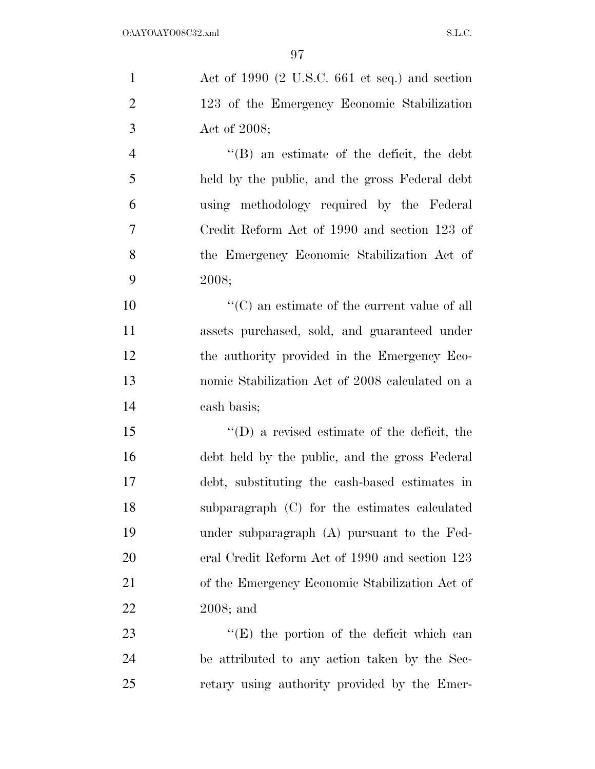| $\mathbf{1}$   | Act of 1990 $(2 \text{ U.S.C. } 661 \text{ et seq.})$ and section |
|----------------|-------------------------------------------------------------------|
| $\overline{2}$ | 123 of the Emergency Economic Stabilization                       |
| 3              | Act of 2008;                                                      |
| $\overline{4}$ | $\lq\lq$ an estimate of the deficit, the debt                     |
| 5              | held by the public, and the gross Federal debt                    |
| 6              | using methodology required by the Federal                         |
| 7              | Credit Reform Act of 1990 and section 123 of                      |
| 8              | the Emergency Economic Stabilization Act of                       |
| 9              | 2008;                                                             |
| 10             | $\lq\lq (C)$ an estimate of the current value of all              |
| 11             | assets purchased, sold, and guaranteed under                      |
| 12             | the authority provided in the Emergency Eco-                      |
| 13             | nomic Stabilization Act of 2008 calculated on a                   |
| 14             | cash basis;                                                       |
| 15             | $\lq\lq$ (D) a revised estimate of the deficit, the               |
| 16             | debt held by the public, and the gross Federal                    |
| 17             | debt, substituting the cash-based estimates in                    |
| 18             | subparagraph (C) for the estimates calculated                     |
| 19             | under subparagraph (A) pursuant to the Fed-                       |
| 20             | eral Credit Reform Act of 1990 and section 123                    |
| 21             | of the Emergency Economic Stabilization Act of                    |
| 22             | $2008$ ; and                                                      |
| 23             | $\lq\lq(E)$ the portion of the deficit which can                  |
| 24             | be attributed to any action taken by the Sec-                     |
| 25             | retary using authority provided by the Emer-                      |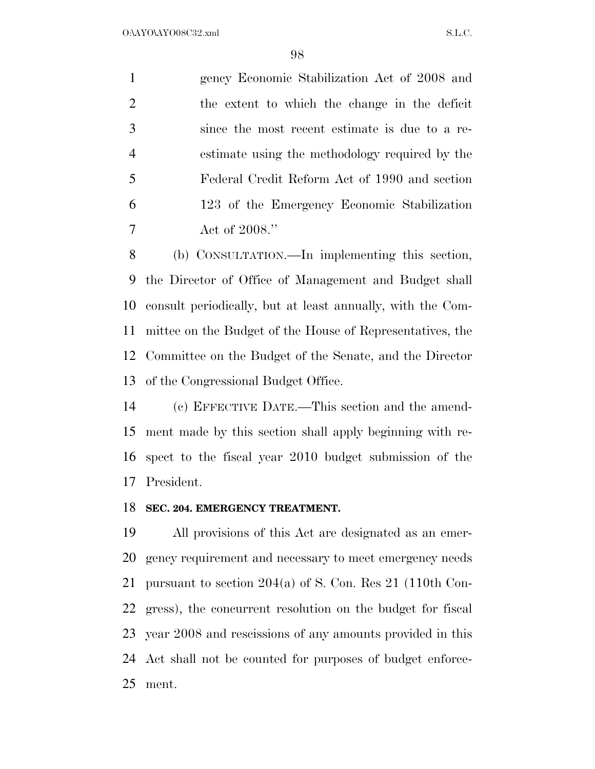gency Economic Stabilization Act of 2008 and the extent to which the change in the deficit since the most recent estimate is due to a re- estimate using the methodology required by the Federal Credit Reform Act of 1990 and section 123 of the Emergency Economic Stabilization Act of 2008.''

 (b) CONSULTATION.—In implementing this section, the Director of Office of Management and Budget shall consult periodically, but at least annually, with the Com- mittee on the Budget of the House of Representatives, the Committee on the Budget of the Senate, and the Director of the Congressional Budget Office.

 (c) EFFECTIVE DATE.—This section and the amend- ment made by this section shall apply beginning with re- spect to the fiscal year 2010 budget submission of the President.

#### **SEC. 204. EMERGENCY TREATMENT.**

 All provisions of this Act are designated as an emer- gency requirement and necessary to meet emergency needs pursuant to section 204(a) of S. Con. Res 21 (110th Con- gress), the concurrent resolution on the budget for fiscal year 2008 and rescissions of any amounts provided in this Act shall not be counted for purposes of budget enforce-ment.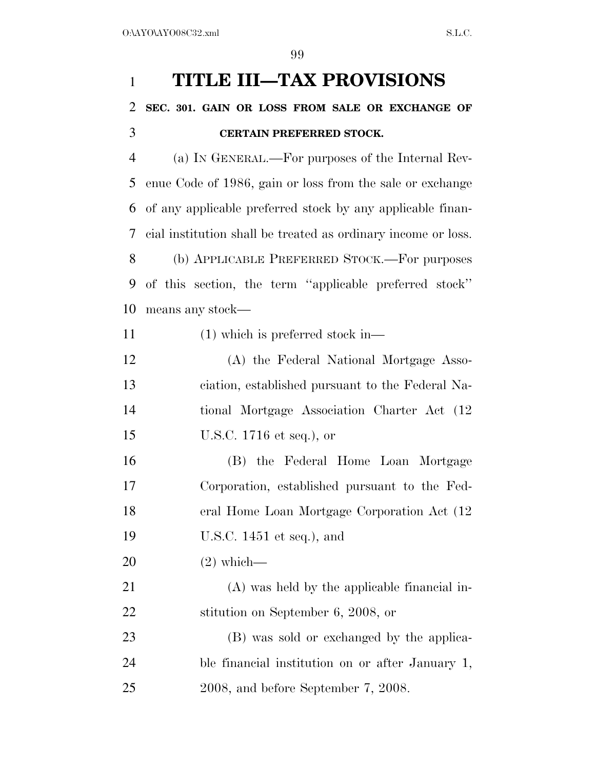# **TITLE III—TAX PROVISIONS SEC. 301. GAIN OR LOSS FROM SALE OR EXCHANGE OF CERTAIN PREFERRED STOCK.**  (a) IN GENERAL.—For purposes of the Internal Rev- enue Code of 1986, gain or loss from the sale or exchange of any applicable preferred stock by any applicable finan- cial institution shall be treated as ordinary income or loss. (b) APPLICABLE PREFERRED STOCK.—For purposes of this section, the term ''applicable preferred stock'' means any stock— 11 (1) which is preferred stock in— (A) the Federal National Mortgage Asso- ciation, established pursuant to the Federal Na- tional Mortgage Association Charter Act (12 U.S.C. 1716 et seq.), or (B) the Federal Home Loan Mortgage Corporation, established pursuant to the Fed- eral Home Loan Mortgage Corporation Act (12 U.S.C. 1451 et seq.), and (2) which— (A) was held by the applicable financial in-22 stitution on September 6, 2008, or (B) was sold or exchanged by the applica- ble financial institution on or after January 1, 2008, and before September 7, 2008.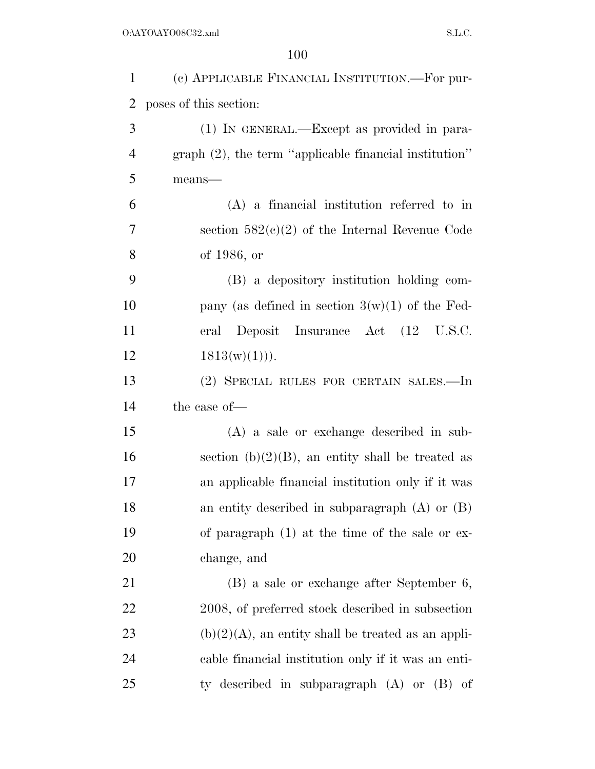| $\mathbf{1}$   | (c) APPLICABLE FINANCIAL INSTITUTION.—For pur-            |
|----------------|-----------------------------------------------------------|
| $\overline{2}$ | poses of this section:                                    |
| 3              | (1) IN GENERAL.—Except as provided in para-               |
| $\overline{4}$ | graph $(2)$ , the term "applicable financial institution" |
| 5              | means-                                                    |
| 6              | $(A)$ a financial institution referred to in              |
| 7              | section $582(c)(2)$ of the Internal Revenue Code          |
| 8              | of 1986, or                                               |
| 9              | (B) a depository institution holding com-                 |
| 10             | pany (as defined in section $3(w)(1)$ of the Fed-         |
| 11             | eral Deposit Insurance Act (12 U.S.C.                     |
| 12             | $1813(w)(1))$ .                                           |
| 13             | (2) SPECIAL RULES FOR CERTAIN SALES.—In                   |
| 14             | the case of-                                              |
| 15             | (A) a sale or exchange described in sub-                  |
| 16             | section $(b)(2)(B)$ , an entity shall be treated as       |
| 17             | an applicable financial institution only if it was        |
| 18             | an entity described in subparagraph $(A)$ or $(B)$        |
| 19             | of paragraph $(1)$ at the time of the sale or ex-         |
| 20             | change, and                                               |
| 21             | (B) a sale or exchange after September 6,                 |
| 22             | 2008, of preferred stock described in subsection          |
| 23             | $(b)(2)(A)$ , an entity shall be treated as an appli-     |
| 24             | cable financial institution only if it was an enti-       |
| 25             | ty described in subparagraph $(A)$ or $(B)$ of            |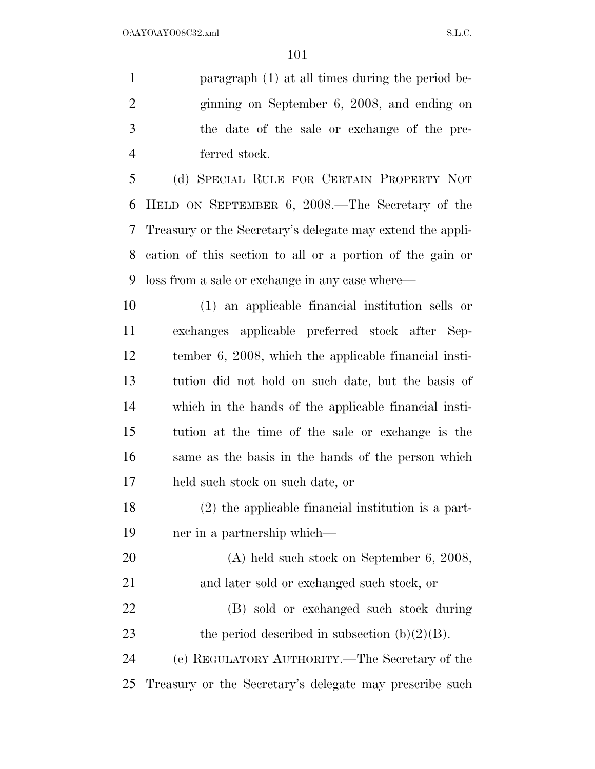paragraph (1) at all times during the period be- ginning on September 6, 2008, and ending on the date of the sale or exchange of the pre-ferred stock.

 (d) SPECIAL RULE FOR CERTAIN PROPERTY NOT HELD ON SEPTEMBER 6, 2008.—The Secretary of the Treasury or the Secretary's delegate may extend the appli- cation of this section to all or a portion of the gain or loss from a sale or exchange in any case where—

 (1) an applicable financial institution sells or exchanges applicable preferred stock after Sep- tember 6, 2008, which the applicable financial insti- tution did not hold on such date, but the basis of which in the hands of the applicable financial insti- tution at the time of the sale or exchange is the same as the basis in the hands of the person which held such stock on such date, or

 (2) the applicable financial institution is a part-ner in a partnership which—

 (A) held such stock on September 6, 2008, and later sold or exchanged such stock, or (B) sold or exchanged such stock during 23 the period described in subsection  $(b)(2)(B)$ .

 (e) REGULATORY AUTHORITY.—The Secretary of the Treasury or the Secretary's delegate may prescribe such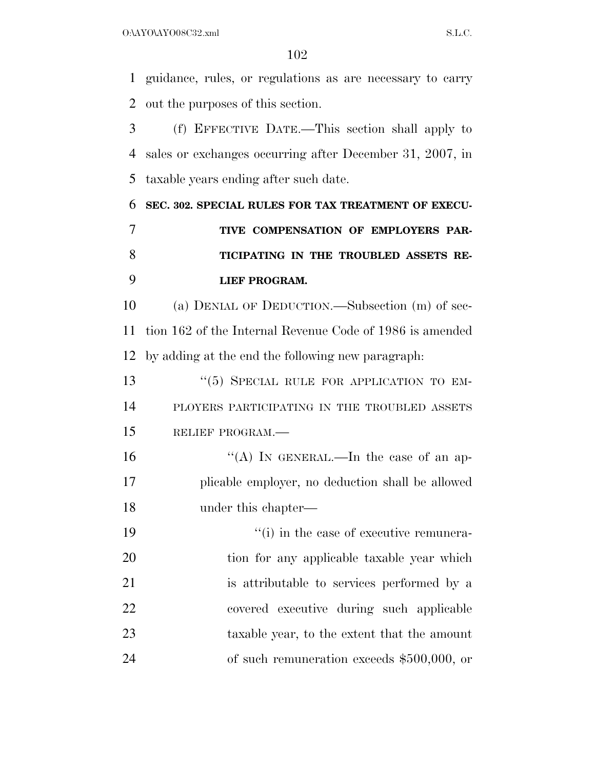guidance, rules, or regulations as are necessary to carry out the purposes of this section.

 (f) EFFECTIVE DATE.—This section shall apply to sales or exchanges occurring after December 31, 2007, in taxable years ending after such date.

 **SEC. 302. SPECIAL RULES FOR TAX TREATMENT OF EXECU- TIVE COMPENSATION OF EMPLOYERS PAR- TICIPATING IN THE TROUBLED ASSETS RE-LIEF PROGRAM.** 

 (a) DENIAL OF DEDUCTION.—Subsection (m) of sec- tion 162 of the Internal Revenue Code of 1986 is amended by adding at the end the following new paragraph:

13 "(5) SPECIAL RULE FOR APPLICATION TO EM- PLOYERS PARTICIPATING IN THE TROUBLED ASSETS RELIEF PROGRAM.—

16  $((A)$  In GENERAL.—In the case of an ap- plicable employer, no deduction shall be allowed under this chapter—

 $\frac{1}{1}$  in the case of executive remunera-20 tion for any applicable taxable year which is attributable to services performed by a covered executive during such applicable taxable year, to the extent that the amount of such remuneration exceeds \$500,000, or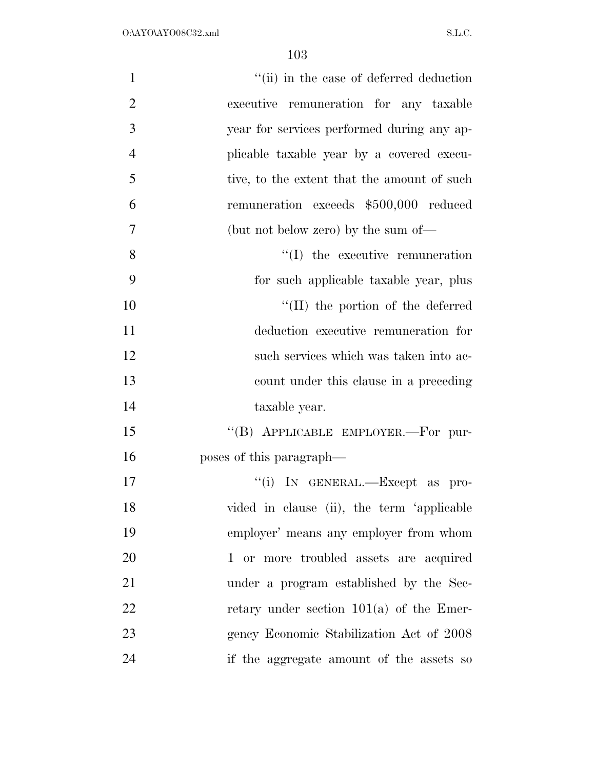| $\mathbf{1}$   | "(ii) in the case of deferred deduction     |
|----------------|---------------------------------------------|
| $\overline{2}$ | executive remuneration for any taxable      |
| 3              | year for services performed during any ap-  |
| $\overline{4}$ | plicable taxable year by a covered execu-   |
| 5              | tive, to the extent that the amount of such |
| 6              | remuneration exceeds \$500,000 reduced      |
| $\overline{7}$ | (but not below zero) by the sum of—         |
| 8              | $\lq\lq$ the executive remuneration         |
| 9              | for such applicable taxable year, plus      |
| 10             | "(II) the portion of the deferred           |
| 11             | deduction executive remuneration for        |
| 12             | such services which was taken into ac-      |
| 13             | count under this clause in a preceding      |
| 14             | taxable year.                               |
| 15             | "(B) APPLICABLE EMPLOYER.—For pur-          |
| 16             | poses of this paragraph—                    |
| 17             | "(i) IN GENERAL.-Except as pro-             |
| 18             | vided in clause (ii), the term 'applicable  |
| 19             | employer' means any employer from whom      |
| 20             | 1 or more troubled assets are acquired      |
| 21             | under a program established by the Sec-     |
| 22             | retary under section $101(a)$ of the Emer-  |
| 23             | gency Economic Stabilization Act of 2008    |
| 24             | if the aggregate amount of the assets so    |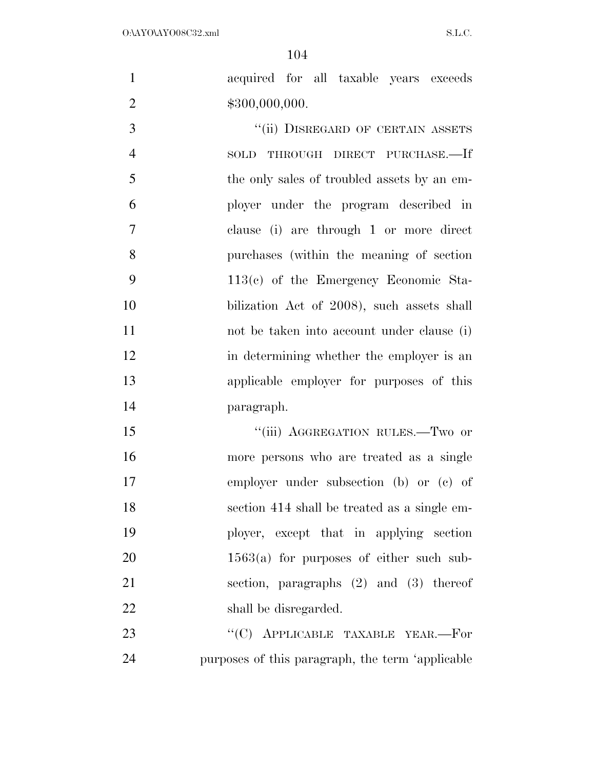acquired for all taxable years exceeds 2 \$300,000,000.

3 "(ii) DISREGARD OF CERTAIN ASSETS SOLD THROUGH DIRECT PURCHASE.—If 5 the only sales of troubled assets by an em- ployer under the program described in clause (i) are through 1 or more direct purchases (within the meaning of section 113(c) of the Emergency Economic Sta- bilization Act of 2008), such assets shall not be taken into account under clause (i) 12 in determining whether the employer is an applicable employer for purposes of this paragraph.

15 ""(iii) AGGREGATION RULES.—Two or more persons who are treated as a single employer under subsection (b) or (c) of section 414 shall be treated as a single em- ployer, except that in applying section 20 1563(a) for purposes of either such sub- section, paragraphs (2) and (3) thereof 22 shall be disregarded.

23 "'(C) APPLICABLE TAXABLE YEAR.—For purposes of this paragraph, the term 'applicable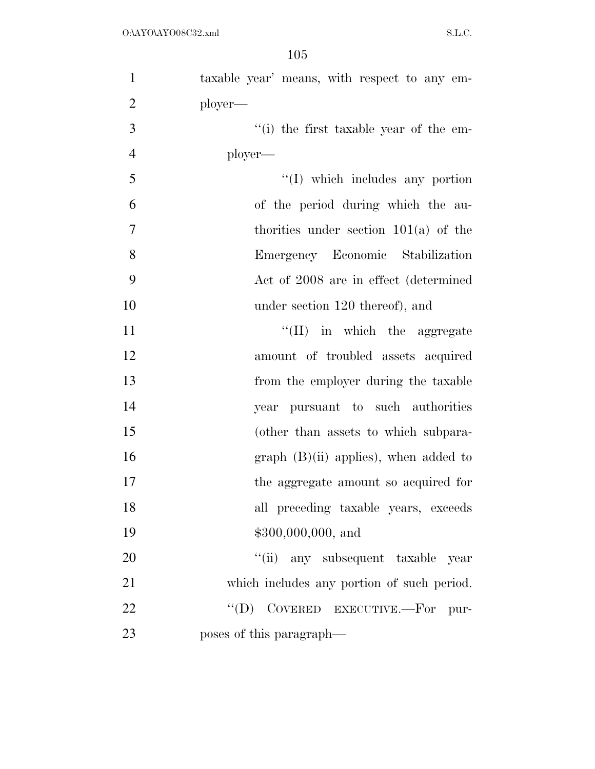| $\mathbf{1}$   | taxable year' means, with respect to any em-   |
|----------------|------------------------------------------------|
| $\overline{2}$ | ployer—                                        |
| 3              | "(i) the first taxable year of the em-         |
| $\overline{4}$ | ployer—                                        |
| 5              | $\lq\lq$ which includes any portion            |
| 6              | of the period during which the au-             |
| $\overline{7}$ | thorities under section $101(a)$ of the        |
| $8\,$          | Emergency Economic Stabilization               |
| 9              | Act of 2008 are in effect (determined          |
| 10             | under section 120 thereof), and                |
| 11             | $\lq\lq$ (II) in which the aggregate           |
| 12             | amount of troubled assets acquired             |
| 13             | from the employer during the taxable           |
| 14             | year pursuant to such authorities              |
| 15             | (other than assets to which subpara-           |
| 16             | $graph$ (B)(ii) applies), when added to        |
| 17             | the aggregate amount so acquired for           |
| 18             | all preceding taxable years, exceeds           |
| 19             | $$300,000,000,$ and                            |
| 20             | "(ii) any subsequent taxable year              |
| 21             | which includes any portion of such period.     |
| 22             | $\lq\lq (D)$<br>COVERED EXECUTIVE.—For<br>pur- |
| 23             | poses of this paragraph—                       |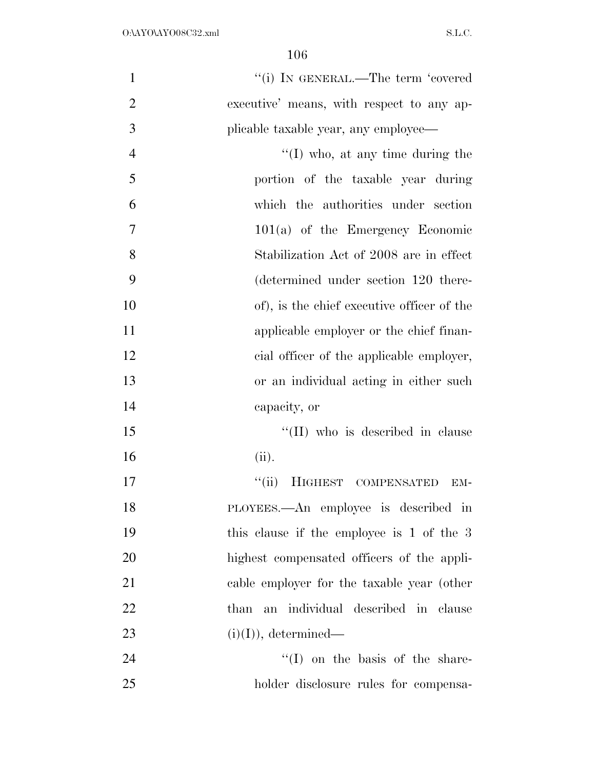| $\mathbf{1}$   | "(i) IN GENERAL.—The term 'covered         |
|----------------|--------------------------------------------|
| $\overline{2}$ | executive' means, with respect to any ap-  |
| 3              | plicable taxable year, any employee—       |
| $\overline{4}$ | $\lq\lq$ (I) who, at any time during the   |
| 5              | portion of the taxable year during         |
| 6              | which the authorities under section        |
| 7              | $101(a)$ of the Emergency Economic         |
| 8              | Stabilization Act of 2008 are in effect    |
| 9              | (determined under section 120 there-       |
| 10             | of), is the chief executive officer of the |
| 11             | applicable employer or the chief finan-    |
| 12             | cial officer of the applicable employer,   |
| 13             | or an individual acting in either such     |
| 14             | capacity, or                               |
| 15             | $\lq\lq$ (II) who is described in clause   |
| 16             | (ii).                                      |
| 17             | ``(ii)<br>HIGHEST COMPENSATED<br>EM-       |
| 18             | PLOYEES.—An employee is described in       |
| 19             | this clause if the employee is 1 of the 3  |
| 20             | highest compensated officers of the appli- |
| 21             | cable employer for the taxable year (other |
| 22             | than an individual described in clause     |
| 23             | $(i)(I)$ , determined—                     |
| 24             | $\lq\lq$ (I) on the basis of the share-    |
| 25             | holder disclosure rules for compensa-      |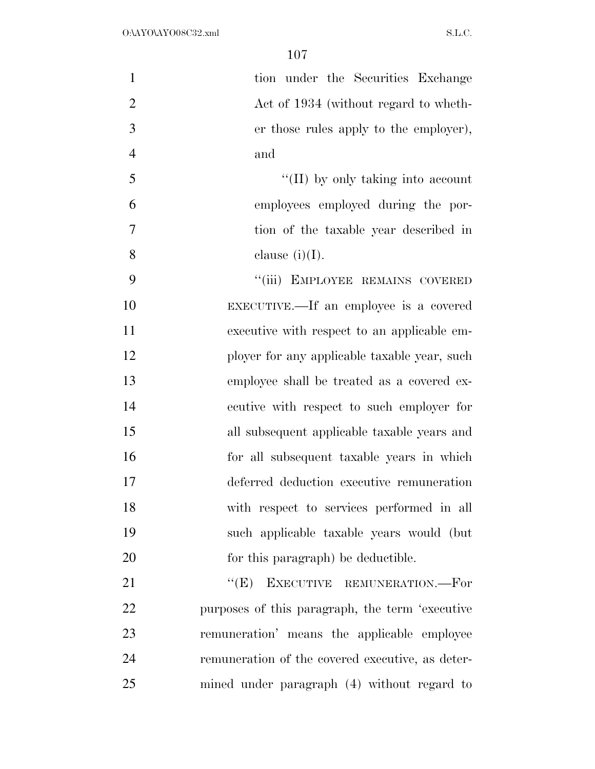| $\mathbf{1}$   | tion under the Securities Exchange               |
|----------------|--------------------------------------------------|
|                |                                                  |
| $\overline{2}$ | Act of 1934 (without regard to wheth-            |
| 3              | er those rules apply to the employer),           |
| $\overline{4}$ | and                                              |
| 5              | $\lq\lq$ (II) by only taking into account        |
| 6              | employees employed during the por-               |
| 7              | tion of the taxable year described in            |
| 8              | clause $(i)(I)$ .                                |
| 9              | "(iii) EMPLOYEE REMAINS COVERED                  |
| 10             | EXECUTIVE.—If an employee is a covered           |
| 11             | executive with respect to an applicable em-      |
| 12             | ployer for any applicable taxable year, such     |
| 13             | employee shall be treated as a covered ex-       |
| 14             | ecutive with respect to such employer for        |
| 15             | all subsequent applicable taxable years and      |
| 16             | for all subsequent taxable years in which        |
| 17             | deferred deduction executive remuneration        |
| 18             | with respect to services performed in all        |
| 19             | such applicable taxable years would (but         |
| 20             | for this paragraph) be deductible.               |
| 21             | ``(E)<br>EXECUTIVE REMUNERATION.--For            |
| 22             | purposes of this paragraph, the term 'executive  |
| 23             | remuneration' means the applicable employee      |
| 24             | remuneration of the covered executive, as deter- |
| 25             | mined under paragraph (4) without regard to      |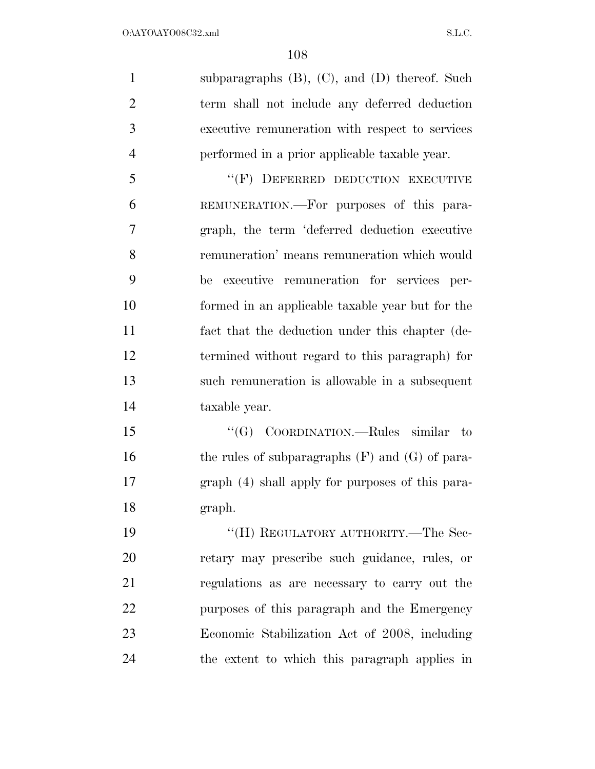subparagraphs (B), (C), and (D) thereof. Such term shall not include any deferred deduction executive remuneration with respect to services performed in a prior applicable taxable year.

5 "(F) DEFERRED DEDUCTION EXECUTIVE REMUNERATION.—For purposes of this para- graph, the term 'deferred deduction executive remuneration' means remuneration which would be executive remuneration for services per- formed in an applicable taxable year but for the fact that the deduction under this chapter (de- termined without regard to this paragraph) for such remuneration is allowable in a subsequent taxable year.

15 "(G) COORDINATION.—Rules similar to 16 the rules of subparagraphs (F) and (G) of para- graph (4) shall apply for purposes of this para-graph.

19 "'(H) REGULATORY AUTHORITY.—The Sec- retary may prescribe such guidance, rules, or regulations as are necessary to carry out the purposes of this paragraph and the Emergency Economic Stabilization Act of 2008, including the extent to which this paragraph applies in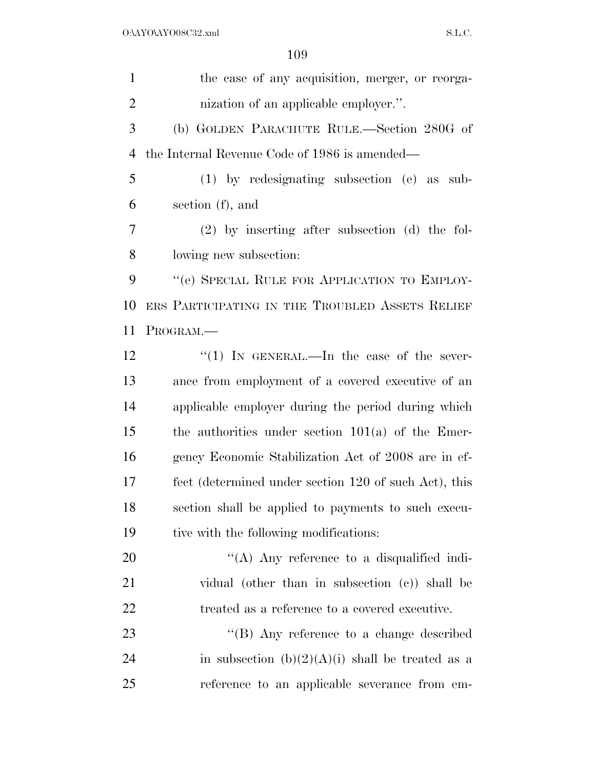| $\mathbf{1}$   | the case of any acquisition, merger, or reorga-       |
|----------------|-------------------------------------------------------|
| $\overline{2}$ | nization of an applicable employer.".                 |
| 3              | (b) GOLDEN PARACHUTE RULE.—Section 280G of            |
| 4              | the Internal Revenue Code of 1986 is amended—         |
| 5              | $(1)$ by redesignating subsection $(e)$ as<br>sub-    |
| 6              | section (f), and                                      |
| 7              | $(2)$ by inserting after subsection (d) the fol-      |
| 8              | lowing new subsection:                                |
| 9              | "(e) SPECIAL RULE FOR APPLICATION TO EMPLOY-          |
| 10             | ERS PARTICIPATING IN THE TROUBLED ASSETS RELIEF       |
| 11             | PROGRAM.                                              |
| 12             | "(1) IN GENERAL.—In the case of the sever-            |
| 13             | ance from employment of a covered executive of an     |
| 14             | applicable employer during the period during which    |
| 15             | the authorities under section $101(a)$ of the Emer-   |
| 16             | gency Economic Stabilization Act of 2008 are in ef-   |
| 17             | fect (determined under section 120 of such Act), this |
| 18             | section shall be applied to payments to such execu-   |
| 19             | tive with the following modifications:                |
| 20             | $\lq\lq$ . Any reference to a disqualified indi-      |
| 21             | vidual (other than in subsection (c)) shall be        |
| 22             | treated as a reference to a covered executive.        |
| 23             | "(B) Any reference to a change described              |
| 24             | in subsection $(b)(2)(A)(i)$ shall be treated as a    |
| 25             | reference to an applicable severance from em-         |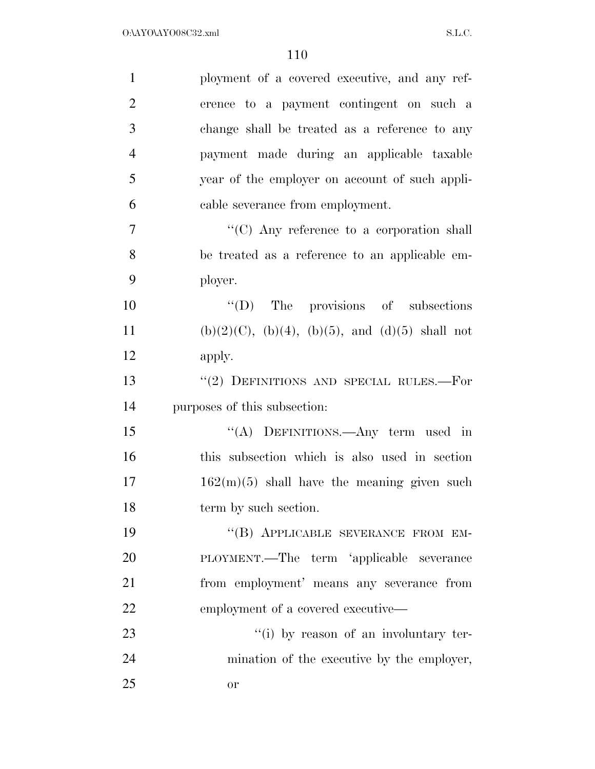| $\mathbf{1}$   | ployment of a covered executive, and any ref-              |
|----------------|------------------------------------------------------------|
| $\overline{2}$ | erence to a payment contingent on such a                   |
| 3              | change shall be treated as a reference to any              |
| $\overline{4}$ | payment made during an applicable taxable                  |
| 5              | year of the employer on account of such appli-             |
| 6              | cable severance from employment.                           |
| 7              | "(C) Any reference to a corporation shall                  |
| 8              | be treated as a reference to an applicable em-             |
| 9              | ployer.                                                    |
| 10             | $\lq\lq$ (D) The provisions of subsections                 |
| 11             | $(b)(2)(C)$ , $(b)(4)$ , $(b)(5)$ , and $(d)(5)$ shall not |
| 12             | apply.                                                     |
| 13             | "(2) DEFINITIONS AND SPECIAL RULES.-For                    |
| 14             | purposes of this subsection:                               |
| 15             | "(A) DEFINITIONS.—Any term used in                         |
| 16             | this subsection which is also used in section              |
| 17             | $162(m)(5)$ shall have the meaning given such              |
| 18             | term by such section.                                      |
| 19             | "(B) APPLICABLE SEVERANCE FROM EM-                         |
| 20             | PLOYMENT.—The term 'applicable severance                   |
| 21             | from employment' means any severance from                  |
| 22             | employment of a covered executive—                         |
| 23             | "(i) by reason of an involuntary ter-                      |
| 24             | mination of the executive by the employer,                 |
| 25             | or                                                         |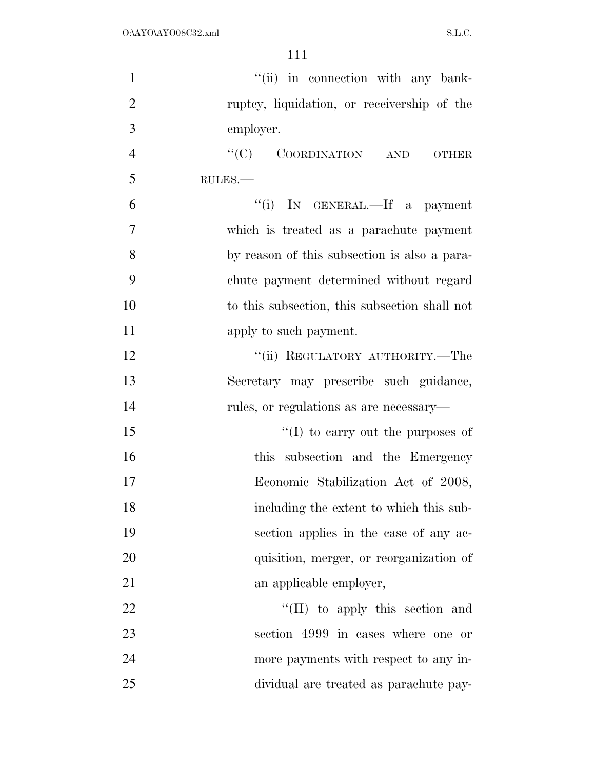| $\mathbf{1}$   | "(ii) in connection with any bank-            |
|----------------|-----------------------------------------------|
| $\overline{2}$ | ruptcy, liquidation, or receivership of the   |
| 3              | employer.                                     |
| $\overline{4}$ | "(C) COORDINATION AND<br><b>OTHER</b>         |
| 5              | RULES.-                                       |
| 6              | "(i) IN GENERAL.—If a payment                 |
| $\tau$         | which is treated as a parachute payment       |
| 8              | by reason of this subsection is also a para-  |
| 9              | chute payment determined without regard       |
| 10             | to this subsection, this subsection shall not |
| 11             | apply to such payment.                        |
| 12             | "(ii) REGULATORY AUTHORITY.—The               |
| 13             | Secretary may prescribe such guidance,        |
| 14             | rules, or regulations as are necessary—       |
| 15             | "(I) to carry out the purposes of             |
| 16             | this subsection and the Emergency             |
| 17             | Economic Stabilization Act of 2008,           |
| 18             | including the extent to which this sub-       |
| 19             | section applies in the case of any ac-        |
| 20             | quisition, merger, or reorganization of       |
| 21             | an applicable employer,                       |
| 22             | "(II) to apply this section and               |
| 23             | section 4999 in cases where one or            |
| 24             | more payments with respect to any in-         |
| 25             | dividual are treated as parachute pay-        |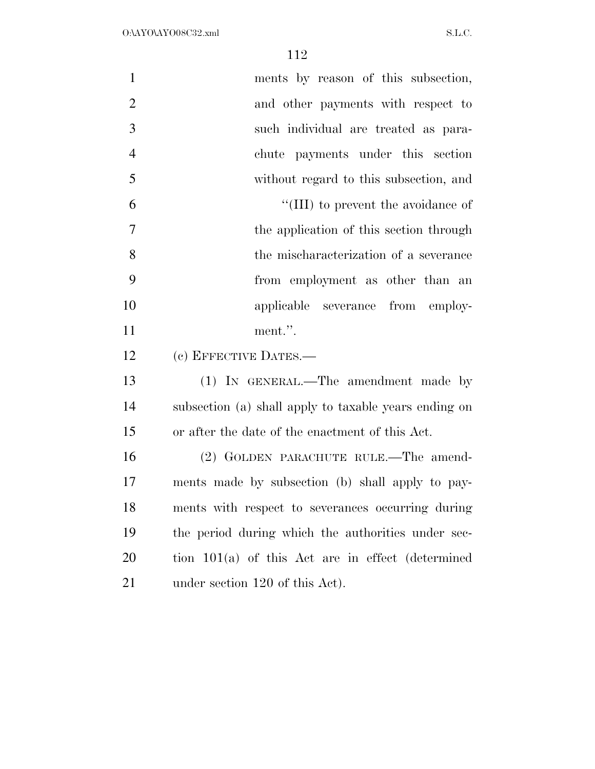| $\mathbf{1}$   | ments by reason of this subsection,                   |
|----------------|-------------------------------------------------------|
| $\overline{2}$ | and other payments with respect to                    |
| 3              | such individual are treated as para-                  |
| $\overline{4}$ | chute payments under this section                     |
| 5              | without regard to this subsection, and                |
| 6              | "(III) to prevent the avoidance of                    |
| $\tau$         | the application of this section through               |
| 8              | the mischaracterization of a severance                |
| 9              | from employment as other than an                      |
| 10             | applicable severance from employ-                     |
| 11             | ment.".                                               |
| 12             | (c) EFFECTIVE DATES.—                                 |
| 13             | (1) IN GENERAL.—The amendment made by                 |
| 14             | subsection (a) shall apply to taxable years ending on |
| 15             | or after the date of the enactment of this Act.       |
| 16             | (2) GOLDEN PARACHUTE RULE.—The amend-                 |
| 17             | ments made by subsection (b) shall apply to pay-      |
| 18             | ments with respect to severances occurring during     |
| 19             | the period during which the authorities under sec-    |
| 20             | tion $101(a)$ of this Act are in effect (determined   |
| 21             | under section 120 of this Act).                       |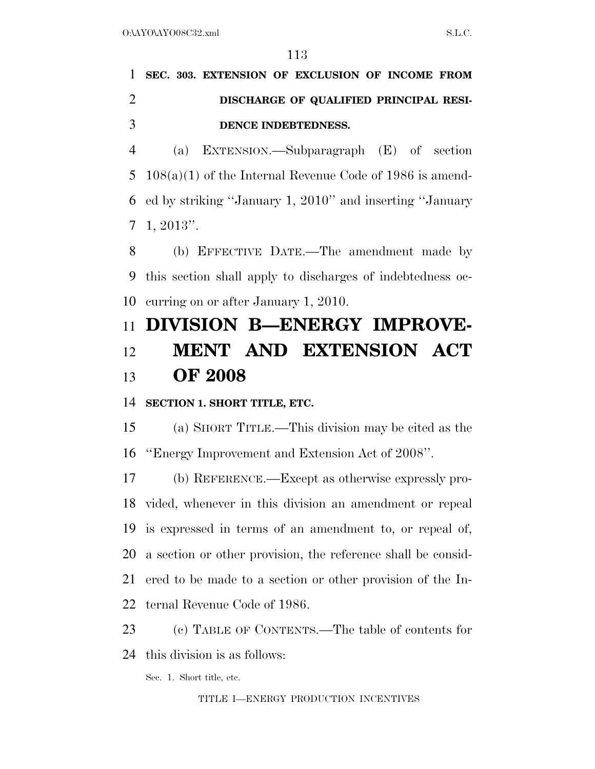# **SEC. 303. EXTENSION OF EXCLUSION OF INCOME FROM DISCHARGE OF QUALIFIED PRINCIPAL RESI-DENCE INDEBTEDNESS.**

 (a) EXTENSION.—Subparagraph (E) of section 108(a)(1) of the Internal Revenue Code of 1986 is amend- ed by striking ''January 1, 2010'' and inserting ''January 1, 2013''.

 (b) EFFECTIVE DATE.—The amendment made by this section shall apply to discharges of indebtedness oc-curring on or after January 1, 2010.

# **DIVISION B—ENERGY IMPROVE- MENT AND EXTENSION ACT OF 2008**

### **SECTION 1. SHORT TITLE, ETC.**

 (a) SHORT TITLE.—This division may be cited as the ''Energy Improvement and Extension Act of 2008''.

 (b) REFERENCE.—Except as otherwise expressly pro- vided, whenever in this division an amendment or repeal is expressed in terms of an amendment to, or repeal of, a section or other provision, the reference shall be consid- ered to be made to a section or other provision of the In-ternal Revenue Code of 1986.

 (c) TABLE OF CONTENTS.—The table of contents for this division is as follows:

Sec. 1. Short title, etc.

TITLE I—ENERGY PRODUCTION INCENTIVES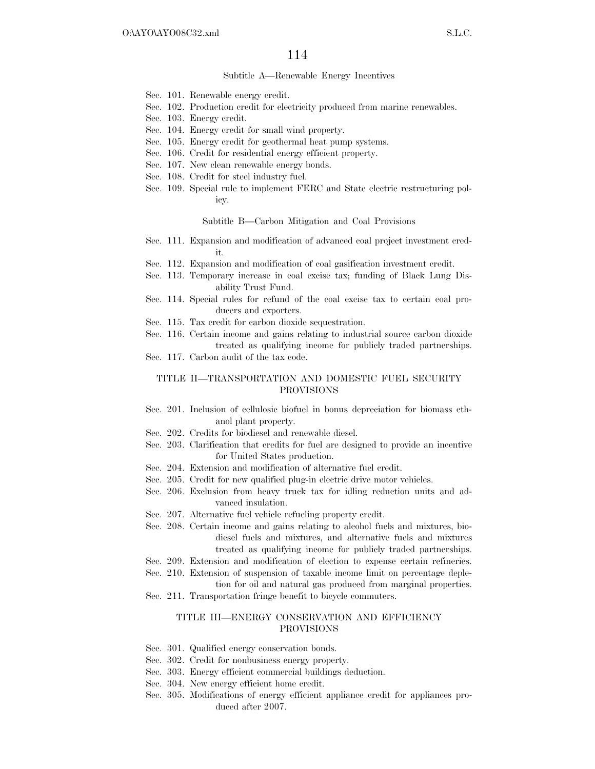#### Subtitle A—Renewable Energy Incentives

- Sec. 101. Renewable energy credit.
- Sec. 102. Production credit for electricity produced from marine renewables.
- Sec. 103. Energy credit.
- Sec. 104. Energy credit for small wind property.
- Sec. 105. Energy credit for geothermal heat pump systems.
- Sec. 106. Credit for residential energy efficient property.
- Sec. 107. New clean renewable energy bonds.
- Sec. 108. Credit for steel industry fuel.
- Sec. 109. Special rule to implement FERC and State electric restructuring policy.

#### Subtitle B—Carbon Mitigation and Coal Provisions

- Sec. 111. Expansion and modification of advanced coal project investment credit.
- Sec. 112. Expansion and modification of coal gasification investment credit.
- Sec. 113. Temporary increase in coal excise tax; funding of Black Lung Disability Trust Fund.
- Sec. 114. Special rules for refund of the coal excise tax to certain coal producers and exporters.
- Sec. 115. Tax credit for carbon dioxide sequestration.
- Sec. 116. Certain income and gains relating to industrial source carbon dioxide treated as qualifying income for publicly traded partnerships.
- Sec. 117. Carbon audit of the tax code.

### TITLE II—TRANSPORTATION AND DOMESTIC FUEL SECURITY PROVISIONS

- Sec. 201. Inclusion of cellulosic biofuel in bonus depreciation for biomass ethanol plant property.
- Sec. 202. Credits for biodiesel and renewable diesel.
- Sec. 203. Clarification that credits for fuel are designed to provide an incentive for United States production.
- Sec. 204. Extension and modification of alternative fuel credit.
- Sec. 205. Credit for new qualified plug-in electric drive motor vehicles.
- Sec. 206. Exclusion from heavy truck tax for idling reduction units and advanced insulation.
- Sec. 207. Alternative fuel vehicle refueling property credit.
- Sec. 208. Certain income and gains relating to alcohol fuels and mixtures, biodiesel fuels and mixtures, and alternative fuels and mixtures treated as qualifying income for publicly traded partnerships.
- Sec. 209. Extension and modification of election to expense certain refineries.
- Sec. 210. Extension of suspension of taxable income limit on percentage depletion for oil and natural gas produced from marginal properties.
- Sec. 211. Transportation fringe benefit to bicycle commuters.

#### TITLE III—ENERGY CONSERVATION AND EFFICIENCY PROVISIONS

- Sec. 301. Qualified energy conservation bonds.
- Sec. 302. Credit for nonbusiness energy property.
- Sec. 303. Energy efficient commercial buildings deduction.
- Sec. 304. New energy efficient home credit.
- Sec. 305. Modifications of energy efficient appliance credit for appliances produced after 2007.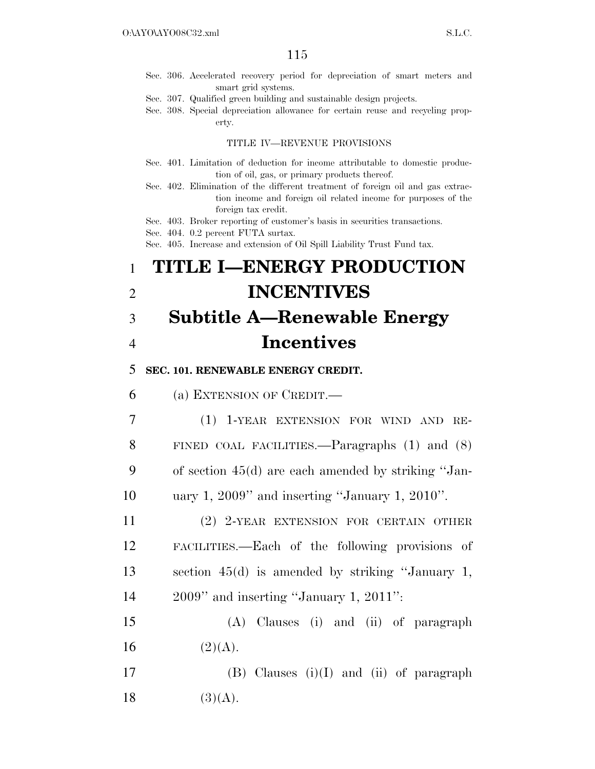- Sec. 306. Accelerated recovery period for depreciation of smart meters and smart grid systems.
- Sec. 307. Qualified green building and sustainable design projects.
- Sec. 308. Special depreciation allowance for certain reuse and recycling property.

#### TITLE IV—REVENUE PROVISIONS

- Sec. 401. Limitation of deduction for income attributable to domestic production of oil, gas, or primary products thereof.
- Sec. 402. Elimination of the different treatment of foreign oil and gas extraction income and foreign oil related income for purposes of the foreign tax credit.
- Sec. 403. Broker reporting of customer's basis in securities transactions.

Sec. 404. 0.2 percent FUTA surtax.

Sec. 405. Increase and extension of Oil Spill Liability Trust Fund tax.

# 1 **TITLE I—ENERGY PRODUCTION**  2 **INCENTIVES**

# 3 **Subtitle A—Renewable Energy**  4 **Incentives**

### 5 **SEC. 101. RENEWABLE ENERGY CREDIT.**

6 (a) EXTENSION OF CREDIT.—

 (1) 1-YEAR EXTENSION FOR WIND AND RE- FINED COAL FACILITIES.—Paragraphs (1) and (8) of section 45(d) are each amended by striking ''Jan-uary 1, 2009'' and inserting ''January 1, 2010''.

 (2) 2-YEAR EXTENSION FOR CERTAIN OTHER FACILITIES.—Each of the following provisions of section 45(d) is amended by striking ''January 1, 2009'' and inserting ''January 1, 2011'':

15 (A) Clauses (i) and (ii) of paragraph 16  $(2)(A)$ .

17 (B) Clauses (i)(I) and (ii) of paragraph 18  $(3)(A)$ .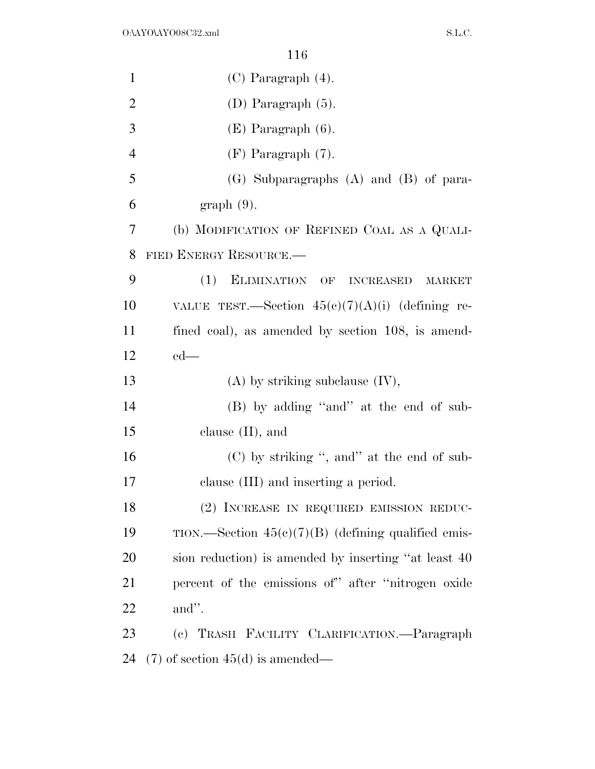| $\mathbf{1}$   | $(C)$ Paragraph $(4)$ .                                  |
|----------------|----------------------------------------------------------|
| $\overline{2}$ | $(D)$ Paragraph $(5)$ .                                  |
| 3              | $(E)$ Paragraph $(6)$ .                                  |
| $\overline{4}$ | $(F)$ Paragraph $(7)$ .                                  |
| 5              | $(G)$ Subparagraphs $(A)$ and $(B)$ of para-             |
| 6              | $graph(9)$ .                                             |
| 7              | (b) MODIFICATION OF REFINED COAL AS A QUALI-             |
| 8              | FIED ENERGY RESOURCE.                                    |
| 9              | (1)<br>ELIMINATION OF INCREASED<br><b>MARKET</b>         |
| 10             | VALUE TEST.—Section $45(e)(7)(A)(i)$ (defining re-       |
| 11             | fined coal), as amended by section 108, is amend-        |
| 12             | $ed$ —                                                   |
| 13             | $(A)$ by striking subclause $(IV)$ ,                     |
| 14             | (B) by adding "and" at the end of sub-                   |
| 15             | clause $(II)$ , and                                      |
| 16             | $(C)$ by striking ", and" at the end of sub-             |
| 17             | clause (III) and inserting a period.                     |
| 18             | (2) INCREASE IN REQUIRED EMISSION REDUC-                 |
| 19             | $TION.$ —Section $45(e)(7)(B)$ (defining qualified emis- |
| 20             | sion reduction) is amended by inserting "at least 40     |
| 21             | percent of the emissions of" after "nitrogen oxide       |
| 22             | and".                                                    |
| 23             | (c) TRASH FACILITY CLARIFICATION.—Paragraph              |
| 24             | $(7)$ of section 45(d) is amended—                       |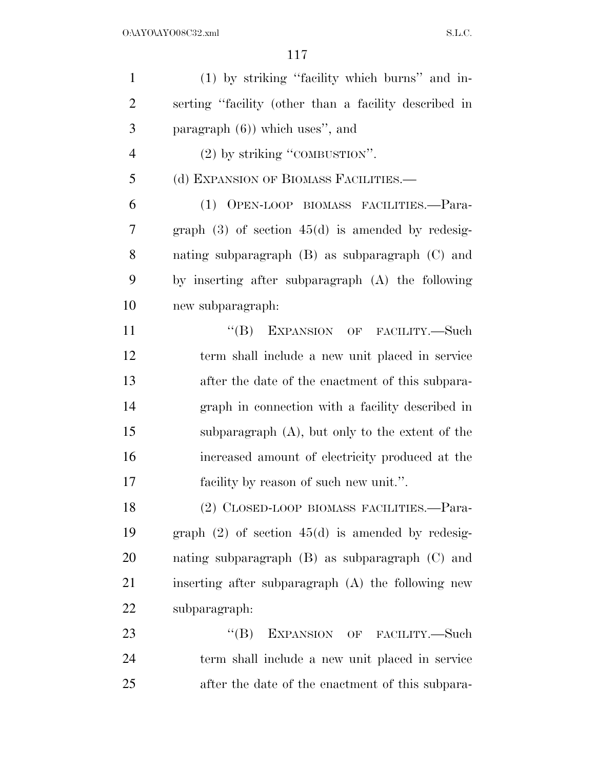| $\mathbf{1}$   | (1) by striking "facility which burns" and in-        |
|----------------|-------------------------------------------------------|
| $\overline{2}$ | serting "facility (other than a facility described in |
| 3              | paragraph $(6)$ ) which uses", and                    |
| $\overline{4}$ | $(2)$ by striking "COMBUSTION".                       |
| 5              | (d) EXPANSION OF BIOMASS FACILITIES.-                 |
| 6              | (1) OPEN-LOOP BIOMASS FACILITIES.-Para-               |
| 7              | graph $(3)$ of section $45(d)$ is amended by redesig- |
| 8              | nating subparagraph $(B)$ as subparagraph $(C)$ and   |
| 9              | by inserting after subparagraph (A) the following     |
| 10             | new subparagraph:                                     |
| 11             | "(B) EXPANSION OF FACILITY.—Such                      |
| 12             | term shall include a new unit placed in service       |
| 13             | after the date of the enactment of this subpara-      |
| 14             | graph in connection with a facility described in      |
| 15             | subparagraph $(A)$ , but only to the extent of the    |
| 16             | increased amount of electricity produced at the       |
| 17             | facility by reason of such new unit.".                |
| 18             | (2) CLOSED-LOOP BIOMASS FACILITIES.-Para-             |
| 19             | graph $(2)$ of section $45(d)$ is amended by redesig- |
| <b>20</b>      | nating subparagraph $(B)$ as subparagraph $(C)$ and   |
| 21             | inserting after subparagraph (A) the following new    |
| <u>22</u>      | subparagraph:                                         |
| 23             | ``(B)<br>EXPANSION OF FACILITY.-Such                  |
| 24             | term shall include a new unit placed in service       |
| 25             | after the date of the enactment of this subpara-      |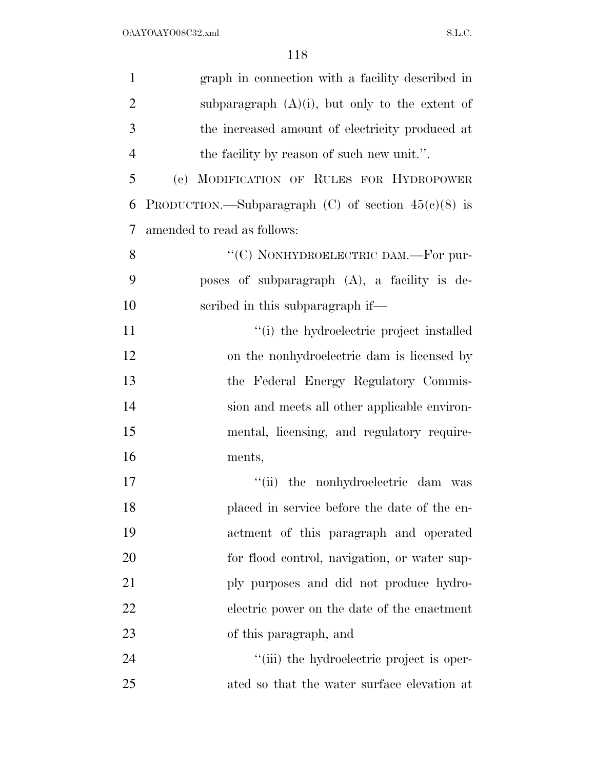| $\mathbf{1}$   | graph in connection with a facility described in      |
|----------------|-------------------------------------------------------|
| $\overline{2}$ | subparagraph $(A)(i)$ , but only to the extent of     |
| 3              | the increased amount of electricity produced at       |
| $\overline{4}$ | the facility by reason of such new unit.".            |
| 5              | (e) MODIFICATION OF RULES FOR HYDROPOWER              |
| 6              | PRODUCTION.—Subparagraph (C) of section $45(e)(8)$ is |
| 7              | amended to read as follows:                           |
| 8              | "(C) NONHYDROELECTRIC DAM.—For pur-                   |
| 9              | poses of subparagraph (A), a facility is de-          |
| 10             | scribed in this subparagraph if—                      |
| 11             | "(i) the hydroelectric project installed              |
| 12             | on the nonhydroelectric dam is licensed by            |
| 13             | the Federal Energy Regulatory Commis-                 |
| 14             | sion and meets all other applicable environ-          |
| 15             | mental, licensing, and regulatory require-            |
| 16             | ments,                                                |
| 17             | the nonhydroelectric dam was<br>``(ii)                |
| 18             | placed in service before the date of the en-          |
| 19             | actment of this paragraph and operated                |
| 20             | for flood control, navigation, or water sup-          |
| 21             | ply purposes and did not produce hydro-               |
| 22             | electric power on the date of the enactment           |
| 23             | of this paragraph, and                                |
| 24             | "(iii) the hydroelectric project is oper-             |
| 25             | ated so that the water surface elevation at           |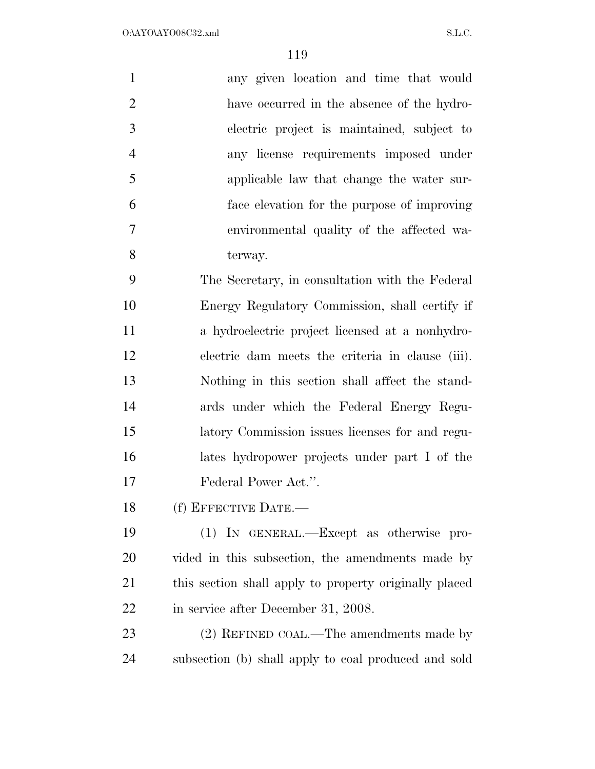| $\mathbf{1}$   | any given location and time that would                 |
|----------------|--------------------------------------------------------|
| $\overline{2}$ | have occurred in the absence of the hydro-             |
| 3              | electric project is maintained, subject to             |
| $\overline{4}$ | any license requirements imposed under                 |
| 5              | applicable law that change the water sur-              |
| 6              | face elevation for the purpose of improving            |
| 7              | environmental quality of the affected wa-              |
| 8              | terway.                                                |
| 9              | The Secretary, in consultation with the Federal        |
| 10             | Energy Regulatory Commission, shall certify if         |
| 11             | a hydroelectric project licensed at a nonhydro-        |
| 12             | electric dam meets the criteria in clause (iii).       |
| 13             | Nothing in this section shall affect the stand-        |
| 14             | ards under which the Federal Energy Regu-              |
| 15             | latory Commission issues licenses for and regu-        |
| 16             | lates hydropower projects under part I of the          |
| 17             | Federal Power Act.".                                   |
| 18             | (f) EFFECTIVE DATE.-                                   |
| 19             | (1) IN GENERAL.—Except as otherwise pro-               |
| 20             | vided in this subsection, the amendments made by       |
| 21             | this section shall apply to property originally placed |
| 22             | in service after December 31, 2008.                    |
|                |                                                        |

 (2) REFINED COAL.—The amendments made by subsection (b) shall apply to coal produced and sold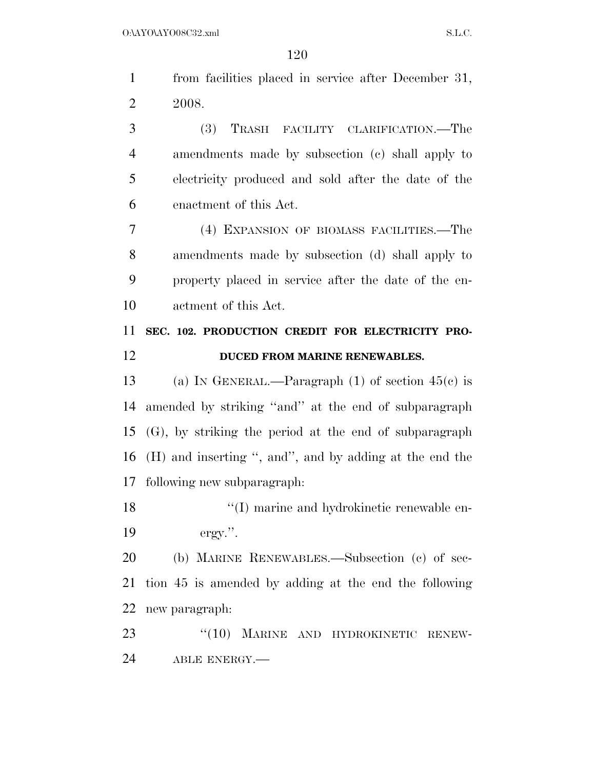from facilities placed in service after December 31, 2008. (3) TRASH FACILITY CLARIFICATION.—The

 amendments made by subsection (c) shall apply to electricity produced and sold after the date of the enactment of this Act.

 (4) EXPANSION OF BIOMASS FACILITIES.—The amendments made by subsection (d) shall apply to property placed in service after the date of the en-actment of this Act.

## **SEC. 102. PRODUCTION CREDIT FOR ELECTRICITY PRO-DUCED FROM MARINE RENEWABLES.**

 (a) IN GENERAL.—Paragraph (1) of section 45(c) is amended by striking ''and'' at the end of subparagraph (G), by striking the period at the end of subparagraph (H) and inserting '', and'', and by adding at the end the following new subparagraph:

18  $\cdot$  (I) marine and hydrokinetic renewable en-ergy.''.

 (b) MARINE RENEWABLES.—Subsection (c) of sec- tion 45 is amended by adding at the end the following new paragraph:

23 "(10) MARINE AND HYDROKINETIC RENEW-ABLE ENERGY.—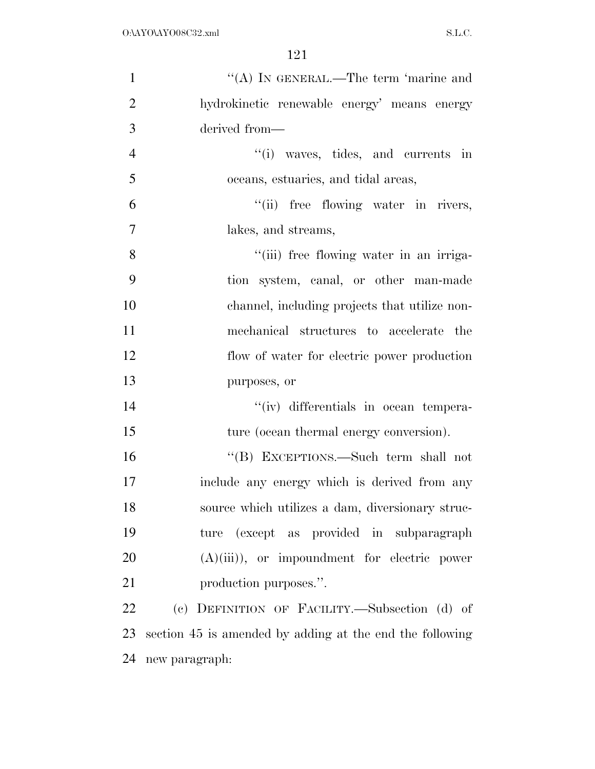| $\mathbf{1}$   | "(A) IN GENERAL.—The term 'marine and                    |
|----------------|----------------------------------------------------------|
| $\overline{2}$ | hydrokinetic renewable energy' means energy              |
| 3              | derived from-                                            |
| $\overline{4}$ | "(i) waves, tides, and currents in                       |
| 5              | oceans, estuaries, and tidal areas,                      |
| 6              | "(ii) free flowing water in rivers,                      |
| 7              | lakes, and streams,                                      |
| 8              | "(iii) free flowing water in an irriga-                  |
| 9              | tion system, canal, or other man-made                    |
| 10             | channel, including projects that utilize non-            |
| 11             | mechanical structures to accelerate the                  |
| 12             | flow of water for electric power production              |
| 13             | purposes, or                                             |
| 14             | "(iv) differentials in ocean tempera-                    |
| 15             | ture (ocean thermal energy conversion).                  |
| 16             | "(B) EXCEPTIONS.—Such term shall not                     |
| 17             | include any energy which is derived from any             |
| 18             | source which utilizes a dam, diversionary struc-         |
| 19             | ture (except as provided in subparagraph                 |
| 20             | $(A)(iii)$ , or impoundment for electric power           |
| 21             | production purposes.".                                   |
| 22             | (c) DEFINITION OF FACILITY.—Subsection (d) of            |
| 23             | section 45 is amended by adding at the end the following |
| 24             | new paragraph:                                           |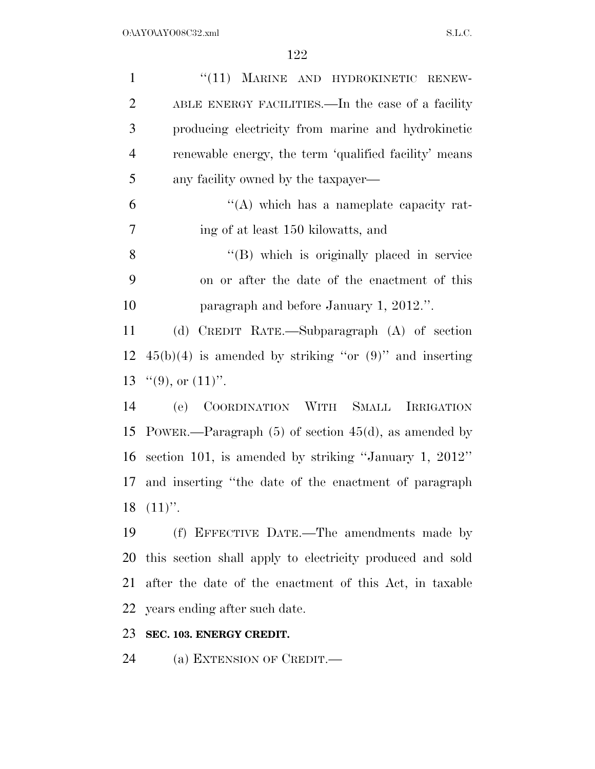| $\mathbf{1}$   | "(11) MARINE AND HYDROKINETIC RENEW-                        |
|----------------|-------------------------------------------------------------|
| $\overline{2}$ | ABLE ENERGY FACILITIES.—In the case of a facility           |
| 3              | producing electricity from marine and hydrokinetic          |
| $\overline{4}$ | renewable energy, the term 'qualified facility' means       |
| 5              | any facility owned by the taxpayer—                         |
| 6              | "(A) which has a nameplate capacity rat-                    |
| 7              | ing of at least 150 kilowatts, and                          |
| 8              | "(B) which is originally placed in service                  |
| 9              | on or after the date of the enactment of this               |
| 10             | paragraph and before January 1, 2012.".                     |
| 11             | (d) CREDIT RATE.—Subparagraph (A) of section                |
| 12             | $45(b)(4)$ is amended by striking "or $(9)$ " and inserting |
| 13             | " $(9)$ , or $(11)$ ".                                      |
| 14             | COORDINATION WITH SMALL<br><b>IRRIGATION</b><br>(e)         |
| 15             | POWER.—Paragraph $(5)$ of section $45(d)$ , as amended by   |
| 16             | section 101, is amended by striking "January 1, 2012"       |
| 17             | and inserting "the date of the enactment of paragraph       |
| 18             | $(11)$ ".                                                   |
| 19             | (f) EFFECTIVE DATE.—The amendments made by                  |
| 20             | this section shall apply to electricity produced and sold   |
| 21             | after the date of the enactment of this Act, in taxable     |
| 22             | years ending after such date.                               |
| 23             | SEC. 103. ENERGY CREDIT.                                    |

(a) EXTENSION OF CREDIT.—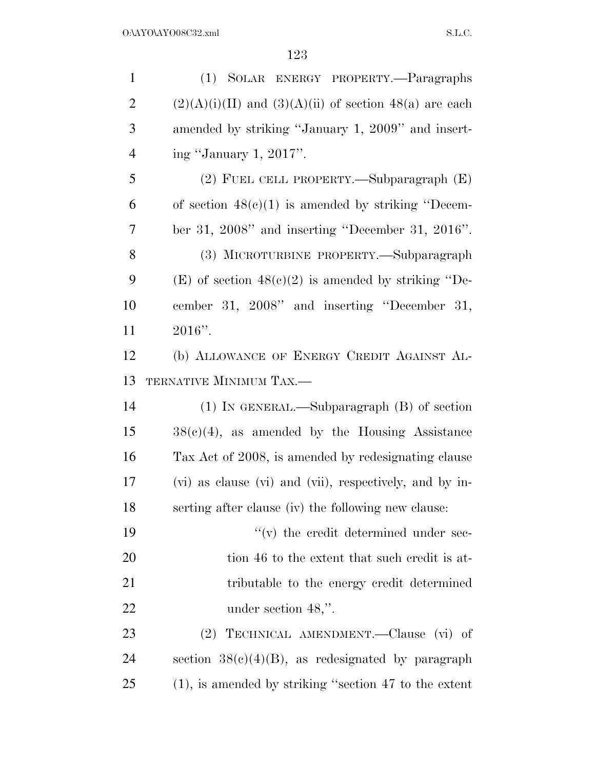| $\mathbf{1}$   | (1) SOLAR ENERGY PROPERTY.-Paragraphs                      |
|----------------|------------------------------------------------------------|
| $\overline{2}$ | $(2)(A)(i)(II)$ and $(3)(A)(ii)$ of section 48(a) are each |
| 3              | amended by striking "January 1, 2009" and insert-          |
| $\overline{4}$ | ing "January 1, 2017".                                     |
| 5              | (2) FUEL CELL PROPERTY.—Subparagraph (E)                   |
| 6              | of section $48(c)(1)$ is amended by striking "Decem-       |
| 7              | ber 31, 2008" and inserting "December 31, 2016".           |
| 8              | (3) MICROTURBINE PROPERTY.—Subparagraph                    |
| 9              | (E) of section $48(c)(2)$ is amended by striking "De-      |
| 10             | cember 31, 2008" and inserting "December 31,               |
| 11             | $2016"$ .                                                  |
| 12             | (b) ALLOWANCE OF ENERGY CREDIT AGAINST AL-                 |
| 13             | TERNATIVE MINIMUM TAX.—                                    |
| 14             | $(1)$ IN GENERAL.—Subparagraph $(B)$ of section            |
| 15             | $38(e)(4)$ , as amended by the Housing Assistance          |
| 16             | Tax Act of 2008, is amended by redesignating clause        |
| 17             | (vi) as clause (vi) and (vii), respectively, and by in-    |
| 18             | serting after clause (iv) the following new clause:        |
| 19             | $f'(v)$ the credit determined under sec-                   |
| 20             | tion 46 to the extent that such credit is at-              |
| 21             | tributable to the energy credit determined                 |
| 22             | under section 48,".                                        |
| 23             | TECHNICAL AMENDMENT.—Clause (vi) of<br>(2)                 |
| 24             | section $38(c)(4)(B)$ , as redesignated by paragraph       |
| 25             | $(1)$ , is amended by striking "section 47 to the extent   |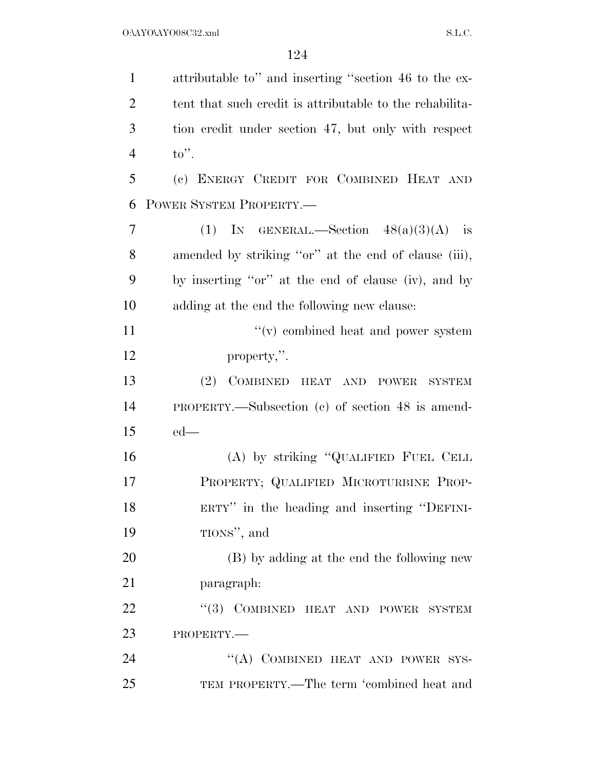| $\mathbf{1}$   | attributable to" and inserting "section 46 to the ex-    |
|----------------|----------------------------------------------------------|
| $\overline{2}$ | tent that such credit is attributable to the rehability- |
| 3              | tion credit under section 47, but only with respect      |
| $\overline{4}$ | $\mathrm{to}$ ".                                         |
| 5              | (c) ENERGY CREDIT FOR COMBINED HEAT AND                  |
| 6              | POWER SYSTEM PROPERTY.                                   |
| 7              | (1) IN GENERAL.—Section $48(a)(3)(A)$ is                 |
| 8              | amended by striking "or" at the end of clause (iii),     |
| 9              | by inserting "or" at the end of clause (iv), and by      |
| 10             | adding at the end the following new clause:              |
| 11             | $\lq\lq$ combined heat and power system                  |
| 12             | property,".                                              |
| 13             | (2)<br>COMBINED HEAT AND POWER<br><b>SYSTEM</b>          |
| 14             | PROPERTY.—Subsection (c) of section 48 is amend-         |
| 15             | $ed$ —                                                   |
| 16             | (A) by striking "QUALIFIED FUEL CELL                     |
| 17             | PROPERTY; QUALIFIED MICROTURBINE PROP-                   |
| 18             | ERTY" in the heading and inserting "DEFINI-              |
| 19             | TIONS", and                                              |
| 20             | (B) by adding at the end the following new               |
| 21             | paragraph:                                               |
| 22             | "(3) COMBINED HEAT AND POWER SYSTEM                      |
| 23             | PROPERTY.-                                               |
| 24             | "(A) COMBINED HEAT AND POWER SYS-                        |
| 25             | TEM PROPERTY.—The term 'combined heat and                |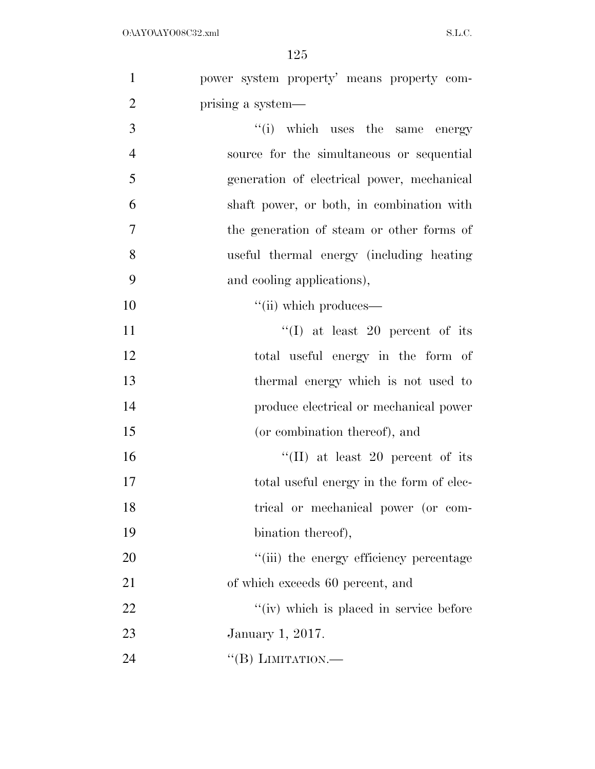| $\mathbf{1}$   | power system property' means property com- |
|----------------|--------------------------------------------|
| $\overline{2}$ | prising a system—                          |
| 3              | "(i) which uses the same energy            |
| $\overline{4}$ | source for the simultaneous or sequential  |
| 5              | generation of electrical power, mechanical |
| 6              | shaft power, or both, in combination with  |
| 7              | the generation of steam or other forms of  |
| 8              | useful thermal energy (including heating   |
| 9              | and cooling applications),                 |
| 10             | $``$ (ii) which produces—                  |
| 11             | "(I) at least 20 percent of its            |
| 12             | total useful energy in the form of         |
| 13             | thermal energy which is not used to        |
| 14             | produce electrical or mechanical power     |
| 15             | (or combination thereof), and              |
| 16             | "(II) at least 20 percent of its           |
| 17             | total useful energy in the form of elec-   |
| 18             | trical or mechanical power (or com-        |
| 19             | bination thereof),                         |
| 20             | "(iii) the energy efficiency percentage    |
| 21             | of which exceeds 60 percent, and           |
| 22             | "(iv) which is placed in service before    |
| 23             | January 1, 2017.                           |
| 24             | "(B) LIMITATION.—                          |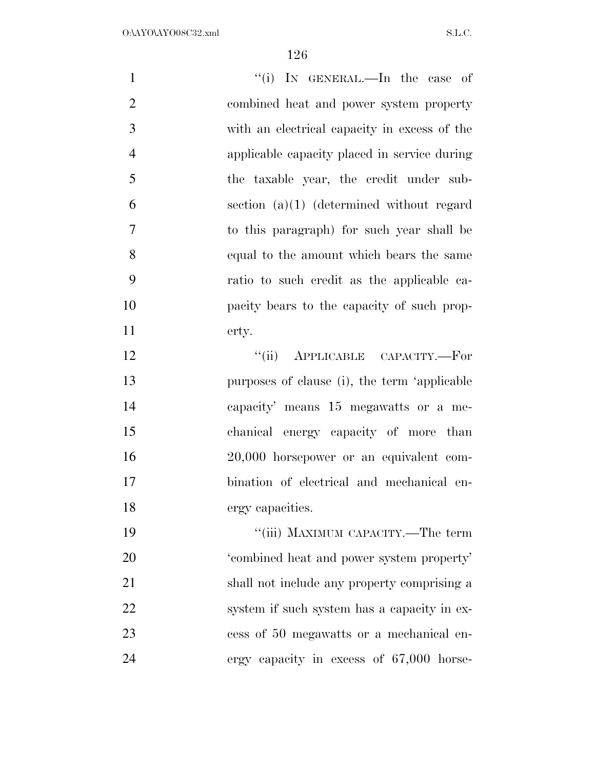| $\mathbf{1}$   | "(i) IN GENERAL.—In the case of              |
|----------------|----------------------------------------------|
| $\overline{2}$ | combined heat and power system property      |
| 3              | with an electrical capacity in excess of the |
| $\overline{4}$ | applicable capacity placed in service during |
| 5              | the taxable year, the credit under sub-      |
| 6              | section $(a)(1)$ (determined without regard  |
| $\overline{7}$ | to this paragraph) for such year shall be    |
| 8              | equal to the amount which bears the same     |
| 9              | ratio to such credit as the applicable ca-   |
| 10             | pacity bears to the capacity of such prop-   |
| 11             | erty.                                        |
| 12             | "(ii) APPLICABLE CAPACITY.—For               |
| 13             | purposes of clause (i), the term 'applicable |
| 14             | capacity' means 15 megawatts or a me-        |
| 15             | chanical energy capacity of more than        |
| 16             | 20,000 horsepower or an equivalent com-      |
| 17             | bination of electrical and mechanical en-    |
| 18             | ergy capacities.                             |
| 19             | "(iii) MAXIMUM CAPACITY.—The term            |
| 20             | 'combined heat and power system property'    |
| 21             | shall not include any property comprising a  |
| 22             | system if such system has a capacity in ex-  |
| 23             | cess of 50 megawatts or a mechanical en-     |
| 24             | ergy capacity in excess of 67,000 horse-     |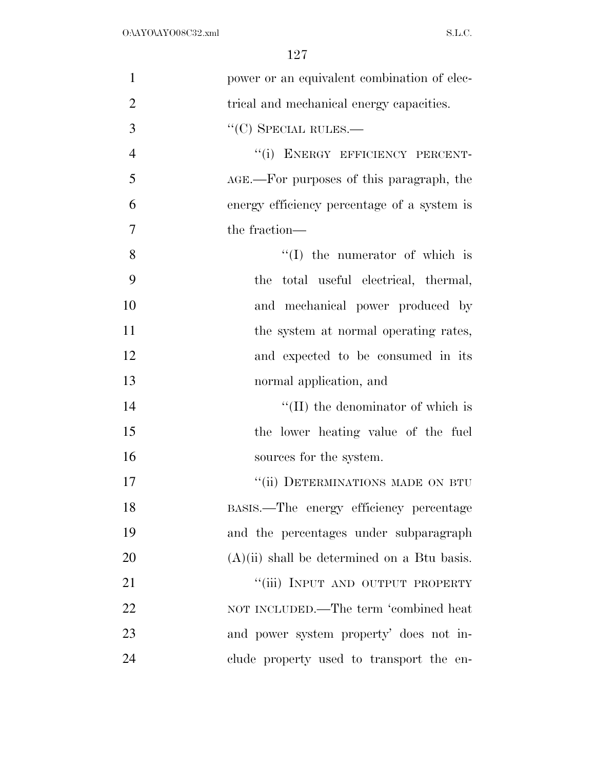| $\mathbf{1}$   | power or an equivalent combination of elec-   |
|----------------|-----------------------------------------------|
| $\overline{2}$ | trical and mechanical energy capacities.      |
| 3              | $\lq\lq(C)$ SPECIAL RULES.—                   |
| $\overline{4}$ | "(i) ENERGY EFFICIENCY PERCENT-               |
| 5              | AGE.—For purposes of this paragraph, the      |
| 6              | energy efficiency percentage of a system is   |
| 7              | the fraction—                                 |
| 8              | $\lq\lq$ (I) the numerator of which is        |
| 9              | the total useful electrical, thermal,         |
| 10             | and mechanical power produced by              |
| 11             | the system at normal operating rates,         |
| 12             | and expected to be consumed in its            |
| 13             | normal application, and                       |
| 14             | $\lq\lq$ (II) the denominator of which is     |
| 15             | the lower heating value of the fuel           |
| 16             | sources for the system.                       |
| 17             | "(ii) DETERMINATIONS MADE ON BTU              |
| 18             | BASIS.—The energy efficiency percentage       |
| 19             | and the percentages under subparagraph        |
| 20             | $(A)(ii)$ shall be determined on a Btu basis. |
| 21             | "(iii) INPUT AND OUTPUT PROPERTY              |
| 22             | NOT INCLUDED.—The term 'combined heat         |
| 23             | and power system property' does not in-       |
| 24             | clude property used to transport the en-      |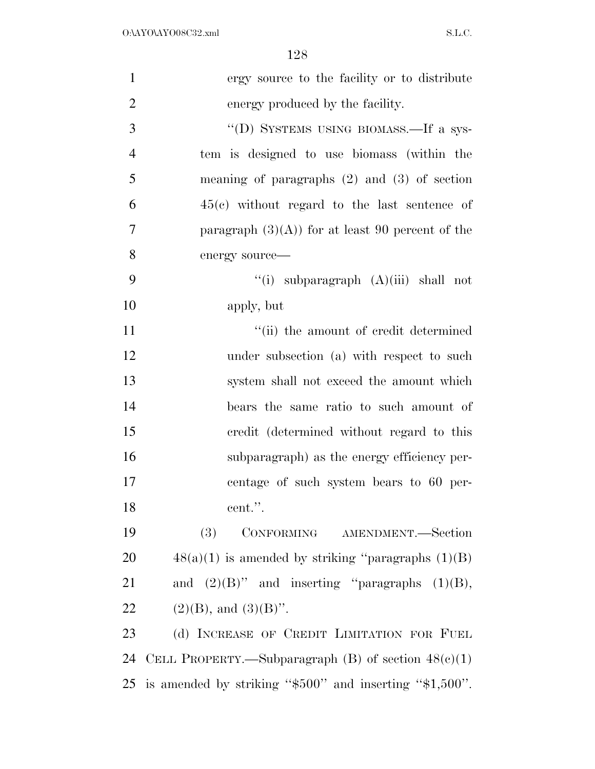| $\mathbf{1}$   | ergy source to the facility or to distribute                 |
|----------------|--------------------------------------------------------------|
| $\overline{2}$ | energy produced by the facility.                             |
| 3              | "(D) SYSTEMS USING BIOMASS.—If a sys-                        |
| $\overline{4}$ | tem is designed to use biomass (within the                   |
| 5              | meaning of paragraphs $(2)$ and $(3)$ of section             |
| 6              | $45(e)$ without regard to the last sentence of               |
| 7              | paragraph $(3)(A)$ for at least 90 percent of the            |
| 8              | energy source-                                               |
| 9              | "(i) subparagraph $(A)(iii)$ shall not                       |
| 10             | apply, but                                                   |
| 11             | "(ii) the amount of credit determined                        |
| 12             | under subsection (a) with respect to such                    |
| 13             | system shall not exceed the amount which                     |
| 14             | bears the same ratio to such amount of                       |
| 15             | credit (determined without regard to this                    |
| 16             | subparagraph) as the energy efficiency per-                  |
| 17             | centage of such system bears to 60 per-                      |
| 18             | cent.".                                                      |
| 19             | CONFORMING AMENDMENT.-Section<br>(3)                         |
| 20             | $48(a)(1)$ is amended by striking "paragraphs $(1)(B)$       |
| 21             | and $(2)(B)$ " and inserting "paragraphs $(1)(B)$ ,          |
| 22             | $(2)(B)$ , and $(3)(B)$ ".                                   |
| 23             | (d) INCREASE OF CREDIT LIMITATION FOR FUEL                   |
| 24             | CELL PROPERTY.—Subparagraph (B) of section $48(e)(1)$        |
| 25             | is amended by striking " $$500"$ and inserting " $$1,500"$ . |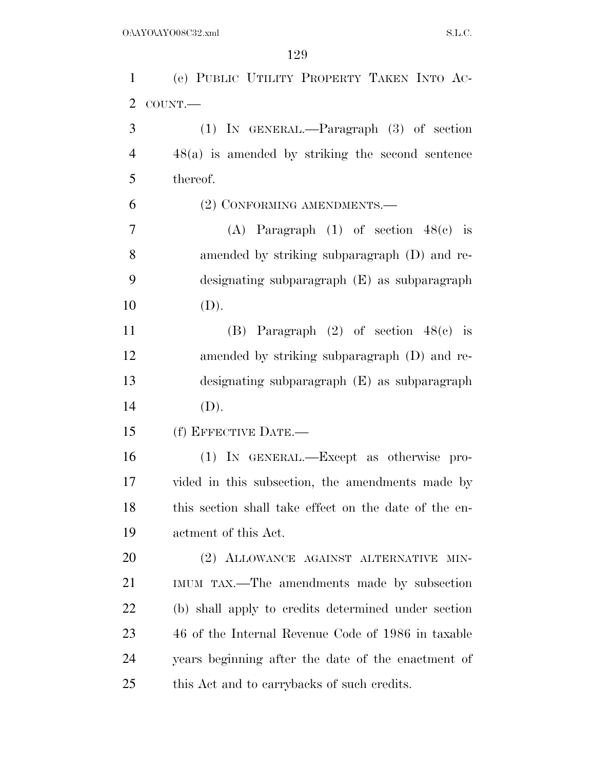| $\mathbf{1}$     | (e) PUBLIC UTILITY PROPERTY TAKEN INTO AC-            |
|------------------|-------------------------------------------------------|
| 2                | COUNT.                                                |
| 3                | $(1)$ IN GENERAL.—Paragraph $(3)$ of section          |
| $\overline{4}$   | $48(a)$ is amended by striking the second sentence    |
| 5                | thereof.                                              |
| 6                | (2) CONFORMING AMENDMENTS.—                           |
| $\boldsymbol{7}$ | (A) Paragraph $(1)$ of section $48(e)$ is             |
| 8                | amended by striking subparagraph (D) and re-          |
| 9                | designating subparagraph (E) as subparagraph          |
| 10               | (D).                                                  |
| 11               | (B) Paragraph $(2)$ of section $48(e)$ is             |
| 12               | amended by striking subparagraph (D) and re-          |
| 13               | designating subparagraph (E) as subparagraph          |
| 14               | (D).                                                  |
| 15               | (f) EFFECTIVE DATE.-                                  |
| 16               | (1) IN GENERAL.—Except as otherwise pro-              |
| 17               | vided in this subsection, the amendments made by      |
| 18               | this section shall take effect on the date of the en- |
| 19               | actment of this Act.                                  |
| 20               | (2) ALLOWANCE AGAINST ALTERNATIVE<br>MIN-             |
| 21               | IMUM TAX.—The amendments made by subsection           |
| 22               | (b) shall apply to credits determined under section   |
| 23               | 46 of the Internal Revenue Code of 1986 in taxable    |
| 24               | years beginning after the date of the enactment of    |
| 25               | this Act and to carrybacks of such credits.           |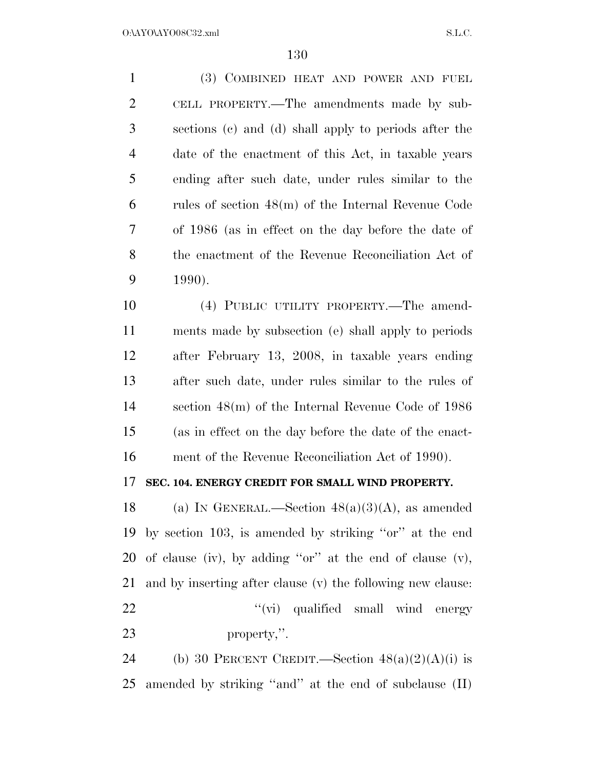(3) COMBINED HEAT AND POWER AND FUEL CELL PROPERTY.—The amendments made by sub- sections (c) and (d) shall apply to periods after the date of the enactment of this Act, in taxable years ending after such date, under rules similar to the rules of section 48(m) of the Internal Revenue Code of 1986 (as in effect on the day before the date of the enactment of the Revenue Reconciliation Act of 1990). (4) PUBLIC UTILITY PROPERTY.—The amend- ments made by subsection (e) shall apply to periods after February 13, 2008, in taxable years ending

 after such date, under rules similar to the rules of section 48(m) of the Internal Revenue Code of 1986 (as in effect on the day before the date of the enact-ment of the Revenue Reconciliation Act of 1990).

## **SEC. 104. ENERGY CREDIT FOR SMALL WIND PROPERTY.**

18 (a) IN GENERAL.—Section  $48(a)(3)(A)$ , as amended by section 103, is amended by striking ''or'' at the end of clause (iv), by adding ''or'' at the end of clause (v), and by inserting after clause (v) the following new clause:  $\frac{v}{v}$   $\frac{v}{v}$  qualified small wind energy property,''.

24 (b) 30 PERCENT CREDIT.—Section  $48(a)(2)(A)(i)$  is amended by striking ''and'' at the end of subclause (II)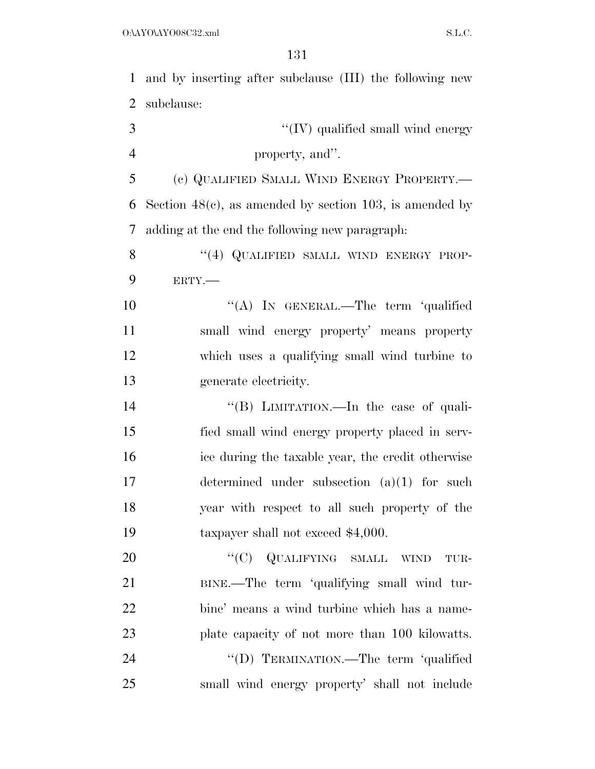and by inserting after subclause (III) the following new subclause:

|   | $\lq\lq (IV)$ qualified small wind energy |
|---|-------------------------------------------|
| Δ | property, and".                           |

 (c) QUALIFIED SMALL WIND ENERGY PROPERTY.— Section 48(c), as amended by section 103, is amended by adding at the end the following new paragraph:

8 "(4) QUALIFIED SMALL WIND ENERGY PROP-ERTY.—

10 "(A) IN GENERAL.—The term 'qualified small wind energy property' means property which uses a qualifying small wind turbine to generate electricity.

14 "(B) LIMITATION.—In the case of quali- fied small wind energy property placed in serv- ice during the taxable year, the credit otherwise determined under subsection (a)(1) for such year with respect to all such property of the 19 taxpayer shall not exceed \$4,000.

20 "(C) QUALIFYING SMALL WIND TUR- BINE.—The term 'qualifying small wind tur- bine' means a wind turbine which has a name- plate capacity of not more than 100 kilowatts. 24 "(D) TERMINATION.—The term 'qualified small wind energy property' shall not include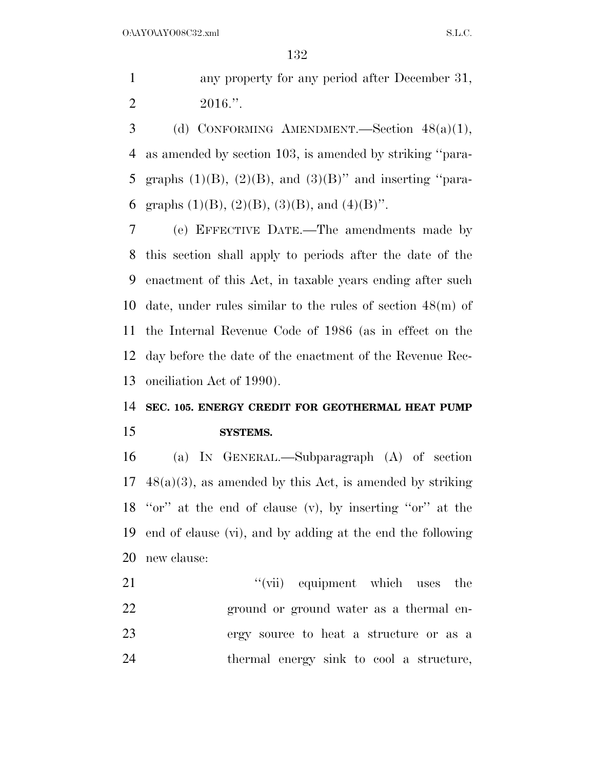any property for any period after December 31, 2 2016."

 (d) CONFORMING AMENDMENT.—Section 48(a)(1), as amended by section 103, is amended by striking ''para-5 graphs  $(1)(B)$ ,  $(2)(B)$ , and  $(3)(B)$ " and inserting "para-6 graphs  $(1)(B)$ ,  $(2)(B)$ ,  $(3)(B)$ , and  $(4)(B)$ ".

 (e) EFFECTIVE DATE.—The amendments made by this section shall apply to periods after the date of the enactment of this Act, in taxable years ending after such date, under rules similar to the rules of section 48(m) of the Internal Revenue Code of 1986 (as in effect on the day before the date of the enactment of the Revenue Rec-onciliation Act of 1990).

## **SEC. 105. ENERGY CREDIT FOR GEOTHERMAL HEAT PUMP**

## **SYSTEMS.**

 (a) IN GENERAL.—Subparagraph (A) of section  $17 \quad 48(a)(3)$ , as amended by this Act, is amended by striking ''or'' at the end of clause (v), by inserting ''or'' at the end of clause (vi), and by adding at the end the following new clause:

21 ''(vii) equipment which uses the ground or ground water as a thermal en- ergy source to heat a structure or as a thermal energy sink to cool a structure,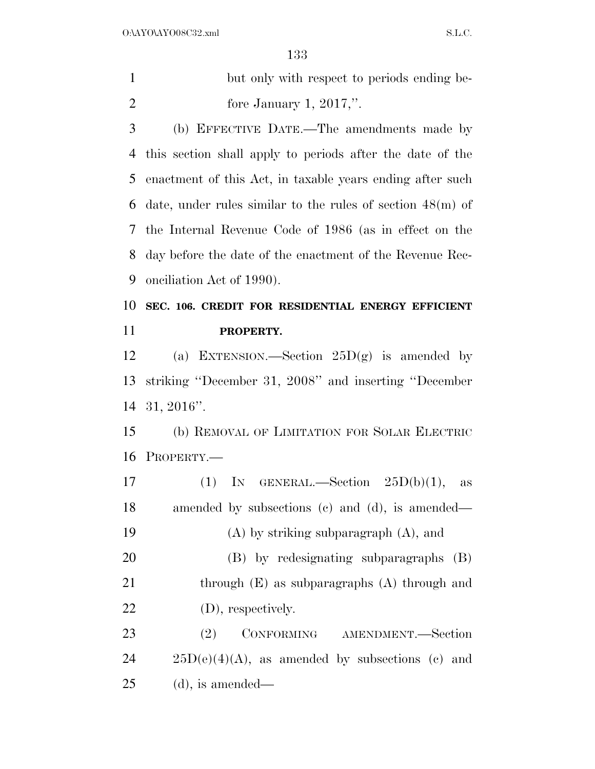| but only with respect to periods ending be- |
|---------------------------------------------|
| fore January 1, $2017$ .".                  |

 (b) EFFECTIVE DATE.—The amendments made by this section shall apply to periods after the date of the enactment of this Act, in taxable years ending after such date, under rules similar to the rules of section 48(m) of the Internal Revenue Code of 1986 (as in effect on the day before the date of the enactment of the Revenue Rec-onciliation Act of 1990).

## **SEC. 106. CREDIT FOR RESIDENTIAL ENERGY EFFICIENT PROPERTY.**

12 (a) EXTENSION.—Section  $25D(g)$  is amended by striking ''December 31, 2008'' and inserting ''December 31, 2016''.

 (b) REMOVAL OF LIMITATION FOR SOLAR ELECTRIC PROPERTY.—

17 (1) IN GENERAL.—Section  $25D(b)(1)$ , as amended by subsections (c) and (d), is amended— (A) by striking subparagraph (A), and (B) by redesignating subparagraphs (B) 21 through (E) as subparagraphs (A) through and (D), respectively. 23 (2) CONFORMING AMENDMENT.—Section  $24 \qquad 25D(e)(4)(A)$ , as amended by subsections (c) and (d), is amended—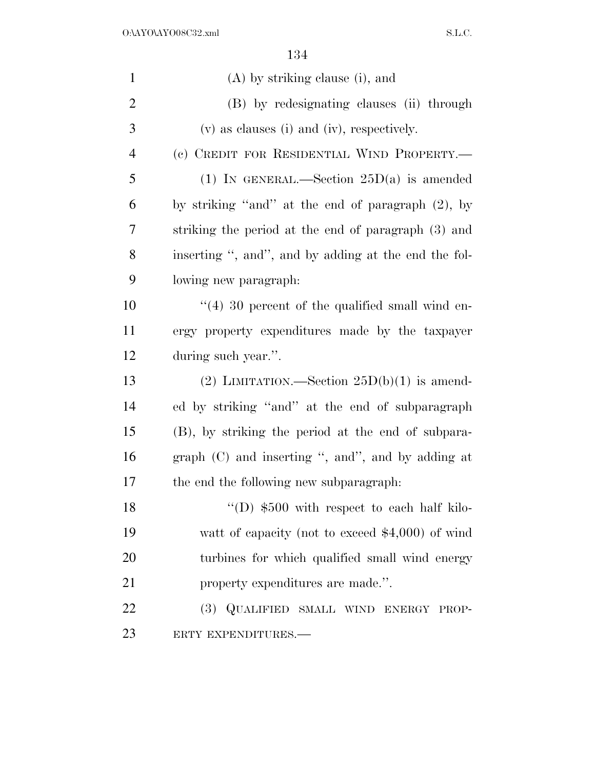| $\mathbf{1}$   | (A) by striking clause (i), and                        |
|----------------|--------------------------------------------------------|
| $\overline{2}$ | (B) by redesignating clauses (ii) through              |
| 3              | (v) as clauses (i) and (iv), respectively.             |
| $\overline{4}$ | (c) CREDIT FOR RESIDENTIAL WIND PROPERTY.—             |
| 5              | (1) IN GENERAL.—Section $25D(a)$ is amended            |
| 6              | by striking "and" at the end of paragraph (2), by      |
| 7              | striking the period at the end of paragraph (3) and    |
| 8              | inserting ", and", and by adding at the end the fol-   |
| 9              | lowing new paragraph:                                  |
| 10             | $\cdot$ (4) 30 percent of the qualified small wind en- |
| 11             | ergy property expenditures made by the taxpayer        |
| 12             | during such year.".                                    |
| 13             | (2) LIMITATION.—Section $25D(b)(1)$ is amend-          |
| 14             | ed by striking "and" at the end of subparagraph        |
| 15             | (B), by striking the period at the end of subpara-     |
| 16             | graph $(C)$ and inserting ", and", and by adding at    |
| 17             | the end the following new subparagraph:                |
| 18             | "(D) $$500$ with respect to each half kilo-            |
| 19             | watt of capacity (not to exceed $$4,000$ ) of wind     |
| 20             | turbines for which qualified small wind energy         |
| 21             | property expenditures are made.".                      |
| 22             | (3) QUALIFIED SMALL WIND ENERGY PROP-                  |
| 23             | ERTY EXPENDITURES.-                                    |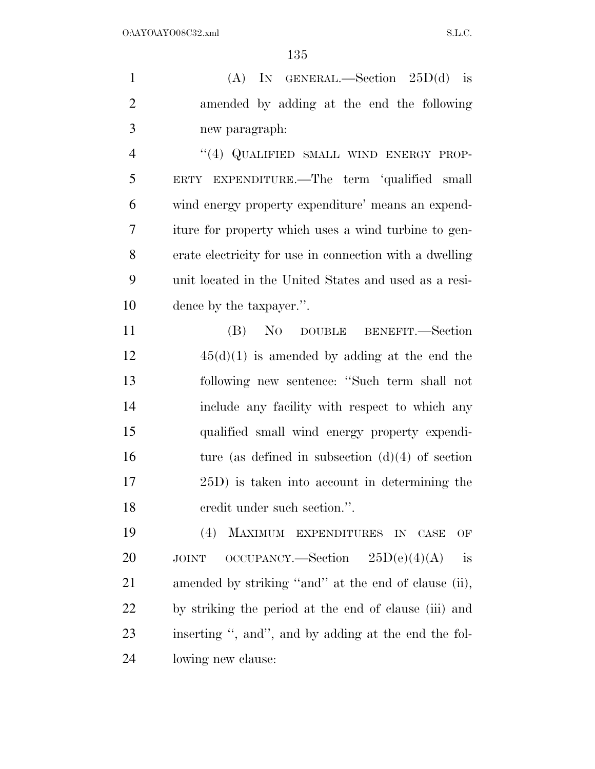(A) IN GENERAL.—Section 25D(d) is amended by adding at the end the following new paragraph:

4 "(4) QUALIFIED SMALL WIND ENERGY PROP- ERTY EXPENDITURE.—The term 'qualified small wind energy property expenditure' means an expend- iture for property which uses a wind turbine to gen- erate electricity for use in connection with a dwelling unit located in the United States and used as a resi-dence by the taxpayer.''.

 (B) NO DOUBLE BENEFIT.—Section 45(d)(1) is amended by adding at the end the following new sentence: ''Such term shall not include any facility with respect to which any qualified small wind energy property expendi-16 ture (as defined in subsection  $(d)(4)$  of section 25D) is taken into account in determining the credit under such section.''.

 (4) MAXIMUM EXPENDITURES IN CASE OF 20 JOINT OCCUPANCY.—Section  $25D(e)(4)(A)$  is amended by striking ''and'' at the end of clause (ii), by striking the period at the end of clause (iii) and inserting '', and'', and by adding at the end the fol-lowing new clause: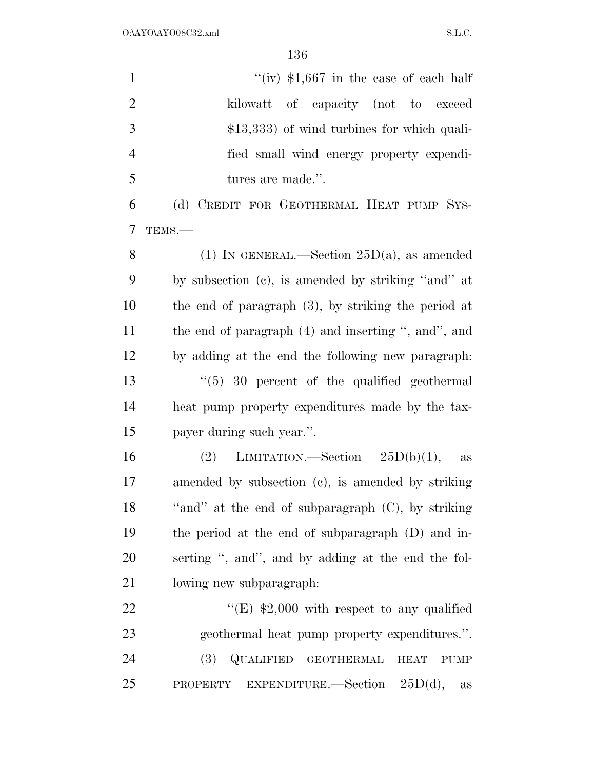| $\mathbf{1}$   | "(iv) $$1,667$ in the case of each half                          |
|----------------|------------------------------------------------------------------|
| $\overline{2}$ | kilowatt<br>of capacity (not to exceed                           |
| 3              | $$13,333$ of wind turbines for which quali-                      |
| $\overline{4}$ | fied small wind energy property expendi-                         |
| 5              | tures are made.".                                                |
| 6              | (d) CREDIT FOR GEOTHERMAL HEAT PUMP SYS-                         |
| $\tau$         | TEMS.-                                                           |
| 8              | (1) IN GENERAL.—Section $25D(a)$ , as amended                    |
| 9              | by subsection (c), is amended by striking "and" at               |
| 10             | the end of paragraph $(3)$ , by striking the period at           |
| 11             | the end of paragraph (4) and inserting ", and", and              |
| 12             | by adding at the end the following new paragraph.                |
| 13             | $\degree$ (5) 30 percent of the qualified geothermal             |
| 14             | heat pump property expenditures made by the tax-                 |
| 15             | payer during such year.".                                        |
| 16             | LIMITATION.—Section $25D(b)(1)$ ,<br>(2)<br>as                   |
| 17             | amended by subsection (c), is amended by striking                |
| 18             | "and" at the end of subparagraph (C), by striking                |
| 19             | the period at the end of subparagraph (D) and in-                |
| 20             | serting ", and", and by adding at the end the fol-               |
| 21             | lowing new subparagraph:                                         |
| 22             | "(E) $$2,000$ with respect to any qualified                      |
| 23             | geothermal heat pump property expenditures.".                    |
| 24             | QUALIFIED GEOTHERMAL<br><b>(3)</b><br><b>HEAT</b><br><b>PUMP</b> |
| 25             | EXPENDITURE. Section $25D(d)$ ,<br>PROPERTY<br>$\rm{as}$         |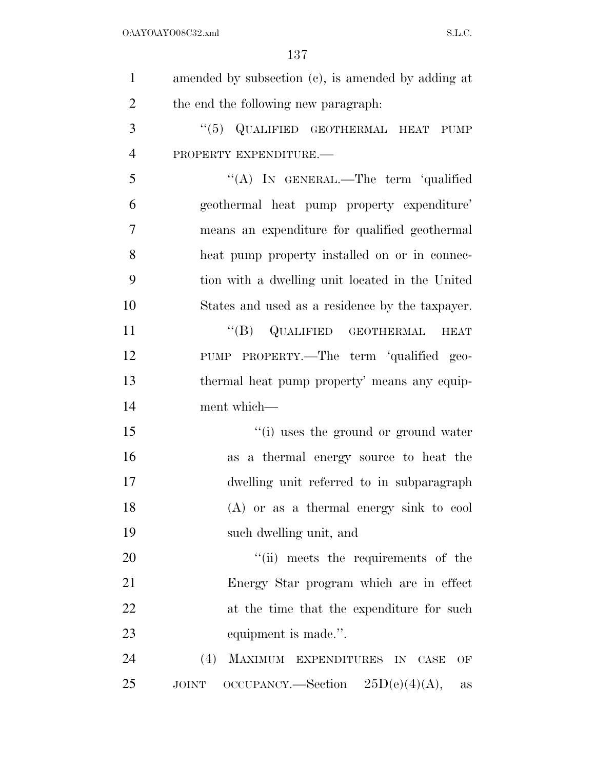| $\mathbf{1}$   | amended by subsection (c), is amended by adding at               |
|----------------|------------------------------------------------------------------|
| $\overline{2}$ | the end the following new paragraph:                             |
| 3              | "(5) QUALIFIED GEOTHERMAL HEAT PUMP                              |
| $\overline{4}$ | PROPERTY EXPENDITURE.                                            |
| 5              | "(A) IN GENERAL.—The term 'qualified                             |
| 6              | geothermal heat pump property expenditure'                       |
| 7              | means an expenditure for qualified geothermal                    |
| 8              | heat pump property installed on or in connec-                    |
| 9              | tion with a dwelling unit located in the United                  |
| 10             | States and used as a residence by the taxpayer.                  |
| 11             | $\lq\lq(B)$ QUALIFIED GEOTHERMAL<br><b>HEAT</b>                  |
| 12             | PUMP PROPERTY.—The term 'qualified geo-                          |
| 13             | thermal heat pump property' means any equip-                     |
| 14             | ment which-                                                      |
| 15             | "(i) uses the ground or ground water                             |
| 16             | as a thermal energy source to heat the                           |
| 17             | dwelling unit referred to in subparagraph                        |
| 18             | $(A)$ or as a thermal energy sink to cool                        |
| 19             | such dwelling unit, and                                          |
| 20             | "(ii) meets the requirements of the                              |
| 21             | Energy Star program which are in effect                          |
| 22             | at the time that the expenditure for such                        |
| 23             | equipment is made.".                                             |
| 24             | MAXIMUM EXPENDITURES IN CASE<br>(4)<br>OF                        |
| 25             | OCCUPANCY.—Section $25D(e)(4)(A)$ ,<br><b>JOINT</b><br><b>as</b> |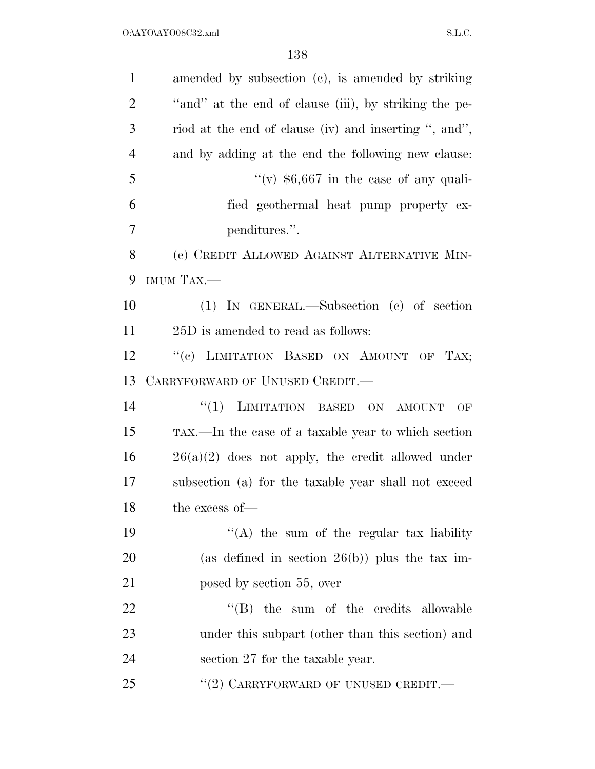| $\mathbf{1}$   | amended by subsection (c), is amended by striking     |
|----------------|-------------------------------------------------------|
| $\overline{2}$ | "and" at the end of clause (iii), by striking the pe- |
| 3              | riod at the end of clause (iv) and inserting ", and", |
| $\overline{4}$ | and by adding at the end the following new clause:    |
| 5              | "(v) $$6,667$ in the case of any quali-               |
| 6              | fied geothermal heat pump property ex-                |
| 7              | penditures.".                                         |
| 8              | (e) CREDIT ALLOWED AGAINST ALTERNATIVE MIN-           |
| 9              | IMUM TAX.-                                            |
| 10             | $(1)$ IN GENERAL.—Subsection $(e)$ of section         |
| 11             | 25D is amended to read as follows:                    |
| 12             | "(c) LIMITATION BASED ON AMOUNT OF TAX;               |
| 13             | CARRYFORWARD OF UNUSED CREDIT.                        |
| 14             | LIMITATION BASED ON<br>``(1)<br><b>AMOUNT</b><br>OF   |
| 15             | TAX.—In the case of a taxable year to which section   |
| 16             | $26(a)(2)$ does not apply, the credit allowed under   |
| 17             | subsection (a) for the taxable year shall not exceed  |
| 18             | the excess of-                                        |
| 19             | "(A) the sum of the regular tax liability             |
| 20             | (as defined in section $26(b)$ ) plus the tax im-     |
| 21             | posed by section 55, over                             |
| 22             | $\lq\lq$ (B) the sum of the credits allowable         |
| 23             | under this subpart (other than this section) and      |
| 24             | section 27 for the taxable year.                      |
| 25             | $``(2)$ CARRYFORWARD OF UNUSED CREDIT.—               |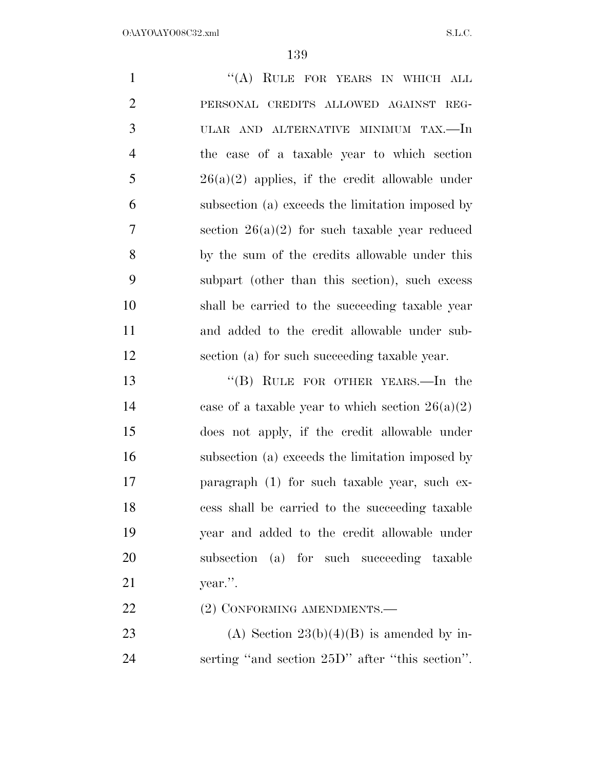| $\mathbf{1}$   | "(A) RULE FOR YEARS IN WHICH ALL                                                                                                    |
|----------------|-------------------------------------------------------------------------------------------------------------------------------------|
| $\overline{2}$ | PERSONAL CREDITS ALLOWED AGAINST REG-                                                                                               |
| 3              | ULAR AND ALTERNATIVE MINIMUM TAX.—In                                                                                                |
| $\overline{4}$ | the case of a taxable year to which section                                                                                         |
| 5              | $26(a)(2)$ applies, if the credit allowable under                                                                                   |
| 6              | subsection (a) exceeds the limitation imposed by                                                                                    |
| $\tau$         | section $26(a)(2)$ for such taxable year reduced                                                                                    |
| 8              | by the sum of the credits allowable under this                                                                                      |
| 9              | subpart (other than this section), such excess                                                                                      |
| 10             | shall be carried to the succeeding taxable year                                                                                     |
| 11             | and added to the credit allowable under sub-                                                                                        |
| 12             | section (a) for such succeeding taxable year.                                                                                       |
| 13             | "(B) RULE FOR OTHER YEARS.—In the                                                                                                   |
| 14             | case of a taxable year to which section $26(a)(2)$                                                                                  |
| 15             | does not apply, if the credit allowable under                                                                                       |
| 16             | subsection (a) exceeds the limitation imposed by                                                                                    |
| 17             | paragraph (1) for such taxable year, such ex-                                                                                       |
| 18             | cess shall be carried to the succeeding taxable                                                                                     |
| 19             | year and added to the credit allowable under                                                                                        |
| 20             | subsection (a) for such succeeding taxable                                                                                          |
| 21             | year.".                                                                                                                             |
| 22             | (2) CONFORMING AMENDMENTS.-                                                                                                         |
| $\mathbf{A}$   | $\mathbf{u}^* = \mathbf{0} \mathbf{0} \mathbf{0} \mathbf{1} \mathbf{1} \mathbf{1} \mathbf{1} \mathbf{1} \mathbf{0} \mathbf{1}^{-1}$ |

23 (A) Section  $23(b)(4)(B)$  is amended by in-serting ''and section 25D'' after ''this section''.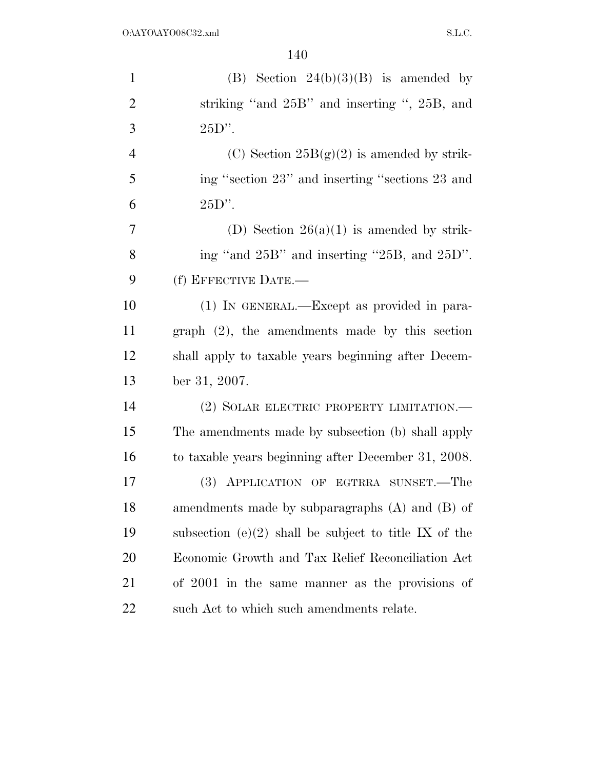| $\mathbf{1}$   | (B) Section $24(b)(3)(B)$ is amended by                 |
|----------------|---------------------------------------------------------|
| $\overline{2}$ | striking "and 25B" and inserting ", 25B, and            |
| 3              | $25D$ ".                                                |
| $\overline{4}$ | (C) Section $25B(g)(2)$ is amended by strik-            |
| 5              | ing "section 23" and inserting "sections 23 and         |
| 6              | $25D$ ".                                                |
| $\overline{7}$ | (D) Section $26(a)(1)$ is amended by strik-             |
| 8              | ing "and 25B" and inserting "25B, and 25D".             |
| 9              | (f) EFFECTIVE DATE.-                                    |
| 10             | (1) IN GENERAL.—Except as provided in para-             |
| 11             | $graph (2)$ , the amendments made by this section       |
| 12             | shall apply to taxable years beginning after Decem-     |
| 13             | ber 31, 2007.                                           |
| 14             | (2) SOLAR ELECTRIC PROPERTY LIMITATION.—                |
| 15             | The amendments made by subsection (b) shall apply       |
| 16             | to taxable years beginning after December 31, 2008.     |
| 17             | (3) APPLICATION OF EGTRRA SUNSET.—The                   |
| 18             | amendments made by subparagraphs $(A)$ and $(B)$ of     |
| 19             | subsection $(e)(2)$ shall be subject to title IX of the |
| 20             | Economic Growth and Tax Relief Reconciliation Act       |
| 21             | of 2001 in the same manner as the provisions of         |
| 22             | such Act to which such amendments relate.               |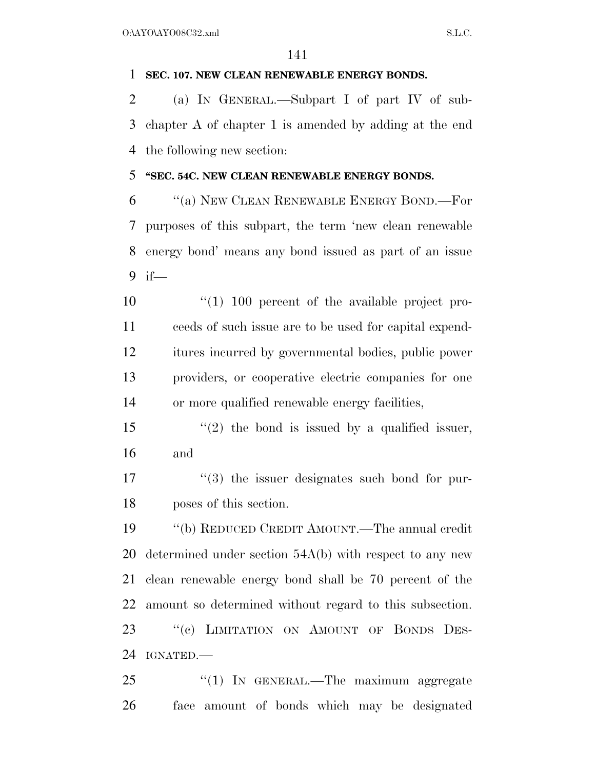### **SEC. 107. NEW CLEAN RENEWABLE ENERGY BONDS.**

 (a) IN GENERAL.—Subpart I of part IV of sub- chapter A of chapter 1 is amended by adding at the end the following new section:

## **''SEC. 54C. NEW CLEAN RENEWABLE ENERGY BONDS.**

 ''(a) NEW CLEAN RENEWABLE ENERGY BOND.—For purposes of this subpart, the term 'new clean renewable energy bond' means any bond issued as part of an issue if—

 ''(1) 100 percent of the available project pro- ceeds of such issue are to be used for capital expend- itures incurred by governmental bodies, public power providers, or cooperative electric companies for one or more qualified renewable energy facilities,

- 15  $\frac{1}{2}$  the bond is issued by a qualified issuer, and
- 17  $\frac{1}{3}$  the issuer designates such bond for pur-poses of this section.

 ''(b) REDUCED CREDIT AMOUNT.—The annual credit determined under section 54A(b) with respect to any new clean renewable energy bond shall be 70 percent of the amount so determined without regard to this subsection. 23 "(c) LIMITATION ON AMOUNT OF BONDS DES-IGNATED.—

25 "(1) In GENERAL.—The maximum aggregate face amount of bonds which may be designated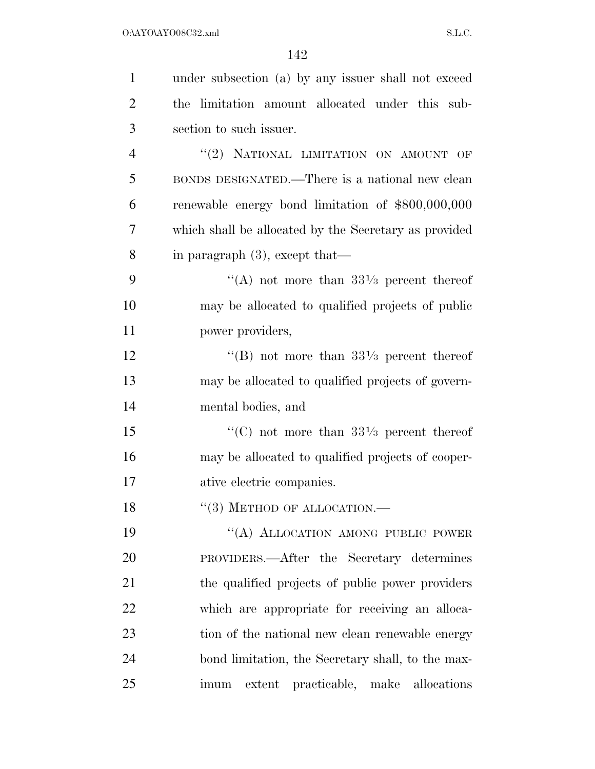| $\mathbf{1}$   | under subsection (a) by any issuer shall not exceed   |
|----------------|-------------------------------------------------------|
| $\overline{2}$ | the limitation amount allocated under this sub-       |
| 3              | section to such issuer.                               |
| $\overline{4}$ | "(2) NATIONAL LIMITATION ON AMOUNT OF                 |
| 5              | BONDS DESIGNATED.—There is a national new clean       |
| 6              | renewable energy bond limitation of \$800,000,000     |
| 7              | which shall be allocated by the Secretary as provided |
| 8              | in paragraph $(3)$ , except that—                     |
| 9              | "(A) not more than $33\frac{1}{3}$ percent thereof    |
| 10             | may be allocated to qualified projects of public      |
| 11             | power providers,                                      |
| 12             | "(B) not more than $33\frac{1}{3}$ percent thereof    |
| 13             | may be allocated to qualified projects of govern-     |
| 14             | mental bodies, and                                    |
| 15             | "(C) not more than $33\frac{1}{3}$ percent thereof    |
| 16             | may be allocated to qualified projects of cooper-     |
| 17             | ative electric companies.                             |
| 18             | $``(3)$ METHOD OF ALLOCATION.—                        |
| 19             | "(A) ALLOCATION AMONG PUBLIC POWER                    |
| 20             | PROVIDERS.—After the Secretary determines             |
| 21             | the qualified projects of public power providers      |
| 22             | which are appropriate for receiving an alloca-        |
| 23             | tion of the national new clean renewable energy       |
| 24             | bond limitation, the Secretary shall, to the max-     |
| 25             | extent practicable, make allocations<br>imum          |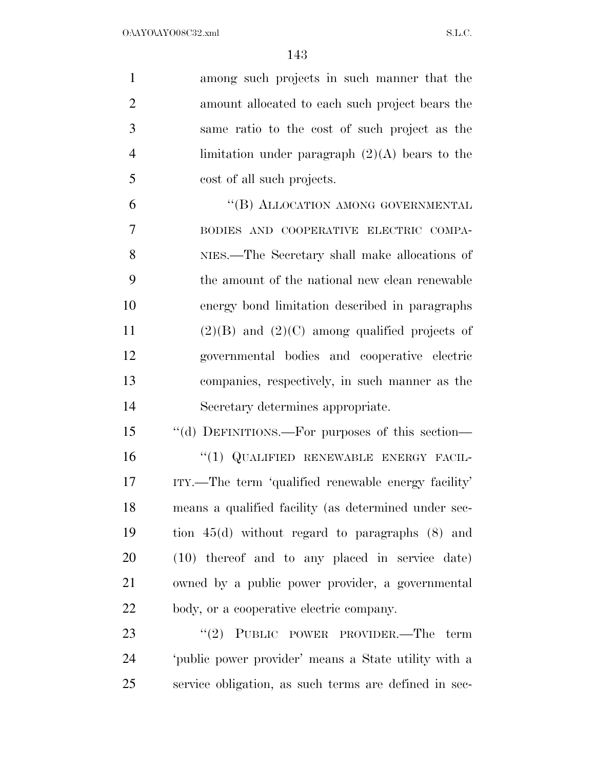| $\mathbf{1}$   | among such projects in such manner that the          |
|----------------|------------------------------------------------------|
| $\overline{2}$ | amount allocated to each such project bears the      |
| 3              | same ratio to the cost of such project as the        |
| $\overline{4}$ | limitation under paragraph $(2)(A)$ bears to the     |
| 5              | cost of all such projects.                           |
| 6              | "(B) ALLOCATION AMONG GOVERNMENTAL                   |
| $\overline{7}$ | BODIES AND COOPERATIVE ELECTRIC COMPA-               |
| 8              | NIES.—The Secretary shall make allocations of        |
| 9              | the amount of the national new clean renewable       |
| 10             | energy bond limitation described in paragraphs       |
| 11             | $(2)(B)$ and $(2)(C)$ among qualified projects of    |
| 12             | governmental bodies and cooperative electric         |
| 13             | companies, respectively, in such manner as the       |
| 14             | Secretary determines appropriate.                    |
| 15             | "(d) DEFINITIONS.—For purposes of this section—      |
| 16             | "(1) QUALIFIED RENEWABLE ENERGY FACIL-               |
| 17             | ITY.—The term 'qualified renewable energy facility'  |
| 18             | means a qualified facility (as determined under sec- |
| 19             | tion $45(d)$ without regard to paragraphs $(8)$ and  |
| <b>20</b>      | (10) thereof and to any placed in service date)      |
| 21             | owned by a public power provider, a governmental     |
| 22             | body, or a cooperative electric company.             |
| 23             | "(2) PUBLIC POWER PROVIDER.—The term                 |
| 24             | 'public power provider' means a State utility with a |

service obligation, as such terms are defined in sec-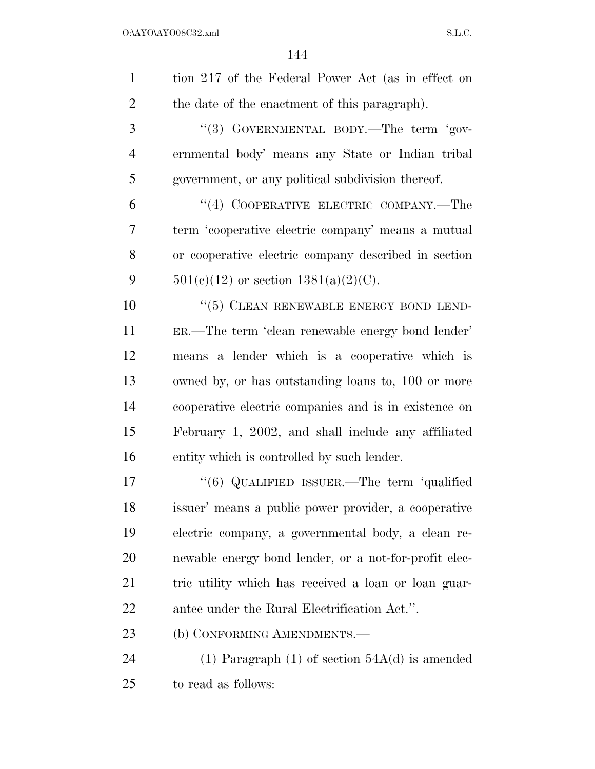| $\mathbf{1}$   | tion 217 of the Federal Power Act (as in effect on    |
|----------------|-------------------------------------------------------|
| $\overline{2}$ | the date of the enactment of this paragraph).         |
| 3              | "(3) GOVERNMENTAL BODY.—The term 'gov-                |
| $\overline{4}$ | ernmental body' means any State or Indian tribal      |
| 5              | government, or any political subdivision thereof.     |
| 6              | "(4) COOPERATIVE ELECTRIC COMPANY.—The                |
| 7              | term 'cooperative electric company' means a mutual    |
| 8              | or cooperative electric company described in section  |
| 9              | $501(c)(12)$ or section $1381(a)(2)(C)$ .             |
| 10             | $``(5)$ CLEAN RENEWABLE ENERGY BOND LEND-             |
| 11             | ER.—The term 'clean renewable energy bond lender'     |
| 12             | means a lender which is a cooperative which is        |
| 13             | owned by, or has outstanding loans to, 100 or more    |
| 14             | cooperative electric companies and is in existence on |
| 15             | February 1, 2002, and shall include any affiliated    |
| 16             | entity which is controlled by such lender.            |
| 17             | " $(6)$ QUALIFIED ISSUER.—The term 'qualified         |
| 18             | issuer' means a public power provider, a cooperative  |
| 19             | electric company, a governmental body, a clean re-    |
| 20             | newable energy bond lender, or a not-for-profit elec- |
| 21             | tric utility which has received a loan or loan guar-  |
| 22             | antee under the Rural Electrification Act.".          |
| 23             | (b) CONFORMING AMENDMENTS.-                           |
| 24             | (1) Paragraph (1) of section $54A(d)$ is amended      |
| 25             | to read as follows:                                   |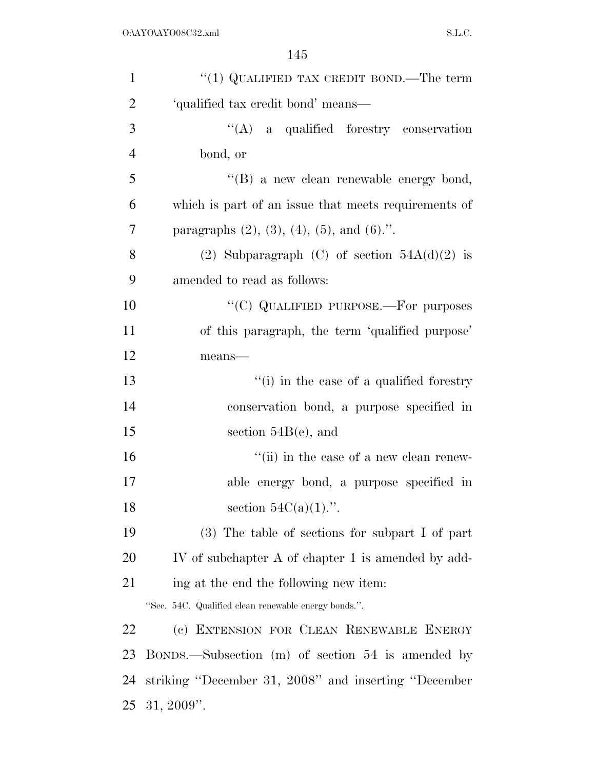| $\mathbf{1}$   | "(1) QUALIFIED TAX CREDIT BOND.—The term                 |
|----------------|----------------------------------------------------------|
| $\overline{2}$ | 'qualified tax credit bond' means-                       |
| 3              | "(A) a qualified forestry conservation                   |
| $\overline{4}$ | bond, or                                                 |
| 5              | "(B) a new clean renewable energy bond,                  |
| 6              | which is part of an issue that meets requirements of     |
| 7              | paragraphs $(2)$ , $(3)$ , $(4)$ , $(5)$ , and $(6)$ .". |
| 8              | (2) Subparagraph (C) of section $54A(d)(2)$ is           |
| 9              | amended to read as follows:                              |
| 10             | "(C) QUALIFIED PURPOSE.—For purposes                     |
| 11             | of this paragraph, the term 'qualified purpose'          |
| 12             | $means$ —                                                |
| 13             | "(i) in the case of a qualified forestry                 |
| 14             | conservation bond, a purpose specified in                |
| 15             | section $54B(e)$ , and                                   |
| 16             | "(ii) in the case of a new clean renew-                  |
| 17             | able energy bond, a purpose specified in                 |
| 18             | section $54C(a)(1)$ .".                                  |
| 19             | $(3)$ The table of sections for subpart I of part        |
| <b>20</b>      | IV of subchapter A of chapter 1 is amended by add-       |
| 21             | ing at the end the following new item:                   |
|                | "Sec. 54C. Qualified clean renewable energy bonds.".     |
| 22             | (c) EXTENSION FOR CLEAN RENEWABLE ENERGY                 |
| 23             | BONDS.—Subsection (m) of section 54 is amended by        |
| 24             | striking "December 31, 2008" and inserting "December     |
| 25             | $31, 2009$ ".                                            |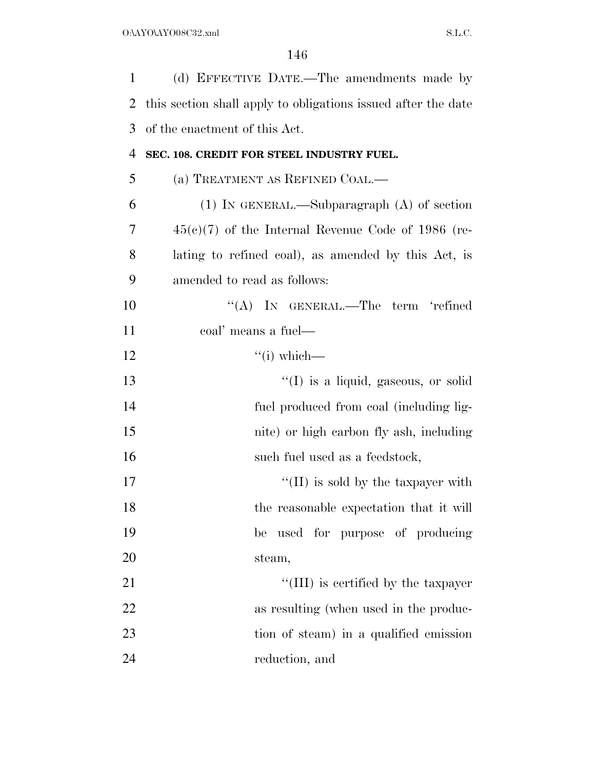| 1              | (d) EFFECTIVE DATE.—The amendments made by                    |
|----------------|---------------------------------------------------------------|
| 2              | this section shall apply to obligations issued after the date |
| 3              | of the enactment of this Act.                                 |
| $\overline{4}$ | SEC. 108. CREDIT FOR STEEL INDUSTRY FUEL.                     |
| 5              | (a) TREATMENT AS REFINED COAL.—                               |
| 6              | $(1)$ In GENERAL.—Subparagraph $(A)$ of section               |
| 7              | $45(e)(7)$ of the Internal Revenue Code of 1986 (re-          |
| 8              | lating to refined coal), as amended by this Act, is           |
| 9              | amended to read as follows:                                   |
| 10             | "(A) IN GENERAL.—The term 'refined                            |
| 11             | coal' means a fuel—                                           |
| 12             | $``(i) which$ —                                               |
| 13             | $\lq\lq$ is a liquid, gaseous, or solid                       |
| 14             | fuel produced from coal (including lig-                       |
| 15             | nite) or high carbon fly ash, including                       |
| 16             | such fuel used as a feedstock,                                |
| 17             | $\lq\lq$ (II) is sold by the taxpayer with                    |
| 18             | the reasonable expectation that it will                       |
| 19             | used for purpose of producing<br>be                           |
| 20             | steam,                                                        |
| 21             | "(III) is certified by the taxpayer                           |
| 22             | as resulting (when used in the produc-                        |
| 23             | tion of steam) in a qualified emission                        |
| 24             | reduction, and                                                |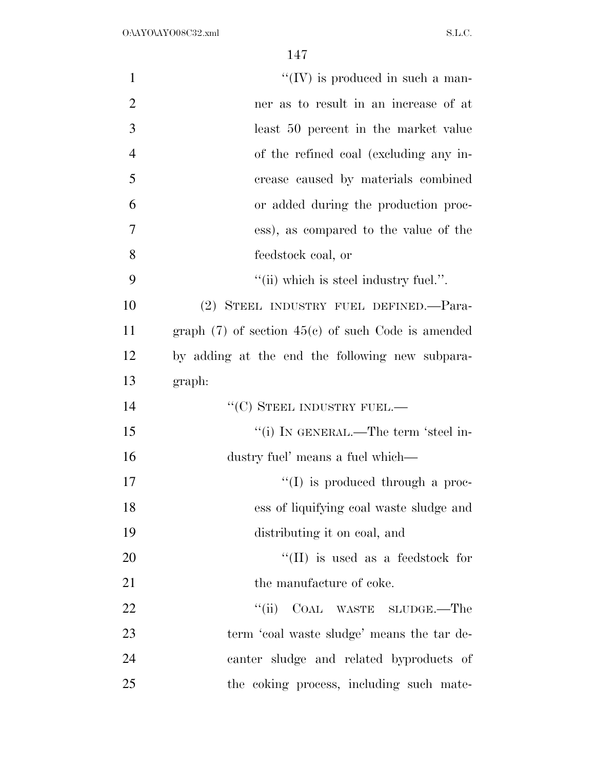| $\mathbf{1}$   | $\lq\lq$ (IV) is produced in such a man-               |
|----------------|--------------------------------------------------------|
| $\overline{2}$ | ner as to result in an increase of at                  |
| 3              | least 50 percent in the market value                   |
| $\overline{4}$ | of the refined coal (excluding any in-                 |
| 5              | crease caused by materials combined                    |
| 6              | or added during the production proc-                   |
| 7              | ess), as compared to the value of the                  |
| 8              | feedstock coal, or                                     |
| 9              | $"$ (ii) which is steel industry fuel.".               |
| 10             | (2) STEEL INDUSTRY FUEL DEFINED. Para-                 |
| 11             | graph $(7)$ of section $45(c)$ of such Code is amended |
| 12             | by adding at the end the following new subpara-        |
| 13             | graph:                                                 |
| 14             | $``$ (C) STEEL INDUSTRY FUEL.—                         |
| 15             | "(i) IN GENERAL.—The term 'steel in-                   |
| 16             | dustry fuel' means a fuel which—                       |
| 17             | $\lq\lq$ (I) is produced through a proc-               |
| 18             | ess of liquifying coal waste sludge and                |
| 19             | distributing it on coal, and                           |
| 20             | $\lq\lq$ (II) is used as a feedstock for               |
| 21             | the manufacture of coke.                               |
| 22             | ``(ii)<br>COAL WASTE SLUDGE.—The                       |
| 23             | term 'coal waste sludge' means the tar de-             |
| 24             | canter sludge and related byproducts of                |
| 25             | the coking process, including such mate-               |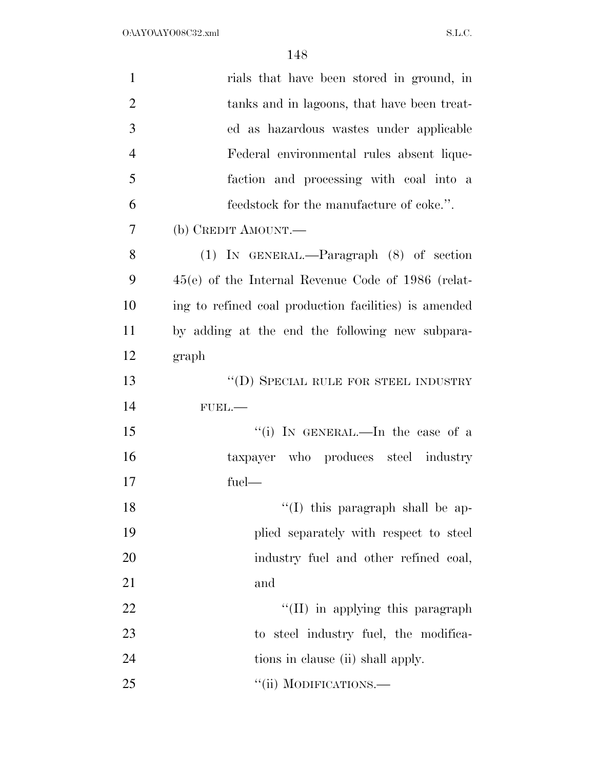| $\mathbf{1}$   | rials that have been stored in ground, in             |
|----------------|-------------------------------------------------------|
| $\overline{2}$ | tanks and in lagoons, that have been treat-           |
| 3              | ed as hazardous wastes under applicable               |
| $\overline{4}$ | Federal environmental rules absent lique-             |
| 5              | faction and processing with coal into a               |
| 6              | feedstock for the manufacture of coke.".              |
| 7              | (b) CREDIT AMOUNT.—                                   |
| 8              | $(1)$ IN GENERAL.—Paragraph $(8)$ of section          |
| 9              | $45(e)$ of the Internal Revenue Code of 1986 (relat-  |
| 10             | ing to refined coal production facilities) is amended |
| 11             | by adding at the end the following new subpara-       |
| 12             | graph                                                 |
| 13             | $\lq\lq$ (D) SPECIAL RULE FOR STEEL INDUSTRY          |
| 14             | $FUBL$ .                                              |
| 15             | "(i) IN GENERAL.—In the case of a                     |
| 16             | taxpayer who produces steel industry                  |
| 17             | fuel-                                                 |
| 18             | $\lq(1)$ this paragraph shall be ap-                  |
| 19             | plied separately with respect to steel                |
| 20             | industry fuel and other refined coal,                 |
| 21             | and                                                   |
| 22             | "(II) in applying this paragraph                      |
| 23             | to steel industry fuel, the modifica-                 |
| 24             | tions in clause (ii) shall apply.                     |
| 25             | "(ii) MODIFICATIONS.—                                 |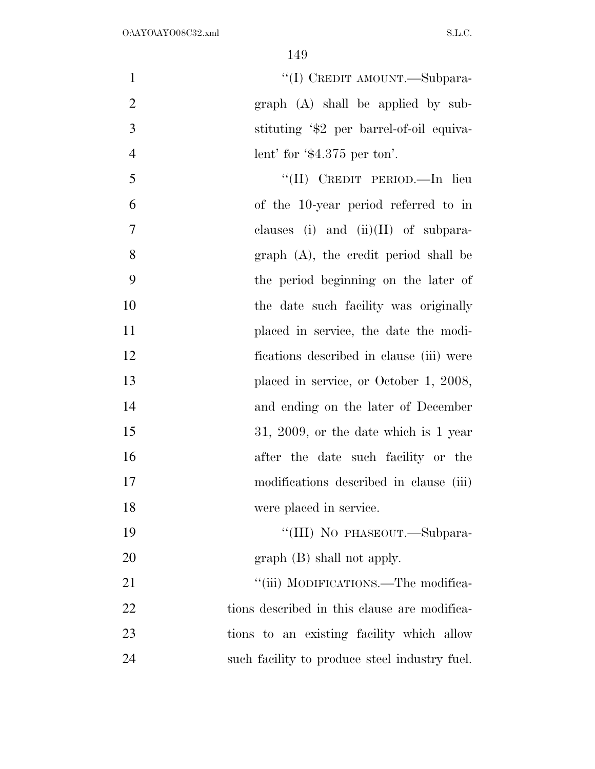$\text{``(I)}$  CREDIT AMOUNT.—Subpara- graph (A) shall be applied by sub- stituting '\$2 per barrel-of-oil equiva-4 lent' for ' $\text{\$4.375}$  per ton'. ''(II) CREDIT PERIOD.—In lieu

 of the 10-year period referred to in clauses (i) and (ii)(II) of subpara- graph (A), the credit period shall be the period beginning on the later of the date such facility was originally placed in service, the date the modi- fications described in clause (iii) were 13 placed in service, or October 1, 2008, and ending on the later of December 15 31, 2009, or the date which is 1 year after the date such facility or the modifications described in clause (iii) were placed in service.

19 "'(III) No PHASEOUT.—Subpara-20 graph (B) shall not apply.

21 ""(iii) MODIFICATIONS.—The modifica-22 tions described in this clause are modifica- tions to an existing facility which allow such facility to produce steel industry fuel.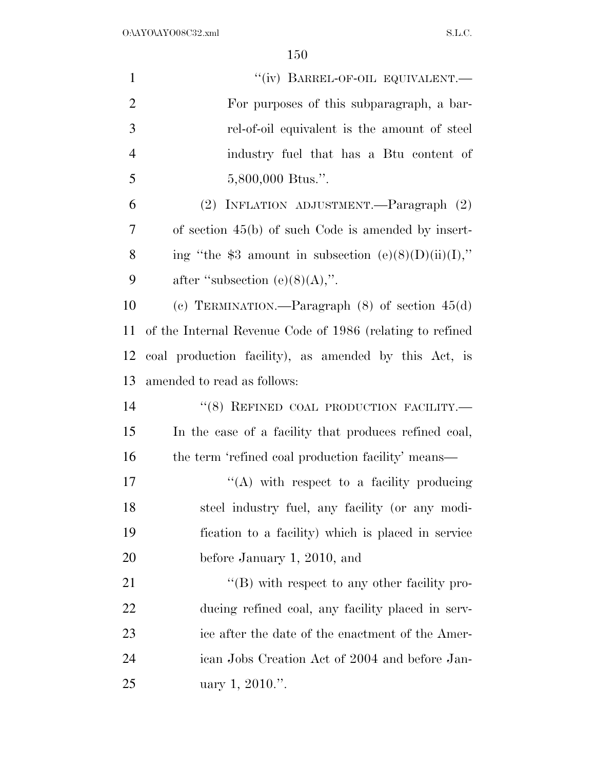| $\mathbf{1}$   | "(iv) BARREL-OF-OIL EQUIVALENT.-                          |
|----------------|-----------------------------------------------------------|
| $\overline{2}$ | For purposes of this subparagraph, a bar-                 |
| 3              | rel-of-oil equivalent is the amount of steel              |
| $\overline{4}$ | industry fuel that has a Btu content of                   |
| 5              | 5,800,000 Btus.".                                         |
| 6              | (2) INFLATION ADJUSTMENT.—Paragraph (2)                   |
| 7              | of section $45(b)$ of such Code is amended by insert-     |
| 8              | ing "the \$3 amount in subsection $(e)(8)(D)(ii)(I)$ ,"   |
| 9              | after "subsection $(e)(8)(A)$ ,".                         |
| 10             | (c) TERMINATION.—Paragraph $(8)$ of section $45(d)$       |
| 11             | of the Internal Revenue Code of 1986 (relating to refined |
| 12             | coal production facility), as amended by this Act, is     |
| 13             | amended to read as follows:                               |
| 14             | "(8) REFINED COAL PRODUCTION FACILITY.-                   |
| 15             | In the case of a facility that produces refined coal,     |
| 16             | the term 'refined coal production facility' means—        |
| 17             | "(A) with respect to a facility producing                 |
| 18             | steel industry fuel, any facility (or any modi-           |
| 19             | fication to a facility) which is placed in service        |
| 20             | before January 1, 2010, and                               |
| 21             | $\lq\lq$ (B) with respect to any other facility pro-      |
| 22             | ducing refined coal, any facility placed in serv-         |
| 23             | ice after the date of the enactment of the Amer-          |
| 24             | ican Jobs Creation Act of 2004 and before Jan-            |
| 25             | uary 1, 2010.".                                           |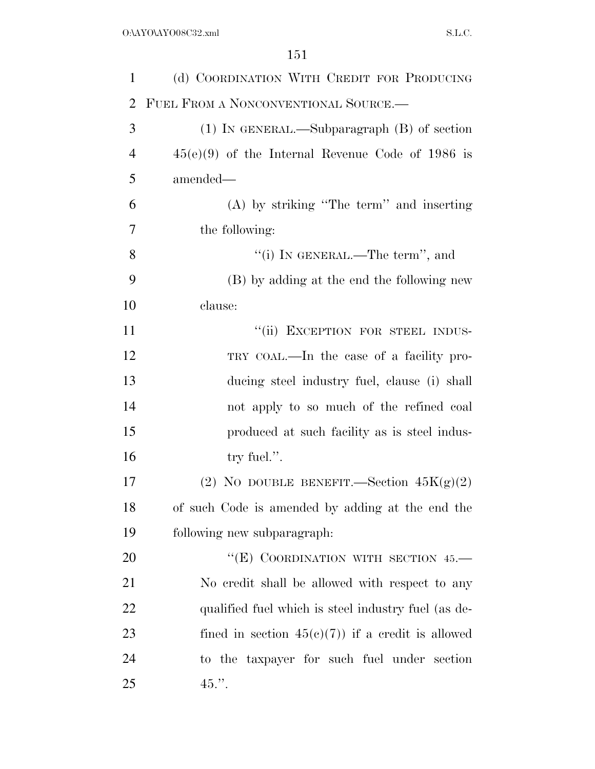| $\mathbf{1}$   | (d) COORDINATION WITH CREDIT FOR PRODUCING          |
|----------------|-----------------------------------------------------|
| 2              | FUEL FROM A NONCONVENTIONAL SOURCE.                 |
| 3              | $(1)$ In GENERAL.—Subparagraph $(B)$ of section     |
| $\overline{4}$ | $45(e)(9)$ of the Internal Revenue Code of 1986 is  |
| 5              | amended—                                            |
| 6              | $(A)$ by striking "The term" and inserting          |
| 7              | the following:                                      |
| 8              | "(i) IN GENERAL.—The term", and                     |
| 9              | (B) by adding at the end the following new          |
| 10             | clause:                                             |
| 11             | "(ii) EXCEPTION FOR STEEL INDUS-                    |
| 12             | TRY COAL.—In the case of a facility pro-            |
| 13             | ducing steel industry fuel, clause (i) shall        |
| 14             | not apply to so much of the refined coal            |
| 15             | produced at such facility as is steel indus-        |
| 16             | try fuel.".                                         |
| 17             | (2) NO DOUBLE BENEFIT.—Section $45K(g)(2)$          |
| 18             | of such Code is amended by adding at the end the    |
| 19             | following new subparagraph:                         |
| <b>20</b>      | "(E) COORDINATION WITH SECTION 45.-                 |
| 21             | No credit shall be allowed with respect to any      |
| 22             | qualified fuel which is steel industry fuel (as de- |
| 23             | fined in section $45(c)(7)$ if a credit is allowed  |
| 24             | to the taxpayer for such fuel under section         |
| 25             | $45.$ ".                                            |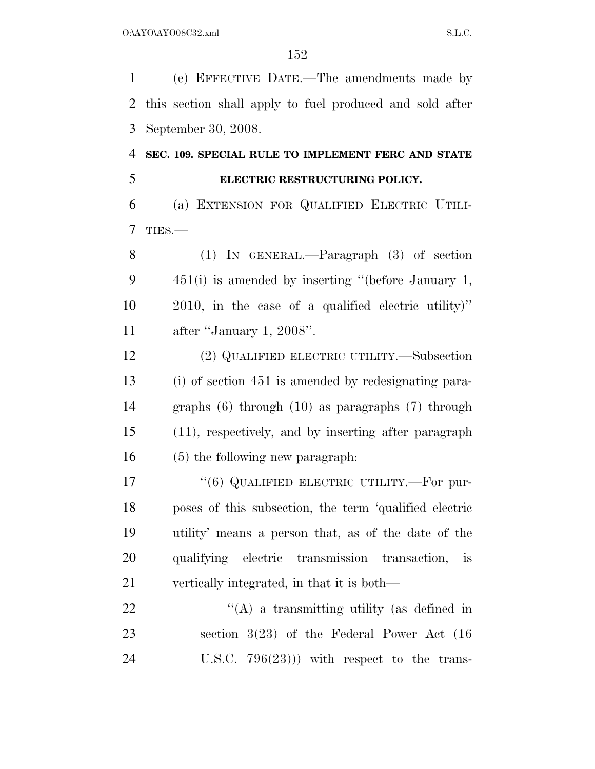(e) EFFECTIVE DATE.—The amendments made by this section shall apply to fuel produced and sold after September 30, 2008.

## **SEC. 109. SPECIAL RULE TO IMPLEMENT FERC AND STATE ELECTRIC RESTRUCTURING POLICY.**

 (a) EXTENSION FOR QUALIFIED ELECTRIC UTILI-TIES.—

 (1) IN GENERAL.—Paragraph (3) of section 451(i) is amended by inserting ''(before January 1, 2010, in the case of a qualified electric utility)'' after ''January 1, 2008''.

 (2) QUALIFIED ELECTRIC UTILITY.—Subsection (i) of section 451 is amended by redesignating para- graphs (6) through (10) as paragraphs (7) through (11), respectively, and by inserting after paragraph (5) the following new paragraph:

17 "(6) QUALIFIED ELECTRIC UTILITY.—For pur- poses of this subsection, the term 'qualified electric utility' means a person that, as of the date of the qualifying electric transmission transaction, is vertically integrated, in that it is both—

 $\mathcal{L}(A)$  a transmitting utility (as defined in section 3(23) of the Federal Power Act (16 U.S.C. 796(23))) with respect to the trans-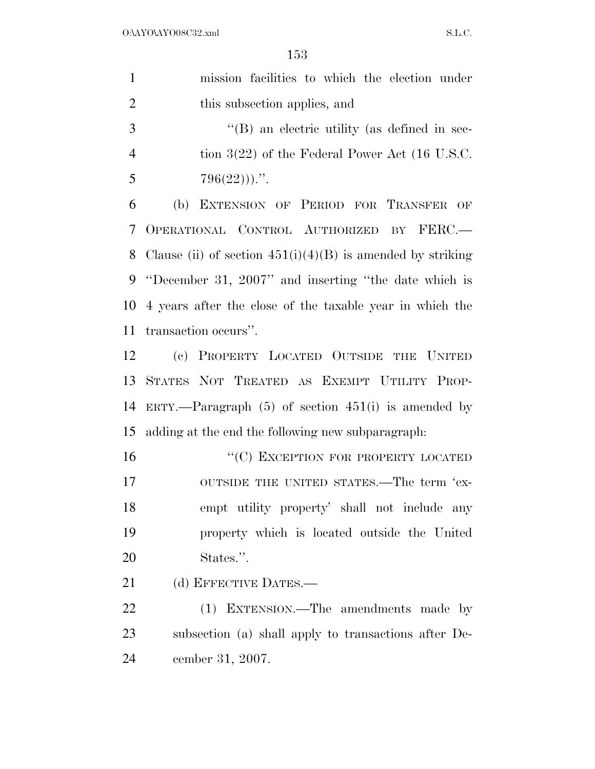| $\mathbf{1}$   | mission facilities to which the election under               |
|----------------|--------------------------------------------------------------|
| $\overline{2}$ | this subsection applies, and                                 |
| 3              | $\lq$ (B) an electric utility (as defined in sec-            |
| $\overline{4}$ | tion $3(22)$ of the Federal Power Act (16 U.S.C.             |
| 5              | $796(22))$                                                   |
| 6              | EXTENSION OF PERIOD FOR TRANSFER OF<br>(b)                   |
| 7              | OPERATIONAL CONTROL AUTHORIZED BY FERC.-                     |
| 8              | Clause (ii) of section $451(i)(4)(B)$ is amended by striking |
| 9              | "December 31, 2007" and inserting "the date which is         |
| 10             | 4 years after the close of the taxable year in which the     |
| 11             | transaction occurs".                                         |
| 12             | (c) PROPERTY LOCATED OUTSIDE THE UNITED                      |
| 13             | STATES NOT TREATED AS EXEMPT UTILITY PROP-                   |
| 14             | ERTY.—Paragraph $(5)$ of section $451(i)$ is amended by      |
| 15             | adding at the end the following new subparagraph:            |
| 16             | "(C) EXCEPTION FOR PROPERTY LOCATED                          |
| 17             | OUTSIDE THE UNITED STATES.—The term 'ex-                     |
| 18             | empt utility property' shall not include any                 |
| 19             | property which is located outside the United                 |
| 20             | States.".                                                    |
| 21             | (d) EFFECTIVE DATES.-                                        |
| 22             | (1) EXTENSION.—The amendments made by                        |
| 23             | subsection (a) shall apply to transactions after De-         |
| 24             | cember 31, 2007.                                             |
|                |                                                              |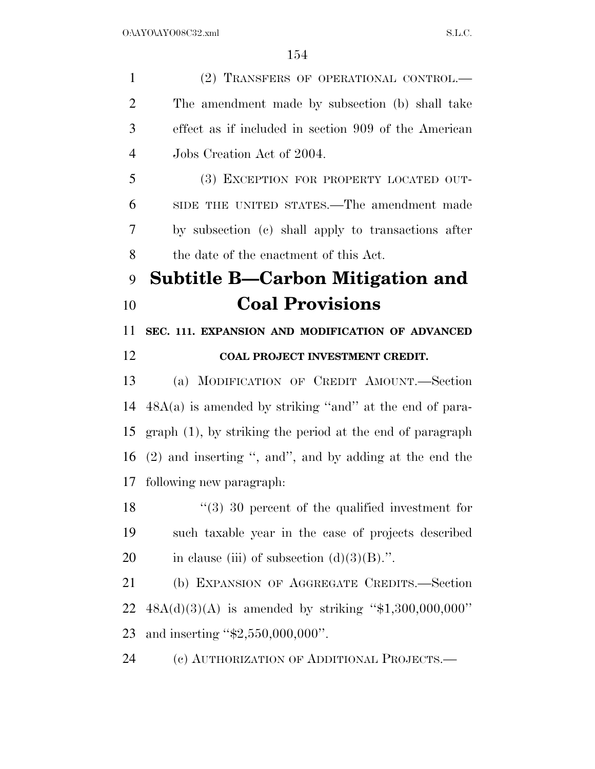1 (2) TRANSFERS OF OPERATIONAL CONTROL.— The amendment made by subsection (b) shall take effect as if included in section 909 of the American Jobs Creation Act of 2004. (3) EXCEPTION FOR PROPERTY LOCATED OUT- SIDE THE UNITED STATES.—The amendment made by subsection (c) shall apply to transactions after the date of the enactment of this Act. **Subtitle B—Carbon Mitigation and Coal Provisions SEC. 111. EXPANSION AND MODIFICATION OF ADVANCED COAL PROJECT INVESTMENT CREDIT.**  (a) MODIFICATION OF CREDIT AMOUNT.—Section 48A(a) is amended by striking ''and'' at the end of para- graph (1), by striking the period at the end of paragraph (2) and inserting '', and'', and by adding at the end the following new paragraph: ''(3) 30 percent of the qualified investment for such taxable year in the case of projects described 20 in clause (iii) of subsection  $(d)(3)(B)$ .". (b) EXPANSION OF AGGREGATE CREDITS.—Section 48A(d)(3)(A) is amended by striking ''\$1,300,000,000'' and inserting ''\$2,550,000,000''.

(c) AUTHORIZATION OF ADDITIONAL PROJECTS.—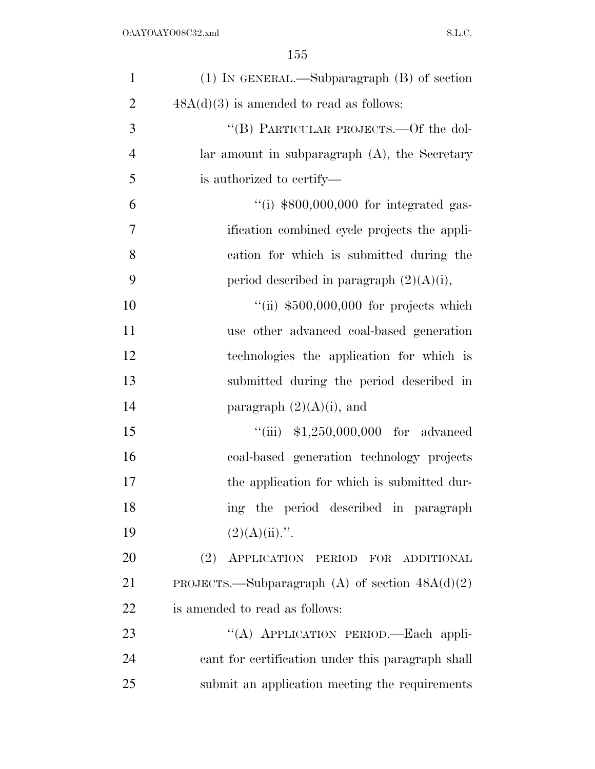| $\mathbf{1}$   | $(1)$ IN GENERAL.—Subparagraph $(B)$ of section   |
|----------------|---------------------------------------------------|
| $\overline{2}$ | $48A(d)(3)$ is amended to read as follows:        |
| 3              | "(B) PARTICULAR PROJECTS.—Of the dol-             |
| $\overline{4}$ | lar amount in subparagraph $(A)$ , the Secretary  |
| 5              | is authorized to certify—                         |
| 6              | "(i) $$800,000,000$ for integrated gas-           |
| 7              | ification combined cycle projects the appli-      |
| 8              | cation for which is submitted during the          |
| 9              | period described in paragraph $(2)(A)(i)$ ,       |
| 10             | "(ii) $$500,000,000$ for projects which           |
| 11             | use other advanced coal-based generation          |
| 12             | technologies the application for which is         |
| 13             | submitted during the period described in          |
| 14             | paragraph $(2)(A)(i)$ , and                       |
| 15             | "(iii) $$1,250,000,000$ for advanced              |
| 16             | coal-based generation technology projects         |
| 17             | the application for which is submitted dur-       |
| 18             | ing the period described in paragraph             |
| 19             | $(2)(A)(ii)$ .".                                  |
| 20             | (2) APPLICATION PERIOD FOR ADDITIONAL             |
| 21             | PROJECTS.—Subparagraph (A) of section $48A(d)(2)$ |
| 22             | is amended to read as follows:                    |
| 23             | "(A) APPLICATION PERIOD.—Each appli-              |
| 24             | cant for certification under this paragraph shall |
| 25             | submit an application meeting the requirements    |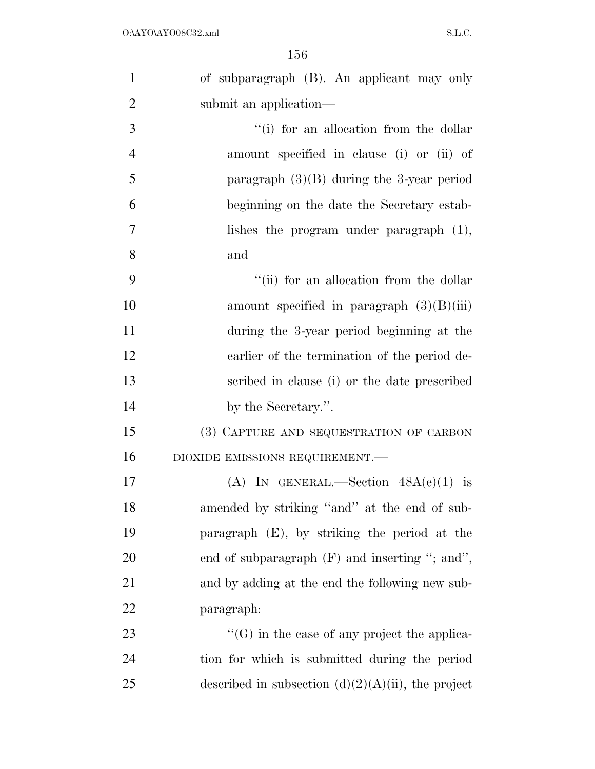| $\mathbf{1}$   | of subparagraph (B). An applicant may only            |
|----------------|-------------------------------------------------------|
| $\overline{2}$ | submit an application—                                |
| 3              | "(i) for an allocation from the dollar                |
| $\overline{4}$ | amount specified in clause (i) or (ii) of             |
| 5              | paragraph $(3)(B)$ during the 3-year period           |
| 6              | beginning on the date the Secretary estab-            |
| 7              | lishes the program under paragraph $(1)$ ,            |
| 8              | and                                                   |
| 9              | "(ii) for an allocation from the dollar               |
| 10             | amount specified in paragraph $(3)(B)(iii)$           |
| 11             | during the 3-year period beginning at the             |
| 12             | earlier of the termination of the period de-          |
| 13             | scribed in clause (i) or the date prescribed          |
| 14             | by the Secretary.".                                   |
| 15             | (3) CAPTURE AND SEQUESTRATION OF CARBON               |
| 16             | DIOXIDE EMISSIONS REQUIREMENT.-                       |
| 17             | (A) IN GENERAL.—Section $48A(e)(1)$ is                |
| 18             | amended by striking "and" at the end of sub-          |
| 19             | paragraph (E), by striking the period at the          |
| 20             | end of subparagraph $(F)$ and inserting "; and",      |
| 21             | and by adding at the end the following new sub-       |
| <u>22</u>      | paragraph:                                            |
| 23             | $\lq\lq(G)$ in the case of any project the applica-   |
| 24             | tion for which is submitted during the period         |
| 25             | described in subsection $(d)(2)(A)(ii)$ , the project |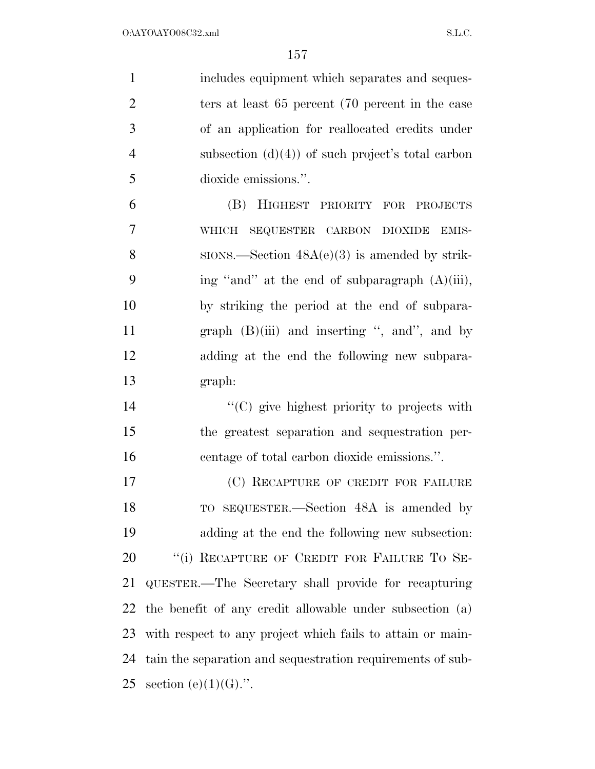| $\mathbf{1}$   | includes equipment which separates and seques-             |
|----------------|------------------------------------------------------------|
| $\overline{2}$ | ters at least 65 percent (70 percent in the case           |
| 3              | of an application for reallocated credits under            |
| $\overline{4}$ | subsection $(d)(4)$ of such project's total carbon         |
| 5              | dioxide emissions.".                                       |
| 6              | (B) HIGHEST PRIORITY FOR PROJECTS                          |
| 7              | SEQUESTER CARBON DIOXIDE EMIS-<br><b>WHICH</b>             |
| 8              | $SIONS$ . Section $48A(e)(3)$ is amended by strik-         |
| 9              | ing "and" at the end of subparagraph (A)(iii),             |
| 10             | by striking the period at the end of subpara-              |
| 11             | graph $(B)(iii)$ and inserting ", and", and by             |
| 12             | adding at the end the following new subpara-               |
| 13             | graph:                                                     |
| 14             | "(C) give highest priority to projects with                |
| 15             | the greatest separation and sequestration per-             |
| 16             | centage of total carbon dioxide emissions.".               |
| 17             | (C) RECAPTURE OF CREDIT FOR FAILURE                        |
| 18             | TO SEQUESTER.—Section 48A is amended by                    |
| 19             | adding at the end the following new subsection:            |
| 20             | "(i) RECAPTURE OF CREDIT FOR FAILURE TO SE-                |
| 21             | QUESTER.—The Secretary shall provide for recapturing       |
| 22             | the benefit of any credit allowable under subsection (a)   |
| 23             | with respect to any project which fails to attain or main- |
| 24             | tain the separation and sequestration requirements of sub- |
| 25             | section (e) $(1)(G)$ .".                                   |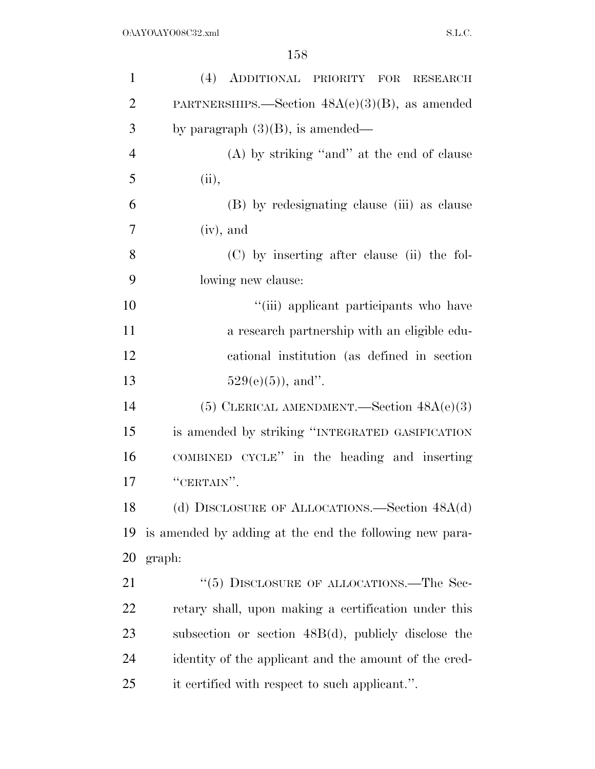| $\mathbf{1}$   | (4) ADDITIONAL PRIORITY FOR RESEARCH                    |
|----------------|---------------------------------------------------------|
| $\overline{2}$ | PARTNERSHIPS.—Section $48A(e)(3)(B)$ , as amended       |
| 3              | by paragraph $(3)(B)$ , is amended—                     |
| $\overline{4}$ | $(A)$ by striking "and" at the end of clause            |
| 5              | (ii),                                                   |
| 6              | (B) by redesignating clause (iii) as clause             |
| 7              | $(iv)$ , and                                            |
| 8              | (C) by inserting after clause (ii) the fol-             |
| 9              | lowing new clause:                                      |
| 10             | "(iii) applicant participants who have                  |
| 11             | a research partnership with an eligible edu-            |
| 12             | cational institution (as defined in section             |
| 13             | $529(e)(5)$ , and".                                     |
| 14             | (5) CLERICAL AMENDMENT.—Section $48A(e)(3)$             |
| 15             | is amended by striking "INTEGRATED GASIFICATION         |
| 16             | COMBINED CYCLE" in the heading and inserting            |
| 17             | "CERTAIN".                                              |
| 18             | (d) DISCLOSURE OF ALLOCATIONS.—Section 48A(d)           |
| 19             | is amended by adding at the end the following new para- |
| <b>20</b>      | graph:                                                  |
| 21             | "(5) DISCLOSURE OF ALLOCATIONS.—The Sec-                |
| 22             | retary shall, upon making a certification under this    |
| 23             | subsection or section $48B(d)$ , publicly disclose the  |
| 24             | identity of the applicant and the amount of the cred-   |
| 25             | it certified with respect to such applicant.".          |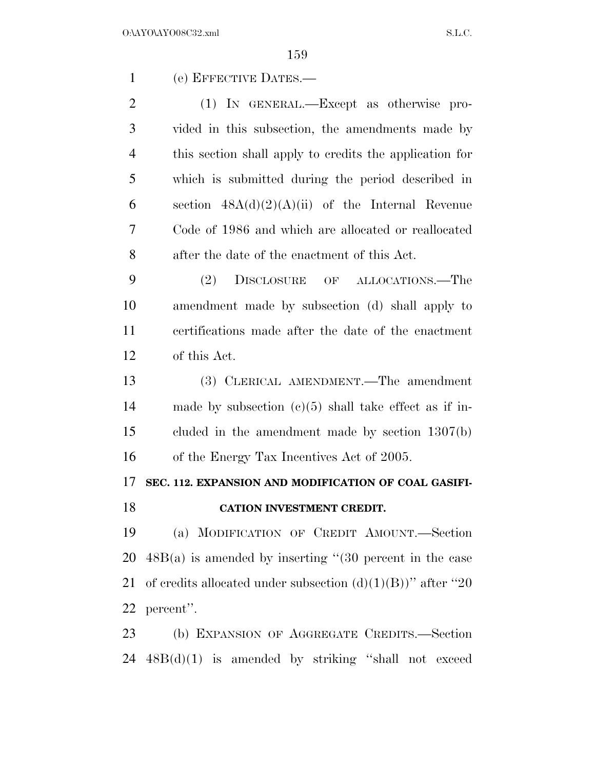(e) EFFECTIVE DATES.—

 (1) IN GENERAL.—Except as otherwise pro- vided in this subsection, the amendments made by this section shall apply to credits the application for which is submitted during the period described in 6 section  $48A(d)(2)(A)(ii)$  of the Internal Revenue Code of 1986 and which are allocated or reallocated after the date of the enactment of this Act.

 (2) DISCLOSURE OF ALLOCATIONS.—The amendment made by subsection (d) shall apply to certifications made after the date of the enactment of this Act.

 (3) CLERICAL AMENDMENT.—The amendment made by subsection (c)(5) shall take effect as if in- cluded in the amendment made by section 1307(b) of the Energy Tax Incentives Act of 2005.

### **SEC. 112. EXPANSION AND MODIFICATION OF COAL GASIFI-**

#### **CATION INVESTMENT CREDIT.**

 (a) MODIFICATION OF CREDIT AMOUNT.—Section  $48B(a)$  is amended by inserting "(30 percent in the case 21 of credits allocated under subsection  $(d)(1)(B)$ " after "20" percent''.

 (b) EXPANSION OF AGGREGATE CREDITS.—Section 48B(d)(1) is amended by striking ''shall not exceed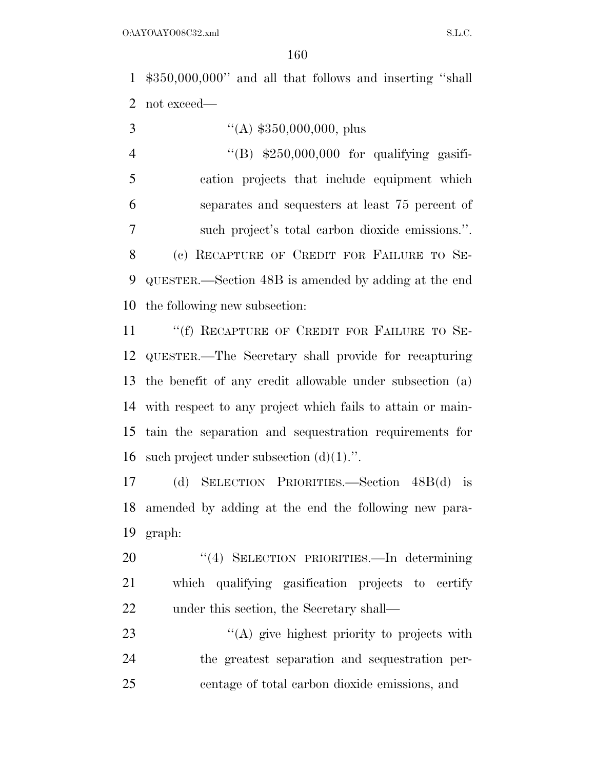\$350,000,000'' and all that follows and inserting ''shall not exceed—

 $((A) \, \$350,000,000, \text{ plus}$  ''(B) \$250,000,000 for qualifying gasifi- cation projects that include equipment which separates and sequesters at least 75 percent of such project's total carbon dioxide emissions.''. (c) RECAPTURE OF CREDIT FOR FAILURE TO SE- QUESTER.—Section 48B is amended by adding at the end the following new subsection:

11 ""(f) RECAPTURE OF CREDIT FOR FAILURE TO SE- QUESTER.—The Secretary shall provide for recapturing the benefit of any credit allowable under subsection (a) with respect to any project which fails to attain or main- tain the separation and sequestration requirements for 16 such project under subsection  $(d)(1)$ .".

 (d) SELECTION PRIORITIES.—Section 48B(d) is amended by adding at the end the following new para-graph:

 ''(4) SELECTION PRIORITIES.—In determining which qualifying gasification projects to certify 22 under this section, the Secretary shall—

23 "(A) give highest priority to projects with the greatest separation and sequestration per-centage of total carbon dioxide emissions, and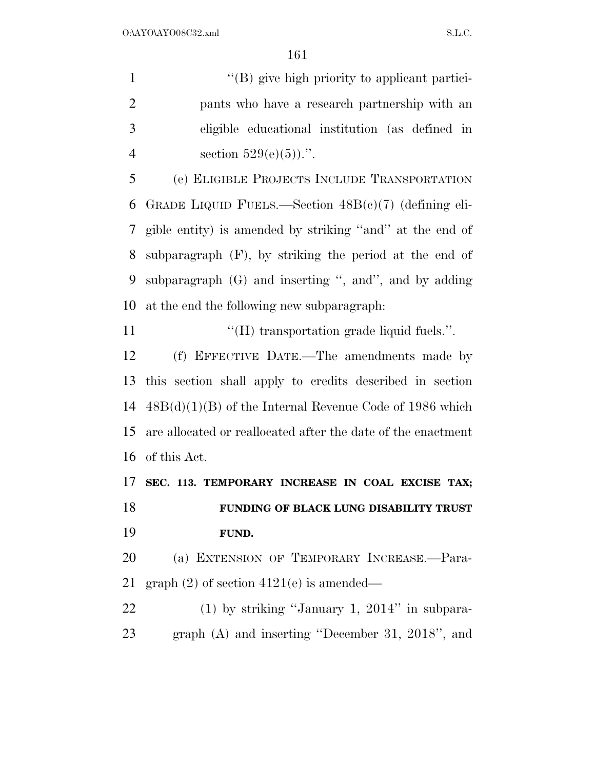$\langle$  (B) give high priority to applicant partici- pants who have a research partnership with an eligible educational institution (as defined in 4 section  $529(e)(5)$ .

 (e) ELIGIBLE PROJECTS INCLUDE TRANSPORTATION GRADE LIQUID FUELS.—Section 48B(c)(7) (defining eli- gible entity) is amended by striking ''and'' at the end of subparagraph (F), by striking the period at the end of subparagraph (G) and inserting '', and'', and by adding at the end the following new subparagraph:

11  $\langle H \rangle$  transportation grade liquid fuels.".

 (f) EFFECTIVE DATE.—The amendments made by this section shall apply to credits described in section 48B(d)(1)(B) of the Internal Revenue Code of 1986 which are allocated or reallocated after the date of the enactment of this Act.

 **SEC. 113. TEMPORARY INCREASE IN COAL EXCISE TAX; FUNDING OF BLACK LUNG DISABILITY TRUST FUND.** 

 (a) EXTENSION OF TEMPORARY INCREASE.—Para-graph (2) of section 4121(e) is amended—

 (1) by striking ''January 1, 2014'' in subpara-graph (A) and inserting ''December 31, 2018'', and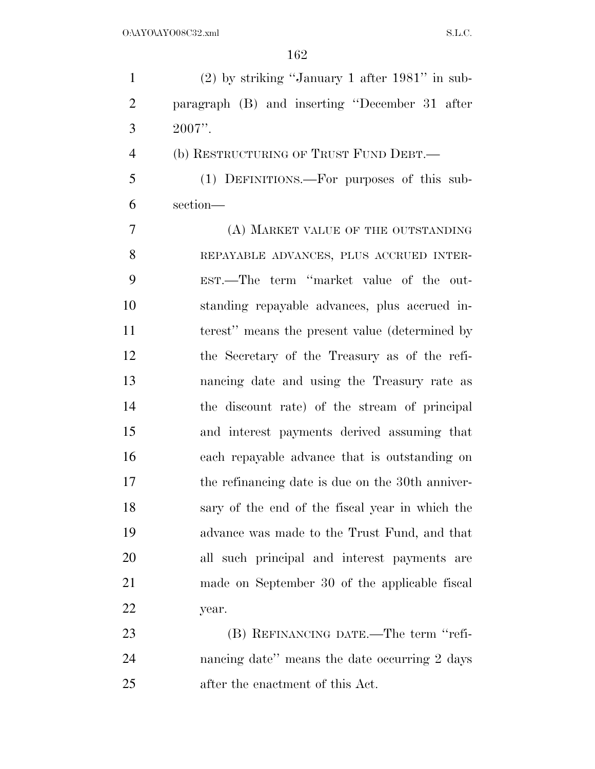(2) by striking ''January 1 after 1981'' in sub- paragraph (B) and inserting ''December 31 after  $3 \t 2007$ ".

(b) RESTRUCTURING OF TRUST FUND DEBT.—

 (1) DEFINITIONS.—For purposes of this sub-section—

 (A) MARKET VALUE OF THE OUTSTANDING REPAYABLE ADVANCES, PLUS ACCRUED INTER- EST.—The term ''market value of the out- standing repayable advances, plus accrued in- terest'' means the present value (determined by the Secretary of the Treasury as of the refi- nancing date and using the Treasury rate as the discount rate) of the stream of principal and interest payments derived assuming that each repayable advance that is outstanding on the refinancing date is due on the 30th anniver- sary of the end of the fiscal year in which the advance was made to the Trust Fund, and that all such principal and interest payments are made on September 30 of the applicable fiscal year.

23 (B) REFINANCING DATE.—The term "refi- nancing date'' means the date occurring 2 days after the enactment of this Act.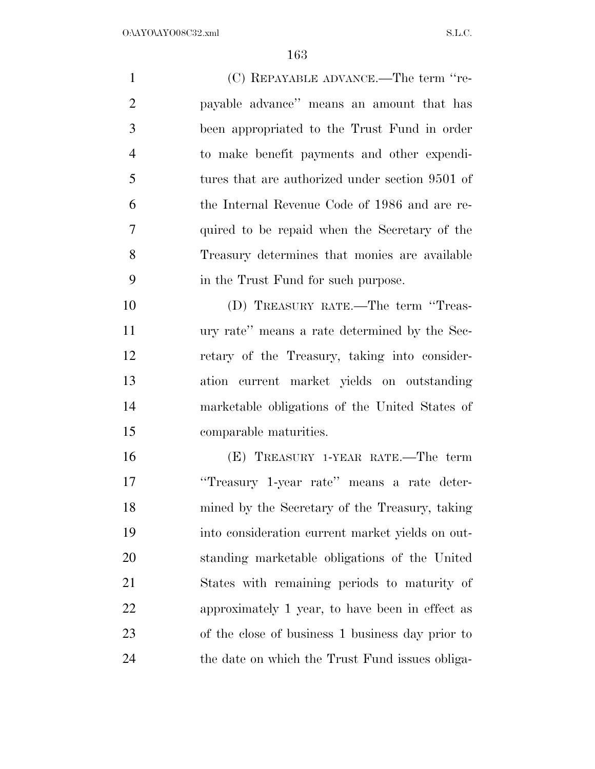| $\mathbf{1}$   | (C) REPAYABLE ADVANCE.—The term "re-             |
|----------------|--------------------------------------------------|
| $\overline{2}$ | payable advance" means an amount that has        |
| 3              | been appropriated to the Trust Fund in order     |
| $\overline{4}$ | to make benefit payments and other expendi-      |
| 5              | tures that are authorized under section 9501 of  |
| 6              | the Internal Revenue Code of 1986 and are re-    |
| $\overline{7}$ | quired to be repaid when the Secretary of the    |
| 8              | Treasury determines that monies are available    |
| 9              | in the Trust Fund for such purpose.              |
| 10             | (D) TREASURY RATE.—The term "Treas-              |
| 11             | ury rate" means a rate determined by the Sec-    |
| 12             | retary of the Treasury, taking into consider-    |
| 13             | ation current market yields on outstanding       |
| 14             | marketable obligations of the United States of   |
| 15             | comparable maturities.                           |
| 16             | (E) TREASURY 1-YEAR RATE.—The term               |
| 17             | "Treasury 1-year rate" means a rate deter-       |
| 18             | mined by the Secretary of the Treasury, taking   |
| 19             | into consideration current market yields on out- |
| 20             | standing marketable obligations of the United    |
| 21             | States with remaining periods to maturity of     |
| 22             | approximately 1 year, to have been in effect as  |
| 23             | of the close of business 1 business day prior to |
| 24             | the date on which the Trust Fund issues obliga-  |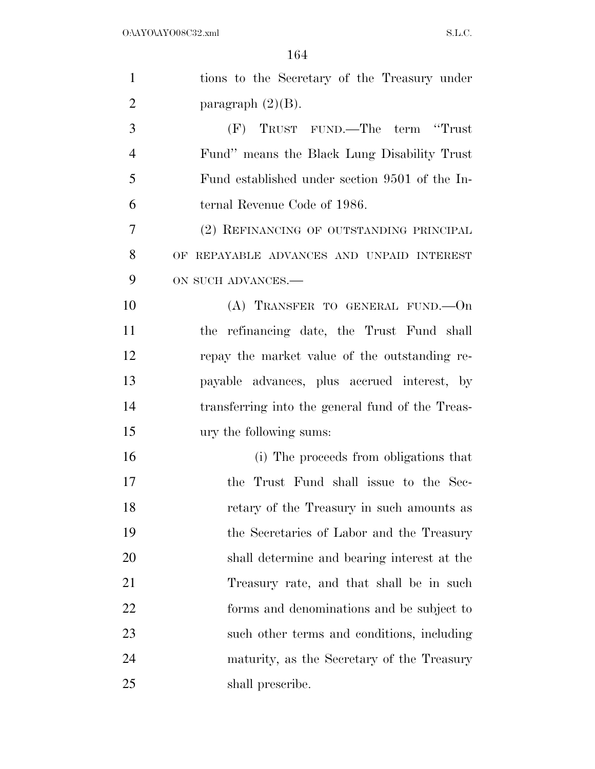| $\mathbf{1}$   | tions to the Secretary of the Treasury under     |
|----------------|--------------------------------------------------|
| $\overline{2}$ | paragraph $(2)(B)$ .                             |
| 3              | (F) TRUST FUND.—The term "Trust"                 |
| $\overline{4}$ | Fund" means the Black Lung Disability Trust      |
| 5              | Fund established under section 9501 of the In-   |
| 6              | ternal Revenue Code of 1986.                     |
| 7              | (2) REFINANCING OF OUTSTANDING PRINCIPAL         |
| 8              | OF REPAYABLE ADVANCES AND UNPAID INTEREST        |
| 9              | ON SUCH ADVANCES.-                               |
| 10             | (A) TRANSFER TO GENERAL FUND. - On               |
| 11             | the refinancing date, the Trust Fund shall       |
| 12             | repay the market value of the outstanding re-    |
| 13             | payable advances, plus accrued interest, by      |
| 14             | transferring into the general fund of the Treas- |
| 15             | ury the following sums:                          |
| 16             | (i) The proceeds from obligations that           |
| 17             | the Trust Fund shall issue to the Sec-           |
| 18             | retary of the Treasury in such amounts as        |
| 19             | the Secretaries of Labor and the Treasury        |
| 20             | shall determine and bearing interest at the      |
| 21             | Treasury rate, and that shall be in such         |
| 22             | forms and denominations and be subject to        |
| 23             | such other terms and conditions, including       |
| 24             | maturity, as the Secretary of the Treasury       |
| 25             | shall prescribe.                                 |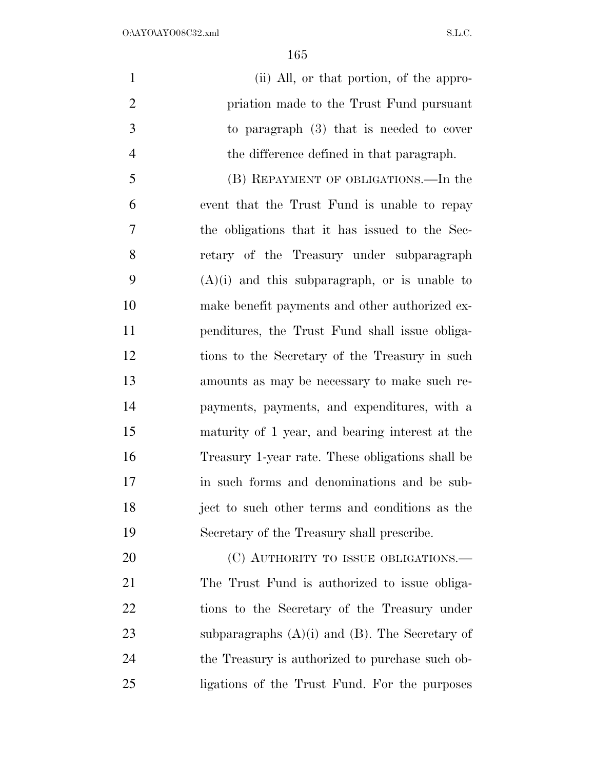| $\mathbf{1}$   | (ii) All, or that portion, of the appro-            |
|----------------|-----------------------------------------------------|
| $\overline{2}$ | priation made to the Trust Fund pursuant            |
| $\mathfrak{Z}$ | to paragraph $(3)$ that is needed to cover          |
| $\overline{4}$ | the difference defined in that paragraph.           |
| 5              | (B) REPAYMENT OF OBLIGATIONS.—In the                |
| 6              | event that the Trust Fund is unable to repay        |
| 7              | the obligations that it has issued to the Sec-      |
| 8              | retary of the Treasury under subparagraph           |
| 9              | $(A)(i)$ and this subparagraph, or is unable to     |
| 10             | make benefit payments and other authorized ex-      |
| 11             | penditures, the Trust Fund shall issue obliga-      |
| 12             | tions to the Secretary of the Treasury in such      |
| 13             | amounts as may be necessary to make such re-        |
| 14             | payments, payments, and expenditures, with a        |
| 15             | maturity of 1 year, and bearing interest at the     |
| 16             | Treasury 1-year rate. These obligations shall be    |
| 17             | in such forms and denominations and be sub-         |
| 18             | ject to such other terms and conditions as the      |
| 19             | Secretary of the Treasury shall prescribe.          |
| 20             | (C) AUTHORITY TO ISSUE OBLIGATIONS.—                |
| 21             | The Trust Fund is authorized to issue obliga-       |
| 22             | tions to the Secretary of the Treasury under        |
| 23             | subparagraphs $(A)(i)$ and $(B)$ . The Secretary of |
| 24             | the Treasury is authorized to purchase such ob-     |
| 25             | ligations of the Trust Fund. For the purposes       |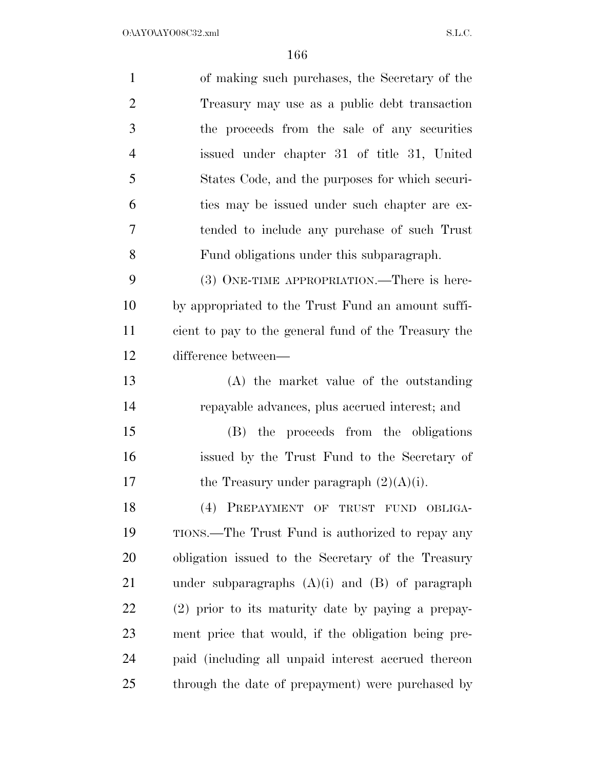| $\mathbf{1}$   | of making such purchases, the Secretary of the       |
|----------------|------------------------------------------------------|
| $\overline{2}$ | Treasury may use as a public debt transaction        |
| 3              | the proceeds from the sale of any securities         |
| $\overline{4}$ | issued under chapter 31 of title 31, United          |
| 5              | States Code, and the purposes for which securi-      |
| 6              | ties may be issued under such chapter are ex-        |
| $\overline{7}$ | tended to include any purchase of such Trust         |
| 8              | Fund obligations under this subparagraph.            |
| 9              | (3) ONE-TIME APPROPRIATION.—There is here-           |
| 10             | by appropriated to the Trust Fund an amount suffi-   |
| 11             | cient to pay to the general fund of the Treasury the |
| 12             | difference between—                                  |
| 13             | (A) the market value of the outstanding              |
| 14             | repayable advances, plus accrued interest; and       |
| 15             | (B) the proceeds from the obligations                |
| 16             | issued by the Trust Fund to the Secretary of         |
| 17             | the Treasury under paragraph $(2)(A)(i)$ .           |
| 18             | (4) PREPAYMENT OF TRUST FUND OBLIGA-                 |
| 19             | TIONS.—The Trust Fund is authorized to repay any     |
| 20             | obligation issued to the Secretary of the Treasury   |
| 21             | under subparagraphs $(A)(i)$ and $(B)$ of paragraph  |
| 22             | (2) prior to its maturity date by paying a prepay-   |
| 23             | ment price that would, if the obligation being pre-  |
| 24             | paid (including all unpaid interest accrued thereon  |
| 25             | through the date of prepayment) were purchased by    |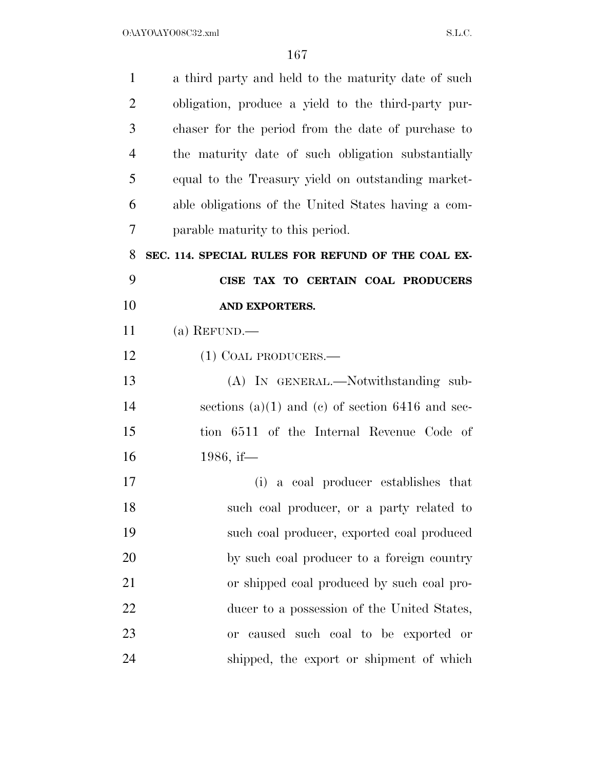| $\mathbf{1}$   | a third party and held to the maturity date of such  |
|----------------|------------------------------------------------------|
| $\overline{2}$ | obligation, produce a yield to the third-party pur-  |
| 3              | chaser for the period from the date of purchase to   |
| $\overline{4}$ | the maturity date of such obligation substantially   |
| 5              | equal to the Treasury yield on outstanding market-   |
| 6              | able obligations of the United States having a com-  |
| 7              | parable maturity to this period.                     |
| 8              | SEC. 114. SPECIAL RULES FOR REFUND OF THE COAL EX-   |
| 9              | CISE TAX TO CERTAIN COAL PRODUCERS                   |
| 10             | AND EXPORTERS.                                       |
| 11             | (a) REFUND.—                                         |
| 12             | $(1)$ COAL PRODUCERS.—                               |
| 13             | (A) IN GENERAL.—Notwithstanding sub-                 |
| 14             | sections $(a)(1)$ and $(c)$ of section 6416 and sec- |
| 15             | tion 6511 of the Internal Revenue Code of            |
| 16             | 1986, if—                                            |
| 17             | (i) a coal producer establishes that                 |
| 18             | such coal producer, or a party related to            |
| 19             | such coal producer, exported coal produced           |
| 20             | by such coal producer to a foreign country           |
| 21             | or shipped coal produced by such coal pro-           |
| 22             | ducer to a possession of the United States,          |
| 23             | or caused such coal to be exported or                |
| 24             | shipped, the export or shipment of which             |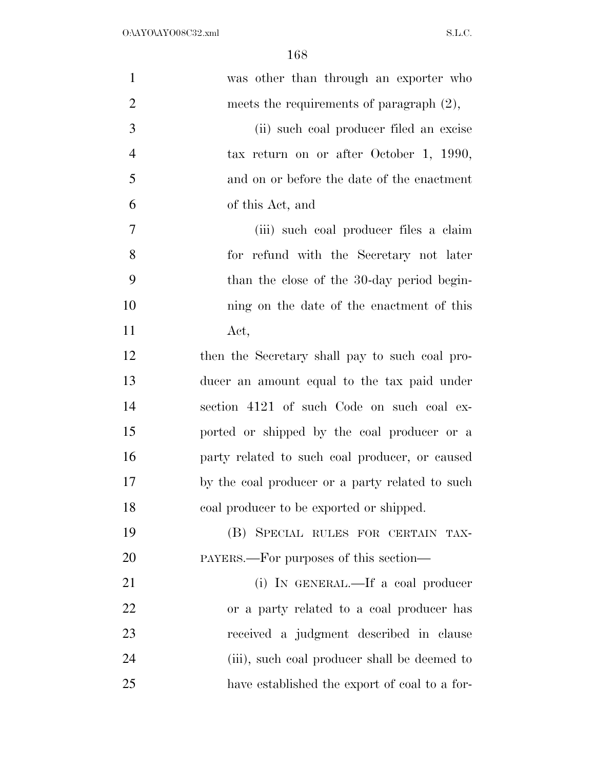| $\mathbf{1}$   | was other than through an exporter who          |
|----------------|-------------------------------------------------|
| $\overline{2}$ | meets the requirements of paragraph $(2)$ ,     |
| 3              | (ii) such coal producer filed an excise         |
| $\overline{4}$ | tax return on or after October 1, 1990,         |
| 5              | and on or before the date of the enactment      |
| 6              | of this Act, and                                |
| 7              | (iii) such coal producer files a claim          |
| 8              | for refund with the Secretary not later         |
| 9              | than the close of the 30-day period begin-      |
| 10             | ning on the date of the enactment of this       |
| 11             | Act,                                            |
| 12             | then the Secretary shall pay to such coal pro-  |
| 13             | ducer an amount equal to the tax paid under     |
| 14             | section 4121 of such Code on such coal ex-      |
| 15             | ported or shipped by the coal producer or a     |
| 16             | party related to such coal producer, or caused  |
| 17             | by the coal producer or a party related to such |
| 18             | coal producer to be exported or shipped.        |
| 19             | (B) SPECIAL RULES FOR CERTAIN TAX-              |
| 20             | PAYERS.—For purposes of this section—           |
| 21             | (i) IN GENERAL.—If a coal producer              |
| 22             | or a party related to a coal producer has       |
| 23             | received a judgment described in clause         |
| 24             | (iii), such coal producer shall be deemed to    |
| 25             | have established the export of coal to a for-   |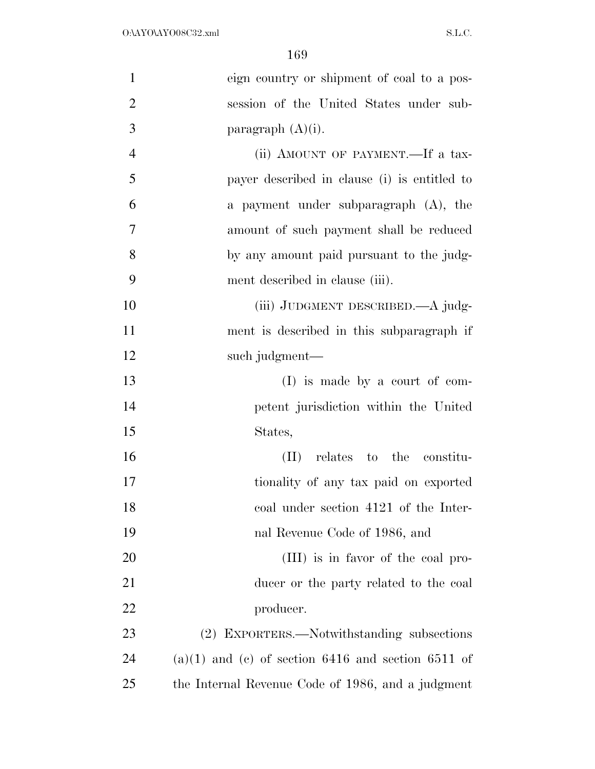| $\mathbf{1}$   | eign country or shipment of coal to a pos-             |
|----------------|--------------------------------------------------------|
| $\overline{2}$ | session of the United States under sub-                |
| 3              | paragraph $(A)(i)$ .                                   |
| $\overline{4}$ | (ii) AMOUNT OF PAYMENT.—If a tax-                      |
| 5              | payer described in clause (i) is entitled to           |
| 6              | a payment under subparagraph (A), the                  |
| 7              | amount of such payment shall be reduced                |
| 8              | by any amount paid pursuant to the judg-               |
| 9              | ment described in clause (iii).                        |
| 10             | (iii) JUDGMENT DESCRIBED.—A judg-                      |
| 11             | ment is described in this subparagraph if              |
| 12             | such judgment—                                         |
| 13             | $(I)$ is made by a court of com-                       |
| 14             | petent jurisdiction within the United                  |
| 15             | States,                                                |
| 16             | (II) relates to the constitu-                          |
| 17             | tionality of any tax paid on exported                  |
| 18             | coal under section 4121 of the Inter-                  |
| 19             | nal Revenue Code of 1986, and                          |
| 20             | (III) is in favor of the coal pro-                     |
| 21             | ducer or the party related to the coal                 |
| 22             | producer.                                              |
| 23             | (2) EXPORTERS.—Notwithstanding subsections             |
| 24             | $(a)(1)$ and $(c)$ of section 6416 and section 6511 of |
| 25             | the Internal Revenue Code of 1986, and a judgment      |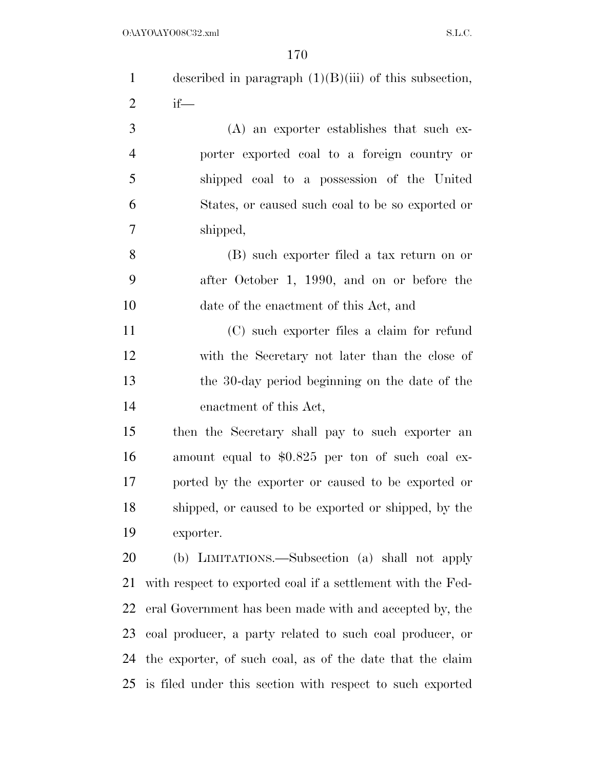| $\mathbf{1}$   | described in paragraph $(1)(B)(iii)$ of this subsection,    |
|----------------|-------------------------------------------------------------|
| $\overline{2}$ | $if$ —                                                      |
| 3              | $(A)$ an exporter establishes that such ex-                 |
| $\overline{4}$ | porter exported coal to a foreign country or                |
| 5              | shipped coal to a possession of the United                  |
| 6              | States, or caused such coal to be so exported or            |
| 7              | shipped,                                                    |
| 8              | (B) such exporter filed a tax return on or                  |
| 9              | after October 1, 1990, and on or before the                 |
| 10             | date of the enactment of this Act, and                      |
| 11             | (C) such exporter files a claim for refund                  |
| 12             | with the Secretary not later than the close of              |
| 13             | the 30-day period beginning on the date of the              |
| 14             | enactment of this Act,                                      |
| 15             | then the Secretary shall pay to such exporter an            |
| 16             | amount equal to \$0.825 per ton of such coal ex-            |
| 17             | ported by the exporter or caused to be exported or          |
| 18             | shipped, or caused to be exported or shipped, by the        |
| 19             | exporter.                                                   |
| 20             | (b) LIMITATIONS.—Subsection (a) shall not apply             |
| 21             | with respect to exported coal if a settlement with the Fed- |
| 22             | eral Government has been made with and accepted by, the     |
| 23             | coal producer, a party related to such coal producer, or    |
| 24             | the exporter, of such coal, as of the date that the claim   |
| 25             | is filed under this section with respect to such exported   |
|                |                                                             |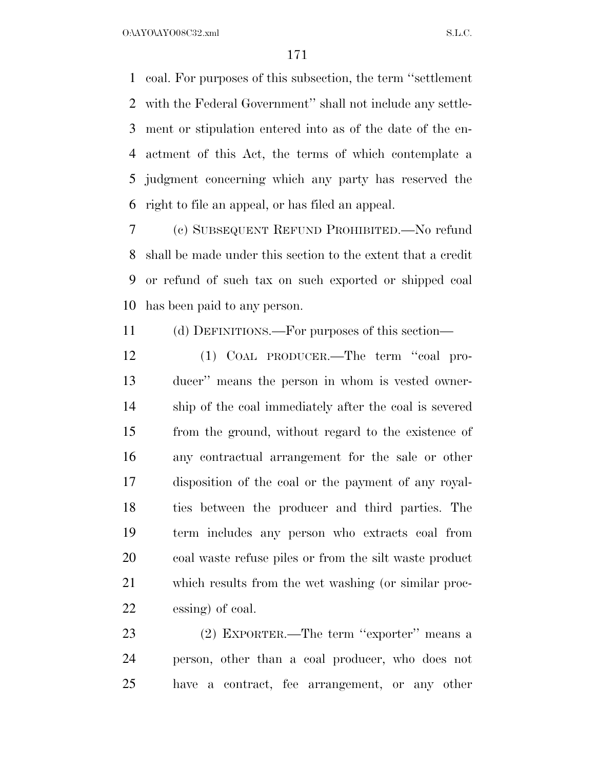coal. For purposes of this subsection, the term ''settlement with the Federal Government'' shall not include any settle- ment or stipulation entered into as of the date of the en- actment of this Act, the terms of which contemplate a judgment concerning which any party has reserved the right to file an appeal, or has filed an appeal.

 (c) SUBSEQUENT REFUND PROHIBITED.—No refund shall be made under this section to the extent that a credit or refund of such tax on such exported or shipped coal has been paid to any person.

(d) DEFINITIONS.—For purposes of this section—

 (1) COAL PRODUCER.—The term ''coal pro- ducer'' means the person in whom is vested owner- ship of the coal immediately after the coal is severed from the ground, without regard to the existence of any contractual arrangement for the sale or other disposition of the coal or the payment of any royal- ties between the producer and third parties. The term includes any person who extracts coal from coal waste refuse piles or from the silt waste product which results from the wet washing (or similar proc-essing) of coal.

 (2) EXPORTER.—The term ''exporter'' means a person, other than a coal producer, who does not have a contract, fee arrangement, or any other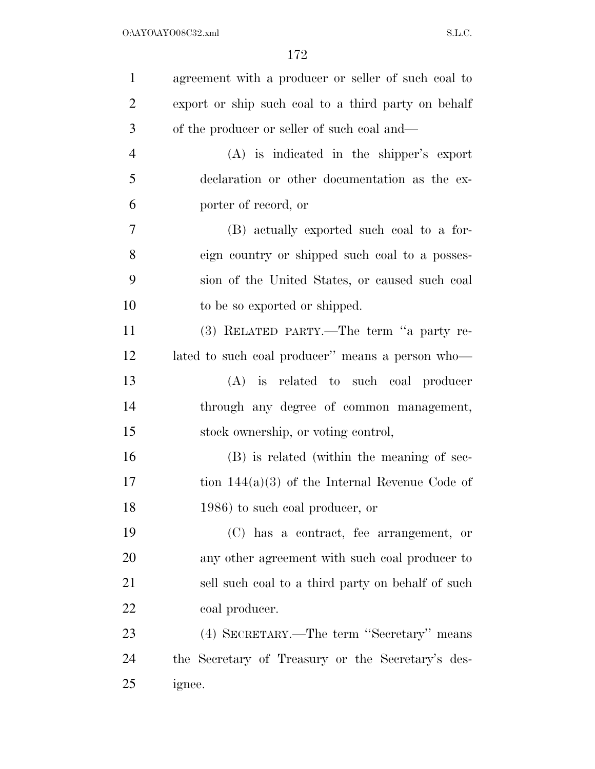| $\mathbf{1}$   | agreement with a producer or seller of such coal to |
|----------------|-----------------------------------------------------|
| $\overline{2}$ | export or ship such coal to a third party on behalf |
| 3              | of the producer or seller of such coal and—         |
| $\overline{4}$ | $(A)$ is indicated in the shipper's export          |
| 5              | declaration or other documentation as the ex-       |
| 6              | porter of record, or                                |
| 7              | (B) actually exported such coal to a for-           |
| 8              | eign country or shipped such coal to a posses-      |
| 9              | sion of the United States, or caused such coal      |
| 10             | to be so exported or shipped.                       |
| 11             | (3) RELATED PARTY.—The term "a party re-            |
| 12             | lated to such coal producer" means a person who-    |
| 13             | (A) is related to such coal producer                |
| 14             | through any degree of common management,            |
| 15             | stock ownership, or voting control,                 |
| 16             | (B) is related (within the meaning of sec-          |
| 17             | tion $144(a)(3)$ of the Internal Revenue Code of    |
| 18             | 1986) to such coal producer, or                     |
| 19             | (C) has a contract, fee arrangement, or             |
| 20             | any other agreement with such coal producer to      |
| 21             | sell such coal to a third party on behalf of such   |
| 22             | coal producer.                                      |
| 23             | (4) SECRETARY.—The term "Secretary" means           |
| 24             | the Secretary of Treasury or the Secretary's des-   |
| 25             | ignee.                                              |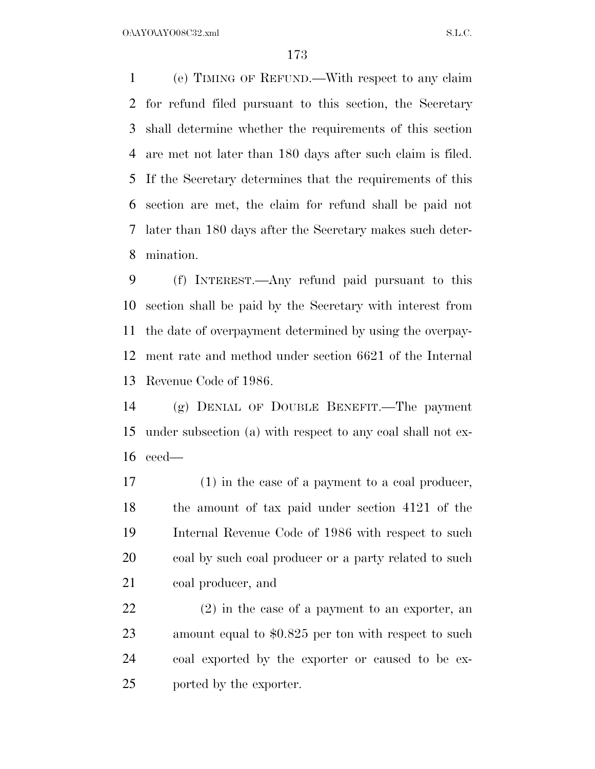(e) TIMING OF REFUND.—With respect to any claim for refund filed pursuant to this section, the Secretary shall determine whether the requirements of this section are met not later than 180 days after such claim is filed. If the Secretary determines that the requirements of this section are met, the claim for refund shall be paid not later than 180 days after the Secretary makes such deter-mination.

 (f) INTEREST.—Any refund paid pursuant to this section shall be paid by the Secretary with interest from the date of overpayment determined by using the overpay- ment rate and method under section 6621 of the Internal Revenue Code of 1986.

 (g) DENIAL OF DOUBLE BENEFIT.—The payment under subsection (a) with respect to any coal shall not ex-ceed—

 (1) in the case of a payment to a coal producer, the amount of tax paid under section 4121 of the Internal Revenue Code of 1986 with respect to such 20 coal by such coal producer or a party related to such coal producer, and

 (2) in the case of a payment to an exporter, an amount equal to \$0.825 per ton with respect to such coal exported by the exporter or caused to be ex-ported by the exporter.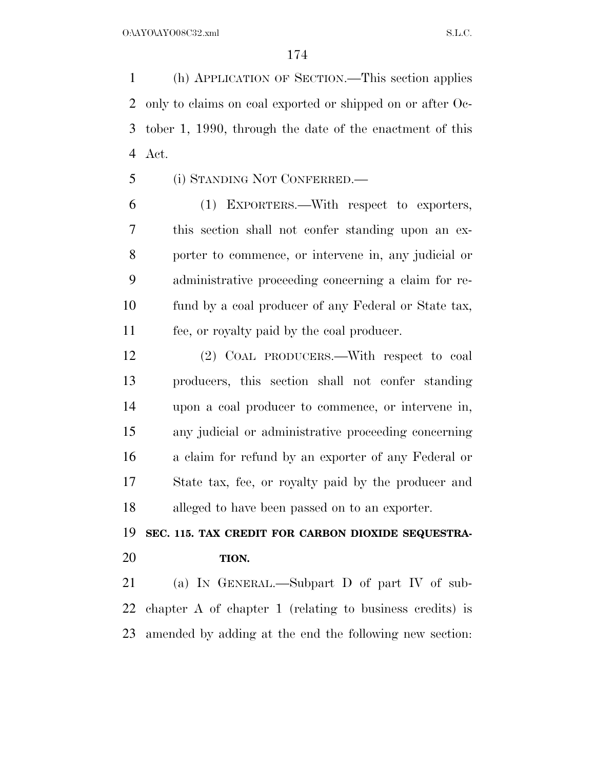(h) APPLICATION OF SECTION.—This section applies only to claims on coal exported or shipped on or after Oc- tober 1, 1990, through the date of the enactment of this Act.

(i) STANDING NOT CONFERRED.—

 (1) EXPORTERS.—With respect to exporters, this section shall not confer standing upon an ex- porter to commence, or intervene in, any judicial or administrative proceeding concerning a claim for re- fund by a coal producer of any Federal or State tax, fee, or royalty paid by the coal producer.

 (2) COAL PRODUCERS.—With respect to coal producers, this section shall not confer standing upon a coal producer to commence, or intervene in, any judicial or administrative proceeding concerning a claim for refund by an exporter of any Federal or State tax, fee, or royalty paid by the producer and alleged to have been passed on to an exporter.

## **SEC. 115. TAX CREDIT FOR CARBON DIOXIDE SEQUESTRA-TION.**

 (a) IN GENERAL.—Subpart D of part IV of sub- chapter A of chapter 1 (relating to business credits) is amended by adding at the end the following new section: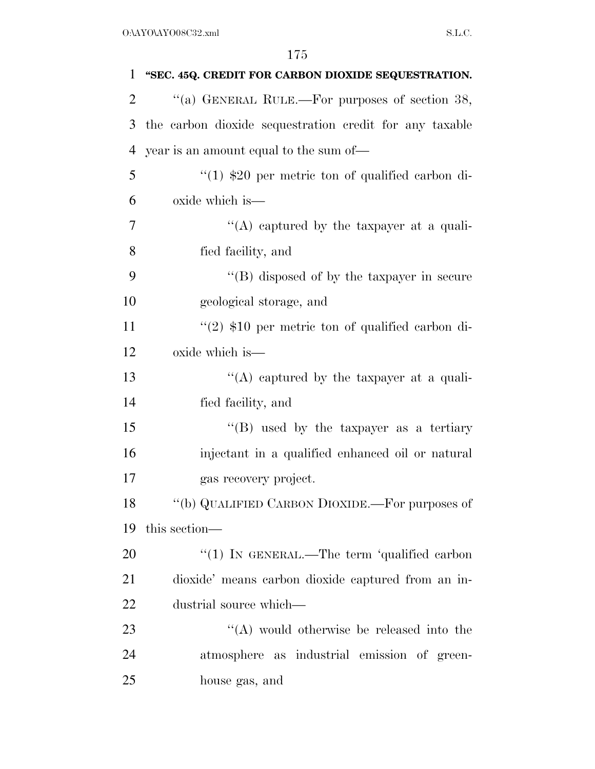| 1  | "SEC. 45Q. CREDIT FOR CARBON DIOXIDE SEQUESTRATION.     |
|----|---------------------------------------------------------|
| 2  | "(a) GENERAL RULE.—For purposes of section $38$ ,       |
| 3  | the carbon dioxide sequestration credit for any taxable |
| 4  | year is an amount equal to the sum of—                  |
| 5  | $(1)$ \$20 per metric ton of qualified carbon di-       |
| 6  | oxide which is—                                         |
| 7  | "(A) captured by the taxpayer at a quali-               |
| 8  | fied facility, and                                      |
| 9  | $\lq\lq$ disposed of by the taxpayer in secure          |
| 10 | geological storage, and                                 |
| 11 | "(2) $$10$ per metric ton of qualified carbon di-       |
| 12 | oxide which is—                                         |
| 13 | "(A) captured by the taxpayer at a quali-               |
| 14 | fied facility, and                                      |
| 15 | "(B) used by the taxpayer as a tertiary                 |
| 16 | injectant in a qualified enhanced oil or natural        |
| 17 | gas recovery project.                                   |
| 18 | "(b) QUALIFIED CARBON DIOXIDE.—For purposes of          |
| 19 | this section—                                           |
| 20 | " $(1)$ IN GENERAL.—The term 'qualified carbon          |
| 21 | dioxide' means carbon dioxide captured from an in-      |
| 22 | dustrial source which—                                  |
| 23 | "(A) would otherwise be released into the               |
| 24 | atmosphere as industrial emission of green-             |
| 25 | house gas, and                                          |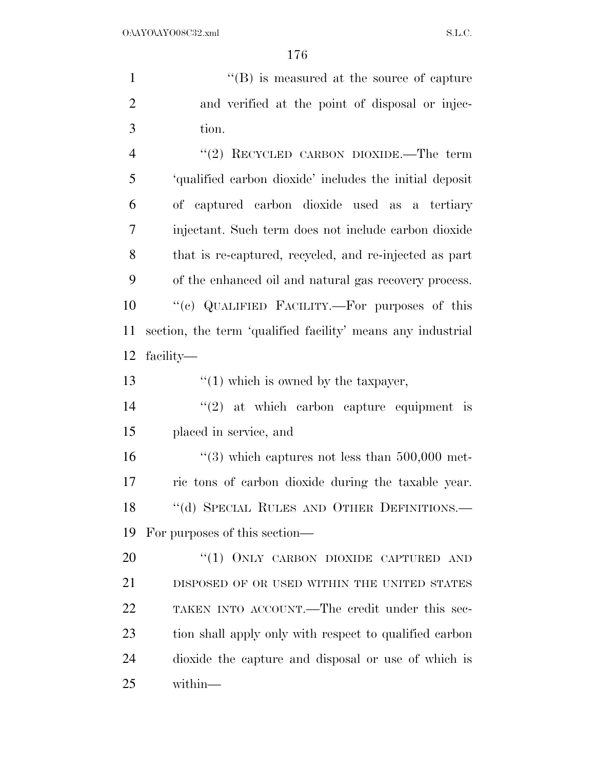1 ''(B) is measured at the source of capture and verified at the point of disposal or injec- tion. 4 "(2) RECYCLED CARBON DIOXIDE.—The term 'qualified carbon dioxide' includes the initial deposit of captured carbon dioxide used as a tertiary injectant. Such term does not include carbon dioxide that is re-captured, recycled, and re-injected as part of the enhanced oil and natural gas recovery process.

 ''(c) QUALIFIED FACILITY.—For purposes of this section, the term 'qualified facility' means any industrial facility—

13  $\frac{1}{2}$  (1) which is owned by the taxpayer,

14  $(2)$  at which carbon capture equipment is placed in service, and

 $\frac{4}{3}$  which captures not less than 500,000 met- ric tons of carbon dioxide during the taxable year. 18 "(d) SPECIAL RULES AND OTHER DEFINITIONS.— For purposes of this section—

20 "(1) ONLY CARBON DIOXIDE CAPTURED AND DISPOSED OF OR USED WITHIN THE UNITED STATES TAKEN INTO ACCOUNT.—The credit under this sec- tion shall apply only with respect to qualified carbon dioxide the capture and disposal or use of which is within—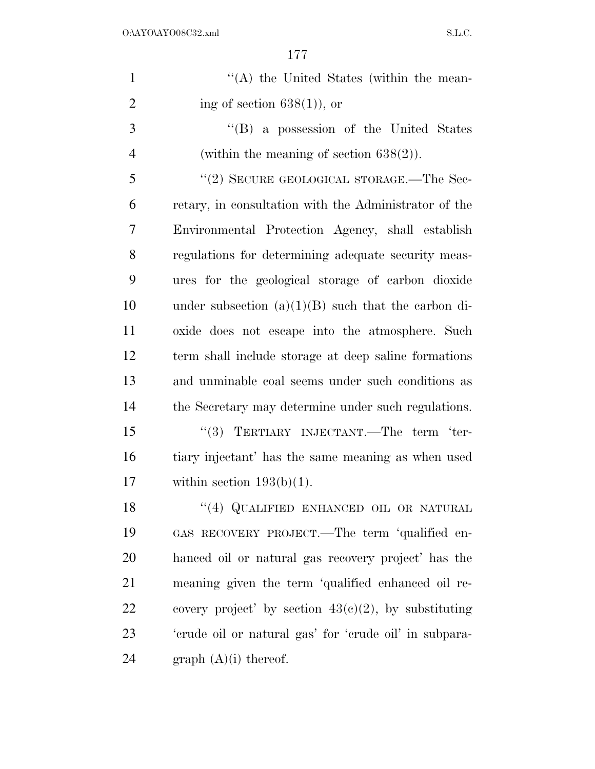| $\mathbf{1}$   | "(A) the United States (within the mean-                |
|----------------|---------------------------------------------------------|
| $\overline{2}$ | ing of section $638(1)$ , or                            |
| 3              | "(B) a possession of the United States                  |
| $\overline{4}$ | (within the meaning of section $638(2)$ ).              |
| 5              | "(2) SECURE GEOLOGICAL STORAGE.—The Sec-                |
| 6              | retary, in consultation with the Administrator of the   |
| 7              | Environmental Protection Agency, shall establish        |
| 8              | regulations for determining adequate security meas-     |
| 9              | ures for the geological storage of carbon dioxide       |
| 10             | under subsection $(a)(1)(B)$ such that the carbon di-   |
| 11             | oxide does not escape into the atmosphere. Such         |
| 12             | term shall include storage at deep saline formations    |
| 13             | and unminable coal seems under such conditions as       |
| 14             | the Secretary may determine under such regulations.     |
| 15             | "(3) TERTIARY INJECTANT.—The term 'ter-                 |
| 16             | tiary injectant' has the same meaning as when used      |
| 17             | within section $193(b)(1)$ .                            |
| 18             | "(4) QUALIFIED ENHANCED OIL OR NATURAL                  |
| 19             | GAS RECOVERY PROJECT.—The term 'qualified en-           |
| 20             | hanced oil or natural gas recovery project' has the     |
| 21             | meaning given the term 'qualified enhanced oil re-      |
| <u>22</u>      | covery project' by section $43(c)(2)$ , by substituting |
| 23             | 'erude oil or natural gas' for 'erude oil' in subpara-  |
| 24             | graph $(A)(i)$ thereof.                                 |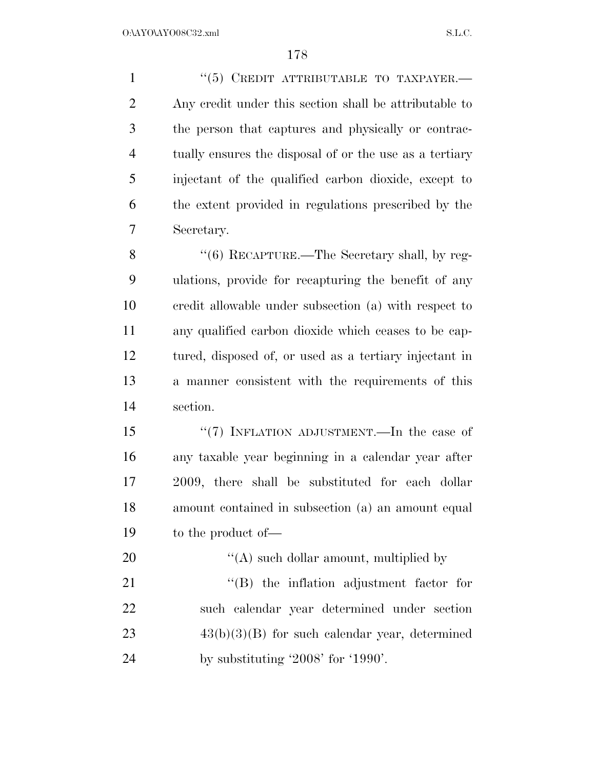''(5) CREDIT ATTRIBUTABLE TO TAXPAYER.— Any credit under this section shall be attributable to the person that captures and physically or contrac- tually ensures the disposal of or the use as a tertiary injectant of the qualified carbon dioxide, except to the extent provided in regulations prescribed by the Secretary. 8 "(6) RECAPTURE.—The Secretary shall, by reg-ulations, provide for recapturing the benefit of any

 credit allowable under subsection (a) with respect to any qualified carbon dioxide which ceases to be cap- tured, disposed of, or used as a tertiary injectant in a manner consistent with the requirements of this section.

15 "(7) INFLATION ADJUSTMENT.—In the case of any taxable year beginning in a calendar year after 2009, there shall be substituted for each dollar amount contained in subsection (a) an amount equal to the product of—

 ''(A) such dollar amount, multiplied by 21 ''(B) the inflation adjustment factor for such calendar year determined under section  $43(b)(3)(B)$  for such calendar year, determined by substituting '2008' for '1990'.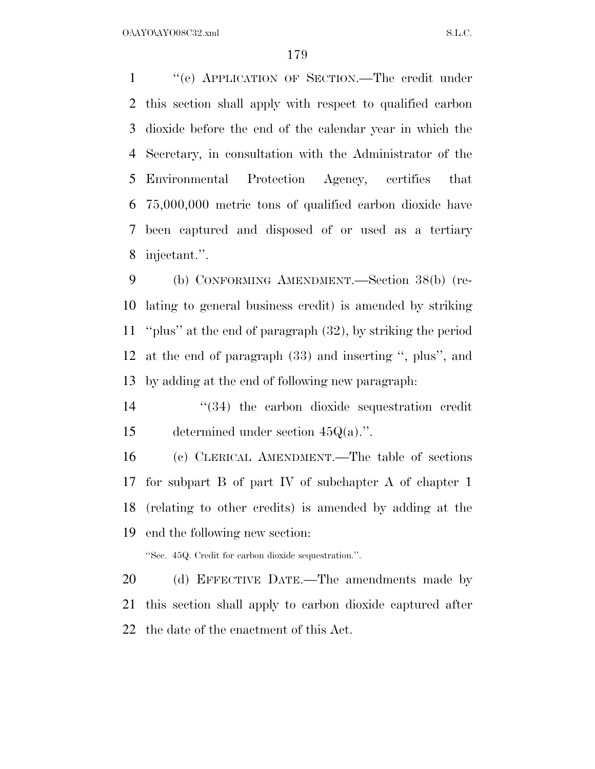$O:\Delta YO\Delta YO08C32.xml$  S.L.C.

 ''(e) APPLICATION OF SECTION.—The credit under this section shall apply with respect to qualified carbon dioxide before the end of the calendar year in which the Secretary, in consultation with the Administrator of the Environmental Protection Agency, certifies that 75,000,000 metric tons of qualified carbon dioxide have been captured and disposed of or used as a tertiary injectant.''.

 (b) CONFORMING AMENDMENT.—Section 38(b) (re- lating to general business credit) is amended by striking ''plus'' at the end of paragraph (32), by striking the period at the end of paragraph (33) and inserting '', plus'', and by adding at the end of following new paragraph:

14 ''(34) the carbon dioxide sequestration credit determined under section 45Q(a).''.

 (c) CLERICAL AMENDMENT.—The table of sections for subpart B of part IV of subchapter A of chapter 1 (relating to other credits) is amended by adding at the end the following new section:

''Sec. 45Q. Credit for carbon dioxide sequestration.''.

20 (d) EFFECTIVE DATE.—The amendments made by this section shall apply to carbon dioxide captured after the date of the enactment of this Act.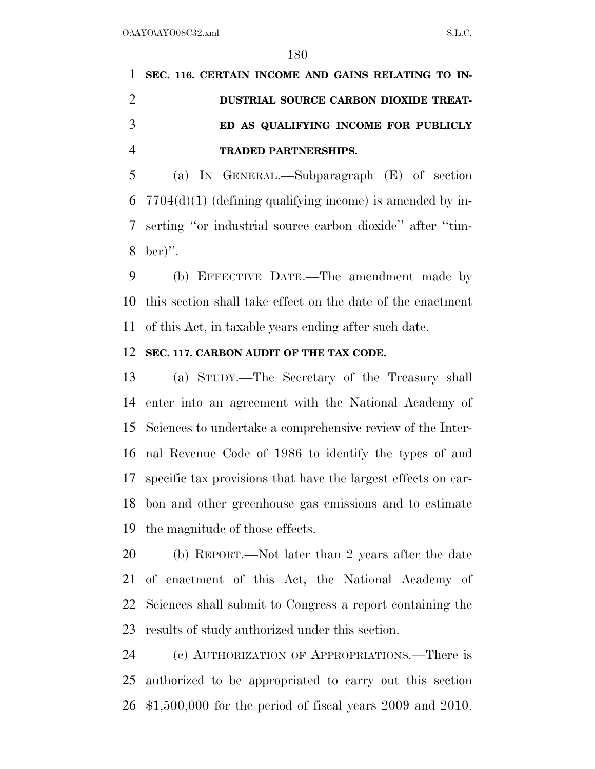# **SEC. 116. CERTAIN INCOME AND GAINS RELATING TO IN- DUSTRIAL SOURCE CARBON DIOXIDE TREAT- ED AS QUALIFYING INCOME FOR PUBLICLY TRADED PARTNERSHIPS.**

 (a) IN GENERAL.—Subparagraph (E) of section  $7704(d)(1)$  (defining qualifying income) is amended by in- serting ''or industrial source carbon dioxide'' after ''tim-ber)''.

 (b) EFFECTIVE DATE.—The amendment made by this section shall take effect on the date of the enactment of this Act, in taxable years ending after such date.

#### **SEC. 117. CARBON AUDIT OF THE TAX CODE.**

 (a) STUDY.—The Secretary of the Treasury shall enter into an agreement with the National Academy of Sciences to undertake a comprehensive review of the Inter- nal Revenue Code of 1986 to identify the types of and specific tax provisions that have the largest effects on car- bon and other greenhouse gas emissions and to estimate the magnitude of those effects.

 (b) REPORT.—Not later than 2 years after the date of enactment of this Act, the National Academy of Sciences shall submit to Congress a report containing the results of study authorized under this section.

 (c) AUTHORIZATION OF APPROPRIATIONS.—There is authorized to be appropriated to carry out this section \$1,500,000 for the period of fiscal years 2009 and 2010.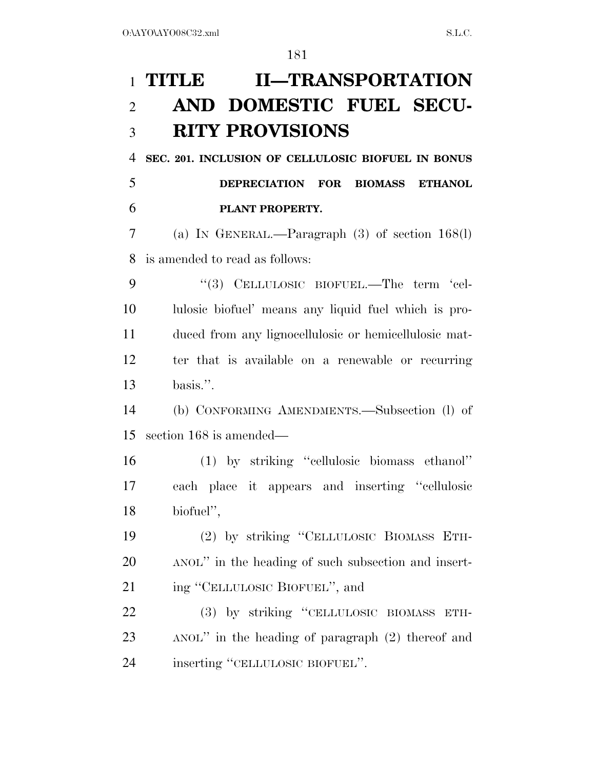# **TITLE II—TRANSPORTATION AND DOMESTIC FUEL SECU-RITY PROVISIONS**

 **SEC. 201. INCLUSION OF CELLULOSIC BIOFUEL IN BONUS DEPRECIATION FOR BIOMASS ETHANOL PLANT PROPERTY.** 

 (a) IN GENERAL.—Paragraph (3) of section 168(l) is amended to read as follows:

9 "(3) CELLULOSIC BIOFUEL.—The term 'cel- lulosic biofuel' means any liquid fuel which is pro- duced from any lignocellulosic or hemicellulosic mat- ter that is available on a renewable or recurring basis.''.

 (b) CONFORMING AMENDMENTS.—Subsection (l) of section 168 is amended—

 (1) by striking ''cellulosic biomass ethanol'' each place it appears and inserting ''cellulosic biofuel'',

 (2) by striking ''CELLULOSIC BIOMASS ETH- ANOL'' in the heading of such subsection and insert-21 ing "CELLULOSIC BIOFUEL", and

 (3) by striking ''CELLULOSIC BIOMASS ETH- ANOL'' in the heading of paragraph (2) thereof and inserting ''CELLULOSIC BIOFUEL''.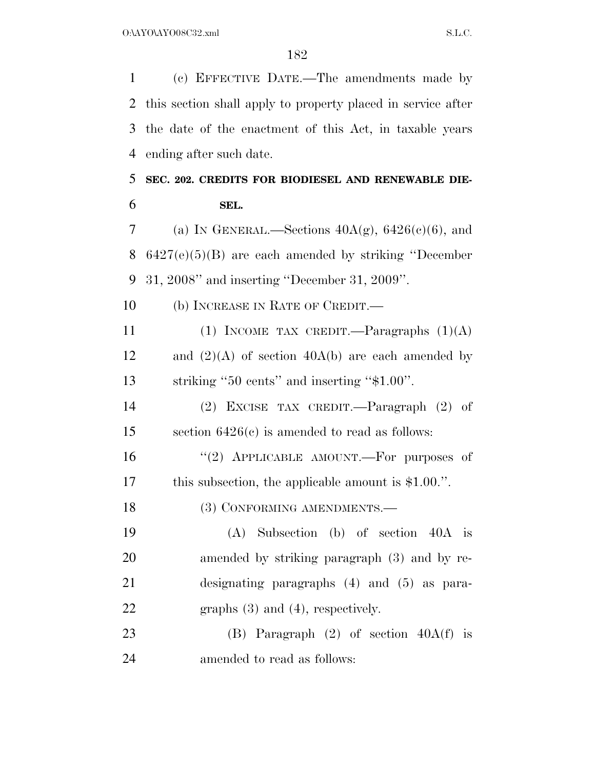(c) EFFECTIVE DATE.—The amendments made by this section shall apply to property placed in service after the date of the enactment of this Act, in taxable years ending after such date. **SEC. 202. CREDITS FOR BIODIESEL AND RENEWABLE DIE- SEL.**  7 (a) IN GENERAL.—Sections  $40A(g)$ ,  $6426(c)(6)$ , and 6427(e)(5)(B) are each amended by striking ''December 31, 2008'' and inserting ''December 31, 2009''. 10 (b) INCREASE IN RATE OF CREDIT.— 11 (1) INCOME TAX CREDIT.—Paragraphs  $(1)(A)$ 12 and  $(2)(A)$  of section 40A(b) are each amended by striking ''50 cents'' and inserting ''\$1.00''. (2) EXCISE TAX CREDIT.—Paragraph (2) of section 6426(c) is amended to read as follows: 16 "(2) APPLICABLE AMOUNT.—For purposes of this subsection, the applicable amount is \$1.00.''. 18 (3) CONFORMING AMENDMENTS.— (A) Subsection (b) of section 40A is amended by striking paragraph (3) and by re- designating paragraphs (4) and (5) as para-22 graphs (3) and (4), respectively. (B) Paragraph (2) of section 40A(f) is amended to read as follows: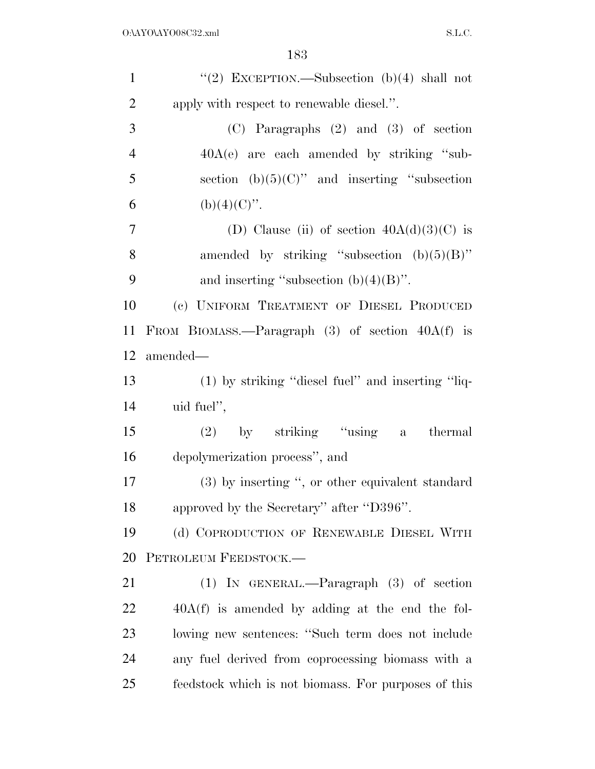| $\mathbf{1}$   | "(2) EXCEPTION.—Subsection (b)(4) shall not          |
|----------------|------------------------------------------------------|
| $\overline{2}$ | apply with respect to renewable diesel.".            |
| 3              | (C) Paragraphs (2) and (3) of section                |
| $\overline{4}$ | $40A(e)$ are each amended by striking "sub-          |
| 5              | section (b) $(5)(C)$ " and inserting "subsection     |
| 6              | (b)(4)(C)".                                          |
| $\overline{7}$ | (D) Clause (ii) of section $40A(d)(3)(C)$ is         |
| 8              | amended by striking "subsection $(b)(5)(B)$ "        |
| 9              | and inserting "subsection $(b)(4)(B)$ ".             |
| 10             | (c) UNIFORM TREATMENT OF DIESEL PRODUCED             |
| 11             | FROM BIOMASS.—Paragraph $(3)$ of section $40A(f)$ is |
| 12             | amended—                                             |
| 13             | (1) by striking "diesel fuel" and inserting "liq-    |
| 14             | uid fuel",                                           |
| 15             | $(2)$ by striking "using a thermal                   |
| 16             | depolymerization process", and                       |
| 17             | $(3)$ by inserting ", or other equivalent standard   |
| 18             | approved by the Secretary" after "D396".             |
| 19             | (d) COPRODUCTION OF RENEWABLE DIESEL WITH            |
| 20             | PETROLEUM FEEDSTOCK.-                                |
| 21             | $(1)$ IN GENERAL.—Paragraph $(3)$ of section         |
| 22             | $40A(f)$ is amended by adding at the end the fol-    |
| 23             | lowing new sentences: "Such term does not include    |
| 24             | any fuel derived from coprocessing biomass with a    |
| 25             | feedstock which is not biomass. For purposes of this |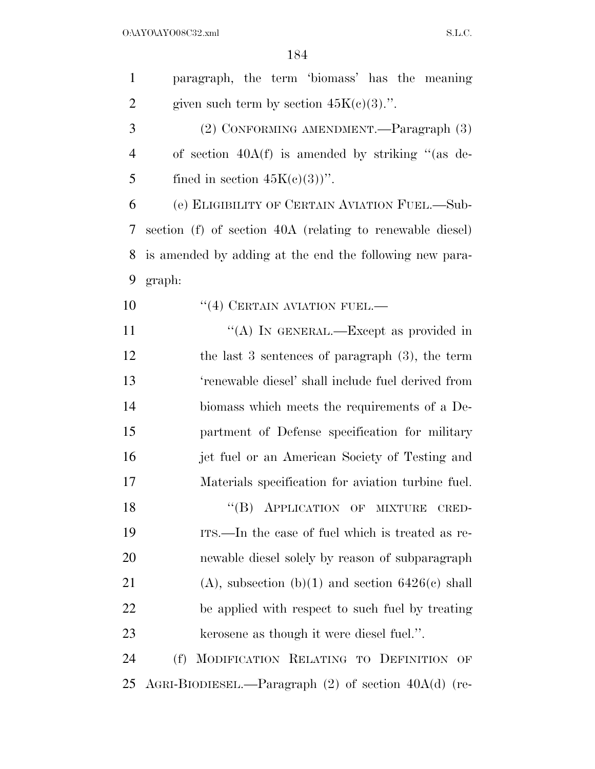$O:\Delta YO\Delta YO08C32.xml$  S.L.C.

| $\mathbf{1}$   | paragraph, the term 'biomass' has the meaning             |
|----------------|-----------------------------------------------------------|
| $\overline{2}$ | given such term by section $45K(c)(3)$ .".                |
| 3              | (2) CONFORMING AMENDMENT.—Paragraph (3)                   |
| $\overline{4}$ | of section $40A(f)$ is amended by striking "(as de-       |
| 5              | fined in section $45K(c)(3)$ ".                           |
| 6              | (e) ELIGIBILITY OF CERTAIN AVIATION FUEL.-Sub-            |
| 7              | section (f) of section 40A (relating to renewable diesel) |
| 8              | is amended by adding at the end the following new para-   |
| 9              | graph:                                                    |
| 10             | $``(4)$ CERTAIN AVIATION FUEL.—                           |
| 11             | "(A) IN GENERAL.—Except as provided in                    |
| 12             | the last 3 sentences of paragraph $(3)$ , the term        |
| 13             | 'renewable diesel' shall include fuel derived from        |
| 14             | biomass which meets the requirements of a De-             |
| 15             | partment of Defense specification for military            |
| 16             | jet fuel or an American Society of Testing and            |
| 17             | Materials specification for aviation turbine fuel.        |
| 18             | "(B) APPLICATION OF MIXTURE<br>CRED-                      |
| 19             | ITS.—In the case of fuel which is treated as re-          |
| 20             | newable diesel solely by reason of subparagraph           |
| 21             | $(A)$ , subsection $(b)(1)$ and section $6426(c)$ shall   |
| 22             | be applied with respect to such fuel by treating          |
| 23             | kerosene as though it were diesel fuel.".                 |
| 24             | MODIFICATION RELATING TO DEFINITION OF<br>(f)             |
| 25             | AGRI-BIODIESEL.—Paragraph $(2)$ of section $40A(d)$ (re-  |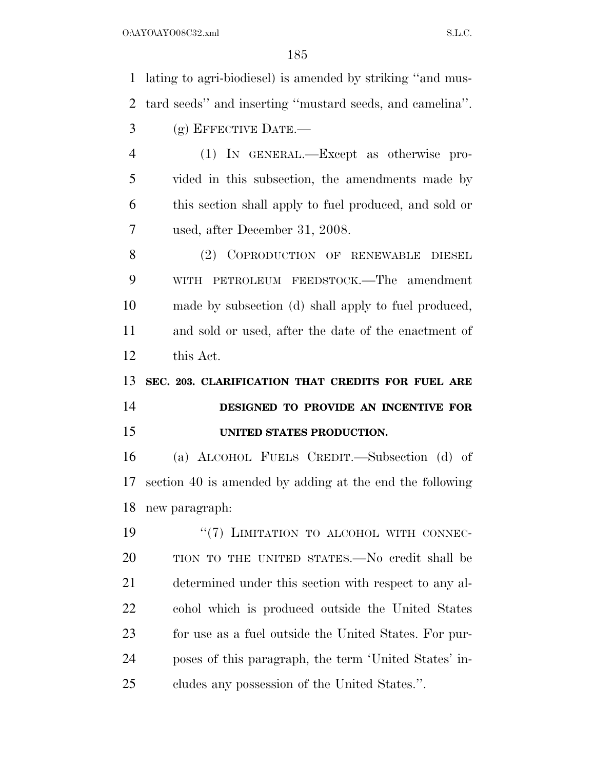lating to agri-biodiesel) is amended by striking ''and mus- tard seeds'' and inserting ''mustard seeds, and camelina''. (g) EFFECTIVE DATE.— (1) IN GENERAL.—Except as otherwise pro- vided in this subsection, the amendments made by this section shall apply to fuel produced, and sold or used, after December 31, 2008. 8 (2) COPRODUCTION OF RENEWABLE DIESEL WITH PETROLEUM FEEDSTOCK.—The amendment made by subsection (d) shall apply to fuel produced, and sold or used, after the date of the enactment of this Act. **SEC. 203. CLARIFICATION THAT CREDITS FOR FUEL ARE DESIGNED TO PROVIDE AN INCENTIVE FOR UNITED STATES PRODUCTION.**  (a) ALCOHOL FUELS CREDIT.—Subsection (d) of section 40 is amended by adding at the end the following new paragraph: 19 "(7) LIMITATION TO ALCOHOL WITH CONNEC- TION TO THE UNITED STATES.—No credit shall be determined under this section with respect to any al- cohol which is produced outside the United States for use as a fuel outside the United States. For pur- poses of this paragraph, the term 'United States' in-cludes any possession of the United States.''.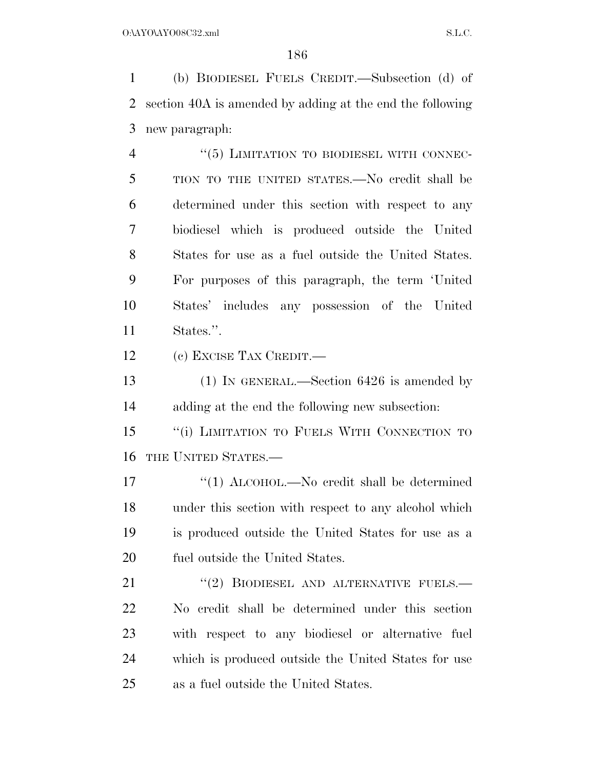(b) BIODIESEL FUELS CREDIT.—Subsection (d) of section 40A is amended by adding at the end the following new paragraph:

4 "(5) LIMITATION TO BIODIESEL WITH CONNEC- TION TO THE UNITED STATES.—No credit shall be determined under this section with respect to any biodiesel which is produced outside the United States for use as a fuel outside the United States. For purposes of this paragraph, the term 'United States' includes any possession of the United States.''.

(c) EXCISE TAX CREDIT.—

 (1) IN GENERAL.—Section 6426 is amended by adding at the end the following new subsection:

15 "(i) LIMITATION TO FUELS WITH CONNECTION TO THE UNITED STATES.—

17 "(1) ALCOHOL.—No credit shall be determined under this section with respect to any alcohol which is produced outside the United States for use as a fuel outside the United States.

21 "(2) BIODIESEL AND ALTERNATIVE FUELS.— No credit shall be determined under this section with respect to any biodiesel or alternative fuel which is produced outside the United States for use as a fuel outside the United States.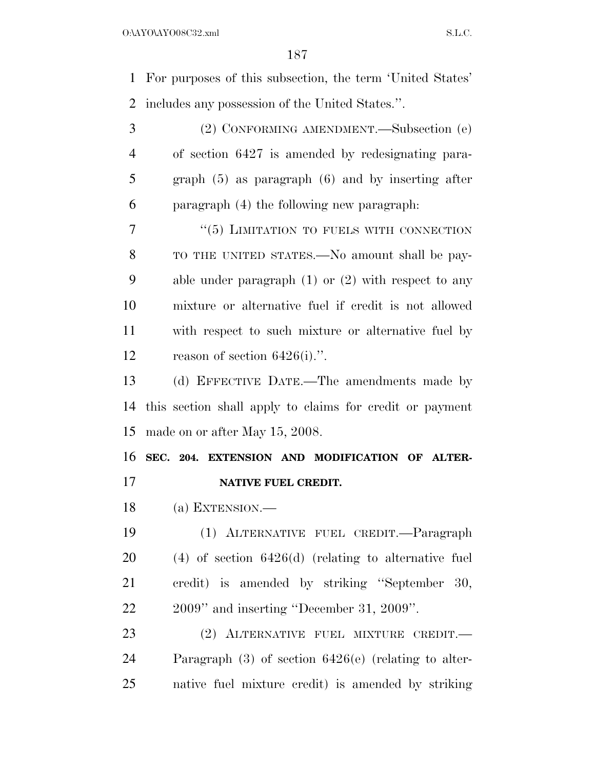For purposes of this subsection, the term 'United States' includes any possession of the United States.''.

 (2) CONFORMING AMENDMENT.—Subsection (e) of section 6427 is amended by redesignating para- graph (5) as paragraph (6) and by inserting after paragraph (4) the following new paragraph:

7 "(5) LIMITATION TO FUELS WITH CONNECTION TO THE UNITED STATES.—No amount shall be pay- able under paragraph (1) or (2) with respect to any mixture or alternative fuel if credit is not allowed with respect to such mixture or alternative fuel by reason of section 6426(i).''.

 (d) EFFECTIVE DATE.—The amendments made by this section shall apply to claims for credit or payment made on or after May 15, 2008.

 **SEC. 204. EXTENSION AND MODIFICATION OF ALTER-NATIVE FUEL CREDIT.** 

(a) EXTENSION.—

 (1) ALTERNATIVE FUEL CREDIT.—Paragraph (4) of section 6426(d) (relating to alternative fuel credit) is amended by striking ''September 30, 2009'' and inserting ''December 31, 2009''.

 (2) ALTERNATIVE FUEL MIXTURE CREDIT.— Paragraph (3) of section 6426(e) (relating to alter-native fuel mixture credit) is amended by striking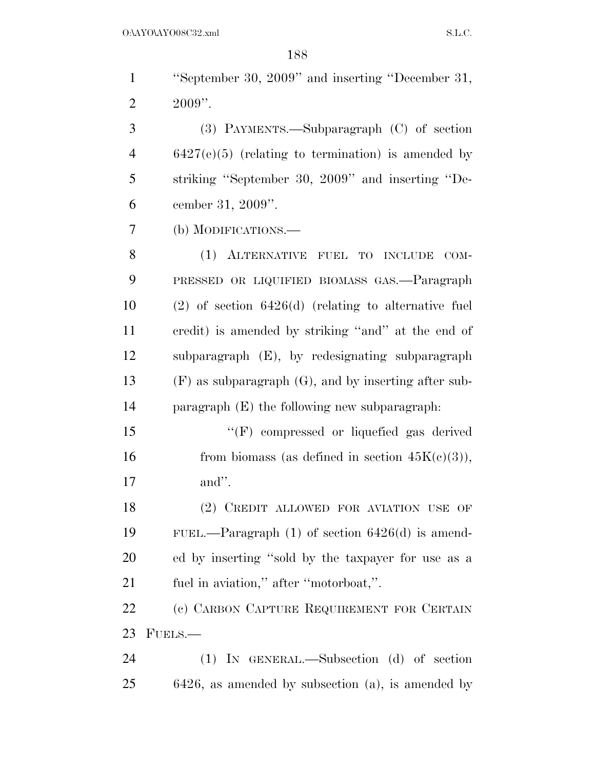''September 30, 2009'' and inserting ''December 31, 2  $2009"$ . (3) PAYMENTS.—Subparagraph (C) of section

 6427(e)(5) (relating to termination) is amended by striking ''September 30, 2009'' and inserting ''De-cember 31, 2009''.

(b) MODIFICATIONS.—

 (1) ALTERNATIVE FUEL TO INCLUDE COM- PRESSED OR LIQUIFIED BIOMASS GAS.—Paragraph (2) of section 6426(d) (relating to alternative fuel credit) is amended by striking ''and'' at the end of subparagraph (E), by redesignating subparagraph (F) as subparagraph (G), and by inserting after sub-paragraph (E) the following new subparagraph:

 ''(F) compressed or liquefied gas derived 16 from biomass (as defined in section  $45K(c)(3)$ ), and''.

 (2) CREDIT ALLOWED FOR AVIATION USE OF FUEL.—Paragraph (1) of section 6426(d) is amend- ed by inserting ''sold by the taxpayer for use as a fuel in aviation,'' after ''motorboat,''.

22 (c) CARBON CAPTURE REQUIREMENT FOR CERTAIN FUELS.—

 (1) IN GENERAL.—Subsection (d) of section 6426, as amended by subsection (a), is amended by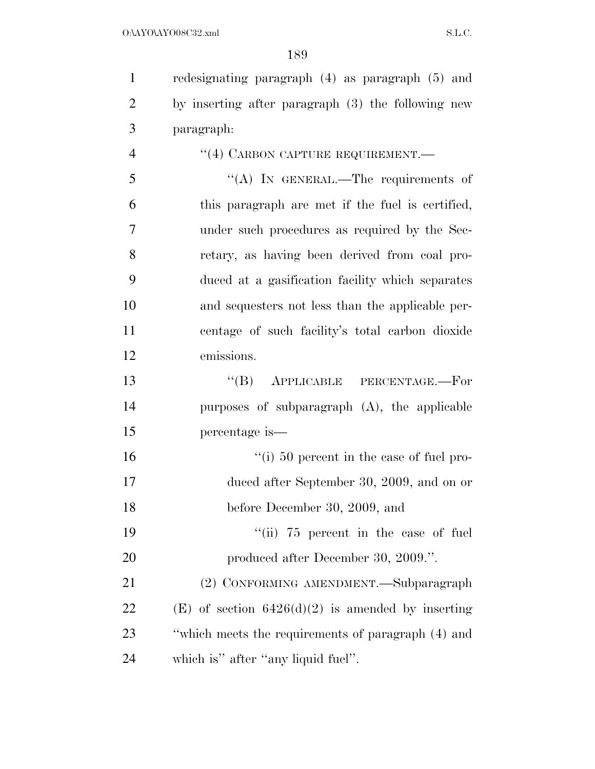redesignating paragraph (4) as paragraph (5) and by inserting after paragraph (3) the following new paragraph: 4 "(4) CARBON CAPTURE REQUIREMENT. ''(A) IN GENERAL.—The requirements of this paragraph are met if the fuel is certified, under such procedures as required by the Sec- retary, as having been derived from coal pro- duced at a gasification facility which separates and sequesters not less than the applicable per- centage of such facility's total carbon dioxide emissions.

 ''(B) APPLICABLE PERCENTAGE.—For purposes of subparagraph (A), the applicable percentage is—

 ''(i) 50 percent in the case of fuel pro- duced after September 30, 2009, and on or before December 30, 2009, and

19 ''(ii) 75 percent in the case of fuel 20 produced after December 30, 2009.".

 (2) CONFORMING AMENDMENT.—Subparagraph 22 (E) of section  $6426(d)(2)$  is amended by inserting ''which meets the requirements of paragraph (4) and which is'' after ''any liquid fuel''.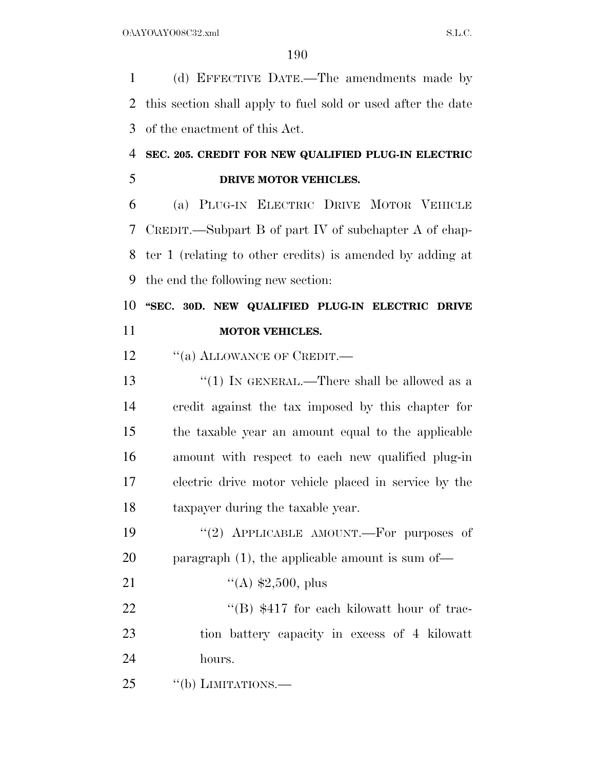(d) EFFECTIVE DATE.—The amendments made by this section shall apply to fuel sold or used after the date of the enactment of this Act.

## **SEC. 205. CREDIT FOR NEW QUALIFIED PLUG-IN ELECTRIC DRIVE MOTOR VEHICLES.**

 (a) PLUG-IN ELECTRIC DRIVE MOTOR VEHICLE CREDIT.—Subpart B of part IV of subchapter A of chap- ter 1 (relating to other credits) is amended by adding at the end the following new section:

## **''SEC. 30D. NEW QUALIFIED PLUG-IN ELECTRIC DRIVE MOTOR VEHICLES.**

12 "(a) ALLOWANCE OF CREDIT.—

13 "(1) IN GENERAL.—There shall be allowed as a credit against the tax imposed by this chapter for the taxable year an amount equal to the applicable amount with respect to each new qualified plug-in electric drive motor vehicle placed in service by the taxpayer during the taxable year.

19  $(2)$  APPLICABLE AMOUNT. For purposes of paragraph (1), the applicable amount is sum of—

21  $\frac{4}{(A)}$  \$2,500, plus

22 ''(B) \$417 for each kilowatt hour of trac- tion battery capacity in excess of 4 kilowatt hours.

25 "(b) LIMITATIONS.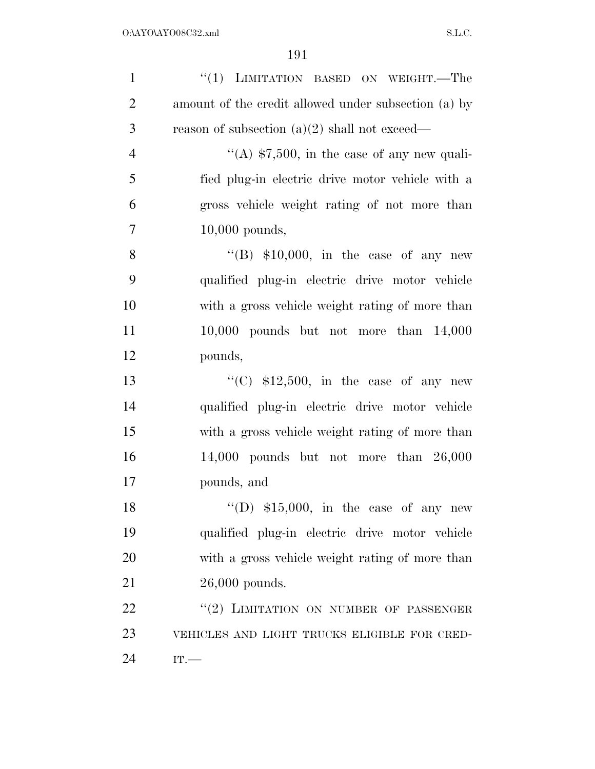| $\mathbf{1}$   | "(1) LIMITATION BASED ON WEIGHT.—The                 |
|----------------|------------------------------------------------------|
| $\overline{2}$ | amount of the credit allowed under subsection (a) by |
| 3              | reason of subsection $(a)(2)$ shall not exceed—      |
| $\overline{4}$ | "(A) $$7,500$ , in the case of any new quali-        |
| 5              | fied plug-in electric drive motor vehicle with a     |
| 6              | gross vehicle weight rating of not more than         |
| $\overline{7}$ | $10,000$ pounds,                                     |
| 8              | "(B) $$10,000$ , in the case of any new              |
| 9              | qualified plug-in electric drive motor vehicle       |
| 10             | with a gross vehicle weight rating of more than      |
| 11             | $10,000$ pounds but not more than $14,000$           |
| 12             | pounds,                                              |
| 13             | "(C) $$12,500$ , in the case of any new              |
| 14             | qualified plug-in electric drive motor vehicle       |
| 15             | with a gross vehicle weight rating of more than      |
| 16             | $14,000$ pounds but not more than $26,000$           |
| 17             | pounds, and                                          |
| 18             | "(D) $$15,000$ , in the case of any new              |
| 19             | qualified plug-in electric drive motor vehicle       |
| 20             | with a gross vehicle weight rating of more than      |
| 21             | $26,000$ pounds.                                     |
| 22             | "(2) LIMITATION ON NUMBER OF PASSENGER               |
| 23             | VEHICLES AND LIGHT TRUCKS ELIGIBLE FOR CRED-         |
| 24             | IT.                                                  |
|                |                                                      |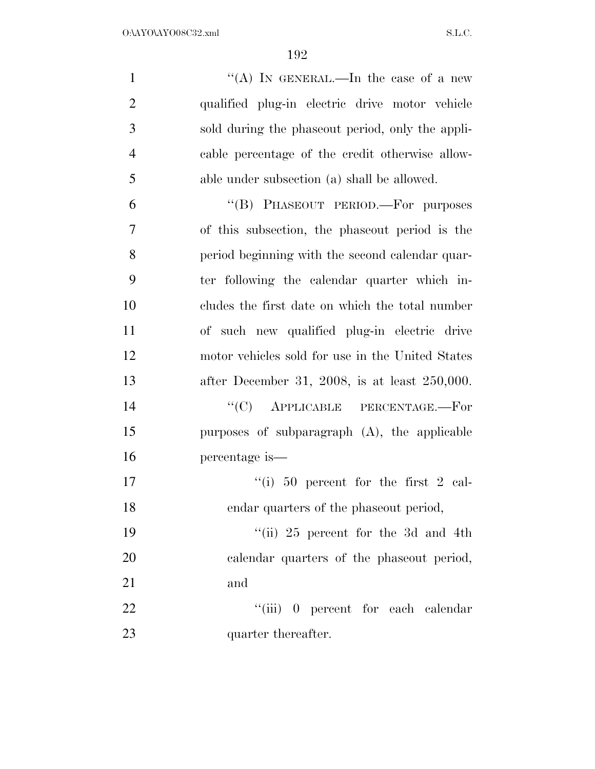| $\mathbf{1}$   | "(A) IN GENERAL.—In the case of a new            |
|----------------|--------------------------------------------------|
| $\overline{2}$ | qualified plug-in electric drive motor vehicle   |
| 3              | sold during the phaseout period, only the appli- |
| $\overline{4}$ | cable percentage of the credit otherwise allow-  |
| 5              | able under subsection (a) shall be allowed.      |
| 6              | "(B) PHASEOUT PERIOD.—For purposes               |
| $\overline{7}$ | of this subsection, the phase out period is the  |
| 8              | period beginning with the second calendar quar-  |
| 9              | ter following the calendar quarter which in-     |
| 10             | cludes the first date on which the total number  |
| 11             | of such new qualified plug-in electric drive     |
| 12             | motor vehicles sold for use in the United States |
| 13             | after December 31, 2008, is at least $250,000$ . |
| 14             | $\cdot$ (C) APPLICABLE PERCENTAGE.—For           |
| 15             | purposes of subparagraph $(A)$ , the applicable  |
| 16             | percentage is—                                   |
| 17             | "(i) 50 percent for the first 2 cal-             |
| 18             | endar quarters of the phaseout period,           |
| 19             | "(ii) 25 percent for the 3d and 4th              |
| 20             | calendar quarters of the phaseout period,        |
| 21             | and                                              |
| 22             | "(iii) 0 percent for each calendar               |
| 23             | quarter thereafter.                              |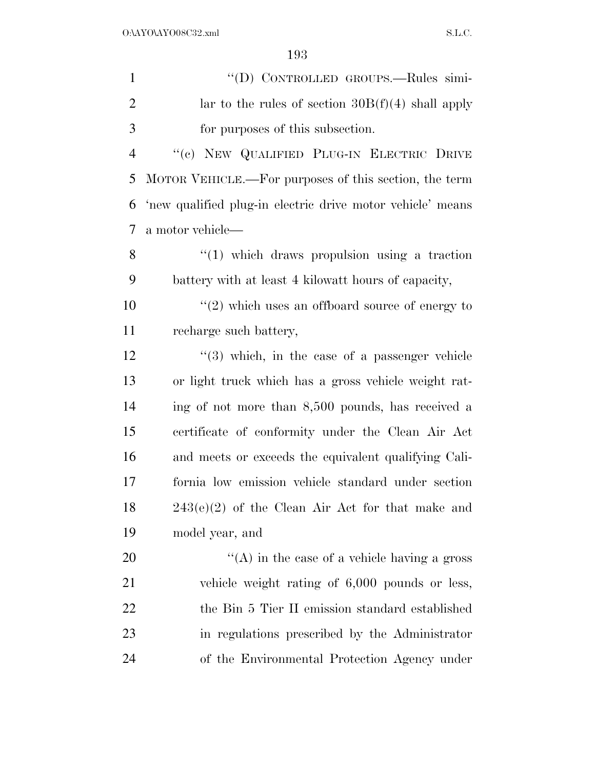| $\mathbf{1}$   | "(D) CONTROLLED GROUPS.—Rules simi-                        |
|----------------|------------------------------------------------------------|
| $\overline{2}$ | lar to the rules of section $30B(f)(4)$ shall apply        |
| 3              | for purposes of this subsection.                           |
| $\overline{4}$ | "(c) NEW QUALIFIED PLUG-IN ELECTRIC DRIVE                  |
| 5              | MOTOR VEHICLE.—For purposes of this section, the term      |
| 6              | 'new qualified plug-in electric drive motor vehicle' means |
| 7              | a motor vehicle—                                           |
| 8              | $\lq(1)$ which draws propulsion using a traction           |
| 9              | battery with at least 4 kilowatt hours of capacity,        |
| 10             | $\cdot\cdot(2)$ which uses an offboard source of energy to |
| 11             | recharge such battery,                                     |
| 12             | $\cdot$ (3) which, in the case of a passenger vehicle      |
| 13             | or light truck which has a gross vehicle weight rat-       |
| 14             | ing of not more than 8,500 pounds, has received a          |
| 15             | certificate of conformity under the Clean Air Act          |
| 16             | and meets or exceeds the equivalent qualifying Cali-       |
| 17             | fornia low emission vehicle standard under section         |
| 18             | $243(e)(2)$ of the Clean Air Act for that make and         |
| 19             | model year, and                                            |
| 20             | $\lq\lq$ in the case of a vehicle having a gross           |
| 21             | vehicle weight rating of 6,000 pounds or less,             |
| <u>22</u>      | the Bin 5 Tier II emission standard established            |
| 23             | in regulations prescribed by the Administrator             |
| 24             | of the Environmental Protection Agency under               |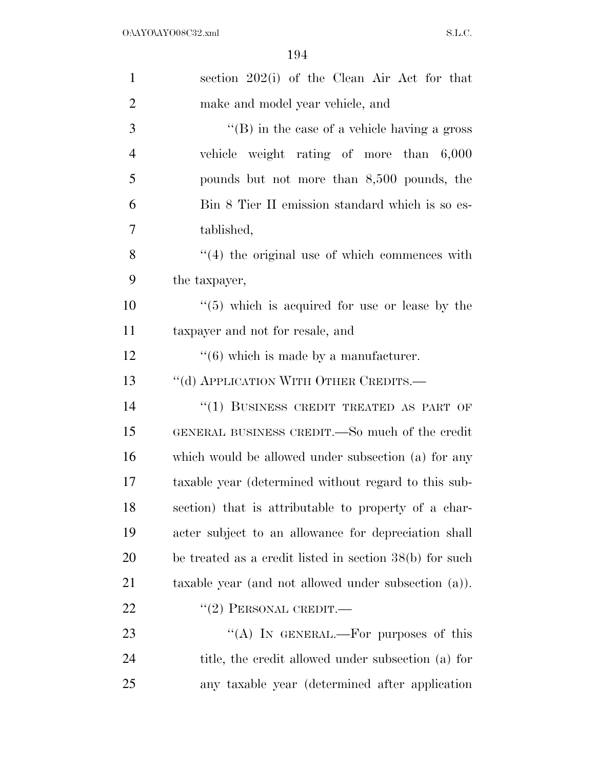| $\mathbf{1}$   | section 202(i) of the Clean Air Act for that               |
|----------------|------------------------------------------------------------|
| $\overline{2}$ | make and model year vehicle, and                           |
| 3              | $\lq\lq$ (B) in the case of a vehicle having a gross       |
| $\overline{4}$ | vehicle weight rating of more than 6,000                   |
| 5              | pounds but not more than 8,500 pounds, the                 |
| 6              | Bin 8 Tier II emission standard which is so es-            |
| 7              | tablished,                                                 |
| 8              | $\cdot$ (4) the original use of which commences with       |
| 9              | the taxpayer,                                              |
| 10             | $\cdot\cdot$ (5) which is acquired for use or lease by the |
| 11             | taxpayer and not for resale, and                           |
| 12             | $\cdot\cdot(6)$ which is made by a manufacturer.           |
| 13             | "(d) APPLICATION WITH OTHER CREDITS.—                      |
| 14             | "(1) BUSINESS CREDIT TREATED AS PART OF                    |
| 15             | GENERAL BUSINESS CREDIT.—So much of the credit             |
| 16             | which would be allowed under subsection (a) for any        |
| 17             | taxable year (determined without regard to this sub-       |
| 18             | section) that is attributable to property of a char-       |
| 19             | acter subject to an allowance for depreciation shall       |
| 20             | be treated as a credit listed in section $38(b)$ for such  |
| 21             | taxable year (and not allowed under subsection (a)).       |
| 22             | $``(2)$ PERSONAL CREDIT.—                                  |
| 23             | "(A) IN GENERAL.—For purposes of this                      |
| 24             | title, the credit allowed under subsection (a) for         |
| 25             | any taxable year (determined after application             |
|                |                                                            |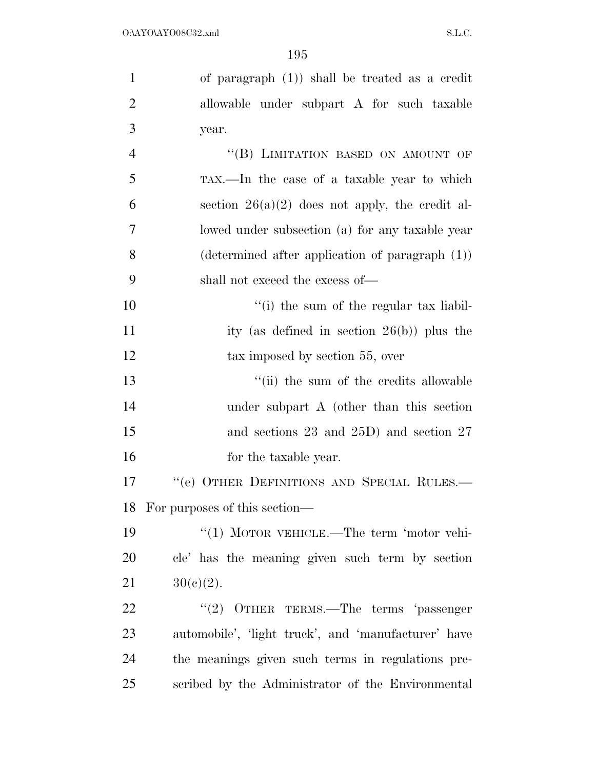| $\mathbf{1}$   | of paragraph $(1)$ ) shall be treated as a credit         |
|----------------|-----------------------------------------------------------|
| $\overline{2}$ | allowable under subpart A for such taxable                |
| 3              | year.                                                     |
| $\overline{4}$ | "(B) LIMITATION BASED ON AMOUNT OF                        |
| 5              | TAX.—In the case of a taxable year to which               |
| 6              | section $26(a)(2)$ does not apply, the credit al-         |
| $\overline{7}$ | lowed under subsection (a) for any taxable year           |
| 8              | $(\text{determined after application of paragraph } (1))$ |
| 9              | shall not exceed the excess of—                           |
| 10             | "(i) the sum of the regular tax liabil-                   |
| 11             | ity (as defined in section $26(b)$ ) plus the             |
| 12             | tax imposed by section 55, over                           |
| 13             | "(ii) the sum of the credits allowable                    |
| 14             | under subpart A (other than this section                  |
| 15             | and sections $23$ and $25D$ ) and section $27$            |
| 16             | for the taxable year.                                     |
| 17             | "(e) OTHER DEFINITIONS AND SPECIAL RULES.-                |
|                | 18 For purposes of this section—                          |
| 19             | "(1) MOTOR VEHICLE.—The term 'motor vehi-                 |
| 20             | cle' has the meaning given such term by section           |
| 21             | $30(c)(2)$ .                                              |
| 22             | "(2) OTHER TERMS.—The terms 'passenger                    |
| 23             | automobile', 'light truck', and 'manufacturer' have       |
| 24             | the meanings given such terms in regulations pre-         |
| 25             | scribed by the Administrator of the Environmental         |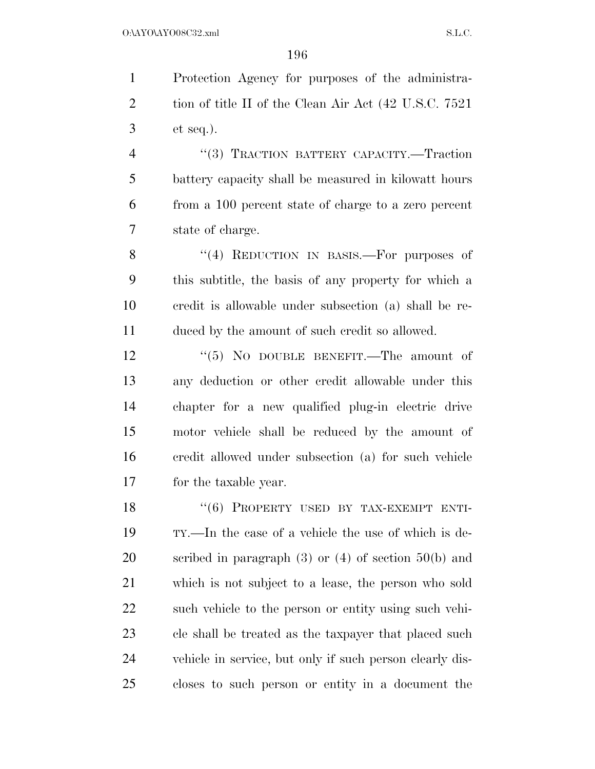Protection Agency for purposes of the administra-2 tion of title II of the Clean Air Act (42 U.S.C. 7521) et seq.). ''(3) TRACTION BATTERY CAPACITY.—Traction battery capacity shall be measured in kilowatt hours

from a 100 percent state of charge to a zero percent

state of charge.

8 "(4) REDUCTION IN BASIS.—For purposes of this subtitle, the basis of any property for which a credit is allowable under subsection (a) shall be re-duced by the amount of such credit so allowed.

12 ''(5) NO DOUBLE BENEFIT.—The amount of any deduction or other credit allowable under this chapter for a new qualified plug-in electric drive motor vehicle shall be reduced by the amount of credit allowed under subsection (a) for such vehicle for the taxable year.

18 "(6) PROPERTY USED BY TAX-EXEMPT ENTI- TY.—In the case of a vehicle the use of which is de- scribed in paragraph (3) or (4) of section 50(b) and which is not subject to a lease, the person who sold such vehicle to the person or entity using such vehi- cle shall be treated as the taxpayer that placed such vehicle in service, but only if such person clearly dis-closes to such person or entity in a document the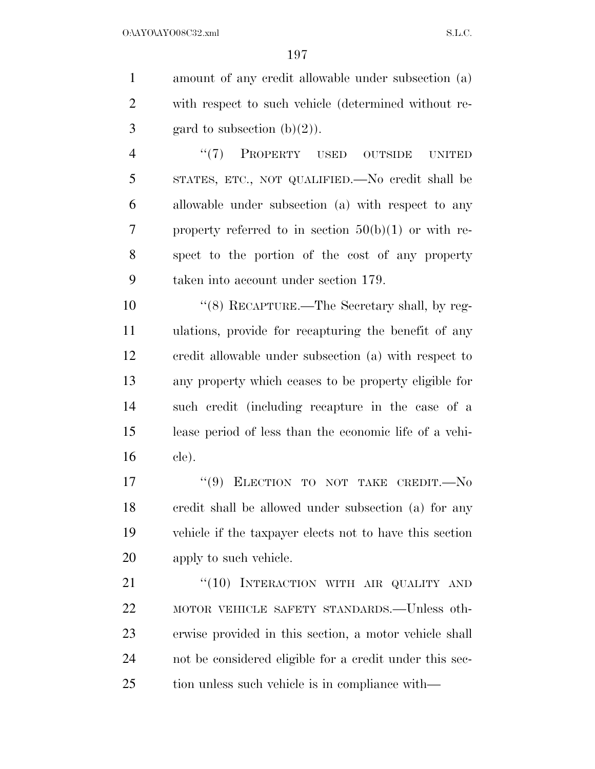amount of any credit allowable under subsection (a) with respect to such vehicle (determined without re-3 gard to subsection  $(b)(2)$ ).

4 "(7) PROPERTY USED OUTSIDE UNITED STATES, ETC., NOT QUALIFIED.—No credit shall be allowable under subsection (a) with respect to any 7 property referred to in section  $50(b)(1)$  or with re- spect to the portion of the cost of any property taken into account under section 179.

 ''(8) RECAPTURE.—The Secretary shall, by reg- ulations, provide for recapturing the benefit of any credit allowable under subsection (a) with respect to any property which ceases to be property eligible for such credit (including recapture in the case of a lease period of less than the economic life of a vehi-cle).

17 "(9) ELECTION TO NOT TAKE CREDIT. No credit shall be allowed under subsection (a) for any vehicle if the taxpayer elects not to have this section apply to such vehicle.

21 "(10) INTERACTION WITH AIR QUALITY AND MOTOR VEHICLE SAFETY STANDARDS.—Unless oth- erwise provided in this section, a motor vehicle shall not be considered eligible for a credit under this sec-tion unless such vehicle is in compliance with—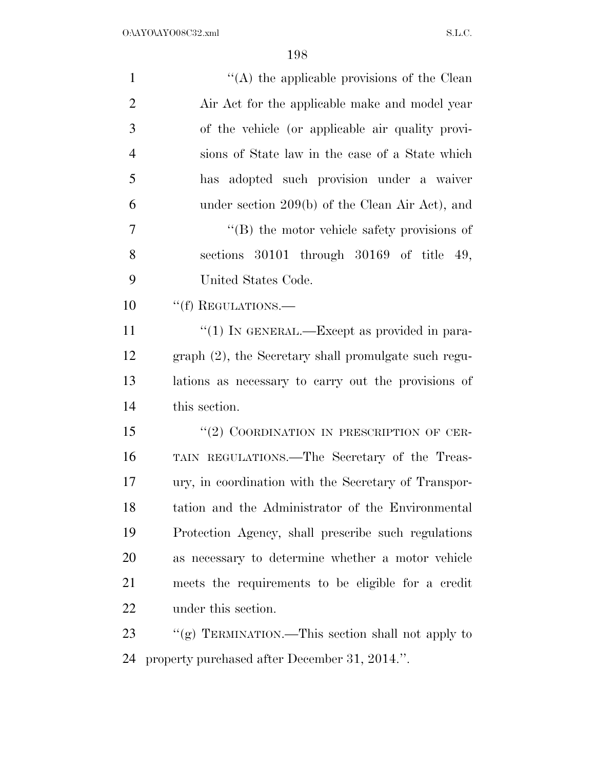| $\mathbf{1}$   | "(A) the applicable provisions of the Clean          |
|----------------|------------------------------------------------------|
| $\overline{2}$ | Air Act for the applicable make and model year       |
| 3              | of the vehicle (or applicable air quality provi-     |
| $\overline{4}$ | sions of State law in the case of a State which      |
| 5              | has adopted such provision under a waiver            |
| 6              | under section 209(b) of the Clean Air Act), and      |
| 7              | $\lq\lq$ the motor vehicle safety provisions of      |
| 8              | sections 30101 through 30169 of title 49,            |
| 9              | United States Code.                                  |
| 10             | "(f) REGULATIONS.—                                   |
| 11             | "(1) IN GENERAL.—Except as provided in para-         |
| 12             | graph (2), the Secretary shall promulgate such regu- |
| 13             | lations as necessary to carry out the provisions of  |
| 14             | this section.                                        |
| 15             | "(2) COORDINATION IN PRESCRIPTION OF CER-            |
| 16             | TAIN REGULATIONS.—The Secretary of the Treas-        |
| 17             | ury, in coordination with the Secretary of Transpor- |
| 18             | tation and the Administrator of the Environmental    |
| 19             | Protection Agency, shall prescribe such regulations  |
| 20             | as necessary to determine whether a motor vehicle    |
| 21             | meets the requirements to be eligible for a credit   |
| 22             | under this section.                                  |
| 23             | "(g) TERMINATION.—This section shall not apply to    |
| 24             | property purchased after December 31, 2014.".        |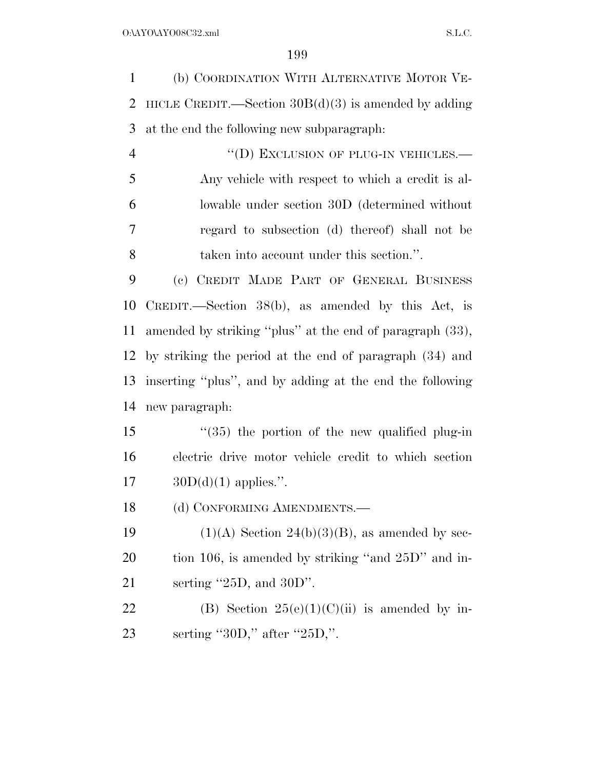(b) COORDINATION WITH ALTERNATIVE MOTOR VE- HICLE CREDIT.—Section 30B(d)(3) is amended by adding at the end the following new subparagraph:

4 "(D) EXCLUSION OF PLUG-IN VEHICLES. Any vehicle with respect to which a credit is al- lowable under section 30D (determined without regard to subsection (d) thereof) shall not be taken into account under this section.''.

 (c) CREDIT MADE PART OF GENERAL BUSINESS CREDIT.—Section 38(b), as amended by this Act, is amended by striking ''plus'' at the end of paragraph (33), by striking the period at the end of paragraph (34) and inserting ''plus'', and by adding at the end the following new paragraph:

 ''(35) the portion of the new qualified plug-in electric drive motor vehicle credit to which section 17  $30D(d)(1)$  applies.".

18 (d) CONFORMING AMENDMENTS.

19  $(1)(A)$  Section 24(b)(3)(B), as amended by sec- tion 106, is amended by striking ''and 25D'' and in-serting ''25D, and 30D''.

22 (B) Section  $25(e)(1)(C)(ii)$  is amended by in-23 serting "30D," after "25D,".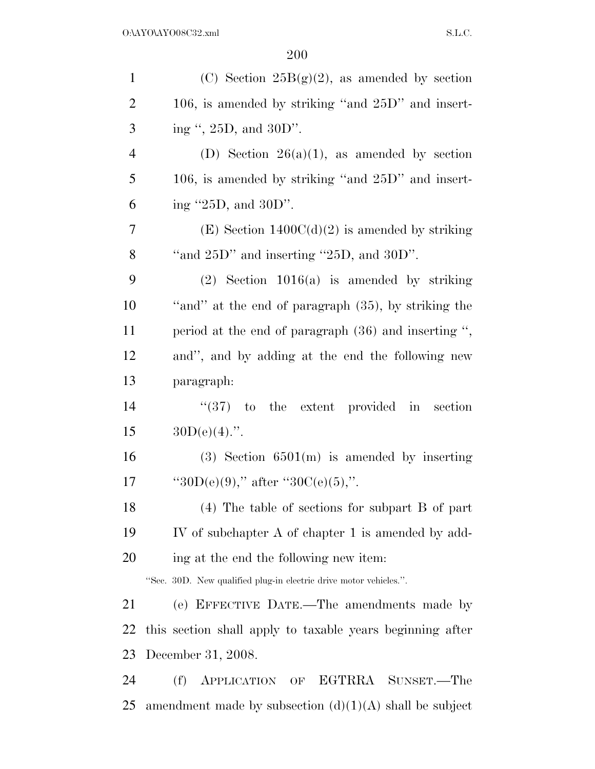| $\mathbf{1}$   | (C) Section $25B(g)(2)$ , as amended by section                   |
|----------------|-------------------------------------------------------------------|
| $\overline{2}$ | 106, is amended by striking "and 25D" and insert-                 |
| 3              | ing ", 25D, and 30D".                                             |
| $\overline{4}$ | (D) Section $26(a)(1)$ , as amended by section                    |
| 5              | 106, is amended by striking "and $25D$ " and insert-              |
| 6              | ing $"25D$ , and $30D"$ .                                         |
| 7              | $(E)$ Section 1400C(d)(2) is amended by striking                  |
| 8              | "and $25D$ " and inserting " $25D$ , and $30D$ ".                 |
| 9              | $(2)$ Section 1016(a) is amended by striking                      |
| 10             | "and" at the end of paragraph (35), by striking the               |
| 11             | period at the end of paragraph (36) and inserting ",              |
| 12             | and", and by adding at the end the following new                  |
| 13             | paragraph:                                                        |
| 14             | $(37)$ to the extent provided in section                          |
| 15             | $30D(e)(4)$ .".                                                   |
| 16             | $(3)$ Section 6501(m) is amended by inserting                     |
| 17             | "30D(e)(9)," after "30C(e)(5),".                                  |
| 18             | $(4)$ The table of sections for subpart B of part                 |
| 19             | IV of subchapter A of chapter 1 is amended by add-                |
| 20             | ing at the end the following new item:                            |
|                | "Sec. 30D. New qualified plug-in electric drive motor vehicles.". |
| 21             | (e) EFFECTIVE DATE.—The amendments made by                        |
| 22             | this section shall apply to taxable years beginning after         |
| 23             | December 31, 2008.                                                |
| 24             | (f)<br>APPLICATION OF EGTRRA SUNSET.—The                          |
| 25             | amendment made by subsection $(d)(1)(A)$ shall be subject         |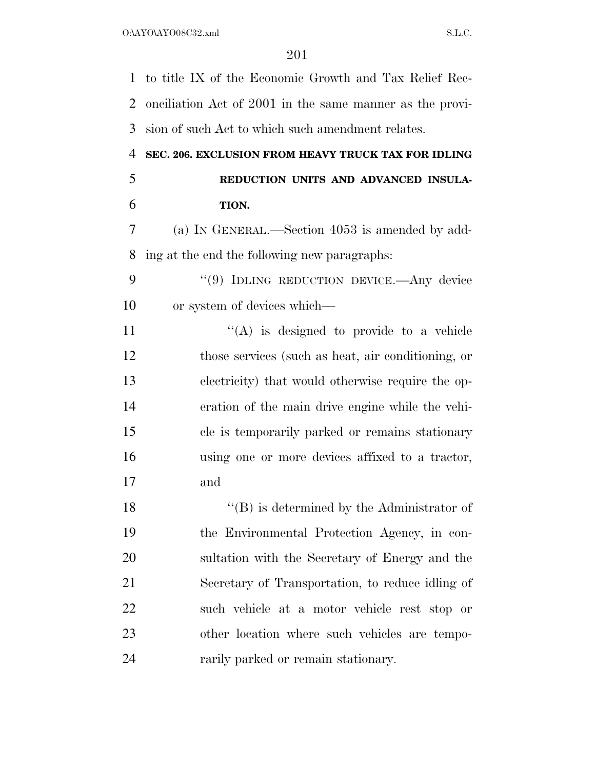to title IX of the Economic Growth and Tax Relief Rec- onciliation Act of 2001 in the same manner as the provi- sion of such Act to which such amendment relates. **SEC. 206. EXCLUSION FROM HEAVY TRUCK TAX FOR IDLING REDUCTION UNITS AND ADVANCED INSULA- TION.**  (a) IN GENERAL.—Section 4053 is amended by add- ing at the end the following new paragraphs: 9 "(9) IDLING REDUCTION DEVICE.—Any device or system of devices which—  $((A)$  is designed to provide to a vehicle those services (such as heat, air conditioning, or electricity) that would otherwise require the op- eration of the main drive engine while the vehi- cle is temporarily parked or remains stationary using one or more devices affixed to a tractor, and 18 ''(B) is determined by the Administrator of the Environmental Protection Agency, in con- sultation with the Secretary of Energy and the Secretary of Transportation, to reduce idling of such vehicle at a motor vehicle rest stop or

rarily parked or remain stationary.

other location where such vehicles are tempo-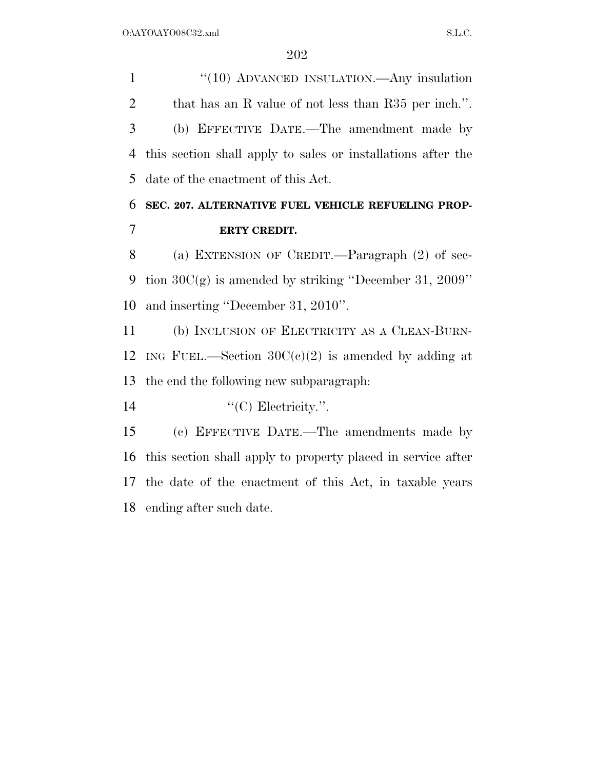1 "(10) ADVANCED INSULATION.—Any insulation 2 that has an R value of not less than R35 per inch.". (b) EFFECTIVE DATE.—The amendment made by this section shall apply to sales or installations after the date of the enactment of this Act.

### **SEC. 207. ALTERNATIVE FUEL VEHICLE REFUELING PROP-ERTY CREDIT.**

 (a) EXTENSION OF CREDIT.—Paragraph (2) of sec- tion 30C(g) is amended by striking ''December 31, 2009'' and inserting ''December 31, 2010''.

 (b) INCLUSION OF ELECTRICITY AS A CLEAN-BURN-12 ING FUEL.—Section  $30C(c)(2)$  is amended by adding at the end the following new subparagraph:

14  $\text{``(C)}$  Electricity.".

 (c) EFFECTIVE DATE.—The amendments made by this section shall apply to property placed in service after the date of the enactment of this Act, in taxable years ending after such date.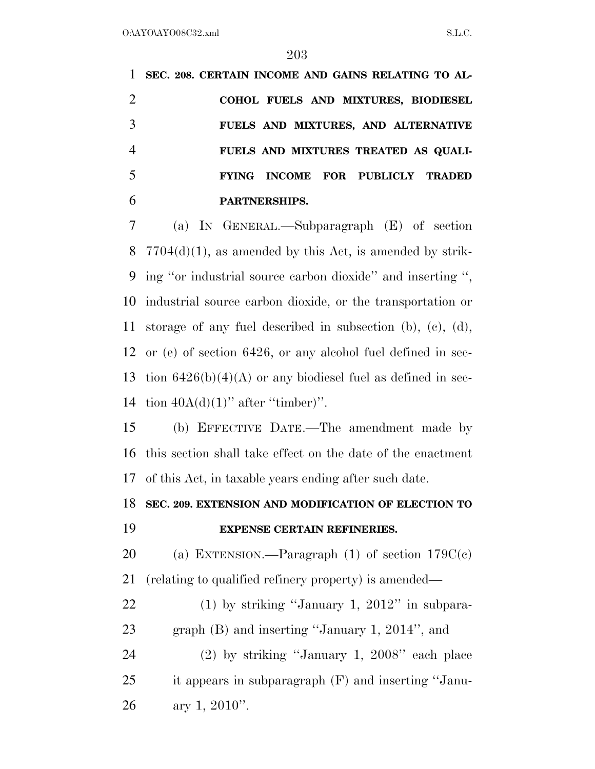**SEC. 208. CERTAIN INCOME AND GAINS RELATING TO AL- COHOL FUELS AND MIXTURES, BIODIESEL FUELS AND MIXTURES, AND ALTERNATIVE FUELS AND MIXTURES TREATED AS QUALI- FYING INCOME FOR PUBLICLY TRADED PARTNERSHIPS.**  (a) IN GENERAL.—Subparagraph (E) of section  $7704(d)(1)$ , as amended by this Act, is amended by strik-ing ''or industrial source carbon dioxide'' and inserting '',

 industrial source carbon dioxide, or the transportation or storage of any fuel described in subsection (b), (c), (d), or (e) of section 6426, or any alcohol fuel defined in sec-13 tion  $6426(b)(4)(A)$  or any biodiesel fuel as defined in sec-14 tion  $40A(d)(1)$ " after "timber)".

 (b) EFFECTIVE DATE.—The amendment made by this section shall take effect on the date of the enactment of this Act, in taxable years ending after such date.

**SEC. 209. EXTENSION AND MODIFICATION OF ELECTION TO** 

#### **EXPENSE CERTAIN REFINERIES.**

20 (a) EXTENSION.—Paragraph (1) of section  $179C(c)$ (relating to qualified refinery property) is amended—

 (1) by striking ''January 1, 2012'' in subpara- graph (B) and inserting ''January 1, 2014'', and (2) by striking ''January 1, 2008'' each place it appears in subparagraph (F) and inserting ''Janu-

26 ary 1, ".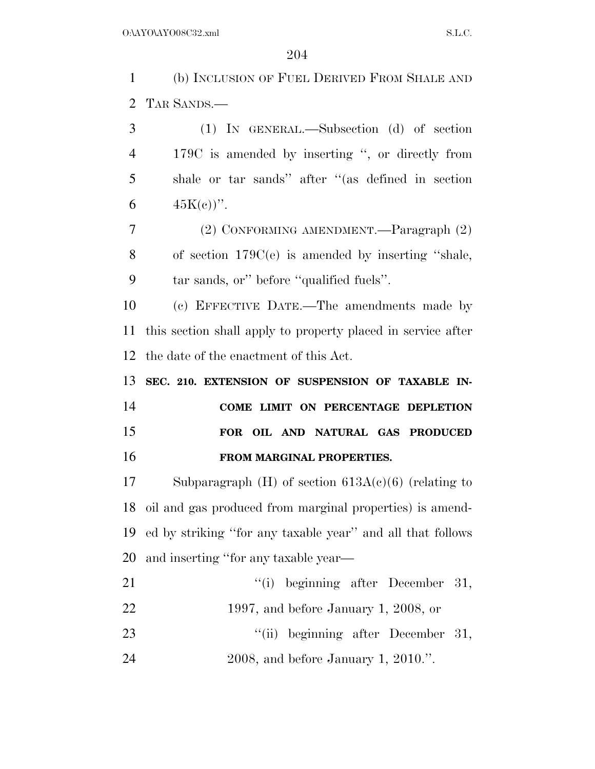(b) INCLUSION OF FUEL DERIVED FROM SHALE AND TAR SANDS.—

 (1) IN GENERAL.—Subsection (d) of section 179C is amended by inserting '', or directly from shale or tar sands'' after ''(as defined in section 6  $45K(e)$ ".

 (2) CONFORMING AMENDMENT.—Paragraph (2) of section 179C(e) is amended by inserting ''shale, tar sands, or'' before ''qualified fuels''.

 (c) EFFECTIVE DATE.—The amendments made by this section shall apply to property placed in service after the date of the enactment of this Act.

 **SEC. 210. EXTENSION OF SUSPENSION OF TAXABLE IN- COME LIMIT ON PERCENTAGE DEPLETION FOR OIL AND NATURAL GAS PRODUCED FROM MARGINAL PROPERTIES.** 

 Subparagraph (H) of section 613A(c)(6) (relating to oil and gas produced from marginal properties) is amend- ed by striking ''for any taxable year'' and all that follows and inserting ''for any taxable year—

- 21 ''(i) beginning after December 31, 1997, and before January 1, 2008, or 23 ''(ii) beginning after December 31,
- 2008, and before January 1, 2010.''.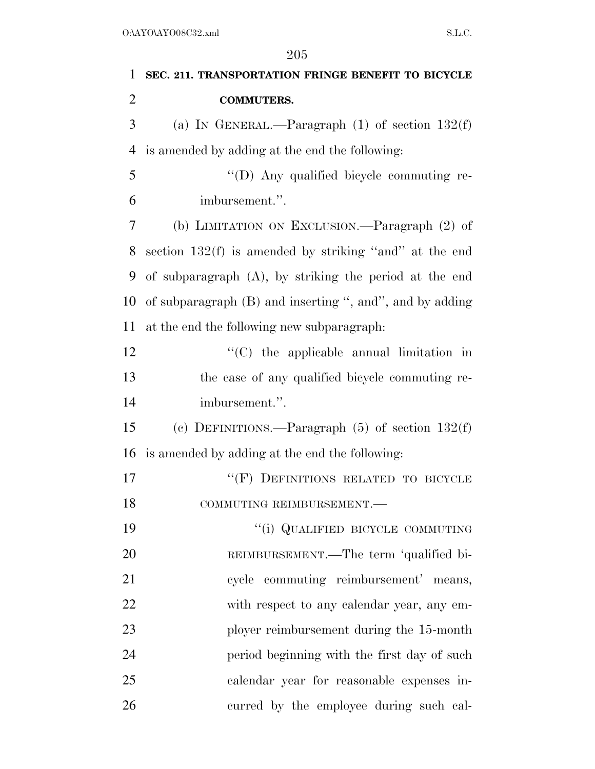| $\mathbf{1}$   | SEC. 211. TRANSPORTATION FRINGE BENEFIT TO BICYCLE       |
|----------------|----------------------------------------------------------|
| $\overline{2}$ | <b>COMMUTERS.</b>                                        |
| 3              | (a) IN GENERAL.—Paragraph $(1)$ of section $132(f)$      |
| $\overline{4}$ | is amended by adding at the end the following:           |
| 5              | "(D) Any qualified bicycle commuting re-                 |
| 6              | imbursement.".                                           |
| 7              | (b) LIMITATION ON EXCLUSION.—Paragraph (2) of            |
| 8              | section $132(f)$ is amended by striking "and" at the end |
| 9              | of subparagraph (A), by striking the period at the end   |
| 10             | of subparagraph (B) and inserting ", and", and by adding |
| 11             | at the end the following new subparagraph:               |
| 12             | $\lq\lq$ (C) the applicable annual limitation in         |
| 13             | the case of any qualified bicycle commuting re-          |
| 14             | imbursement.".                                           |
| 15             | (c) DEFINITIONS.—Paragraph $(5)$ of section $132(f)$     |
| 16             | is amended by adding at the end the following:           |
| 17             | "(F) DEFINITIONS RELATED TO BICYCLE                      |
| 18             | COMMUTING REIMBURSEMENT.-                                |
| 19             | "(i) QUALIFIED BICYCLE COMMUTING                         |
| 20             | REIMBURSEMENT.—The term 'qualified bi-                   |
| 21             | cycle commuting reimbursement' means,                    |
| 22             | with respect to any calendar year, any em-               |
| 23             | ployer reimbursement during the 15-month                 |
| 24             | period beginning with the first day of such              |
| 25             | calendar year for reasonable expenses in-                |
| 26             | curred by the employee during such cal-                  |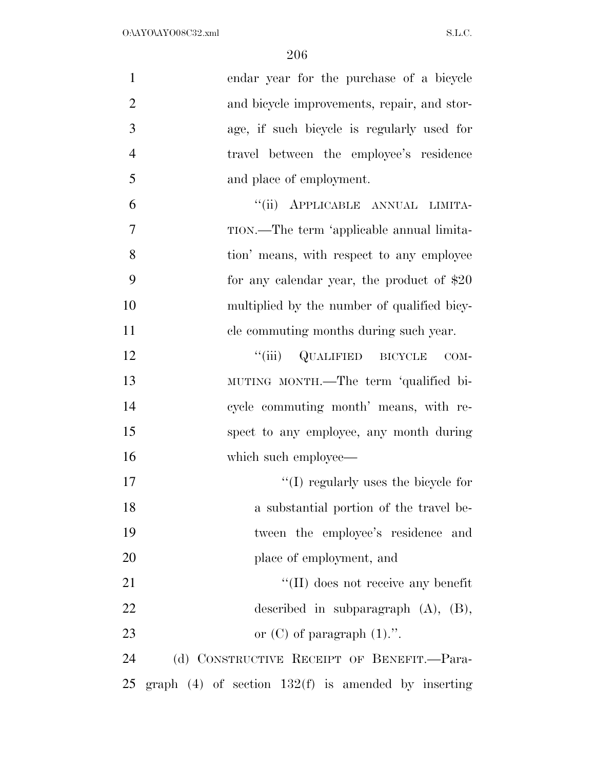| $\mathbf{1}$   | endar year for the purchase of a bicycle                |
|----------------|---------------------------------------------------------|
| $\overline{2}$ | and bicycle improvements, repair, and stor-             |
| 3              | age, if such bicycle is regularly used for              |
| $\overline{4}$ | travel between the employee's residence                 |
| 5              | and place of employment.                                |
| 6              | "(ii) APPLICABLE ANNUAL LIMITA-                         |
| $\overline{7}$ | TION.—The term 'applicable annual limita-               |
| 8              | tion' means, with respect to any employee               |
| 9              | for any calendar year, the product of $$20$             |
| 10             | multiplied by the number of qualified bicy-             |
| 11             | cle commuting months during such year.                  |
| 12             | "(iii) QUALIFIED BICYCLE<br>$COM-$                      |
| 13             | MUTING MONTH.—The term 'qualified bi-                   |
| 14             | cycle commuting month' means, with re-                  |
| 15             | spect to any employee, any month during                 |
| 16             | which such employee—                                    |
| 17             | $\lq\lq$ (I) regularly uses the bicycle for             |
| 18             | a substantial portion of the travel be-                 |
| 19             | tween the employee's residence and                      |
| 20             | place of employment, and                                |
| 21             | $\lq\lq$ (II) does not receive any benefit              |
| 22             | described in subparagraph $(A)$ , $(B)$ ,               |
| 23             | or $(C)$ of paragraph $(1)$ .".                         |
| 24             | (d) CONSTRUCTIVE RECEIPT OF BENEFIT.—Para-              |
| 25             | graph $(4)$ of section $132(f)$ is amended by inserting |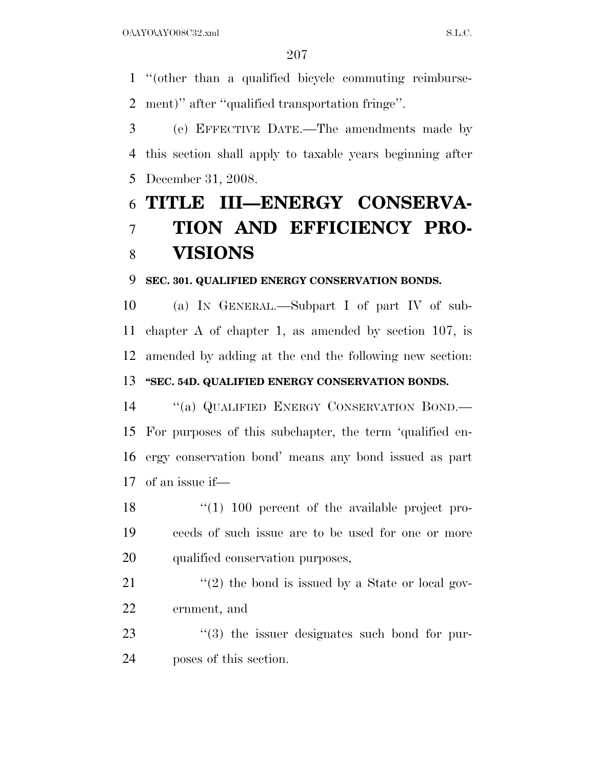''(other than a qualified bicycle commuting reimburse-ment)'' after ''qualified transportation fringe''.

 (e) EFFECTIVE DATE.—The amendments made by this section shall apply to taxable years beginning after December 31, 2008.

# **TITLE III—ENERGY CONSERVA- TION AND EFFICIENCY PRO-VISIONS**

### **SEC. 301. QUALIFIED ENERGY CONSERVATION BONDS.**

 (a) IN GENERAL.—Subpart I of part IV of sub- chapter A of chapter 1, as amended by section 107, is amended by adding at the end the following new section: **''SEC. 54D. QUALIFIED ENERGY CONSERVATION BONDS.** 

 ''(a) QUALIFIED ENERGY CONSERVATION BOND.— For purposes of this subchapter, the term 'qualified en- ergy conservation bond' means any bond issued as part of an issue if—

18 ''(1) 100 percent of the available project pro- ceeds of such issue are to be used for one or more qualified conservation purposes,

21  $\frac{1}{2}$  the bond is issued by a State or local gov-ernment, and

23  $\frac{1}{2}$  (3) the issuer designates such bond for pur-poses of this section.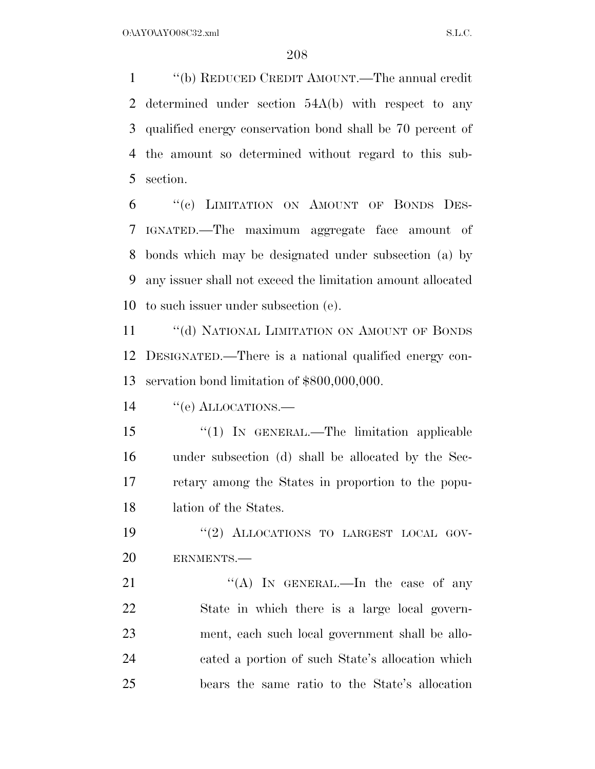''(b) REDUCED CREDIT AMOUNT.—The annual credit determined under section 54A(b) with respect to any qualified energy conservation bond shall be 70 percent of the amount so determined without regard to this sub-section.

 ''(c) LIMITATION ON AMOUNT OF BONDS DES- IGNATED.—The maximum aggregate face amount of bonds which may be designated under subsection (a) by any issuer shall not exceed the limitation amount allocated to such issuer under subsection (e).

11 "(d) NATIONAL LIMITATION ON AMOUNT OF BONDS DESIGNATED.—There is a national qualified energy con-servation bond limitation of \$800,000,000.

14 "(e) ALLOCATIONS.—

15 "(1) In GENERAL.—The limitation applicable under subsection (d) shall be allocated by the Sec- retary among the States in proportion to the popu-lation of the States.

19 "(2) ALLOCATIONS TO LARGEST LOCAL GOV-ERNMENTS.—

 $((A)$  In GENERAL.—In the case of any State in which there is a large local govern- ment, each such local government shall be allo- cated a portion of such State's allocation which bears the same ratio to the State's allocation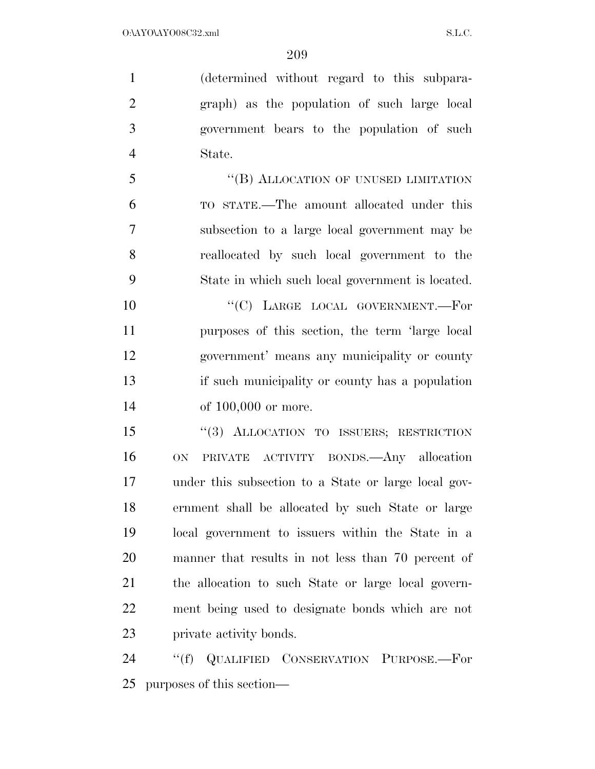(determined without regard to this subpara- graph) as the population of such large local government bears to the population of such State.

5 "(B) ALLOCATION OF UNUSED LIMITATION TO STATE.—The amount allocated under this subsection to a large local government may be reallocated by such local government to the State in which such local government is located.

10 "(C) LARGE LOCAL GOVERNMENT.—For purposes of this section, the term 'large local government' means any municipality or county if such municipality or county has a population 14 of 100,000 or more.

 ''(3) ALLOCATION TO ISSUERS; RESTRICTION ON PRIVATE ACTIVITY BONDS.—Any allocation under this subsection to a State or large local gov- ernment shall be allocated by such State or large local government to issuers within the State in a manner that results in not less than 70 percent of the allocation to such State or large local govern- ment being used to designate bonds which are not private activity bonds.

 ''(f) QUALIFIED CONSERVATION PURPOSE.—For purposes of this section—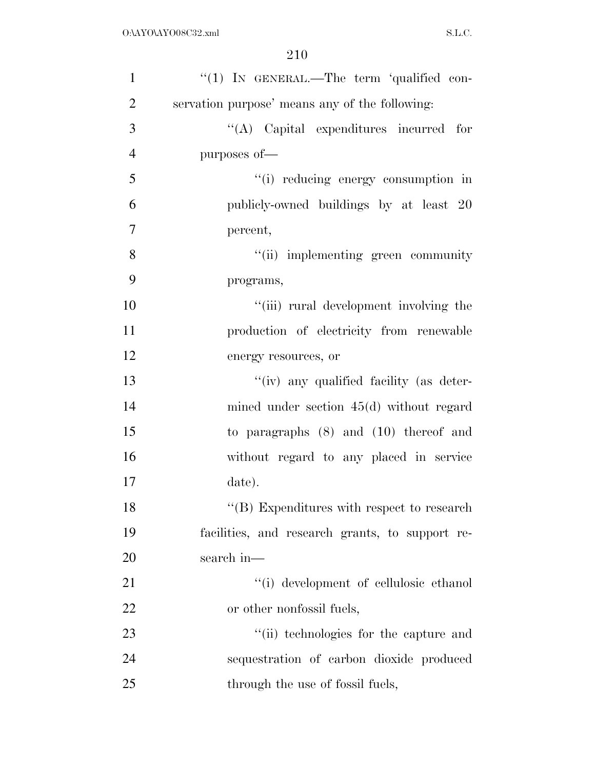| $\mathbf{1}$   | "(1) IN GENERAL.—The term 'qualified con-          |
|----------------|----------------------------------------------------|
| $\overline{2}$ | servation purpose' means any of the following:     |
| 3              | "(A) Capital expenditures incurred for             |
| $\overline{4}$ | purposes of-                                       |
| 5              | "(i) reducing energy consumption in                |
| 6              | publicly-owned buildings by at least 20            |
| $\overline{7}$ | percent,                                           |
| 8              | "(ii) implementing green community                 |
| 9              | programs,                                          |
| 10             | "(iii) rural development involving the             |
| 11             | production of electricity from renewable           |
| 12             | energy resources, or                               |
| 13             | "(iv) any qualified facility (as deter-            |
| 14             | mined under section $45(d)$ without regard         |
| 15             | to paragraphs $(8)$ and $(10)$ thereof and         |
| 16             | without regard to any placed in service            |
| 17             | date).                                             |
| 18             | $\lq\lq$ (B) Expenditures with respect to research |
| 19             | facilities, and research grants, to support re-    |
| 20             | search in-                                         |
| 21             | "(i) development of cellulosic ethanol             |
| 22             | or other nonfossil fuels,                          |
| 23             | "(ii) technologies for the capture and             |
| 24             | sequestration of carbon dioxide produced           |
| 25             | through the use of fossil fuels,                   |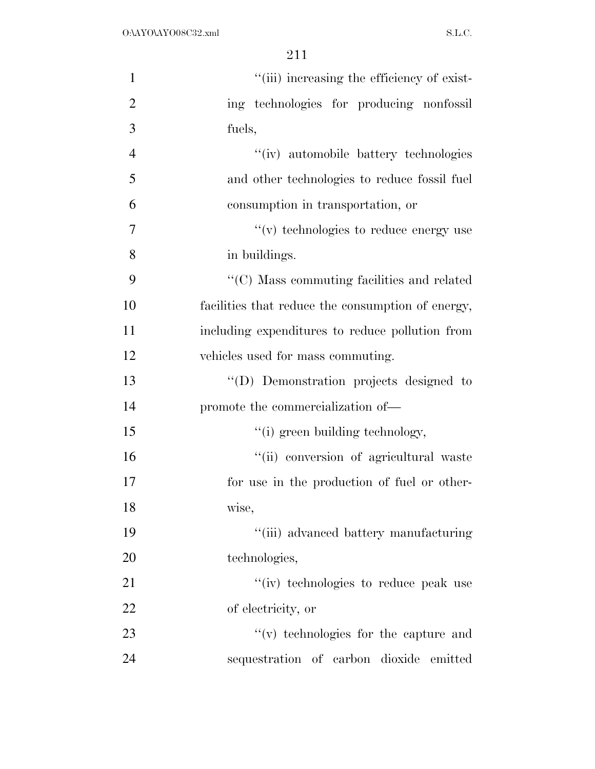| $\mathbf{1}$   | "(iii) increasing the efficiency of exist-        |
|----------------|---------------------------------------------------|
| $\overline{2}$ | ing technologies for producing nonfossil          |
| 3              | fuels,                                            |
| $\overline{4}$ | "(iv) automobile battery technologies             |
| 5              | and other technologies to reduce fossil fuel      |
| 6              | consumption in transportation, or                 |
| 7              | $\lq\lq$ (v) technologies to reduce energy use    |
| 8              | in buildings.                                     |
| 9              | "(C) Mass commuting facilities and related        |
| 10             | facilities that reduce the consumption of energy, |
| 11             | including expenditures to reduce pollution from   |
| 12             | vehicles used for mass commuting.                 |
| 13             | "(D) Demonstration projects designed to           |
| 14             | promote the commercialization of—                 |
| 15             | "(i) green building technology,                   |
| 16             | "(ii) conversion of agricultural waste            |
| 17             | for use in the production of fuel or other-       |
| 18             | wise,                                             |
| 19             | "(iii) advanced battery manufacturing             |
| 20             | technologies,                                     |
| 21             | "(iv) technologies to reduce peak use             |
| 22             | of electricity, or                                |
| 23             | "(v) technologies for the capture and             |
| 24             | sequestration of carbon dioxide emitted           |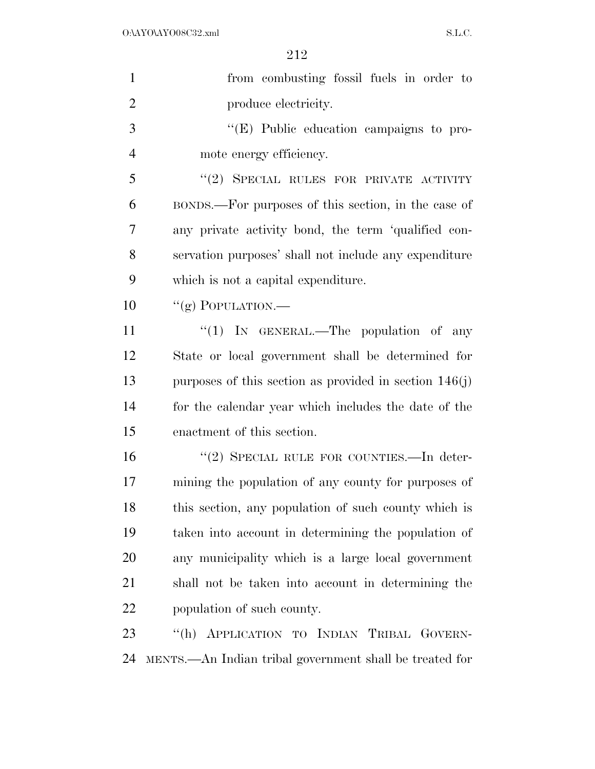| $\mathbf{1}$   | from combusting fossil fuels in order to                 |
|----------------|----------------------------------------------------------|
| $\overline{2}$ | produce electricity.                                     |
| 3              | $\lq\lq$ (E) Public education campaigns to pro-          |
| $\overline{4}$ | mote energy efficiency.                                  |
| 5              | "(2) SPECIAL RULES FOR PRIVATE ACTIVITY                  |
| 6              | BONDS.—For purposes of this section, in the case of      |
| 7              | any private activity bond, the term 'qualified con-      |
| 8              | servation purposes' shall not include any expenditure    |
| 9              | which is not a capital expenditure.                      |
| 10             | "(g) POPULATION.—                                        |
| 11             | "(1) IN GENERAL.—The population of any                   |
| 12             | State or local government shall be determined for        |
| 13             | purposes of this section as provided in section $146(j)$ |
| 14             | for the calendar year which includes the date of the     |
| 15             | enactment of this section.                               |
| 16             | "(2) SPECIAL RULE FOR COUNTIES.—In deter-                |
| 17             | mining the population of any county for purposes of      |
| 18             | this section, any population of such county which is     |
| 19             | taken into account in determining the population of      |
| 20             | any municipality which is a large local government       |
| 21             | shall not be taken into account in determining the       |
| 22             | population of such county.                               |
| 23             | "(h) APPLICATION TO INDIAN TRIBAL GOVERN-                |
| 24             | MENTS.—An Indian tribal government shall be treated for  |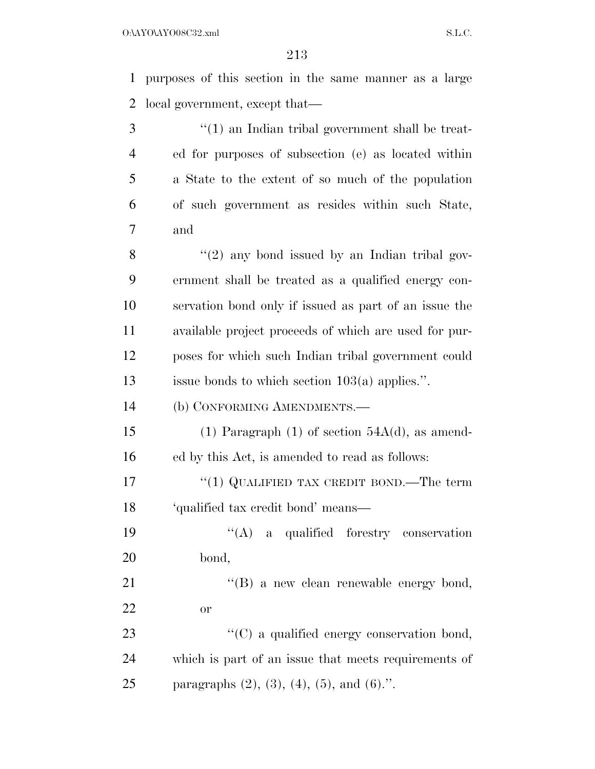purposes of this section in the same manner as a large local government, except that—

 ''(1) an Indian tribal government shall be treat- ed for purposes of subsection (e) as located within a State to the extent of so much of the population of such government as resides within such State, and

 $\frac{8}{2}$  ''(2) any bond issued by an Indian tribal gov- ernment shall be treated as a qualified energy con- servation bond only if issued as part of an issue the available project proceeds of which are used for pur- poses for which such Indian tribal government could issue bonds to which section 103(a) applies.''.

(b) CONFORMING AMENDMENTS.—

15 (1) Paragraph (1) of section  $54A(d)$ , as amend-ed by this Act, is amended to read as follows:

17 "(1) QUALIFIED TAX CREDIT BOND.—The term 'qualified tax credit bond' means—

 ''(A) a qualified forestry conservation bond,

21 "'(B) a new clean renewable energy bond, or

23  $\cdot$  (C) a qualified energy conservation bond, which is part of an issue that meets requirements of 25 paragraphs  $(2)$ ,  $(3)$ ,  $(4)$ ,  $(5)$ , and  $(6)$ .".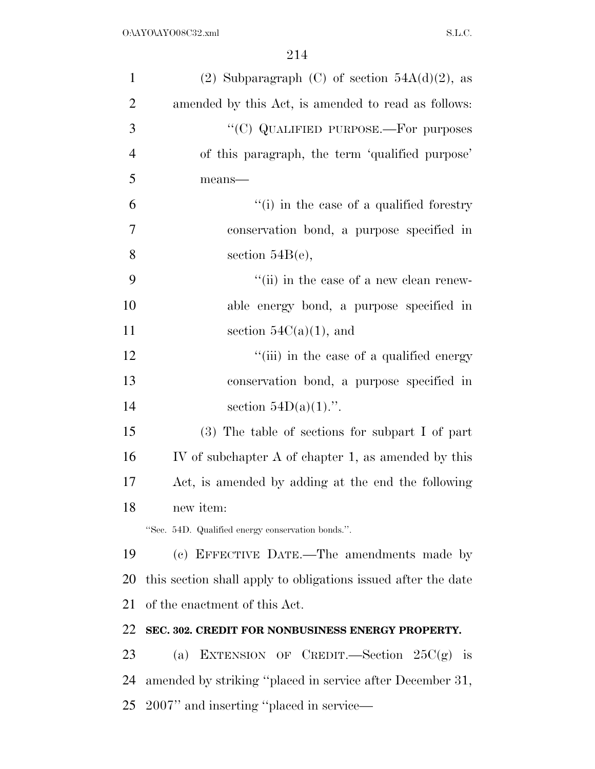| $\mathbf{1}$   | (2) Subparagraph (C) of section $54A(d)(2)$ , as              |
|----------------|---------------------------------------------------------------|
| $\overline{2}$ | amended by this Act, is amended to read as follows:           |
| 3              | "(C) QUALIFIED PURPOSE.—For purposes                          |
| $\overline{4}$ | of this paragraph, the term 'qualified purpose'               |
| 5              | means-                                                        |
| 6              | "(i) in the case of a qualified forestry                      |
| 7              | conservation bond, a purpose specified in                     |
| 8              | section $54B(e)$ ,                                            |
| 9              | $``$ (ii) in the case of a new clean renew-                   |
| 10             | able energy bond, a purpose specified in                      |
| 11             | section $54C(a)(1)$ , and                                     |
| 12             | "(iii) in the case of a qualified energy                      |
| 13             | conservation bond, a purpose specified in                     |
| 14             | section $54D(a)(1)$ .".                                       |
| 15             | (3) The table of sections for subpart I of part               |
| 16             | IV of subchapter A of chapter 1, as amended by this           |
| 17             | Act, is amended by adding at the end the following            |
| 18             | new item:                                                     |
|                | "Sec. 54D. Qualified energy conservation bonds.".             |
| 19             | (c) EFFECTIVE DATE.—The amendments made by                    |
| 20             | this section shall apply to obligations issued after the date |
| 21             | of the enactment of this Act.                                 |
| 22             | SEC. 302. CREDIT FOR NONBUSINESS ENERGY PROPERTY.             |
| 23             | EXTENSION OF CREDIT.—Section $25C(g)$ is<br>(a)               |
| 24             | amended by striking "placed in service after December 31,     |
| 25             | 2007" and inserting "placed in service—                       |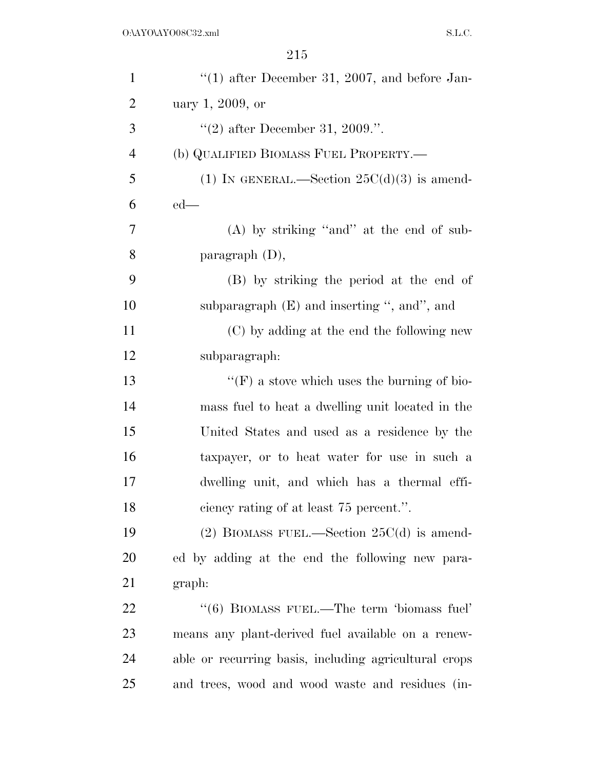| $\mathbf{1}$   | $(1)$ after December 31, 2007, and before Jan-        |
|----------------|-------------------------------------------------------|
| $\overline{2}$ | uary 1, 2009, or                                      |
| 3              | "(2) after December 31, 2009.".                       |
| $\overline{4}$ | (b) QUALIFIED BIOMASS FUEL PROPERTY.—                 |
| 5              | (1) IN GENERAL.—Section $25C(d)(3)$ is amend-         |
| 6              | $ed$ —                                                |
| $\tau$         | (A) by striking "and" at the end of sub-              |
| 8              | paragraph $(D)$ ,                                     |
| 9              | (B) by striking the period at the end of              |
| 10             | subparagraph $(E)$ and inserting ", and", and         |
| 11             | (C) by adding at the end the following new            |
| 12             | subparagraph:                                         |
| 13             | $\lq\lq(F)$ a stove which uses the burning of bio-    |
| 14             | mass fuel to heat a dwelling unit located in the      |
| 15             | United States and used as a residence by the          |
| 16             | taxpayer, or to heat water for use in such a          |
| 17             | dwelling unit, and which has a thermal effi-          |
| 18             | ciency rating of at least 75 percent.".               |
| 19             | (2) BIOMASS FUEL.—Section $25C(d)$ is amend-          |
| 20             | ed by adding at the end the following new para-       |
| 21             | graph:                                                |
| 22             | "(6) BIOMASS FUEL.—The term 'biomass fuel'            |
| 23             | means any plant-derived fuel available on a renew-    |
| 24             | able or recurring basis, including agricultural crops |
| 25             | and trees, wood and wood waste and residues (in-      |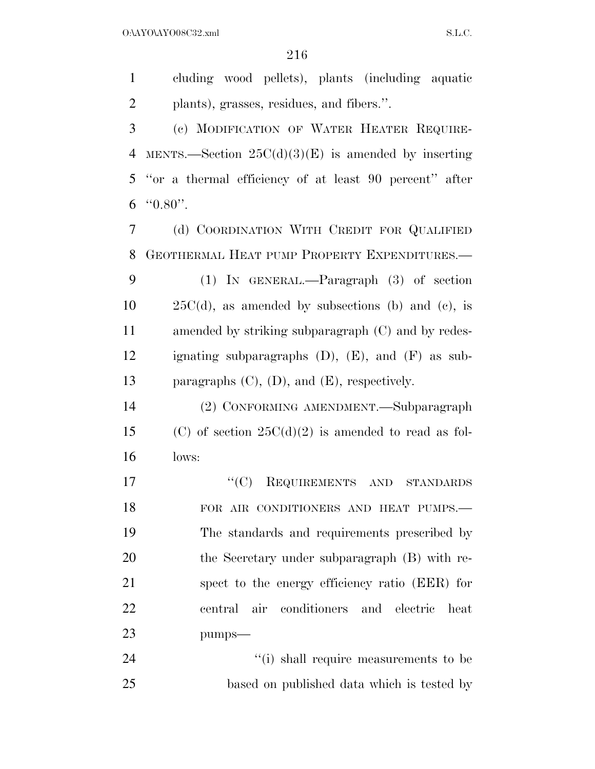$O:\Delta YO\Delta YO08C32.xml$  S.L.C.

 cluding wood pellets), plants (including aquatic plants), grasses, residues, and fibers.''.

 (c) MODIFICATION OF WATER HEATER REQUIRE-4 MENTS.—Section  $25C(d)(3)(E)$  is amended by inserting ''or a thermal efficiency of at least 90 percent'' after "0.80".

 (d) COORDINATION WITH CREDIT FOR QUALIFIED GEOTHERMAL HEAT PUMP PROPERTY EXPENDITURES.— (1) IN GENERAL.—Paragraph (3) of section  $10 \qquad 25C(d)$ , as amended by subsections (b) and (c), is amended by striking subparagraph (C) and by redes- ignating subparagraphs (D), (E), and (F) as sub-paragraphs (C), (D), and (E), respectively.

 (2) CONFORMING AMENDMENT.—Subparagraph 15 (C) of section  $25C(d)(2)$  is amended to read as fol-lows:

17 "'(C) REQUIREMENTS AND STANDARDS FOR AIR CONDITIONERS AND HEAT PUMPS.— The standards and requirements prescribed by 20 the Secretary under subparagraph (B) with re- spect to the energy efficiency ratio (EER) for central air conditioners and electric heat pumps—

24  $(i)$  shall require measurements to be based on published data which is tested by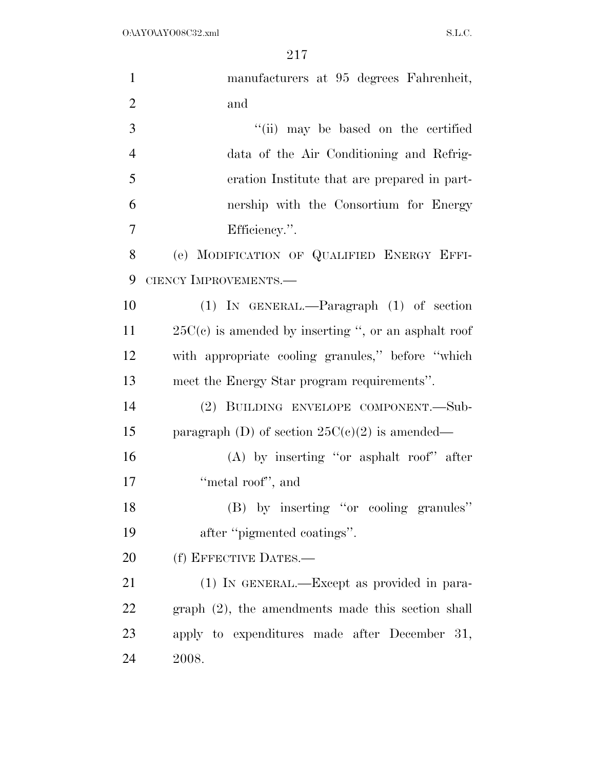| $\mathbf{1}$   | manufacturers at 95 degrees Fahrenheit,                |
|----------------|--------------------------------------------------------|
| $\overline{2}$ | and                                                    |
| 3              | "(ii) may be based on the certified                    |
| $\overline{4}$ | data of the Air Conditioning and Refrig-               |
| 5              | eration Institute that are prepared in part-           |
| 6              | nership with the Consortium for Energy                 |
| 7              | Efficiency.".                                          |
| 8              | (e) MODIFICATION OF QUALIFIED ENERGY EFFI-             |
| 9              | CIENCY IMPROVEMENTS.-                                  |
| 10             | $(1)$ IN GENERAL.—Paragraph $(1)$ of section           |
| 11             | $25C(c)$ is amended by inserting ", or an asphalt roof |
| 12             | with appropriate cooling granules," before "which      |
| 13             | meet the Energy Star program requirements".            |
| 14             | (2) BUILDING ENVELOPE COMPONENT.-Sub-                  |
| 15             | paragraph (D) of section $25C(c)(2)$ is amended—       |
| 16             | $(A)$ by inserting "or asphalt roof" after             |
| 17             | "metal roof", and                                      |
| 18             | (B) by inserting "or cooling granules"                 |
| 19             | after "pigmented coatings".                            |
| 20             | (f) EFFECTIVE DATES.-                                  |
| 21             | (1) IN GENERAL.—Except as provided in para-            |
| 22             | $graph (2)$ , the amendments made this section shall   |
| 23             | apply to expenditures made after December 31,          |
| 24             | 2008.                                                  |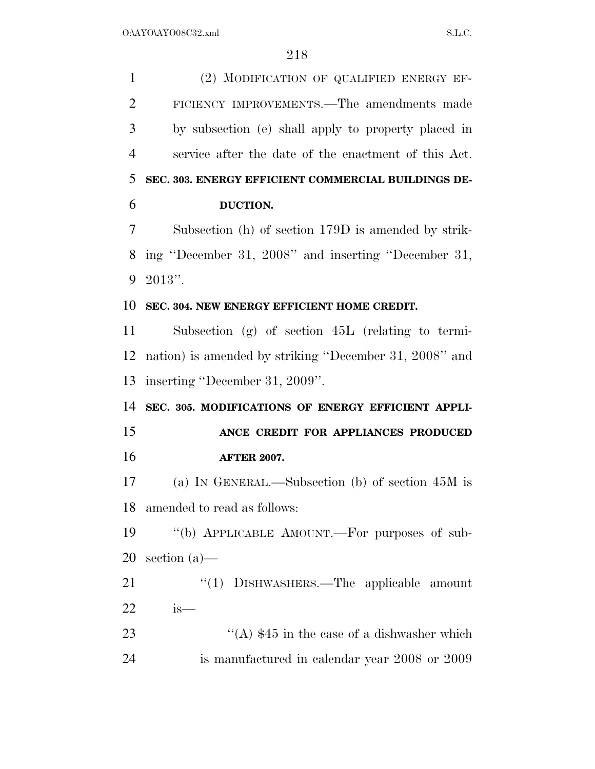| $\mathbf{1}$   | (2) MODIFICATION OF QUALIFIED ENERGY EF-               |
|----------------|--------------------------------------------------------|
| $\overline{2}$ | FICIENCY IMPROVEMENTS.—The amendments made             |
| 3              | by subsection (e) shall apply to property placed in    |
| $\overline{4}$ | service after the date of the enactment of this Act.   |
| 5              | SEC. 303. ENERGY EFFICIENT COMMERCIAL BUILDINGS DE-    |
| 6              | DUCTION.                                               |
| 7              | Subsection (h) of section 179D is amended by strik-    |
| 8              | ing "December 31, 2008" and inserting "December 31,    |
| 9              | $2013"$ .                                              |
| 10             | SEC. 304. NEW ENERGY EFFICIENT HOME CREDIT.            |
| 11             | Subsection $(g)$ of section $45L$ (relating to termi-  |
| 12             | nation) is amended by striking "December 31, 2008" and |
| 13             | inserting "December 31, 2009".                         |
| 14             | SEC. 305. MODIFICATIONS OF ENERGY EFFICIENT APPLI-     |
| 15             | ANCE CREDIT FOR APPLIANCES PRODUCED                    |
| 16             | <b>AFTER 2007.</b>                                     |
| 17             | (a) IN GENERAL.—Subsection (b) of section $45M$ is     |
| 18             | amended to read as follows:                            |
| 19             | "(b) APPLICABLE AMOUNT.—For purposes of sub-           |
| 20             | section $(a)$ —                                        |
| 21             | "(1) DISHWASHERS.—The applicable amount                |
| 22             | is—                                                    |
| 23             | "(A) $$45$ in the case of a dishwasher which           |
| 24             | is manufactured in calendar year 2008 or 2009          |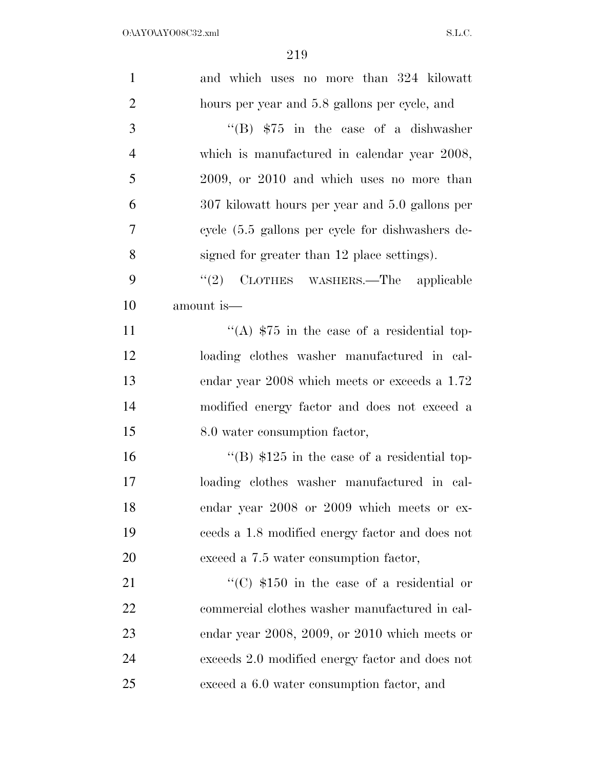| $\mathbf{1}$   | and which uses no more than 324 kilowatt                   |
|----------------|------------------------------------------------------------|
| $\overline{2}$ | hours per year and 5.8 gallons per cycle, and              |
| 3              | "(B) $$75$ in the case of a dishwasher                     |
| $\overline{4}$ | which is manufactured in calendar year 2008,               |
| 5              | 2009, or 2010 and which uses no more than                  |
| 6              | 307 kilowatt hours per year and 5.0 gallons per            |
| 7              | cycle $(5.5 \text{ gallons per cycle}$ for dishwashers de- |
| 8              | signed for greater than 12 place settings).                |
| 9              | "(2) CLOTHES WASHERS.—The applicable                       |
| 10             | amount is—                                                 |
| 11             | "(A) $$75$ in the case of a residential top-               |
| 12             | loading clothes washer manufactured in cal-                |
| 13             | endar year 2008 which meets or exceeds a 1.72              |
| 14             | modified energy factor and does not exceed a               |
| 15             | 8.0 water consumption factor,                              |
| 16             | "(B) $$125$ in the case of a residential top-              |
| 17             | loading clothes washer manufactured in cal-                |
| 18             | endar year 2008 or 2009 which meets or ex-                 |
| 19             | ceeds a 1.8 modified energy factor and does not            |
| 20             | exceed a 7.5 water consumption factor,                     |
| 21             | "(C) $$150$ in the case of a residential or                |
| 22             | commercial clothes washer manufactured in cal-             |
| 23             | endar year $2008$ , $2009$ , or $2010$ which meets or      |
| 24             | exceeds 2.0 modified energy factor and does not            |
| 25             | exceed a 6.0 water consumption factor, and                 |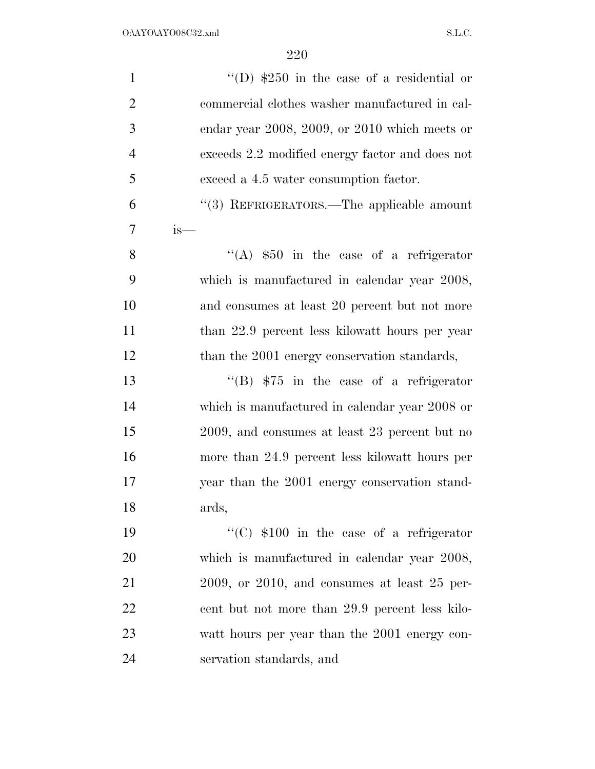| $\mathbf{1}$   | "(D) $$250$ in the case of a residential or          |
|----------------|------------------------------------------------------|
| $\overline{2}$ | commercial clothes washer manufactured in cal-       |
| 3              | endar year 2008, 2009, or 2010 which meets or        |
| $\overline{4}$ | exceeds 2.2 modified energy factor and does not      |
| 5              | exceed a 4.5 water consumption factor.               |
| 6              | "(3) REFRIGERATORS.—The applicable amount            |
| 7              | is—                                                  |
| 8              | "(A) $$50$ in the case of a refrigerator             |
| 9              | which is manufactured in calendar year 2008,         |
| 10             | and consumes at least 20 percent but not more        |
| 11             | than 22.9 percent less kilowatt hours per year       |
| 12             | than the 2001 energy conservation standards,         |
| 13             | $\cdot$ (B) \$75 in the case of a refrigerator       |
| 14             | which is manufactured in calendar year 2008 or       |
| 15             | 2009, and consumes at least 23 percent but no        |
| 16             | more than 24.9 percent less kilowatt hours per       |
| 17             | year than the 2001 energy conservation stand-        |
| 18             | ards,                                                |
| 19             | "(C) $$100$ in the case of a refrigerator            |
| 20             | which is manufactured in calendar year 2008,         |
| 21             | $2009$ , or $2010$ , and consumes at least $25$ per- |
| 22             | cent but not more than 29.9 percent less kilo-       |
| 23             | watt hours per year than the 2001 energy con-        |
| 24             | servation standards, and                             |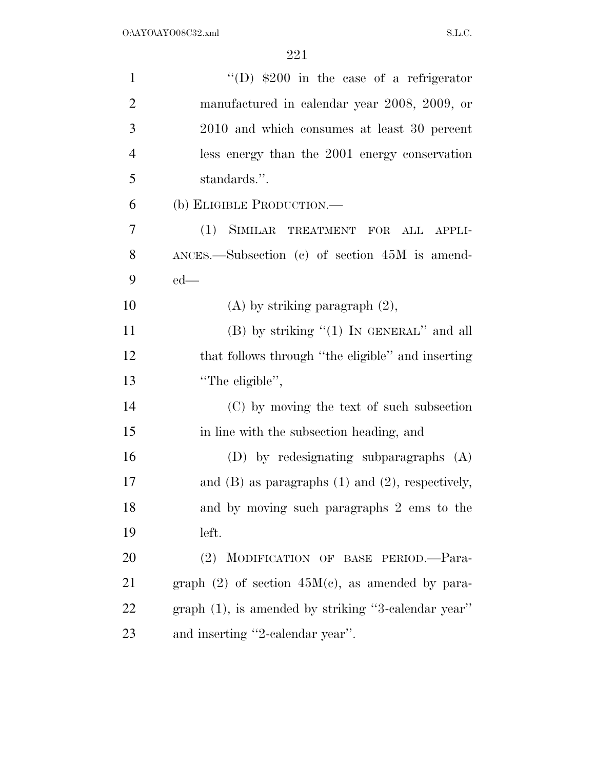| $\mathbf{1}$   | "(D) $$200$ in the case of a refrigerator               |
|----------------|---------------------------------------------------------|
| $\overline{2}$ | manufactured in calendar year 2008, 2009, or            |
| 3              | 2010 and which consumes at least 30 percent             |
| $\overline{4}$ | less energy than the 2001 energy conservation           |
| 5              | standards.".                                            |
| 6              | (b) ELIGIBLE PRODUCTION.—                               |
| 7              | SIMILAR TREATMENT FOR<br>(1)<br>ALL APPLI-              |
| 8              | $\Delta NCES$ . Subsection (c) of section 45M is amend- |
| 9              | $ed$ —                                                  |
| 10             | $(A)$ by striking paragraph $(2)$ ,                     |
| 11             | (B) by striking " $(1)$ In GENERAL" and all             |
| 12             | that follows through "the eligible" and inserting       |
| 13             | "The eligible",                                         |
| 14             | (C) by moving the text of such subsection               |
| 15             | in line with the subsection heading, and                |
| 16             | $(D)$ by redesignating subparagraphs $(A)$              |
| 17             | and $(B)$ as paragraphs $(1)$ and $(2)$ , respectively, |
| 18             | and by moving such paragraphs 2 ems to the              |
| 19             | left.                                                   |
| 20             | (2) MODIFICATION OF BASE PERIOD.-Para-                  |
| 21             | graph $(2)$ of section $45M(c)$ , as amended by para-   |
| 22             | graph (1), is amended by striking "3-calendar year"     |
| 23             | and inserting "2-calendar year".                        |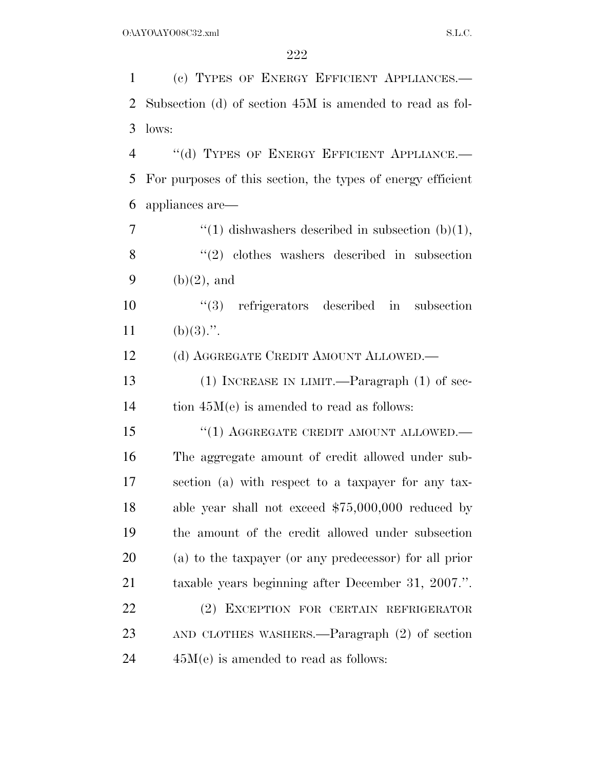(c) TYPES OF ENERGY EFFICIENT APPLIANCES.— Subsection (d) of section 45M is amended to read as fol- lows: 4 "(d) TYPES OF ENERGY EFFICIENT APPLIANCE. For purposes of this section, the types of energy efficient appliances are— ''(1) dishwashers described in subsection (b)(1), 8 "(2) clothes washers described in subsection 9 (b) $(2)$ , and ''(3) refrigerators described in subsection 11 (b)(3).". 12 (d) AGGREGATE CREDIT AMOUNT ALLOWED.— (1) INCREASE IN LIMIT.—Paragraph (1) of sec- tion 45M(e) is amended to read as follows: 15 "(1) AGGREGATE CREDIT AMOUNT ALLOWED.— The aggregate amount of credit allowed under sub- section (a) with respect to a taxpayer for any tax- able year shall not exceed \$75,000,000 reduced by the amount of the credit allowed under subsection (a) to the taxpayer (or any predecessor) for all prior taxable years beginning after December 31, 2007.''. (2) EXCEPTION FOR CERTAIN REFRIGERATOR AND CLOTHES WASHERS.—Paragraph (2) of section  $24 \qquad \qquad 45M(e)$  is amended to read as follows: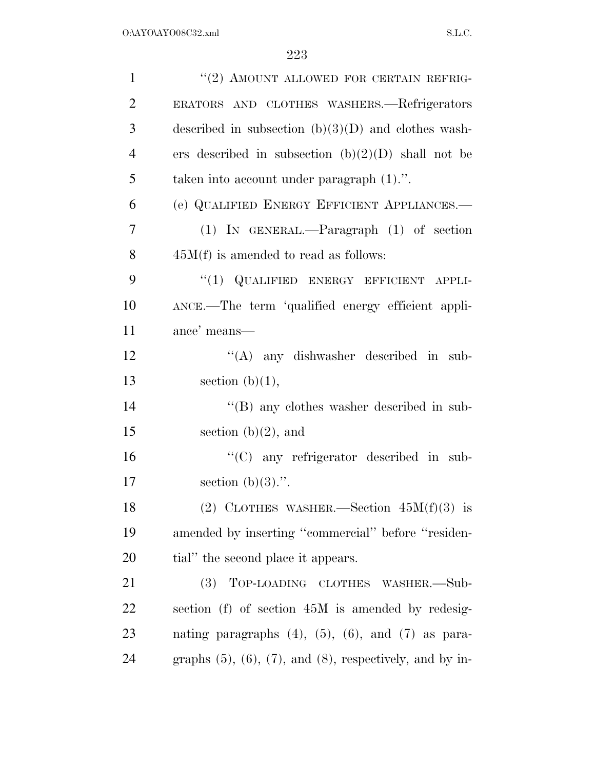| $\mathbf{1}$   | "(2) AMOUNT ALLOWED FOR CERTAIN REFRIG-                             |
|----------------|---------------------------------------------------------------------|
| $\overline{2}$ | ERATORS AND CLOTHES WASHERS.—Refrigerators                          |
| 3              | described in subsection $(b)(3)(D)$ and clothes wash-               |
| $\overline{4}$ | ers described in subsection $(b)(2)(D)$ shall not be                |
| 5              | taken into account under paragraph $(1)$ .".                        |
| 6              | (e) QUALIFIED ENERGY EFFICIENT APPLIANCES.—                         |
| 7              | $(1)$ IN GENERAL.—Paragraph $(1)$ of section                        |
| 8              | $45M(f)$ is amended to read as follows:                             |
| 9              | "(1) QUALIFIED ENERGY EFFICIENT APPLI-                              |
| 10             | ANCE.—The term 'qualified energy efficient appli-                   |
| 11             | ance' means—                                                        |
| 12             | $\lq\lq$ any dishwasher described in sub-                           |
| 13             | section $(b)(1)$ ,                                                  |
| 14             | "(B) any clothes washer described in sub-                           |
| 15             | section $(b)(2)$ , and                                              |
| 16             | "(C) any refrigerator described in sub-                             |
| 17             | section $(b)(3)$ .".                                                |
| 18             | (2) CLOTHES WASHER. Section $45M(f)(3)$ is                          |
| 19             | amended by inserting "commercial" before "residen-                  |
| 20             | tial" the second place it appears.                                  |
| 21             | (3) TOP-LOADING CLOTHES WASHER.-Sub-                                |
| 22             | section (f) of section 45M is amended by redesig-                   |
| 23             | nating paragraphs $(4)$ , $(5)$ , $(6)$ , and $(7)$ as para-        |
| 24             | graphs $(5)$ , $(6)$ , $(7)$ , and $(8)$ , respectively, and by in- |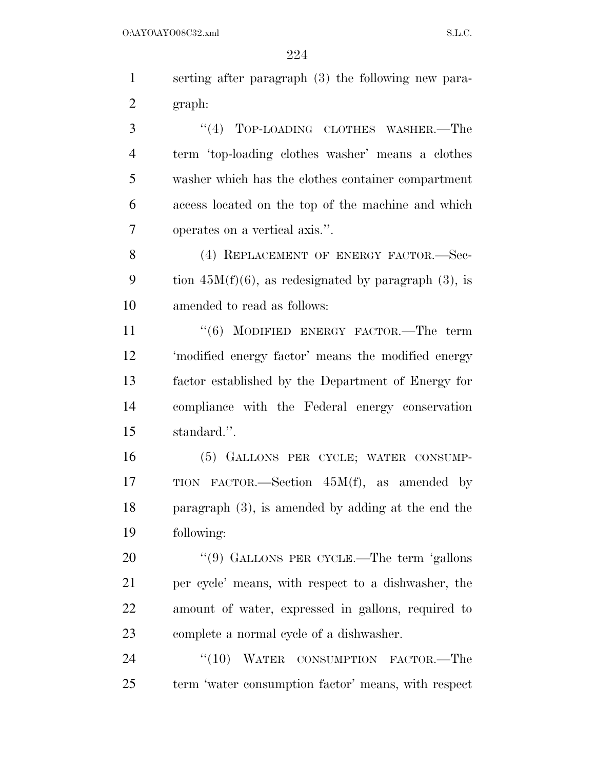serting after paragraph (3) the following new para-graph:

3 "(4) TOP-LOADING CLOTHES WASHER.—The term 'top-loading clothes washer' means a clothes washer which has the clothes container compartment access located on the top of the machine and which operates on a vertical axis.''.

8 (4) REPLACEMENT OF ENERGY FACTOR. Sec-9 tion  $45M(f)(6)$ , as redesignated by paragraph (3), is amended to read as follows:

11 ''(6) MODIFIED ENERGY FACTOR.—The term 'modified energy factor' means the modified energy factor established by the Department of Energy for compliance with the Federal energy conservation standard.''.

 (5) GALLONS PER CYCLE; WATER CONSUMP- TION FACTOR.—Section 45M(f), as amended by paragraph (3), is amended by adding at the end the following:

20 "(9) GALLONS PER CYCLE.—The term 'gallons per cycle' means, with respect to a dishwasher, the amount of water, expressed in gallons, required to complete a normal cycle of a dishwasher.

24 "(10) WATER CONSUMPTION FACTOR.—The term 'water consumption factor' means, with respect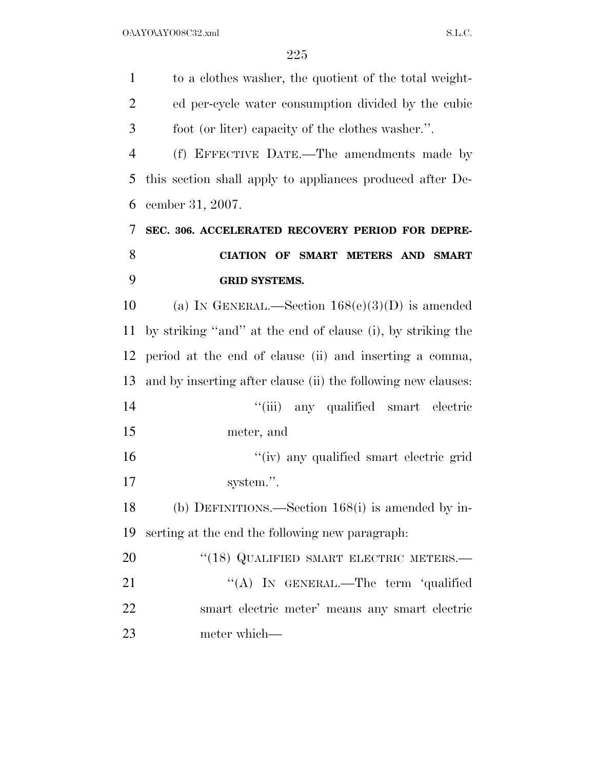| $\mathbf{1}$   | to a clothes washer, the quotient of the total weight-        |
|----------------|---------------------------------------------------------------|
| $\overline{2}$ | ed per-cycle water consumption divided by the cubic           |
| 3              | foot (or liter) capacity of the clothes washer.".             |
| $\overline{4}$ | (f) EFFECTIVE DATE.—The amendments made by                    |
| 5              | this section shall apply to appliances produced after De-     |
| 6              | cember 31, 2007.                                              |
| 7              | SEC. 306. ACCELERATED RECOVERY PERIOD FOR DEPRE-              |
| 8              | CIATION OF SMART METERS AND SMART                             |
| 9              | <b>GRID SYSTEMS.</b>                                          |
| 10             | (a) IN GENERAL.—Section $168(e)(3)(D)$ is amended             |
| 11             | by striking "and" at the end of clause (i), by striking the   |
| 12             | period at the end of clause (ii) and inserting a comma,       |
| 13             | and by inserting after clause (ii) the following new clauses: |
| 14             | ``(iii)<br>any qualified smart electric                       |
| 15             | meter, and                                                    |
| 16             | "(iv) any qualified smart electric grid                       |
| 17             | system.".                                                     |
| 18             | (b) DEFINITIONS.—Section $168(i)$ is amended by in-           |
| 19             | serting at the end the following new paragraph:               |
| 20             | "(18) QUALIFIED SMART ELECTRIC METERS.-                       |
| 21             | "(A) IN GENERAL.—The term 'qualified                          |
| 22             | smart electric meter' means any smart electric                |
| 23             | meter which—                                                  |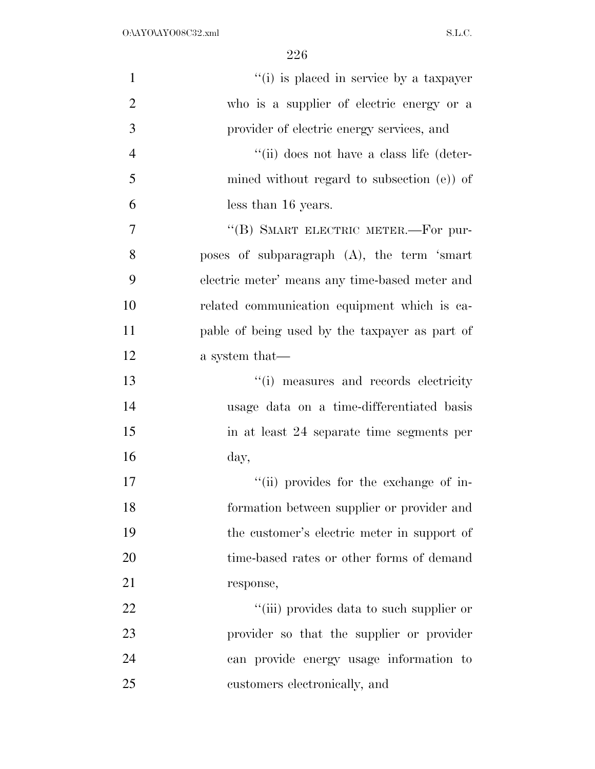| $\mathbf{1}$   | "(i) is placed in service by a taxpayer        |
|----------------|------------------------------------------------|
| $\overline{2}$ | who is a supplier of electric energy or a      |
| 3              | provider of electric energy services, and      |
| $\overline{4}$ | "(ii) does not have a class life (deter-       |
| 5              | mined without regard to subsection $(e)$ of    |
| 6              | less than 16 years.                            |
| 7              | "(B) SMART ELECTRIC METER.—For pur-            |
| 8              | poses of subparagraph (A), the term 'smart     |
| 9              | electric meter' means any time-based meter and |
| 10             | related communication equipment which is ca-   |
| 11             | pable of being used by the taxpayer as part of |
| 12             | a system that—                                 |
| 13             | "(i) measures and records electricity          |
| 14             | usage data on a time-differentiated basis      |
| 15             | in at least 24 separate time segments per      |
| 16             | day,                                           |
| 17             | "(ii) provides for the exchange of in-         |
| 18             | formation between supplier or provider and     |
| 19             | the customer's electric meter in support of    |
| 20             | time-based rates or other forms of demand      |
| 21             | response,                                      |
| 22             | "(iii) provides data to such supplier or       |
| 23             | provider so that the supplier or provider      |
| 24             | can provide energy usage information to        |
| 25             | customers electronically, and                  |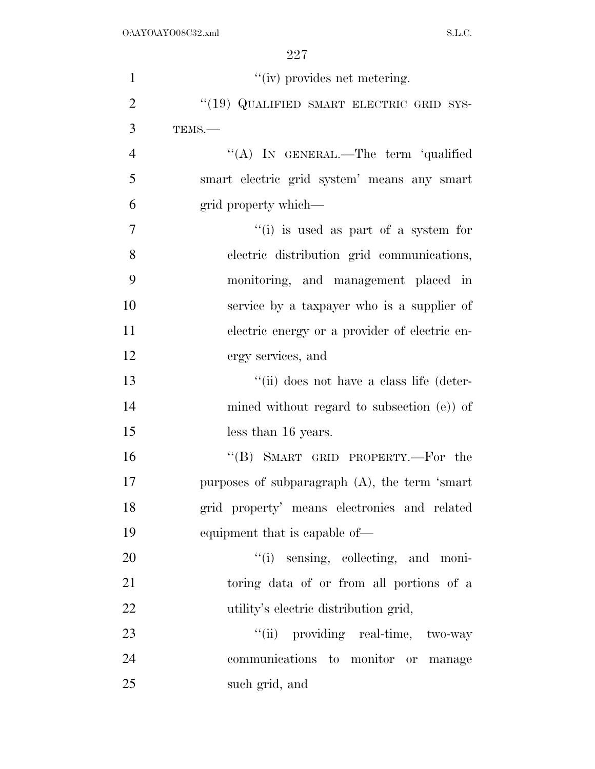| $\mathbf{1}$   | "(iv) provides net metering.                      |
|----------------|---------------------------------------------------|
| $\overline{2}$ | "(19) QUALIFIED SMART ELECTRIC GRID SYS-          |
| 3              | TEMS.-                                            |
| $\overline{4}$ | "(A) IN GENERAL.—The term 'qualified              |
| 5              | smart electric grid system' means any smart       |
| 6              | grid property which—                              |
| $\overline{7}$ | "(i) is used as part of a system for              |
| 8              | electric distribution grid communications,        |
| 9              | monitoring, and management placed in              |
| 10             | service by a taxpayer who is a supplier of        |
| 11             | electric energy or a provider of electric en-     |
| 12             | ergy services, and                                |
| 13             | "(ii) does not have a class life (deter-          |
| 14             | mined without regard to subsection $(e)$ of       |
| 15             | less than 16 years.                               |
| 16             | "(B) SMART GRID PROPERTY.—For the                 |
| 17             | purposes of subparagraph $(A)$ , the term 'smart' |
| 18             | grid property' means electronics and related      |
| 19             | equipment that is capable of—                     |
| 20             | "(i) sensing, collecting, and moni-               |
| 21             | toring data of or from all portions of a          |
| 22             | utility's electric distribution grid,             |
| 23             | "(ii) providing real-time, two-way                |
| 24             | communications to monitor or manage               |
| 25             | such grid, and                                    |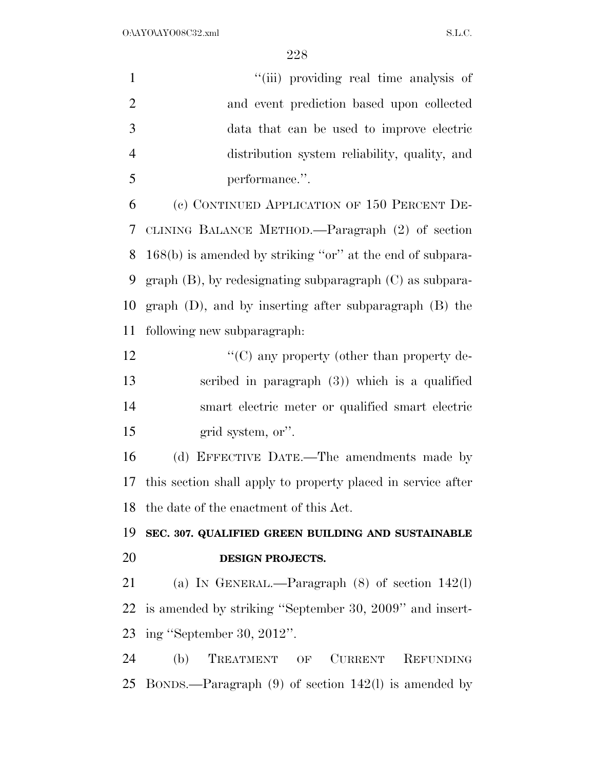| $\mathbf{1}$   | "(iii) providing real time analysis of                        |
|----------------|---------------------------------------------------------------|
| $\overline{2}$ | and event prediction based upon collected                     |
| 3              | data that can be used to improve electric                     |
| $\overline{4}$ | distribution system reliability, quality, and                 |
| 5              | performance.".                                                |
| 6              | (c) CONTINUED APPLICATION OF 150 PERCENT DE-                  |
| 7              | CLINING BALANCE METHOD.—Paragraph (2) of section              |
| 8              | $168(b)$ is amended by striking "or" at the end of subpara-   |
| 9              | graph $(B)$ , by redesignating subparagraph $(C)$ as subpara- |
| 10             | graph $(D)$ , and by inserting after subparagraph $(B)$ the   |
| 11             | following new subparagraph:                                   |
| 12             | "(C) any property (other than property de-                    |
| 13             | scribed in paragraph $(3)$ ) which is a qualified             |
| 14             | smart electric meter or qualified smart electric              |
| 15             | grid system, or".                                             |
| 16             | (d) EFFECTIVE DATE.—The amendments made by                    |
| 17             | this section shall apply to property placed in service after  |
|                | 18 the date of the enactment of this Act.                     |
| 19             | SEC. 307. QUALIFIED GREEN BUILDING AND SUSTAINABLE            |
| 20             | DESIGN PROJECTS.                                              |
| 21             | (a) IN GENERAL.—Paragraph $(8)$ of section 142(1)             |
| 22             | is amended by striking "September 30, 2009" and insert-       |
|                | 23 ing "September 30, 2012".                                  |
| 24             | (b) TREATMENT OF CURRENT REFUNDING                            |
|                | 25 BONDS.—Paragraph $(9)$ of section 142(1) is amended by     |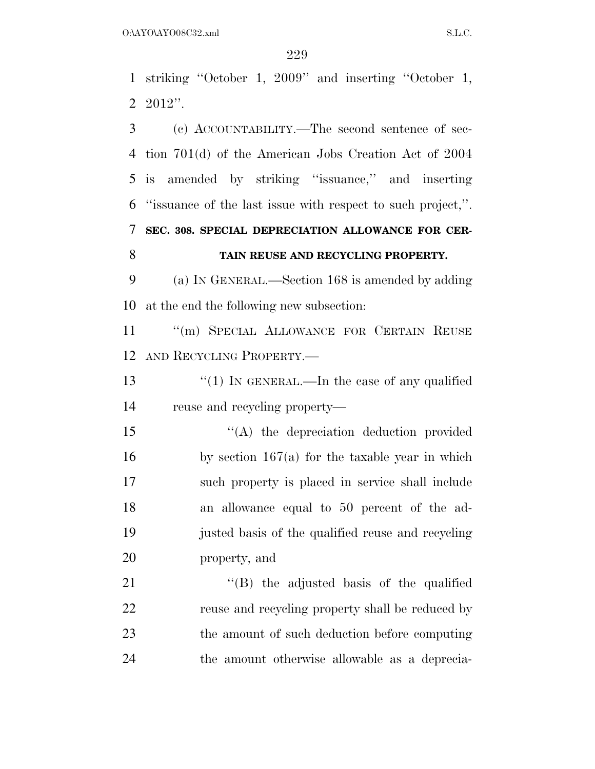striking ''October 1, 2009'' and inserting ''October 1, 2012''.

 (c) ACCOUNTABILITY.—The second sentence of sec- tion 701(d) of the American Jobs Creation Act of 2004 is amended by striking ''issuance,'' and inserting ''issuance of the last issue with respect to such project,''. **SEC. 308. SPECIAL DEPRECIATION ALLOWANCE FOR CER-TAIN REUSE AND RECYCLING PROPERTY.** 

 (a) IN GENERAL.—Section 168 is amended by adding at the end the following new subsection:

11 "(m) SPECIAL ALLOWANCE FOR CERTAIN REUSE AND RECYCLING PROPERTY.—

13 "(1) IN GENERAL.—In the case of any qualified reuse and recycling property—

15 "(A) the depreciation deduction provided by section 167(a) for the taxable year in which such property is placed in service shall include an allowance equal to 50 percent of the ad- justed basis of the qualified reuse and recycling property, and

21 ''(B) the adjusted basis of the qualified reuse and recycling property shall be reduced by the amount of such deduction before computing the amount otherwise allowable as a deprecia-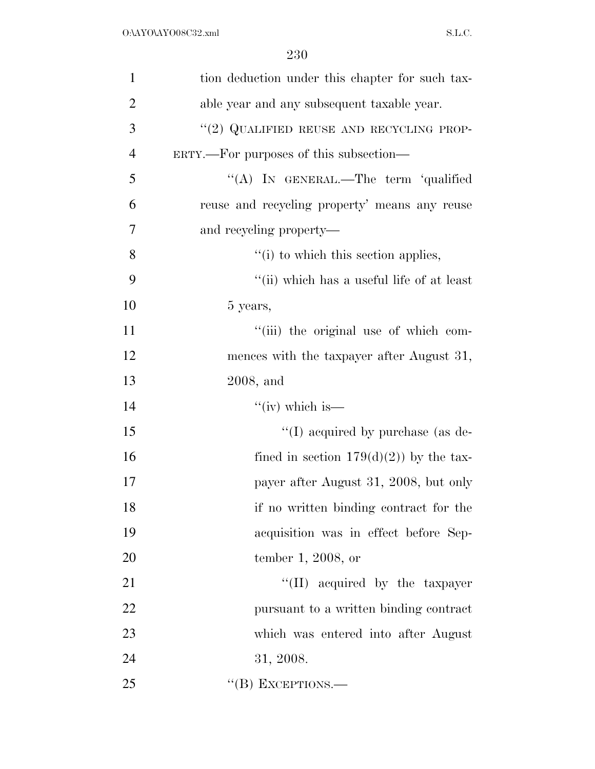| $\mathbf{1}$   | tion deduction under this chapter for such tax- |
|----------------|-------------------------------------------------|
| $\overline{2}$ | able year and any subsequent taxable year.      |
| 3              | "(2) QUALIFIED REUSE AND RECYCLING PROP-        |
| $\overline{4}$ | ERTY.—For purposes of this subsection—          |
| 5              | "(A) IN GENERAL.—The term 'qualified            |
| 6              | reuse and recycling property' means any reuse   |
| 7              | and recycling property—                         |
| 8              | "(i) to which this section applies,             |
| 9              | "(ii) which has a useful life of at least       |
| 10             | 5 years,                                        |
| 11             | "(iii) the original use of which com-           |
| 12             | mences with the taxpayer after August 31,       |
| 13             | $2008$ , and                                    |
| 14             | " $(iv)$ which is—                              |
| 15             | "(I) acquired by purchase (as de-               |
| 16             | fined in section $179(d)(2)$ by the tax-        |
| 17             | payer after August 31, 2008, but only           |
| 18             | if no written binding contract for the          |
| 19             | acquisition was in effect before Sep-           |
| 20             | tember 1, 2008, or                              |
| 21             | "(II) acquired by the taxpayer                  |
| 22             | pursuant to a written binding contract          |
| 23             | which was entered into after August             |
| 24             | 31, 2008.                                       |
| 25             | "(B) EXCEPTIONS.—                               |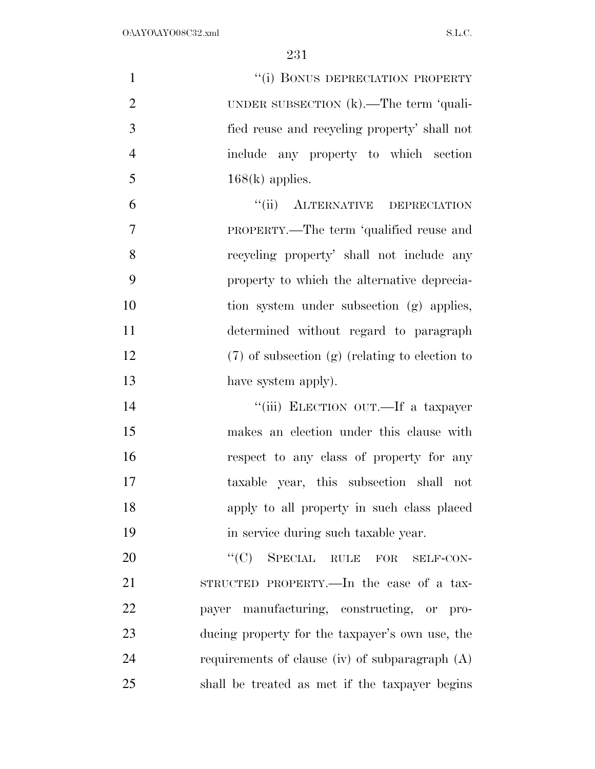| $\mathbf{1}$   | "(i) BONUS DEPRECIATION PROPERTY                   |
|----------------|----------------------------------------------------|
| $\overline{2}$ | UNDER SUBSECTION $(k)$ . The term 'quali-          |
| 3              | fied reuse and recycling property' shall not       |
| $\overline{4}$ | include any property to which section              |
| 5              | $168(k)$ applies.                                  |
| 6              | "(ii) ALTERNATIVE DEPRECIATION                     |
| 7              | PROPERTY.—The term 'qualified reuse and            |
| 8              | recycling property' shall not include any          |
| 9              | property to which the alternative deprecia-        |
| 10             | tion system under subsection (g) applies,          |
| 11             | determined without regard to paragraph             |
| 12             | $(7)$ of subsection $(g)$ (relating to election to |
| 13             | have system apply).                                |
| 14             | "(iii) ELECTION OUT.—If a taxpayer                 |
| 15             | makes an election under this clause with           |
| 16             | respect to any class of property for any           |
| 17             | taxable year, this subsection shall not            |
| 18             | apply to all property in such class placed         |
| 19             | in service during such taxable year.               |
| 20             | ``(C)<br>SPECIAL RULE FOR<br>SELF-CON-             |
| 21             | STRUCTED PROPERTY.—In the case of a tax-           |
| 22             | payer manufacturing, constructing, or pro-         |
| 23             | ducing property for the taxpayer's own use, the    |
| 24             | requirements of clause (iv) of subparagraph $(A)$  |
| 25             | shall be treated as met if the taxpayer begins     |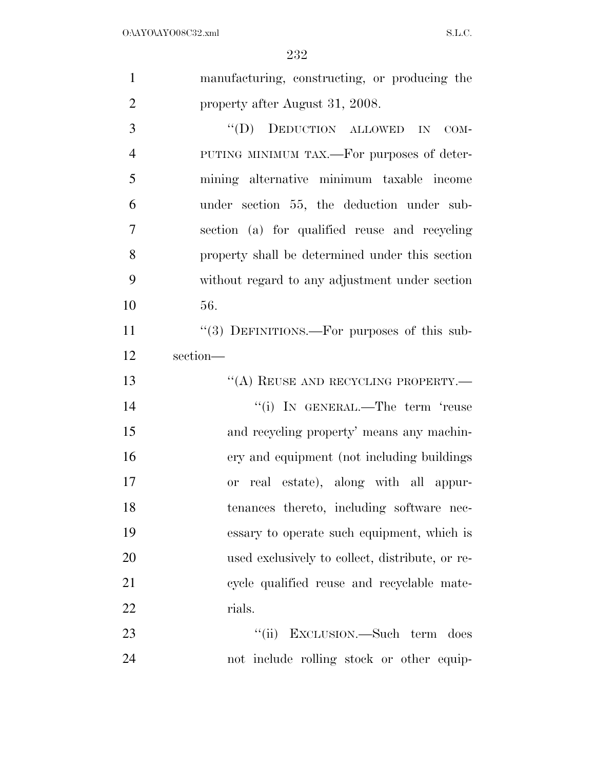| $\mathbf{1}$   | manufacturing, constructing, or producing the           |
|----------------|---------------------------------------------------------|
| $\overline{2}$ | property after August 31, 2008.                         |
| 3              | "(D) DEDUCTION ALLOWED IN<br>$COM-$                     |
| $\overline{4}$ | PUTING MINIMUM TAX.—For purposes of deter-              |
| 5              | mining alternative minimum taxable income               |
| 6              | under section 55, the deduction under sub-              |
| 7              | section (a) for qualified reuse and recycling           |
| 8              | property shall be determined under this section         |
| 9              | without regard to any adjustment under section          |
| 10             | 56.                                                     |
| 11             | $\cdot\cdot$ (3) DEFINITIONS.—For purposes of this sub- |
| 12             | section-                                                |
| 13             | "(A) REUSE AND RECYCLING PROPERTY.                      |
| 14             | "(i) IN GENERAL.—The term 'reuse                        |
| 15             | and recycling property' means any machin-               |
| 16             | ery and equipment (not including buildings)             |
| $17\,$         | or real estate), along with all appur-                  |
| 18             | tenances thereto, including software nec-               |
| 19             | essary to operate such equipment, which is              |
| 20             | used exclusively to collect, distribute, or re-         |
| 21             | cycle qualified reuse and recyclable mate-              |
| 22             | rials.                                                  |
| 23             | ``(ii)<br>EXCLUSION.—Such term<br>does                  |
| 24             |                                                         |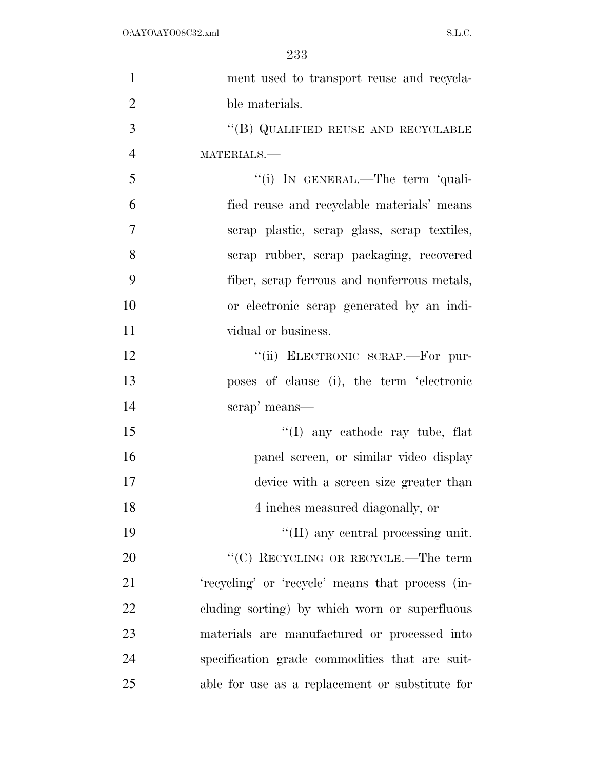| $\mathbf{1}$   | ment used to transport reuse and recycla-        |
|----------------|--------------------------------------------------|
| $\overline{2}$ | ble materials.                                   |
| 3              | "(B) QUALIFIED REUSE AND RECYCLABLE              |
| $\overline{4}$ | MATERIALS.-                                      |
| 5              | "(i) IN GENERAL.—The term 'quali-                |
| 6              | fied reuse and recyclable materials' means       |
| $\overline{7}$ | scrap plastic, scrap glass, scrap textiles,      |
| 8              | scrap rubber, scrap packaging, recovered         |
| 9              | fiber, scrap ferrous and nonferrous metals,      |
| 10             | or electronic scrap generated by an indi-        |
| 11             | vidual or business.                              |
| 12             | "(ii) ELECTRONIC SCRAP.—For pur-                 |
| 13             | poses of clause (i), the term 'electronic        |
| 14             | scrap' means—                                    |
| 15             | $\lq(1)$ any cathode ray tube, flat              |
| 16             | panel screen, or similar video display           |
| 17             | device with a screen size greater than           |
| 18             | 4 inches measured diagonally, or                 |
| 19             | "(II) any central processing unit.               |
| 20             | "(C) RECYCLING OR RECYCLE.—The term              |
| 21             | 'recycling' or 'recycle' means that process (in- |
| 22             | cluding sorting) by which worn or superfluous    |
| 23             | materials are manufactured or processed into     |
| 24             | specification grade commodities that are suit-   |
| 25             | able for use as a replacement or substitute for  |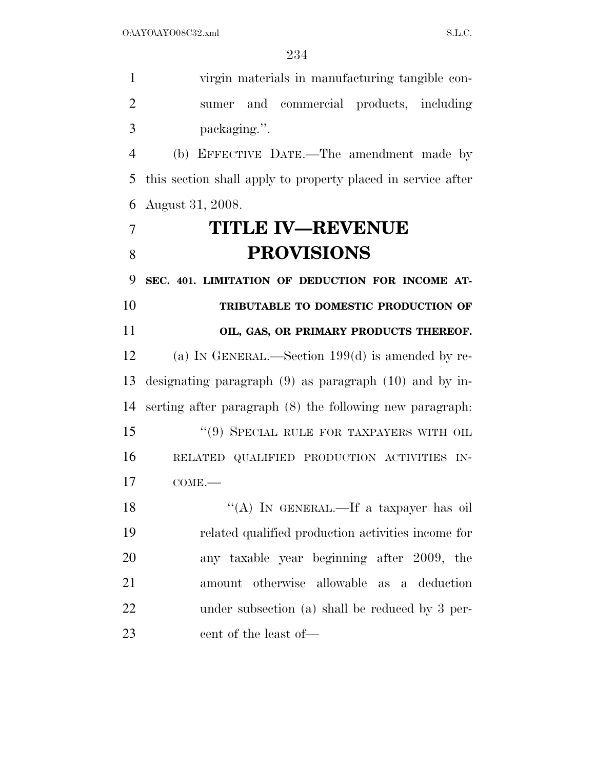virgin materials in manufacturing tangible con- sumer and commercial products, including packaging.''. (b) EFFECTIVE DATE.—The amendment made by this section shall apply to property placed in service after August 31, 2008. **TITLE IV—REVENUE PROVISIONS SEC. 401. LIMITATION OF DEDUCTION FOR INCOME AT- TRIBUTABLE TO DOMESTIC PRODUCTION OF OIL, GAS, OR PRIMARY PRODUCTS THEREOF.**  (a) IN GENERAL.—Section 199(d) is amended by re- designating paragraph (9) as paragraph (10) and by in- serting after paragraph (8) the following new paragraph: 15 "(9) SPECIAL RULE FOR TAXPAYERS WITH OIL RELATED QUALIFIED PRODUCTION ACTIVITIES IN- COME.— 18 "(A) IN GENERAL.—If a taxpayer has oil related qualified production activities income for any taxable year beginning after 2009, the amount otherwise allowable as a deduction under subsection (a) shall be reduced by 3 per-cent of the least of—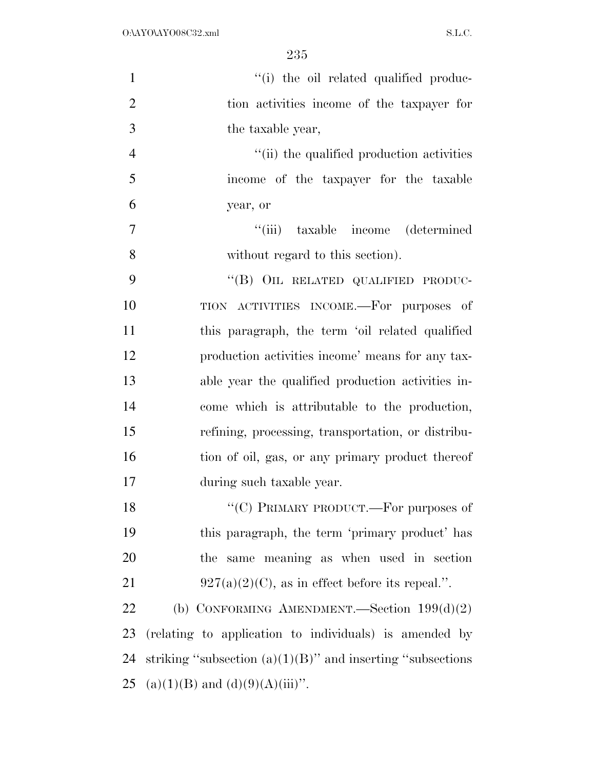| $\mathbf{1}$   | "(i) the oil related qualified produc-                         |
|----------------|----------------------------------------------------------------|
| $\overline{2}$ | tion activities income of the taxpayer for                     |
| 3              | the taxable year,                                              |
| $\overline{4}$ | "(ii) the qualified production activities                      |
| 5              | income of the taxpayer for the taxable                         |
| 6              | year, or                                                       |
| 7              | "(iii) taxable income (determined)                             |
| 8              | without regard to this section).                               |
| 9              | "(B) OIL RELATED QUALIFIED PRODUC-                             |
| 10             | TION ACTIVITIES INCOME.-For purposes of                        |
| 11             | this paragraph, the term 'oil related qualified                |
| 12             | production activities income' means for any tax-               |
| 13             | able year the qualified production activities in-              |
| 14             | come which is attributable to the production,                  |
| 15             | refining, processing, transportation, or distribu-             |
| 16             | tion of oil, gas, or any primary product thereof               |
| 17             | during such taxable year.                                      |
| 18             | "(C) PRIMARY PRODUCT.—For purposes of                          |
| 19             | this paragraph, the term 'primary product' has                 |
| 20             | the same meaning as when used in section                       |
| 21             | $927(a)(2)(C)$ , as in effect before its repeal.".             |
| 22             | (b) CONFORMING AMENDMENT.—Section $199(d)(2)$                  |
| 23             | (relating to application to individuals) is amended by         |
| 24             | striking "subsection $(a)(1)(B)$ " and inserting "subsections" |
| 25             | $(a)(1)(B)$ and $(d)(9)(A)(iii)$ ".                            |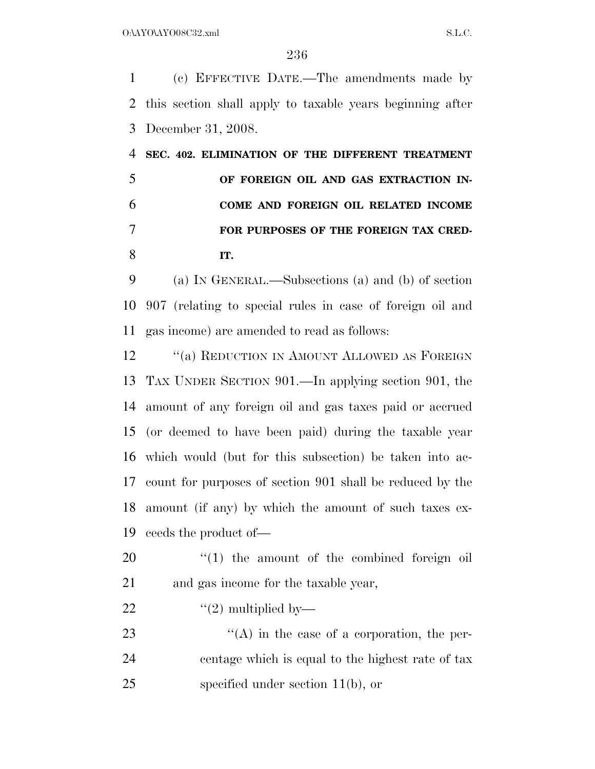(c) EFFECTIVE DATE.—The amendments made by this section shall apply to taxable years beginning after December 31, 2008.

 **SEC. 402. ELIMINATION OF THE DIFFERENT TREATMENT OF FOREIGN OIL AND GAS EXTRACTION IN- COME AND FOREIGN OIL RELATED INCOME FOR PURPOSES OF THE FOREIGN TAX CRED-IT.** 

 (a) IN GENERAL.—Subsections (a) and (b) of section 907 (relating to special rules in case of foreign oil and gas income) are amended to read as follows:

12 "(a) REDUCTION IN AMOUNT ALLOWED AS FOREIGN TAX UNDER SECTION 901.—In applying section 901, the amount of any foreign oil and gas taxes paid or accrued (or deemed to have been paid) during the taxable year which would (but for this subsection) be taken into ac- count for purposes of section 901 shall be reduced by the amount (if any) by which the amount of such taxes ex-ceeds the product of—

20  $\frac{1}{20}$  the amount of the combined foreign oil and gas income for the taxable year,

22  $\frac{((2) \text{ multiplied by}}{)}$ 

23  $\langle (A)$  in the case of a corporation, the per- centage which is equal to the highest rate of tax specified under section 11(b), or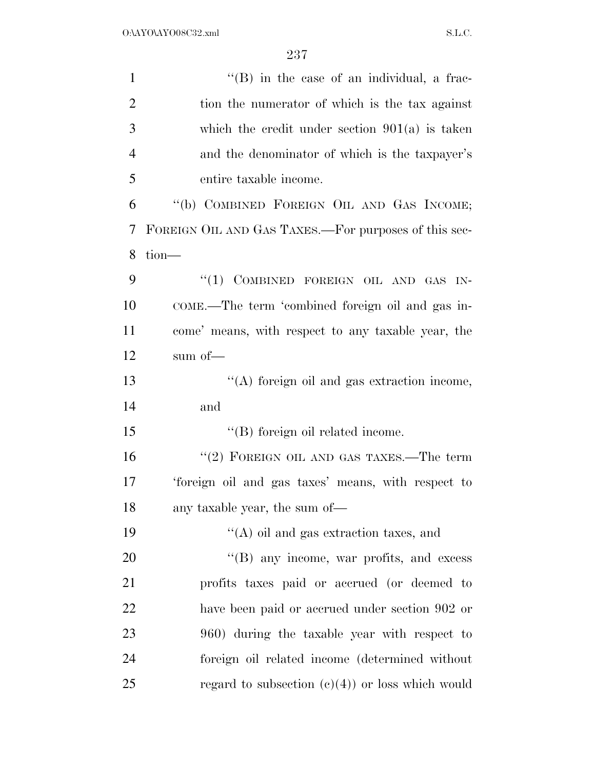| $\mathbf{1}$   | $\lq\lq$ (B) in the case of an individual, a frac-   |
|----------------|------------------------------------------------------|
| $\overline{2}$ | tion the numerator of which is the tax against       |
| 3              | which the credit under section $901(a)$ is taken     |
| $\overline{4}$ | and the denominator of which is the taxpayer's       |
| 5              | entire taxable income.                               |
| 6              | "(b) COMBINED FOREIGN OIL AND GAS INCOME;            |
| 7              | FOREIGN OIL AND GAS TAXES.—For purposes of this sec- |
| 8              | $tion$ —                                             |
| 9              | "(1) COMBINED FOREIGN OIL AND GAS IN-                |
| 10             | COME.—The term 'combined foreign oil and gas in-     |
| 11             | come' means, with respect to any taxable year, the   |
| 12             | sum of $-$                                           |
| 13             | "(A) foreign oil and gas extraction income,          |
| 14             | and                                                  |
| 15             | "(B) foreign oil related income.                     |
| 16             | "(2) FOREIGN OIL AND GAS TAXES.—The term             |
| 17             | 'foreign oil and gas taxes' means, with respect to   |
| 18             | any taxable year, the sum of—                        |
| 19             | $\lq\lq$ oil and gas extraction taxes, and           |
| 20             | "(B) any income, war profits, and excess             |
| 21             | profits taxes paid or accrued (or deemed to          |
| 22             | have been paid or accrued under section 902 or       |
| 23             | 960) during the taxable year with respect to         |
| 24             | foreign oil related income (determined without       |
| 25             | regard to subsection $(c)(4)$ or loss which would    |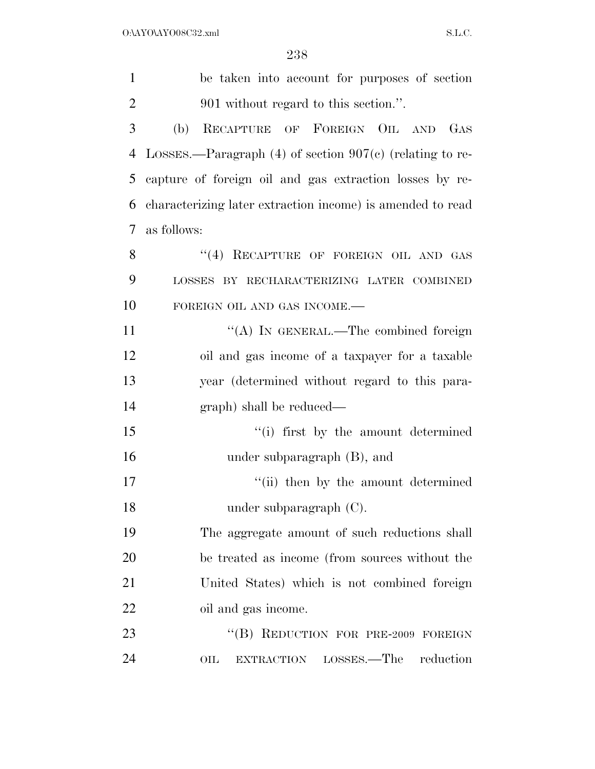| $\mathbf{1}$   | be taken into account for purposes of section                           |
|----------------|-------------------------------------------------------------------------|
| $\overline{2}$ | 901 without regard to this section.".                                   |
| 3              | RECAPTURE OF FOREIGN OIL AND GAS<br>(b)                                 |
| 4              | LOSSES.—Paragraph $(4)$ of section $907(c)$ (relating to re-            |
| 5              | capture of foreign oil and gas extraction losses by re-                 |
| 6              | characterizing later extraction income) is amended to read              |
| 7              | as follows:                                                             |
| 8              | "(4) RECAPTURE OF FOREIGN OIL AND GAS                                   |
| 9              | LOSSES BY RECHARACTERIZING LATER COMBINED                               |
| 10             | FOREIGN OIL AND GAS INCOME.-                                            |
| 11             | "(A) IN GENERAL.—The combined foreign                                   |
| 12             | oil and gas income of a taxpayer for a taxable                          |
| 13             | year (determined without regard to this para-                           |
| 14             | graph) shall be reduced—                                                |
| 15             | "(i) first by the amount determined                                     |
| 16             | under subparagraph (B), and                                             |
| 17             | "(ii) then by the amount determined                                     |
| 18             | under subparagraph $(C)$ .                                              |
| 19             | The aggregate amount of such reductions shall                           |
| 20             | be treated as income (from sources without the                          |
| 21             | United States) which is not combined foreign                            |
| <u>22</u>      | oil and gas income.                                                     |
| 23             | "(B) REDUCTION FOR PRE-2009 FOREIGN                                     |
| 24             | $_{\rm LOSSES.}-$ The<br>reduction<br>$_{\rm OIL}$<br><b>EXTRACTION</b> |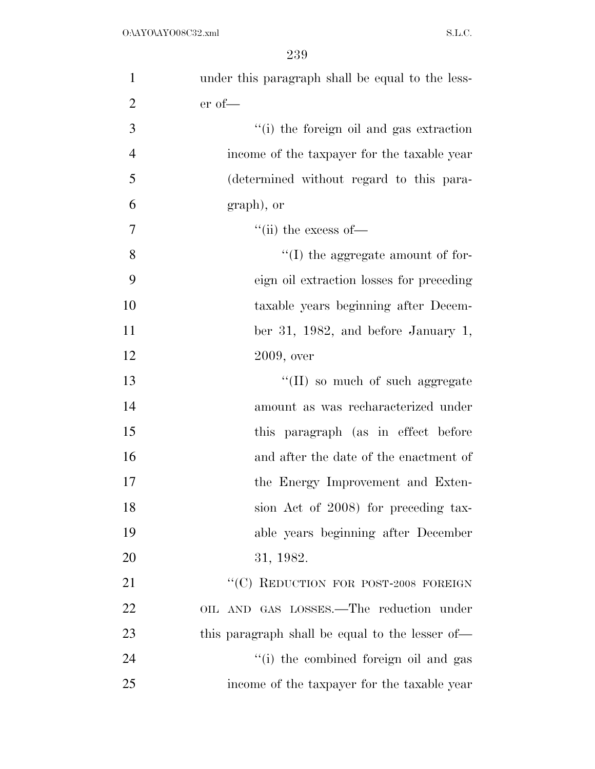| $\mathbf{1}$   | under this paragraph shall be equal to the less- |
|----------------|--------------------------------------------------|
| $\overline{2}$ | $er of$ —                                        |
| 3              | "(i) the foreign oil and gas extraction          |
| $\overline{4}$ | income of the taxpayer for the taxable year      |
| 5              | (determined without regard to this para-         |
| 6              | graph), or                                       |
| 7              | $\lq\lq$ (ii) the excess of —                    |
| 8              | $\lq\lq$ (I) the aggregate amount of for-        |
| 9              | eign oil extraction losses for preceding         |
| 10             | taxable years beginning after Decem-             |
| 11             | ber 31, 1982, and before January 1,              |
| 12             | $2009$ , over                                    |
| 13             | $\lq\lq$ (II) so much of such aggregate          |
| 14             | amount as was recharacterized under              |
| 15             | this paragraph (as in effect before              |
| 16             | and after the date of the enactment of           |
| 17             | the Energy Improvement and Exten-                |
| 18             | sion Act of 2008) for preceding tax-             |
| 19             | able years beginning after December              |
| 20             | 31, 1982.                                        |
| 21             | "(C) REDUCTION FOR POST-2008 FOREIGN             |
| 22             | OIL AND GAS LOSSES.—The reduction under          |
| 23             | this paragraph shall be equal to the lesser of—  |
| 24             | "(i) the combined foreign oil and gas            |
| 25             | income of the taxpayer for the taxable year      |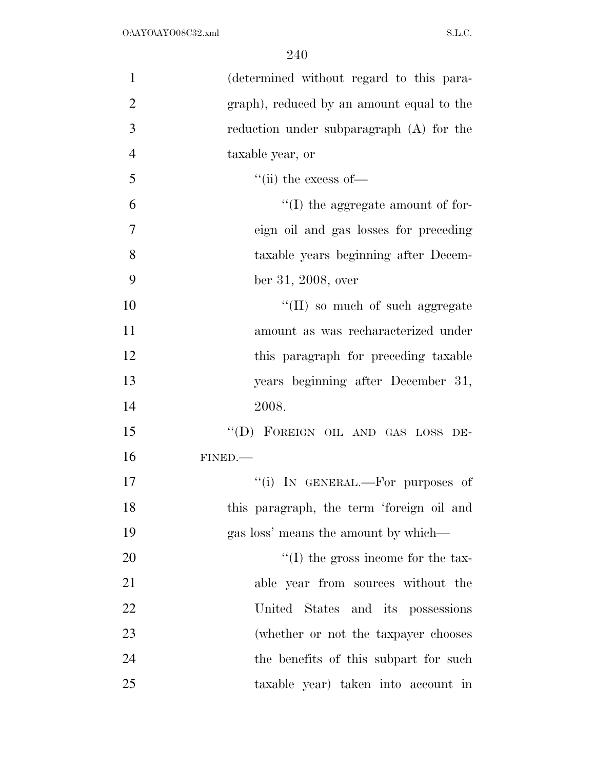| $\mathbf{1}$   | (determined without regard to this para-   |
|----------------|--------------------------------------------|
| $\overline{2}$ | graph), reduced by an amount equal to the  |
| 3              | reduction under subparagraph (A) for the   |
| $\overline{4}$ | taxable year, or                           |
| 5              | $\lq\lq$ (ii) the excess of —              |
| 6              | $\lq\lq$ (I) the aggregate amount of for-  |
| $\overline{7}$ | eign oil and gas losses for preceding      |
| 8              | taxable years beginning after Decem-       |
| 9              | ber 31, 2008, over                         |
| 10             | "(II) so much of such aggregate            |
| 11             | amount as was recharacterized under        |
| 12             | this paragraph for preceding taxable       |
| 13             | years beginning after December 31,         |
| 14             | 2008.                                      |
| 15             | "(D) FOREIGN OIL AND GAS LOSS DE-          |
| 16             | FINED.                                     |
| 17             | "(i) IN GENERAL.—For purposes of           |
| 18             | this paragraph, the term 'foreign oil and  |
| 19             | gas loss' means the amount by which—       |
| 20             | $\lq\lq$ (I) the gross income for the tax- |
| 21             | able year from sources without the         |
| 22             | United States and its possessions          |
| 23             | (whether or not the taxpayer chooses       |
| 24             | the benefits of this subpart for such      |
| 25             | taxable year) taken into account in        |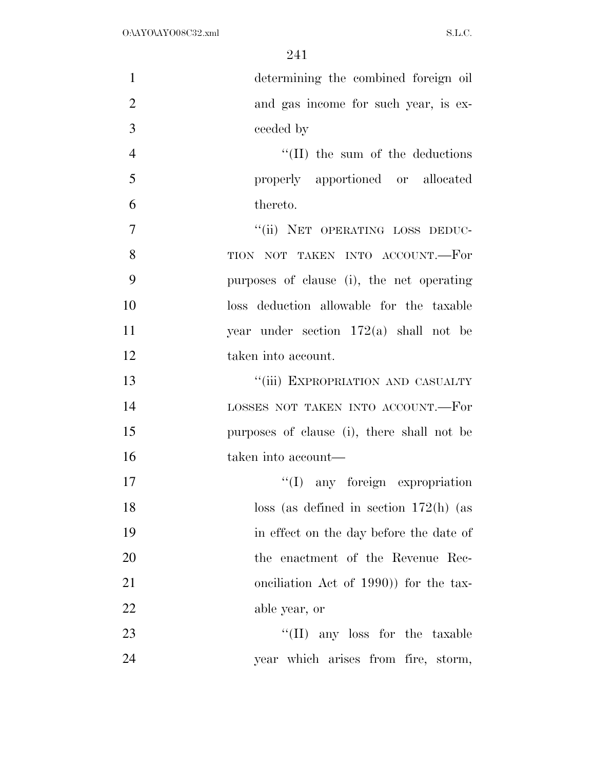| $\mathbf{1}$   | determining the combined foreign oil       |
|----------------|--------------------------------------------|
| $\overline{2}$ | and gas income for such year, is ex-       |
| 3              | ceeded by                                  |
| $\overline{4}$ | $\lq$ (II) the sum of the deductions       |
| 5              | properly apportioned or allocated          |
| 6              | thereto.                                   |
| $\overline{7}$ | "(ii) NET OPERATING LOSS DEDUC-            |
| 8              | TION NOT TAKEN INTO ACCOUNT.-For           |
| 9              | purposes of clause (i), the net operating  |
| 10             | loss deduction allowable for the taxable   |
| 11             | year under section $172(a)$ shall not be   |
| 12             | taken into account.                        |
| 13             | "(iii) EXPROPRIATION AND CASUALTY          |
| 14             | LOSSES NOT TAKEN INTO ACCOUNT.-For         |
| 15             | purposes of clause (i), there shall not be |
| 16             | taken into account—                        |
| 17             | "(I) any foreign expropriation             |
| 18             | $\cos$ (as defined in section 172(h) (as   |
| 19             | in effect on the day before the date of    |
| 20             | the enactment of the Revenue Rec-          |
| 21             | onciliation Act of 1990) for the tax-      |
| 22             | able year, or                              |
| 23             | "(II) any loss for the taxable             |
| 24             | year which arises from fire, storm,        |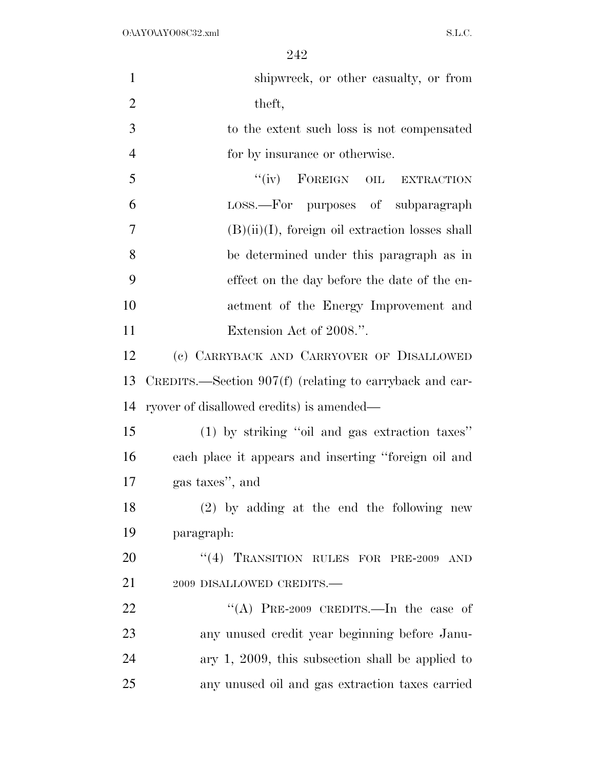| $\mathbf{1}$   | shipwreck, or other casualty, or from                   |
|----------------|---------------------------------------------------------|
|                |                                                         |
| $\overline{2}$ | theft,                                                  |
| 3              | to the extent such loss is not compensated              |
| $\overline{4}$ | for by insurance or otherwise.                          |
| 5              | "(iv) FOREIGN OIL EXTRACTION                            |
| 6              | LOSS.—For purposes of subparagraph                      |
| 7              | $(B)(ii)(I)$ , foreign oil extraction losses shall      |
| 8              | be determined under this paragraph as in                |
| 9              | effect on the day before the date of the en-            |
| 10             | actment of the Energy Improvement and                   |
| 11             | Extension Act of 2008.".                                |
| 12             | (c) CARRYBACK AND CARRYOVER OF DISALLOWED               |
| 13             | CREDITS.—Section 907(f) (relating to carryback and car- |
| 14             | ryover of disallowed credits) is amended—               |
| 15             | (1) by striking "oil and gas extraction taxes"          |
| 16             | each place it appears and inserting "foreign oil and    |
| 17             | gas taxes", and                                         |
| 18             | $(2)$ by adding at the end the following new            |
| 19             | paragraph:                                              |
| 20             | "(4) TRANSITION RULES FOR PRE-2009 AND                  |
| 21             | 2009 DISALLOWED CREDITS.-                               |
| 22             | "(A) PRE-2009 CREDITS.—In the case of                   |
| 23             | any unused credit year beginning before Janu-           |
| 24             | ary $1, 2009$ , this subsection shall be applied to     |
| 25             | any unused oil and gas extraction taxes carried         |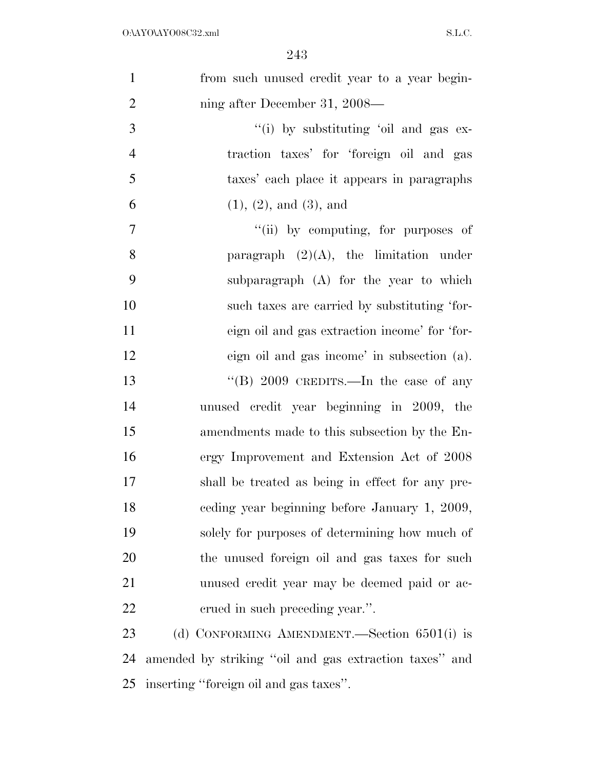| $\mathbf{1}$   | from such unused credit year to a year begin-          |
|----------------|--------------------------------------------------------|
| $\overline{2}$ | ning after December 31, 2008—                          |
| 3              | "(i) by substituting 'oil and gas ex-                  |
| $\overline{4}$ | traction taxes' for 'foreign oil and gas               |
| 5              | taxes' each place it appears in paragraphs             |
| 6              | (1), (2), and (3), and                                 |
| $\overline{7}$ | "(ii) by computing, for purposes of                    |
| 8              | paragraph $(2)(A)$ , the limitation under              |
| 9              | subparagraph (A) for the year to which                 |
| 10             | such taxes are carried by substituting 'for-           |
| 11             | eign oil and gas extraction income' for 'for-          |
| 12             | eign oil and gas income' in subsection (a).            |
| 13             | "(B) $2009$ CREDITS.—In the case of any                |
| 14             | unused credit year beginning in 2009, the              |
| 15             | amendments made to this subsection by the En-          |
| 16             | ergy Improvement and Extension Act of 2008             |
| 17             | shall be treated as being in effect for any pre-       |
| 18             | ceding year beginning before January 1, 2009,          |
| 19             | solely for purposes of determining how much of         |
| 20             | the unused foreign oil and gas taxes for such          |
| 21             | unused credit year may be deemed paid or ac-           |
| 22             | erued in such preceding year.".                        |
| 23             | (d) CONFORMING AMENDMENT.—Section $6501(i)$ is         |
| 24             | amended by striking "oil and gas extraction taxes" and |

inserting ''foreign oil and gas taxes''.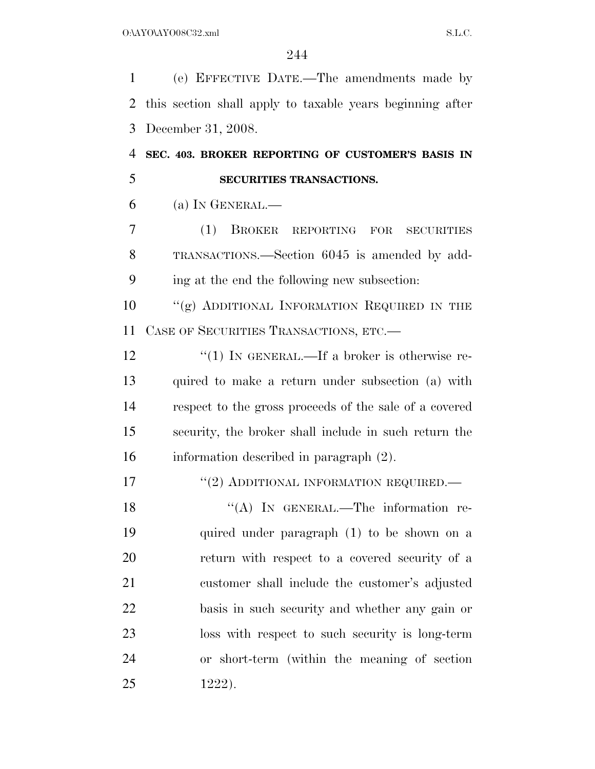(e) EFFECTIVE DATE.—The amendments made by this section shall apply to taxable years beginning after December 31, 2008.

 **SEC. 403. BROKER REPORTING OF CUSTOMER'S BASIS IN SECURITIES TRANSACTIONS.** 

(a) IN GENERAL.—

 (1) BROKER REPORTING FOR SECURITIES TRANSACTIONS.—Section 6045 is amended by add-ing at the end the following new subsection:

10 "(g) ADDITIONAL INFORMATION REQUIRED IN THE CASE OF SECURITIES TRANSACTIONS, ETC.—

12 "(1) IN GENERAL.—If a broker is otherwise re- quired to make a return under subsection (a) with respect to the gross proceeds of the sale of a covered security, the broker shall include in such return the information described in paragraph (2).

17 "(2) ADDITIONAL INFORMATION REQUIRED.—

18 "(A) In GENERAL.—The information re- quired under paragraph (1) to be shown on a return with respect to a covered security of a customer shall include the customer's adjusted basis in such security and whether any gain or loss with respect to such security is long-term or short-term (within the meaning of section 1222).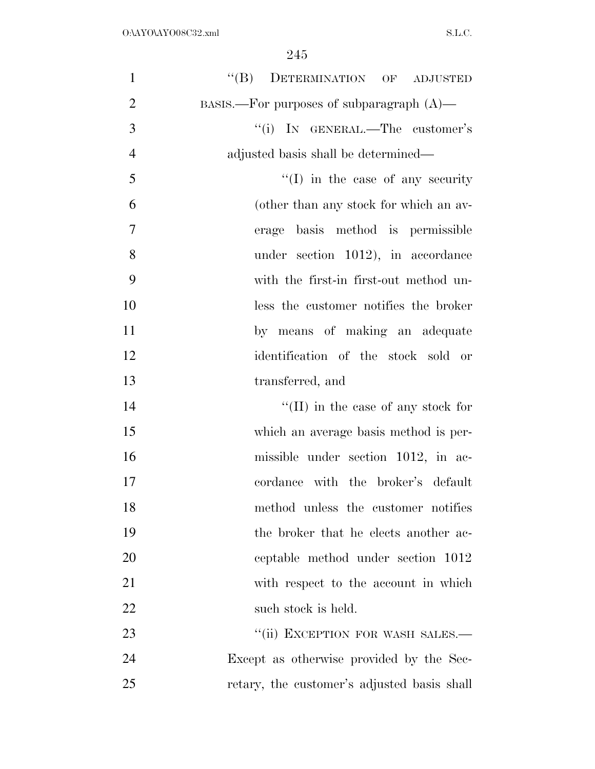| $\mathbf{1}$   | "(B) DETERMINATION OF ADJUSTED              |
|----------------|---------------------------------------------|
| $\overline{2}$ | BASIS.—For purposes of subparagraph $(A)$ — |
| 3              | "(i) IN GENERAL.—The customer's             |
| $\overline{4}$ | adjusted basis shall be determined—         |
| 5              | $\lq\lq$ (I) in the case of any security    |
| 6              | (other than any stock for which an av-      |
| 7              | basis method is permissible<br>erage        |
| 8              | under section 1012), in accordance          |
| 9              | with the first-in first-out method un-      |
| 10             | less the customer notifies the broker       |
| 11             | by means of making an adequate              |
| 12             | identification of the stock sold or         |
| 13             | transferred, and                            |
| 14             | $\lq\lq$ (II) in the case of any stock for  |
| 15             | which an average basis method is per-       |
| 16             | missible under section 1012, in ac-         |
| 17             | cordance with the broker's default          |
| 18             | method unless the customer notifies         |
| 19             | the broker that he elects another ac-       |
| 20             | ceptable method under section 1012          |
| 21             | with respect to the account in which        |
| 22             | such stock is held.                         |
| 23             | "(ii) EXCEPTION FOR WASH SALES.-            |
| 24             | Except as otherwise provided by the Sec-    |
| 25             | retary, the customer's adjusted basis shall |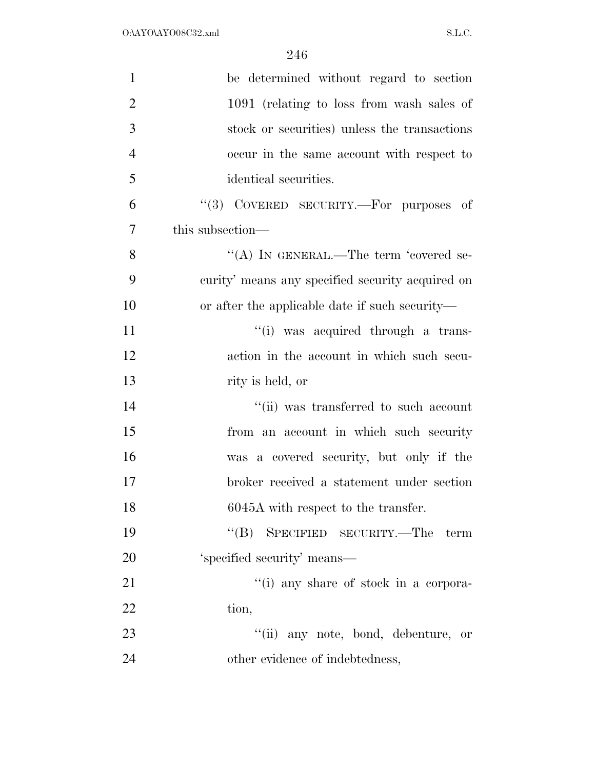| $\mathbf{1}$   | be determined without regard to section          |
|----------------|--------------------------------------------------|
| $\overline{2}$ | 1091 (relating to loss from wash sales of        |
| 3              | stock or securities) unless the transactions     |
| $\overline{4}$ | occur in the same account with respect to        |
| 5              | identical securities.                            |
| 6              | "(3) COVERED SECURITY.—For purposes of           |
| $\overline{7}$ | this subsection—                                 |
| 8              | "(A) IN GENERAL.—The term 'covered se-           |
| 9              | curity' means any specified security acquired on |
| 10             | or after the applicable date if such security—   |
| 11             | "(i) was acquired through a trans-               |
| 12             | action in the account in which such secu-        |
| 13             | rity is held, or                                 |
| 14             | "(ii) was transferred to such account            |
| 15             | from an account in which such security           |
| 16             | was a covered security, but only if the          |
| 17             | broker received a statement under section        |
| 18             | 6045A with respect to the transfer.              |
| 19             | $\lq\lq (B)$<br>SPECIFIED SECURITY.—The<br>term  |
| 20             | 'specified security' means—                      |
| 21             | "(i) any share of stock in a corpora-            |
| 22             | tion,                                            |
| 23             | "(ii) any note, bond, debenture, or              |
| 24             | other evidence of indebtedness,                  |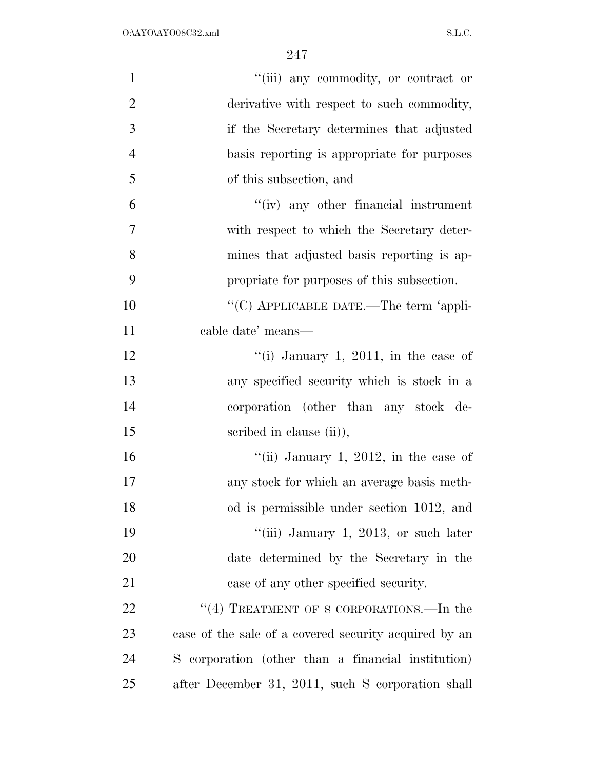| $\mathbf{1}$   | "(iii) any commodity, or contract or                  |
|----------------|-------------------------------------------------------|
| $\overline{2}$ | derivative with respect to such commodity,            |
| 3              | if the Secretary determines that adjusted             |
| $\overline{4}$ | basis reporting is appropriate for purposes           |
| 5              | of this subsection, and                               |
| 6              | $``(iv)$ any other financial instrument               |
| 7              | with respect to which the Secretary deter-            |
| 8              | mines that adjusted basis reporting is ap-            |
| 9              | propriate for purposes of this subsection.            |
| 10             | "(C) APPLICABLE DATE.—The term 'appli-                |
| 11             | cable date' means—                                    |
| 12             | "(i) January 1, 2011, in the case of                  |
| 13             | any specified security which is stock in a            |
| 14             | corporation (other than any stock de-                 |
| 15             | scribed in clause (ii),                               |
| 16             | "(ii) January 1, 2012, in the case of                 |
| 17             | any stock for which an average basis meth-            |
| 18             | od is permissible under section 1012, and             |
| 19             | "(iii) January 1, 2013, or such later                 |
| 20             | date determined by the Secretary in the               |
| 21             | case of any other specified security.                 |
| 22             | "(4) TREATMENT OF S CORPORATIONS.—In the              |
| 23             | case of the sale of a covered security acquired by an |
| 24             | S corporation (other than a financial institution)    |
| 25             | after December 31, 2011, such S corporation shall     |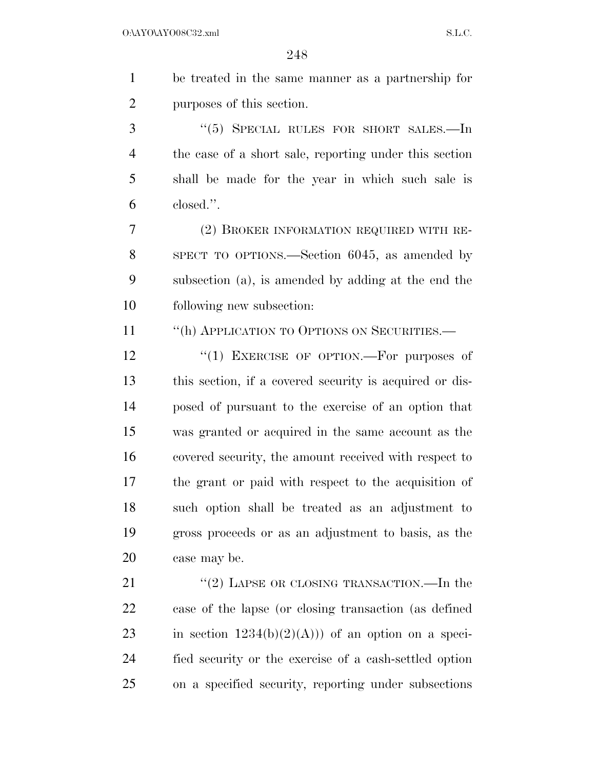| $\mathbf{1}$   | be treated in the same manner as a partnership for      |
|----------------|---------------------------------------------------------|
| $\overline{2}$ | purposes of this section.                               |
| 3              | " $(5)$ SPECIAL RULES FOR SHORT SALES.—In               |
| 4              | the case of a short sale, reporting under this section  |
| 5              | shall be made for the year in which such sale is        |
| 6              | closed.".                                               |
| 7              | (2) BROKER INFORMATION REQUIRED WITH RE-                |
| 8              | SPECT TO OPTIONS.—Section 6045, as amended by           |
| 9              | subsection (a), is amended by adding at the end the     |
| 10             | following new subsection:                               |
| 11             | "(h) APPLICATION TO OPTIONS ON SECURITIES.-             |
| 12             | "(1) EXERCISE OF OPTION.-For purposes of                |
| 13             | this section, if a covered security is acquired or dis- |
| 14             | posed of pursuant to the exercise of an option that     |
| 15             | was granted or acquired in the same account as the      |
| 16             | covered security, the amount received with respect to   |
| 17             | the grant or paid with respect to the acquisition of    |
| 18             | such option shall be treated as an adjustment to        |
| 19             | gross proceeds or as an adjustment to basis, as the     |
| 20             | case may be.                                            |
| 21             | "(2) LAPSE OR CLOSING TRANSACTION.—In the               |
| 22             | case of the lapse (or closing transaction (as defined   |
| 23             | in section $1234(b)(2)(A))$ of an option on a speci-    |
| 24             | fied security or the exercise of a cash-settled option  |

on a specified security, reporting under subsections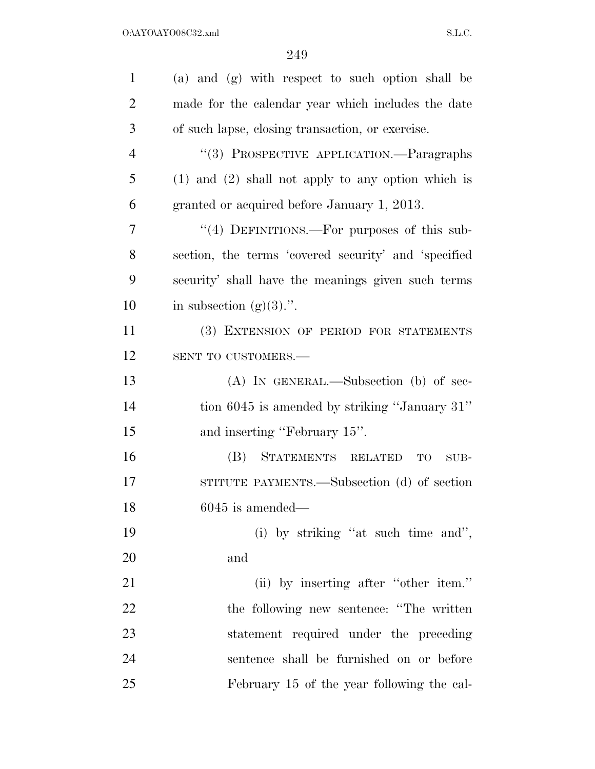| $\mathbf{1}$   | (a) and (g) with respect to such option shall be       |
|----------------|--------------------------------------------------------|
| $\overline{2}$ | made for the calendar year which includes the date     |
| 3              | of such lapse, closing transaction, or exercise.       |
| $\overline{4}$ | "(3) PROSPECTIVE APPLICATION.—Paragraphs               |
| 5              | $(1)$ and $(2)$ shall not apply to any option which is |
| 6              | granted or acquired before January 1, 2013.            |
| 7              | "(4) DEFINITIONS.—For purposes of this sub-            |
| 8              | section, the terms 'covered security' and 'specified   |
| 9              | security' shall have the meanings given such terms     |
| 10             | in subsection $(g)(3)$ .".                             |
| 11             | (3) EXTENSION OF PERIOD FOR STATEMENTS                 |
| 12             | SENT TO CUSTOMERS.-                                    |
| 13             | $(A)$ In GENERAL.—Subsection (b) of sec-               |
| 14             | tion 6045 is amended by striking "January 31"          |
| 15             | and inserting "February 15".                           |
| 16             | STATEMENTS RELATED<br>(B)<br>TO<br>SUB-                |
| 17             | STITUTE PAYMENTS.—Subsection (d) of section            |
| 18             | $6045$ is amended—                                     |
| 19             | (i) by striking "at such time and",                    |
| 20             | and                                                    |
| 21             | (ii) by inserting after "other item."                  |
| 22             | the following new sentence: "The written               |
| 23             | statement required under the preceding                 |
| 24             | sentence shall be furnished on or before               |
| 25             | February 15 of the year following the cal-             |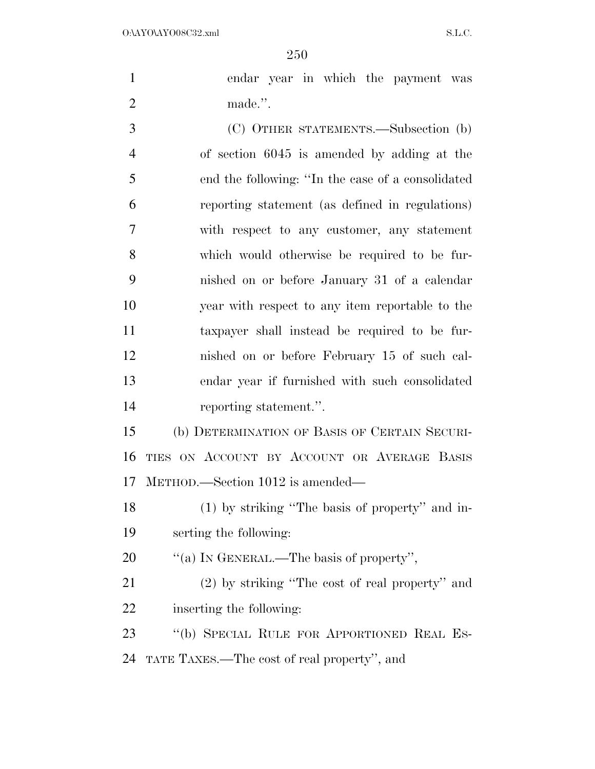| $\mathbf{1}$   | endar year in which the payment was               |
|----------------|---------------------------------------------------|
| $\overline{2}$ | made.".                                           |
| 3              | (C) OTHER STATEMENTS.—Subsection (b)              |
| $\overline{4}$ | of section 6045 is amended by adding at the       |
| 5              | end the following: "In the case of a consolidated |
| 6              | reporting statement (as defined in regulations)   |
| 7              | with respect to any customer, any statement       |
| 8              | which would otherwise be required to be fur-      |
| 9              | nished on or before January 31 of a calendar      |
| 10             | year with respect to any item reportable to the   |
| 11             | taxpayer shall instead be required to be fur-     |

METHOD.—Section 1012 is amended—

reporting statement.''.

 (1) by striking ''The basis of property'' and in-serting the following:

nished on or before February 15 of such cal-

endar year if furnished with such consolidated

(b) DETERMINATION OF BASIS OF CERTAIN SECURI-

TIES ON ACCOUNT BY ACCOUNT OR AVERAGE BASIS

20  $\qquad$  "(a) IN GENERAL.—The basis of property",

 (2) by striking ''The cost of real property'' and inserting the following:

 ''(b) SPECIAL RULE FOR APPORTIONED REAL ES-TATE TAXES.—The cost of real property'', and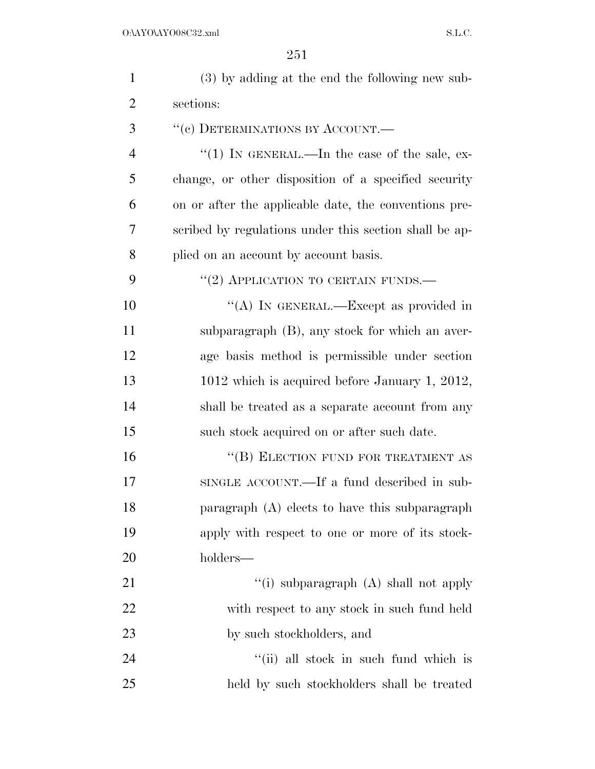| $\mathbf{1}$   | (3) by adding at the end the following new sub-        |
|----------------|--------------------------------------------------------|
| $\overline{2}$ | sections:                                              |
| 3              | "(c) DETERMINATIONS BY ACCOUNT.—                       |
| $\overline{4}$ | "(1) IN GENERAL.—In the case of the sale, ex-          |
| 5              | change, or other disposition of a specified security   |
| 6              | on or after the applicable date, the conventions pre-  |
| 7              | scribed by regulations under this section shall be ap- |
| 8              | plied on an account by account basis.                  |
| 9              | $``(2)$ APPLICATION TO CERTAIN FUNDS.—                 |
| 10             | "(A) IN GENERAL.—Except as provided in                 |
| 11             | subparagraph (B), any stock for which an aver-         |
| 12             | age basis method is permissible under section          |
| 13             | 1012 which is acquired before January 1, 2012,         |
| 14             | shall be treated as a separate account from any        |
| 15             | such stock acquired on or after such date.             |
| 16             | "(B) ELECTION FUND FOR TREATMENT AS                    |
| 17             | SINGLE ACCOUNT.—If a fund described in sub-            |
| 18             | paragraph (A) elects to have this subparagraph         |
| 19             | apply with respect to one or more of its stock-        |
| 20             | holders—                                               |
| 21             | "(i) subparagraph (A) shall not apply                  |
| 22             | with respect to any stock in such fund held            |
| 23             | by such stockholders, and                              |
| 24             | "(ii) all stock in such fund which is                  |
| 25             | held by such stockholders shall be treated             |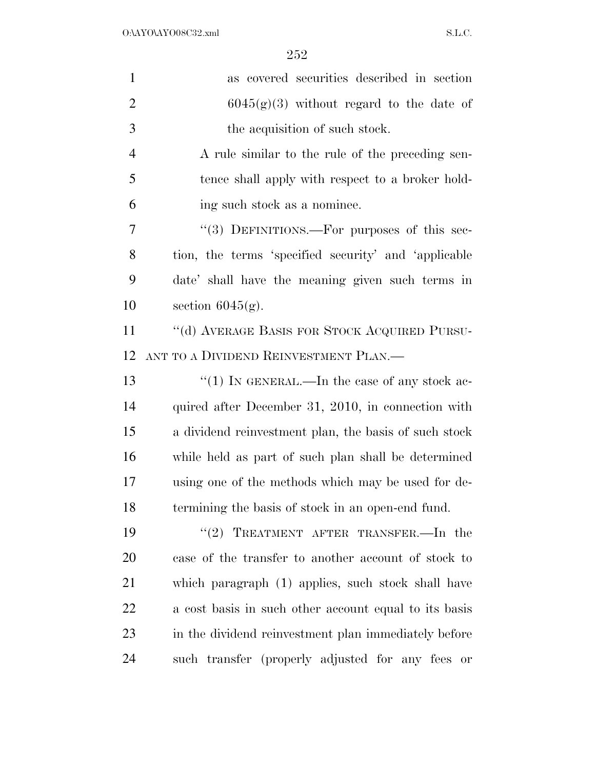| $\mathbf{1}$   | as covered securities described in section            |
|----------------|-------------------------------------------------------|
| $\overline{2}$ | $6045(g)(3)$ without regard to the date of            |
| 3              | the acquisition of such stock.                        |
| $\overline{4}$ | A rule similar to the rule of the preceding sen-      |
| 5              | tence shall apply with respect to a broker hold-      |
| 6              | ing such stock as a nominee.                          |
| 7              | "(3) DEFINITIONS.—For purposes of this sec-           |
| 8              | tion, the terms 'specified security' and 'applicable  |
| 9              | date' shall have the meaning given such terms in      |
| 10             | section $6045(g)$ .                                   |
| 11             | "(d) AVERAGE BASIS FOR STOCK ACQUIRED PURSU-          |
| 12             | ANT TO A DIVIDEND REINVESTMENT PLAN.—                 |
| 13             | "(1) IN GENERAL.—In the case of any stock ac-         |
| 14             | quired after December 31, 2010, in connection with    |
| 15             | a dividend reinvestment plan, the basis of such stock |
| 16             | while held as part of such plan shall be determined   |
| 17             | using one of the methods which may be used for de-    |
| 18             | termining the basis of stock in an open-end fund.     |
| 19             | "(2) TREATMENT AFTER TRANSFER.—In the                 |
| <b>20</b>      | case of the transfer to another account of stock to   |
| 21             | which paragraph (1) applies, such stock shall have    |
| 22             | a cost basis in such other account equal to its basis |
| 23             | in the dividend reinvestment plan immediately before  |
| 24             | such transfer (properly adjusted for any fees or      |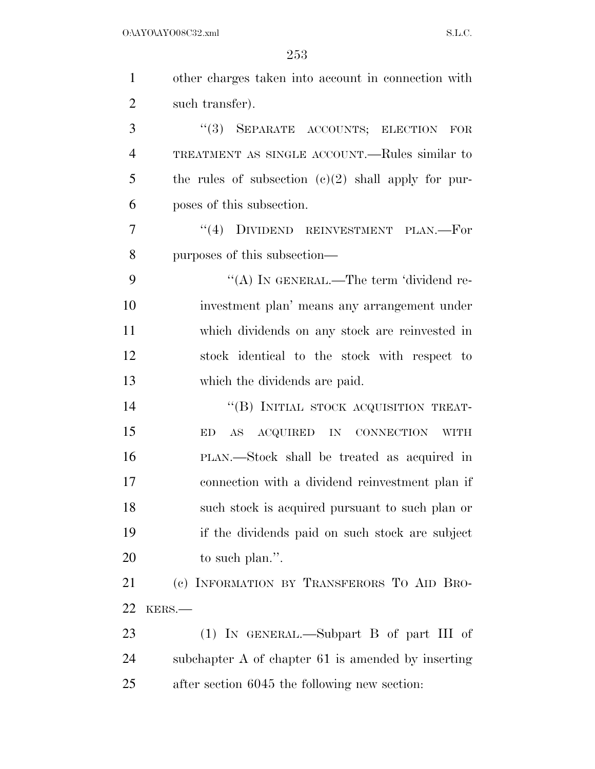| $\mathbf{1}$   | other charges taken into account in connection with   |
|----------------|-------------------------------------------------------|
| $\overline{2}$ | such transfer).                                       |
| 3              | "(3) SEPARATE ACCOUNTS; ELECTION FOR                  |
| $\overline{4}$ | TREATMENT AS SINGLE ACCOUNT.—Rules similar to         |
| 5              | the rules of subsection $(c)(2)$ shall apply for pur- |
| 6              | poses of this subsection.                             |
| 7              | DIVIDEND REINVESTMENT PLAN.—For<br>(4)                |
| 8              | purposes of this subsection—                          |
| 9              | "(A) IN GENERAL.—The term 'dividend re-               |
| 10             | investment plan' means any arrangement under          |
| 11             | which dividends on any stock are reinvested in        |
| 12             | stock identical to the stock with respect to          |
| 13             | which the dividends are paid.                         |
| 14             | "(B) INITIAL STOCK ACQUISITION TREAT-                 |
| 15             | AS ACQUIRED IN CONNECTION WITH<br>ED                  |
| 16             | PLAN.—Stock shall be treated as acquired in           |
| 17             | connection with a dividend reinvestment plan if       |
| 18             | such stock is acquired pursuant to such plan or       |
| 19             | if the dividends paid on such stock are subject       |
| 20             | to such plan.".                                       |
| 21             | (c) INFORMATION BY TRANSFERORS TO AID BRO-            |
| 22             | KERS.                                                 |
| 23             | $(1)$ IN GENERAL.—Subpart B of part III of            |
| 24             | subchapter A of chapter 61 is amended by inserting    |
| 25             | after section 6045 the following new section:         |
|                |                                                       |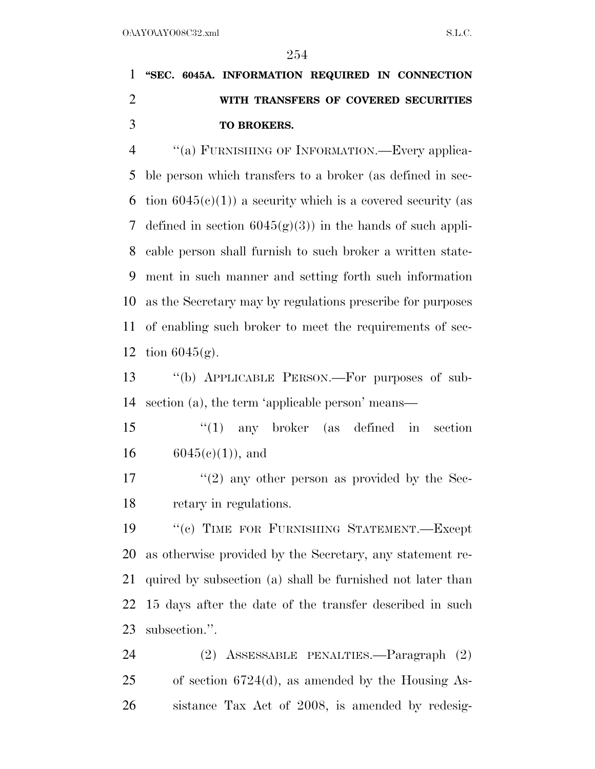# **''SEC. 6045A. INFORMATION REQUIRED IN CONNECTION WITH TRANSFERS OF COVERED SECURITIES TO BROKERS.**

 ''(a) FURNISHING OF INFORMATION.—Every applica- ble person which transfers to a broker (as defined in sec-6 tion  $6045(c)(1)$  a security which is a covered security (as 7 defined in section  $6045(g)(3)$  in the hands of such appli- cable person shall furnish to such broker a written state- ment in such manner and setting forth such information as the Secretary may by regulations prescribe for purposes of enabling such broker to meet the requirements of sec-tion 6045(g).

 ''(b) APPLICABLE PERSON.—For purposes of sub-section (a), the term 'applicable person' means—

 ''(1) any broker (as defined in section 16  $6045(e)(1)$ , and

 $\frac{17}{2}$  ''(2) any other person as provided by the Sec-retary in regulations.

 ''(c) TIME FOR FURNISHING STATEMENT.—Except as otherwise provided by the Secretary, any statement re- quired by subsection (a) shall be furnished not later than 15 days after the date of the transfer described in such subsection.''.

 (2) ASSESSABLE PENALTIES.—Paragraph (2) of section 6724(d), as amended by the Housing As-sistance Tax Act of 2008, is amended by redesig-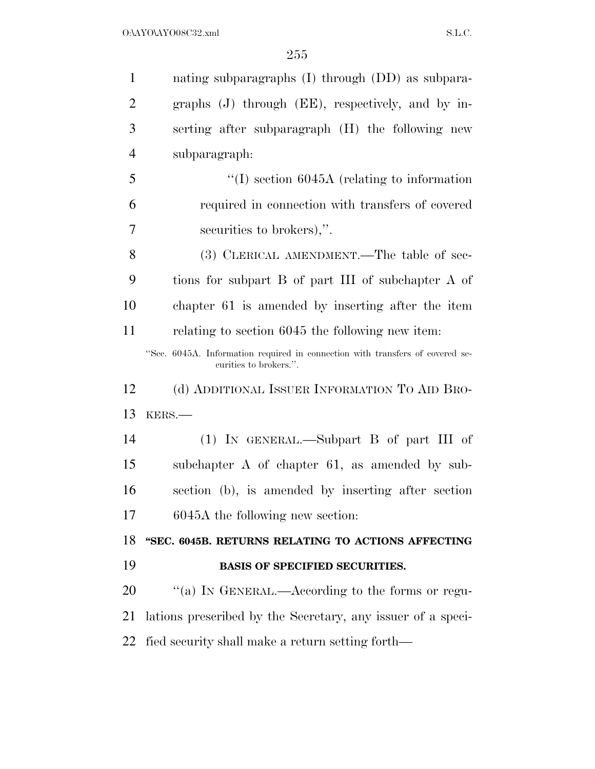| $\mathbf{1}$   | nating subparagraphs (I) through (DD) as subpara-                                                       |
|----------------|---------------------------------------------------------------------------------------------------------|
| $\overline{2}$ | graphs (J) through (EE), respectively, and by in-                                                       |
| 3              | serting after subparagraph (H) the following new                                                        |
| $\overline{4}$ | subparagraph:                                                                                           |
| 5              | $\lq(1)$ section 6045A (relating to information                                                         |
| 6              | required in connection with transfers of covered                                                        |
| 7              | securities to brokers),".                                                                               |
| 8              | (3) CLERICAL AMENDMENT.—The table of sec-                                                               |
| 9              | tions for subpart B of part III of subchapter A of                                                      |
| 10             | chapter 61 is amended by inserting after the item                                                       |
| 11             | relating to section 6045 the following new item.                                                        |
|                | "Sec. 6045A. Information required in connection with transfers of covered se-<br>curities to brokers.". |
| 12             | (d) ADDITIONAL ISSUER INFORMATION TO AID BRO-                                                           |
|                | KERS.-                                                                                                  |
| 13             |                                                                                                         |
| 14             | $(1)$ IN GENERAL.—Subpart B of part III of                                                              |
|                | subchapter A of chapter 61, as amended by sub-                                                          |
| 15<br>16       | section (b), is amended by inserting after section                                                      |
|                | 6045A the following new section:                                                                        |
|                | "SEC. 6045B. RETURNS RELATING TO ACTIONS AFFECTING                                                      |
| 17<br>18<br>19 | <b>BASIS OF SPECIFIED SECURITIES.</b>                                                                   |
| 20             | "(a) IN GENERAL.—According to the forms or regu-                                                        |
| 21             | lations prescribed by the Secretary, any issuer of a speci-                                             |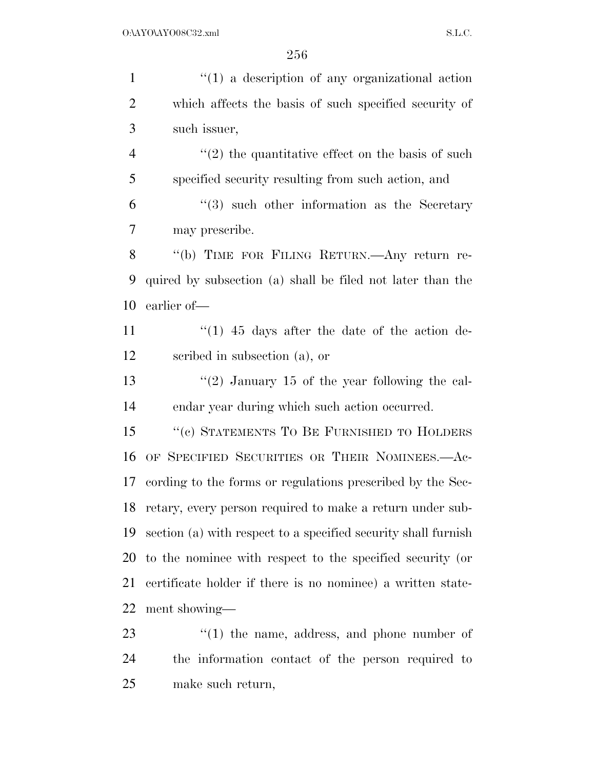1 ''(1) a description of any organizational action which affects the basis of such specified security of such issuer,  $\frac{4}{2}$  ''(2) the quantitative effect on the basis of such specified security resulting from such action, and ''(3) such other information as the Secretary may prescribe. ''(b) TIME FOR FILING RETURN.—Any return re- quired by subsection (a) shall be filed not later than the earlier of—  $\frac{1}{1}$   $\frac{1}{1}$  45 days after the date of the action de- scribed in subsection (a), or  $\frac{13}{2}$  January 15 of the year following the cal- endar year during which such action occurred. 15 "(c) STATEMENTS TO BE FURNISHED TO HOLDERS OF SPECIFIED SECURITIES OR THEIR NOMINEES.—Ac- cording to the forms or regulations prescribed by the Sec- retary, every person required to make a return under sub- section (a) with respect to a specified security shall furnish to the nominee with respect to the specified security (or certificate holder if there is no nominee) a written state- ment showing—  $\frac{1}{2}$  (1) the name, address, and phone number of the information contact of the person required to

make such return,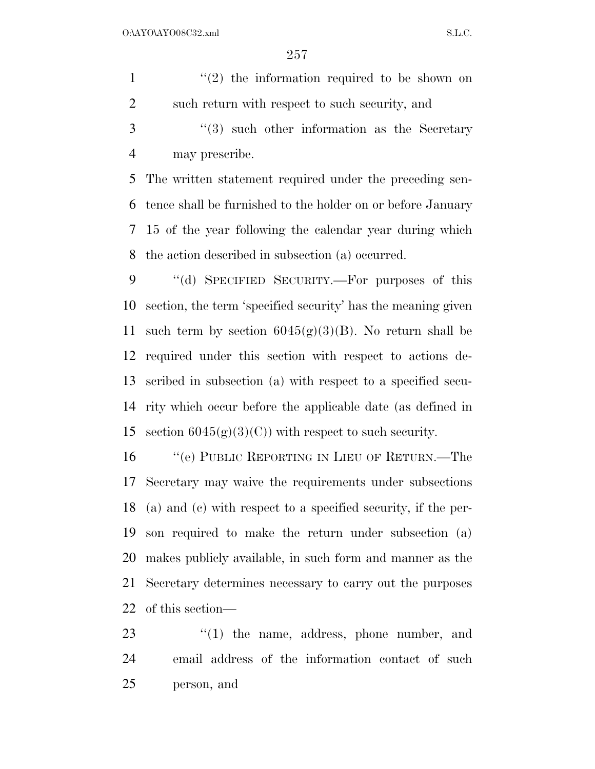$\frac{1}{2}$  the information required to be shown on such return with respect to such security, and 3 ''(3) such other information as the Secretary may prescribe. The written statement required under the preceding sen- tence shall be furnished to the holder on or before January 15 of the year following the calendar year during which the action described in subsection (a) occurred.

 ''(d) SPECIFIED SECURITY.—For purposes of this section, the term 'specified security' has the meaning given 11 such term by section  $6045(g)(3)(B)$ . No return shall be required under this section with respect to actions de- scribed in subsection (a) with respect to a specified secu- rity which occur before the applicable date (as defined in 15 section  $6045(g)(3)(C)$  with respect to such security.

 ''(e) PUBLIC REPORTING IN LIEU OF RETURN.—The Secretary may waive the requirements under subsections (a) and (c) with respect to a specified security, if the per- son required to make the return under subsection (a) makes publicly available, in such form and manner as the Secretary determines necessary to carry out the purposes of this section—

23 ''(1) the name, address, phone number, and email address of the information contact of such person, and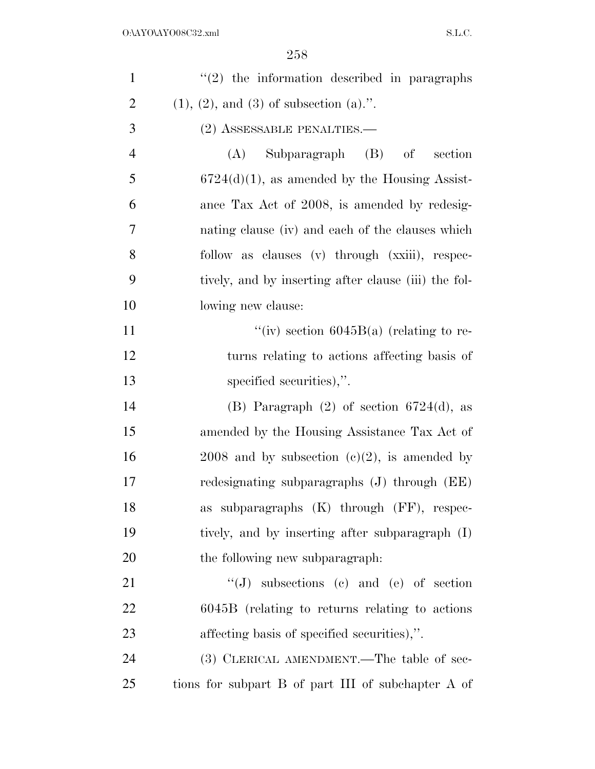| $\mathbf{1}$   | $\lq(2)$ the information described in paragraphs     |
|----------------|------------------------------------------------------|
| $\overline{2}$ | $(1), (2),$ and $(3)$ of subsection $(a)$ .".        |
| 3              | (2) ASSESSABLE PENALTIES.—                           |
| $\overline{4}$ | Subparagraph (B) of<br>section<br>(A)                |
| 5              | $6724(d)(1)$ , as amended by the Housing Assist-     |
| 6              | ance Tax Act of 2008, is amended by redesig-         |
| 7              | nating clause (iv) and each of the clauses which     |
| 8              | follow as clauses (v) through (xxiii), respec-       |
| 9              | tively, and by inserting after clause (iii) the fol- |
| 10             | lowing new clause:                                   |
| 11             | "(iv) section $6045B(a)$ (relating to re-            |
| 12             | turns relating to actions affecting basis of         |
| 13             | specified securities),".                             |
| 14             | (B) Paragraph $(2)$ of section 6724 $(d)$ , as       |
| 15             | amended by the Housing Assistance Tax Act of         |
| 16             | $2008$ and by subsection (c)(2), is amended by       |
| 17             | redesignating subparagraphs $(J)$ through $(EE)$     |
| 18             | as subparagraphs $(K)$ through $(FF)$ , respec-      |
| 19             | tively, and by inserting after subparagraph (I)      |
| 20             | the following new subparagraph:                      |
| 21             | $\lq\lq (J)$ subsections (c) and (e) of section      |
| 22             | $6045B$ (relating to returns relating to actions     |
| 23             | affecting basis of specified securities),".          |
| 24             | (3) CLERICAL AMENDMENT.—The table of sec-            |
| 25             | tions for subpart B of part III of subchapter A of   |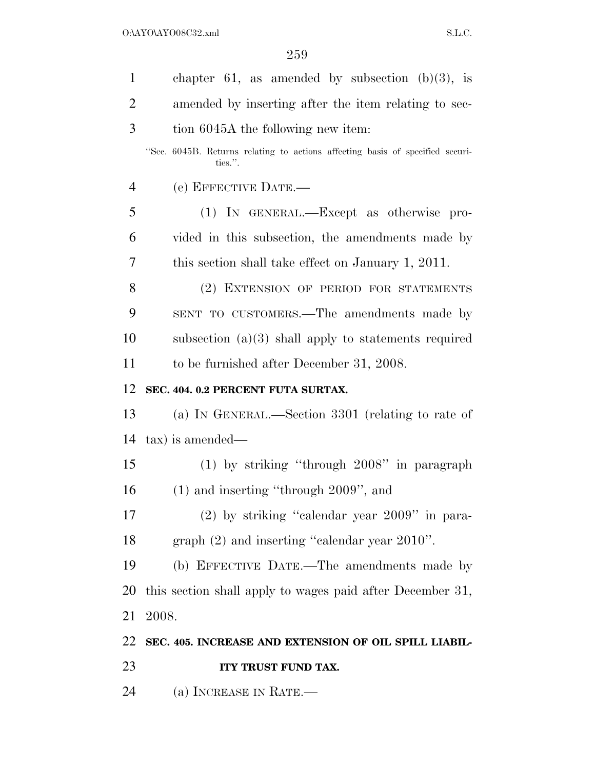$O:\Delta YO\Delta YO08C32.xml$  S.L.C.

| $\mathbf{1}$   | chapter 61, as amended by subsection $(b)(3)$ , is                                       |
|----------------|------------------------------------------------------------------------------------------|
| $\overline{2}$ | amended by inserting after the item relating to sec-                                     |
| 3              | tion 6045A the following new item:                                                       |
|                | "Sec. 6045B. Returns relating to actions affecting basis of specified securi-<br>ties.". |
| 4              | (e) EFFECTIVE DATE.—                                                                     |
| 5              | (1) IN GENERAL.—Except as otherwise pro-                                                 |
| 6              | vided in this subsection, the amendments made by                                         |
| 7              | this section shall take effect on January 1, 2011.                                       |
| 8              | (2) EXTENSION OF PERIOD FOR STATEMENTS                                                   |
| 9              | SENT TO CUSTOMERS.—The amendments made by                                                |
| 10             | subsection $(a)(3)$ shall apply to statements required                                   |
| 11             | to be furnished after December 31, 2008.                                                 |
| 12             | SEC. 404. 0.2 PERCENT FUTA SURTAX.                                                       |
| 13             | (a) IN GENERAL.—Section 3301 (relating to rate of                                        |
| 14             | tax) is amended—                                                                         |
| 15             | $(1)$ by striking "through $2008$ " in paragraph                                         |
| 16             | $(1)$ and inserting "through 2009", and                                                  |
| 17             | $(2)$ by striking "calendar year $2009$ " in para-                                       |
| 18             | graph $(2)$ and inserting "calendar year $2010$ ".                                       |
| 19             | (b) EFFECTIVE DATE.—The amendments made by                                               |
| 20             | this section shall apply to wages paid after December 31,                                |
| 21             | 2008.                                                                                    |
| 22             | SEC. 405. INCREASE AND EXTENSION OF OIL SPILL LIABIL-                                    |
| 23             | ITY TRUST FUND TAX.                                                                      |
| 24             | (a) INCREASE IN RATE.—                                                                   |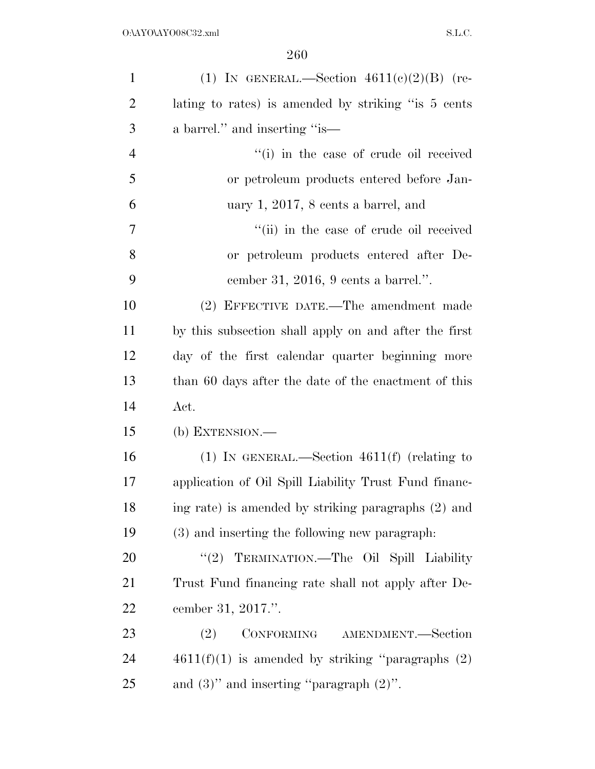| $\mathbf{1}$   | (1) IN GENERAL.—Section $4611(e)(2)(B)$ (re-          |
|----------------|-------------------------------------------------------|
| $\overline{2}$ | lating to rates) is amended by striking "is 5 cents   |
| 3              | a barrel." and inserting "is—                         |
| $\overline{4}$ | "(i) in the case of crude oil received                |
| 5              | or petroleum products entered before Jan-             |
| 6              | uary 1, 2017, 8 cents a barrel, and                   |
| 7              | "(ii) in the case of crude oil received               |
| 8              | or petroleum products entered after De-               |
| 9              | cember 31, 2016, 9 cents a barrel.".                  |
| 10             | (2) EFFECTIVE DATE.—The amendment made                |
| 11             | by this subsection shall apply on and after the first |
| 12             | day of the first calendar quarter beginning more      |
| 13             | than 60 days after the date of the enactment of this  |
| 14             | Act.                                                  |
| 15             | $(b)$ EXTENSION.—                                     |
| 16             | (1) IN GENERAL.—Section $4611(f)$ (relating to        |
| 17             | application of Oil Spill Liability Trust Fund financ- |
| 18             | ing rate) is amended by striking paragraphs (2) and   |
| 19             | (3) and inserting the following new paragraph.        |
| 20             | "(2) TERMINATION.-The Oil Spill Liability             |
| 21             | Trust Fund financing rate shall not apply after De-   |
| 22             | cember 31, 2017.".                                    |
| 23             | CONFORMING AMENDMENT.-Section<br>(2)                  |
| 24             | $4611(f)(1)$ is amended by striking "paragraphs $(2)$ |
| 25             | and $(3)$ " and inserting "paragraph $(2)$ ".         |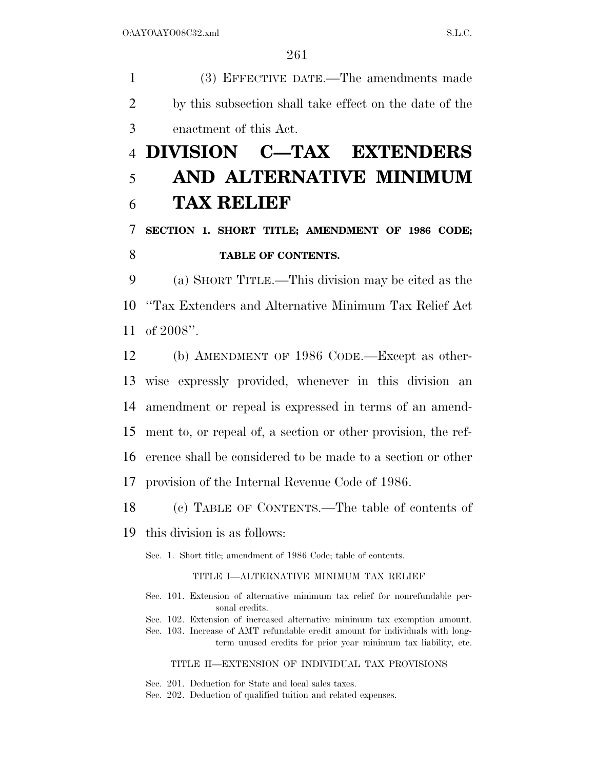(3) EFFECTIVE DATE.—The amendments made by this subsection shall take effect on the date of the enactment of this Act.

# **DIVISION C—TAX EXTENDERS AND ALTERNATIVE MINIMUM TAX RELIEF**

## **SECTION 1. SHORT TITLE; AMENDMENT OF 1986 CODE; TABLE OF CONTENTS.**

 (a) SHORT TITLE.—This division may be cited as the ''Tax Extenders and Alternative Minimum Tax Relief Act of 2008''.

 (b) AMENDMENT OF 1986 CODE.—Except as other- wise expressly provided, whenever in this division an amendment or repeal is expressed in terms of an amend- ment to, or repeal of, a section or other provision, the ref- erence shall be considered to be made to a section or other provision of the Internal Revenue Code of 1986.

(c) TABLE OF CONTENTS.—The table of contents of

this division is as follows:

Sec. 1. Short title; amendment of 1986 Code; table of contents.

#### TITLE I—ALTERNATIVE MINIMUM TAX RELIEF

- Sec. 101. Extension of alternative minimum tax relief for nonrefundable personal credits.
- Sec. 102. Extension of increased alternative minimum tax exemption amount.
- Sec. 103. Increase of AMT refundable credit amount for individuals with longterm unused credits for prior year minimum tax liability, etc.

TITLE II—EXTENSION OF INDIVIDUAL TAX PROVISIONS

Sec. 201. Deduction for State and local sales taxes.

Sec. 202. Deduction of qualified tuition and related expenses.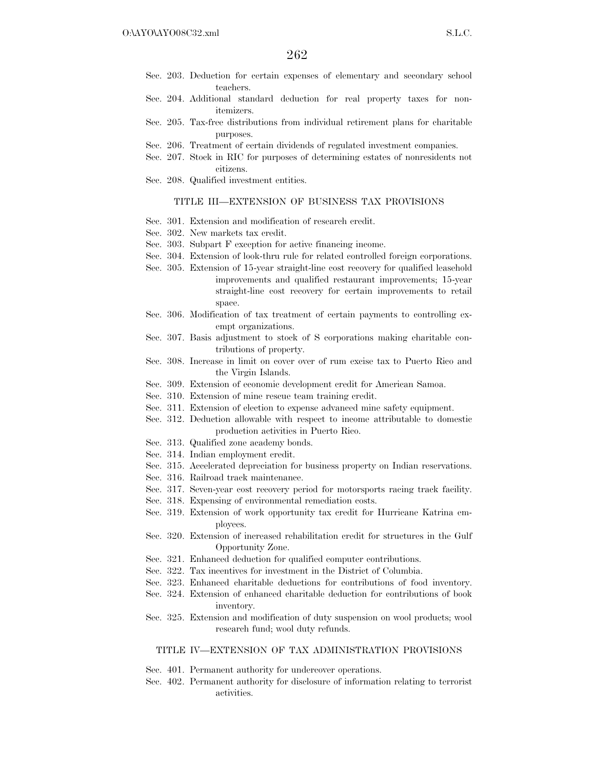- Sec. 203. Deduction for certain expenses of elementary and secondary school teachers.
- Sec. 204. Additional standard deduction for real property taxes for nonitemizers.
- Sec. 205. Tax-free distributions from individual retirement plans for charitable purposes.
- Sec. 206. Treatment of certain dividends of regulated investment companies.
- Sec. 207. Stock in RIC for purposes of determining estates of nonresidents not citizens.
- Sec. 208. Qualified investment entities.

#### TITLE III—EXTENSION OF BUSINESS TAX PROVISIONS

- Sec. 301. Extension and modification of research credit.
- Sec. 302. New markets tax credit.
- Sec. 303. Subpart F exception for active financing income.
- Sec. 304. Extension of look-thru rule for related controlled foreign corporations.
- Sec. 305. Extension of 15-year straight-line cost recovery for qualified leasehold improvements and qualified restaurant improvements; 15-year straight-line cost recovery for certain improvements to retail space.
- Sec. 306. Modification of tax treatment of certain payments to controlling exempt organizations.
- Sec. 307. Basis adjustment to stock of S corporations making charitable contributions of property.
- Sec. 308. Increase in limit on cover over of rum excise tax to Puerto Rico and the Virgin Islands.
- Sec. 309. Extension of economic development credit for American Samoa.
- Sec. 310. Extension of mine rescue team training credit.
- Sec. 311. Extension of election to expense advanced mine safety equipment.
- Sec. 312. Deduction allowable with respect to income attributable to domestic production activities in Puerto Rico.
- Sec. 313. Qualified zone academy bonds.
- Sec. 314. Indian employment credit.
- Sec. 315. Accelerated depreciation for business property on Indian reservations.
- Sec. 316. Railroad track maintenance.
- Sec. 317. Seven-year cost recovery period for motorsports racing track facility.
- Sec. 318. Expensing of environmental remediation costs.
- Sec. 319. Extension of work opportunity tax credit for Hurricane Katrina employees.
- Sec. 320. Extension of increased rehabilitation credit for structures in the Gulf Opportunity Zone.
- Sec. 321. Enhanced deduction for qualified computer contributions.
- Sec. 322. Tax incentives for investment in the District of Columbia.
- Sec. 323. Enhanced charitable deductions for contributions of food inventory.
- Sec. 324. Extension of enhanced charitable deduction for contributions of book inventory.
- Sec. 325. Extension and modification of duty suspension on wool products; wool research fund; wool duty refunds.

#### TITLE IV—EXTENSION OF TAX ADMINISTRATION PROVISIONS

- Sec. 401. Permanent authority for undercover operations.
- Sec. 402. Permanent authority for disclosure of information relating to terrorist activities.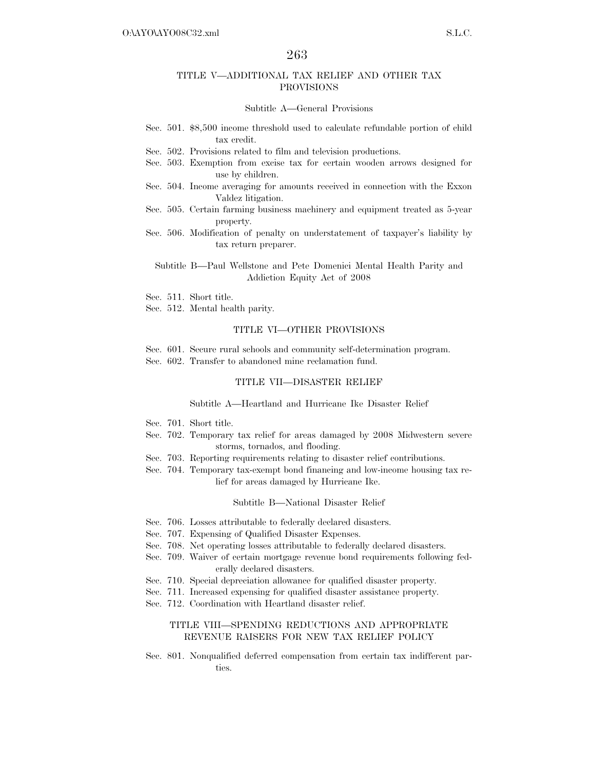#### TITLE V—ADDITIONAL TAX RELIEF AND OTHER TAX PROVISIONS

#### Subtitle A—General Provisions

- Sec. 501. \$8,500 income threshold used to calculate refundable portion of child tax credit.
- Sec. 502. Provisions related to film and television productions.
- Sec. 503. Exemption from excise tax for certain wooden arrows designed for use by children.
- Sec. 504. Income averaging for amounts received in connection with the Exxon Valdez litigation.
- Sec. 505. Certain farming business machinery and equipment treated as 5-year property.
- Sec. 506. Modification of penalty on understatement of taxpayer's liability by tax return preparer.

#### Subtitle B—Paul Wellstone and Pete Domenici Mental Health Parity and Addiction Equity Act of 2008

- Sec. 511. Short title.
- Sec. 512. Mental health parity.

#### TITLE VI—OTHER PROVISIONS

Sec. 601. Secure rural schools and community self-determination program. Sec. 602. Transfer to abandoned mine reclamation fund.

#### TITLE VII—DISASTER RELIEF

#### Subtitle A—Heartland and Hurricane Ike Disaster Relief

- Sec. 701. Short title.
- Sec. 702. Temporary tax relief for areas damaged by 2008 Midwestern severe storms, tornados, and flooding.
- Sec. 703. Reporting requirements relating to disaster relief contributions.
- Sec. 704. Temporary tax-exempt bond financing and low-income housing tax relief for areas damaged by Hurricane Ike.

#### Subtitle B—National Disaster Relief

- Sec. 706. Losses attributable to federally declared disasters.
- Sec. 707. Expensing of Qualified Disaster Expenses.
- Sec. 708. Net operating losses attributable to federally declared disasters.
- Sec. 709. Waiver of certain mortgage revenue bond requirements following federally declared disasters.
- Sec. 710. Special depreciation allowance for qualified disaster property.
- Sec. 711. Increased expensing for qualified disaster assistance property.
- Sec. 712. Coordination with Heartland disaster relief.

#### TITLE VIII—SPENDING REDUCTIONS AND APPROPRIATE REVENUE RAISERS FOR NEW TAX RELIEF POLICY

Sec. 801. Nonqualified deferred compensation from certain tax indifferent parties.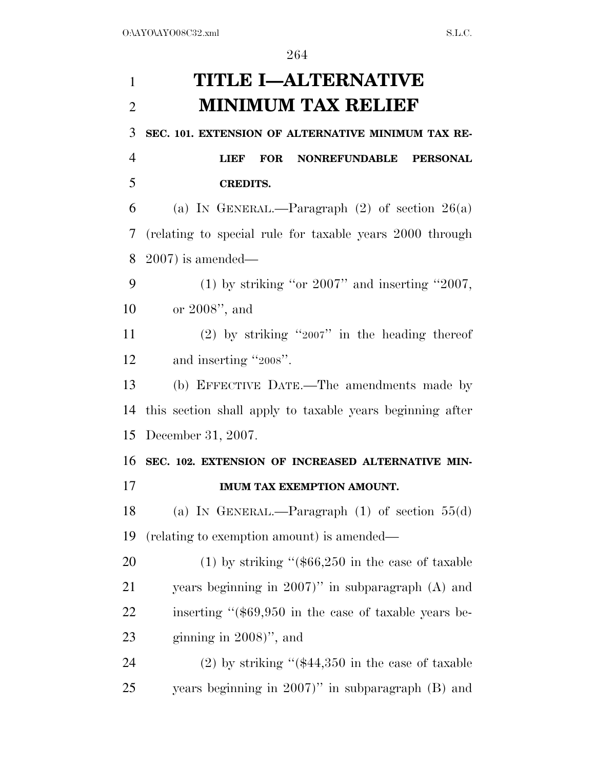# **TITLE I—ALTERNATIVE MINIMUM TAX RELIEF**

**SEC. 101. EXTENSION OF ALTERNATIVE MINIMUM TAX RE-**

 **LIEF FOR NONREFUNDABLE PERSONAL CREDITS.** 

6 (a) IN GENERAL.—Paragraph  $(2)$  of section  $26(a)$  (relating to special rule for taxable years 2000 through 2007) is amended—

9 (1) by striking "or " and inserting " $2007$ , or 2008'', and

 (2) by striking ''2007'' in the heading thereof and inserting ''2008''.

 (b) EFFECTIVE DATE.—The amendments made by this section shall apply to taxable years beginning after December 31, 2007.

 **SEC. 102. EXTENSION OF INCREASED ALTERNATIVE MIN-IMUM TAX EXEMPTION AMOUNT.** 

 (a) IN GENERAL.—Paragraph (1) of section 55(d) (relating to exemption amount) is amended—

 (1) by striking ''(\$66,250 in the case of taxable years beginning in 2007)'' in subparagraph (A) and 22 inserting "(\$69,950 in the case of taxable years be-23 ginning in )", and

 (2) by striking ''(\$44,350 in the case of taxable years beginning in 2007)'' in subparagraph (B) and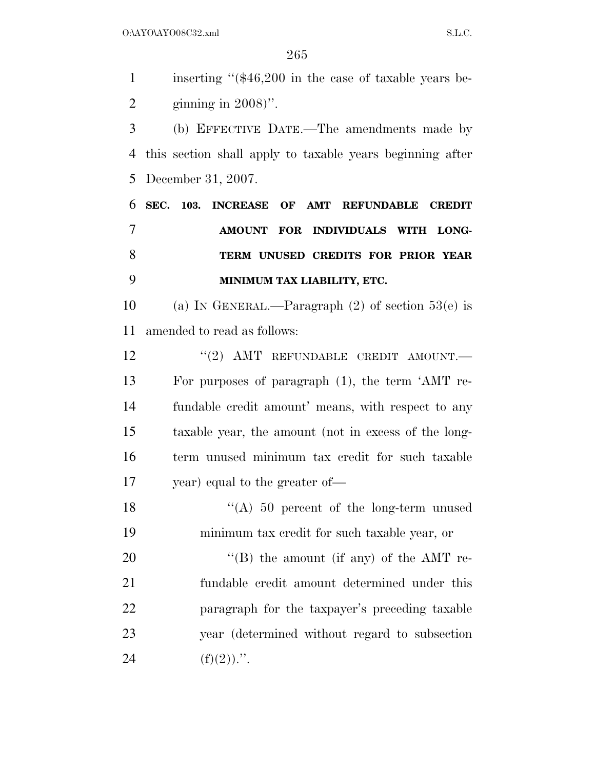$O:\Delta YO\Delta YO08C32.xml$  S.L.C.

 inserting ''(\$46,200 in the case of taxable years be-ginning in 2008)''.

 (b) EFFECTIVE DATE.—The amendments made by this section shall apply to taxable years beginning after December 31, 2007.

 **SEC. 103. INCREASE OF AMT REFUNDABLE CREDIT AMOUNT FOR INDIVIDUALS WITH LONG- TERM UNUSED CREDITS FOR PRIOR YEAR MINIMUM TAX LIABILITY, ETC.** 

10 (a) IN GENERAL.—Paragraph  $(2)$  of section 53(e) is amended to read as follows:

12 "(2) AMT REFUNDABLE CREDIT AMOUNT.— For purposes of paragraph (1), the term 'AMT re- fundable credit amount' means, with respect to any taxable year, the amount (not in excess of the long- term unused minimum tax credit for such taxable year) equal to the greater of—

18 "(A) 50 percent of the long-term unused minimum tax credit for such taxable year, or

20 "'(B) the amount (if any) of the AMT re- fundable credit amount determined under this paragraph for the taxpayer's preceding taxable year (determined without regard to subsection 24 (f)(2)).".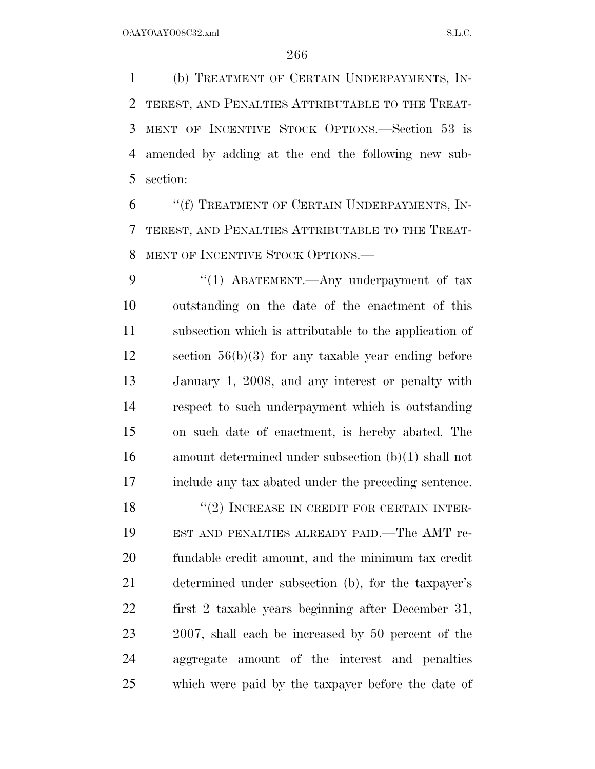(b) TREATMENT OF CERTAIN UNDERPAYMENTS, IN- TEREST, AND PENALTIES ATTRIBUTABLE TO THE TREAT- MENT OF INCENTIVE STOCK OPTIONS.—Section 53 is amended by adding at the end the following new sub-section:

 ''(f) TREATMENT OF CERTAIN UNDERPAYMENTS, IN- TEREST, AND PENALTIES ATTRIBUTABLE TO THE TREAT-MENT OF INCENTIVE STOCK OPTIONS.—

9 "(1) ABATEMENT.—Any underpayment of tax outstanding on the date of the enactment of this subsection which is attributable to the application of section 56(b)(3) for any taxable year ending before January 1, 2008, and any interest or penalty with respect to such underpayment which is outstanding on such date of enactment, is hereby abated. The amount determined under subsection (b)(1) shall not include any tax abated under the preceding sentence.

18 ''(2) INCREASE IN CREDIT FOR CERTAIN INTER- EST AND PENALTIES ALREADY PAID.—The AMT re- fundable credit amount, and the minimum tax credit determined under subsection (b), for the taxpayer's first 2 taxable years beginning after December 31, 2007, shall each be increased by 50 percent of the aggregate amount of the interest and penalties which were paid by the taxpayer before the date of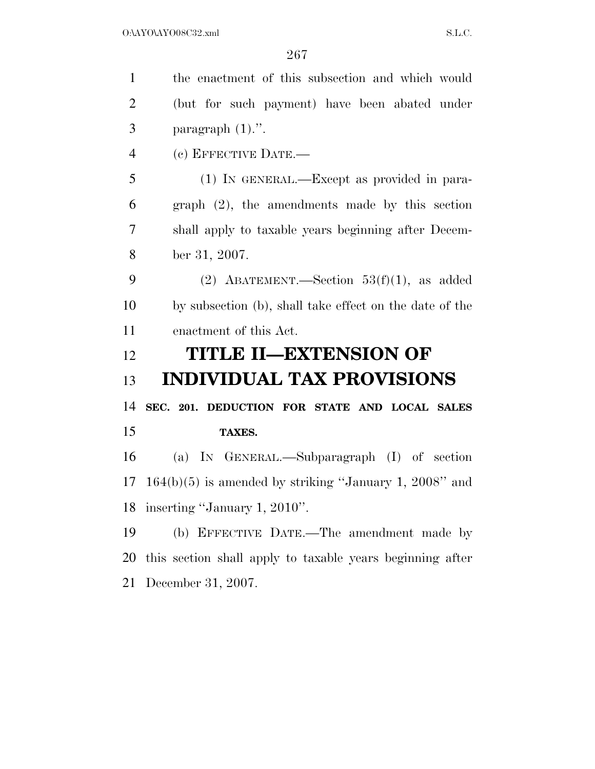| $\mathbf{1}$   | the enactment of this subsection and which would          |
|----------------|-----------------------------------------------------------|
| $\overline{2}$ | (but for such payment) have been abated under             |
| 3              | paragraph $(1)$ .".                                       |
| $\overline{4}$ | (c) EFFECTIVE DATE.-                                      |
| 5              | (1) IN GENERAL.—Except as provided in para-               |
| 6              | $graph (2)$ , the amendments made by this section         |
| 7              | shall apply to taxable years beginning after Decem-       |
| 8              | ber 31, 2007.                                             |
| 9              | (2) ABATEMENT.—Section $53(f)(1)$ , as added              |
| 10             | by subsection (b), shall take effect on the date of the   |
| 11             | enactment of this Act.                                    |
|                |                                                           |
| 12             | TITLE II—EXTENSION OF                                     |
| 13             | <b>INDIVIDUAL TAX PROVISIONS</b>                          |
| 14             | SEC. 201. DEDUCTION FOR STATE AND LOCAL SALES             |
| 15             | TAXES.                                                    |
| 16             | (a) IN GENERAL.—Subparagraph (I) of section               |
| 17             | $164(b)(5)$ is amended by striking "January 1, 2008" and  |
|                | 18 inserting "January 1, 2010".                           |
| 19             | (b) EFFECTIVE DATE.—The amendment made by                 |
| 20             | this section shall apply to taxable years beginning after |
| 21             | December 31, 2007.                                        |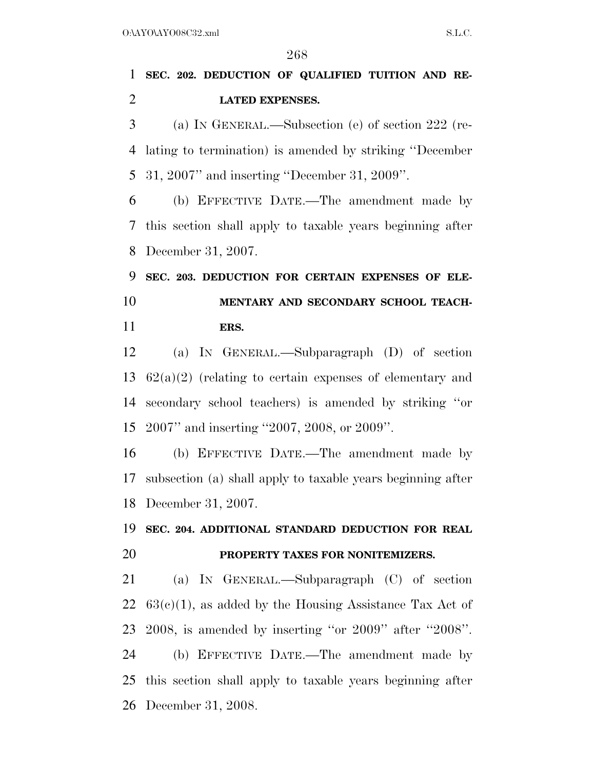## **SEC. 202. DEDUCTION OF QUALIFIED TUITION AND RE-LATED EXPENSES.**

 (a) IN GENERAL.—Subsection (e) of section 222 (re- lating to termination) is amended by striking ''December 31, 2007'' and inserting ''December 31, 2009''.

 (b) EFFECTIVE DATE.—The amendment made by this section shall apply to taxable years beginning after December 31, 2007.

 **SEC. 203. DEDUCTION FOR CERTAIN EXPENSES OF ELE- MENTARY AND SECONDARY SCHOOL TEACH-ERS.** 

 (a) IN GENERAL.—Subparagraph (D) of section 62(a)(2) (relating to certain expenses of elementary and secondary school teachers) is amended by striking ''or 2007'' and inserting ''2007, 2008, or 2009''.

 (b) EFFECTIVE DATE.—The amendment made by subsection (a) shall apply to taxable years beginning after December 31, 2007.

## **SEC. 204. ADDITIONAL STANDARD DEDUCTION FOR REAL PROPERTY TAXES FOR NONITEMIZERS.**

 (a) IN GENERAL.—Subparagraph (C) of section  $63(c)(1)$ , as added by the Housing Assistance Tax Act of 2008, is amended by inserting ''or 2009'' after ''2008''. (b) EFFECTIVE DATE.—The amendment made by this section shall apply to taxable years beginning after December 31, 2008.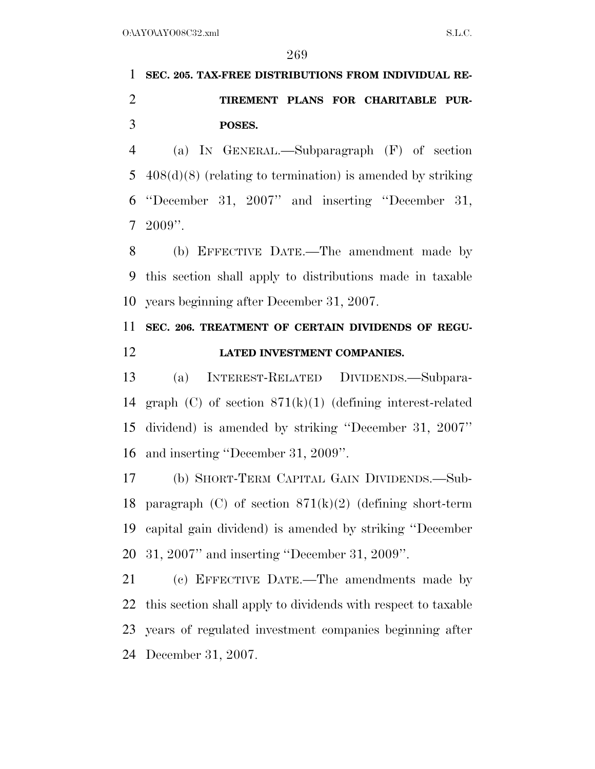# **SEC. 205. TAX-FREE DISTRIBUTIONS FROM INDIVIDUAL RE- TIREMENT PLANS FOR CHARITABLE PUR-POSES.**

 (a) IN GENERAL.—Subparagraph (F) of section 408(d)(8) (relating to termination) is amended by striking ''December 31, 2007'' and inserting ''December 31, 2009''.

 (b) EFFECTIVE DATE.—The amendment made by this section shall apply to distributions made in taxable years beginning after December 31, 2007.

### **SEC. 206. TREATMENT OF CERTAIN DIVIDENDS OF REGU-LATED INVESTMENT COMPANIES.**

 (a) INTEREST-RELATED DIVIDENDS.—Subpara- graph (C) of section 871(k)(1) (defining interest-related dividend) is amended by striking ''December 31, 2007'' and inserting ''December 31, 2009''.

 (b) SHORT-TERM CAPITAL GAIN DIVIDENDS.—Sub-18 paragraph (C) of section  $871(k)(2)$  (defining short-term capital gain dividend) is amended by striking ''December 31, 2007'' and inserting ''December 31, 2009''.

 (c) EFFECTIVE DATE.—The amendments made by this section shall apply to dividends with respect to taxable years of regulated investment companies beginning after December 31, 2007.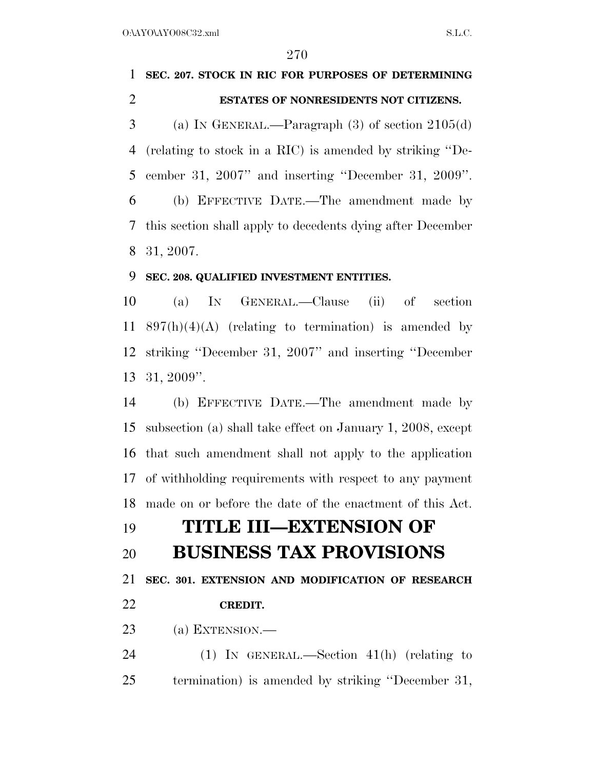# **SEC. 207. STOCK IN RIC FOR PURPOSES OF DETERMINING ESTATES OF NONRESIDENTS NOT CITIZENS.**  3 (a) IN GENERAL.—Paragraph  $(3)$  of section  $2105(d)$ (relating to stock in a RIC) is amended by striking ''De-

 cember 31, 2007'' and inserting ''December 31, 2009''. (b) EFFECTIVE DATE.—The amendment made by this section shall apply to decedents dying after December 31, 2007.

### **SEC. 208. QUALIFIED INVESTMENT ENTITIES.**

 (a) IN GENERAL.—Clause (ii) of section 11 897(h)(4)(A) (relating to termination) is amended by striking ''December 31, 2007'' and inserting ''December 31, 2009''.

 (b) EFFECTIVE DATE.—The amendment made by subsection (a) shall take effect on January 1, 2008, except that such amendment shall not apply to the application of withholding requirements with respect to any payment made on or before the date of the enactment of this Act.

# **TITLE III—EXTENSION OF**

### **BUSINESS TAX PROVISIONS**

**SEC. 301. EXTENSION AND MODIFICATION OF RESEARCH** 

### **CREDIT.**

(a) EXTENSION.—

 (1) IN GENERAL.—Section 41(h) (relating to termination) is amended by striking ''December 31,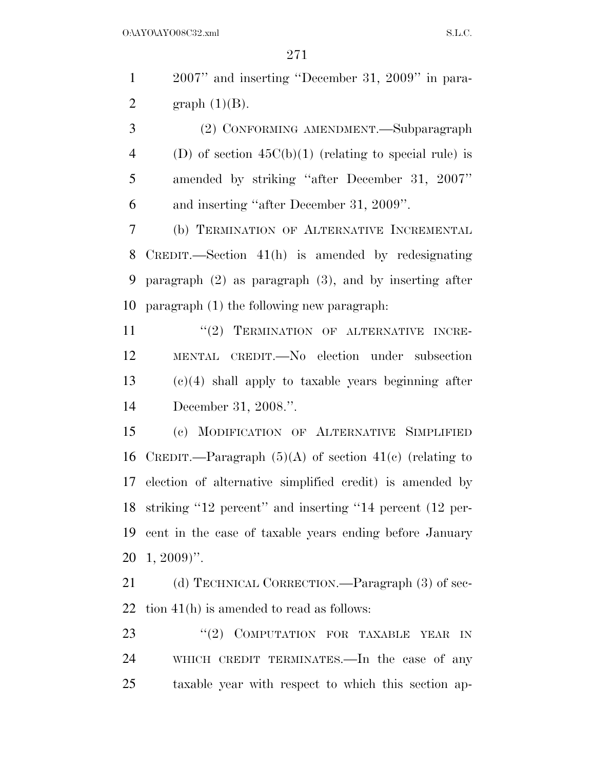2007'' and inserting ''December 31, 2009'' in para-2 graph  $(1)(B)$ .

 (2) CONFORMING AMENDMENT.—Subparagraph 4 (D) of section  $45C(b)(1)$  (relating to special rule) is amended by striking ''after December 31, 2007'' and inserting ''after December 31, 2009''.

 (b) TERMINATION OF ALTERNATIVE INCREMENTAL CREDIT.—Section 41(h) is amended by redesignating paragraph (2) as paragraph (3), and by inserting after paragraph (1) the following new paragraph:

11 "(2) TERMINATION OF ALTERNATIVE INCRE- MENTAL CREDIT.—No election under subsection (c)(4) shall apply to taxable years beginning after December 31, 2008.''.

 (c) MODIFICATION OF ALTERNATIVE SIMPLIFIED 16 CREDIT.—Paragraph  $(5)(A)$  of section  $41(e)$  (relating to election of alternative simplified credit) is amended by striking ''12 percent'' and inserting ''14 percent (12 per- cent in the case of taxable years ending before January 1, 2009)''.

21 (d) TECHNICAL CORRECTION.—Paragraph (3) of sec-tion 41(h) is amended to read as follows:

23 "(2) COMPUTATION FOR TAXABLE YEAR IN WHICH CREDIT TERMINATES.—In the case of any taxable year with respect to which this section ap-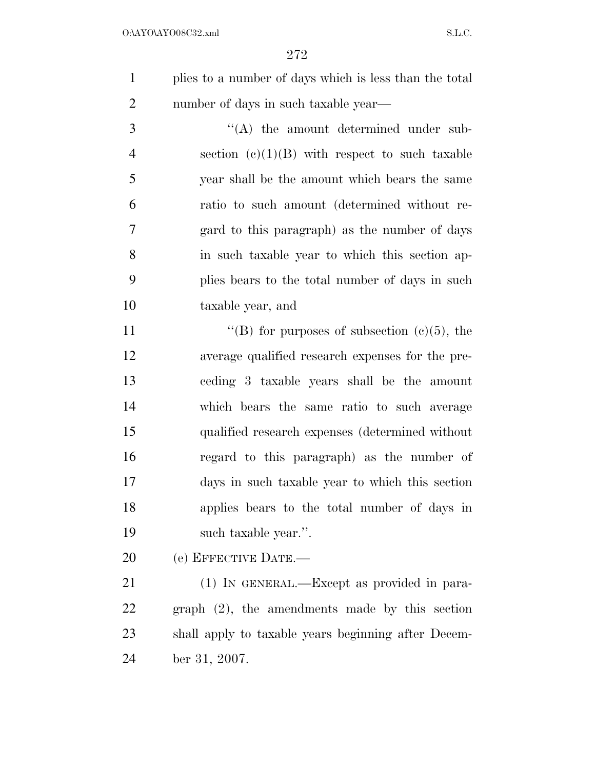| plies to a number of days which is less than the total |
|--------------------------------------------------------|
| number of days in such taxable year—                   |

 $\langle (A)$  the amount determined under sub-4 section  $(e)(1)(B)$  with respect to such taxable year shall be the amount which bears the same ratio to such amount (determined without re- gard to this paragraph) as the number of days in such taxable year to which this section ap- plies bears to the total number of days in such taxable year, and

 $"$ (B) for purposes of subsection (c)(5), the average qualified research expenses for the pre- ceding 3 taxable years shall be the amount which bears the same ratio to such average qualified research expenses (determined without regard to this paragraph) as the number of days in such taxable year to which this section applies bears to the total number of days in such taxable year.''.

(e) EFFECTIVE DATE.—

 (1) IN GENERAL.—Except as provided in para- graph (2), the amendments made by this section shall apply to taxable years beginning after Decem-ber 31, 2007.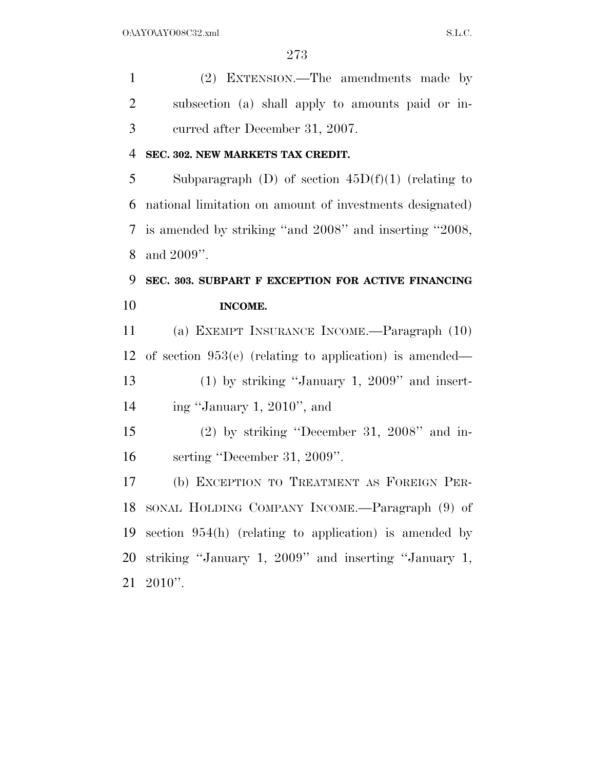(2) EXTENSION.—The amendments made by subsection (a) shall apply to amounts paid or in-curred after December 31, 2007.

### **SEC. 302. NEW MARKETS TAX CREDIT.**

5 Subparagraph (D) of section  $45D(f)(1)$  (relating to national limitation on amount of investments designated) is amended by striking ''and 2008'' and inserting ''2008, and 2009''.

## **SEC. 303. SUBPART F EXCEPTION FOR ACTIVE FINANCING INCOME.**

 (a) EXEMPT INSURANCE INCOME.—Paragraph (10) of section 953(e) (relating to application) is amended— (1) by striking ''January 1, 2009'' and insert- ing ''January 1, 2010'', and (2) by striking ''December 31, 2008'' and in-serting ''December 31, 2009''.

 (b) EXCEPTION TO TREATMENT AS FOREIGN PER- SONAL HOLDING COMPANY INCOME.—Paragraph (9) of section 954(h) (relating to application) is amended by striking ''January 1, 2009'' and inserting ''January 1, 2010''.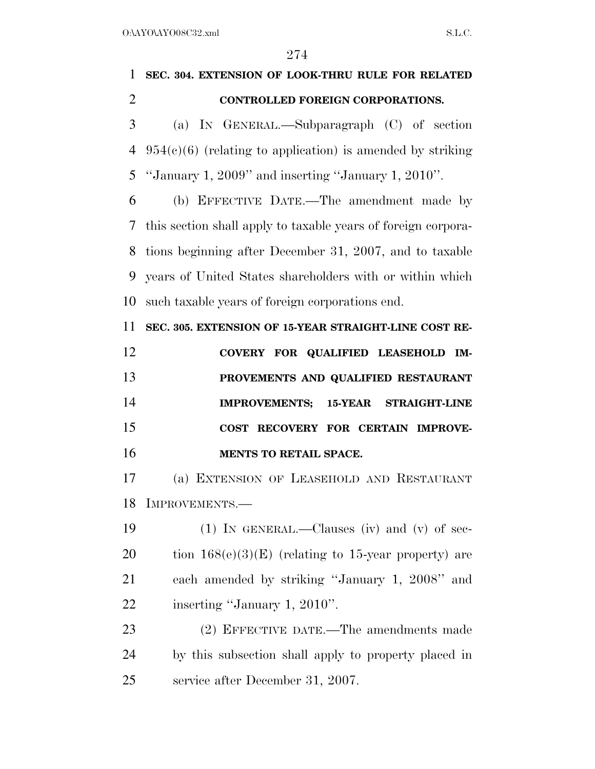| $\mathbf{1}$   | SEC. 304. EXTENSION OF LOOK-THRU RULE FOR RELATED             |
|----------------|---------------------------------------------------------------|
| $\overline{2}$ | CONTROLLED FOREIGN CORPORATIONS.                              |
| 3              | (a) IN GENERAL.—Subparagraph $(C)$ of section                 |
| $\overline{4}$ | $954(c)(6)$ (relating to application) is amended by striking  |
| 5              | "January 1, 2009" and inserting "January 1, 2010".            |
| 6              | (b) EFFECTIVE DATE.—The amendment made by                     |
| 7              | this section shall apply to taxable years of foreign corpora- |
| 8              | tions beginning after December 31, 2007, and to taxable       |
| 9              | years of United States shareholders with or within which      |
| 10             | such taxable years of foreign corporations end.               |
| 11             | SEC. 305. EXTENSION OF 15-YEAR STRAIGHT-LINE COST RE-         |
| 12             | COVERY FOR QUALIFIED LEASEHOLD<br>IM-                         |
| 13             | PROVEMENTS AND QUALIFIED RESTAURANT                           |
| 14             | <b>IMPROVEMENTS;</b><br><b>15-YEAR STRAIGHT-LINE</b>          |
| 15             | COST RECOVERY FOR CERTAIN IMPROVE-                            |
| 16             | MENTS TO RETAIL SPACE.                                        |
| 17             | (a) EXTENSION OF LEASEHOLD AND RESTAURANT                     |
|                | 18 IMPROVEMENTS.-                                             |
| 19             | (1) IN GENERAL.—Clauses (iv) and (v) of sec-                  |
| 20             | tion $168(e)(3)(E)$ (relating to 15-year property) are        |
| 21             | each amended by striking "January 1, 2008" and                |
| 22             | inserting "January 1, 2010".                                  |
| 23             | (2) EFFECTIVE DATE.—The amendments made                       |
| 24             | by this subsection shall apply to property placed in          |
| 25             | service after December 31, 2007.                              |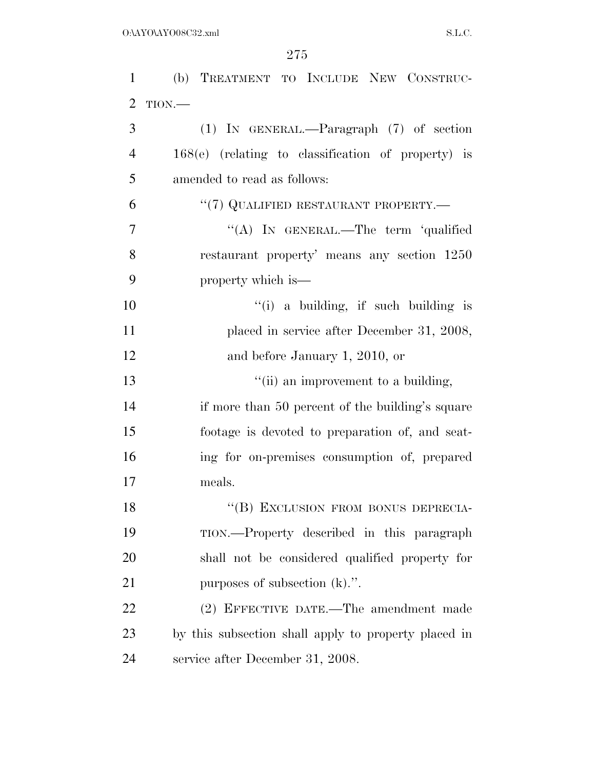| $\mathbf{1}$   | (b) TREATMENT TO INCLUDE NEW CONSTRUC-               |
|----------------|------------------------------------------------------|
| $\overline{2}$ | TION.                                                |
| 3              | $(1)$ IN GENERAL.—Paragraph $(7)$ of section         |
| $\overline{4}$ | $168(e)$ (relating to classification of property) is |
| 5              | amended to read as follows:                          |
| 6              | "(7) QUALIFIED RESTAURANT PROPERTY.—                 |
| 7              | "(A) IN GENERAL.—The term 'qualified                 |
| 8              | restaurant property' means any section 1250          |
| 9              | property which is—                                   |
| 10             | "(i) a building, if such building is                 |
| 11             | placed in service after December 31, 2008,           |
| 12             | and before January 1, 2010, or                       |
| 13             | "(ii) an improvement to a building,                  |
| 14             | if more than 50 percent of the building's square     |
| 15             | footage is devoted to preparation of, and seat-      |
| 16             | ing for on-premises consumption of, prepared         |
| 17             | meals.                                               |
| 18             | "(B) EXCLUSION FROM BONUS DEPRECIA-                  |
| 19             | TION.—Property described in this paragraph           |
| 20             | shall not be considered qualified property for       |
| 21             | purposes of subsection $(k)$ .".                     |
| 22             | (2) EFFECTIVE DATE.—The amendment made               |
| 23             | by this subsection shall apply to property placed in |
| 24             | service after December 31, 2008.                     |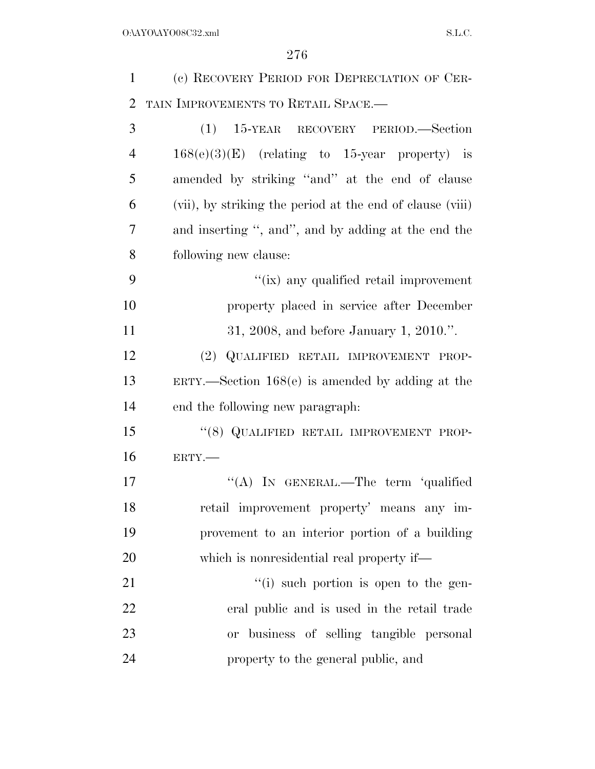| $\mathbf{1}$   | (c) RECOVERY PERIOD FOR DEPRECIATION OF CER-              |
|----------------|-----------------------------------------------------------|
| $\overline{2}$ | TAIN IMPROVEMENTS TO RETAIL SPACE.-                       |
| 3              | (1) 15-YEAR RECOVERY PERIOD.—Section                      |
| $\overline{4}$ | $168(e)(3)(E)$ (relating to 15-year property) is          |
| 5              | amended by striking "and" at the end of clause            |
| 6              | (vii), by striking the period at the end of clause (viii) |
| 7              | and inserting ", and", and by adding at the end the       |
| 8              | following new clause:                                     |
| 9              | "(ix) any qualified retail improvement                    |
| 10             | property placed in service after December                 |
| 11             | 31, 2008, and before January 1, 2010.".                   |
| 12             | (2) QUALIFIED RETAIL IMPROVEMENT PROP-                    |
| 13             | $ERTY.$ Section 168 $(e)$ is amended by adding at the     |
| 14             | end the following new paragraph.                          |
| 15             | "(8) QUALIFIED RETAIL IMPROVEMENT PROP-                   |
| 16             | ERTY.-                                                    |
| 17             | "(A) IN GENERAL.—The term 'qualified                      |
| 18             | retail improvement property' means any im-                |
| 19             | provement to an interior portion of a building            |
| 20             | which is nonresidential real property if—                 |
| 21             | $``(i)$ such portion is open to the gen-                  |
| 22             | eral public and is used in the retail trade               |
| 23             | or business of selling tangible personal                  |
| 24             | property to the general public, and                       |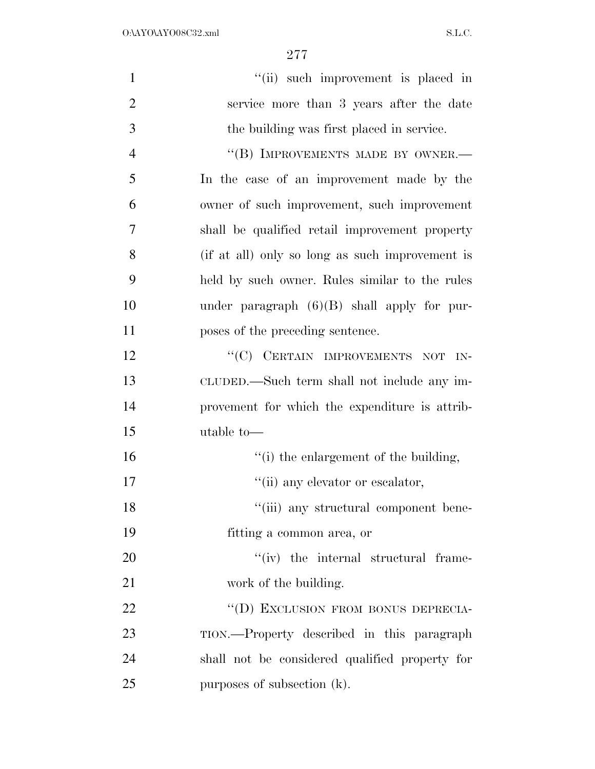| $\mathbf{1}$   | "(ii) such improvement is placed in             |
|----------------|-------------------------------------------------|
| $\overline{2}$ | service more than 3 years after the date        |
| 3              | the building was first placed in service.       |
| $\overline{4}$ | "(B) IMPROVEMENTS MADE BY OWNER.-               |
| 5              | In the case of an improvement made by the       |
| 6              | owner of such improvement, such improvement     |
| 7              | shall be qualified retail improvement property  |
| 8              | (if at all) only so long as such improvement is |
| 9              | held by such owner. Rules similar to the rules  |
| 10             | under paragraph $(6)(B)$ shall apply for pur-   |
| 11             | poses of the preceding sentence.                |
| 12             | "(C) CERTAIN IMPROVEMENTS NOT IN-               |
| 13             | CLUDED.—Such term shall not include any im-     |
| 14             | provement for which the expenditure is attrib-  |
| 15             | utable to-                                      |
| 16             | "(i) the enlargement of the building,           |
| 17             | "(ii) any elevator or escalator,                |
| 18             | "(iii) any structural component bene-           |
| 19             | fitting a common area, or                       |
| 20             | $``(iv)$ the internal structural frame-         |
| 21             | work of the building.                           |
| 22             | "(D) EXCLUSION FROM BONUS DEPRECIA-             |
| 23             | TION.—Property described in this paragraph      |
| 24             | shall not be considered qualified property for  |
| 25             | purposes of subsection (k).                     |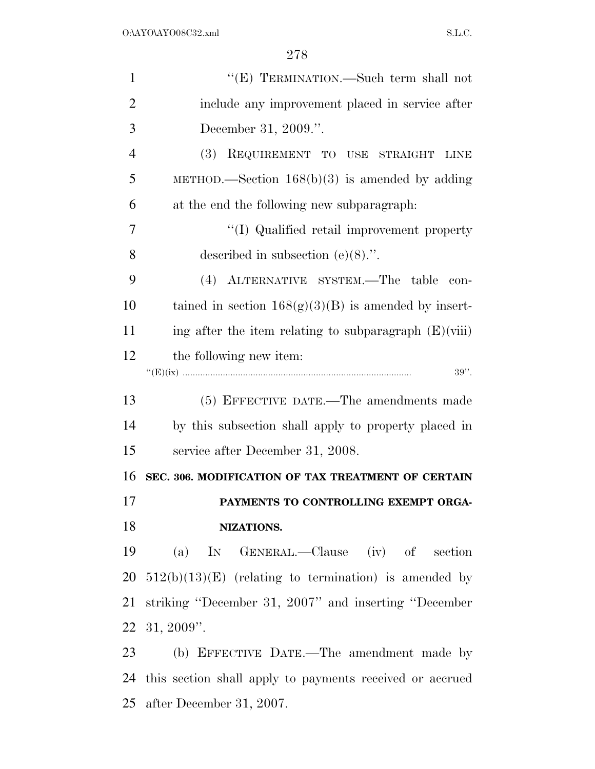| $\mathbf{1}$   | "(E) TERMINATION.—Such term shall not                    |
|----------------|----------------------------------------------------------|
| $\overline{2}$ | include any improvement placed in service after          |
| 3              | December 31, 2009.".                                     |
| $\overline{4}$ | REQUIREMENT TO USE STRAIGHT<br><b>(3)</b><br><b>LINE</b> |
| 5              | METHOD.—Section $168(b)(3)$ is amended by adding         |
| 6              | at the end the following new subparagraph.               |
| 7              | "(I) Qualified retail improvement property               |
| 8              | described in subsection $(e)(8)$ .".                     |
| 9              | (4) ALTERNATIVE SYSTEM.—The table<br>con-                |
| 10             | tained in section $168(g)(3)(B)$ is amended by insert-   |
| 11             | ing after the item relating to subparagraph $(E)(viii)$  |
| 12             | the following new item:                                  |
|                | $39"$ .                                                  |
|                |                                                          |
| 13             | (5) EFFECTIVE DATE.—The amendments made                  |
| 14             | by this subsection shall apply to property placed in     |
| 15             | service after December 31, 2008.                         |
| 16             | SEC. 306. MODIFICATION OF TAX TREATMENT OF CERTAIN       |
| 17             | PAYMENTS TO CONTROLLING EXEMPT ORGA-                     |
| 18             | NIZATIONS.                                               |
| 19             | (a) IN GENERAL.—Clause (iv) of section                   |
| 20             | $512(b)(13)(E)$ (relating to termination) is amended by  |
| 21             | striking "December 31, 2007" and inserting "December     |
|                | 22 31, 2009".                                            |
| 23             | (b) EFFECTIVE DATE.—The amendment made by                |

after December 31, 2007.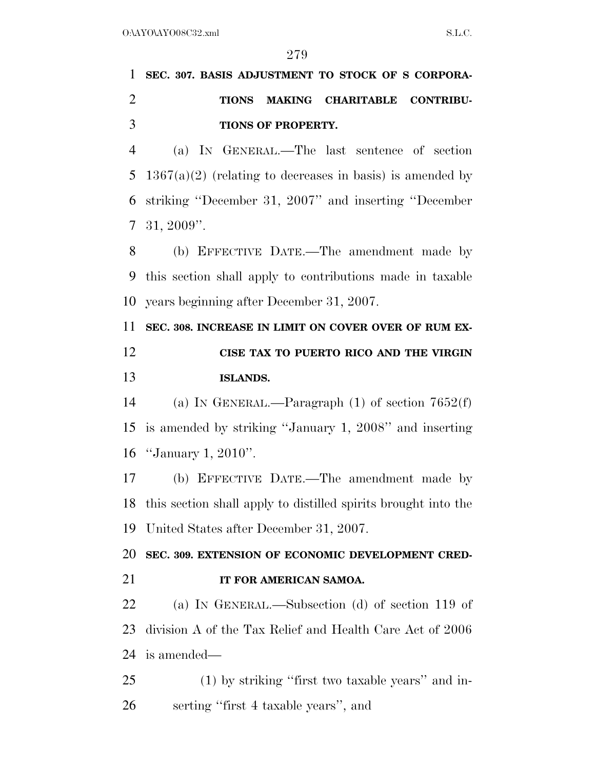# **SEC. 307. BASIS ADJUSTMENT TO STOCK OF S CORPORA- TIONS MAKING CHARITABLE CONTRIBU- TIONS OF PROPERTY.**  (a) IN GENERAL.—The last sentence of section 5  $1367(a)(2)$  (relating to decreases in basis) is amended by

 striking ''December 31, 2007'' and inserting ''December 31, 2009''.

 (b) EFFECTIVE DATE.—The amendment made by this section shall apply to contributions made in taxable years beginning after December 31, 2007.

 **SEC. 308. INCREASE IN LIMIT ON COVER OVER OF RUM EX- CISE TAX TO PUERTO RICO AND THE VIRGIN ISLANDS.** 

 (a) IN GENERAL.—Paragraph (1) of section 7652(f) is amended by striking ''January 1, 2008'' and inserting ''January 1, 2010''.

 (b) EFFECTIVE DATE.—The amendment made by this section shall apply to distilled spirits brought into the United States after December 31, 2007.

**SEC. 309. EXTENSION OF ECONOMIC DEVELOPMENT CRED-**

**IT FOR AMERICAN SAMOA.** 

 (a) IN GENERAL.—Subsection (d) of section 119 of division A of the Tax Relief and Health Care Act of 2006 is amended—

 (1) by striking ''first two taxable years'' and in-serting ''first 4 taxable years'', and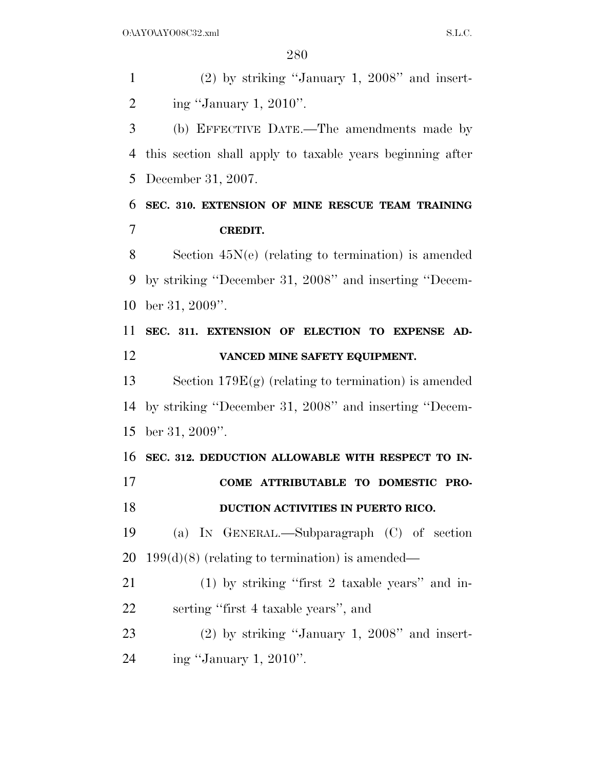(2) by striking ''January 1, 2008'' and insert-2 ing "January 1, ".

 (b) EFFECTIVE DATE.—The amendments made by this section shall apply to taxable years beginning after December 31, 2007.

### **SEC. 310. EXTENSION OF MINE RESCUE TEAM TRAINING CREDIT.**

 Section 45N(e) (relating to termination) is amended by striking ''December 31, 2008'' and inserting ''Decem-ber 31, 2009''.

### **SEC. 311. EXTENSION OF ELECTION TO EXPENSE AD-VANCED MINE SAFETY EQUIPMENT.**

 Section 179E(g) (relating to termination) is amended by striking ''December 31, 2008'' and inserting ''Decem-ber 31, 2009''.

 **SEC. 312. DEDUCTION ALLOWABLE WITH RESPECT TO IN- COME ATTRIBUTABLE TO DOMESTIC PRO- DUCTION ACTIVITIES IN PUERTO RICO.**  (a) IN GENERAL.—Subparagraph (C) of section 20 199 $(d)(8)$  (relating to termination) is amended— (1) by striking ''first 2 taxable years'' and in-

serting ''first 4 taxable years'', and

 (2) by striking ''January 1, 2008'' and insert-ing ''January 1, 2010''.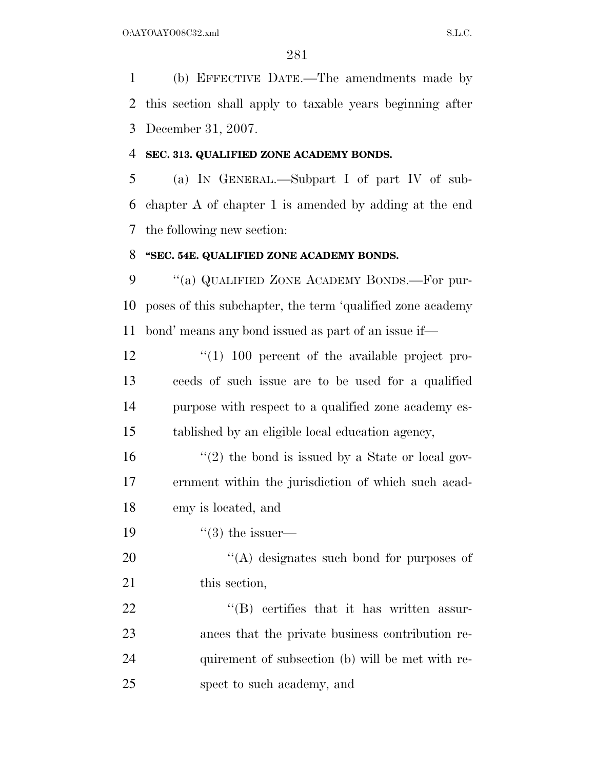(b) EFFECTIVE DATE.—The amendments made by this section shall apply to taxable years beginning after December 31, 2007.

### **SEC. 313. QUALIFIED ZONE ACADEMY BONDS.**

 (a) IN GENERAL.—Subpart I of part IV of sub- chapter A of chapter 1 is amended by adding at the end the following new section:

### **''SEC. 54E. QUALIFIED ZONE ACADEMY BONDS.**

9 "(a) QUALIFIED ZONE ACADEMY BONDS.—For pur- poses of this subchapter, the term 'qualified zone academy bond' means any bond issued as part of an issue if—

 $\frac{100}{100}$  percent of the available project pro- ceeds of such issue are to be used for a qualified purpose with respect to a qualified zone academy es-tablished by an eligible local education agency,

16  $\frac{16}{2}$  the bond is issued by a State or local gov- ernment within the jurisdiction of which such acad-emy is located, and

19  $\frac{1}{3}$  the issuer—

20  $\langle (A)$  designates such bond for purposes of 21 this section,

22 "'(B) certifies that it has written assur- ances that the private business contribution re- quirement of subsection (b) will be met with re-spect to such academy, and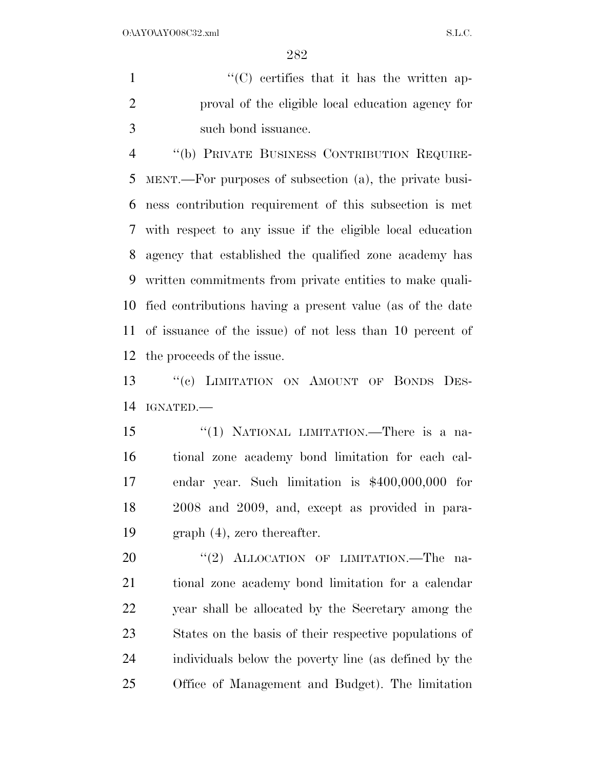1  $\langle ^{\prime}(C) \rangle$  certifies that it has the written ap- proval of the eligible local education agency for such bond issuance.

 ''(b) PRIVATE BUSINESS CONTRIBUTION REQUIRE- MENT.—For purposes of subsection (a), the private busi- ness contribution requirement of this subsection is met with respect to any issue if the eligible local education agency that established the qualified zone academy has written commitments from private entities to make quali- fied contributions having a present value (as of the date of issuance of the issue) of not less than 10 percent of the proceeds of the issue.

 ''(c) LIMITATION ON AMOUNT OF BONDS DES-IGNATED.—

 ''(1) NATIONAL LIMITATION.—There is a na- tional zone academy bond limitation for each cal- endar year. Such limitation is \$400,000,000 for 2008 and 2009, and, except as provided in para-graph (4), zero thereafter.

20 "(2) ALLOCATION OF LIMITATION.—The na- tional zone academy bond limitation for a calendar year shall be allocated by the Secretary among the States on the basis of their respective populations of individuals below the poverty line (as defined by the Office of Management and Budget). The limitation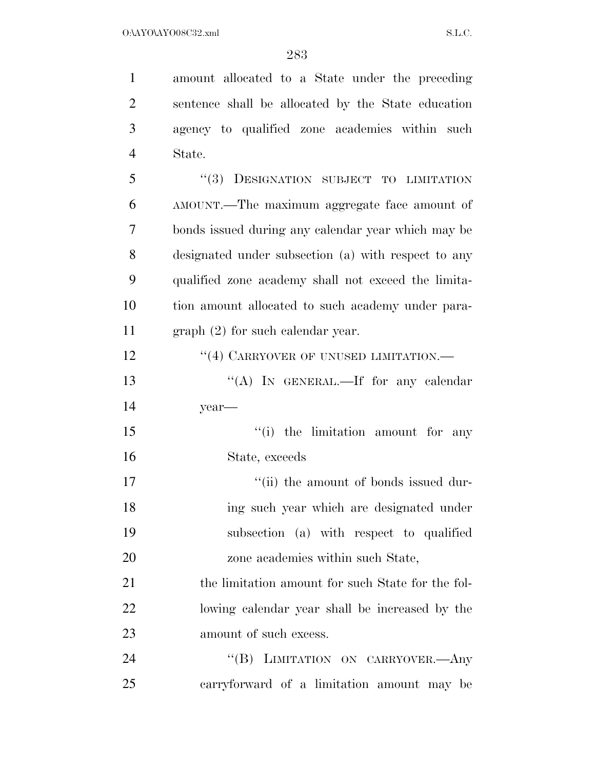| $\mathbf{1}$   | amount allocated to a State under the preceding     |
|----------------|-----------------------------------------------------|
| $\overline{2}$ | sentence shall be allocated by the State education  |
| 3              | agency to qualified zone academies within such      |
| $\overline{4}$ | State.                                              |
| 5              | "(3) DESIGNATION SUBJECT TO LIMITATION              |
| 6              | AMOUNT.—The maximum aggregate face amount of        |
| 7              | bonds issued during any calendar year which may be  |
| 8              | designated under subsection (a) with respect to any |
| 9              | qualified zone academy shall not exceed the limita- |
| 10             | tion amount allocated to such academy under para-   |
| 11             | $graph (2)$ for such calendar year.                 |
| 12             | $``(4)$ CARRYOVER OF UNUSED LIMITATION.—            |
| 13             | "(A) IN GENERAL.—If for any calendar                |
| 14             | year-                                               |
| 15             | "(i) the limitation amount for any                  |
| 16             | State, exceeds                                      |
| 17             | "(ii) the amount of bonds issued dur-               |
| 18             | ing such year which are designated under            |
| 19             | subsection (a) with respect to qualified            |
| 20             | zone academies within such State,                   |
| 21             | the limitation amount for such State for the fol-   |
| 22             | lowing calendar year shall be increased by the      |
| 23             | amount of such excess.                              |
| 24             | $\lq\lq (B)$<br>LIMITATION ON CARRYOVER.- Any       |
| 25             | carryforward of a limitation amount may be          |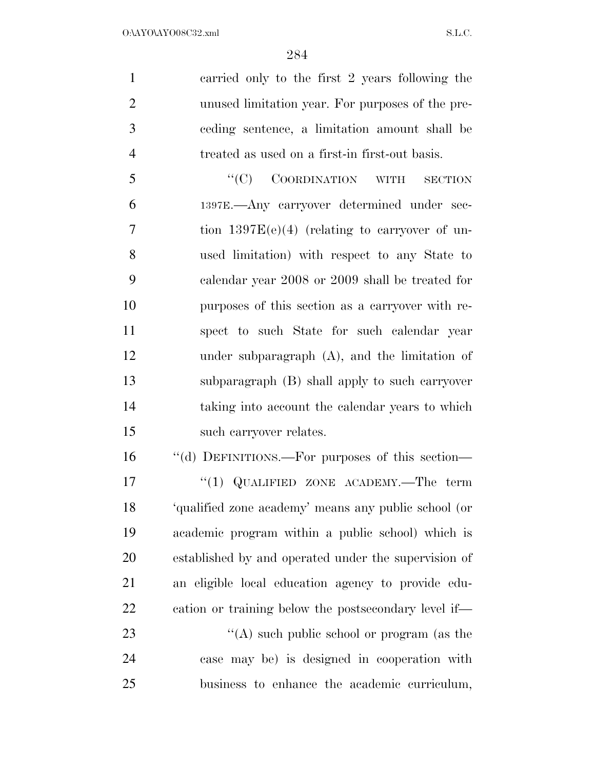carried only to the first 2 years following the unused limitation year. For purposes of the pre- ceding sentence, a limitation amount shall be treated as used on a first-in first-out basis.

5 "'(C) COORDINATION WITH SECTION 1397E.—Any carryover determined under sec- tion 1397E(e)(4) (relating to carryover of un- used limitation) with respect to any State to calendar year 2008 or 2009 shall be treated for purposes of this section as a carryover with re- spect to such State for such calendar year under subparagraph (A), and the limitation of subparagraph (B) shall apply to such carryover taking into account the calendar years to which such carryover relates.

 ''(d) DEFINITIONS.—For purposes of this section— 17 <sup>"</sup>(1) QUALIFIED ZONE ACADEMY.—The term 'qualified zone academy' means any public school (or academic program within a public school) which is established by and operated under the supervision of an eligible local education agency to provide edu- cation or training below the postsecondary level if— 23 ''(A) such public school or program (as the

 case may be) is designed in cooperation with business to enhance the academic curriculum,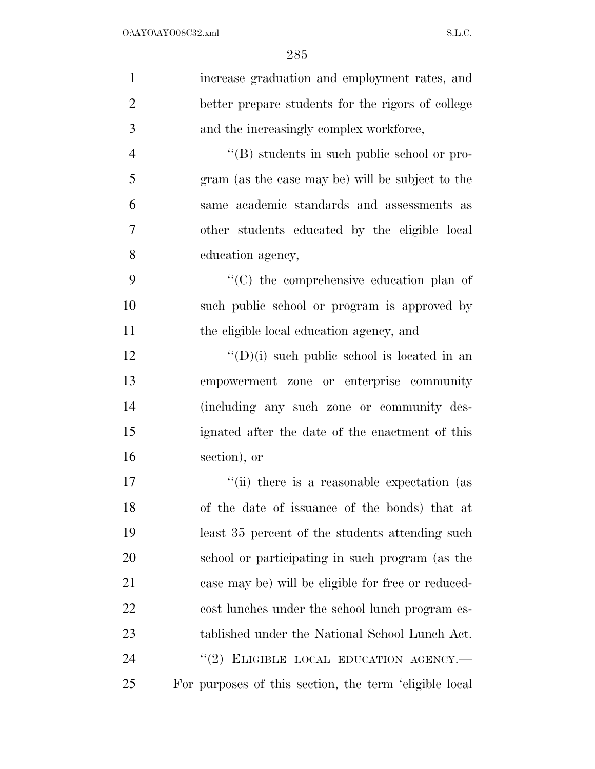| $\mathbf{1}$   | increase graduation and employment rates, and          |
|----------------|--------------------------------------------------------|
| $\overline{2}$ | better prepare students for the rigors of college      |
| 3              | and the increasingly complex workforce,                |
| $\overline{4}$ | $\lq\lq (B)$ students in such public school or pro-    |
| 5              | gram (as the case may be) will be subject to the       |
| 6              | same academic standards and assessments as             |
| $\overline{7}$ | other students educated by the eligible local          |
| 8              | education agency,                                      |
| 9              | "(C) the comprehensive education plan of               |
| 10             | such public school or program is approved by           |
| 11             | the eligible local education agency, and               |
| 12             | $\lq\lq$ (D)(i) such public school is located in an    |
| 13             | empowerment zone or enterprise community               |
| 14             | (including any such zone or community des-             |
| 15             | ignated after the date of the enactment of this        |
| 16             | section), or                                           |
| 17             | "(ii) there is a reasonable expectation (as            |
| 18             | of the date of issuance of the bonds) that at          |
| 19             | least 35 percent of the students attending such        |
| 20             | school or participating in such program (as the        |
| 21             | case may be) will be eligible for free or reduced-     |
| 22             | cost lunches under the school lunch program es-        |
| 23             | tablished under the National School Lunch Act.         |
| 24             | "(2) ELIGIBLE LOCAL EDUCATION AGENCY.-                 |
| 25             | For purposes of this section, the term 'eligible local |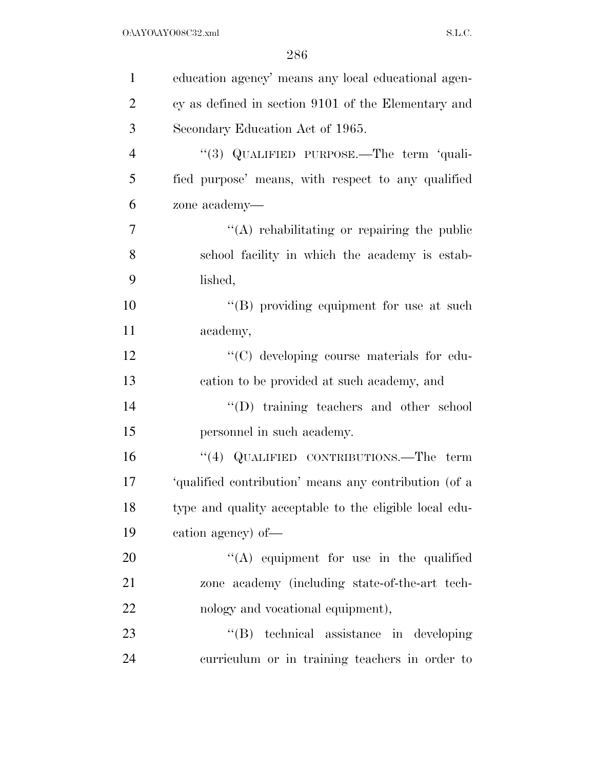| $\mathbf{1}$   | education agency' means any local educational agen-    |
|----------------|--------------------------------------------------------|
| $\overline{2}$ | cy as defined in section 9101 of the Elementary and    |
| 3              | Secondary Education Act of 1965.                       |
| $\overline{4}$ | "(3) QUALIFIED PURPOSE.—The term 'quali-               |
| 5              | fied purpose' means, with respect to any qualified     |
| 6              | zone academy—                                          |
| 7              | "(A) rehabilitating or repairing the public            |
| 8              | school facility in which the academy is estab-         |
| 9              | lished,                                                |
| 10             | "(B) providing equipment for use at such               |
| 11             | academy,                                               |
| 12             | "(C) developing course materials for edu-              |
| 13             | cation to be provided at such academy, and             |
| 14             | "(D) training teachers and other school                |
| 15             | personnel in such academy.                             |
| 16             | "(4) QUALIFIED CONTRIBUTIONS.—The term                 |
| 17             | 'qualified contribution' means any contribution (of a  |
| 18             | type and quality acceptable to the eligible local edu- |
| 19             | cation agency) of—                                     |
| 20             | $\lq\lq$ equipment for use in the qualified            |
| 21             | zone academy (including state-of-the-art tech-         |
| 22             | nology and vocational equipment),                      |
| 23             | "(B) technical assistance in developing                |
| 24             | curriculum or in training teachers in order to         |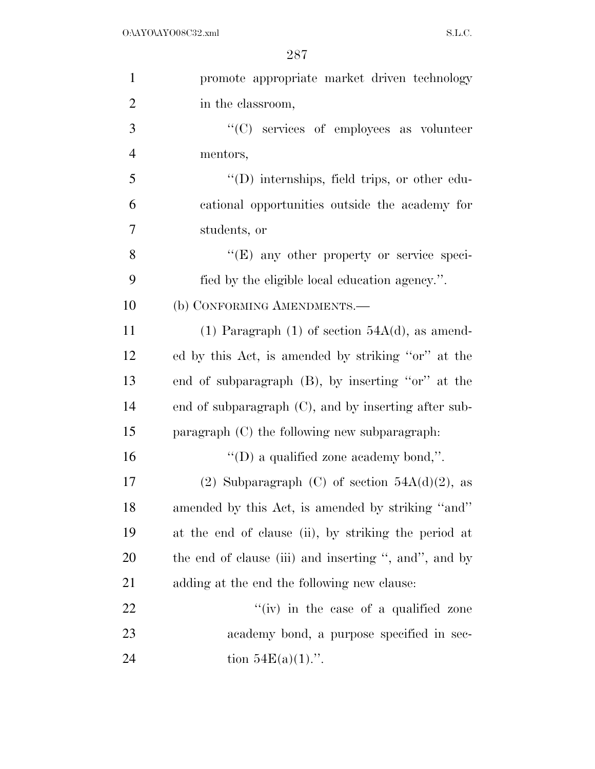| $\mathbf{1}$   | promote appropriate market driven technology            |
|----------------|---------------------------------------------------------|
| $\overline{2}$ | in the classroom,                                       |
| 3              | "(C) services of employees as volunteer                 |
| $\overline{4}$ | mentors,                                                |
| 5              | $\lq\lq$ (D) internships, field trips, or other edu-    |
| 6              | cational opportunities outside the academy for          |
| 7              | students, or                                            |
| 8              | $\lq\lq(E)$ any other property or service speci-        |
| 9              | fied by the eligible local education agency.".          |
| 10             | (b) CONFORMING AMENDMENTS.—                             |
| 11             | (1) Paragraph (1) of section $54A(d)$ , as amend-       |
| 12             | ed by this Act, is amended by striking "or" at the      |
| 13             | end of subparagraph (B), by inserting "or" at the       |
| 14             | end of subparagraph $(C)$ , and by inserting after sub- |
| 15             | paragraph (C) the following new subparagraph.           |
| 16             | "(D) a qualified zone academy bond,".                   |
| 17             | (2) Subparagraph (C) of section $54A(d)(2)$ , as        |
| 18             | amended by this Act, is amended by striking "and"       |
| 19             | at the end of clause (ii), by striking the period at    |
| <b>20</b>      | the end of clause (iii) and inserting ", and", and by   |
| 21             | adding at the end the following new clause:             |
| 22             | "(iv) in the case of a qualified zone                   |
| 23             | academy bond, a purpose specified in sec-               |
| 24             | tion $54E(a)(1)$ .".                                    |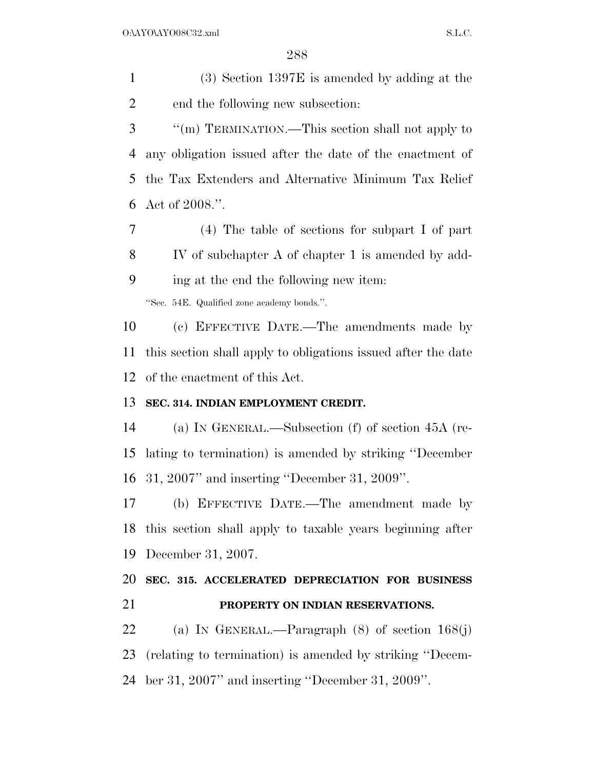(3) Section 1397E is amended by adding at the end the following new subsection:

 ''(m) TERMINATION.—This section shall not apply to any obligation issued after the date of the enactment of the Tax Extenders and Alternative Minimum Tax Relief Act of 2008.''.

 (4) The table of sections for subpart I of part IV of subchapter A of chapter 1 is amended by add- ing at the end the following new item: ''Sec. 54E. Qualified zone academy bonds.''.

 (c) EFFECTIVE DATE.—The amendments made by this section shall apply to obligations issued after the date of the enactment of this Act.

### **SEC. 314. INDIAN EMPLOYMENT CREDIT.**

 (a) IN GENERAL.—Subsection (f) of section 45A (re- lating to termination) is amended by striking ''December 31, 2007'' and inserting ''December 31, 2009''.

 (b) EFFECTIVE DATE.—The amendment made by this section shall apply to taxable years beginning after December 31, 2007.

## **SEC. 315. ACCELERATED DEPRECIATION FOR BUSINESS PROPERTY ON INDIAN RESERVATIONS.**

 (a) IN GENERAL.—Paragraph (8) of section 168(j) (relating to termination) is amended by striking ''Decem-ber 31, 2007'' and inserting ''December 31, 2009''.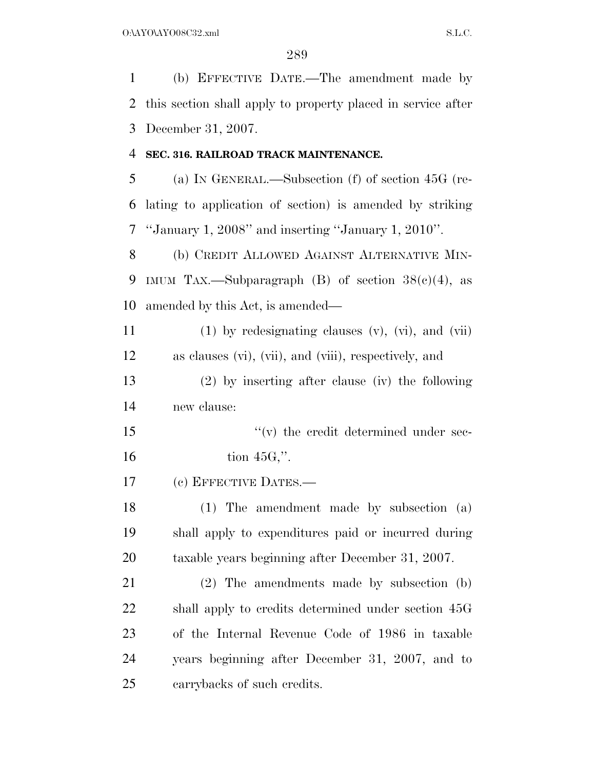(b) EFFECTIVE DATE.—The amendment made by this section shall apply to property placed in service after December 31, 2007.

#### **SEC. 316. RAILROAD TRACK MAINTENANCE.**

 (a) IN GENERAL.—Subsection (f) of section 45G (re- lating to application of section) is amended by striking ''January 1, 2008'' and inserting ''January 1, 2010''.

 (b) CREDIT ALLOWED AGAINST ALTERNATIVE MIN-9 IMUM TAX.—Subparagraph (B) of section  $38(c)(4)$ , as amended by this Act, is amended—

11  $(1)$  by redesignating clauses  $(v)$ ,  $(vi)$ , and  $(vii)$ as clauses (vi), (vii), and (viii), respectively, and

 (2) by inserting after clause (iv) the following new clause:

15  $''(v)$  the credit determined under sec-tion  $45G$ ,".

(c) EFFECTIVE DATES.—

 (1) The amendment made by subsection (a) shall apply to expenditures paid or incurred during taxable years beginning after December 31, 2007.

 (2) The amendments made by subsection (b) shall apply to credits determined under section 45G of the Internal Revenue Code of 1986 in taxable years beginning after December 31, 2007, and to carrybacks of such credits.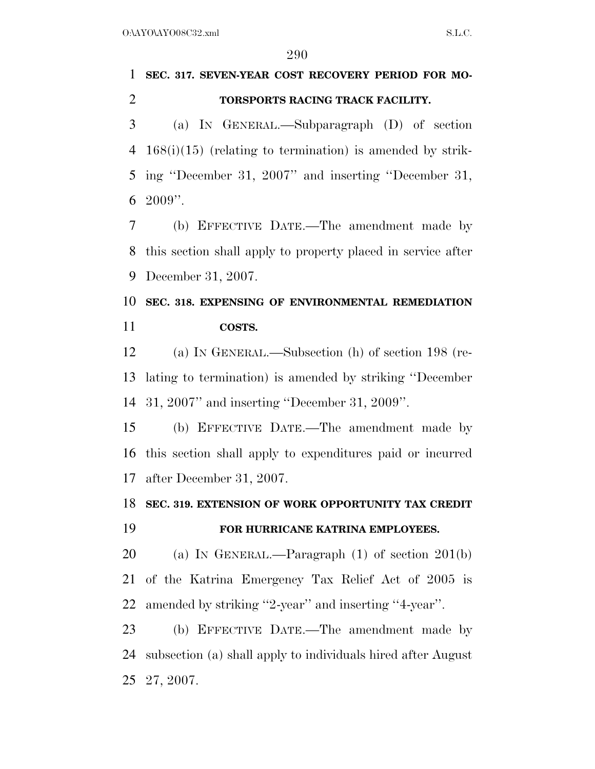## **SEC. 317. SEVEN-YEAR COST RECOVERY PERIOD FOR MO-TORSPORTS RACING TRACK FACILITY.**

 (a) IN GENERAL.—Subparagraph (D) of section 168(i)(15) (relating to termination) is amended by strik- ing ''December 31, 2007'' and inserting ''December 31, 2009''.

 (b) EFFECTIVE DATE.—The amendment made by this section shall apply to property placed in service after December 31, 2007.

## **SEC. 318. EXPENSING OF ENVIRONMENTAL REMEDIATION COSTS.**

 (a) IN GENERAL.—Subsection (h) of section 198 (re- lating to termination) is amended by striking ''December 31, 2007'' and inserting ''December 31, 2009''.

 (b) EFFECTIVE DATE.—The amendment made by this section shall apply to expenditures paid or incurred after December 31, 2007.

#### **SEC. 319. EXTENSION OF WORK OPPORTUNITY TAX CREDIT**

#### **FOR HURRICANE KATRINA EMPLOYEES.**

 (a) IN GENERAL.—Paragraph (1) of section 201(b) of the Katrina Emergency Tax Relief Act of 2005 is amended by striking ''2-year'' and inserting ''4-year''.

 (b) EFFECTIVE DATE.—The amendment made by subsection (a) shall apply to individuals hired after August 27, 2007.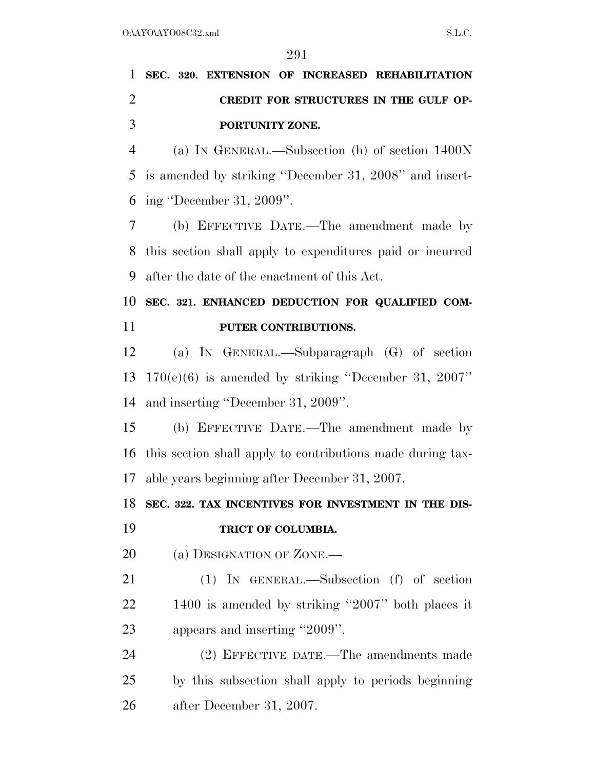# **SEC. 320. EXTENSION OF INCREASED REHABILITATION CREDIT FOR STRUCTURES IN THE GULF OP-PORTUNITY ZONE.**

 (a) IN GENERAL.—Subsection (h) of section 1400N is amended by striking ''December 31, 2008'' and insert-ing ''December 31, 2009''.

 (b) EFFECTIVE DATE.—The amendment made by this section shall apply to expenditures paid or incurred after the date of the enactment of this Act.

## **SEC. 321. ENHANCED DEDUCTION FOR QUALIFIED COM-PUTER CONTRIBUTIONS.**

 (a) IN GENERAL.—Subparagraph (G) of section 170(e)(6) is amended by striking ''December 31, 2007'' and inserting ''December 31, 2009''.

 (b) EFFECTIVE DATE.—The amendment made by this section shall apply to contributions made during tax-able years beginning after December 31, 2007.

**SEC. 322. TAX INCENTIVES FOR INVESTMENT IN THE DIS-**

**TRICT OF COLUMBIA.** 

20 (a) DESIGNATION OF ZONE.—

 (1) IN GENERAL.—Subsection (f) of section 1400 is amended by striking ''2007'' both places it appears and inserting ''2009''.

 (2) EFFECTIVE DATE.—The amendments made by this subsection shall apply to periods beginning after December 31, 2007.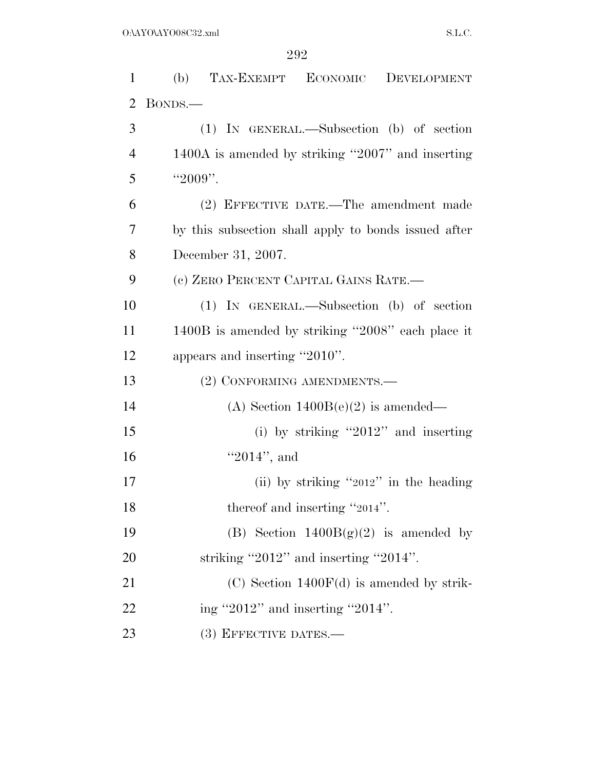| $\mathbf{1}$   | (b)<br>TAX-EXEMPT ECONOMIC DEVELOPMENT               |
|----------------|------------------------------------------------------|
| $\overline{2}$ | BONDS.—                                              |
| 3              | $(1)$ IN GENERAL.—Subsection $(b)$ of section        |
| $\overline{4}$ | 1400A is amended by striking "2007" and inserting    |
| 5              | "2009".                                              |
| 6              | (2) EFFECTIVE DATE.—The amendment made               |
| 7              | by this subsection shall apply to bonds issued after |
| 8              | December 31, 2007.                                   |
| 9              | (c) ZERO PERCENT CAPITAL GAINS RATE.-                |
| 10             | $(1)$ IN GENERAL.—Subsection $(b)$ of section        |
| 11             | 1400B is amended by striking "2008" each place it    |
| 12             | appears and inserting "2010".                        |
| 13             | (2) CONFORMING AMENDMENTS.—                          |
| 14             | (A) Section $1400B(e)(2)$ is amended—                |
| 15             | (i) by striking "2012" and inserting                 |
| 16             | " $2014$ ", and                                      |
| 17             | (ii) by striking "2012" in the heading               |
| 18             | thereof and inserting "2014".                        |
| 19             | (B) Section $1400B(g)(2)$ is amended by              |
| 20             | striking "2012" and inserting "2014".                |
| 21             | $(C)$ Section 1400 $F(d)$ is amended by strik-       |
| 22             | ing "2012" and inserting "2014".                     |
| 23             | $(3)$ EFFECTIVE DATES.—                              |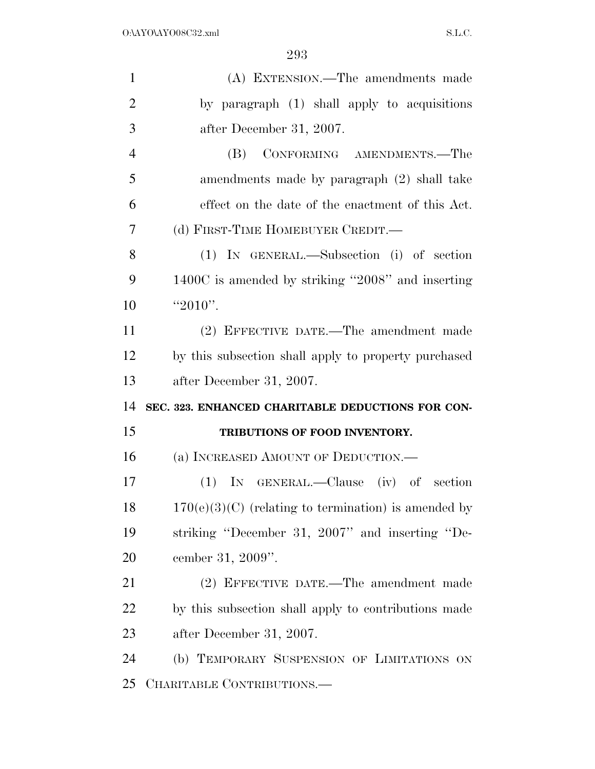| $\mathbf{1}$   | (A) EXTENSION.—The amendments made                     |
|----------------|--------------------------------------------------------|
| $\overline{2}$ | by paragraph (1) shall apply to acquisitions           |
| 3              | after December 31, 2007.                               |
| $\overline{4}$ | CONFORMING AMENDMENTS.—The<br>(B)                      |
| 5              | amendments made by paragraph (2) shall take            |
| 6              | effect on the date of the enactment of this Act.       |
| 7              | (d) FIRST-TIME HOMEBUYER CREDIT.-                      |
| 8              | (1) IN GENERAL.—Subsection (i) of section              |
| 9              | 1400C is amended by striking "2008" and inserting      |
| 10             | " $2010"$ .                                            |
| 11             | (2) EFFECTIVE DATE.—The amendment made                 |
| 12             | by this subsection shall apply to property purchased   |
|                |                                                        |
| 13             | after December 31, 2007.                               |
| 14             | SEC. 323. ENHANCED CHARITABLE DEDUCTIONS FOR CON-      |
| 15             | TRIBUTIONS OF FOOD INVENTORY.                          |
| 16             | (a) INCREASED AMOUNT OF DEDUCTION.—                    |
| 17             | $(1)$ IN GENERAL.—Clause (iv) of section               |
| 18             | $170(e)(3)(C)$ (relating to termination) is amended by |
| 19             | striking "December 31, 2007" and inserting "De-        |
| 20             | cember 31, 2009".                                      |
| 21             | (2) EFFECTIVE DATE.—The amendment made                 |
| 22             | by this subsection shall apply to contributions made   |
| 23             | after December 31, 2007.                               |
| 24             | (b) TEMPORARY SUSPENSION OF LIMITATIONS ON             |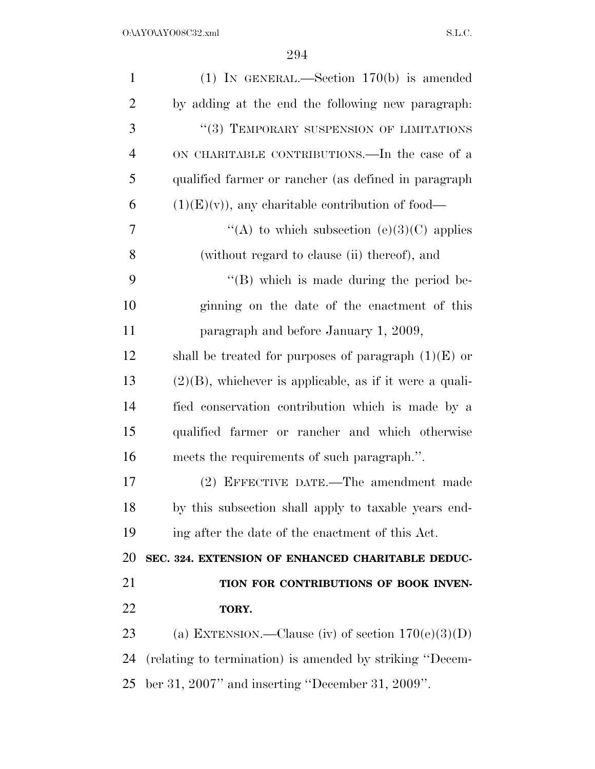| $\mathbf{1}$   | (1) IN GENERAL.—Section $170(b)$ is amended                |
|----------------|------------------------------------------------------------|
| $\overline{2}$ | by adding at the end the following new paragraph:          |
| 3              | "(3) TEMPORARY SUSPENSION OF LIMITATIONS                   |
| $\overline{4}$ | ON CHARITABLE CONTRIBUTIONS.—In the case of a              |
| 5              | qualified farmer or rancher (as defined in paragraph       |
| 6              | $(1)(E)(v)$ , any charitable contribution of food—         |
| 7              | "(A) to which subsection (e)(3)(C) applies                 |
| 8              | (without regard to clause (ii) thereof), and               |
| 9              | $\lq\lq (B)$ which is made during the period be-           |
| 10             | ginning on the date of the enactment of this               |
| 11             | paragraph and before January 1, 2009,                      |
| 12             | shall be treated for purposes of paragraph $(1)(E)$ or     |
| 13             | $(2)(B)$ , whichever is applicable, as if it were a quali- |
| 14             | fied conservation contribution which is made by a          |
| 15             | qualified farmer or rancher and which otherwise            |
| 16             | meets the requirements of such paragraph.".                |
| 17             | (2) EFFECTIVE DATE.—The amendment made                     |
| 18             | by this subsection shall apply to taxable years end-       |
| 19             | ing after the date of the enactment of this Act.           |
| 20             | SEC. 324. EXTENSION OF ENHANCED CHARITABLE DEDUC-          |
| 21             | TION FOR CONTRIBUTIONS OF BOOK INVEN-                      |
| 22             | TORY.                                                      |
| 23             | (a) EXTENSION.—Clause (iv) of section $170(e)(3)(D)$       |
| 24             | (relating to termination) is amended by striking "Decem-   |
| 25             | ber 31, 2007" and inserting "December 31, 2009".           |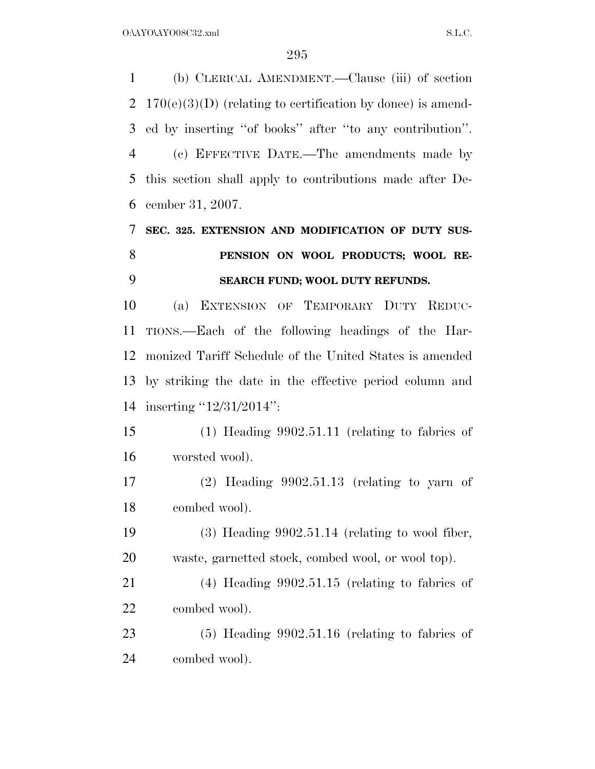(b) CLERICAL AMENDMENT.—Clause (iii) of section 2 170(e)(3)(D) (relating to certification by donee) is amend- ed by inserting ''of books'' after ''to any contribution''. (c) EFFECTIVE DATE.—The amendments made by this section shall apply to contributions made after De- cember 31, 2007. **SEC. 325. EXTENSION AND MODIFICATION OF DUTY SUS- PENSION ON WOOL PRODUCTS; WOOL RE- SEARCH FUND; WOOL DUTY REFUNDS.**  (a) EXTENSION OF TEMPORARY DUTY REDUC- TIONS.—Each of the following headings of the Har- monized Tariff Schedule of the United States is amended by striking the date in the effective period column and inserting ''12/31/2014'': (1) Heading 9902.51.11 (relating to fabrics of worsted wool). (2) Heading 9902.51.13 (relating to yarn of combed wool). (3) Heading 9902.51.14 (relating to wool fiber, waste, garnetted stock, combed wool, or wool top). (4) Heading 9902.51.15 (relating to fabrics of combed wool). (5) Heading 9902.51.16 (relating to fabrics of combed wool).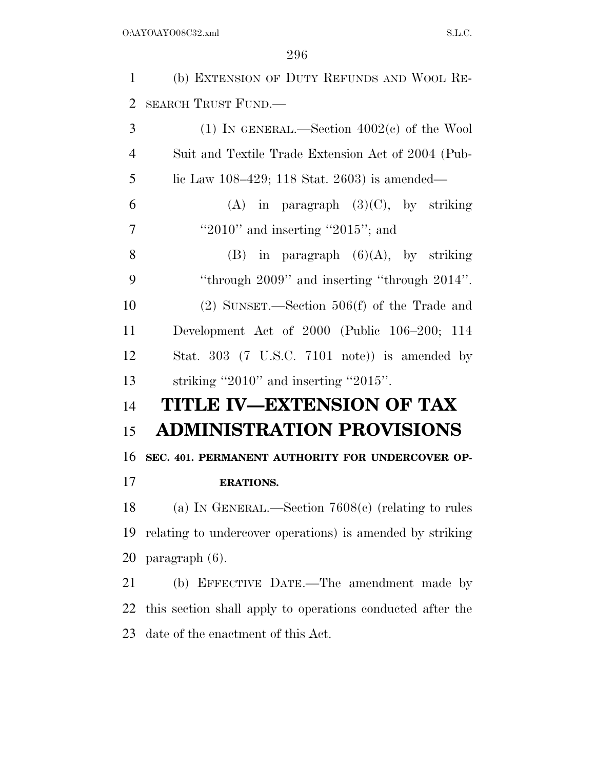(b) EXTENSION OF DUTY REFUNDS AND WOOL RE-SEARCH TRUST FUND.—

| 3              | (1) IN GENERAL.—Section $4002(c)$ of the Wool                   |
|----------------|-----------------------------------------------------------------|
| $\overline{4}$ | Suit and Textile Trade Extension Act of 2004 (Pub-              |
| 5              | lic Law $108-429$ ; 118 Stat. 2603) is amended—                 |
| 6              | (A) in paragraph $(3)(C)$ , by striking                         |
| 7              | "2010" and inserting "2015"; and                                |
| 8              | in paragraph $(6)(A)$ , by striking<br>(B)                      |
| 9              | "through $2009$ " and inserting "through $2014$ ".              |
| 10             | $(2)$ SUNSET.—Section 506(f) of the Trade and                   |
| 11             | Development Act of $2000$ (Public $106-200$ ; 114               |
| 12             | Stat. 303 $(7 \text{ U.S.C. } 7101 \text{ note})$ is amended by |
| 13             | striking "2010" and inserting "2015".                           |
| 14             | TITLE IV—EXTENSION OF TAX                                       |
| 15             | <b>ADMINISTRATION PROVISIONS</b>                                |
| 16             | SEC. 401. PERMANENT AUTHORITY FOR UNDERCOVER OP-                |
| 17             | <b>ERATIONS.</b>                                                |
| 18             | (a) IN GENERAL.—Section $7608(c)$ (relating to rules            |
| 19             | relating to undercover operations) is amended by striking       |
|                | 20 paragraph $(6)$ .                                            |
| 21             | (b) EFFECTIVE DATE.—The amendment made by                       |
| 22             | this section shall apply to operations conducted after the      |
| 23             | date of the enactment of this Act.                              |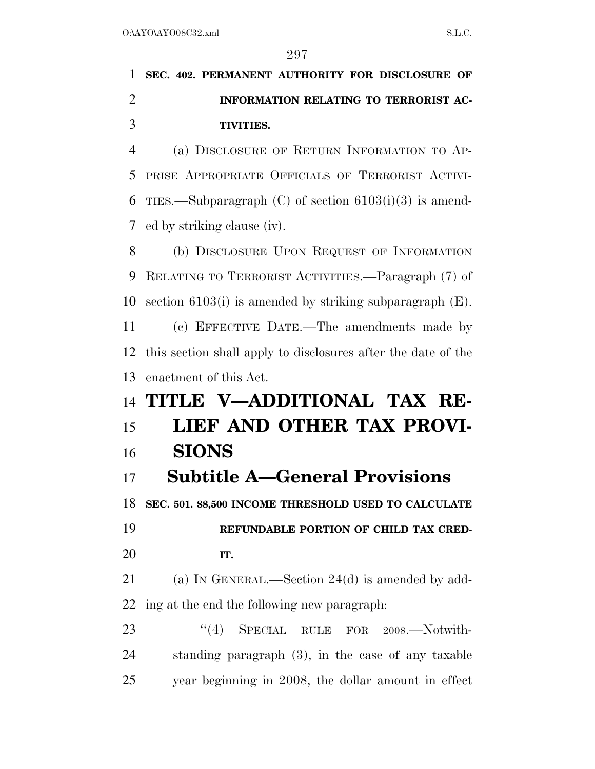# **SEC. 402. PERMANENT AUTHORITY FOR DISCLOSURE OF INFORMATION RELATING TO TERRORIST AC-TIVITIES.**

 (a) DISCLOSURE OF RETURN INFORMATION TO AP- PRISE APPROPRIATE OFFICIALS OF TERRORIST ACTIVI-6 TIES.—Subparagraph (C) of section  $6103(i)(3)$  is amend-ed by striking clause (iv).

 (b) DISCLOSURE UPON REQUEST OF INFORMATION RELATING TO TERRORIST ACTIVITIES.—Paragraph (7) of section 6103(i) is amended by striking subparagraph (E).

 (c) EFFECTIVE DATE.—The amendments made by this section shall apply to disclosures after the date of the enactment of this Act.

# **TITLE V—ADDITIONAL TAX RE-LIEF AND OTHER TAX PROVI-**

### **SIONS**

## **Subtitle A—General Provisions**

**SEC. 501. \$8,500 INCOME THRESHOLD USED TO CALCULATE** 

 **REFUNDABLE PORTION OF CHILD TAX CRED-IT.** 

 (a) IN GENERAL.—Section 24(d) is amended by add-ing at the end the following new paragraph:

23 "(4) SPECIAL RULE FOR 2008.—Notwith- standing paragraph (3), in the case of any taxable year beginning in 2008, the dollar amount in effect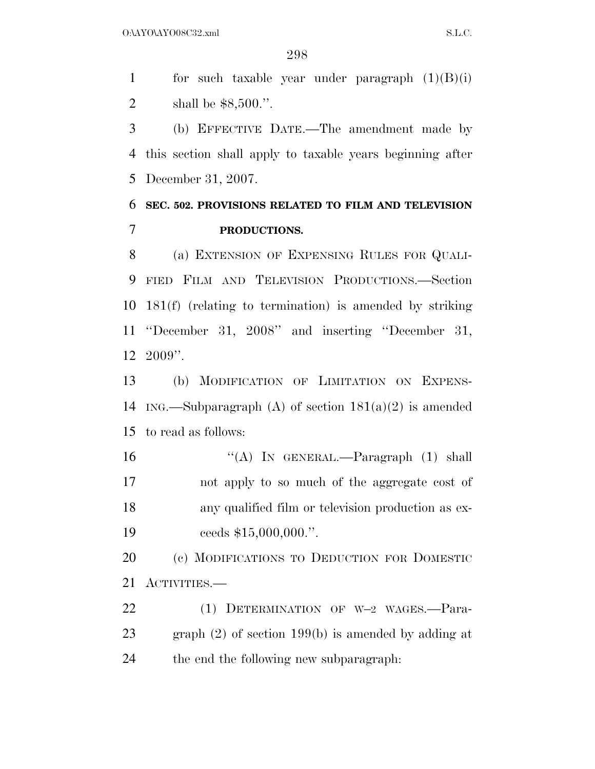1 for such taxable year under paragraph  $(1)(B)(i)$ shall be \$8,500.''.

 (b) EFFECTIVE DATE.—The amendment made by this section shall apply to taxable years beginning after December 31, 2007.

### **SEC. 502. PROVISIONS RELATED TO FILM AND TELEVISION PRODUCTIONS.**

 (a) EXTENSION OF EXPENSING RULES FOR QUALI- FIED FILM AND TELEVISION PRODUCTIONS.—Section 181(f) (relating to termination) is amended by striking ''December 31, 2008'' and inserting ''December 31, 2009''.

 (b) MODIFICATION OF LIMITATION ON EXPENS-14 ING.—Subparagraph (A) of section  $181(a)(2)$  is amended to read as follows:

16 "(A) In GENERAL.—Paragraph (1) shall not apply to so much of the aggregate cost of any qualified film or television production as ex-19 ceeds \$15,000,000.".

 (c) MODIFICATIONS TO DEDUCTION FOR DOMESTIC ACTIVITIES.—

 (1) DETERMINATION OF W–2 WAGES.—Para- graph (2) of section 199(b) is amended by adding at the end the following new subparagraph: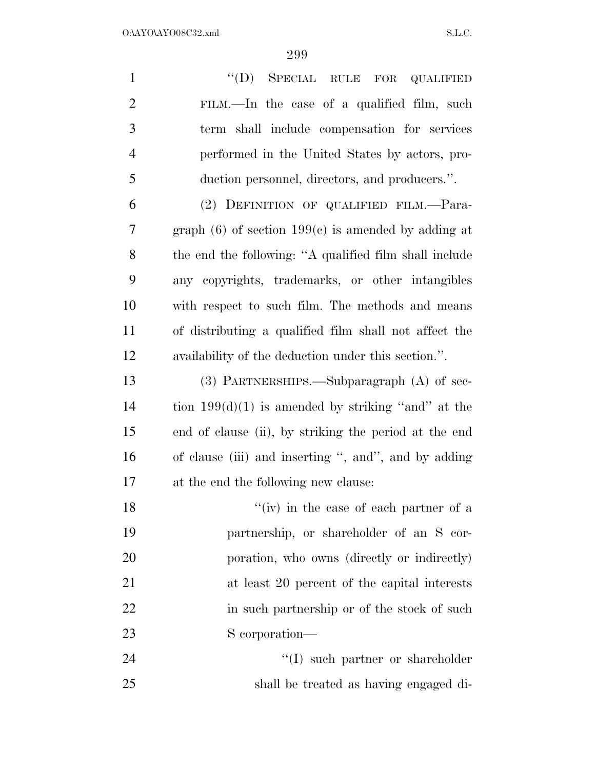| $\mathbf{1}$   | $\lq\lq (D)$<br>SPECIAL RULE FOR<br><b>QUALIFIED</b>     |
|----------------|----------------------------------------------------------|
| $\overline{2}$ | FILM.—In the case of a qualified film, such              |
| 3              | term shall include compensation for services             |
| $\overline{4}$ | performed in the United States by actors, pro-           |
| 5              | duction personnel, directors, and producers.".           |
| 6              | (2) DEFINITION OF QUALIFIED FILM.-Para-                  |
| 7              | graph $(6)$ of section 199 $(e)$ is amended by adding at |
| 8              | the end the following: "A qualified film shall include   |
| 9              | any copyrights, trademarks, or other intangibles         |
| 10             | with respect to such film. The methods and means         |
| 11             | of distributing a qualified film shall not affect the    |
| 12             | availability of the deduction under this section.".      |
| 13             | $(3)$ PARTNERSHIPS.—Subparagraph $(A)$ of sec-           |
| 14             | tion $199(d)(1)$ is amended by striking "and" at the     |
| 15             | end of clause (ii), by striking the period at the end    |
| 16             | of clause (iii) and inserting ", and", and by adding     |
| 17             | at the end the following new clause:                     |
| 18             | "(iv) in the case of each partner of a                   |
| 19             | partnership, or shareholder of an S cor-                 |
| 20             | poration, who owns (directly or indirectly)              |
| 21             | at least 20 percent of the capital interests             |
| 22             | in such partnership or of the stock of such              |
| 23             | S corporation—                                           |
| 24             | $\lq\lq$ such partner or shareholder                     |
| 25             | shall be treated as having engaged di-                   |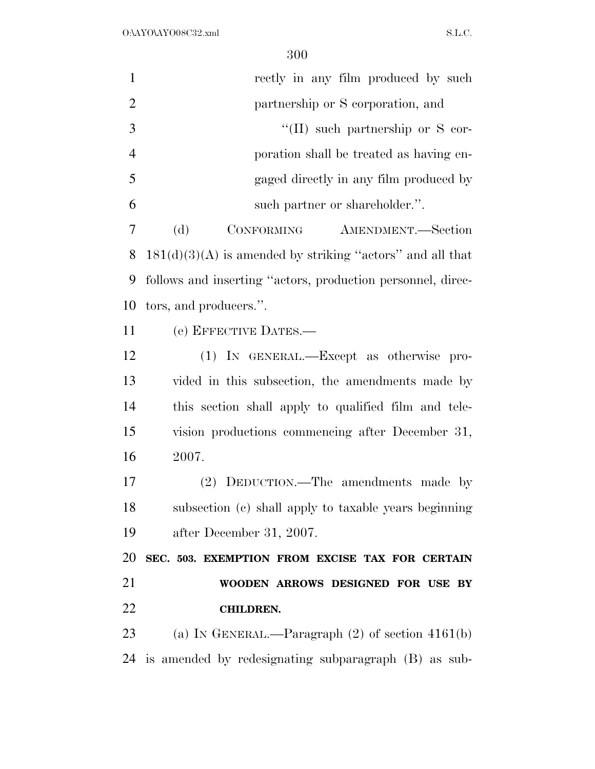| $\mathbf{1}$   | rectly in any film produced by such                         |
|----------------|-------------------------------------------------------------|
| $\overline{2}$ | partnership or S corporation, and                           |
| 3              | $\lq\lq$ (II) such partnership or S cor-                    |
| $\overline{4}$ | poration shall be treated as having en-                     |
| 5              | gaged directly in any film produced by                      |
| 6              | such partner or shareholder.".                              |
| 7              | (d)<br>CONFORMING<br>AMENDMENT.-Section                     |
| 8              | $181(d)(3)(A)$ is amended by striking "actors" and all that |
| 9              | follows and inserting "actors, production personnel, direc- |
| 10             | tors, and producers.".                                      |
| 11             | (e) EFFECTIVE DATES.-                                       |
| 12             | (1) IN GENERAL.—Except as otherwise pro-                    |
| 13             | vided in this subsection, the amendments made by            |
| 14             | this section shall apply to qualified film and tele-        |
| 15             | vision productions commencing after December 31,            |
| 16             | 2007.                                                       |
| 17             | (2) DEDUCTION.—The amendments made by                       |
| 18             | subsection (c) shall apply to taxable years beginning       |
| 19             | after December 31, 2007.                                    |
| 20             | SEC. 503. EXEMPTION FROM EXCISE TAX FOR CERTAIN             |
| 21             | WOODEN ARROWS DESIGNED FOR USE BY                           |
| 22             | <b>CHILDREN.</b>                                            |
| 23             | (a) IN GENERAL.—Paragraph $(2)$ of section $4161(b)$        |
| 24             | is amended by redesignating subparagraph (B) as sub-        |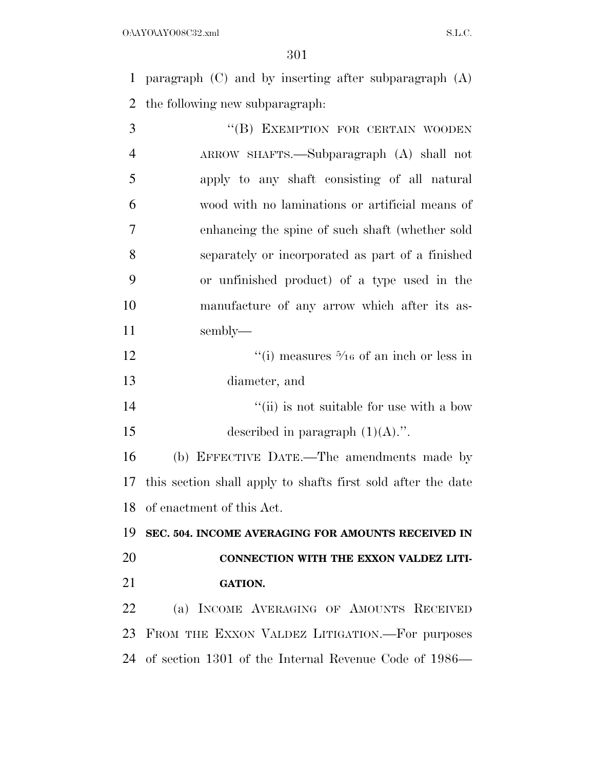paragraph (C) and by inserting after subparagraph (A) the following new subparagraph:

| 3              | "(B) EXEMPTION FOR CERTAIN WOODEN                            |
|----------------|--------------------------------------------------------------|
| $\overline{4}$ | ARROW SHAFTS.—Subparagraph (A) shall not                     |
| 5              | apply to any shaft consisting of all natural                 |
| 6              | wood with no laminations or artificial means of              |
| 7              | enhancing the spine of such shaft (whether sold              |
| 8              | separately or incorporated as part of a finished             |
| 9              | or unfinished product) of a type used in the                 |
| 10             | manufacture of any arrow which after its as-                 |
| 11             | sembly—                                                      |
| 12             | "(i) measures $\frac{5}{16}$ of an inch or less in           |
| 13             | diameter, and                                                |
| 14             | $\lq$ <sup>"</sup> (ii) is not suitable for use with a bow   |
| 15             | described in paragraph $(1)(A)$ .".                          |
| 16             | (b) EFFECTIVE DATE.—The amendments made by                   |
| 17             | this section shall apply to shafts first sold after the date |
| 18             | of enactment of this Act.                                    |
| 19             | SEC. 504. INCOME AVERAGING FOR AMOUNTS RECEIVED IN           |
| <b>20</b>      | CONNECTION WITH THE EXXON VALDEZ LITI-                       |
| 21             | <b>GATION.</b>                                               |
| 22             | (a) INCOME AVERAGING OF AMOUNTS RECEIVED                     |
| 23             | FROM THE EXXON VALDEZ LITIGATION. For purposes               |
| 24             | of section 1301 of the Internal Revenue Code of 1986—        |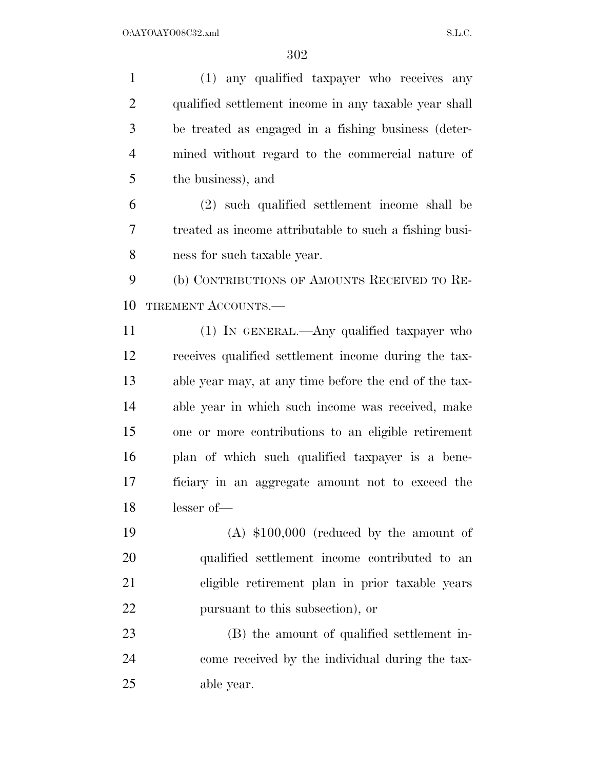(1) any qualified taxpayer who receives any qualified settlement income in any taxable year shall be treated as engaged in a fishing business (deter- mined without regard to the commercial nature of the business), and (2) such qualified settlement income shall be treated as income attributable to such a fishing busi- ness for such taxable year. (b) CONTRIBUTIONS OF AMOUNTS RECEIVED TO RE-10 TIREMENT ACCOUNTS. (1) IN GENERAL.—Any qualified taxpayer who receives qualified settlement income during the tax- able year may, at any time before the end of the tax- able year in which such income was received, make one or more contributions to an eligible retirement plan of which such qualified taxpayer is a bene- ficiary in an aggregate amount not to exceed the lesser of— (A) \$100,000 (reduced by the amount of qualified settlement income contributed to an eligible retirement plan in prior taxable years pursuant to this subsection), or (B) the amount of qualified settlement in- come received by the individual during the tax-able year.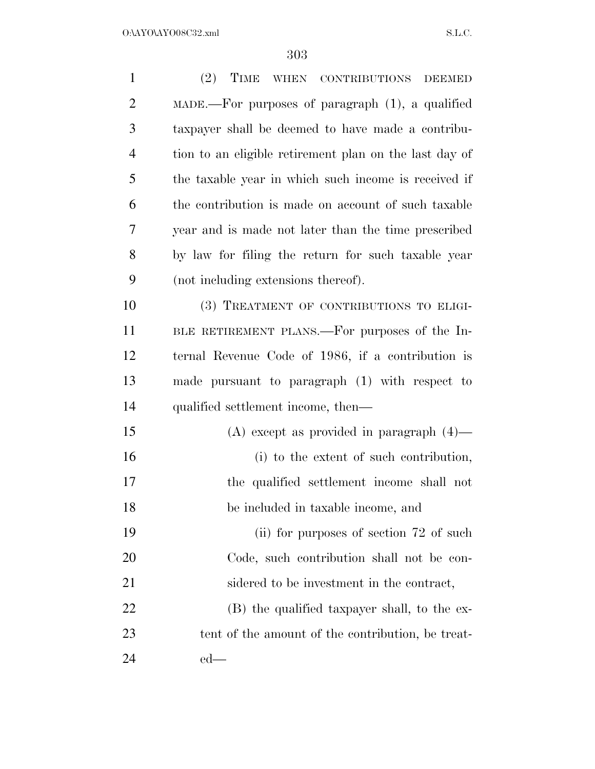| $\mathbf{1}$   | (2) TIME WHEN CONTRIBUTIONS DEEMED                            |
|----------------|---------------------------------------------------------------|
| $\overline{2}$ | $\text{MADE}$ . For purposes of paragraph $(1)$ , a qualified |
| 3              | taxpayer shall be deemed to have made a contribu-             |
| $\overline{4}$ | tion to an eligible retirement plan on the last day of        |
| 5              | the taxable year in which such income is received if          |
| 6              | the contribution is made on account of such taxable           |
| 7              | year and is made not later than the time prescribed           |
| 8              | by law for filing the return for such taxable year            |
| 9              | (not including extensions thereof).                           |
| 10             | (3) TREATMENT OF CONTRIBUTIONS TO ELIGI-                      |
| 11             | BLE RETIREMENT PLANS.—For purposes of the In-                 |
| 12             | ternal Revenue Code of 1986, if a contribution is             |
| 13             | made pursuant to paragraph (1) with respect to                |
| 14             | qualified settlement income, then—                            |
| 15             | $(A)$ except as provided in paragraph $(4)$ —                 |
| 16             | (i) to the extent of such contribution,                       |
| 17             | the qualified settlement income shall not                     |
| 18             | be included in taxable income, and                            |
| 19             | (ii) for purposes of section 72 of such                       |
| 20             | Code, such contribution shall not be con-                     |
| 21             | sidered to be investment in the contract,                     |
| 22             | (B) the qualified taxpayer shall, to the ex-                  |
| 23             | tent of the amount of the contribution, be treat-             |
| 24             | $ed$ —                                                        |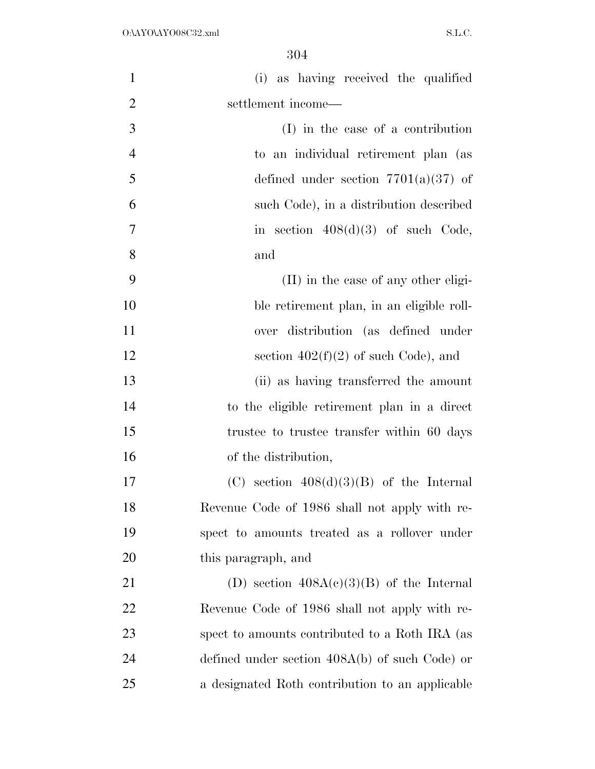| $\mathbf{1}$   | (i) as having received the qualified             |
|----------------|--------------------------------------------------|
| $\overline{2}$ | settlement income—                               |
| 3              | (I) in the case of a contribution                |
| $\overline{4}$ | to an individual retirement plan (as             |
| 5              | defined under section $7701(a)(37)$ of           |
| 6              | such Code), in a distribution described          |
| $\overline{7}$ | in section $408(d)(3)$ of such Code,             |
| 8              | and                                              |
| 9              | (II) in the case of any other eligi-             |
| 10             | ble retirement plan, in an eligible roll-        |
| 11             | over distribution (as defined under              |
| 12             | section $402(f)(2)$ of such Code), and           |
| 13             | (ii) as having transferred the amount            |
| 14             | to the eligible retirement plan in a direct      |
| 15             | trustee to trustee transfer within 60 days       |
| 16             | of the distribution,                             |
| 17             | (C) section $408(d)(3)(B)$ of the Internal       |
| 18             | Revenue Code of 1986 shall not apply with re-    |
| 19             | spect to amounts treated as a rollover under     |
| 20             | this paragraph, and                              |
| 21             | (D) section $408A(c)(3)(B)$ of the Internal      |
| 22             | Revenue Code of 1986 shall not apply with re-    |
| 23             | spect to amounts contributed to a Roth IRA (as   |
| 24             | defined under section $408A(b)$ of such Code) or |
| 25             | a designated Roth contribution to an applicable  |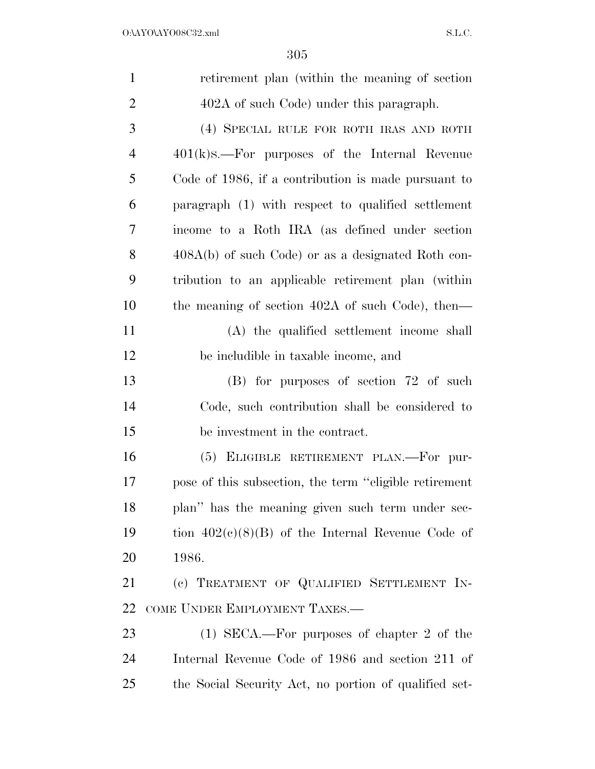| $\mathbf{1}$   | retirement plan (within the meaning of section)         |
|----------------|---------------------------------------------------------|
| $\overline{2}$ | 402A of such Code) under this paragraph.                |
| 3              | (4) SPECIAL RULE FOR ROTH IRAS AND ROTH                 |
| $\overline{4}$ | $401(k)$ s.—For purposes of the Internal Revenue        |
| 5              | Code of 1986, if a contribution is made pursuant to     |
| 6              | paragraph (1) with respect to qualified settlement      |
| 7              | income to a Roth IRA (as defined under section          |
| 8              | 408A(b) of such Code) or as a designated Roth con-      |
| 9              | tribution to an applicable retirement plan (within      |
| 10             | the meaning of section 402A of such Code), then—        |
| 11             | (A) the qualified settlement income shall               |
| 12             | be includible in taxable income, and                    |
| 13             | (B) for purposes of section 72 of such                  |
| 14             | Code, such contribution shall be considered to          |
| 15             | be investment in the contract.                          |
| 16             | (5) ELIGIBLE RETIREMENT PLAN.—For pur-                  |
| 17             | pose of this subsection, the term "eligible retirement" |
| 18             | plan" has the meaning given such term under sec-        |
| 19             | tion $402(e)(8)(B)$ of the Internal Revenue Code of     |
| 20             | 1986.                                                   |
| 21             | (c) TREATMENT OF QUALIFIED SETTLEMENT IN-               |
| 22             | COME UNDER EMPLOYMENT TAXES.-                           |
| 23             | $(1)$ SECA.—For purposes of chapter 2 of the            |
| 24             | Internal Revenue Code of 1986 and section 211 of        |
| 25             | the Social Security Act, no portion of qualified set-   |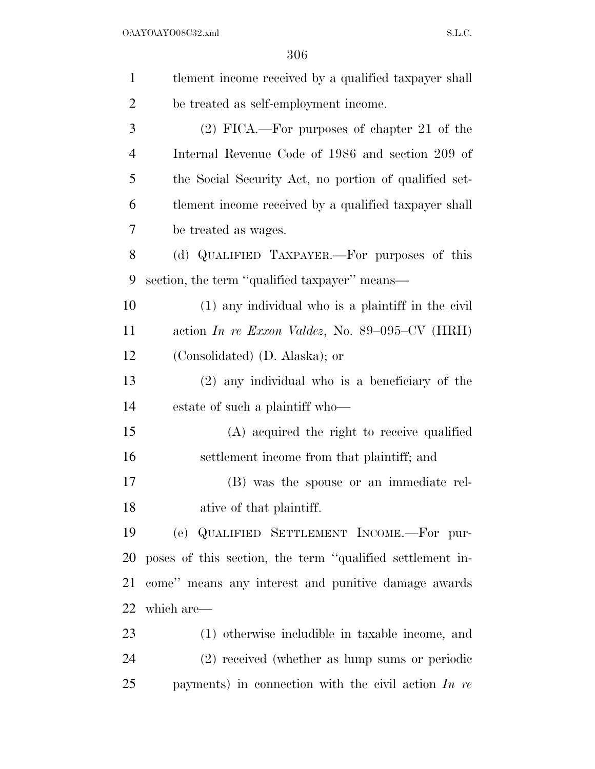| $\mathbf{1}$   | tlement income received by a qualified taxpayer shall            |
|----------------|------------------------------------------------------------------|
| $\overline{2}$ | be treated as self-employment income.                            |
| 3              | $(2)$ FICA.—For purposes of chapter 21 of the                    |
| $\overline{4}$ | Internal Revenue Code of 1986 and section 209 of                 |
| 5              | the Social Security Act, no portion of qualified set-            |
| 6              | tlement income received by a qualified taxpayer shall            |
| 7              | be treated as wages.                                             |
| 8              | (d) QUALIFIED TAXPAYER.—For purposes of this                     |
| 9              | section, the term "qualified taxpayer" means—                    |
| 10             | (1) any individual who is a plaintiff in the civil               |
| 11             | action In re Exxon Valdez, No. 89–095– $CV$ (HRH)                |
| 12             | (Consolidated) (D. Alaska); or                                   |
| 13             | $(2)$ any individual who is a beneficiary of the                 |
| 14             | estate of such a plaintiff who—                                  |
| 15             | (A) acquired the right to receive qualified                      |
| 16             | settlement income from that plaintiff; and                       |
| 17             | (B) was the spouse or an immediate rel-                          |
| 18             | ative of that plaintiff.                                         |
| 19             | (e) QUALIFIED SETTLEMENT INCOME.-For pur-                        |
| 20             | poses of this section, the term "qualified settlement in-        |
| 21             | come" means any interest and punitive damage awards              |
| 22             | which are—                                                       |
| 23             | (1) otherwise includible in taxable income, and                  |
| 24             | (2) received (whether as lump sums or periodic                   |
| 25             | payments) in connection with the civil action $\overline{In}$ re |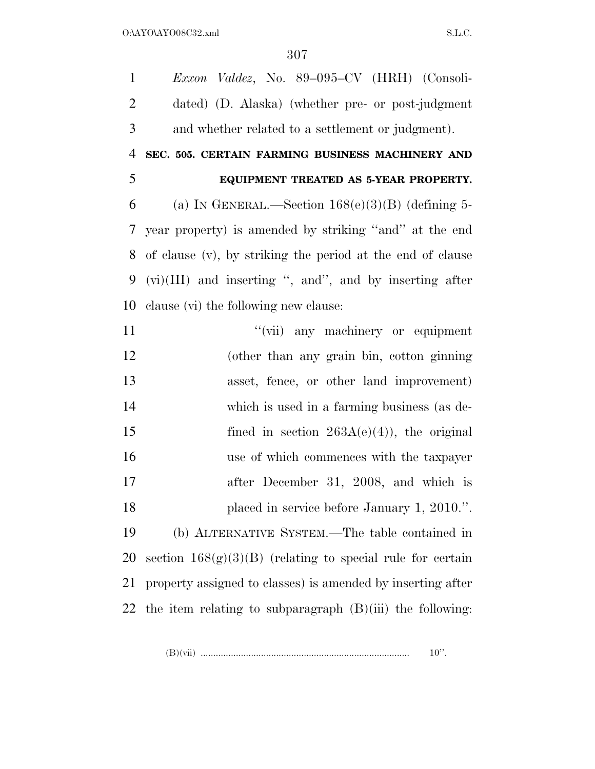*Exxon Valdez*, No. 89–095–CV (HRH) (Consoli- dated) (D. Alaska) (whether pre- or post-judgment and whether related to a settlement or judgment). **SEC. 505. CERTAIN FARMING BUSINESS MACHINERY AND EQUIPMENT TREATED AS 5-YEAR PROPERTY.**  6 (a) IN GENERAL.—Section  $168(e)(3)(B)$  (defining 5- year property) is amended by striking ''and'' at the end of clause (v), by striking the period at the end of clause (vi)(III) and inserting '', and'', and by inserting after clause (vi) the following new clause: 11 ''(vii) any machinery or equipment (other than any grain bin, cotton ginning asset, fence, or other land improvement) which is used in a farming business (as de-15 fined in section  $263A(e)(4)$ , the original use of which commences with the taxpayer after December 31, 2008, and which is 18 placed in service before January 1, 2010.". (b) ALTERNATIVE SYSTEM.—The table contained in 20 section  $168(g)(3)(B)$  (relating to special rule for certain property assigned to classes) is amended by inserting after 22 the item relating to subparagraph  $(B)(iii)$  the following:

(B)(vii) ................................................................................... 10''.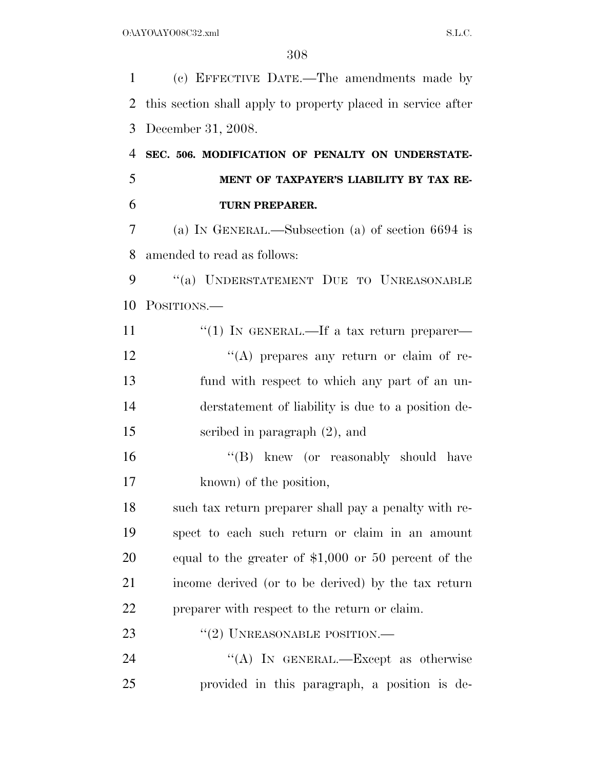(c) EFFECTIVE DATE.—The amendments made by this section shall apply to property placed in service after December 31, 2008. **SEC. 506. MODIFICATION OF PENALTY ON UNDERSTATE- MENT OF TAXPAYER'S LIABILITY BY TAX RE- TURN PREPARER.**  (a) IN GENERAL.—Subsection (a) of section 6694 is amended to read as follows: 9 "(a) UNDERSTATEMENT DUE TO UNREASONABLE POSITIONS.—  $\frac{1}{1}$  IN GENERAL.—If a tax return preparer— 12 "(A) prepares any return or claim of re- fund with respect to which any part of an un- derstatement of liability is due to a position de- scribed in paragraph (2), and 16 ''(B) knew (or reasonably should have known) of the position, such tax return preparer shall pay a penalty with re- spect to each such return or claim in an amount equal to the greater of \$1,000 or 50 percent of the income derived (or to be derived) by the tax return preparer with respect to the return or claim. 23 "(2) UNREASONABLE POSITION.— 24 "(A) In GENERAL.—Except as otherwise provided in this paragraph, a position is de-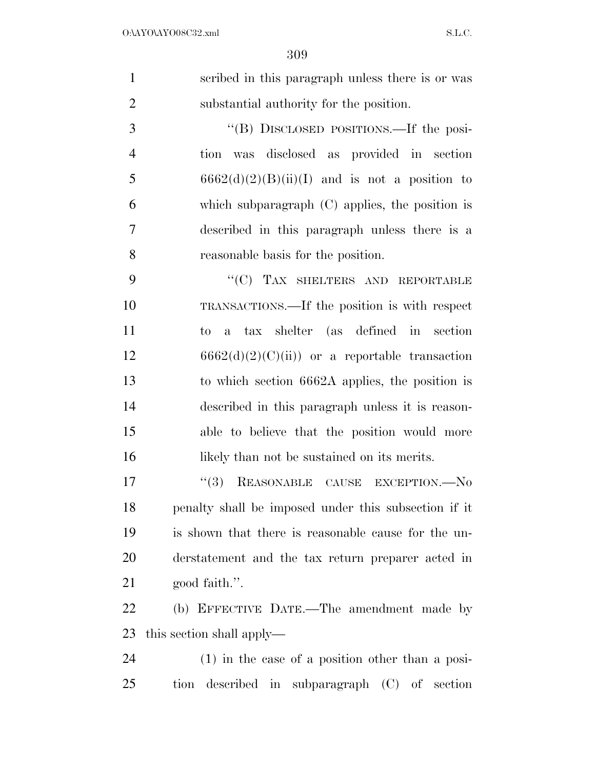|                | 309                                                                                                                                                                                                                                                                   |
|----------------|-----------------------------------------------------------------------------------------------------------------------------------------------------------------------------------------------------------------------------------------------------------------------|
| $\mathbf{1}$   | scribed in this paragraph unless there is or was                                                                                                                                                                                                                      |
| $\overline{2}$ | substantial authority for the position.                                                                                                                                                                                                                               |
| 3              | "(B) DISCLOSED POSITIONS.—If the posi-                                                                                                                                                                                                                                |
| $\overline{4}$ | tion was disclosed as provided in section                                                                                                                                                                                                                             |
| 5              | $6662(d)(2)(B)(ii)(I)$ and is not a position to                                                                                                                                                                                                                       |
| 6              | which subparagraph $(C)$ applies, the position is                                                                                                                                                                                                                     |
| $\tau$         | described in this paragraph unless there is a                                                                                                                                                                                                                         |
| 8              | reasonable basis for the position.                                                                                                                                                                                                                                    |
| 9              | "(C) TAX SHELTERS AND REPORTABLE                                                                                                                                                                                                                                      |
| 10             | TRANSACTIONS.—If the position is with respect                                                                                                                                                                                                                         |
| 11             | to a tax shelter (as defined in section                                                                                                                                                                                                                               |
| 12             | $6662(d)(2)(C(ii))$ or a reportable transaction                                                                                                                                                                                                                       |
| 13             | to which section 6662A applies, the position is                                                                                                                                                                                                                       |
| 14             | described in this paragraph unless it is reason-                                                                                                                                                                                                                      |
| 1 <sup>2</sup> | $\mathbf{u}$ . The set of $\mathbf{u}$ is the set of $\mathbf{u}$ is the set of $\mathbf{u}$ is the set of $\mathbf{u}$ is the set of $\mathbf{u}$ is the set of $\mathbf{u}$ is the set of $\mathbf{u}$ is the set of $\mathbf{u}$ is the set of $\mathbf{u}$ is the |

 able to believe that the position would more 16 likely than not be sustained on its merits.

 $\frac{17}{15}$  REASONABLE CAUSE EXCEPTION. No penalty shall be imposed under this subsection if it is shown that there is reasonable cause for the un- derstatement and the tax return preparer acted in good faith.''.

 (b) EFFECTIVE DATE.—The amendment made by this section shall apply—

 (1) in the case of a position other than a posi-tion described in subparagraph (C) of section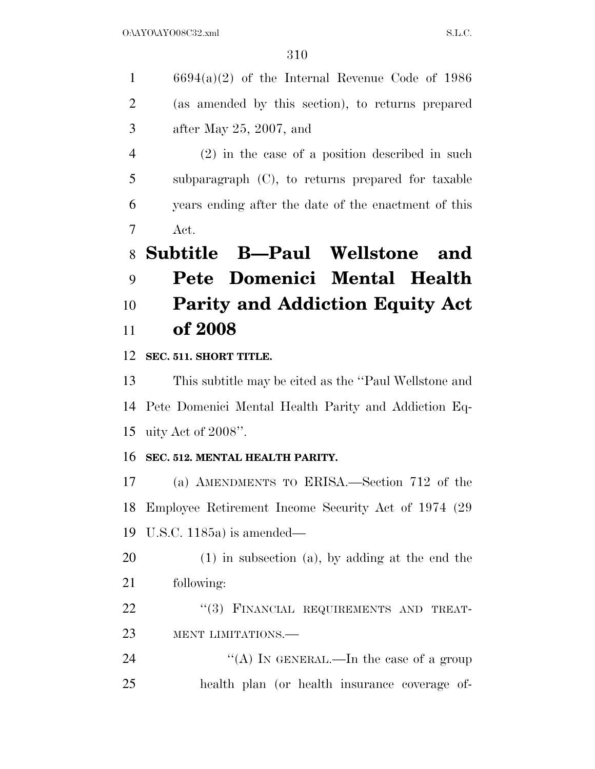| $\mathbf{1}$   | $6694(a)(2)$ of the Internal Revenue Code of 1986     |
|----------------|-------------------------------------------------------|
| $\overline{2}$ | (as amended by this section), to returns prepared     |
| 3              | after May $25, 2007,$ and                             |
| $\overline{4}$ | $(2)$ in the case of a position described in such     |
| 5              | subparagraph $(C)$ , to returns prepared for taxable  |
| 6              | years ending after the date of the enactment of this  |
| 7              | Act.                                                  |
| 8              | Subtitle B-Paul Wellstone<br>and                      |
| 9              | Pete Domenici Mental Health                           |
|                |                                                       |
| 10             | <b>Parity and Addiction Equity Act</b>                |
| 11             | of 2008                                               |
| 12             | SEC. 511. SHORT TITLE.                                |
| 13             | This subtitle may be cited as the "Paul Wellstone and |
| 14             | Pete Domenici Mental Health Parity and Addiction Eq-  |
| 15             | uity Act of 2008".                                    |
| 16             | SEC. 512. MENTAL HEALTH PARITY.                       |
| 17             | (a) AMENDMENTS TO ERISA.—Section 712 of the           |
| 18             | Employee Retirement Income Security Act of 1974 (29)  |
| 19             | U.S.C. 1185a) is amended—                             |

 (1) in subsection (a), by adding at the end the following:

22 "(3) FINANCIAL REQUIREMENTS AND TREAT-MENT LIMITATIONS.—

24 ''(A) IN GENERAL.—In the case of a group health plan (or health insurance coverage of-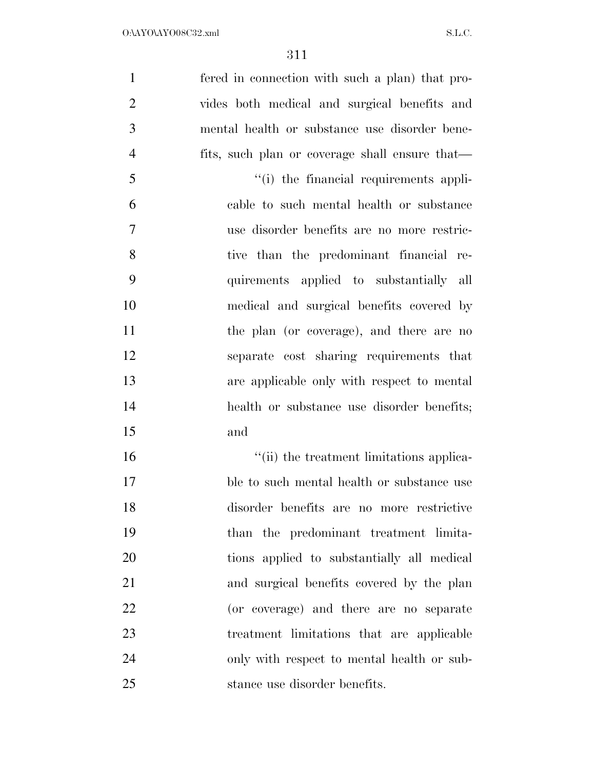| $\mathbf{1}$   | fered in connection with such a plan) that pro- |
|----------------|-------------------------------------------------|
| $\overline{2}$ | vides both medical and surgical benefits and    |
| 3              | mental health or substance use disorder bene-   |
| $\overline{4}$ | fits, such plan or coverage shall ensure that—  |
| 5              | "(i) the financial requirements appli-          |
| 6              | cable to such mental health or substance        |
| $\overline{7}$ | use disorder benefits are no more restric-      |
| 8              | tive than the predominant financial re-         |
| 9              | quirements applied to substantially all         |
| 10             | medical and surgical benefits covered by        |
| 11             | the plan (or coverage), and there are no        |
| 12             | separate cost sharing requirements that         |
| 13             | are applicable only with respect to mental      |
| 14             | health or substance use disorder benefits;      |
| 15             | and                                             |
| 16             | "(ii) the treatment limitations applica-        |
| 17             | ble to such mental health or substance use      |
| 18             | disorder benefits are no more restrictive       |
| 19             | than the predominant treatment limita-          |
| 20             | tions applied to substantially all medical      |
| 21             | and surgical benefits covered by the plan       |
| 22             | (or coverage) and there are no separate         |
| 23             | treatment limitations that are applicable       |
| 24             | only with respect to mental health or sub-      |
| 25             | stance use disorder benefits.                   |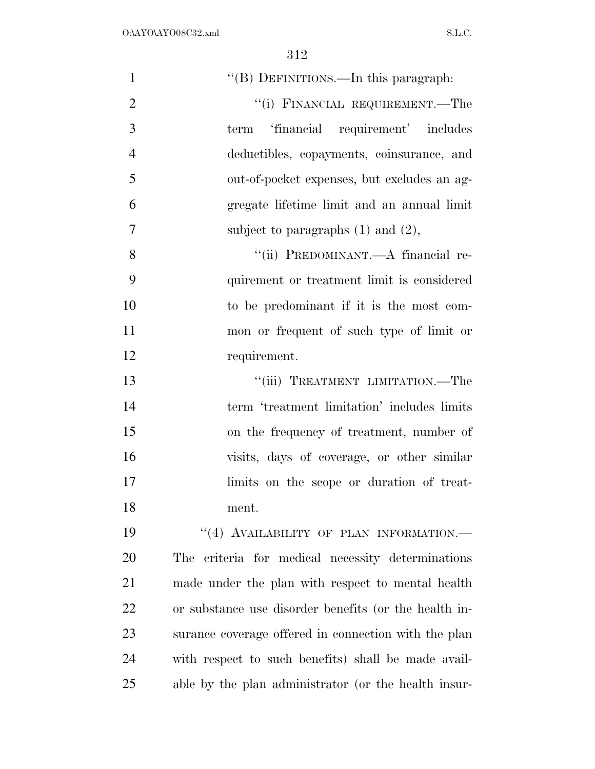| $\mathbf{1}$   | "(B) DEFINITIONS.—In this paragraph:                  |
|----------------|-------------------------------------------------------|
| $\overline{2}$ | "(i) FINANCIAL REQUIREMENT.—The                       |
| 3              | 'financial requirement' includes<br>term              |
| $\overline{4}$ | deductibles, copayments, coinsurance, and             |
| 5              | out-of-pocket expenses, but excludes an ag-           |
| 6              | gregate lifetime limit and an annual limit            |
| $\overline{7}$ | subject to paragraphs $(1)$ and $(2)$ ,               |
| 8              | "(ii) PREDOMINANT.—A financial re-                    |
| 9              | quirement or treatment limit is considered            |
| 10             | to be predominant if it is the most com-              |
| 11             | mon or frequent of such type of limit or              |
| 12             | requirement.                                          |
| 13             | "(iii) TREATMENT LIMITATION.—The                      |
| 14             | term 'treatment limitation' includes limits           |
| 15             | on the frequency of treatment, number of              |
| 16             | visits, days of coverage, or other similar            |
| 17             | limits on the scope or duration of treat-             |
| 18             | ment.                                                 |
| 19             | "(4) AVAILABILITY OF PLAN INFORMATION.-               |
| 20             | criteria for medical necessity determinations<br>The  |
| 21             | made under the plan with respect to mental health     |
| 22             | or substance use disorder benefits (or the health in- |
| 23             | surance coverage offered in connection with the plan  |
| 24             | with respect to such benefits) shall be made avail-   |
| 25             | able by the plan administrator (or the health insur-  |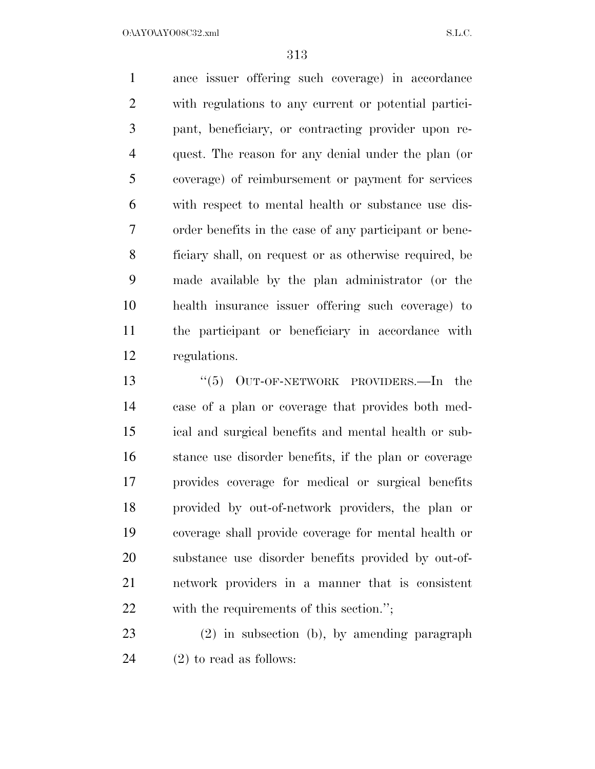O:\AYO\AYO08C32.xml S.L.C.

 ance issuer offering such coverage) in accordance with regulations to any current or potential partici- pant, beneficiary, or contracting provider upon re- quest. The reason for any denial under the plan (or coverage) of reimbursement or payment for services with respect to mental health or substance use dis- order benefits in the case of any participant or bene- ficiary shall, on request or as otherwise required, be made available by the plan administrator (or the health insurance issuer offering such coverage) to the participant or beneficiary in accordance with regulations.

13 "(5) OUT-OF-NETWORK PROVIDERS.—In the case of a plan or coverage that provides both med- ical and surgical benefits and mental health or sub- stance use disorder benefits, if the plan or coverage provides coverage for medical or surgical benefits provided by out-of-network providers, the plan or coverage shall provide coverage for mental health or substance use disorder benefits provided by out-of- network providers in a manner that is consistent with the requirements of this section.'';

 (2) in subsection (b), by amending paragraph (2) to read as follows: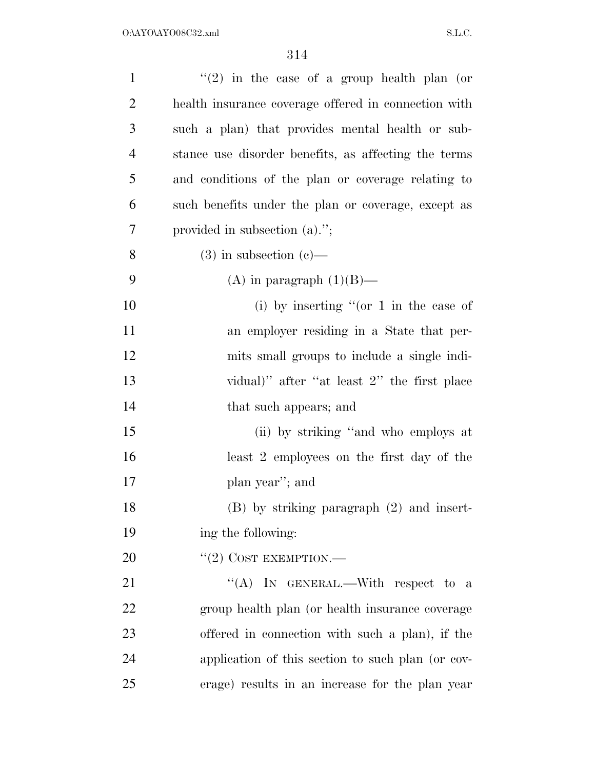| $\mathbf{1}$   | "(2) in the case of a group health plan (or          |
|----------------|------------------------------------------------------|
| $\overline{2}$ | health insurance coverage offered in connection with |
| 3              | such a plan) that provides mental health or sub-     |
| $\overline{4}$ | stance use disorder benefits, as affecting the terms |
| 5              | and conditions of the plan or coverage relating to   |
| 6              | such benefits under the plan or coverage, except as  |
| 7              | provided in subsection $(a)$ .";                     |
| 8              |                                                      |
|                | $(3)$ in subsection $(e)$ —                          |
| 9              | (A) in paragraph $(1)(B)$ —                          |
| 10             | (i) by inserting "(or $1$ in the case of             |
| 11             | an employer residing in a State that per-            |
| 12             | mits small groups to include a single indi-          |
| 13             | vidual)" after "at least 2" the first place          |
| 14             | that such appears; and                               |
| 15             | (ii) by striking "and who employs at                 |
| 16             | least 2 employees on the first day of the            |
| 17             | plan year"; and                                      |
| 18             | $(B)$ by striking paragraph $(2)$ and insert-        |
| 19             | ing the following:                                   |
| 20             | "(2) COST EXEMPTION.—                                |
| 21             | "(A) IN GENERAL.—With respect to a                   |
| 22             | group health plan (or health insurance coverage      |
| 23             | offered in connection with such a plan), if the      |
| 24             | application of this section to such plan (or cov-    |
| 25             | erage) results in an increase for the plan year      |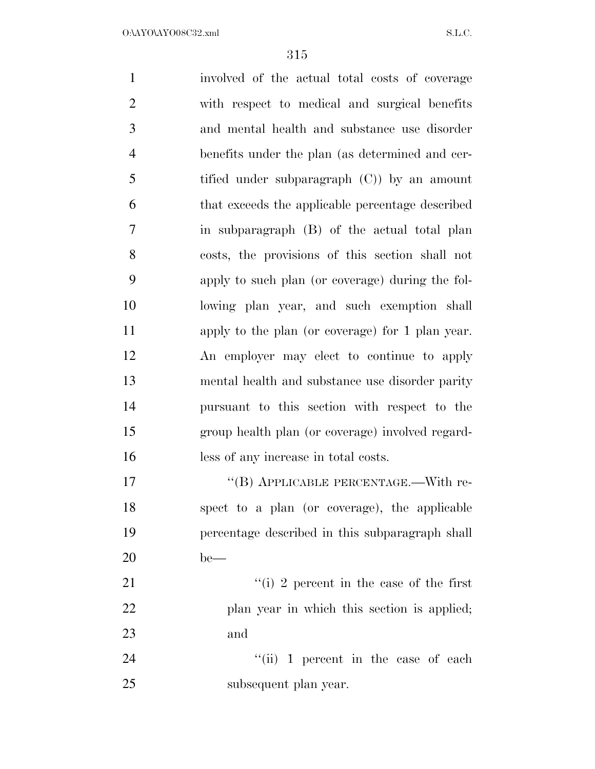involved of the actual total costs of coverage with respect to medical and surgical benefits and mental health and substance use disorder benefits under the plan (as determined and cer- tified under subparagraph (C)) by an amount that exceeds the applicable percentage described in subparagraph (B) of the actual total plan costs, the provisions of this section shall not apply to such plan (or coverage) during the fol- lowing plan year, and such exemption shall apply to the plan (or coverage) for 1 plan year. An employer may elect to continue to apply mental health and substance use disorder parity pursuant to this section with respect to the group health plan (or coverage) involved regard- less of any increase in total costs. 17 "(B) APPLICABLE PERCENTAGE.—With re- spect to a plan (or coverage), the applicable percentage described in this subparagraph shall be— 21 ''(i) 2 percent in the case of the first plan year in which this section is applied; and 24 ''(ii) 1 percent in the case of each subsequent plan year.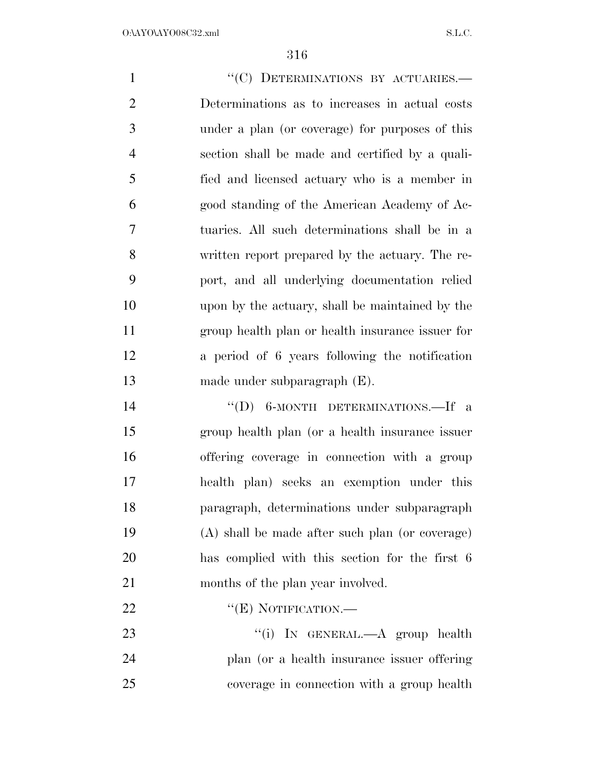1 ""(C) DETERMINATIONS BY ACTUARIES. Determinations as to increases in actual costs under a plan (or coverage) for purposes of this section shall be made and certified by a quali- fied and licensed actuary who is a member in good standing of the American Academy of Ac- tuaries. All such determinations shall be in a written report prepared by the actuary. The re- port, and all underlying documentation relied upon by the actuary, shall be maintained by the group health plan or health insurance issuer for a period of 6 years following the notification made under subparagraph (E). 14 "(D) 6-MONTH DETERMINATIONS.—If a group health plan (or a health insurance issuer offering coverage in connection with a group health plan) seeks an exemption under this paragraph, determinations under subparagraph (A) shall be made after such plan (or coverage) has complied with this section for the first 6 21 months of the plan year involved. 22 "'(E) NOTIFICATION.— 23 "(i) IN GENERAL.—A group health plan (or a health insurance issuer offering

coverage in connection with a group health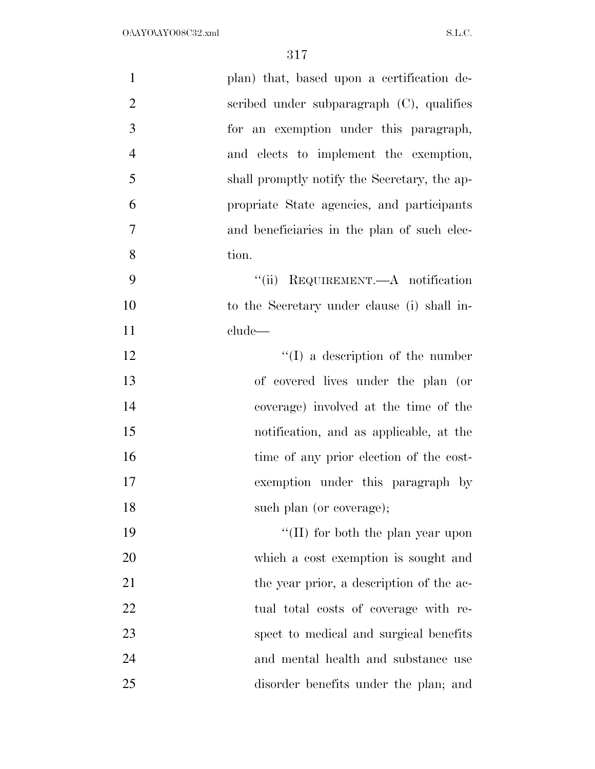| $\mathbf{1}$   | plan) that, based upon a certification de-   |
|----------------|----------------------------------------------|
| $\overline{2}$ | scribed under subparagraph (C), qualifies    |
| 3              | for an exemption under this paragraph,       |
| $\overline{4}$ | and elects to implement the exemption,       |
| 5              | shall promptly notify the Secretary, the ap- |
| 6              | propriate State agencies, and participants   |
| $\overline{7}$ | and beneficiaries in the plan of such elec-  |
| 8              | tion.                                        |
| 9              | "(ii) REQUIREMENT.—A notification            |
| 10             | to the Secretary under clause (i) shall in-  |
| 11             | clude—                                       |
| 12             | $\lq\lq$ a description of the number         |
| 13             | of covered lives under the plan (or          |
| 14             | coverage) involved at the time of the        |
| 15             | notification, and as applicable, at the      |
| 16             | time of any prior election of the cost-      |
| 17             | exemption under this paragraph by            |
| 18             | such plan (or coverage);                     |
| 19             | "(II) for both the plan year upon            |
| 20             | which a cost exemption is sought and         |
| 21             | the year prior, a description of the ac-     |
| 22             | tual total costs of coverage with re-        |
| 23             | spect to medical and surgical benefits       |
| 24             | and mental health and substance use          |
| 25             | disorder benefits under the plan; and        |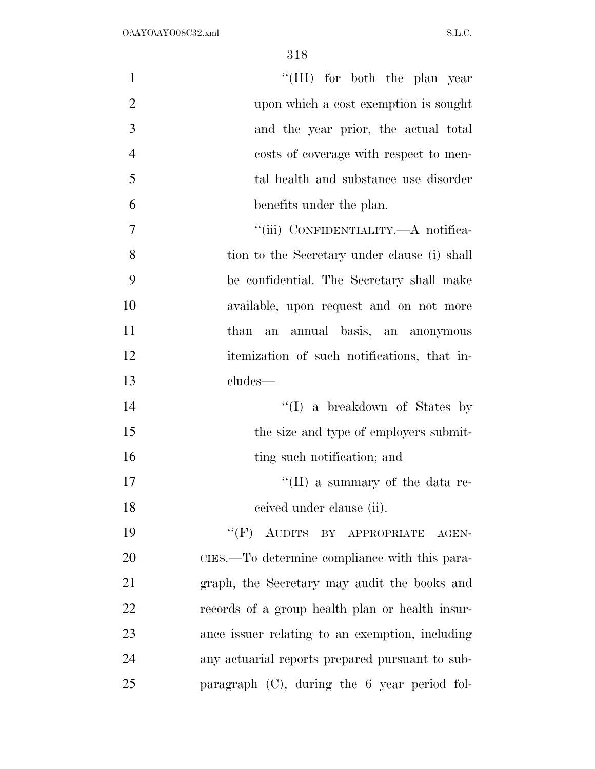| $\mathbf{1}$   | "(III) for both the plan year                   |
|----------------|-------------------------------------------------|
| $\overline{2}$ | upon which a cost exemption is sought           |
| 3              | and the year prior, the actual total            |
| $\overline{4}$ | costs of coverage with respect to men-          |
| 5              | tal health and substance use disorder           |
| 6              | benefits under the plan.                        |
| $\overline{7}$ | "(iii) CONFIDENTIALITY.—A notifica-             |
| 8              | tion to the Secretary under clause (i) shall    |
| 9              | be confidential. The Secretary shall make       |
| 10             | available, upon request and on not more         |
| 11             | than an annual basis, an anonymous              |
| 12             | itemization of such notifications, that in-     |
| 13             | cludes—                                         |
| 14             | $\lq\lq$ a breakdown of States by               |
| 15             | the size and type of employers submit-          |
| 16             | ting such notification; and                     |
| 17             | "(II) a summary of the data re-                 |
| 18             | ceived under clause (ii).                       |
| 19             | $``(F)$ AUDITS BY APPROPRIATE<br>AGEN-          |
| 20             | CIES.—To determine compliance with this para-   |
| 21             | graph, the Secretary may audit the books and    |
| 22             | records of a group health plan or health insur- |
| 23             | ance issuer relating to an exemption, including |
| 24             | any actuarial reports prepared pursuant to sub- |
| 25             | paragraph (C), during the 6 year period fol-    |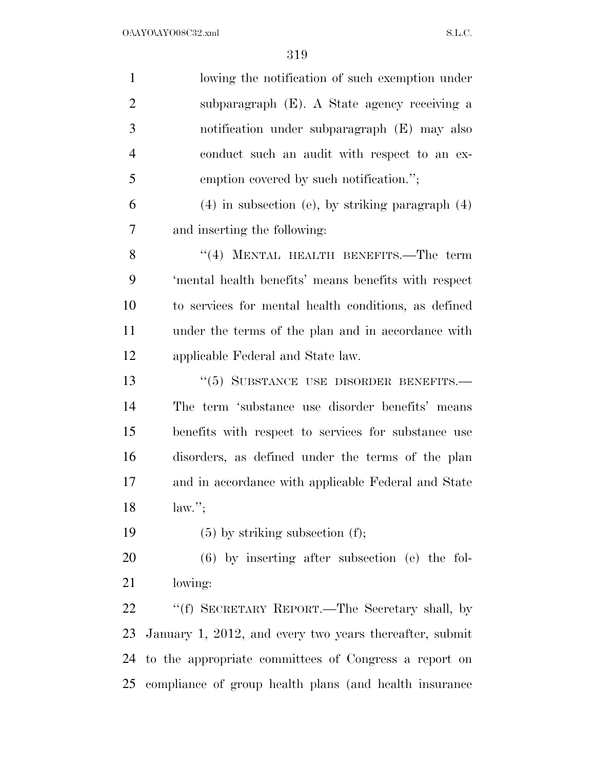| $\mathbf{1}$   | lowing the notification of such exemption under         |
|----------------|---------------------------------------------------------|
| $\overline{2}$ | subparagraph (E). A State agency receiving a            |
| 3              | notification under subparagraph (E) may also            |
| $\overline{4}$ | conduct such an audit with respect to an ex-            |
| 5              | emption covered by such notification.";                 |
| 6              | $(4)$ in subsection (e), by striking paragraph $(4)$    |
| 7              | and inserting the following:                            |
| 8              | "(4) MENTAL HEALTH BENEFITS.—The term                   |
| 9              | 'mental health benefits' means benefits with respect    |
| 10             | to services for mental health conditions, as defined    |
| 11             | under the terms of the plan and in accordance with      |
| 12             | applicable Federal and State law.                       |
| 13             | "(5) SUBSTANCE USE DISORDER BENEFITS.-                  |
| 14             | The term 'substance use disorder benefits' means        |
| 15             | benefits with respect to services for substance use     |
| 16             | disorders, as defined under the terms of the plan       |
| 17             | and in accordance with applicable Federal and State     |
| 18             | $law.'$ ;                                               |
| 19             | $(5)$ by striking subsection $(f)$ ;                    |
| 20             | $(6)$ by inserting after subsection $(e)$ the fol-      |
| 21             | lowing:                                                 |
| 22             | "(f) SECRETARY REPORT.—The Secretary shall, by          |
| 23             | January 1, 2012, and every two years thereafter, submit |
| 24             | to the appropriate committees of Congress a report on   |
| 25             | compliance of group health plans (and health insurance  |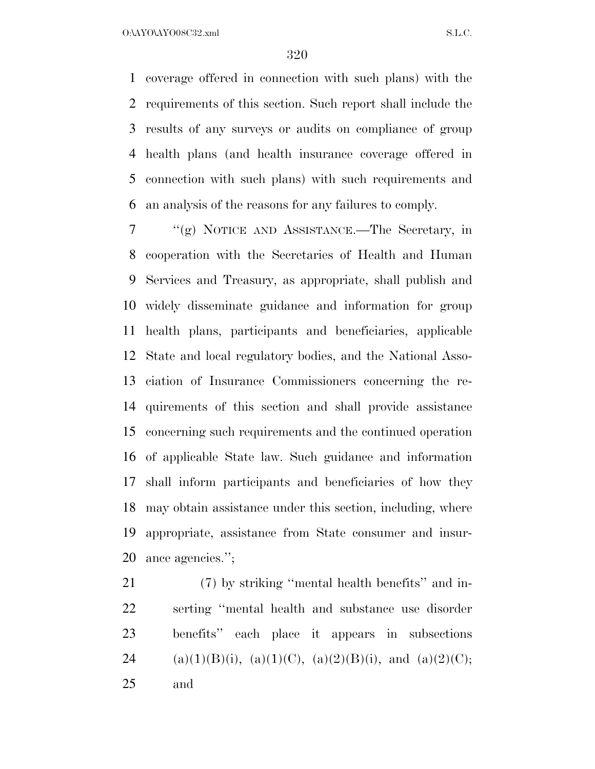O:\AYO\AYO08C32.xml S.L.C.

 coverage offered in connection with such plans) with the requirements of this section. Such report shall include the results of any surveys or audits on compliance of group health plans (and health insurance coverage offered in connection with such plans) with such requirements and an analysis of the reasons for any failures to comply.

 ''(g) NOTICE AND ASSISTANCE.—The Secretary, in cooperation with the Secretaries of Health and Human Services and Treasury, as appropriate, shall publish and widely disseminate guidance and information for group health plans, participants and beneficiaries, applicable State and local regulatory bodies, and the National Asso- ciation of Insurance Commissioners concerning the re- quirements of this section and shall provide assistance concerning such requirements and the continued operation of applicable State law. Such guidance and information shall inform participants and beneficiaries of how they may obtain assistance under this section, including, where appropriate, assistance from State consumer and insur-ance agencies.'';

 (7) by striking ''mental health benefits'' and in- serting ''mental health and substance use disorder benefits'' each place it appears in subsections 24 (a)(1)(B)(i), (a)(1)(C), (a)(2)(B)(i), and (a)(2)(C); and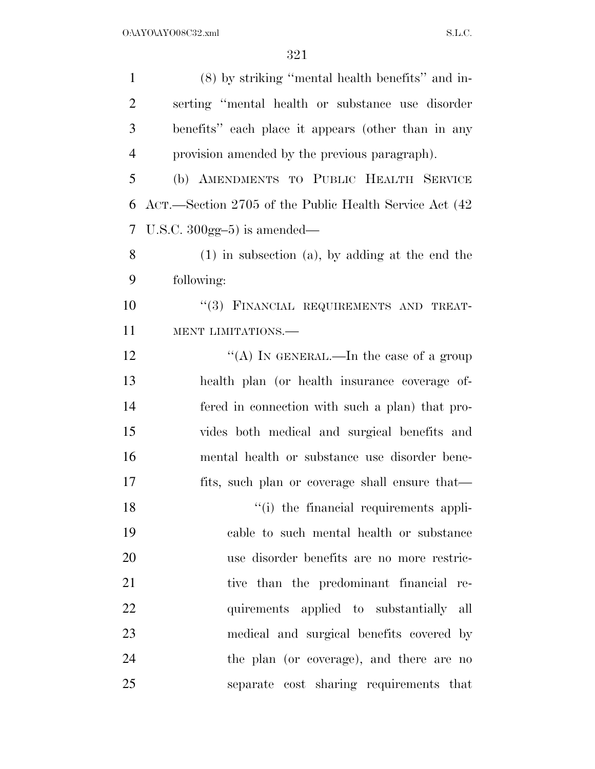| $\mathbf{1}$   | (8) by striking "mental health benefits" and in-       |
|----------------|--------------------------------------------------------|
| $\overline{2}$ | serting "mental health or substance use disorder       |
| 3              | benefits" each place it appears (other than in any     |
| $\overline{4}$ | provision amended by the previous paragraph).          |
| 5              | (b) AMENDMENTS TO PUBLIC HEALTH SERVICE                |
| 6              | ACT.—Section 2705 of the Public Health Service Act (42 |
| 7              | U.S.C. $300gg-5$ ) is amended—                         |
| 8              | $(1)$ in subsection $(a)$ , by adding at the end the   |
| 9              | following:                                             |
| 10             | "(3) FINANCIAL REQUIREMENTS AND TREAT-                 |
| 11             | MENT LIMITATIONS.-                                     |
| 12             | "(A) IN GENERAL.—In the case of a group                |
| 13             | health plan (or health insurance coverage of-          |
| 14             | fered in connection with such a plan) that pro-        |
| 15             | vides both medical and surgical benefits and           |
| 16             | mental health or substance use disorder bene-          |
| 17             | fits, such plan or coverage shall ensure that—         |
| 18             | "(i) the financial requirements appli-                 |
| 19             | cable to such mental health or substance               |
| 20             | use disorder benefits are no more restric-             |
| 21             | tive than the predominant financial re-                |
| 22             | quirements applied to substantially all                |
| 23             | medical and surgical benefits covered by               |
| 24             | the plan (or coverage), and there are no               |
| 25             | separate cost sharing requirements that                |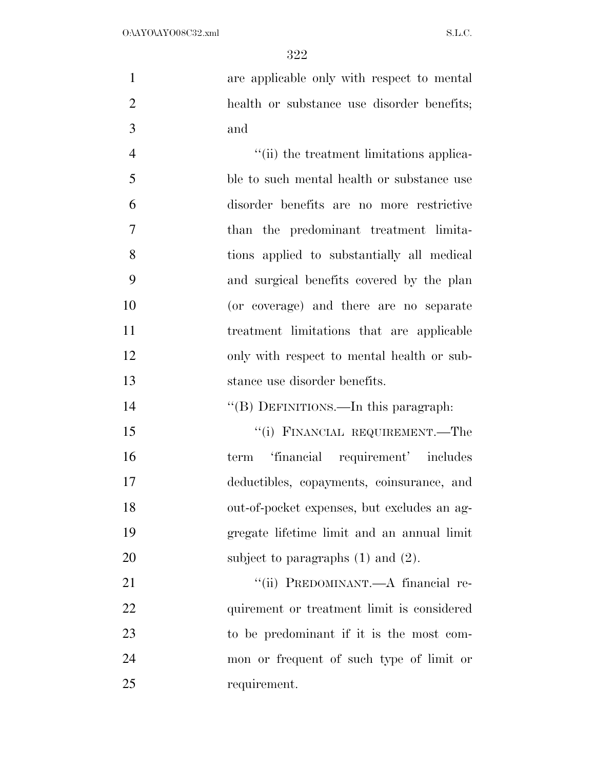are applicable only with respect to mental health or substance use disorder benefits; and

 $\frac{4}{\sin}$  the treatment limitations applica- ble to such mental health or substance use disorder benefits are no more restrictive than the predominant treatment limita- tions applied to substantially all medical and surgical benefits covered by the plan (or coverage) and there are no separate treatment limitations that are applicable only with respect to mental health or sub-stance use disorder benefits.

14 "(B) DEFINITIONS.—In this paragraph:

15 "(i) FINANCIAL REQUIREMENT.—The term 'financial requirement' includes deductibles, copayments, coinsurance, and out-of-pocket expenses, but excludes an ag- gregate lifetime limit and an annual limit 20 subject to paragraphs (1) and (2).

21 ""(ii) PREDOMINANT.—A financial re-22 quirement or treatment limit is considered to be predominant if it is the most com- mon or frequent of such type of limit or requirement.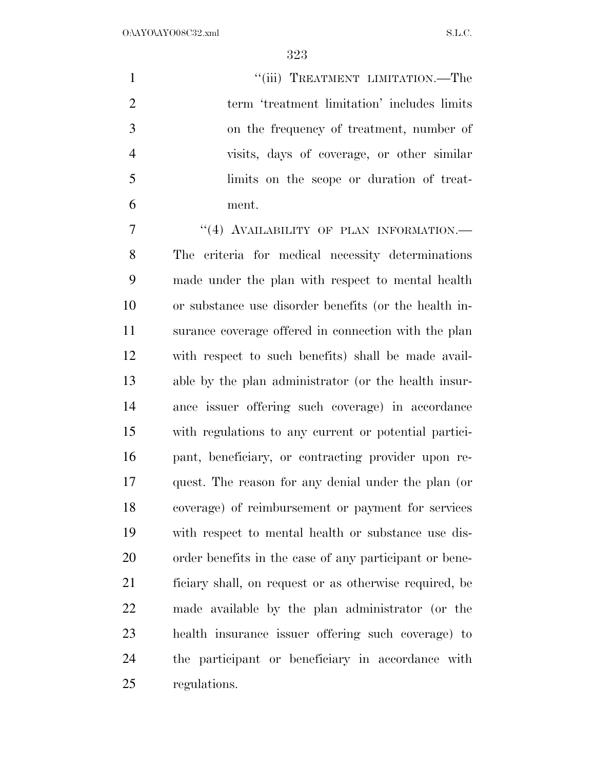$O:\Delta YO\Delta YO08C32.xml$  S.L.C.

1 "(iii) TREATMENT LIMITATION.—The 2 term 'treatment limitation' includes limits on the frequency of treatment, number of visits, days of coverage, or other similar limits on the scope or duration of treat-ment.

7 "(4) AVAILABILITY OF PLAN INFORMATION.— The criteria for medical necessity determinations made under the plan with respect to mental health or substance use disorder benefits (or the health in- surance coverage offered in connection with the plan with respect to such benefits) shall be made avail- able by the plan administrator (or the health insur- ance issuer offering such coverage) in accordance with regulations to any current or potential partici- pant, beneficiary, or contracting provider upon re- quest. The reason for any denial under the plan (or coverage) of reimbursement or payment for services with respect to mental health or substance use dis- order benefits in the case of any participant or bene- ficiary shall, on request or as otherwise required, be made available by the plan administrator (or the health insurance issuer offering such coverage) to the participant or beneficiary in accordance with regulations.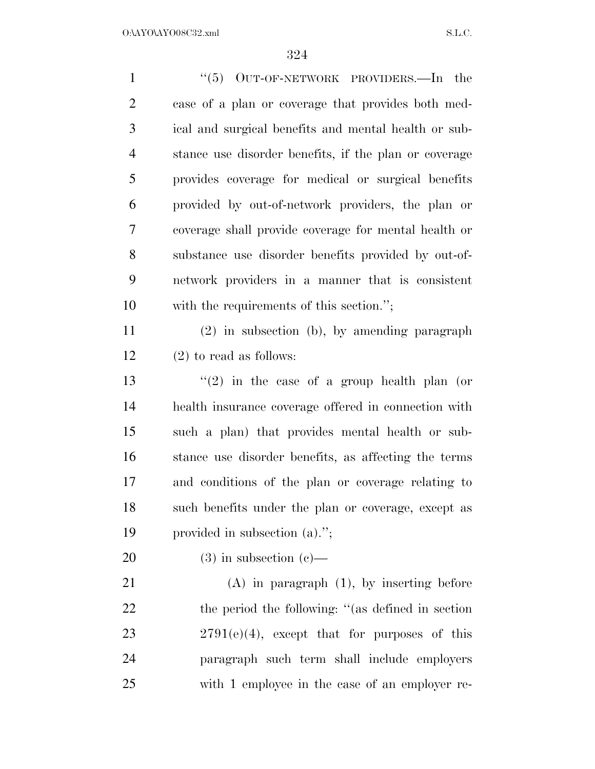| $\mathbf{1}$   | " $(5)$ OUT-OF-NETWORK PROVIDERS.—In the              |
|----------------|-------------------------------------------------------|
| $\overline{2}$ | case of a plan or coverage that provides both med-    |
| 3              | ical and surgical benefits and mental health or sub-  |
| $\overline{4}$ | stance use disorder benefits, if the plan or coverage |
| 5              | provides coverage for medical or surgical benefits    |
| 6              | provided by out-of-network providers, the plan or     |
| $\overline{7}$ | coverage shall provide coverage for mental health or  |
| 8              | substance use disorder benefits provided by out-of-   |
| 9              | network providers in a manner that is consistent      |
| 10             | with the requirements of this section.";              |
| 11             | $(2)$ in subsection (b), by amending paragraph        |
| 12             | $(2)$ to read as follows:                             |
| 13             | $(2)$ in the case of a group health plan (or          |
| 14             | health insurance coverage offered in connection with  |
| 15             | such a plan) that provides mental health or sub-      |
| 16             | stance use disorder benefits, as affecting the terms  |
| 17             | and conditions of the plan or coverage relating to    |
| 18             | such benefits under the plan or coverage, except as   |
| 19             | provided in subsection (a).";                         |
| 20             | $(3)$ in subsection $(e)$ —                           |
| 21             | $(A)$ in paragraph $(1)$ , by inserting before        |
| 22             | the period the following: "(as defined in section)    |
| 23             | $2791(e)(4)$ , except that for purposes of this       |
| 24             | paragraph such term shall include employers           |
| 25             | with 1 employee in the case of an employer re-        |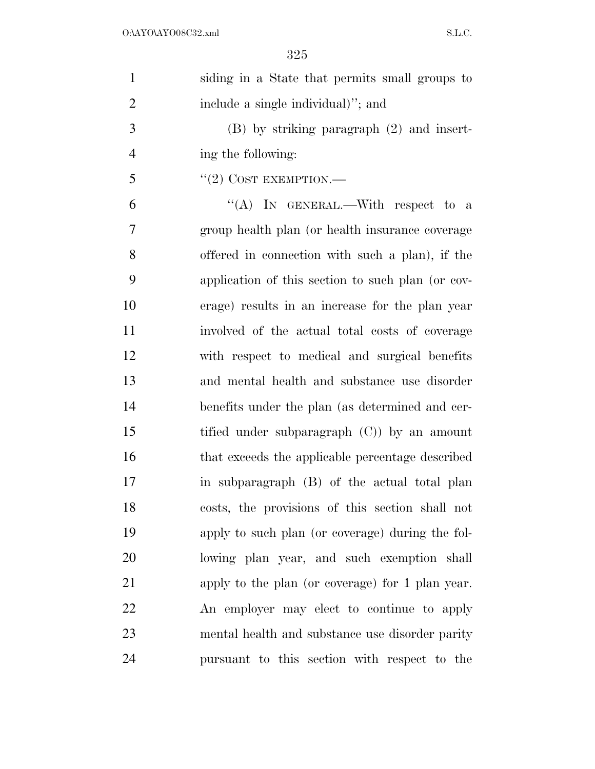| $\mathbf{1}$   | siding in a State that permits small groups to    |
|----------------|---------------------------------------------------|
| $\overline{2}$ | include a single individual)"; and                |
| 3              | $(B)$ by striking paragraph $(2)$ and insert-     |
| $\overline{4}$ | ing the following:                                |
| 5              | $``(2)$ COST EXEMPTION.—                          |
| 6              | "(A) IN GENERAL.—With respect to a                |
| 7              | group health plan (or health insurance coverage   |
| 8              | offered in connection with such a plan), if the   |
| 9              | application of this section to such plan (or cov- |
| 10             | erage) results in an increase for the plan year   |
| 11             | involved of the actual total costs of coverage    |
| 12             | with respect to medical and surgical benefits     |
| 13             | and mental health and substance use disorder      |
| 14             | benefits under the plan (as determined and cer-   |
| 15             | tified under subparagraph $(C)$ ) by an amount    |
| 16             | that exceeds the applicable percentage described  |
| 17             | in subparagraph (B) of the actual total plan      |
| 18             | costs, the provisions of this section shall not   |
| 19             | apply to such plan (or coverage) during the fol-  |
| 20             | lowing plan year, and such exemption shall        |
| 21             | apply to the plan (or coverage) for 1 plan year.  |
| 22             | An employer may elect to continue to apply        |
| 23             | mental health and substance use disorder parity   |
| 24             | pursuant to this section with respect to the      |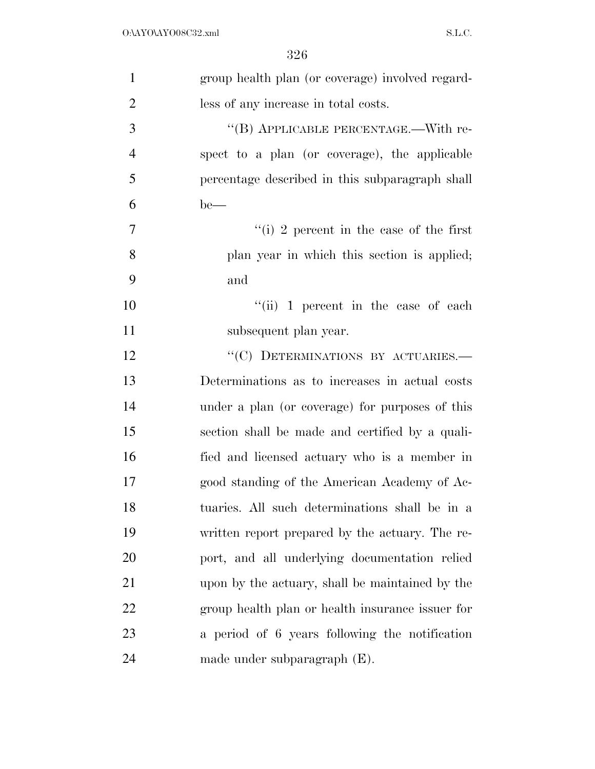| $\mathbf{1}$   | group health plan (or coverage) involved regard- |
|----------------|--------------------------------------------------|
| $\overline{2}$ | less of any increase in total costs.             |
| 3              | "(B) APPLICABLE PERCENTAGE.—With re-             |
| $\overline{4}$ | spect to a plan (or coverage), the applicable    |
| 5              | percentage described in this subparagraph shall  |
| 6              | $be$ —                                           |
| 7              | "(i) 2 percent in the case of the first          |
| 8              | plan year in which this section is applied;      |
| 9              | and                                              |
| 10             | $``(ii) 1$ percent in the case of each           |
| 11             | subsequent plan year.                            |
| 12             | "(C) DETERMINATIONS BY ACTUARIES.—               |
| 13             | Determinations as to increases in actual costs   |
| 14             | under a plan (or coverage) for purposes of this  |
| 15             | section shall be made and certified by a quali-  |
| 16             | fied and licensed actuary who is a member in     |
| 17             | good standing of the American Academy of Ac-     |
| 18             | tuaries. All such determinations shall be in a   |
| 19             | written report prepared by the actuary. The re-  |
| 20             | port, and all underlying documentation relied    |
| 21             | upon by the actuary, shall be maintained by the  |
| 22             | group health plan or health insurance issuer for |
| 23             | a period of 6 years following the notification   |
| 24             | made under subparagraph $(E)$ .                  |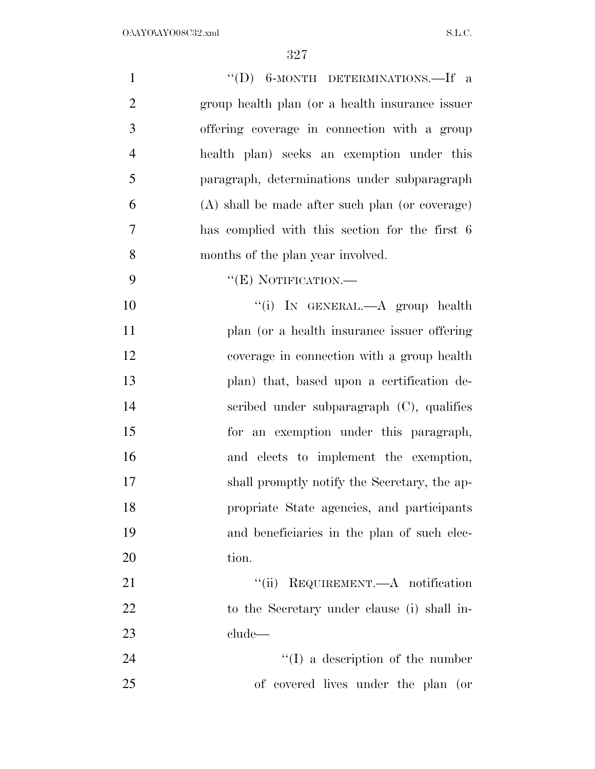| $\mathbf{1}$   | "(D) 6-MONTH DETERMINATIONS.—If a               |
|----------------|-------------------------------------------------|
| $\overline{2}$ | group health plan (or a health insurance issuer |
| 3              | offering coverage in connection with a group    |
| $\overline{4}$ | health plan) seeks an exemption under this      |
| 5              | paragraph, determinations under subparagraph    |
| 6              | (A) shall be made after such plan (or coverage) |
| 7              | has complied with this section for the first 6  |
| 8              | months of the plan year involved.               |
| 9              | "(E) NOTIFICATION.—                             |
| 10             | "(i) IN GENERAL.—A group health                 |
| 11             | plan (or a health insurance issuer offering     |
| 12             | coverage in connection with a group health      |
| 13             | plan) that, based upon a certification de-      |
| 14             | scribed under subparagraph $(C)$ , qualifies    |
| 15             | for an exemption under this paragraph,          |
| 16             | and elects to implement the exemption,          |
| 17             | shall promptly notify the Secretary, the ap-    |
| 18             | propriate State agencies, and participants      |
| 19             | and beneficiaries in the plan of such elec-     |
| 20             | tion.                                           |
| 21             | "(ii) REQUIREMENT.—A notification               |
| 22             | to the Secretary under clause (i) shall in-     |
| 23             | clude                                           |
| 24             | $\lq\lq$ (I) a description of the number        |
| 25             | of covered lives under the plan (or             |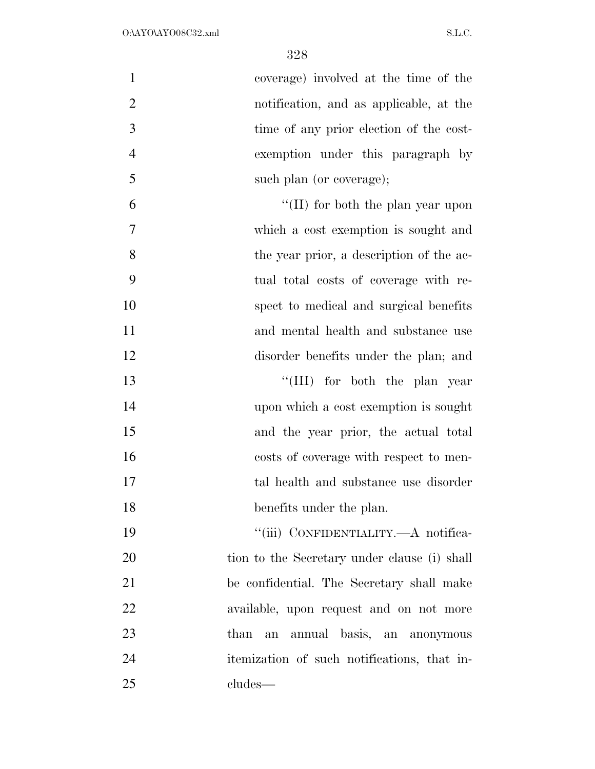| $\mathbf{1}$   | coverage) involved at the time of the        |
|----------------|----------------------------------------------|
| $\overline{2}$ | notification, and as applicable, at the      |
| 3              | time of any prior election of the cost-      |
| $\overline{4}$ | exemption under this paragraph by            |
| 5              | such plan (or coverage);                     |
| 6              | "(II) for both the plan year upon            |
| $\tau$         | which a cost exemption is sought and         |
| 8              | the year prior, a description of the ac-     |
| 9              | tual total costs of coverage with re-        |
| 10             | spect to medical and surgical benefits       |
| 11             | and mental health and substance use          |
| 12             | disorder benefits under the plan; and        |
| 13             | "(III) for both the plan year                |
| 14             | upon which a cost exemption is sought        |
| 15             | and the year prior, the actual total         |
| 16             | costs of coverage with respect to men-       |
| 17             | tal health and substance use disorder        |
| 18             | benefits under the plan.                     |
| 19             | "(iii) CONFIDENTIALITY.—A notifica-          |
| 20             | tion to the Secretary under clause (i) shall |
| 21             | be confidential. The Secretary shall make    |
| 22             | available, upon request and on not more      |
| 23             | annual basis, an anonymous<br>than<br>an     |
| 24             | itemization of such notifications, that in-  |
| 25             | cludes—                                      |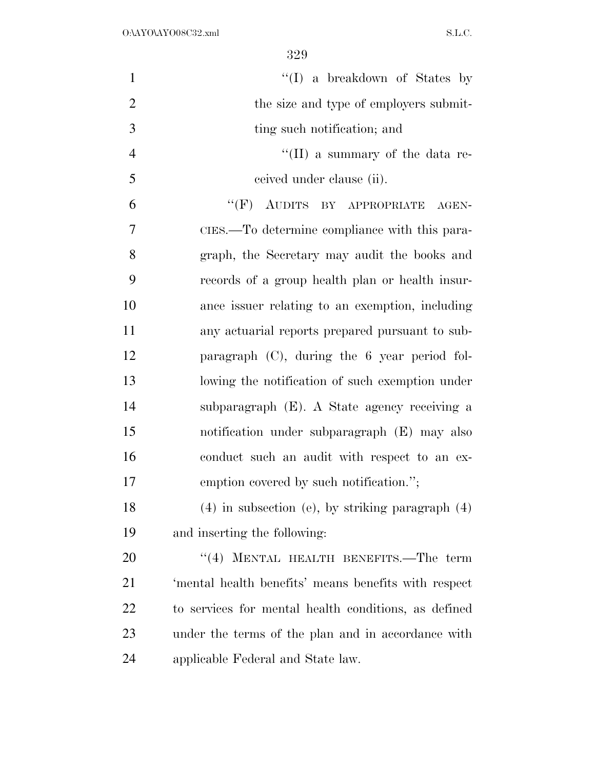| $\mathbf{1}$   | "(I) a breakdown of States by                        |
|----------------|------------------------------------------------------|
| $\overline{2}$ | the size and type of employers submit-               |
| 3              | ting such notification; and                          |
| $\overline{4}$ | "(II) a summary of the data re-                      |
| 5              | ceived under clause (ii).                            |
| 6              | "(F) AUDITS BY APPROPRIATE AGEN-                     |
| 7              | CIES.—To determine compliance with this para-        |
| 8              | graph, the Secretary may audit the books and         |
| 9              | records of a group health plan or health insur-      |
| 10             | ance issuer relating to an exemption, including      |
| 11             | any actuarial reports prepared pursuant to sub-      |
| 12             | paragraph $(C)$ , during the 6 year period fol-      |
| 13             | lowing the notification of such exemption under      |
| 14             | subparagraph (E). A State agency receiving a         |
| 15             | notification under subparagraph (E) may also         |
| 16             | conduct such an audit with respect to an ex-         |
| 17             | emption covered by such notification.";              |
| 18             | $(4)$ in subsection (e), by striking paragraph $(4)$ |
| 19             | and inserting the following:                         |
| 20             | MENTAL HEALTH BENEFITS.-The term<br>(4)              |
| 21             | 'mental health benefits' means benefits with respect |
| <u>22</u>      | to services for mental health conditions, as defined |
| 23             | under the terms of the plan and in accordance with   |
| 24             | applicable Federal and State law.                    |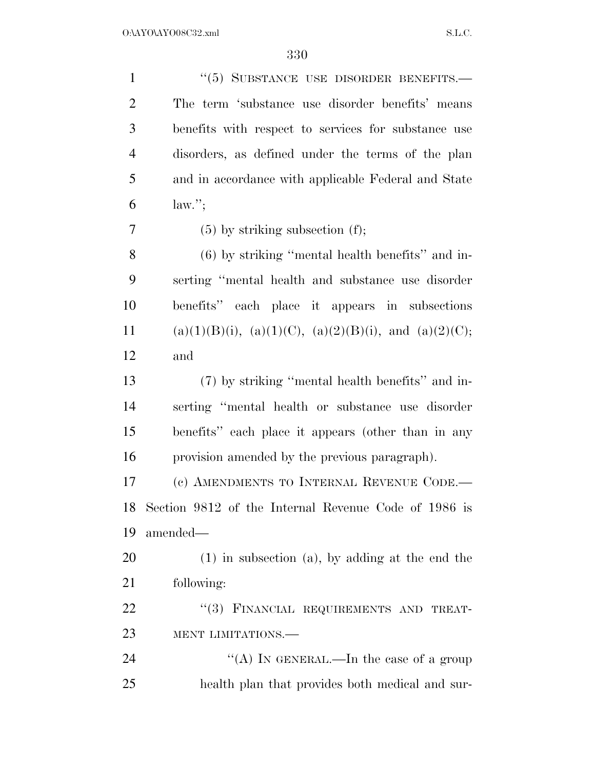| $\mathbf{1}$   | "(5) SUBSTANCE USE DISORDER BENEFITS.-                            |
|----------------|-------------------------------------------------------------------|
| $\overline{2}$ | The term 'substance use disorder benefits' means                  |
| 3              | benefits with respect to services for substance use               |
| $\overline{4}$ | disorders, as defined under the terms of the plan                 |
| 5              | and in accordance with applicable Federal and State               |
| 6              | $law.'$ ;                                                         |
| 7              | $(5)$ by striking subsection $(f)$ ;                              |
| 8              | $(6)$ by striking "mental health benefits" and in-                |
| 9              | serting "mental health and substance use disorder                 |
| 10             | benefits" each place it appears in subsections                    |
| 11             | $(a)(1)(B)(i)$ , $(a)(1)(C)$ , $(a)(2)(B)(i)$ , and $(a)(2)(C)$ ; |
| 12             | and                                                               |
| 13             | (7) by striking "mental health benefits" and in-                  |
| 14             | serting "mental health or substance use disorder                  |
| 15             | benefits" each place it appears (other than in any                |
| 16             | provision amended by the previous paragraph).                     |
| 17             | (c) AMENDMENTS TO INTERNAL REVENUE CODE.-                         |
| 18             | Section 9812 of the Internal Revenue Code of 1986 is              |
| 19             | amended-                                                          |
| 20             | $(1)$ in subsection $(a)$ , by adding at the end the              |
| 21             | following:                                                        |
| 22             | "(3) FINANCIAL REQUIREMENTS AND TREAT-                            |
| 23             | MENT LIMITATIONS.-                                                |
| 24             | "(A) IN GENERAL.—In the case of a group                           |
| 25             | health plan that provides both medical and sur-                   |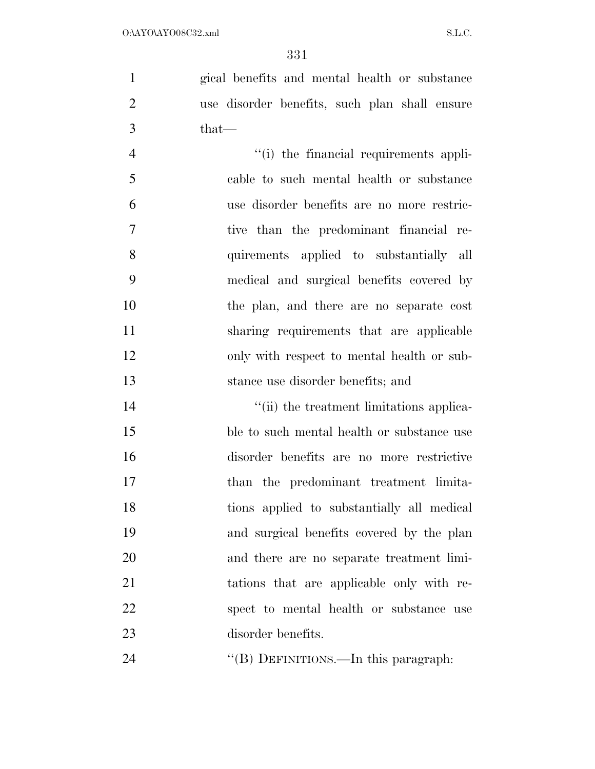gical benefits and mental health or substance use disorder benefits, such plan shall ensure that—

 $''(i)$  the financial requirements appli- cable to such mental health or substance use disorder benefits are no more restric- tive than the predominant financial re- quirements applied to substantially all medical and surgical benefits covered by the plan, and there are no separate cost sharing requirements that are applicable only with respect to mental health or sub-stance use disorder benefits; and

 $\frac{1}{2}$  (ii) the treatment limitations applica- ble to such mental health or substance use disorder benefits are no more restrictive than the predominant treatment limita- tions applied to substantially all medical and surgical benefits covered by the plan and there are no separate treatment limi- tations that are applicable only with re- spect to mental health or substance use disorder benefits.

24 "(B) DEFINITIONS.—In this paragraph: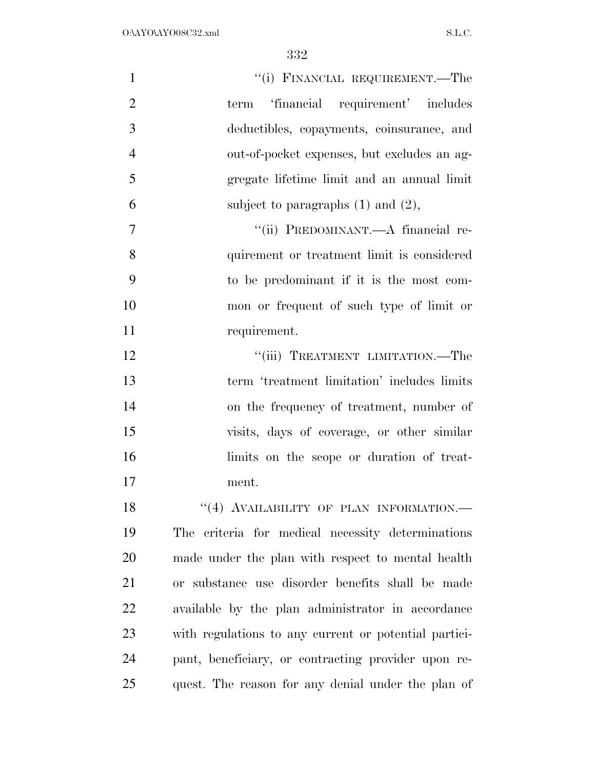| $\mathbf{1}$   | "(i) FINANCIAL REQUIREMENT.—The                       |
|----------------|-------------------------------------------------------|
| $\overline{2}$ | term 'financial requirement' includes                 |
| 3              | deductibles, copayments, coinsurance, and             |
| $\overline{4}$ | out-of-pocket expenses, but excludes an ag-           |
| 5              | gregate lifetime limit and an annual limit            |
| 6              | subject to paragraphs $(1)$ and $(2)$ ,               |
| 7              | "(ii) PREDOMINANT.—A financial re-                    |
| 8              | quirement or treatment limit is considered            |
| 9              | to be predominant if it is the most com-              |
| 10             | mon or frequent of such type of limit or              |
| 11             | requirement.                                          |
| 12             | "(iii) TREATMENT LIMITATION.—The                      |
| 13             | term 'treatment limitation' includes limits           |
| 14             | on the frequency of treatment, number of              |
| 15             | visits, days of coverage, or other similar            |
| 16             | limits on the scope or duration of treat-             |
| 17             | ment.                                                 |
| 18             | "(4) AVAILABILITY OF PLAN INFORMATION.-               |
| 19             | The criteria for medical necessity determinations     |
| 20             | made under the plan with respect to mental health     |
| 21             | or substance use disorder benefits shall be made      |
| 22             | available by the plan administrator in accordance     |
| 23             | with regulations to any current or potential partici- |
| 24             | pant, beneficiary, or contracting provider upon re-   |
| 25             | quest. The reason for any denial under the plan of    |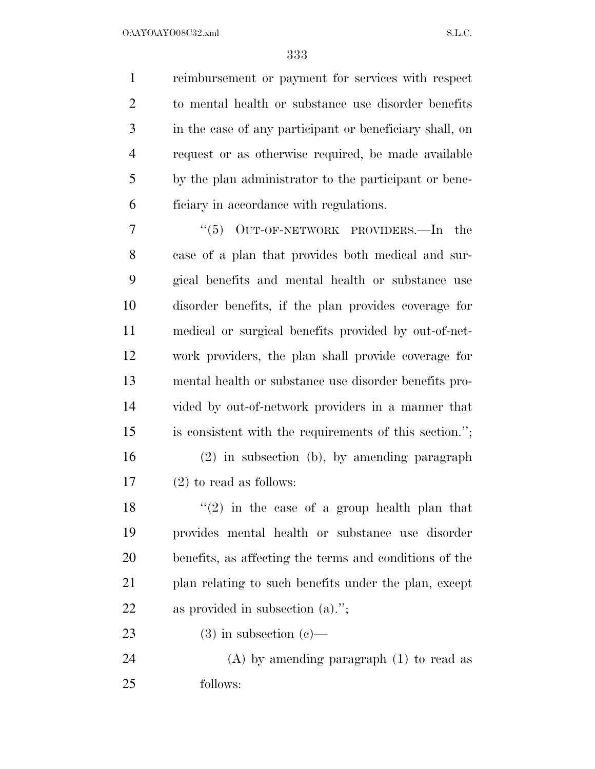reimbursement or payment for services with respect to mental health or substance use disorder benefits in the case of any participant or beneficiary shall, on request or as otherwise required, be made available by the plan administrator to the participant or bene-ficiary in accordance with regulations.

7 "(5) OUT-OF-NETWORK PROVIDERS.—In the case of a plan that provides both medical and sur- gical benefits and mental health or substance use disorder benefits, if the plan provides coverage for medical or surgical benefits provided by out-of-net- work providers, the plan shall provide coverage for mental health or substance use disorder benefits pro- vided by out-of-network providers in a manner that is consistent with the requirements of this section.'';

 (2) in subsection (b), by amending paragraph (2) to read as follows:

 $\langle \cdot (2) \rangle$  in the case of a group health plan that provides mental health or substance use disorder benefits, as affecting the terms and conditions of the 21 plan relating to such benefits under the plan, except as provided in subsection (a).'';

23 (3) in subsection  $(c)$ —

 (A) by amending paragraph (1) to read as follows: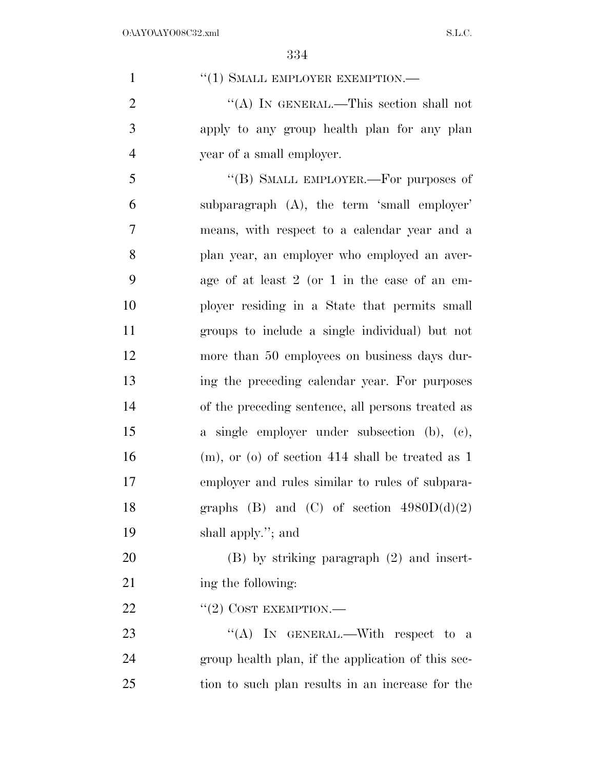| $\mathbf{1}$   | "(1) SMALL EMPLOYER EXEMPTION.-                       |
|----------------|-------------------------------------------------------|
| $\overline{2}$ | "(A) IN GENERAL.—This section shall not               |
| 3              | apply to any group health plan for any plan           |
| $\overline{4}$ | year of a small employer.                             |
| 5              | "(B) SMALL EMPLOYER.—For purposes of                  |
| 6              | subparagraph (A), the term 'small employer'           |
| 7              | means, with respect to a calendar year and a          |
| 8              | plan year, an employer who employed an aver-          |
| 9              | age of at least $2$ (or $1$ in the case of an em-     |
| 10             | ployer residing in a State that permits small         |
| 11             | groups to include a single individual) but not        |
| 12             | more than 50 employees on business days dur-          |
| 13             | ing the preceding calendar year. For purposes         |
| 14             | of the preceding sentence, all persons treated as     |
| 15             | a single employer under subsection (b), (c),          |
| 16             | $(m)$ , or $(o)$ of section 414 shall be treated as 1 |
| 17             | employer and rules similar to rules of subpara-       |
| 18             | graphs (B) and (C) of section $4980D(d)(2)$           |
| 19             | shall apply."; and                                    |
| 20             | $(B)$ by striking paragraph $(2)$ and insert-         |
| 21             | ing the following:                                    |
| 22             | $``(2)$ COST EXEMPTION.—                              |
| 23             | "(A) IN GENERAL.—With respect to a                    |
| 24             | group health plan, if the application of this sec-    |
| 25             | tion to such plan results in an increase for the      |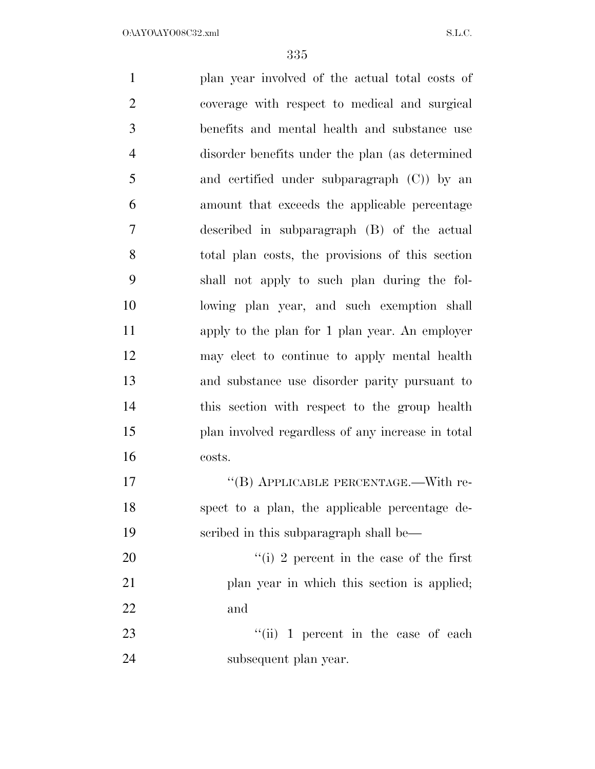plan year involved of the actual total costs of coverage with respect to medical and surgical benefits and mental health and substance use disorder benefits under the plan (as determined and certified under subparagraph (C)) by an amount that exceeds the applicable percentage described in subparagraph (B) of the actual total plan costs, the provisions of this section shall not apply to such plan during the fol- lowing plan year, and such exemption shall apply to the plan for 1 plan year. An employer may elect to continue to apply mental health and substance use disorder parity pursuant to this section with respect to the group health plan involved regardless of any increase in total costs. 17 "(B) APPLICABLE PERCENTAGE.—With re- spect to a plan, the applicable percentage de- scribed in this subparagraph shall be—  $\frac{1}{2}$  percent in the case of the first 21 plan year in which this section is applied; and 23 ''(ii) 1 percent in the case of each subsequent plan year.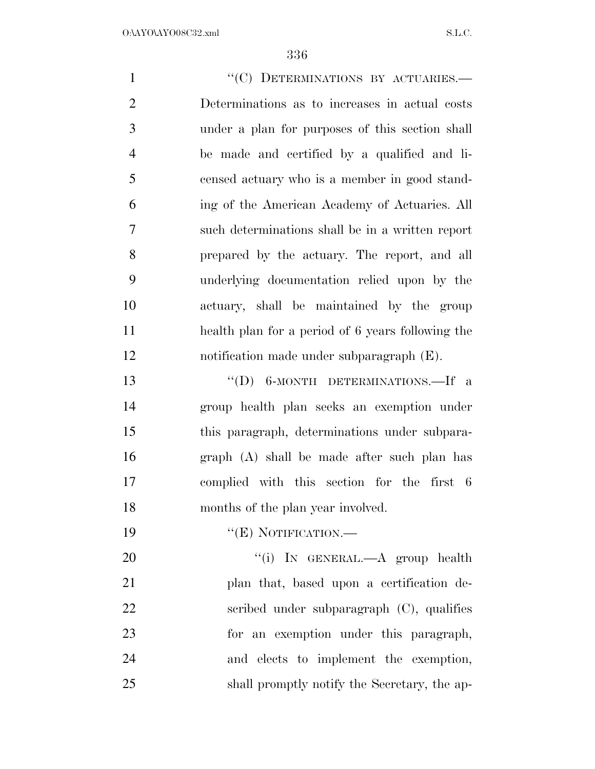| $\mathbf{1}$   | "(C) DETERMINATIONS BY ACTUARIES.-                |
|----------------|---------------------------------------------------|
| $\mathbf{2}$   | Determinations as to increases in actual costs    |
| 3              | under a plan for purposes of this section shall   |
| $\overline{4}$ | be made and certified by a qualified and li-      |
| 5              | censed actuary who is a member in good stand-     |
| 6              | ing of the American Academy of Actuaries. All     |
| $\tau$         | such determinations shall be in a written report  |
| 8              | prepared by the actuary. The report, and all      |
| 9              | underlying documentation relied upon by the       |
| 10             | actuary, shall be maintained by the group         |
| 11             | health plan for a period of 6 years following the |
| 12             | notification made under subparagraph (E).         |
| 13             | "(D) 6-MONTH DETERMINATIONS.—If a                 |
| 14             | group health plan seeks an exemption under        |
| 15             | this paragraph, determinations under subpara-     |
| 16             | graph (A) shall be made after such plan has       |
| 17             | complied with this section for the first 6        |
| 18             | months of the plan year involved.                 |
| 19             | $``(E)$ NOTIFICATION.—                            |
| 20             | "(i) IN GENERAL.—A group health                   |
| 21             | plan that, based upon a certification de-         |
| 22             | scribed under subparagraph $(C)$ , qualifies      |
| 23             | for an exemption under this paragraph,            |
| 24             | and elects to implement the exemption,            |
| 25             | shall promptly notify the Secretary, the ap-      |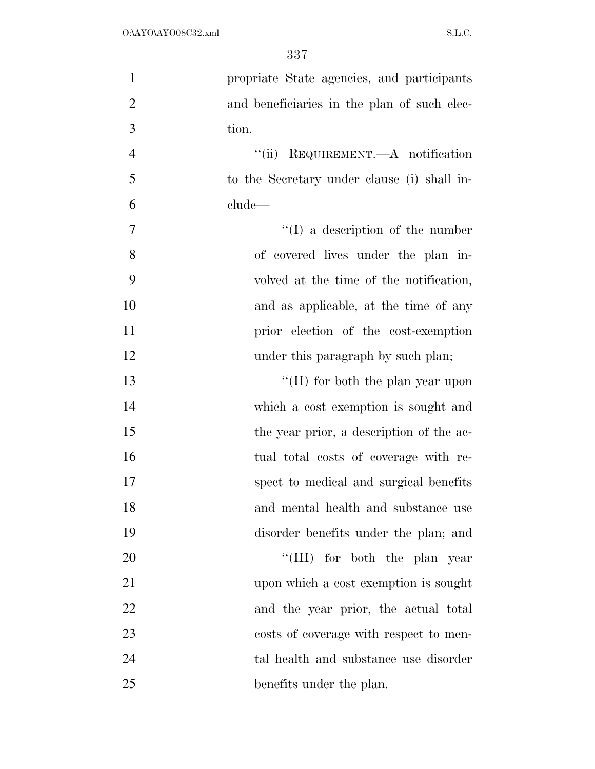| $\mathbf{1}$   | propriate State agencies, and participants  |
|----------------|---------------------------------------------|
| $\overline{2}$ | and beneficiaries in the plan of such elec- |
| 3              | tion.                                       |
| $\overline{4}$ | REQUIREMENT.—A notification<br>``(ii)       |
| 5              | to the Secretary under clause (i) shall in- |
| 6              | clude—                                      |
| 7              | $\lq\lq$ a description of the number        |
| 8              | of covered lives under the plan in-         |
| 9              | volved at the time of the notification,     |
| 10             | and as applicable, at the time of any       |
| 11             | prior election of the cost-exemption        |
| 12             | under this paragraph by such plan;          |
| 13             | "(II) for both the plan year upon           |
| 14             | which a cost exemption is sought and        |
| 15             | the year prior, a description of the ac-    |
| 16             | tual total costs of coverage with re-       |
| 17             | spect to medical and surgical benefits      |
| 18             | and mental health and substance use         |
| 19             | disorder benefits under the plan; and       |
| 20             | "(III) for both the plan year               |
| 21             | upon which a cost exemption is sought       |
| 22             | and the year prior, the actual total        |
| 23             | costs of coverage with respect to men-      |
| 24             | tal health and substance use disorder       |
| 25             | benefits under the plan.                    |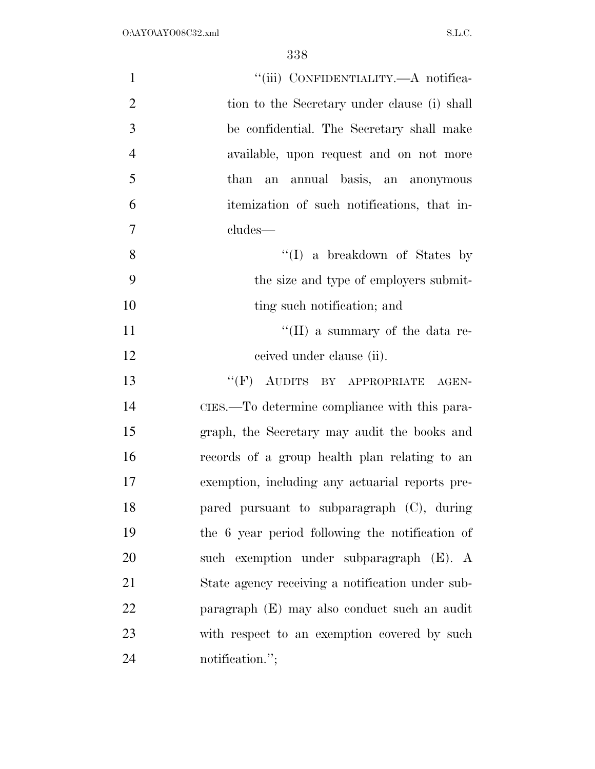| $\mathbf{1}$   | "(iii) CONFIDENTIALITY.—A notifica-              |
|----------------|--------------------------------------------------|
| $\overline{2}$ | tion to the Secretary under clause (i) shall     |
| 3              | be confidential. The Secretary shall make        |
| $\overline{4}$ | available, upon request and on not more          |
| 5              | than an annual basis, an anonymous               |
| 6              | itemization of such notifications, that in-      |
| 7              | cludes—                                          |
| 8              | $\lq\lq$ a breakdown of States by                |
| 9              | the size and type of employers submit-           |
| 10             | ting such notification; and                      |
| 11             | "(II) a summary of the data re-                  |
| 12             | ceived under clause (ii).                        |
| 13             | "(F) AUDITS BY APPROPRIATE AGEN-                 |
| 14             | CIES.—To determine compliance with this para-    |
| 15             | graph, the Secretary may audit the books and     |
| 16             | records of a group health plan relating to an    |
| 17             | exemption, including any actuarial reports pre-  |
| 18             | pared pursuant to subparagraph (C), during       |
| 19             | the 6 year period following the notification of  |
| 20             | such exemption under subparagraph (E). A         |
| 21             | State agency receiving a notification under sub- |
| 22             | paragraph (E) may also conduct such an audit     |
| 23             | with respect to an exemption covered by such     |
| 24             | notification.";                                  |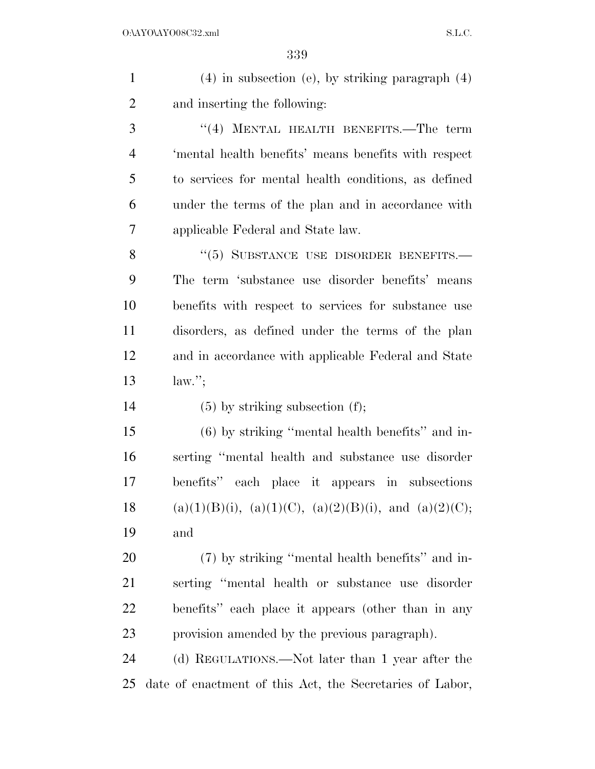| $\mathbf{1}$   | $(4)$ in subsection (e), by striking paragraph $(4)$              |
|----------------|-------------------------------------------------------------------|
| $\overline{2}$ | and inserting the following:                                      |
| 3              | "(4) MENTAL HEALTH BENEFITS.—The term                             |
| $\overline{4}$ | 'mental health benefits' means benefits with respect              |
| 5              | to services for mental health conditions, as defined              |
| 6              | under the terms of the plan and in accordance with                |
| 7              | applicable Federal and State law.                                 |
| 8              | $``(5)$ SUBSTANCE USE DISORDER BENEFITS.                          |
| 9              | The term 'substance use disorder benefits' means                  |
| 10             | benefits with respect to services for substance use               |
| 11             | disorders, as defined under the terms of the plan                 |
| 12             | and in accordance with applicable Federal and State               |
|                |                                                                   |
| 13             | $law.'$ ;                                                         |
| 14             | $(5)$ by striking subsection $(f)$ ;                              |
| 15             | $(6)$ by striking "mental health benefits" and in-                |
| 16             | serting "mental health and substance use disorder                 |
| 17             | benefits" each place it appears in subsections                    |
| 18             | $(a)(1)(B)(i)$ , $(a)(1)(C)$ , $(a)(2)(B)(i)$ , and $(a)(2)(C)$ ; |
| 19             | and                                                               |
| 20             | (7) by striking "mental health benefits" and in-                  |
| 21             | serting "mental health or substance use disorder                  |
| 22             | benefits" each place it appears (other than in any                |
| 23             | provision amended by the previous paragraph).                     |
| 24             | (d) REGULATIONS.—Not later than 1 year after the                  |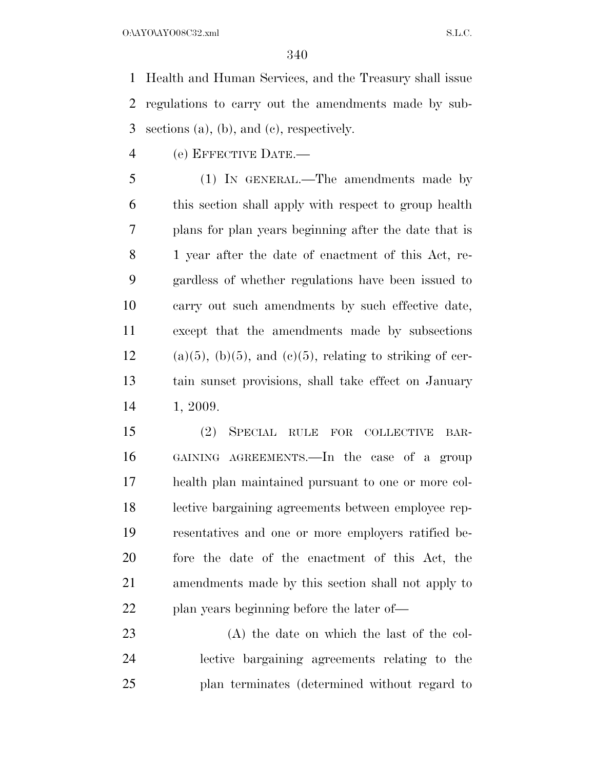$O:\Delta YO\Delta YO08C32.xml$  S.L.C.

 Health and Human Services, and the Treasury shall issue regulations to carry out the amendments made by sub-sections (a), (b), and (c), respectively.

(e) EFFECTIVE DATE.—

 (1) IN GENERAL.—The amendments made by this section shall apply with respect to group health plans for plan years beginning after the date that is 1 year after the date of enactment of this Act, re- gardless of whether regulations have been issued to carry out such amendments by such effective date, except that the amendments made by subsections (a)(5), (b)(5), and (c)(5), relating to striking of cer- tain sunset provisions, shall take effect on January 1, 2009.

 (2) SPECIAL RULE FOR COLLECTIVE BAR- GAINING AGREEMENTS.—In the case of a group health plan maintained pursuant to one or more col- lective bargaining agreements between employee rep- resentatives and one or more employers ratified be- fore the date of the enactment of this Act, the amendments made by this section shall not apply to 22 plan years beginning before the later of—

 (A) the date on which the last of the col- lective bargaining agreements relating to the plan terminates (determined without regard to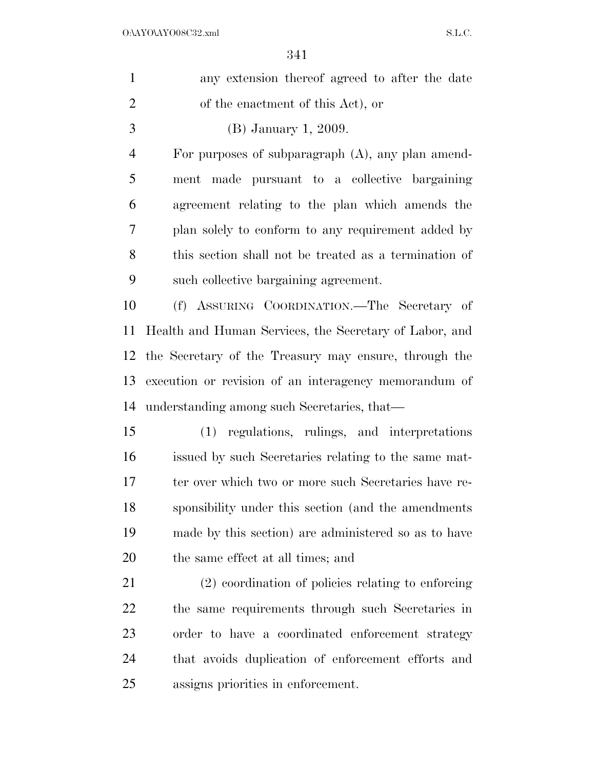| $\mathbf{1}$   | any extension thereof agreed to after the date         |
|----------------|--------------------------------------------------------|
| $\overline{2}$ | of the enactment of this Act), or                      |
| 3              | (B) January 1, 2009.                                   |
| $\overline{4}$ | For purposes of subparagraph $(A)$ , any plan amend-   |
| 5              | made pursuant to a collective bargaining<br>ment       |
| 6              | agreement relating to the plan which amends the        |
| 7              | plan solely to conform to any requirement added by     |
| 8              | this section shall not be treated as a termination of  |
| 9              | such collective bargaining agreement.                  |
| 10             | (f) ASSURING COORDINATION.—The Secretary of            |
| 11             | Health and Human Services, the Secretary of Labor, and |
| 12             | the Secretary of the Treasury may ensure, through the  |
| 13             | execution or revision of an interagency memorandum of  |
| 14             | understanding among such Secretaries, that—            |
| 15             | (1) regulations, rulings, and interpretations          |
| 16             | issued by such Secretaries relating to the same mat-   |
| $17\,$         | ter over which two or more such Secretaries have re-   |
| 18             | sponsibility under this section (and the amendments    |
| 19             | made by this section) are administered so as to have   |
| <b>20</b>      | the same effect at all times; and                      |
| 21             | (2) coordination of policies relating to enforcing     |
| <u>22</u>      | the same requirements through such Secretaries in      |
| 23             | order to have a coordinated enforcement strategy       |
| 24             | that avoids duplication of enforcement efforts and     |
| 25             | assigns priorities in enforcement.                     |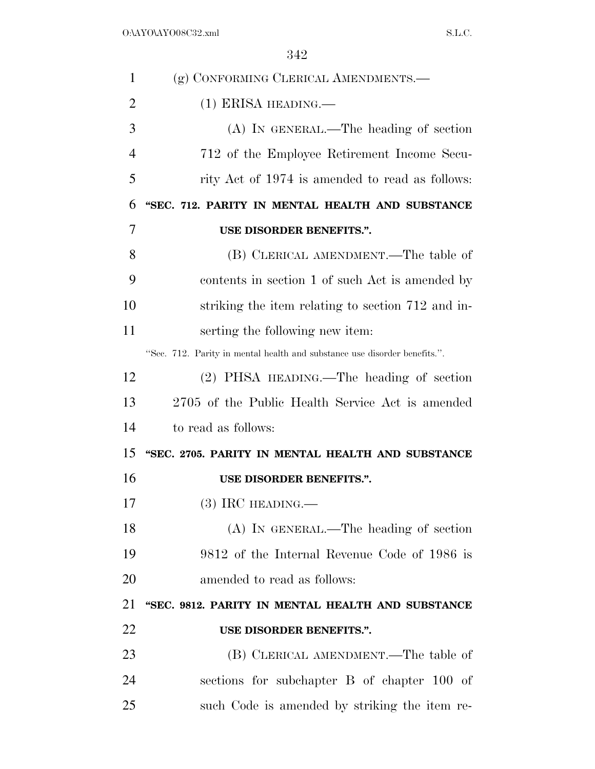| $\mathbf{1}$   | (g) CONFORMING CLERICAL AMENDMENTS.-                                      |
|----------------|---------------------------------------------------------------------------|
| $\overline{2}$ | $(1)$ ERISA HEADING.—                                                     |
| 3              | (A) IN GENERAL.—The heading of section                                    |
| $\overline{4}$ | 712 of the Employee Retirement Income Secu-                               |
| 5              | rity Act of 1974 is amended to read as follows:                           |
| 6              | "SEC. 712. PARITY IN MENTAL HEALTH AND SUBSTANCE                          |
| 7              | USE DISORDER BENEFITS.".                                                  |
| 8              | (B) CLERICAL AMENDMENT.—The table of                                      |
| 9              | contents in section 1 of such Act is amended by                           |
| 10             | striking the item relating to section 712 and in-                         |
| 11             | serting the following new item:                                           |
|                | "Sec. 712. Parity in mental health and substance use disorder benefits.". |
| 12             | (2) PHSA HEADING.—The heading of section                                  |
| 13             | 2705 of the Public Health Service Act is amended                          |
| 14             | to read as follows:                                                       |
| 15             | "SEC. 2705. PARITY IN MENTAL HEALTH AND SUBSTANCE                         |
| 16             | USE DISORDER BENEFITS.".                                                  |
| 17             | $(3)$ IRC HEADING.—                                                       |
| 18             | $(A)$ In GENERAL.—The heading of section                                  |
| 19             | 9812 of the Internal Revenue Code of 1986 is                              |
| 20             | amended to read as follows:                                               |
| 21             | "SEC. 9812. PARITY IN MENTAL HEALTH AND SUBSTANCE                         |
| 22             | USE DISORDER BENEFITS.".                                                  |
| 23             | (B) CLERICAL AMENDMENT.—The table of                                      |
| 24             | sections for subchapter B of chapter 100 of                               |
| 25             | such Code is amended by striking the item re-                             |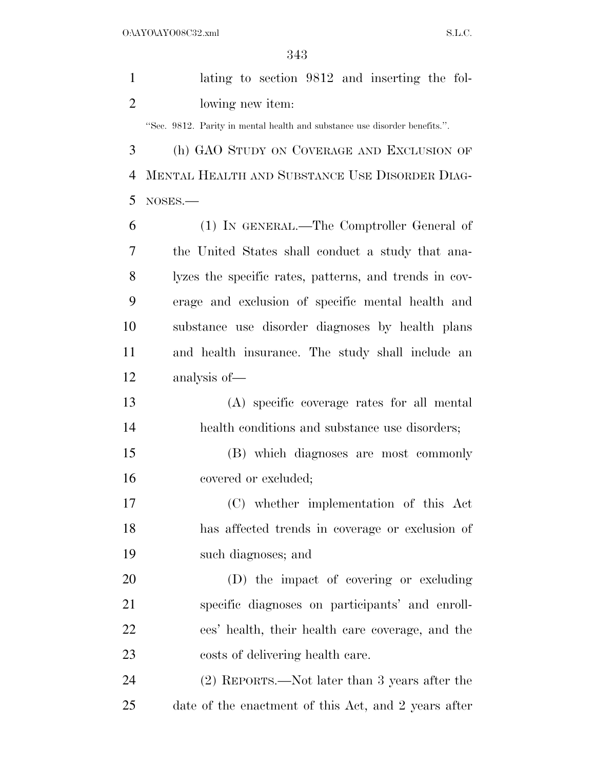|                | りまり                                                                        |
|----------------|----------------------------------------------------------------------------|
| $\mathbf{1}$   | lating to section 9812 and inserting the fol-                              |
| $\overline{2}$ | lowing new item:                                                           |
|                | "Sec. 9812. Parity in mental health and substance use disorder benefits.". |
| 3              | (h) GAO STUDY ON COVERAGE AND EXCLUSION OF                                 |
| 4              | MENTAL HEALTH AND SUBSTANCE USE DISORDER DIAG-                             |
| 5              | NOSES.                                                                     |
| 6              | (1) IN GENERAL.—The Comptroller General of                                 |
| 7              | the United States shall conduct a study that ana-                          |
| 8              | lyzes the specific rates, patterns, and trends in cov-                     |
| 9              | erage and exclusion of specific mental health and                          |
| 10             | substance use disorder diagnoses by health plans                           |
| 11             | and health insurance. The study shall include an                           |
| 12             | analysis of-                                                               |
| 13             | (A) specific coverage rates for all mental                                 |
| 14             | health conditions and substance use disorders;                             |
| 15             | (B) which diagnoses are most commonly                                      |
| 16             | covered or excluded;                                                       |
| 17             | (C) whether implementation of this Act                                     |
| 18             | has affected trends in coverage or exclusion of                            |
| 19             | such diagnoses; and                                                        |
| 20             | (D) the impact of covering or excluding                                    |
| 21             | specific diagnoses on participants' and enroll-                            |
| 22             | ees' health, their health care coverage, and the                           |
| 23             | costs of delivering health care.                                           |
| 24             | (2) REPORTS.—Not later than 3 years after the                              |

date of the enactment of this Act, and 2 years after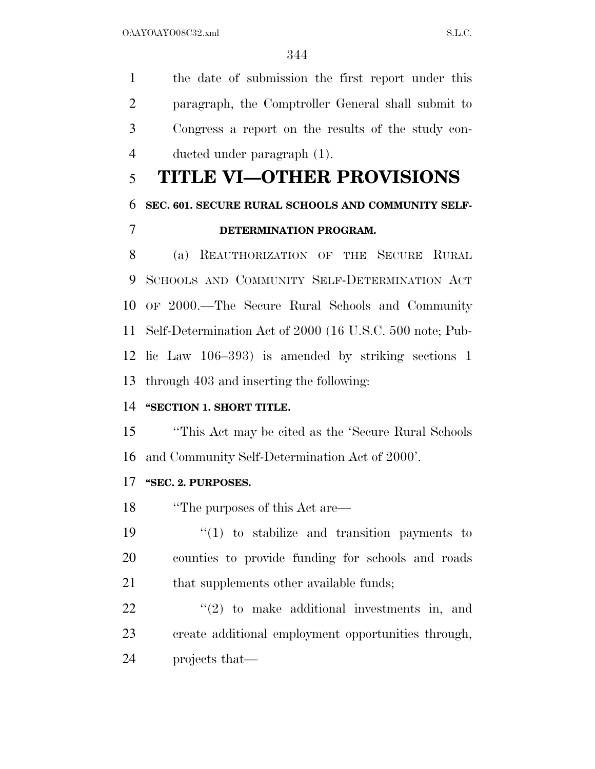O:\AYO\AYO08C32.xml S.L.C.

 the date of submission the first report under this paragraph, the Comptroller General shall submit to Congress a report on the results of the study con-ducted under paragraph (1).

# **TITLE VI—OTHER PROVISIONS**

# **SEC. 601. SECURE RURAL SCHOOLS AND COMMUNITY SELF-**

## **DETERMINATION PROGRAM.**

 (a) REAUTHORIZATION OF THE SECURE RURAL SCHOOLS AND COMMUNITY SELF-DETERMINATION ACT OF 2000.—The Secure Rural Schools and Community Self-Determination Act of 2000 (16 U.S.C. 500 note; Pub- lic Law 106–393) is amended by striking sections 1 through 403 and inserting the following:

### **"SECTION 1. SHORT TITLE.**

 ''This Act may be cited as the 'Secure Rural Schools and Community Self-Determination Act of 2000'.

### **''SEC. 2. PURPOSES.**

''The purposes of this Act are—

19  $\frac{1}{2}$  (1) to stabilize and transition payments to counties to provide funding for schools and roads 21 that supplements other available funds;

  $(2)$  to make additional investments in, and create additional employment opportunities through, projects that—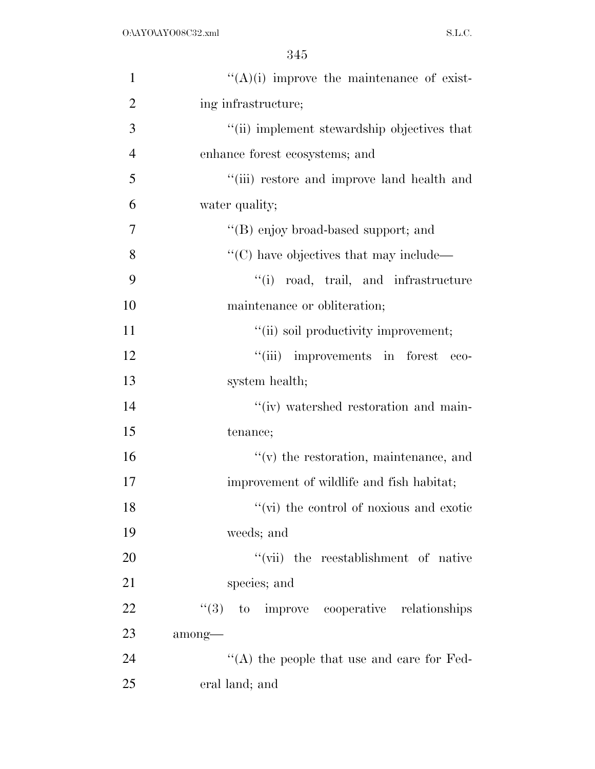| $\mathbf{1}$   | $\lq\lq$ (A)(i) improve the maintenance of exist- |
|----------------|---------------------------------------------------|
| $\overline{2}$ | ing infrastructure;                               |
| 3              | "(ii) implement stewardship objectives that       |
| $\overline{4}$ | enhance forest ecosystems; and                    |
| 5              | "(iii) restore and improve land health and        |
| 6              | water quality;                                    |
| 7              | "(B) enjoy broad-based support; and               |
| 8              | $\lq\lq$ (C) have objectives that may include—    |
| 9              | "(i) road, trail, and infrastructure              |
| 10             | maintenance or obliteration;                      |
| 11             | "(ii) soil productivity improvement;              |
| 12             | "(iii) improvements in forest<br>$-$ eco-         |
| 13             | system health;                                    |
| 14             | "(iv) watershed restoration and main-             |
| 15             | tenance;                                          |
| 16             | $f'(v)$ the restoration, maintenance, and         |
| 17             | improvement of wildlife and fish habitat;         |
| 18             | "(vi) the control of noxious and exotic           |
| 19             | weeds; and                                        |
| 20             | "(vii) the reestablishment of native              |
| 21             | species; and                                      |
| 22             | $\cdot$ (3) to improve cooperative relationships  |
| 23             | among-                                            |
| 24             | "(A) the people that use and care for Fed-        |
| 25             | eral land; and                                    |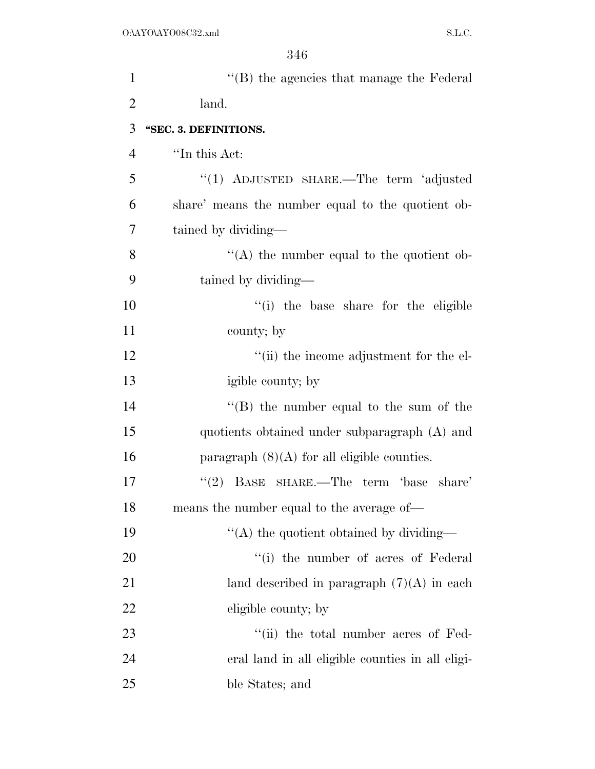| $\mathbf{1}$   | $\lq\lq$ the agencies that manage the Federal     |
|----------------|---------------------------------------------------|
| $\overline{2}$ | land.                                             |
| 3              | "SEC. 3. DEFINITIONS.                             |
| 4              | "In this Act:                                     |
| 5              | "(1) ADJUSTED SHARE.—The term 'adjusted           |
| 6              | share' means the number equal to the quotient ob- |
| 7              | tained by dividing—                               |
| 8              | "(A) the number equal to the quotient ob-         |
| 9              | tained by dividing-                               |
| 10             | "(i) the base share for the eligible              |
| 11             | county; by                                        |
| 12             | "(ii) the income adjustment for the el-           |
| 13             | igible county; by                                 |
| 14             | "(B) the number equal to the sum of the           |
| 15             | quotients obtained under subparagraph (A) and     |
| 16             | paragraph $(8)(A)$ for all eligible counties.     |
| 17             | BASE SHARE.—The term 'base share'<br>(2)          |
| 18             | means the number equal to the average of-         |
| 19             | "(A) the quotient obtained by dividing—           |
| 20             | "(i) the number of acres of Federal               |
| 21             | land described in paragraph $(7)(A)$ in each      |
| 22             | eligible county; by                               |
| 23             | "(ii) the total number acres of Fed-              |
| 24             | eral land in all eligible counties in all eligi-  |
| 25             | ble States; and                                   |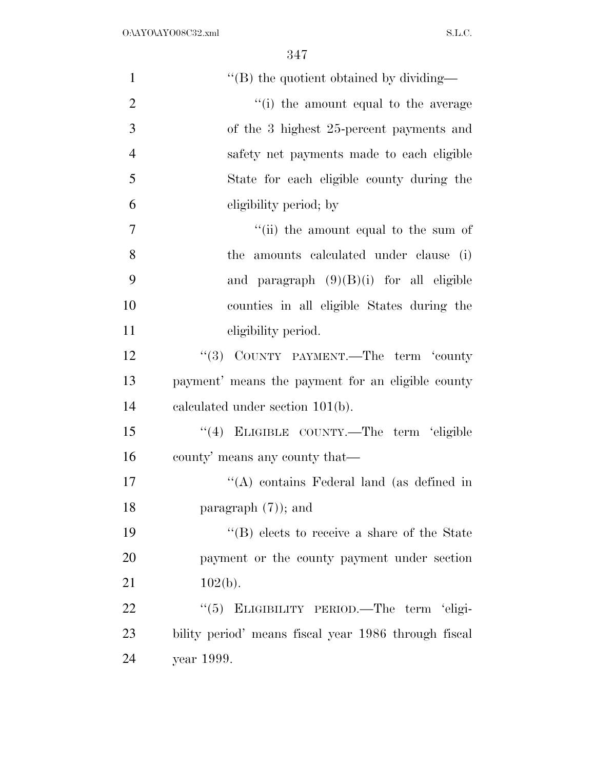| $\mathbf{1}$   | "(B) the quotient obtained by dividing—              |
|----------------|------------------------------------------------------|
| $\overline{2}$ | "(i) the amount equal to the average                 |
| 3              | of the 3 highest 25-percent payments and             |
| $\overline{4}$ | safety net payments made to each eligible            |
| 5              | State for each eligible county during the            |
| 6              | eligibility period; by                               |
| $\tau$         | "(ii) the amount equal to the sum of                 |
| 8              | the amounts calculated under clause (i)              |
| 9              | and paragraph $(9)(B)(i)$ for all eligible           |
| 10             | counties in all eligible States during the           |
| 11             | eligibility period.                                  |
| 12             | "(3) COUNTY PAYMENT.—The term 'county                |
| 13             | payment' means the payment for an eligible county    |
| 14             | calculated under section $101(b)$ .                  |
| 15             | "(4) ELIGIBLE COUNTY.—The term 'eligible             |
| 16             | county' means any county that—                       |
| 17             | "(A) contains Federal land (as defined in            |
| 18             | paragraph $(7)$ ; and                                |
| 19             | "(B) elects to receive a share of the State          |
| 20             | payment or the county payment under section          |
| 21             | $102(b)$ .                                           |
| 22             | ELIGIBILITY PERIOD.-The term 'eligi-<br>(5)          |
| 23             | bility period' means fiscal year 1986 through fiscal |
| 24             | year 1999.                                           |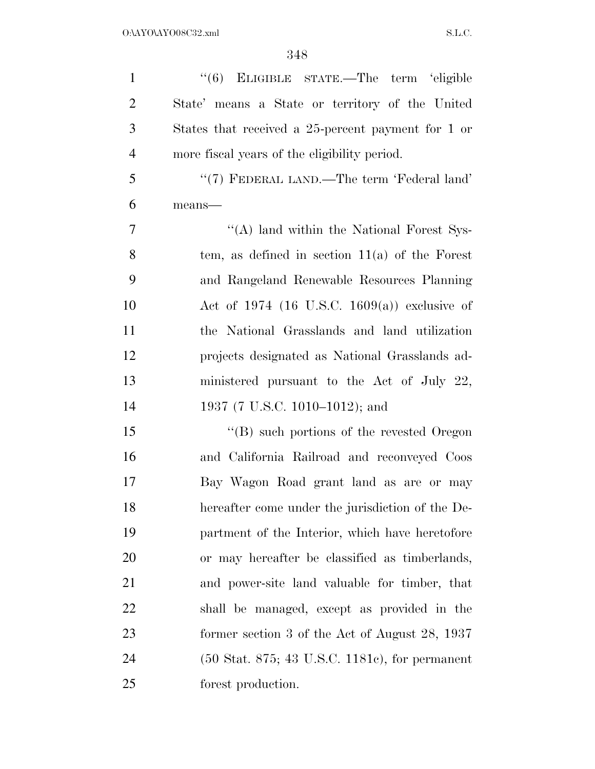| $\mathbf{1}$   | "(6) ELIGIBLE STATE.—The term 'eligible                             |
|----------------|---------------------------------------------------------------------|
| $\overline{2}$ | State' means a State or territory of the United                     |
| 3              | States that received a 25-percent payment for 1 or                  |
| $\overline{4}$ | more fiscal years of the eligibility period.                        |
| 5              | "(7) FEDERAL LAND.—The term 'Federal land'                          |
| 6              | means-                                                              |
| 7              | "(A) land within the National Forest Sys-                           |
| 8              | tem, as defined in section $11(a)$ of the Forest                    |
| 9              | and Rangeland Renewable Resources Planning                          |
| 10             | Act of 1974 (16 U.S.C. 1609(a)) exclusive of                        |
| 11             | the National Grasslands and land utilization                        |
| 12             | projects designated as National Grasslands ad-                      |
| 13             | ministered pursuant to the Act of July $22$ ,                       |
| 14             | 1937 (7 U.S.C. 1010–1012); and                                      |
| 15             | $\lq\lq (B)$ such portions of the revested Oregon                   |
| 16             | and California Railroad and reconveyed Coos                         |
| 17             | Bay Wagon Road grant land as are or may                             |
| 18             | hereafter come under the jurisdiction of the De-                    |
| 19             | partment of the Interior, which have heretofore                     |
| 20             | or may hereafter be classified as timberlands,                      |
| 21             | and power-site land valuable for timber, that                       |
| 22             | shall be managed, except as provided in the                         |
| 23             | former section 3 of the Act of August $28$ , $1937$                 |
| 24             | $(50 \text{ Stat. } 875; 43 \text{ U.S.C. } 1181c)$ , for permanent |
| 25             | forest production.                                                  |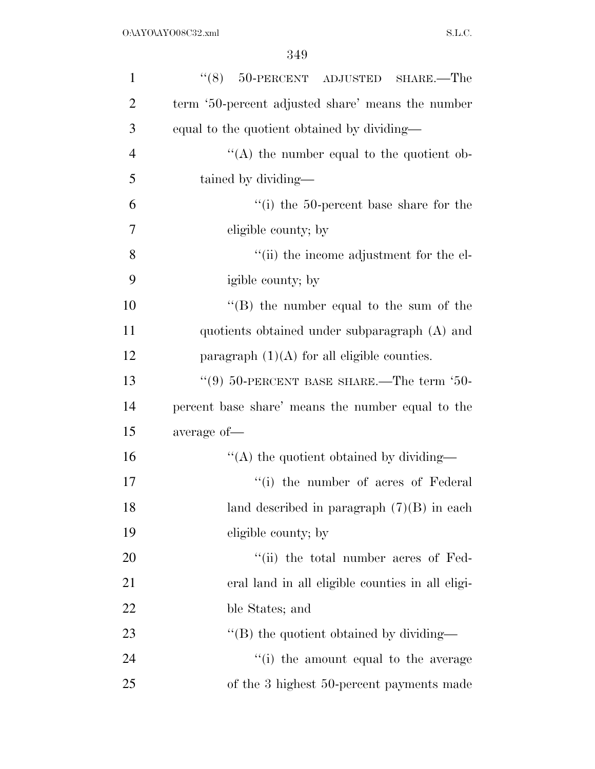| $\mathbf{1}$   | $(8)$ 50-PERCENT ADJUSTED SHARE.—The              |
|----------------|---------------------------------------------------|
| $\overline{2}$ | term '50-percent adjusted share' means the number |
| 3              | equal to the quotient obtained by dividing—       |
| $\overline{4}$ | $\lq\lq$ the number equal to the quotient ob-     |
| 5              | tained by dividing—                               |
| 6              | "(i) the 50-percent base share for the            |
| 7              | eligible county; by                               |
| 8              | "(ii) the income adjustment for the el-           |
| 9              | igible county; by                                 |
| 10             | "(B) the number equal to the sum of the           |
| 11             | quotients obtained under subparagraph (A) and     |
| 12             | paragraph $(1)(A)$ for all eligible counties.     |
| 13             | "(9) $50$ -PERCENT BASE SHARE.—The term '50-      |
| 14             | percent base share' means the number equal to the |
| 15             | average of-                                       |
| 16             | "(A) the quotient obtained by dividing—           |
| 17             | "(i) the number of acres of Federal"              |
| 18             | land described in paragraph $(7)(B)$ in each      |
| 19             | eligible county; by                               |
| 20             | "(ii) the total number acres of Fed-              |
| 21             | eral land in all eligible counties in all eligi-  |
| 22             | ble States; and                                   |
| 23             | $\lq$ (B) the quotient obtained by dividing—      |
| 24             | "(i) the amount equal to the average              |
| 25             | of the 3 highest 50-percent payments made         |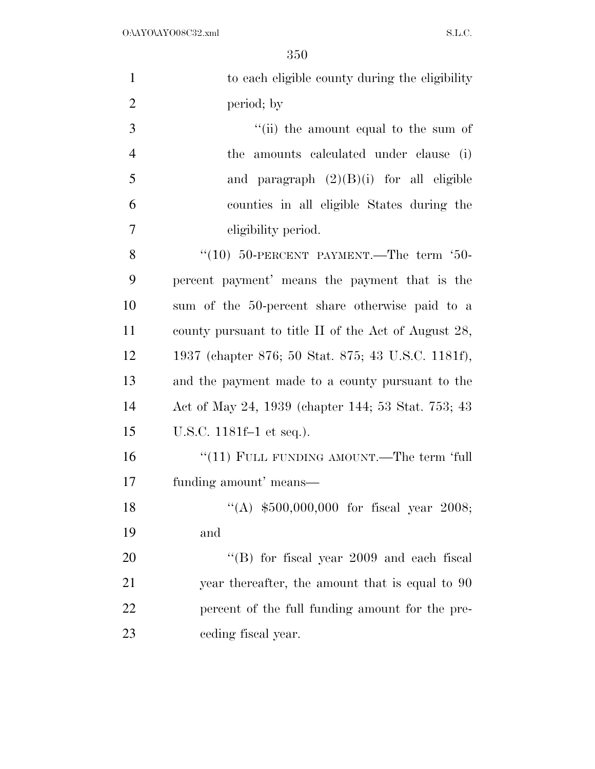| $\mathbf{1}$   | to each eligible county during the eligibility       |
|----------------|------------------------------------------------------|
| $\overline{2}$ | period; by                                           |
| 3              | "(ii) the amount equal to the sum of                 |
| $\overline{4}$ | the amounts calculated under clause (i)              |
| 5              | and paragraph $(2)(B)(i)$ for all eligible           |
| 6              | counties in all eligible States during the           |
| $\overline{7}$ | eligibility period.                                  |
| 8              | "(10) $50$ -PERCENT PAYMENT.—The term '50-           |
| 9              | percent payment' means the payment that is the       |
| 10             | sum of the 50-percent share otherwise paid to a      |
| 11             | county pursuant to title II of the Act of August 28, |
| 12             | 1937 (chapter 876; 50 Stat. 875; 43 U.S.C. 1181f),   |
| 13             | and the payment made to a county pursuant to the     |
| 14             | Act of May 24, 1939 (chapter 144; 53 Stat. 753; 43)  |
| 15             | U.S.C. 1181f-1 et seq.).                             |
| 16             | "(11) FULL FUNDING AMOUNT.—The term 'full            |
| 17             | funding amount' means—                               |
| 18             | "(A) $$500,000,000$ for fiscal year 2008;            |
| 19             | and                                                  |
| 20             | "(B) for fiscal year $2009$ and each fiscal          |
| 21             | year thereafter, the amount that is equal to 90      |
| 22             | percent of the full funding amount for the pre-      |
| 23             | ceding fiscal year.                                  |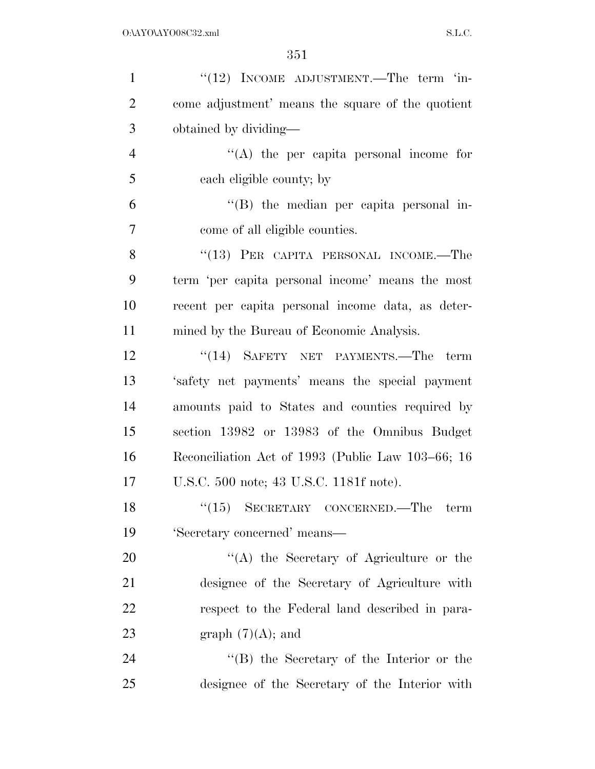| $\mathbf{1}$   | "(12) INCOME ADJUSTMENT.—The term 'in-            |
|----------------|---------------------------------------------------|
| $\overline{2}$ | come adjustment' means the square of the quotient |
| 3              | obtained by dividing—                             |
| $\overline{4}$ | $\lq\lq$ the per capita personal income for       |
| 5              | each eligible county; by                          |
| 6              | "(B) the median per capita personal in-           |
| 7              | come of all eligible counties.                    |
| 8              | $(13)$ PER CAPITA PERSONAL INCOME.—The            |
| 9              | term 'per capita personal income' means the most  |
| 10             | recent per capita personal income data, as deter- |
| 11             | mined by the Bureau of Economic Analysis.         |
| 12             | "(14) SAFETY NET PAYMENTS.—The term               |
| 13             | 'safety net payments' means the special payment   |
| 14             | amounts paid to States and counties required by   |
| 15             | section 13982 or 13983 of the Omnibus Budget      |
| 16             | Reconciliation Act of 1993 (Public Law 103–66; 16 |
| 17             | U.S.C. 500 note; 43 U.S.C. 1181f note).           |
| 18             | $``(15)$ SECRETARY CONCERNED.—The term            |
| 19             | 'Secretary concerned' means-                      |
| 20             | "(A) the Secretary of Agriculture or the          |
| 21             | designee of the Secretary of Agriculture with     |
| 22             | respect to the Federal land described in para-    |
| 23             | graph $(7)(A)$ ; and                              |
| 24             | $\lq\lq (B)$ the Secretary of the Interior or the |
| 25             | designee of the Secretary of the Interior with    |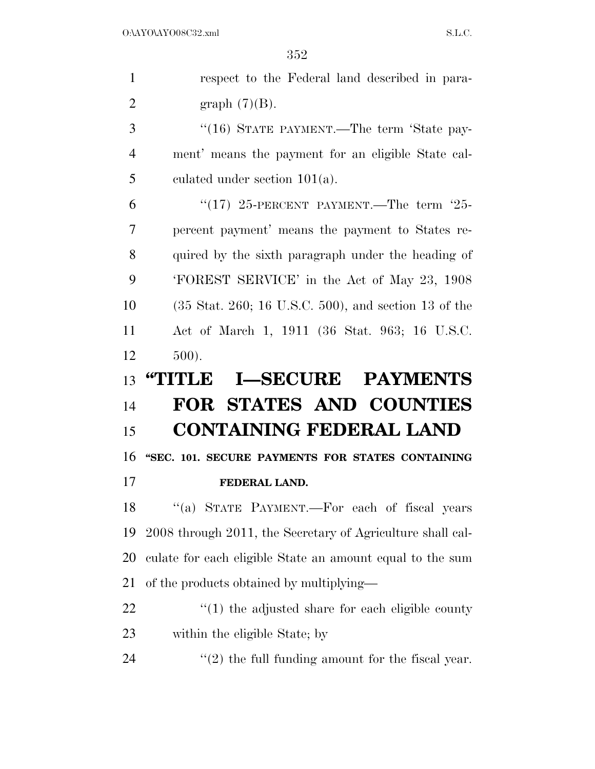respect to the Federal land described in para-2 graph  $(7)(B)$ . 3 "(16) STATE PAYMENT.—The term 'State pay- ment' means the payment for an eligible State cal- culated under section 101(a). 6 " $(17)$  25-PERCENT PAYMENT.—The term  $25$ - percent payment' means the payment to States re- quired by the sixth paragraph under the heading of 'FOREST SERVICE' in the Act of May 23, 1908 (35 Stat. 260; 16 U.S.C. 500), and section 13 of the Act of March 1, 1911 (36 Stat. 963; 16 U.S.C. 500). **''TITLE I—SECURE PAYMENTS FOR STATES AND COUNTIES CONTAINING FEDERAL LAND ''SEC. 101. SECURE PAYMENTS FOR STATES CONTAINING FEDERAL LAND.**  18 "(a) STATE PAYMENT.—For each of fiscal years 2008 through 2011, the Secretary of Agriculture shall cal- culate for each eligible State an amount equal to the sum of the products obtained by multiplying—  $\frac{1}{2}$  (1) the adjusted share for each eligible county within the eligible State; by  $\qquad$  (2) the full funding amount for the fiscal year.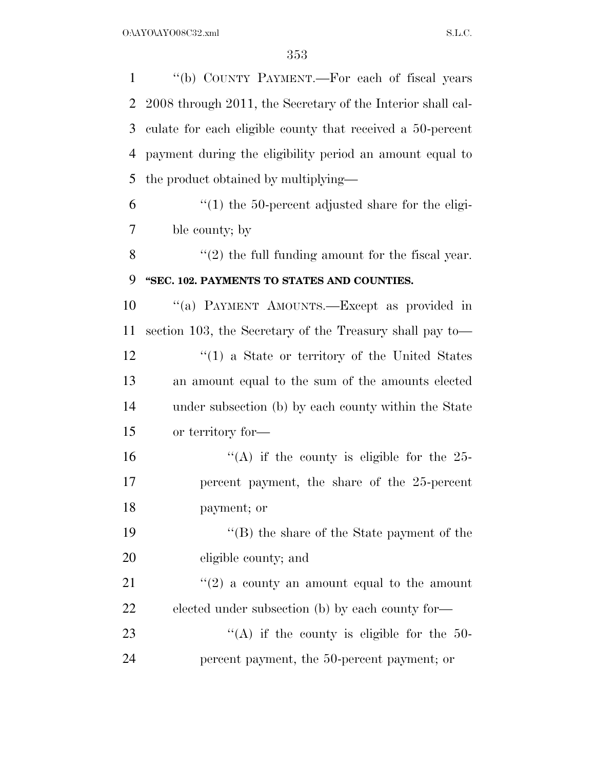| $\mathbf{1}$   | "(b) COUNTY PAYMENT.—For each of fiscal years               |
|----------------|-------------------------------------------------------------|
| $\overline{2}$ | 2008 through 2011, the Secretary of the Interior shall cal- |
| 3              | culate for each eligible county that received a 50-percent  |
| $\overline{4}$ | payment during the eligibility period an amount equal to    |
| 5              | the product obtained by multiplying—                        |
| 6              | $\cdot$ (1) the 50-percent adjusted share for the eligi-    |
| 7              | ble county; by                                              |
| 8              | $\lq(2)$ the full funding amount for the fiscal year.       |
| 9              | "SEC. 102. PAYMENTS TO STATES AND COUNTIES.                 |
| 10             | "(a) PAYMENT AMOUNTS.—Except as provided in                 |
| 11             | section 103, the Secretary of the Treasury shall pay to—    |
| 12             | $\lq(1)$ a State or territory of the United States          |
| 13             | an amount equal to the sum of the amounts elected           |
| 14             | under subsection (b) by each county within the State        |
| 15             | or territory for-                                           |
| 16             | "(A) if the county is eligible for the $25$ -               |
| 17             | percent payment, the share of the 25-percent                |
| 18             | payment; or                                                 |
| 19             | $\lq\lq$ (B) the share of the State payment of the          |
| 20             | eligible county; and                                        |
| 21             | $\lq(2)$ a county an amount equal to the amount             |
| 22             | elected under subsection (b) by each county for—            |
| 23             | "(A) if the county is eligible for the $50-$                |
| 24             | percent payment, the 50-percent payment; or                 |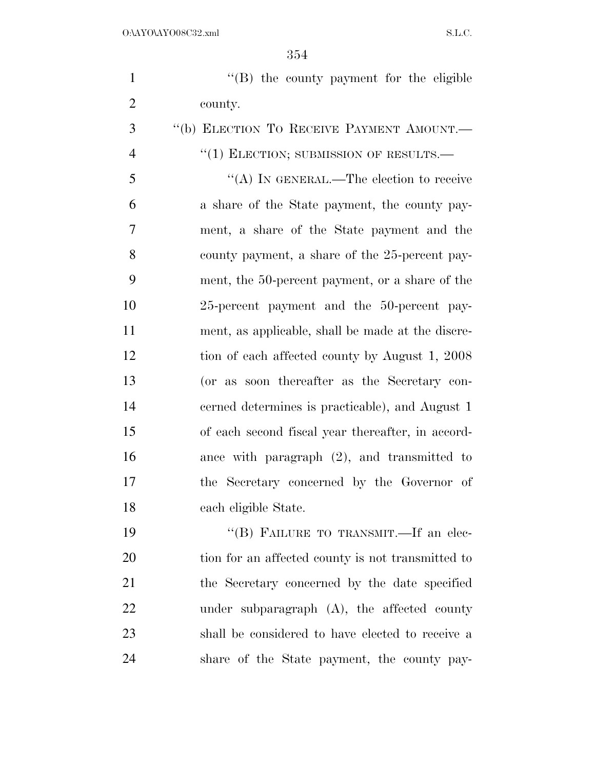1 ''(B) the county payment for the eligible county.

 ''(b) ELECTION TO RECEIVE PAYMENT AMOUNT.—  $''(1)$  ELECTION; SUBMISSION OF RESULTS.— ''(A) IN GENERAL.—The election to receive a share of the State payment, the county pay- ment, a share of the State payment and the county payment, a share of the 25-percent pay- ment, the 50-percent payment, or a share of the 25-percent payment and the 50-percent pay- ment, as applicable, shall be made at the discre- tion of each affected county by August 1, 2008 (or as soon thereafter as the Secretary con- cerned determines is practicable), and August 1 of each second fiscal year thereafter, in accord- ance with paragraph (2), and transmitted to the Secretary concerned by the Governor of each eligible State.

19 "(B) FAILURE TO TRANSMIT.—If an elec-20 tion for an affected county is not transmitted to the Secretary concerned by the date specified 22 under subparagraph (A), the affected county shall be considered to have elected to receive a share of the State payment, the county pay-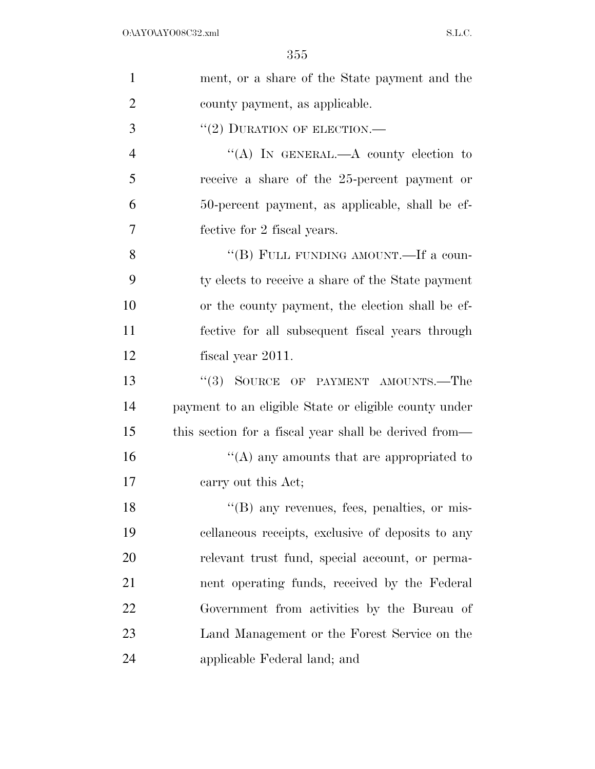| $\mathbf{1}$   | ment, or a share of the State payment and the         |
|----------------|-------------------------------------------------------|
| $\overline{2}$ | county payment, as applicable.                        |
| 3              | $``(2)$ DURATION OF ELECTION.—                        |
| $\overline{4}$ | "(A) IN GENERAL.—A county election to                 |
| 5              | receive a share of the 25-percent payment or          |
| 6              | 50-percent payment, as applicable, shall be ef-       |
| 7              | fective for 2 fiscal years.                           |
| 8              | "(B) FULL FUNDING AMOUNT.—If a coun-                  |
| 9              | ty elects to receive a share of the State payment     |
| 10             | or the county payment, the election shall be ef-      |
| 11             | fective for all subsequent fiscal years through       |
| 12             | fiscal year 2011.                                     |
| 13             | "(3) SOURCE OF PAYMENT AMOUNTS.—The                   |
| 14             | payment to an eligible State or eligible county under |
| 15             | this section for a fiscal year shall be derived from— |
| 16             | "(A) any amounts that are appropriated to             |
| 17             | carry out this Act;                                   |
| 18             | "(B) any revenues, fees, penalties, or mis-           |
| 19             | cellaneous receipts, exclusive of deposits to any     |
| 20             | relevant trust fund, special account, or perma-       |
| 21             | nent operating funds, received by the Federal         |
| 22             | Government from activities by the Bureau of           |
| 23             | Land Management or the Forest Service on the          |
| 24             | applicable Federal land; and                          |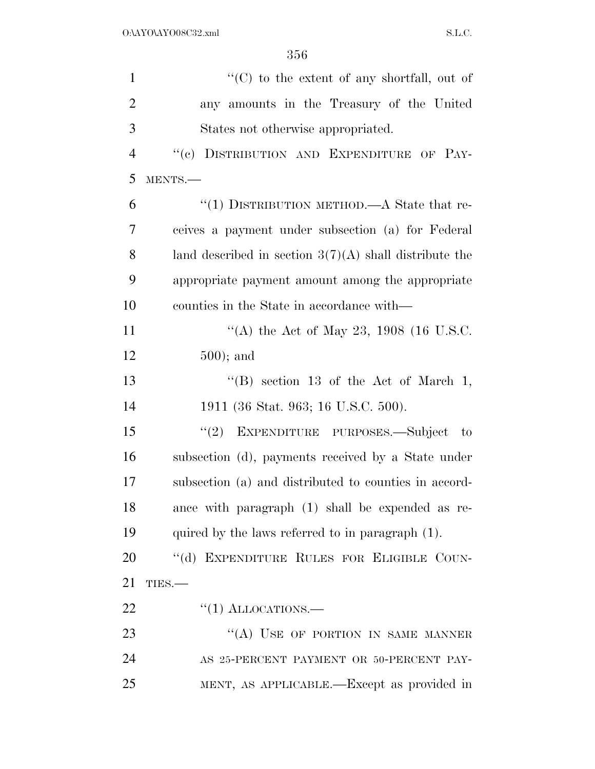| $\mathbf{1}$   | " $(C)$ to the extent of any shortfall, out of           |
|----------------|----------------------------------------------------------|
| $\overline{2}$ | any amounts in the Treasury of the United                |
| 3              | States not otherwise appropriated.                       |
| $\overline{4}$ | "(c) DISTRIBUTION AND EXPENDITURE OF PAY-                |
| 5              | MENTS.-                                                  |
| 6              | "(1) DISTRIBUTION METHOD.—A State that re-               |
| 7              | ceives a payment under subsection (a) for Federal        |
| 8              | land described in section $3(7)(A)$ shall distribute the |
| 9              | appropriate payment amount among the appropriate         |
| 10             | counties in the State in accordance with—                |
| 11             | "(A) the Act of May 23, 1908 (16 U.S.C.                  |
| 12             | $500$ ; and                                              |
| 13             | "(B) section 13 of the Act of March 1,                   |
| 14             | 1911 (36 Stat. 963; 16 U.S.C. 500).                      |
| 15             | "(2) EXPENDITURE PURPOSES.—Subject<br>$-$ to             |
| 16             | subsection (d), payments received by a State under       |
| 17             | subsection (a) and distributed to counties in accord-    |
| 18             | ance with paragraph (1) shall be expended as re-         |
| 19             | quired by the laws referred to in paragraph (1).         |
| 20             | "(d) EXPENDITURE RULES FOR ELIGIBLE COUN-                |
| 21             | TIES.                                                    |
| 22             | $\lq(1)$ ALLOCATIONS.—                                   |
| 23             | "(A) USE OF PORTION IN SAME MANNER                       |
| 24             | AS 25-PERCENT PAYMENT OR 50-PERCENT PAY-                 |
| 25             | MENT, AS APPLICABLE.—Except as provided in               |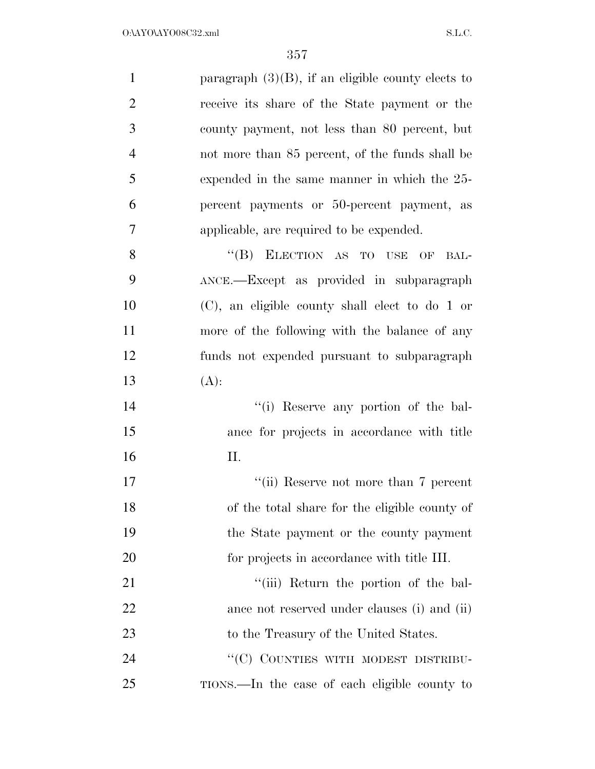| $\mathbf{1}$   | paragraph $(3)(B)$ , if an eligible county elects to |
|----------------|------------------------------------------------------|
| $\overline{2}$ | receive its share of the State payment or the        |
| 3              | county payment, not less than 80 percent, but        |
| $\overline{4}$ | not more than 85 percent, of the funds shall be      |
| 5              | expended in the same manner in which the 25-         |
| 6              | percent payments or 50-percent payment, as           |
| 7              | applicable, are required to be expended.             |
| 8              | "(B) ELECTION AS TO USE<br>OF<br>BAL-                |
| 9              | ANCE.-Except as provided in subparagraph             |
| 10             | $(C)$ , an eligible county shall elect to do 1 or    |
| 11             | more of the following with the balance of any        |
| 12             | funds not expended pursuant to subparagraph          |
| 13             | $(A)$ :                                              |
| 14             | "(i) Reserve any portion of the bal-                 |
| 15             | ance for projects in accordance with title           |
| 16             | Π.                                                   |
| 17             | "(ii) Reserve not more than 7 percent                |
| 18             | of the total share for the eligible county of        |
| 19             | the State payment or the county payment              |
| <b>20</b>      | for projects in accordance with title III.           |
| 21             | "(iii) Return the portion of the bal-                |
| 22             | ance not reserved under clauses (i) and (ii)         |
| 23             | to the Treasury of the United States.                |
| 24             | "(C) COUNTIES WITH MODEST DISTRIBU-                  |
| 25             | TIONS.—In the case of each eligible county to        |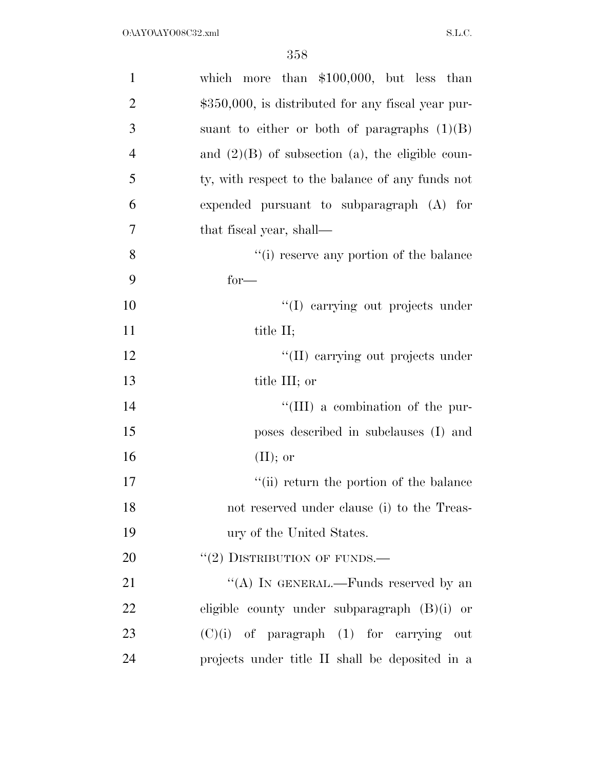| $\mathbf{1}$   | which more than $$100,000$ , but less than         |
|----------------|----------------------------------------------------|
| $\overline{2}$ | \$350,000, is distributed for any fiscal year pur- |
| 3              | suant to either or both of paragraphs $(1)(B)$     |
| $\overline{4}$ | and $(2)(B)$ of subsection (a), the eligible coun- |
| 5              | ty, with respect to the balance of any funds not   |
| 6              | expended pursuant to subparagraph $(A)$ for        |
| 7              | that fiscal year, shall—                           |
| 8              | "(i) reserve any portion of the balance            |
| 9              | $for-$                                             |
| 10             | "(I) carrying out projects under                   |
| 11             | title II;                                          |
| 12             | "(II) carrying out projects under                  |
| 13             | title III; or                                      |
| 14             | "(III) a combination of the pur-                   |
| 15             | poses described in subclauses (I) and              |
| 16             | $(II);$ or                                         |
| 17             | "(ii) return the portion of the balance            |
| 18             | not reserved under clause (i) to the Treas-        |
| 19             | ury of the United States.                          |
| 20             | $``(2)$ DISTRIBUTION OF FUNDS.—                    |
| 21             | "(A) IN GENERAL.—Funds reserved by an              |
| 22             | eligible county under subparagraph $(B)(i)$ or     |
| 23             | $(C)(i)$ of paragraph $(1)$ for carrying out       |
| 24             | projects under title II shall be deposited in a    |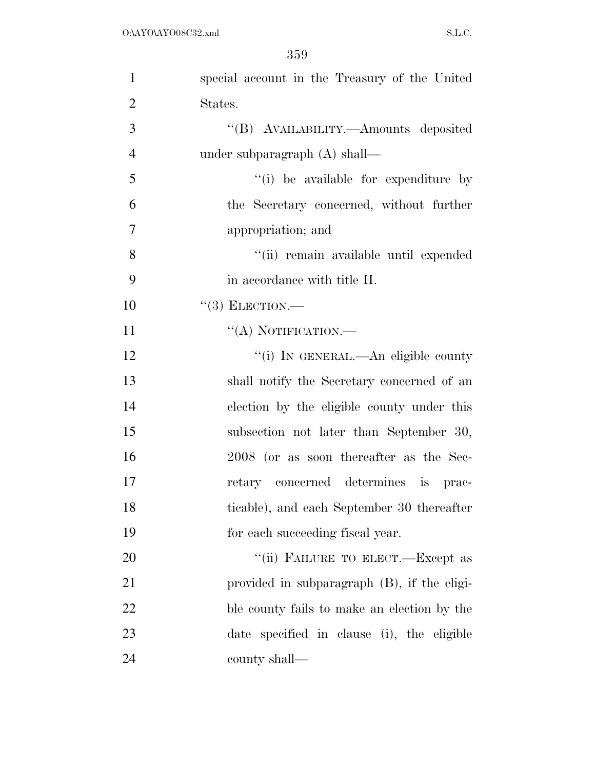| $\mathbf{1}$   | special account in the Treasury of the United |
|----------------|-----------------------------------------------|
| $\overline{2}$ | States.                                       |
| 3              | "(B) AVAILABILITY.—Amounts deposited          |
| $\overline{4}$ | under subparagraph $(A)$ shall—               |
| 5              | "(i) be available for expenditure by          |
| 6              | the Secretary concerned, without further      |
| $\tau$         | appropriation; and                            |
| 8              | "(ii) remain available until expended         |
| 9              | in accordance with title II.                  |
| 10             | $``(3)$ ELECTION.—                            |
| 11             | "(A) NOTIFICATION.-                           |
| 12             | "(i) IN GENERAL.—An eligible county           |
| 13             | shall notify the Secretary concerned of an    |
| 14             | election by the eligible county under this    |
| 15             | subsection not later than September 30,       |
| 16             | 2008 (or as soon thereafter as the Sec-       |
| 17             | retary concerned determines is<br>prac-       |
| 18             | ticable), and each September 30 thereafter    |
| 19             | for each succeeding fiscal year.              |
| 20             | "(ii) FAILURE TO ELECT.—Except as             |
| 21             | provided in subparagraph (B), if the eligi-   |
| 22             | ble county fails to make an election by the   |
| 23             | date specified in clause (i), the eligible    |
| 24             | county shall—                                 |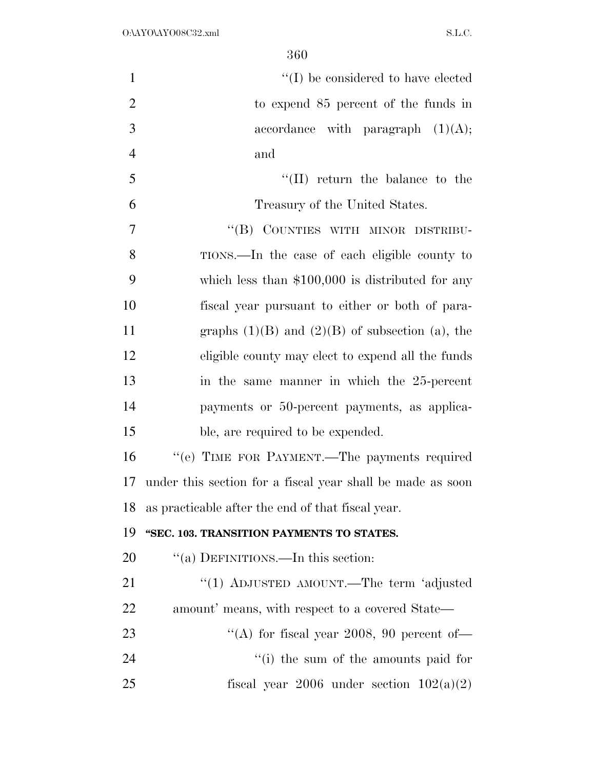| $\mathbf{1}$   | $\lq\lq$ be considered to have elected                     |
|----------------|------------------------------------------------------------|
| $\overline{2}$ | to expend 85 percent of the funds in                       |
| 3              | accordance with paragraph $(1)(A);$                        |
| $\overline{4}$ | and                                                        |
| 5              | $\lq\lq$ (II) return the balance to the                    |
| 6              | Treasury of the United States.                             |
| $\overline{7}$ | "(B) COUNTIES WITH MINOR DISTRIBU-                         |
| 8              | TIONS.—In the case of each eligible county to              |
| 9              | which less than $$100,000$ is distributed for any          |
| 10             | fiscal year pursuant to either or both of para-            |
| 11             | graphs $(1)(B)$ and $(2)(B)$ of subsection (a), the        |
| 12             | eligible county may elect to expend all the funds          |
| 13             | in the same manner in which the 25-percent                 |
| 14             | payments or 50-percent payments, as applica-               |
| 15             | ble, are required to be expended.                          |
| 16             | "(e) TIME FOR PAYMENT.—The payments required               |
| 17             | under this section for a fiscal year shall be made as soon |
| 18             | as practicable after the end of that fiscal year.          |
| 19             | "SEC. 103. TRANSITION PAYMENTS TO STATES.                  |
| 20             | "(a) DEFINITIONS.—In this section:                         |
| 21             | "(1) ADJUSTED AMOUNT.—The term 'adjusted                   |
| 22             | amount' means, with respect to a covered State—            |
| 23             | "(A) for fiscal year 2008, 90 percent of-                  |
| 24             | $f'(i)$ the sum of the amounts paid for                    |
| 25             | fiscal year 2006 under section $102(a)(2)$                 |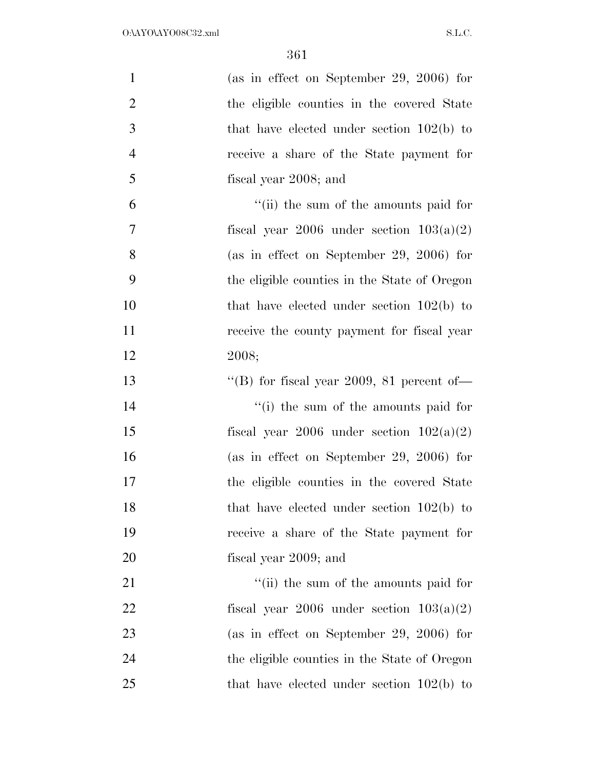| $\mathbf{1}$   | (as in effect on September 29, 2006) for     |
|----------------|----------------------------------------------|
| $\overline{2}$ | the eligible counties in the covered State   |
| 3              | that have elected under section $102(b)$ to  |
| $\overline{4}$ | receive a share of the State payment for     |
| 5              | fiscal year 2008; and                        |
| 6              | "(ii) the sum of the amounts paid for        |
| 7              | fiscal year 2006 under section $103(a)(2)$   |
| 8              | (as in effect on September 29, 2006) for     |
| 9              | the eligible counties in the State of Oregon |
| 10             | that have elected under section $102(b)$ to  |
| 11             | receive the county payment for fiscal year   |
| 12             | 2008;                                        |
| 13             | "(B) for fiscal year 2009, 81 percent of-    |
| 14             | "(i) the sum of the amounts paid for         |
| 15             | fiscal year 2006 under section $102(a)(2)$   |
| 16             | (as in effect on September 29, 2006) for     |
| 17             | the eligible counties in the covered State   |
| 18             | that have elected under section $102(b)$ to  |
| 19             | receive a share of the State payment for     |
| 20             | fiscal year 2009; and                        |
| 21             | "(ii) the sum of the amounts paid for        |
| 22             | fiscal year 2006 under section $103(a)(2)$   |
| 23             | (as in effect on September 29, 2006) for     |
| 24             | the eligible counties in the State of Oregon |
| 25             | that have elected under section $102(b)$ to  |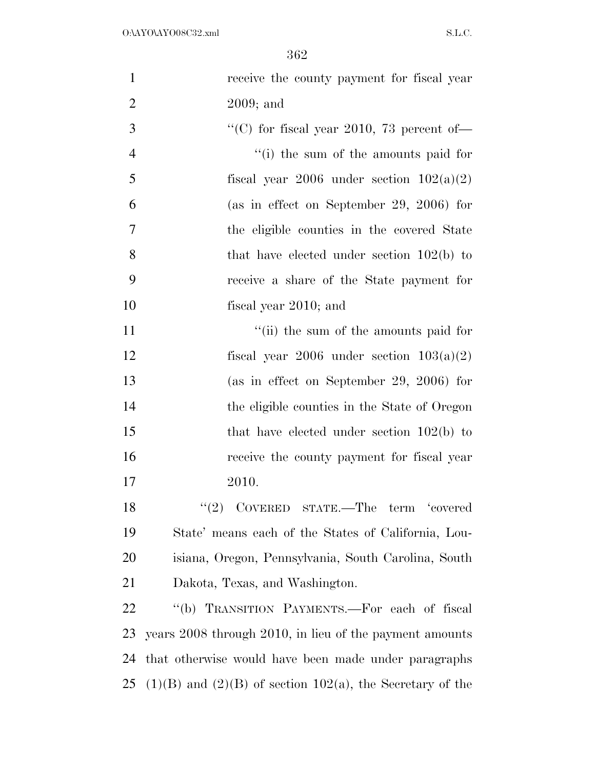| $\mathbf{1}$   | receive the county payment for fiscal year                       |
|----------------|------------------------------------------------------------------|
| $\overline{2}$ | $2009$ ; and                                                     |
| 3              | "(C) for fiscal year 2010, 73 percent of-                        |
| $\overline{4}$ | "(i) the sum of the amounts paid for                             |
| 5              | fiscal year 2006 under section $102(a)(2)$                       |
| 6              | (as in effect on September 29, 2006) for                         |
| 7              | the eligible counties in the covered State                       |
| 8              | that have elected under section $102(b)$ to                      |
| 9              | receive a share of the State payment for                         |
| 10             | fiscal year 2010; and                                            |
| 11             | "(ii) the sum of the amounts paid for                            |
| 12             | fiscal year 2006 under section $103(a)(2)$                       |
| 13             | (as in effect on September 29, 2006) for                         |
| 14             | the eligible counties in the State of Oregon                     |
| 15             | that have elected under section $102(b)$ to                      |
| 16             | receive the county payment for fiscal year                       |
| 17             | 2010.                                                            |
| 18             | "(2) $CoverED$ $STATE$ . The $term$ 'covered                     |
| 19             | State' means each of the States of California, Lou-              |
| 20             | isiana, Oregon, Pennsylvania, South Carolina, South              |
| 21             | Dakota, Texas, and Washington.                                   |
| 22             | "(b) TRANSITION PAYMENTS.—For each of fiscal                     |
| 23             | years 2008 through 2010, in lieu of the payment amounts          |
| 24             | that otherwise would have been made under paragraphs             |
| 25             | $(1)(B)$ and $(2)(B)$ of section $102(a)$ , the Secretary of the |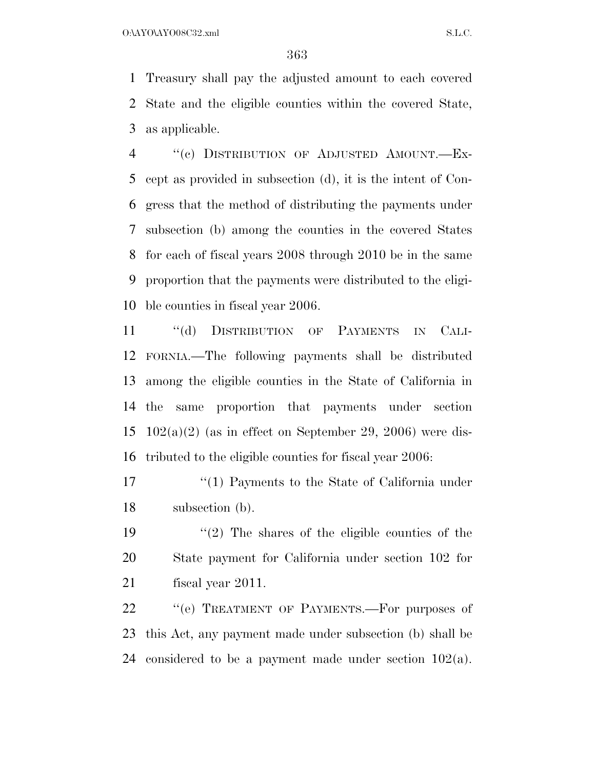O:\AYO\AYO08C32.xml S.L.C.

 Treasury shall pay the adjusted amount to each covered State and the eligible counties within the covered State, as applicable.

 ''(c) DISTRIBUTION OF ADJUSTED AMOUNT.—Ex- cept as provided in subsection (d), it is the intent of Con- gress that the method of distributing the payments under subsection (b) among the counties in the covered States for each of fiscal years 2008 through 2010 be in the same proportion that the payments were distributed to the eligi-ble counties in fiscal year 2006.

 ''(d) DISTRIBUTION OF PAYMENTS IN CALI- FORNIA.—The following payments shall be distributed among the eligible counties in the State of California in the same proportion that payments under section  $102(a)(2)$  (as in effect on September 29, 2006) were dis-tributed to the eligible counties for fiscal year 2006:

17 ''(1) Payments to the State of California under subsection (b).

 ''(2) The shares of the eligible counties of the State payment for California under section 102 for fiscal year 2011.

22 " (e) TREATMENT OF PAYMENTS.—For purposes of this Act, any payment made under subsection (b) shall be considered to be a payment made under section 102(a).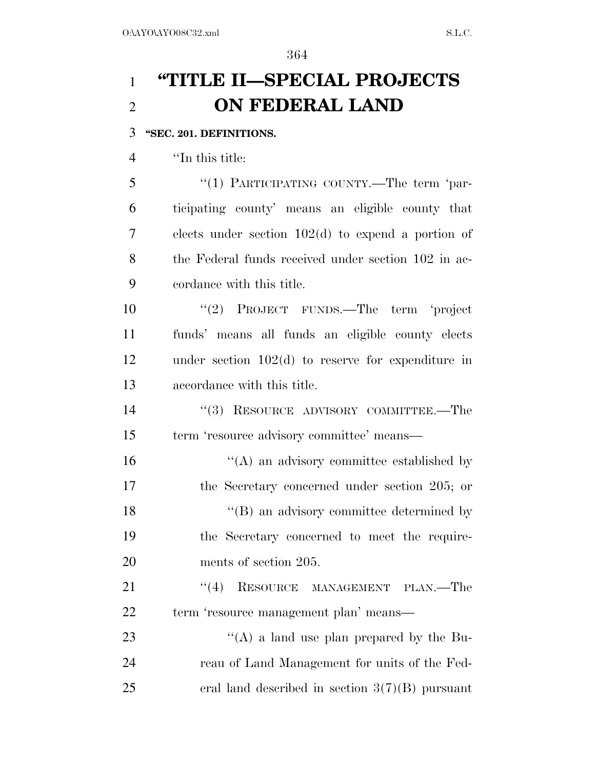# **''TITLE II—SPECIAL PROJECTS ON FEDERAL LAND**

# **''SEC. 201. DEFINITIONS.**

''In this title:

 ''(1) PARTICIPATING COUNTY.—The term 'par- ticipating county' means an eligible county that elects under section 102(d) to expend a portion of the Federal funds received under section 102 in ac-cordance with this title.

 ''(2) PROJECT FUNDS.—The term 'project funds' means all funds an eligible county elects under section 102(d) to reserve for expenditure in accordance with this title.

14 ''(3) RESOURCE ADVISORY COMMITTEE.—The term 'resource advisory committee' means—

 ''(A) an advisory committee established by the Secretary concerned under section 205; or 18 ''(B) an advisory committee determined by the Secretary concerned to meet the require-ments of section 205.

21 "(4) RESOURCE MANAGEMENT PLAN.—The term 'resource management plan' means—

23 "(A) a land use plan prepared by the Bu- reau of Land Management for units of the Fed-25 eral land described in section  $3(7)(B)$  pursuant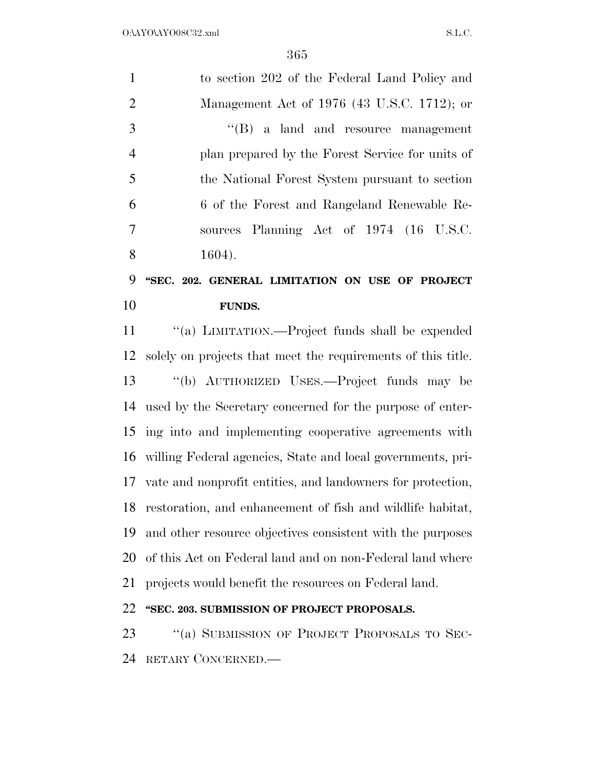| $\mathbf{1}$   | to section 202 of the Federal Land Policy and                  |
|----------------|----------------------------------------------------------------|
| $\overline{2}$ | Management Act of 1976 (43 U.S.C. 1712); or                    |
| 3              | $\lq\lq(B)$ a land and resource management                     |
| $\overline{4}$ | plan prepared by the Forest Service for units of               |
| 5              | the National Forest System pursuant to section                 |
| 6              | 6 of the Forest and Rangeland Renewable Re-                    |
| 7              | sources Planning Act of 1974 (16 U.S.C.                        |
| 8              | $1604$ ).                                                      |
| 9              | "SEC. 202. GENERAL LIMITATION ON USE OF PROJECT                |
| 10             | <b>FUNDS.</b>                                                  |
| 11             | "(a) LIMITATION.—Project funds shall be expended               |
| 12             | solely on projects that meet the requirements of this title.   |
| 13             | "(b) AUTHORIZED USES.—Project funds may be                     |
| 14             | used by the Secretary concerned for the purpose of enter-      |
| 15             | ing into and implementing cooperative agreements with          |
|                | 16 willing Federal agencies, State and local governments, pri- |
|                | 17 vate and nonprofit entities, and landowners for protection, |
| 18             | restoration, and enhancement of fish and wildlife habitat,     |
| 19             | and other resource objectives consistent with the purposes     |
| 20             | of this Act on Federal land and on non-Federal land where      |
| 21             | projects would benefit the resources on Federal land.          |
| 22             | "SEC. 203. SUBMISSION OF PROJECT PROPOSALS.                    |
| 23             | "(a) SUBMISSION OF PROJECT PROPOSALS TO SEC-                   |
| 24             | RETARY CONCERNED.—                                             |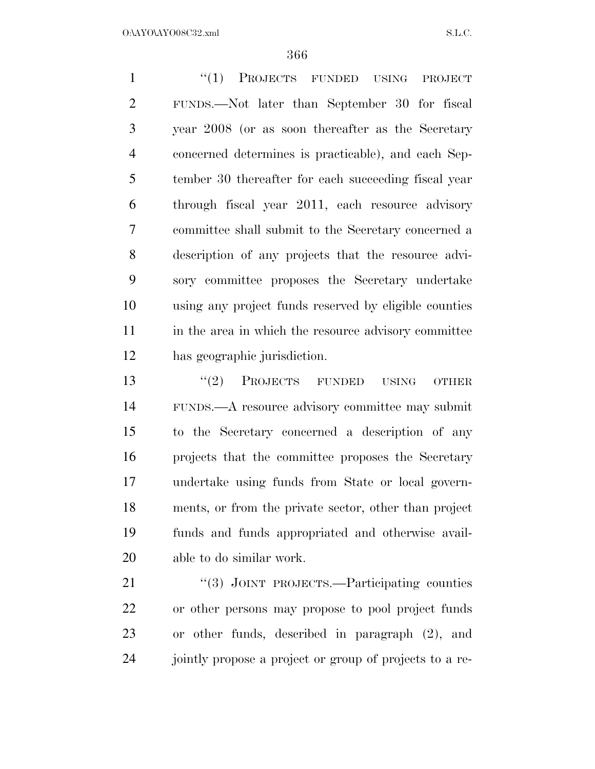1 "(1) PROJECTS FUNDED USING PROJECT FUNDS.—Not later than September 30 for fiscal year 2008 (or as soon thereafter as the Secretary concerned determines is practicable), and each Sep- tember 30 thereafter for each succeeding fiscal year through fiscal year 2011, each resource advisory committee shall submit to the Secretary concerned a description of any projects that the resource advi- sory committee proposes the Secretary undertake using any project funds reserved by eligible counties 11 in the area in which the resource advisory committee has geographic jurisdiction.

13 ''(2) PROJECTS FUNDED USING OTHER FUNDS.—A resource advisory committee may submit to the Secretary concerned a description of any projects that the committee proposes the Secretary undertake using funds from State or local govern- ments, or from the private sector, other than project funds and funds appropriated and otherwise avail-able to do similar work.

21 "(3) JOINT PROJECTS.—Participating counties or other persons may propose to pool project funds or other funds, described in paragraph (2), and jointly propose a project or group of projects to a re-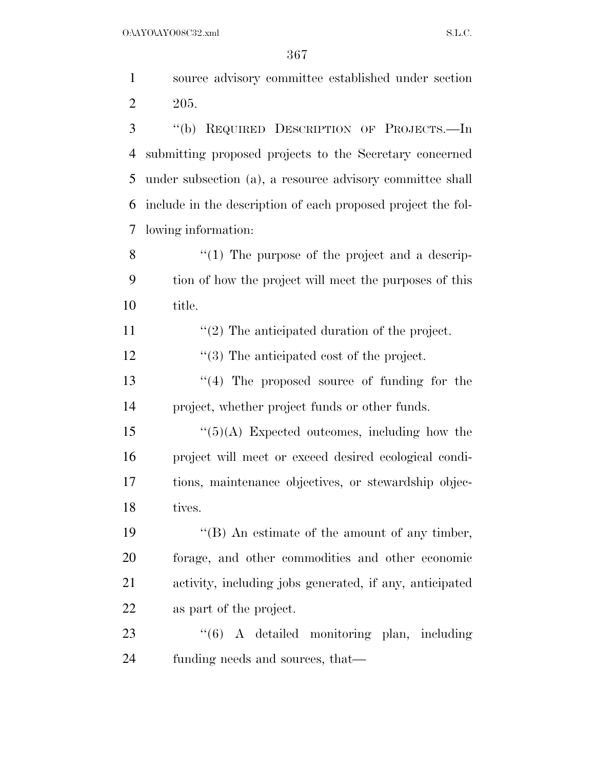| $\mathbf{1}$   | source advisory committee established under section          |
|----------------|--------------------------------------------------------------|
| $\overline{2}$ | 205.                                                         |
| 3              | REQUIRED DESCRIPTION OF PROJECTS.-In<br>$\lq\lq(b)$          |
| $\overline{4}$ | submitting proposed projects to the Secretary concerned      |
| 5              | under subsection (a), a resource advisory committee shall    |
| 6              | include in the description of each proposed project the fol- |
| $\overline{7}$ | lowing information:                                          |
| 8              | $``(1)$ The purpose of the project and a descrip-            |
| 9              | tion of how the project will meet the purposes of this       |
| 10             | title.                                                       |
| 11             | $\lq(2)$ The anticipated duration of the project.            |
| 12             | $\cdot$ (3) The anticipated cost of the project.             |
| 13             | $\lq(4)$ The proposed source of funding for the              |
| 14             | project, whether project funds or other funds.               |
| 15             | $\lq(5)(\mathrm{A})$ Expected outcomes, including how the    |
| 16             | project will meet or exceed desired ecological condi-        |
| 17             | tions, maintenance objectives, or stewardship objec-         |
| 18             | tives.                                                       |
| 19             | $\lq\lq$ (B) An estimate of the amount of any timber,        |
|                |                                                              |

 forage, and other commodities and other economic activity, including jobs generated, if any, anticipated as part of the project.

23 ''(6) A detailed monitoring plan, including 24 funding needs and sources, that—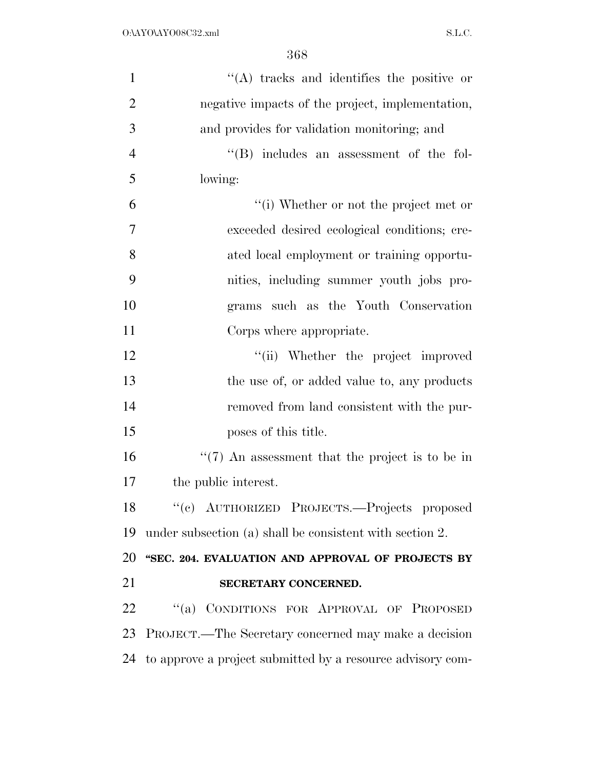| $\mathbf{1}$   | $\lq\lq$ tracks and identifies the positive or           |
|----------------|----------------------------------------------------------|
| $\overline{2}$ | negative impacts of the project, implementation,         |
| 3              | and provides for validation monitoring; and              |
| $\overline{4}$ | "(B) includes an assessment of the fol-                  |
| 5              | lowing:                                                  |
| 6              | "(i) Whether or not the project met or                   |
| $\overline{7}$ | exceeded desired ecological conditions; cre-             |
| 8              | ated local employment or training opportu-               |
| 9              | nities, including summer youth jobs pro-                 |
| 10             | grams such as the Youth Conservation                     |
| 11             | Corps where appropriate.                                 |
| 12             | "(ii) Whether the project improved                       |
| 13             | the use of, or added value to, any products              |
| 14             | removed from land consistent with the pur-               |
| 15             | poses of this title.                                     |
| 16             | $\lq(7)$ An assessment that the project is to be in      |
| 17             | the public interest.                                     |
| 18             | "(c) AUTHORIZED PROJECTS.—Projects proposed              |
| 19             | under subsection (a) shall be consistent with section 2. |
| 20             | "SEC. 204. EVALUATION AND APPROVAL OF PROJECTS BY        |
| 21             | SECRETARY CONCERNED.                                     |
| 22             | "(a) CONDITIONS FOR APPROVAL OF PROPOSED                 |
| 23             | PROJECT.—The Secretary concerned may make a decision     |
|                |                                                          |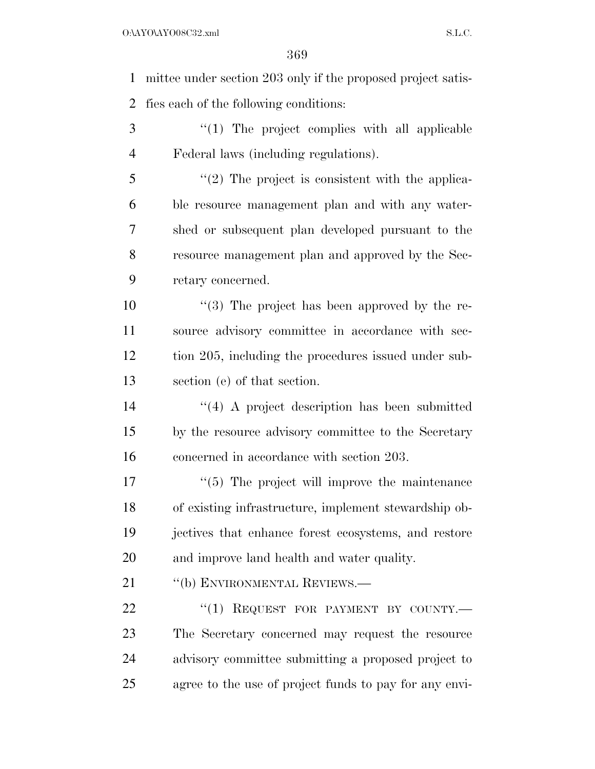mittee under section 203 only if the proposed project satis-fies each of the following conditions:

3 "(1) The project complies with all applicable Federal laws (including regulations).

5 "(2) The project is consistent with the applica- ble resource management plan and with any water- shed or subsequent plan developed pursuant to the resource management plan and approved by the Sec-retary concerned.

 $\frac{10}{2}$  ''(3) The project has been approved by the re- source advisory committee in accordance with sec- tion 205, including the procedures issued under sub-section (e) of that section.

 ''(4) A project description has been submitted by the resource advisory committee to the Secretary concerned in accordance with section 203.

 $\frac{1}{5}$  The project will improve the maintenance of existing infrastructure, implement stewardship ob- jectives that enhance forest ecosystems, and restore and improve land health and water quality.

21 "(b) ENVIRONMENTAL REVIEWS.—

22 "(1) REQUEST FOR PAYMENT BY COUNTY.— The Secretary concerned may request the resource advisory committee submitting a proposed project to agree to the use of project funds to pay for any envi-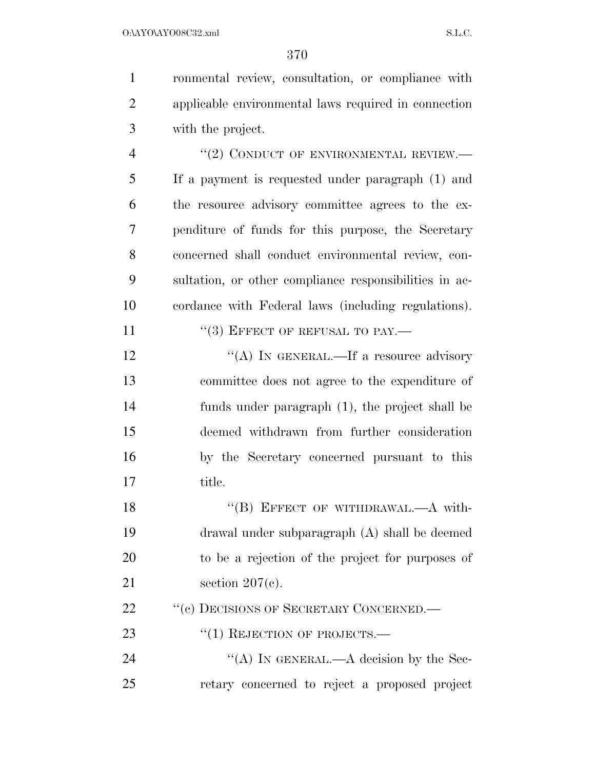ronmental review, consultation, or compliance with applicable environmental laws required in connection with the project. 4 "(2) CONDUCT OF ENVIRONMENTAL REVIEW.— If a payment is requested under paragraph (1) and the resource advisory committee agrees to the ex- penditure of funds for this purpose, the Secretary concerned shall conduct environmental review, con- sultation, or other compliance responsibilities in ac- cordance with Federal laws (including regulations). 11 "(3) EFFECT OF REFUSAL TO PAY.—

12 "(A) IN GENERAL.—If a resource advisory committee does not agree to the expenditure of funds under paragraph (1), the project shall be deemed withdrawn from further consideration by the Secretary concerned pursuant to this title.

18 "(B) EFFECT OF WITHDRAWAL.—A with- drawal under subparagraph (A) shall be deemed to be a rejection of the project for purposes of section 207(c).

22 "(c) DECISIONS OF SECRETARY CONCERNED.—

23 "(1) REJECTION OF PROJECTS.—

24 "(A) IN GENERAL.—A decision by the Sec-retary concerned to reject a proposed project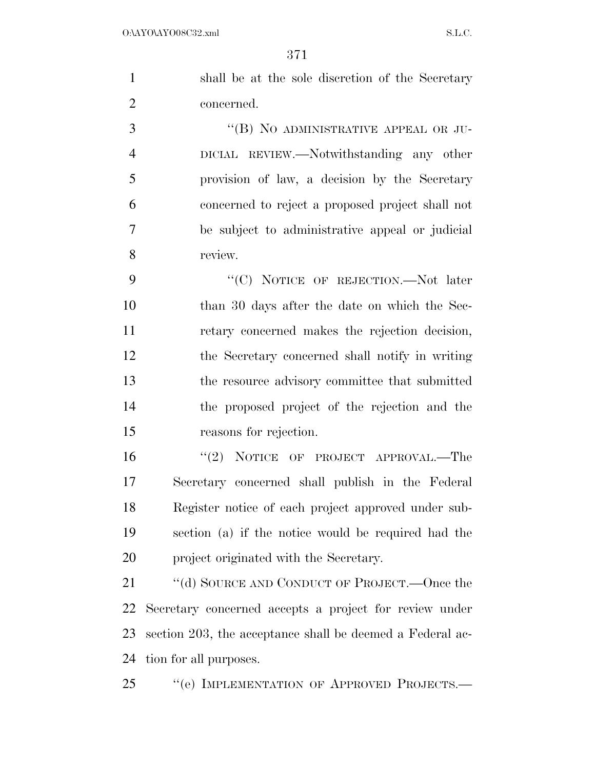| $\mathbf{1}$   | shall be at the sole discretion of the Secretary |
|----------------|--------------------------------------------------|
| 2              | concerned.                                       |
| 3              | "(B) NO ADMINISTRATIVE APPEAL OR JU-             |
| $\overline{4}$ | DICIAL REVIEW.—Notwithstanding any other         |
| 5              | provision of law, a decision by the Secretary    |
| 6              | concerned to reject a proposed project shall not |
| 7              | be subject to administrative appeal or judicial  |

review.

9 "'(C) NOTICE OF REJECTION.—Not later than 30 days after the date on which the Sec- retary concerned makes the rejection decision, the Secretary concerned shall notify in writing the resource advisory committee that submitted the proposed project of the rejection and the reasons for rejection.

16 "(2) NOTICE OF PROJECT APPROVAL.—The Secretary concerned shall publish in the Federal Register notice of each project approved under sub- section (a) if the notice would be required had the project originated with the Secretary.

21 "(d) SOURCE AND CONDUCT OF PROJECT.—Once the Secretary concerned accepts a project for review under section 203, the acceptance shall be deemed a Federal ac-tion for all purposes.

''(e) IMPLEMENTATION OF APPROVED PROJECTS.—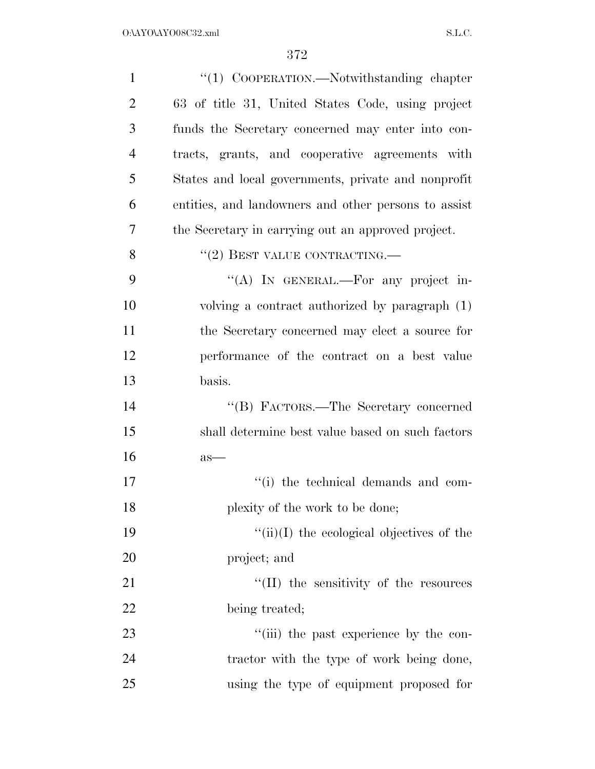| $\mathbf{1}$   | "(1) COOPERATION.—Notwithstanding chapter            |
|----------------|------------------------------------------------------|
| $\overline{2}$ | 63 of title 31, United States Code, using project    |
| 3              | funds the Secretary concerned may enter into con-    |
| $\overline{4}$ | tracts, grants, and cooperative agreements with      |
| 5              | States and local governments, private and nonprofit  |
| 6              | entities, and landowners and other persons to assist |
| 7              | the Secretary in carrying out an approved project.   |
| 8              | $``(2)$ BEST VALUE CONTRACTING.—                     |
| 9              | "(A) IN GENERAL.—For any project in-                 |
| 10             | volving a contract authorized by paragraph (1)       |
| 11             | the Secretary concerned may elect a source for       |
| 12             | performance of the contract on a best value          |
| 13             | basis.                                               |
| 14             | "(B) FACTORS.—The Secretary concerned                |
| 15             | shall determine best value based on such factors     |
| 16             | $as-$                                                |
| 17             | "(i) the technical demands and com-                  |
| 18             | plexity of the work to be done;                      |
| 19             | $\lq\lq$ (ii)(I) the ecological objectives of the    |
| 20             | project; and                                         |
| 21             | "(II) the sensitivity of the resources               |
| 22             | being treated;                                       |
| 23             | "(iii) the past experience by the con-               |
| 24             | tractor with the type of work being done,            |
| 25             | using the type of equipment proposed for             |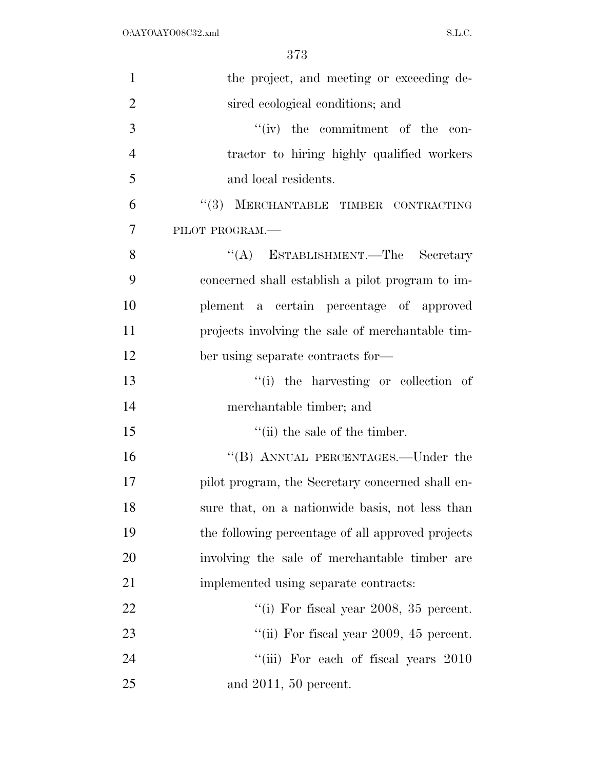| $\mathbf{1}$   | the project, and meeting or exceeding de-         |
|----------------|---------------------------------------------------|
| $\overline{2}$ | sired ecological conditions; and                  |
| 3              | $``(iv)$ the commitment of the con-               |
| $\overline{4}$ | tractor to hiring highly qualified workers        |
| 5              | and local residents.                              |
| 6              | "(3) MERCHANTABLE TIMBER CONTRACTING              |
| $\overline{7}$ | PILOT PROGRAM.                                    |
| 8              | "(A) ESTABLISHMENT.—The Secretary                 |
| 9              | concerned shall establish a pilot program to im-  |
| 10             | plement a certain percentage of approved          |
| 11             | projects involving the sale of merchantable tim-  |
| 12             | ber using separate contracts for—                 |
| 13             | "(i) the harvesting or collection of              |
| 14             | merchantable timber; and                          |
| 15             | $"$ (ii) the sale of the timber.                  |
| 16             | "(B) ANNUAL PERCENTAGES.—Under the                |
| 17             | pilot program, the Secretary concerned shall en-  |
| 18             | sure that, on a nationwide basis, not less than   |
| 19             | the following percentage of all approved projects |
| 20             | involving the sale of merchantable timber are     |
| 21             | implemented using separate contracts:             |
| 22             | "(i) For fiscal year $2008$ , $35$ percent.       |
| 23             | "(ii) For fiscal year 2009, 45 percent.           |
| 24             | "(iii) For each of fiscal years 2010              |
| 25             | and $2011$ , 50 percent.                          |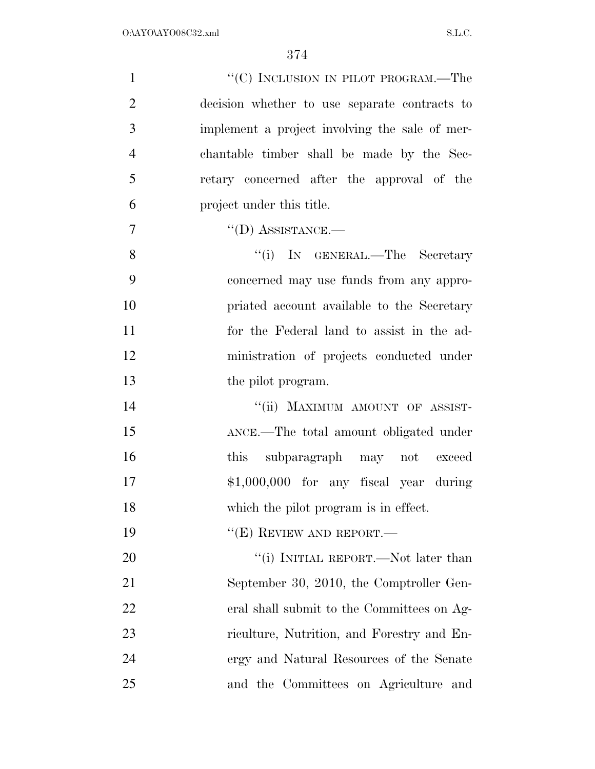| $\mathbf{1}$   | "(C) INCLUSION IN PILOT PROGRAM.—The           |
|----------------|------------------------------------------------|
| $\overline{2}$ | decision whether to use separate contracts to  |
| 3              | implement a project involving the sale of mer- |
| $\overline{4}$ | chantable timber shall be made by the Sec-     |
| 5              | retary concerned after the approval of the     |
| 6              | project under this title.                      |
| $\overline{7}$ | $\lq\lq$ (D) ASSISTANCE.—                      |
| 8              | "(i) IN GENERAL.—The Secretary                 |
| 9              | concerned may use funds from any appro-        |
| 10             | priated account available to the Secretary     |
| 11             | for the Federal land to assist in the ad-      |
| 12             | ministration of projects conducted under       |
| 13             | the pilot program.                             |
| 14             | "(ii) MAXIMUM AMOUNT OF ASSIST-                |
| 15             | ANCE.-The total amount obligated under         |
| 16             | subparagraph may not exceed<br>this            |
| 17             | $$1,000,000$ for any fiscal year during        |
| 18             | which the pilot program is in effect.          |
| 19             | " $(E)$ REVIEW AND REPORT.—                    |
| 20             | "(i) INITIAL REPORT.—Not later than            |
| 21             | September 30, 2010, the Comptroller Gen-       |
| 22             | eral shall submit to the Committees on Ag-     |
| 23             | riculture, Nutrition, and Forestry and En-     |
| 24             | ergy and Natural Resources of the Senate       |
| 25             | and the Committees on Agriculture and          |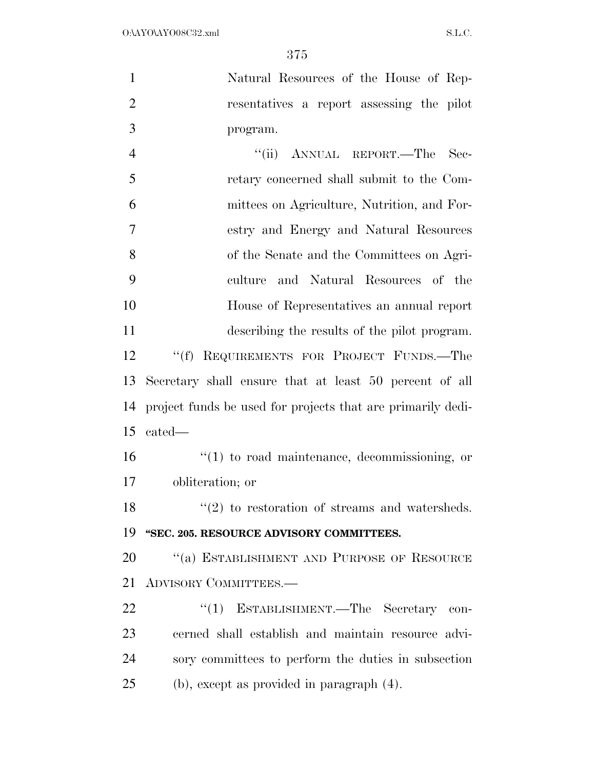Natural Resources of the House of Rep- resentatives a report assessing the pilot program.

4 "(ii) ANNUAL REPORT.—The Sec- retary concerned shall submit to the Com- mittees on Agriculture, Nutrition, and For- estry and Energy and Natural Resources of the Senate and the Committees on Agri- culture and Natural Resources of the House of Representatives an annual report describing the results of the pilot program. ''(f) REQUIREMENTS FOR PROJECT FUNDS.—The Secretary shall ensure that at least 50 percent of all project funds be used for projects that are primarily dedi- cated— ''(1) to road maintenance, decommissioning, or obliteration; or  $\frac{1}{2}$  to restoration of streams and watersheds. **''SEC. 205. RESOURCE ADVISORY COMMITTEES.** 

20 "(a) ESTABLISHMENT AND PURPOSE OF RESOURCE ADVISORY COMMITTEES.—

22 "(1) ESTABLISHMENT.—The Secretary con- cerned shall establish and maintain resource advi- sory committees to perform the duties in subsection (b), except as provided in paragraph (4).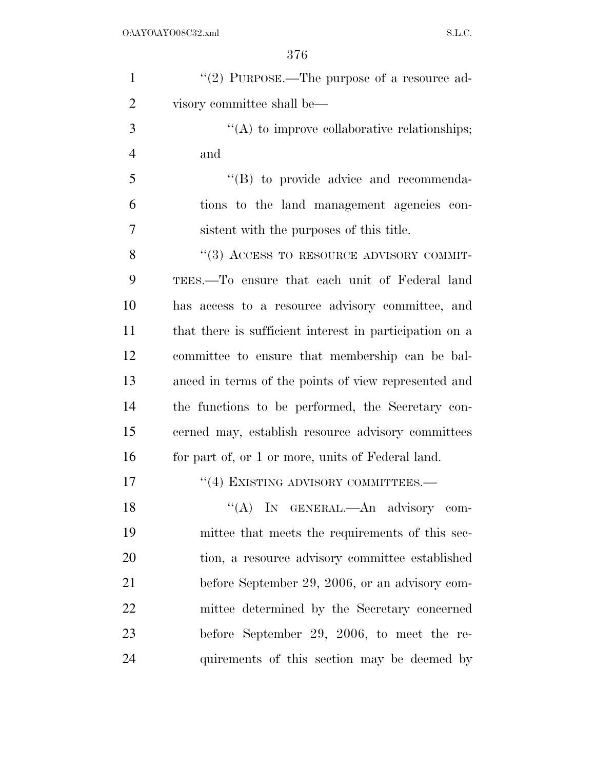| $\mathbf{1}$   | "(2) PURPOSE.—The purpose of a resource ad-             |
|----------------|---------------------------------------------------------|
| $\overline{2}$ | visory committee shall be—                              |
| 3              | "(A) to improve collaborative relationships;            |
| $\overline{4}$ | and                                                     |
| 5              | "(B) to provide advice and recommenda-                  |
| 6              | tions to the land management agencies con-              |
| 7              | sistent with the purposes of this title.                |
| 8              | "(3) ACCESS TO RESOURCE ADVISORY COMMIT-                |
| 9              | TEES.—To ensure that each unit of Federal land          |
| 10             | has access to a resource advisory committee, and        |
| 11             | that there is sufficient interest in participation on a |
| 12             | committee to ensure that membership can be bal-         |
| 13             | anced in terms of the points of view represented and    |
| 14             | the functions to be performed, the Secretary con-       |
| 15             |                                                         |
|                | cerned may, establish resource advisory committees      |
| 16             | for part of, or 1 or more, units of Federal land.       |
| 17             | "(4) EXISTING ADVISORY COMMITTEES.-                     |
| 18             | "(A) IN GENERAL.- An advisory com-                      |
| 19             | mittee that meets the requirements of this sec-         |
| 20             | tion, a resource advisory committee established         |
| 21             | before September 29, 2006, or an advisory com-          |
| 22             | mittee determined by the Secretary concerned            |
| 23             | before September 29, 2006, to meet the re-              |
| 24             | quirements of this section may be deemed by             |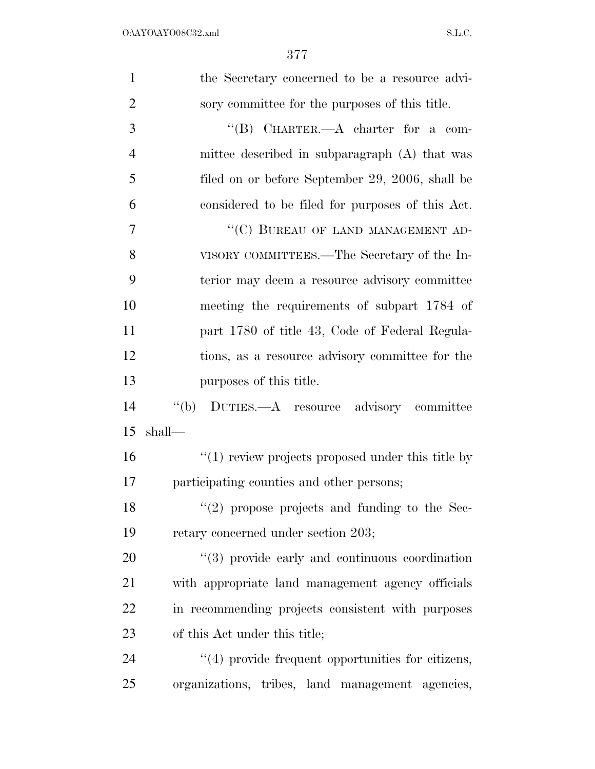| $\mathbf{1}$   | the Secretary concerned to be a resource advi-           |
|----------------|----------------------------------------------------------|
| $\overline{2}$ | sory committee for the purposes of this title.           |
| $\mathfrak{Z}$ | " $(B)$ CHARTER.—A charter for a com-                    |
| $\overline{4}$ | mittee described in subparagraph (A) that was            |
| 5              | filed on or before September 29, 2006, shall be          |
| 6              | considered to be filed for purposes of this Act.         |
| 7              | "(C) BUREAU OF LAND MANAGEMENT AD-                       |
| 8              | VISORY COMMITTEES.—The Secretary of the In-              |
| 9              | terior may deem a resource advisory committee            |
| 10             | meeting the requirements of subpart 1784 of              |
| 11             | part 1780 of title 43, Code of Federal Regula-           |
| 12             | tions, as a resource advisory committee for the          |
| 13             | purposes of this title.                                  |
| 14             | "(b) DUTIES.—A resource advisory committee               |
| 15             | shall-                                                   |
| 16             | $"(1)$ review projects proposed under this title by      |
| 17             | participating counties and other persons;                |
| 18             | $\lq(2)$ propose projects and funding to the Sec-        |
| 19             | retary concerned under section 203;                      |
| 20             | $\cdot$ (3) provide early and continuous coordination    |
| 21             | with appropriate land management agency officials        |
| 22             | in recommending projects consistent with purposes        |
| 23             | of this Act under this title;                            |
| 24             | $\cdot$ (4) provide frequent opportunities for citizens, |
| 25             | organizations, tribes, land management agencies,         |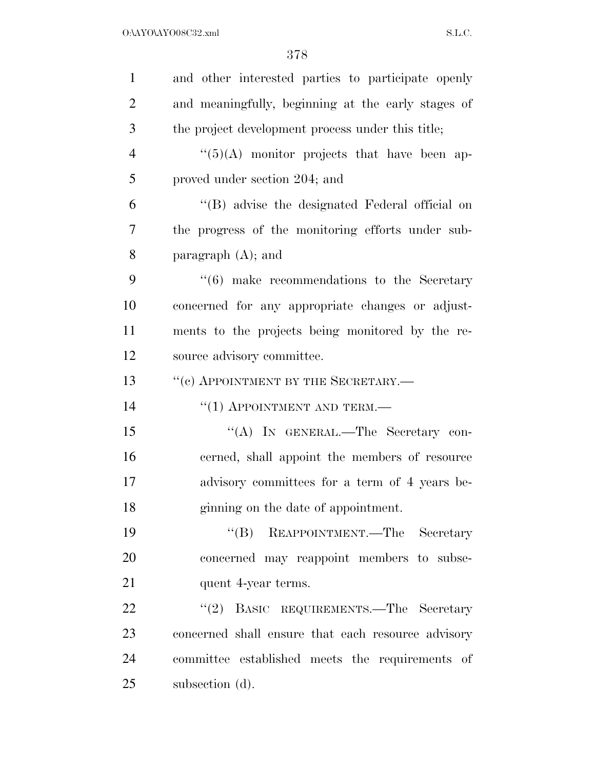| $\mathbf{1}$   | and other interested parties to participate openly         |
|----------------|------------------------------------------------------------|
| $\overline{2}$ | and meaningfully, beginning at the early stages of         |
| 3              | the project development process under this title;          |
| $\overline{4}$ | $\lq(5)(A)$ monitor projects that have been ap-            |
| 5              | proved under section 204; and                              |
| 6              | "(B) advise the designated Federal official on             |
| 7              | the progress of the monitoring efforts under sub-          |
| 8              | paragraph $(A)$ ; and                                      |
| 9              | $\cdot\cdot\cdot(6)$ make recommendations to the Secretary |
| 10             | concerned for any appropriate changes or adjust-           |
| 11             | ments to the projects being monitored by the re-           |
| 12             | source advisory committee.                                 |
| 13             | "(c) APPOINTMENT BY THE SECRETARY.-                        |
| 14             | $``(1)$ APPOINTMENT AND TERM.—                             |
| 15             | "(A) IN GENERAL.—The Secretary con-                        |
| 16             | cerned, shall appoint the members of resource              |
| 17             | advisory committees for a term of 4 years be-              |
| 18             | ginning on the date of appointment.                        |
| 19             | "(B) REAPPOINTMENT.—The Secretary                          |
| 20             | concerned may reappoint members to subse-                  |
| 21             | quent 4-year terms.                                        |
| 22             | (2)<br>BASIC REQUIREMENTS.-The Secretary                   |
| 23             | concerned shall ensure that each resource advisory         |
| 24             | committee established meets the requirements of            |
| 25             | subsection (d).                                            |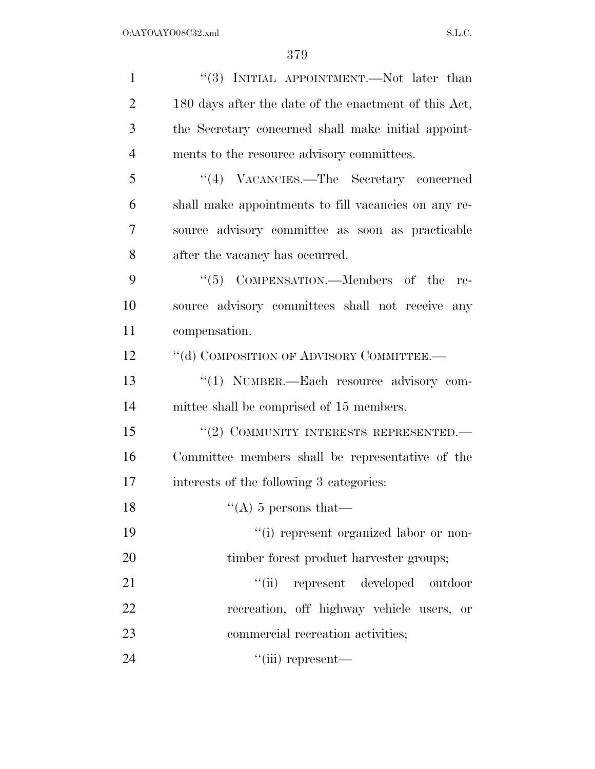| $\mathbf{1}$   | "(3) INITIAL APPOINTMENT.—Not later than              |
|----------------|-------------------------------------------------------|
| $\overline{2}$ | 180 days after the date of the enactment of this Act, |
| 3              | the Secretary concerned shall make initial appoint-   |
| $\overline{4}$ | ments to the resource advisory committees.            |
| 5              | "(4) VACANCIES.—The Secretary concerned               |
| 6              | shall make appointments to fill vacancies on any re-  |
| $\overline{7}$ | source advisory committee as soon as practicable      |
| 8              | after the vacancy has occurred.                       |
| 9              | $\cdot\cdot$ (5) COMPENSATION.—Members of the<br>re-  |
| 10             | source advisory committees shall not receive any      |
| 11             | compensation.                                         |
| 12             | "(d) COMPOSITION OF ADVISORY COMMITTEE.-              |
| 13             | "(1) NUMBER.—Each resource advisory com-              |
| 14             | mittee shall be comprised of 15 members.              |
| 15             | "(2) COMMUNITY INTERESTS REPRESENTED.                 |
| 16             | Committee members shall be representative of the      |
| 17             | interests of the following 3 categories:              |
| 18             | "(A) 5 persons that—                                  |
| 19             | "(i) represent organized labor or non-                |
| 20             | timber forest product harvester groups;               |
| 21             | "(ii) represent developed outdoor                     |
| 22             | recreation, off highway vehicle users, or             |
| 23             | commercial recreation activities;                     |
| 24             | $``(iii)$ represent—                                  |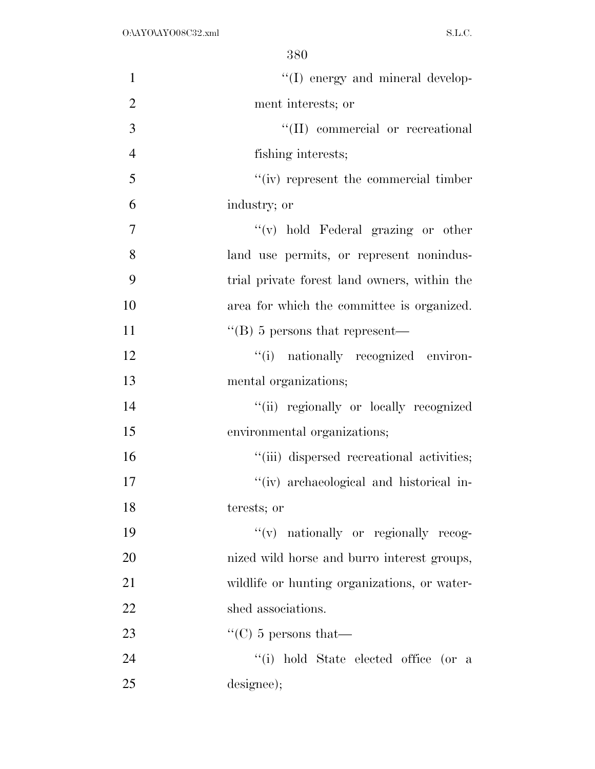| $\mathbf{1}$   | "(I) energy and mineral develop-                 |
|----------------|--------------------------------------------------|
| $\overline{2}$ | ment interests; or                               |
| 3              | "(II) commercial or recreational                 |
| $\overline{4}$ | fishing interests;                               |
| 5              | $``(iv)$ represent the commercial timber         |
| 6              | industry; or                                     |
| $\overline{7}$ | $f'(v)$ hold Federal grazing or other            |
| 8              | land use permits, or represent nonindus-         |
| 9              | trial private forest land owners, within the     |
| 10             | area for which the committee is organized.       |
| 11             | $\lq$ <sup>"</sup> (B) 5 persons that represent— |
| 12             | "(i) nationally recognized environ-              |
| 13             | mental organizations;                            |
| 14             | "(ii) regionally or locally recognized           |
| 15             | environmental organizations;                     |
| 16             | "(iii) dispersed recreational activities;        |
| 17             | "(iv) archaeological and historical in-          |
| 18             | terests; or                                      |
| 19             | "(v) nationally or regionally recog-             |
| 20             | nized wild horse and burro interest groups,      |
| 21             | wildlife or hunting organizations, or water-     |
| 22             | shed associations.                               |
| 23             | $\lq\lq$ (C) 5 persons that —                    |
| 24             | "(i) hold State elected office (or a             |
| 25             | designee);                                       |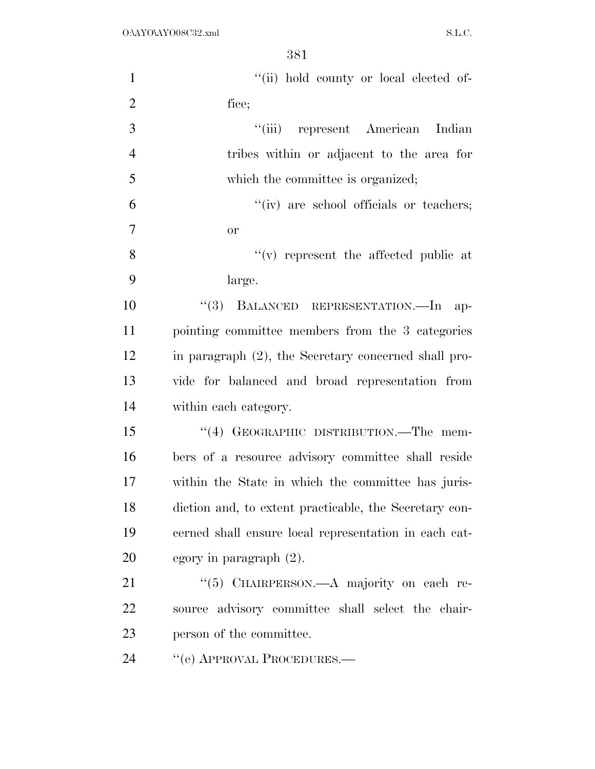| $\mathbf{1}$   | "(ii) hold county or local elected of-                 |
|----------------|--------------------------------------------------------|
| $\overline{2}$ | fice;                                                  |
| 3              | "(iii) represent American Indian                       |
| $\overline{4}$ | tribes within or adjacent to the area for              |
| 5              | which the committee is organized;                      |
| 6              | "(iv) are school officials or teachers;                |
| $\overline{7}$ | <b>or</b>                                              |
| 8              | $f'(v)$ represent the affected public at               |
| 9              | large.                                                 |
| 10             | "(3) BALANCED REPRESENTATION.—In ap-                   |
| 11             | pointing committee members from the 3 categories       |
| 12             | in paragraph (2), the Secretary concerned shall pro-   |
| 13             | vide for balanced and broad representation from        |
| 14             | within each category.                                  |
| 15             | "(4) GEOGRAPHIC DISTRIBUTION.—The mem-                 |
| 16             | bers of a resource advisory committee shall reside     |
| 17             | within the State in which the committee has juris-     |
| 18             | diction and, to extent practicable, the Secretary con- |
| 19             | cerned shall ensure local representation in each cat-  |
| 20             | egory in paragraph $(2)$ .                             |
| 21             | "(5) CHAIRPERSON.—A majority on each re-               |
| 22             | source advisory committee shall select the chair-      |
| 23             | person of the committee.                               |
| 24             | "(e) APPROVAL PROCEDURES.—                             |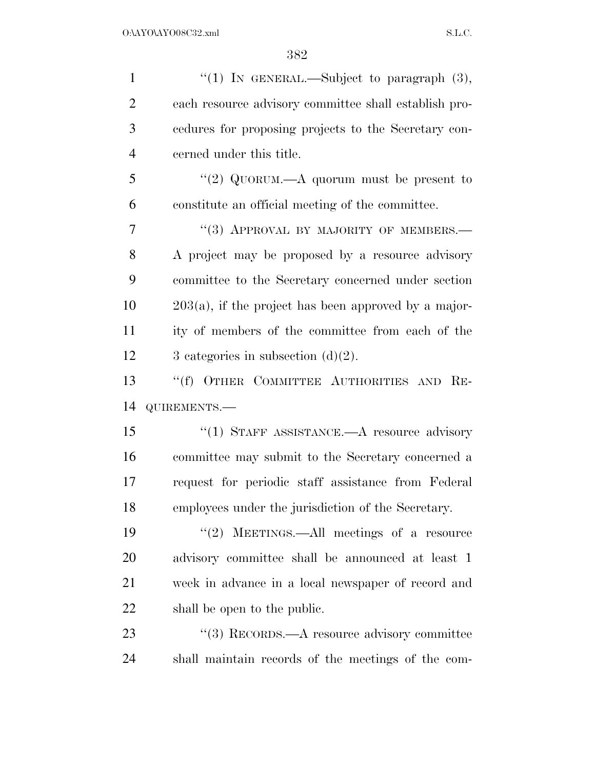| $\mathbf{1}$   | "(1) IN GENERAL.—Subject to paragraph $(3)$ ,           |
|----------------|---------------------------------------------------------|
| $\overline{2}$ | each resource advisory committee shall establish pro-   |
| 3              | cedures for proposing projects to the Secretary con-    |
| $\overline{4}$ | cerned under this title.                                |
| 5              | "(2) QUORUM.—A quorum must be present to                |
| 6              | constitute an official meeting of the committee.        |
| 7              | "(3) APPROVAL BY MAJORITY OF MEMBERS.-                  |
| 8              | A project may be proposed by a resource advisory        |
| 9              | committee to the Secretary concerned under section      |
| 10             | $203(a)$ , if the project has been approved by a major- |
| 11             | ity of members of the committee from each of the        |
| 12             | 3 categories in subsection $(d)(2)$ .                   |
|                |                                                         |
| 13             | "(f) OTHER COMMITTEE AUTHORITIES AND RE-                |
| 14             | QUIREMENTS.-                                            |
| 15             | "(1) STAFF ASSISTANCE. A resource advisory              |
| 16             | committee may submit to the Secretary concerned a       |
| 17             | request for periodic staff assistance from Federal      |
| 18             | employees under the jurisdiction of the Secretary.      |
| 19             | "(2) MEETINGS.—All meetings of a resource               |
| 20             | advisory committee shall be announced at least 1        |
| 21             | week in advance in a local newspaper of record and      |
| 22             | shall be open to the public.                            |
| 23             | "(3) RECORDS.—A resource advisory committee             |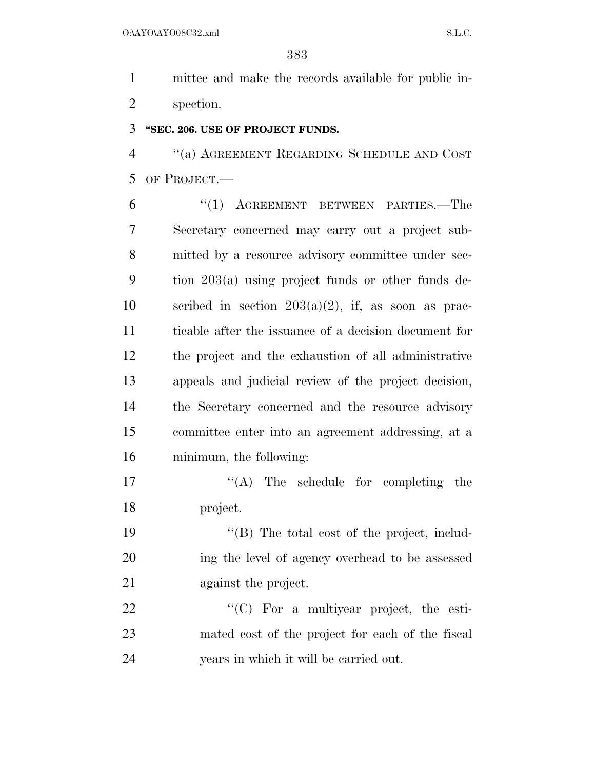mittee and make the records available for public in-spection.

### **''SEC. 206. USE OF PROJECT FUNDS.**

 ''(a) AGREEMENT REGARDING SCHEDULE AND COST OF PROJECT.—

 ''(1) AGREEMENT BETWEEN PARTIES.—The Secretary concerned may carry out a project sub- mitted by a resource advisory committee under sec- tion 203(a) using project funds or other funds de-10 scribed in section  $203(a)(2)$ , if, as soon as prac- ticable after the issuance of a decision document for the project and the exhaustion of all administrative appeals and judicial review of the project decision, the Secretary concerned and the resource advisory committee enter into an agreement addressing, at a minimum, the following:

17  $\langle (A)$  The schedule for completing the project.

19  $\langle \text{A} \rangle$  The total cost of the project, includ- ing the level of agency overhead to be assessed against the project.

22  $\text{``(C)}$  For a multiyear project, the esti- mated cost of the project for each of the fiscal years in which it will be carried out.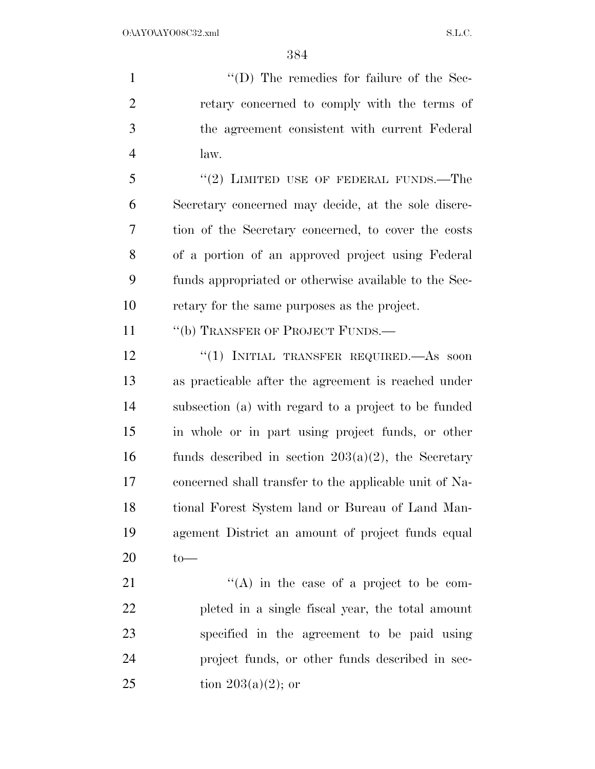$''(D)$  The remedies for failure of the Sec- retary concerned to comply with the terms of the agreement consistent with current Federal law.

 "(2) LIMITED USE OF FEDERAL FUNDS.—The Secretary concerned may decide, at the sole discre- tion of the Secretary concerned, to cover the costs of a portion of an approved project using Federal funds appropriated or otherwise available to the Sec-retary for the same purposes as the project.

11 "(b) TRANSFER OF PROJECT FUNDS.—

12 "(1) INITIAL TRANSFER REQUIRED. As soon as practicable after the agreement is reached under subsection (a) with regard to a project to be funded in whole or in part using project funds, or other 16 funds described in section  $203(a)(2)$ , the Secretary concerned shall transfer to the applicable unit of Na- tional Forest System land or Bureau of Land Man- agement District an amount of project funds equal to—

 $\langle (A)$  in the case of a project to be com- pleted in a single fiscal year, the total amount specified in the agreement to be paid using project funds, or other funds described in sec-25 tion  $203(a)(2)$ ; or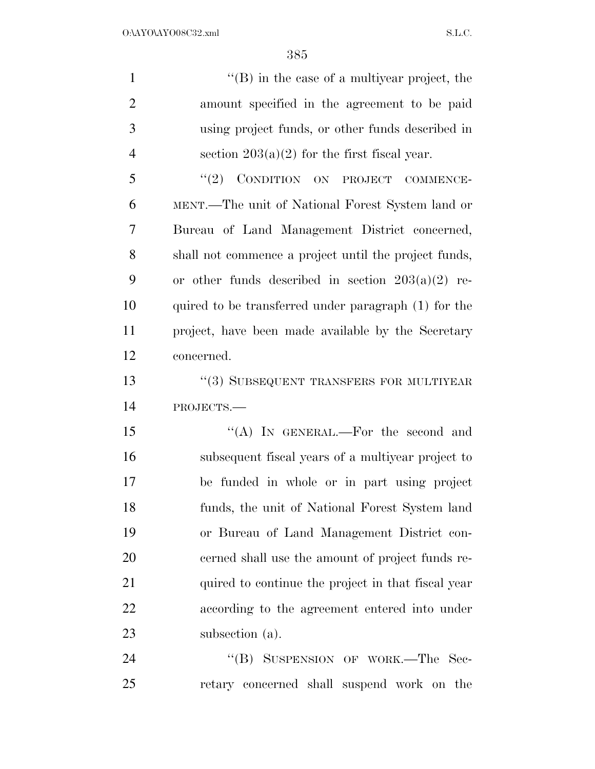| $\mathbf{1}$   | $\lq$ (B) in the case of a multiyear project, the     |
|----------------|-------------------------------------------------------|
| $\overline{2}$ | amount specified in the agreement to be paid          |
| 3              | using project funds, or other funds described in      |
| $\overline{4}$ | section $203(a)(2)$ for the first fiscal year.        |
| 5              | "(2) CONDITION ON PROJECT COMMENCE-                   |
| 6              | MENT.—The unit of National Forest System land or      |
| 7              | Bureau of Land Management District concerned,         |
| 8              | shall not commence a project until the project funds, |
| 9              | or other funds described in section $203(a)(2)$ re-   |
| 10             | quired to be transferred under paragraph (1) for the  |
| 11             | project, have been made available by the Secretary    |
| 12             | concerned.                                            |
| 13             | "(3) SUBSEQUENT TRANSFERS FOR MULTIYEAR               |
| 14             | PROJECTS.-                                            |
| 15             | "(A) IN GENERAL.—For the second and                   |
| 16             | subsequent fiscal years of a multiyear project to     |
| 17             | be funded in whole or in part using project           |
| 18             | funds, the unit of National Forest System land        |
| 19             | or Bureau of Land Management District con-            |
| 20             | cerned shall use the amount of project funds re-      |
| 21             | quired to continue the project in that fiscal year    |
| 22             | according to the agreement entered into under         |
| 23             | subsection (a).                                       |
| 24             | "(B) SUSPENSION OF WORK.—The Sec-                     |
| 25             | retary concerned shall suspend work on the            |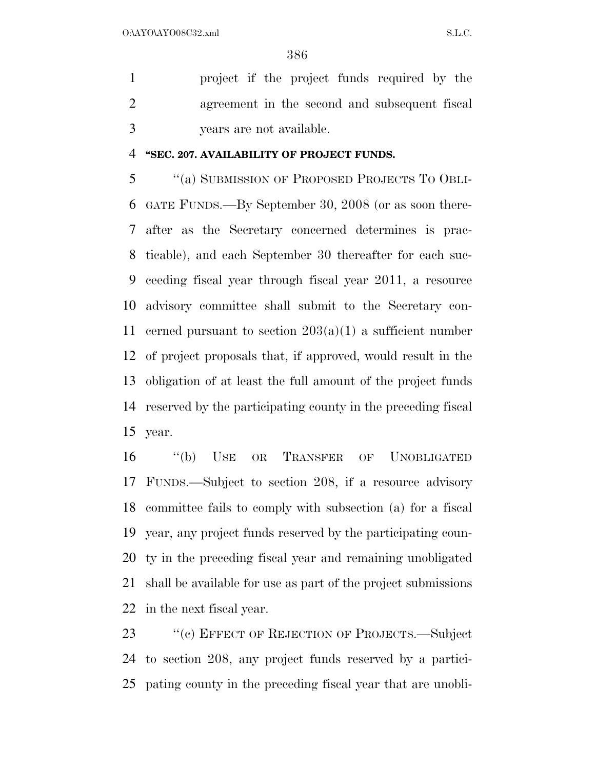project if the project funds required by the agreement in the second and subsequent fiscal years are not available.

### **''SEC. 207. AVAILABILITY OF PROJECT FUNDS.**

 ''(a) SUBMISSION OF PROPOSED PROJECTS TO OBLI- GATE FUNDS.—By September 30, 2008 (or as soon there- after as the Secretary concerned determines is prac- ticable), and each September 30 thereafter for each suc- ceeding fiscal year through fiscal year 2011, a resource advisory committee shall submit to the Secretary con-11 cerned pursuant to section  $203(a)(1)$  a sufficient number of project proposals that, if approved, would result in the obligation of at least the full amount of the project funds reserved by the participating county in the preceding fiscal year.

 ''(b) USE OR TRANSFER OF UNOBLIGATED FUNDS.—Subject to section 208, if a resource advisory committee fails to comply with subsection (a) for a fiscal year, any project funds reserved by the participating coun- ty in the preceding fiscal year and remaining unobligated shall be available for use as part of the project submissions in the next fiscal year.

23 "(c) EFFECT OF REJECTION OF PROJECTS.—Subject to section 208, any project funds reserved by a partici-pating county in the preceding fiscal year that are unobli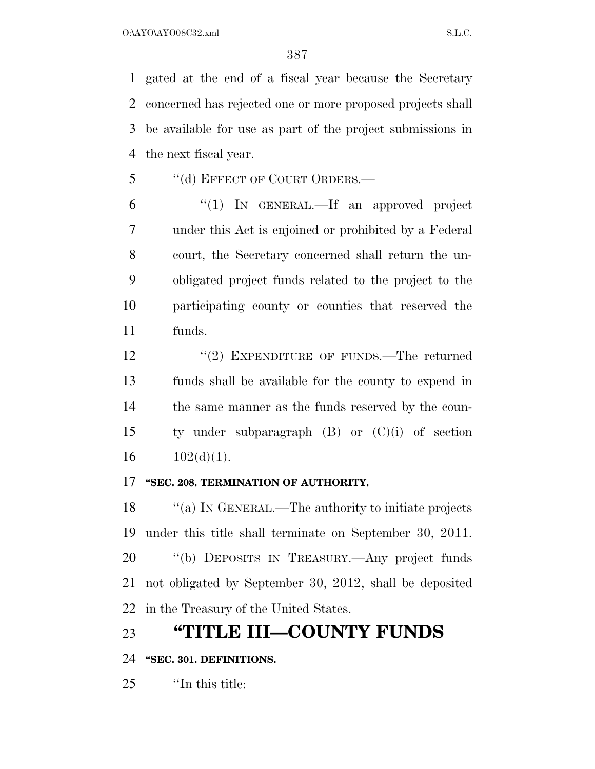O:\AYO\AYO08C32.xml S.L.C.

 gated at the end of a fiscal year because the Secretary concerned has rejected one or more proposed projects shall be available for use as part of the project submissions in the next fiscal year.

5 "(d) EFFECT OF COURT ORDERS.—

 ''(1) IN GENERAL.—If an approved project under this Act is enjoined or prohibited by a Federal court, the Secretary concerned shall return the un- obligated project funds related to the project to the participating county or counties that reserved the funds.

12 ''(2) EXPENDITURE OF FUNDS.—The returned funds shall be available for the county to expend in the same manner as the funds reserved by the coun- ty under subparagraph (B) or (C)(i) of section  $16 \qquad 102(\mathrm{d})(1).$ 

### **''SEC. 208. TERMINATION OF AUTHORITY.**

18 "(a) IN GENERAL.—The authority to initiate projects under this title shall terminate on September 30, 2011. ''(b) DEPOSITS IN TREASURY.—Any project funds not obligated by September 30, 2012, shall be deposited in the Treasury of the United States.

# **''TITLE III—COUNTY FUNDS**

## **''SEC. 301. DEFINITIONS.**

''In this title: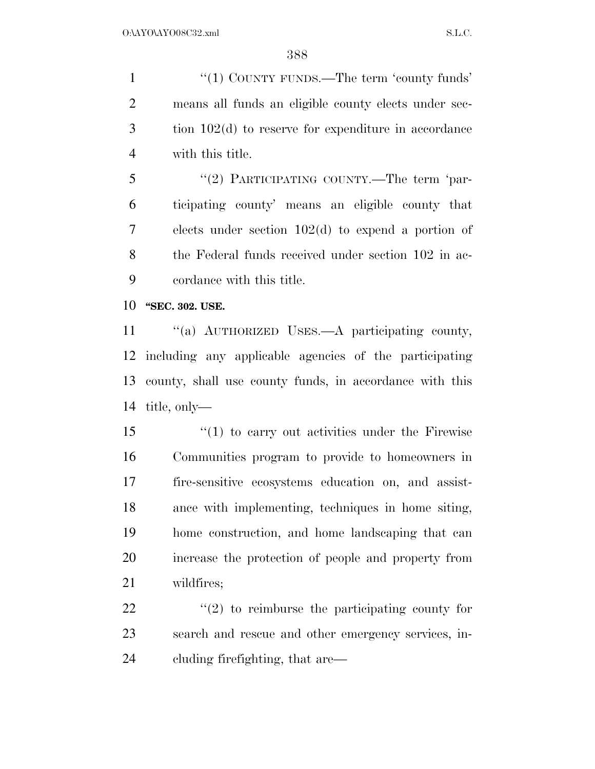1 "(1) COUNTY FUNDS.—The term 'county funds' means all funds an eligible county elects under sec- tion 102(d) to reserve for expenditure in accordance with this title.

5 "(2) PARTICIPATING COUNTY.—The term 'par- ticipating county' means an eligible county that elects under section 102(d) to expend a portion of the Federal funds received under section 102 in ac-cordance with this title.

**''SEC. 302. USE.** 

 ''(a) AUTHORIZED USES.—A participating county, including any applicable agencies of the participating county, shall use county funds, in accordance with this title, only—

 ''(1) to carry out activities under the Firewise Communities program to provide to homeowners in fire-sensitive ecosystems education on, and assist- ance with implementing, techniques in home siting, home construction, and home landscaping that can increase the protection of people and property from wildfires;

22  $\langle \langle 2 \rangle$  to reimburse the participating county for search and rescue and other emergency services, in-cluding firefighting, that are—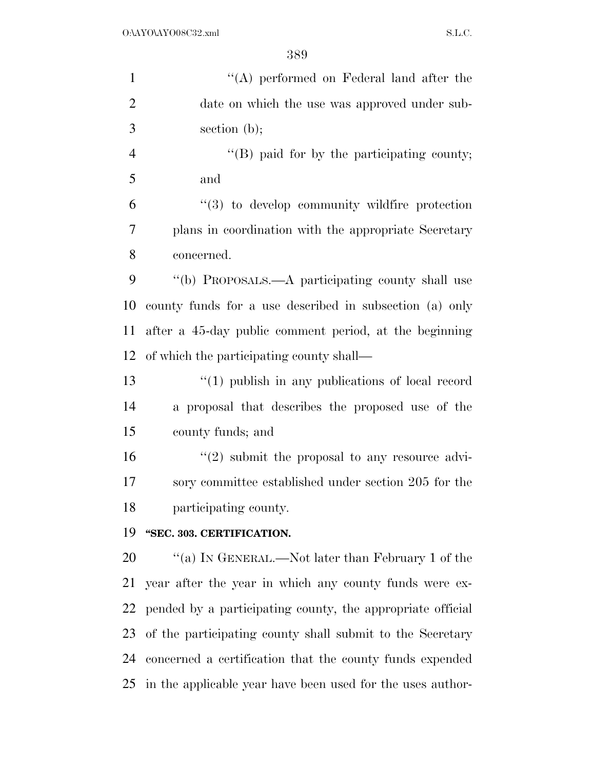| $\mathbf{1}$   | $\lq\lq$ performed on Federal land after the                  |
|----------------|---------------------------------------------------------------|
| $\overline{2}$ | date on which the use was approved under sub-                 |
| 3              | section $(b)$ ;                                               |
| $\overline{4}$ | $\lq\lq (B)$ paid for by the participating county;            |
| 5              | and                                                           |
| 6              | $\lq(3)$ to develop community wildfire protection             |
| 7              | plans in coordination with the appropriate Secretary          |
| 8              | concerned.                                                    |
| 9              | "(b) PROPOSALS.—A participating county shall use              |
| 10             | county funds for a use described in subsection (a) only       |
| 11             | after a 45-day public comment period, at the beginning        |
| 12             | of which the participating county shall—                      |
| 13             | $\lq(1)$ publish in any publications of local record          |
| 14             | a proposal that describes the proposed use of the             |
| 15             | county funds; and                                             |
| 16             | $\lq(2)$ submit the proposal to any resource advi-            |
| 17             | sory committee established under section 205 for the          |
| 18             | participating county.                                         |
| 19             | "SEC. 303. CERTIFICATION.                                     |
| 20             | "(a) IN GENERAL.—Not later than February 1 of the             |
| 21             | year after the year in which any county funds were ex-        |
| 22             | pended by a participating county, the appropriate official    |
| 23             | of the participating county shall submit to the Secretary     |
| 24             | concerned a certification that the county funds expended      |
|                | 25 in the applicable year have been used for the uses author- |
|                |                                                               |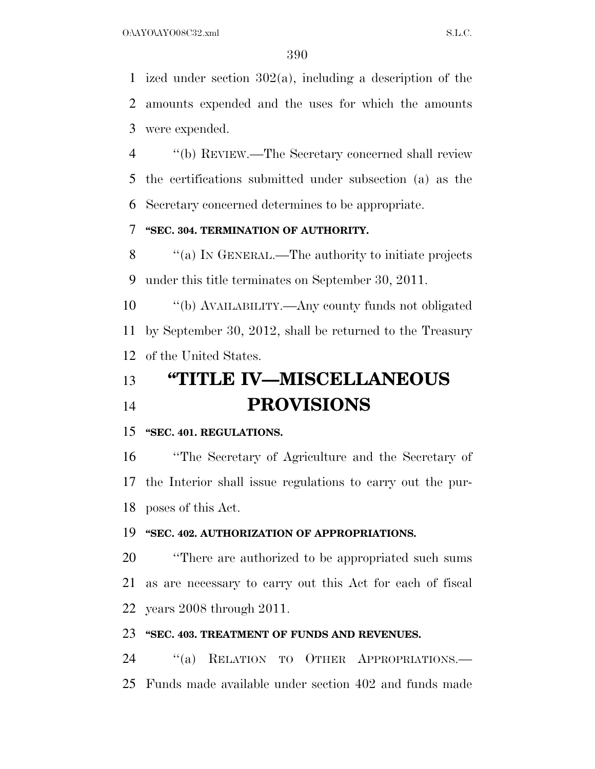ized under section 302(a), including a description of the amounts expended and the uses for which the amounts were expended.

 ''(b) REVIEW.—The Secretary concerned shall review the certifications submitted under subsection (a) as the Secretary concerned determines to be appropriate.

# **''SEC. 304. TERMINATION OF AUTHORITY.**

 ''(a) IN GENERAL.—The authority to initiate projects under this title terminates on September 30, 2011.

 ''(b) AVAILABILITY.—Any county funds not obligated by September 30, 2012, shall be returned to the Treasury of the United States.

# **''TITLE IV—MISCELLANEOUS PROVISIONS**

### **''SEC. 401. REGULATIONS.**

 ''The Secretary of Agriculture and the Secretary of the Interior shall issue regulations to carry out the pur-poses of this Act.

#### **''SEC. 402. AUTHORIZATION OF APPROPRIATIONS.**

 ''There are authorized to be appropriated such sums as are necessary to carry out this Act for each of fiscal years 2008 through 2011.

#### **''SEC. 403. TREATMENT OF FUNDS AND REVENUES.**

 ''(a) RELATION TO OTHER APPROPRIATIONS.— Funds made available under section 402 and funds made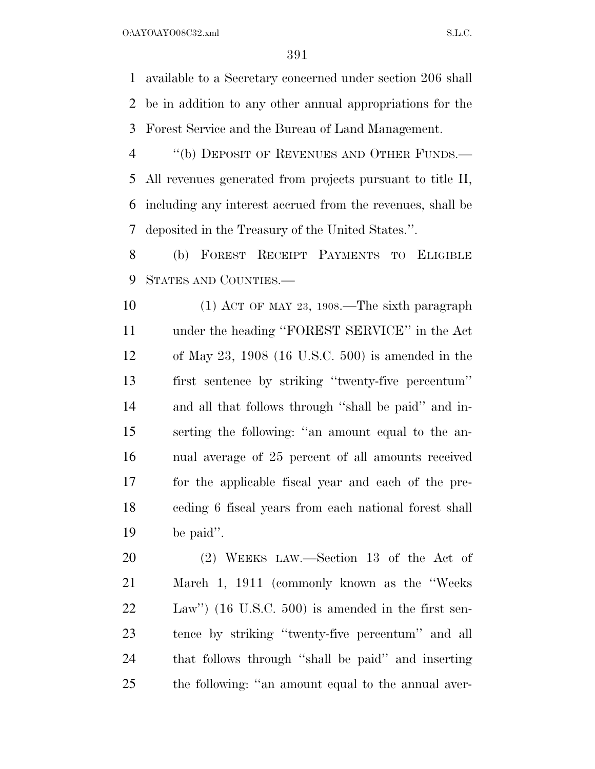$O:\Delta YO\Delta YO08C32.xml$  S.L.C.

 available to a Secretary concerned under section 206 shall be in addition to any other annual appropriations for the Forest Service and the Bureau of Land Management.

4 "(b) DEPOSIT OF REVENUES AND OTHER FUNDS.— All revenues generated from projects pursuant to title II, including any interest accrued from the revenues, shall be deposited in the Treasury of the United States.''.

 (b) FOREST RECEIPT PAYMENTS TO ELIGIBLE STATES AND COUNTIES.—

 (1) ACT OF MAY 23, 1908.—The sixth paragraph under the heading ''FOREST SERVICE'' in the Act of May 23, 1908 (16 U.S.C. 500) is amended in the first sentence by striking ''twenty-five percentum'' and all that follows through ''shall be paid'' and in- serting the following: ''an amount equal to the an- nual average of 25 percent of all amounts received for the applicable fiscal year and each of the pre- ceding 6 fiscal years from each national forest shall be paid''.

 (2) WEEKS LAW.—Section 13 of the Act of March 1, 1911 (commonly known as the ''Weeks Law'') (16 U.S.C. 500) is amended in the first sen- tence by striking ''twenty-five percentum'' and all that follows through ''shall be paid'' and inserting the following: ''an amount equal to the annual aver-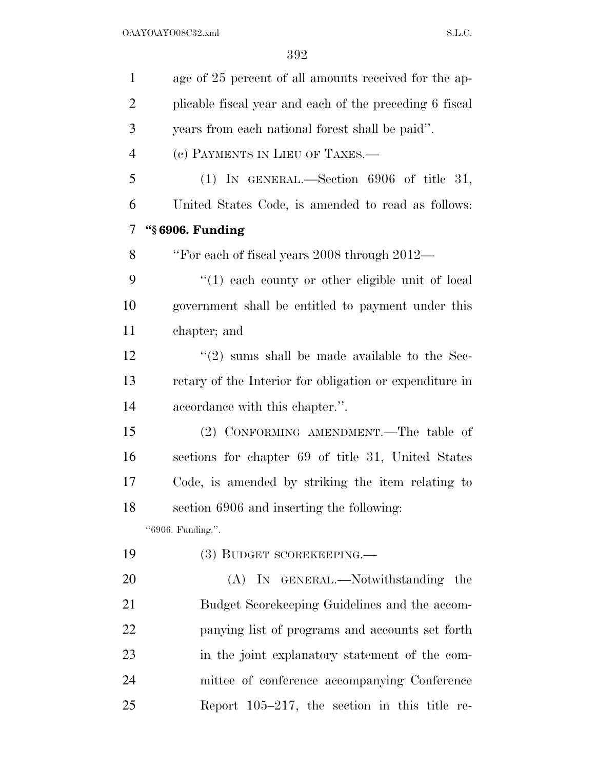| $\mathbf{1}$   | age of 25 percent of all amounts received for the ap-    |
|----------------|----------------------------------------------------------|
| $\overline{2}$ | plicable fiscal year and each of the preceding 6 fiscal  |
| 3              | years from each national forest shall be paid".          |
| $\overline{4}$ | (c) PAYMENTS IN LIEU OF TAXES.—                          |
| 5              | (1) IN GENERAL.—Section $6906$ of title 31,              |
| 6              | United States Code, is amended to read as follows:       |
| 7              | "§ 6906. Funding                                         |
| 8              | "For each of fiscal years 2008 through 2012—             |
| 9              | $\lq(1)$ each county or other eligible unit of local     |
| 10             | government shall be entitled to payment under this       |
| 11             | chapter; and                                             |
| 12             | $\cdot\cdot(2)$ sums shall be made available to the Sec- |
| 13             | retary of the Interior for obligation or expenditure in  |
| 14             | accordance with this chapter.".                          |
| 15             | (2) CONFORMING AMENDMENT.—The table of                   |
| 16             | sections for chapter 69 of title 31, United States       |
| 17             | Code, is amended by striking the item relating to        |
| 18             | section 6906 and inserting the following:                |
|                | "6906. Funding.".                                        |
| 19             | (3) BUDGET SCOREKEEPING.—                                |
| 20             | (A) IN GENERAL.—Notwithstanding the                      |
| 21             | Budget Scorekeeping Guidelines and the accom-            |
| 22             | panying list of programs and accounts set forth          |
| 23             | in the joint explanatory statement of the com-           |
| 24             | mittee of conference accompanying Conference             |
| 25             | Report $105-217$ , the section in this title re-         |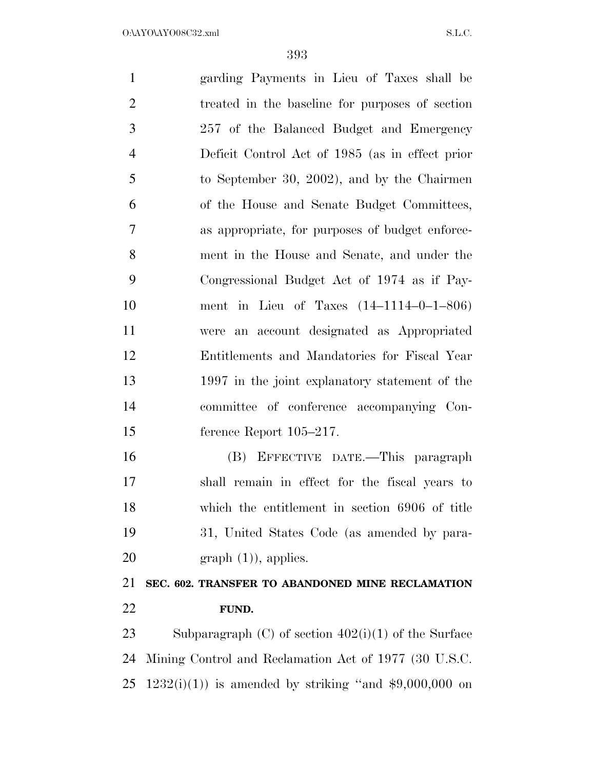garding Payments in Lieu of Taxes shall be treated in the baseline for purposes of section 257 of the Balanced Budget and Emergency Deficit Control Act of 1985 (as in effect prior to September 30, 2002), and by the Chairmen of the House and Senate Budget Committees, as appropriate, for purposes of budget enforce- ment in the House and Senate, and under the Congressional Budget Act of 1974 as if Pay- ment in Lieu of Taxes (14–1114–0–1–806) were an account designated as Appropriated Entitlements and Mandatories for Fiscal Year 1997 in the joint explanatory statement of the committee of conference accompanying Con- ference Report 105–217. (B) EFFECTIVE DATE.—This paragraph shall remain in effect for the fiscal years to which the entitlement in section 6906 of title 31, United States Code (as amended by para-20 graph  $(1)$ ), applies. **SEC. 602. TRANSFER TO ABANDONED MINE RECLAMATION FUND.**  Subparagraph (C) of section 402(i)(1) of the Surface Mining Control and Reclamation Act of 1977 (30 U.S.C. 25 1232(i)(1)) is amended by striking "and  $$9,000,000$  on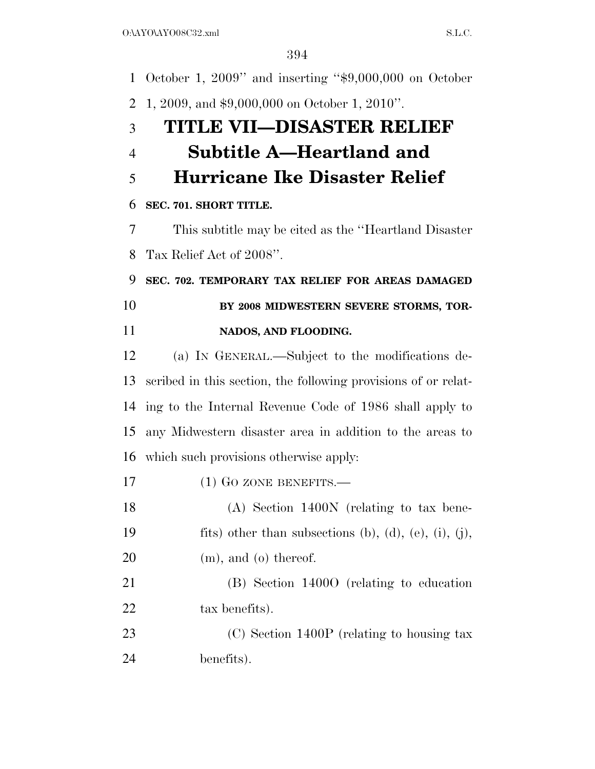October 1, 2009'' and inserting ''\$9,000,000 on October 1, 2009, and \$9,000,000 on October 1, 2010''. **TITLE VII—DISASTER RELIEF Subtitle A—Heartland and Hurricane Ike Disaster Relief SEC. 701. SHORT TITLE.**  This subtitle may be cited as the ''Heartland Disaster Tax Relief Act of 2008''. **SEC. 702. TEMPORARY TAX RELIEF FOR AREAS DAMAGED BY 2008 MIDWESTERN SEVERE STORMS, TOR- NADOS, AND FLOODING.**  (a) IN GENERAL.—Subject to the modifications de- scribed in this section, the following provisions of or relat- ing to the Internal Revenue Code of 1986 shall apply to any Midwestern disaster area in addition to the areas to which such provisions otherwise apply: 17 (1) GO ZONE BENEFITS.— (A) Section 1400N (relating to tax bene-19 fits) other than subsections (b), (d), (e), (i), (j), 20 (m), and (o) thereof. (B) Section 1400O (relating to education 22 tax benefits). 23 (C) Section 1400P (relating to housing tax benefits).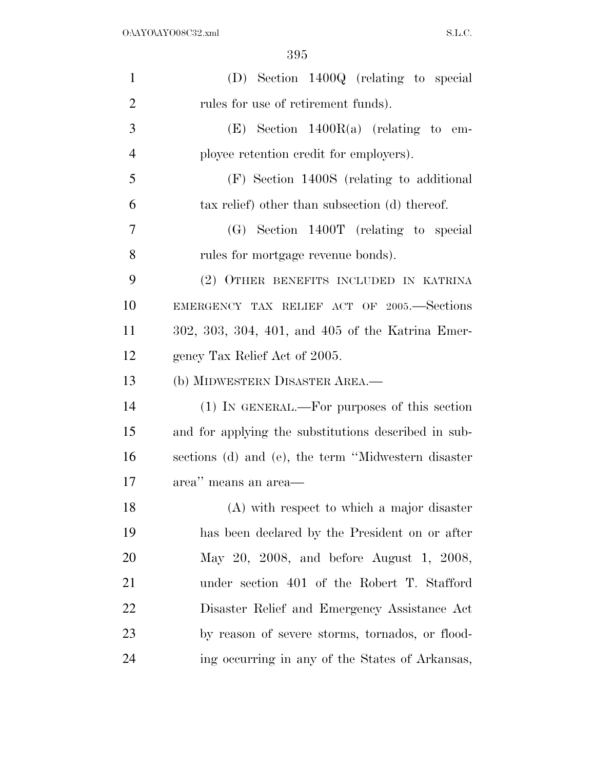| $\mathbf{1}$   | (D) Section 1400Q (relating to special               |
|----------------|------------------------------------------------------|
| $\overline{2}$ | rules for use of retirement funds).                  |
| 3              | $(E)$ Section 1400R(a) (relating to em-              |
| $\overline{4}$ | ployee retention credit for employers).              |
| 5              | (F) Section 1400S (relating to additional            |
| 6              | tax relief) other than subsection (d) thereof.       |
| 7              | $(G)$ Section 1400T (relating to special             |
| 8              | rules for mortgage revenue bonds).                   |
| 9              | (2) OTHER BENEFITS INCLUDED IN KATRINA               |
| 10             | EMERGENCY TAX RELIEF ACT OF 2005. Sections           |
| 11             | 302, 303, 304, 401, and 405 of the Katrina Emer-     |
| 12             | gency Tax Relief Act of 2005.                        |
| 13             | (b) MIDWESTERN DISASTER AREA.-                       |
| 14             | (1) IN GENERAL.—For purposes of this section         |
| 15             | and for applying the substitutions described in sub- |
| 16             | sections (d) and (e), the term "Midwestern disaster  |
| 17             | area" means an area-                                 |
| 18             | (A) with respect to which a major disaster           |
| 19             | has been declared by the President on or after       |
| 20             | May 20, 2008, and before August 1, 2008,             |
| 21             | under section 401 of the Robert T. Stafford          |
| 22             | Disaster Relief and Emergency Assistance Act         |
| 23             | by reason of severe storms, tornados, or flood-      |
| 24             | ing occurring in any of the States of Arkansas,      |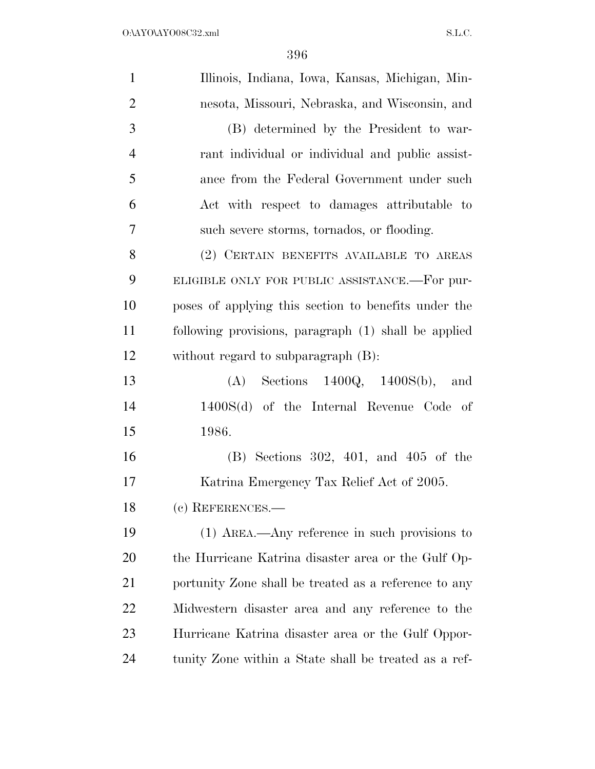| $\mathbf{1}$   | Illinois, Indiana, Iowa, Kansas, Michigan, Min-       |
|----------------|-------------------------------------------------------|
| $\overline{2}$ | nesota, Missouri, Nebraska, and Wisconsin, and        |
| 3              | (B) determined by the President to war-               |
| $\overline{4}$ | rant individual or individual and public assist-      |
| 5              | ance from the Federal Government under such           |
| 6              | Act with respect to damages attributable to           |
| 7              | such severe storms, tornados, or flooding.            |
| 8              | (2) CERTAIN BENEFITS AVAILABLE TO AREAS               |
| 9              | ELIGIBLE ONLY FOR PUBLIC ASSISTANCE.—For pur-         |
| 10             | poses of applying this section to benefits under the  |
| 11             | following provisions, paragraph (1) shall be applied  |
| 12             | without regard to subparagraph (B):                   |
| 13             | $(A)$ Sections 1400Q, 1400S(b), and                   |
| 14             | $1400S(d)$ of the Internal Revenue Code of            |
| 15             | 1986.                                                 |
| 16             | $(B)$ Sections 302, 401, and 405 of the               |
| 17             | Katrina Emergency Tax Relief Act of 2005.             |
| 18             | (c) REFERENCES.-                                      |
| 19             | $(1)$ AREA.—Any reference in such provisions to       |
| 20             | the Hurricane Katrina disaster area or the Gulf Op-   |
| 21             | portunity Zone shall be treated as a reference to any |
| 22             | Midwestern disaster area and any reference to the     |
| 23             | Hurricane Katrina disaster area or the Gulf Oppor-    |
| 24             | tunity Zone within a State shall be treated as a ref- |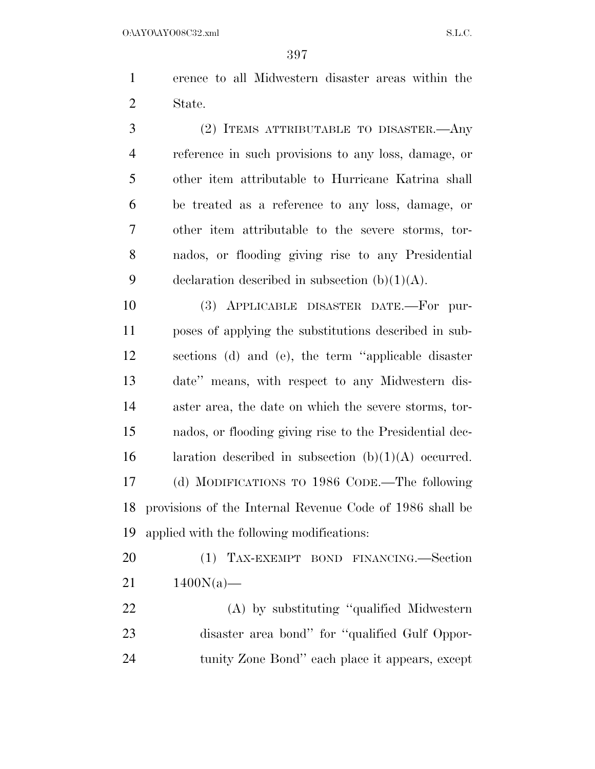erence to all Midwestern disaster areas within the State.

 (2) ITEMS ATTRIBUTABLE TO DISASTER.—Any reference in such provisions to any loss, damage, or other item attributable to Hurricane Katrina shall be treated as a reference to any loss, damage, or other item attributable to the severe storms, tor- nados, or flooding giving rise to any Presidential 9 declaration described in subsection  $(b)(1)(A)$ .

 (3) APPLICABLE DISASTER DATE.—For pur- poses of applying the substitutions described in sub- sections (d) and (e), the term ''applicable disaster date'' means, with respect to any Midwestern dis- aster area, the date on which the severe storms, tor- nados, or flooding giving rise to the Presidential dec-16 laration described in subsection  $(b)(1)(A)$  occurred. (d) MODIFICATIONS TO 1986 CODE.—The following provisions of the Internal Revenue Code of 1986 shall be applied with the following modifications:

 (1) TAX-EXEMPT BOND FINANCING.—Section  $21 \t1400N(a)$ —

 (A) by substituting ''qualified Midwestern disaster area bond'' for ''qualified Gulf Oppor-tunity Zone Bond'' each place it appears, except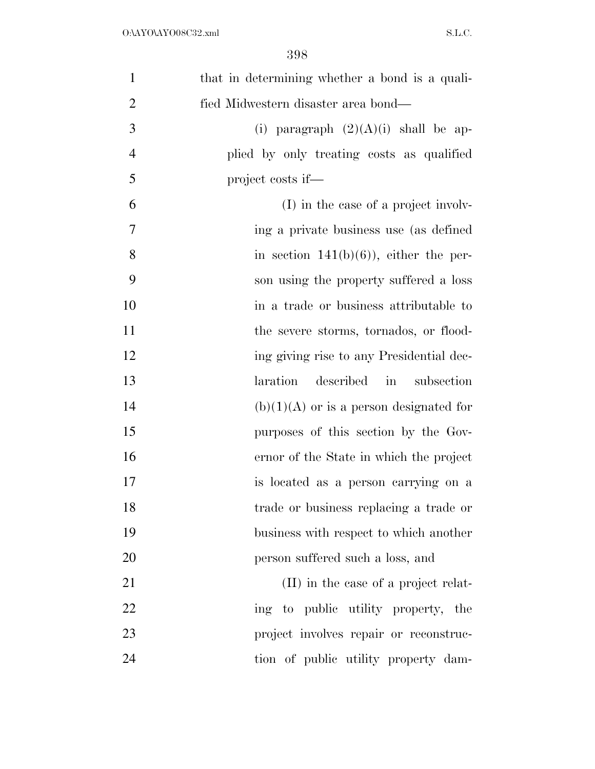| 1              | that in determining whether a bond is a quali- |
|----------------|------------------------------------------------|
| $\overline{2}$ | fied Midwestern disaster area bond—            |
| 3              | (i) paragraph $(2)(A)(i)$ shall be ap-         |
| $\overline{4}$ | plied by only treating costs as qualified      |
| 5              | project costs if—                              |
| 6              | (I) in the case of a project involv-           |
| 7              | ing a private business use (as defined         |
| 8              | in section $141(b)(6)$ , either the per-       |
| 9              | son using the property suffered a loss         |
| 10             | in a trade or business attributable to         |
| 11             | the severe storms, tornados, or flood-         |
| 12             | ing giving rise to any Presidential dec-       |
| 13             | laration<br>described<br>subsection<br>in      |
| 14             | $(b)(1)(A)$ or is a person designated for      |
| 15             | purposes of this section by the Gov-           |
| 16             | ernor of the State in which the project        |
| 17             | is located as a person carrying on a           |
| 18             | trade or business replacing a trade or         |
| 19             | business with respect to which another         |
| 20             | person suffered such a loss, and               |
| 21             | (II) in the case of a project relat-           |
| 22             | ing to public utility property, the            |
| 23             | project involves repair or reconstruc-         |
| 24             | tion of public utility property dam-           |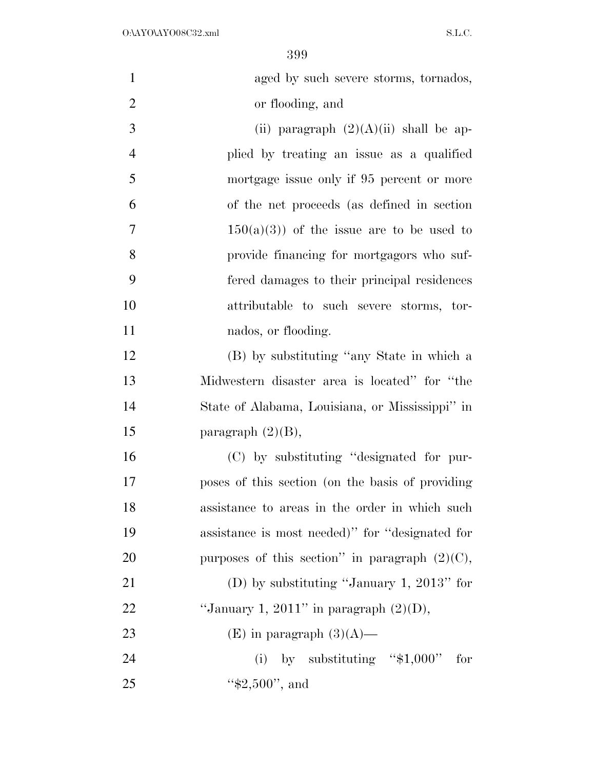| $\mathbf{1}$   | aged by such severe storms, tornados,             |
|----------------|---------------------------------------------------|
| $\overline{2}$ | or flooding, and                                  |
| 3              | (ii) paragraph $(2)(A)(ii)$ shall be ap-          |
| $\overline{4}$ | plied by treating an issue as a qualified         |
| 5              | mortgage issue only if 95 percent or more         |
| 6              | of the net proceeds (as defined in section        |
| 7              | $150(a)(3)$ of the issue are to be used to        |
| 8              | provide financing for mortgagors who suf-         |
| 9              | fered damages to their principal residences       |
| 10             | attributable to such severe storms, tor-          |
| 11             | nados, or flooding.                               |
| 12             | (B) by substituting "any State in which a         |
| 13             | Midwestern disaster area is located" for "the     |
| 14             | State of Alabama, Louisiana, or Mississippi" in   |
| 15             | paragraph $(2)(B)$ ,                              |
| 16             | (C) by substituting "designated for pur-          |
| 17             | poses of this section (on the basis of providing  |
| 18             | assistance to areas in the order in which such    |
| 19             | assistance is most needed)" for "designated for   |
| 20             | purposes of this section" in paragraph $(2)(C)$ , |
| 21             | (D) by substituting "January 1, 2013" for         |
| 22             | "January 1, 2011" in paragraph $(2)(D)$ ,         |
| 23             | (E) in paragraph $(3)(A)$ —                       |
| 24             | (i) by substituting " $$1,000"$ for               |
| 25             | " $$2,500"$ , and                                 |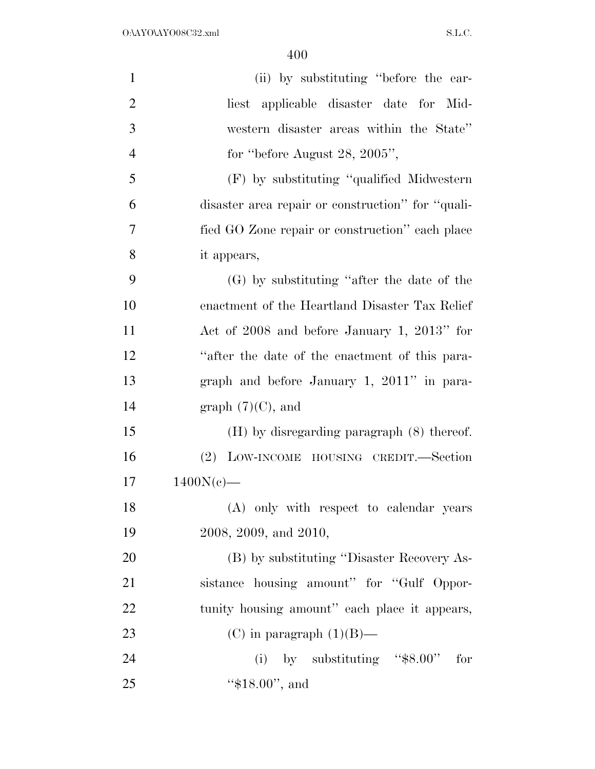| $\mathbf{1}$   | (ii) by substituting "before the ear-             |
|----------------|---------------------------------------------------|
| $\overline{2}$ | liest applicable disaster date for Mid-           |
| 3              | western disaster areas within the State"          |
| $\overline{4}$ | for "before August 28, $2005$ ",                  |
| 5              | (F) by substituting "qualified Midwestern         |
| 6              | disaster area repair or construction" for "quali- |
| 7              | fied GO Zone repair or construction" each place   |
| 8              | it appears,                                       |
| 9              | $(G)$ by substituting "after the date of the      |
| 10             | enactment of the Heartland Disaster Tax Relief    |
| 11             | Act of 2008 and before January 1, 2013" for       |
| 12             | "after the date of the enactment of this para-    |
| 13             | graph and before January 1, 2011" in para-        |
| 14             | graph $(7)(C)$ , and                              |
| 15             | $(H)$ by disregarding paragraph $(8)$ thereof.    |
| 16             | (2) LOW-INCOME HOUSING CREDIT.—Section            |
| 17             | $1400N(c)$ —                                      |
| 18             | (A) only with respect to calendar years           |
| 19             | 2008, 2009, and 2010,                             |
| 20             | (B) by substituting "Disaster Recovery As-        |
| 21             | sistance housing amount" for "Gulf Oppor-         |
| 22             | tunity housing amount" each place it appears,     |
| 23             | (C) in paragraph $(1)(B)$ —                       |
| 24             | (i) by substituting " $\$8.00"$ for               |
| 25             | " $$18.00"$ , and                                 |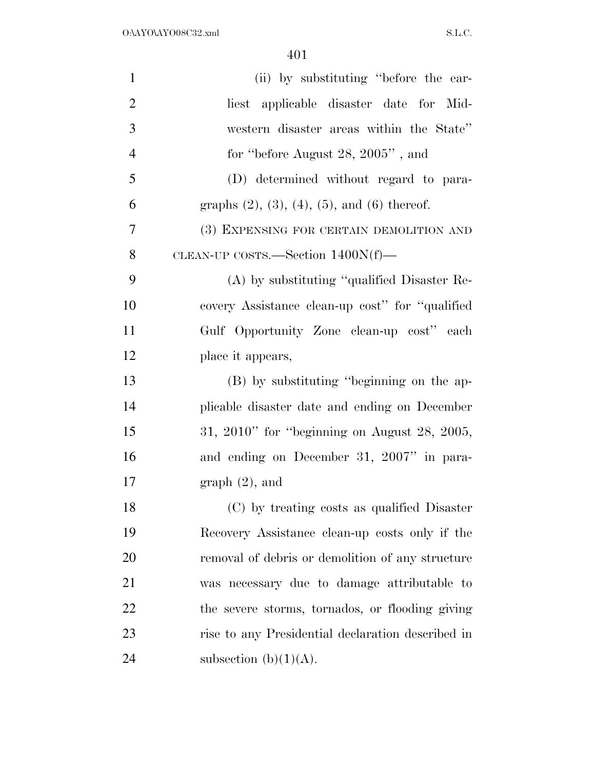| $\mathbf{1}$   | (ii) by substituting "before the ear-                     |
|----------------|-----------------------------------------------------------|
| $\overline{2}$ | liest applicable disaster date for Mid-                   |
| 3              | western disaster areas within the State"                  |
| $\overline{4}$ | for "before August 28, 2005", and                         |
| 5              | (D) determined without regard to para-                    |
| 6              | graphs $(2)$ , $(3)$ , $(4)$ , $(5)$ , and $(6)$ thereof. |
| 7              | (3) EXPENSING FOR CERTAIN DEMOLITION AND                  |
| 8              | CLEAN-UP COSTS.—Section $1400N(f)$ —                      |
| 9              | $(A)$ by substituting "qualified Disaster Re-             |
| 10             | covery Assistance clean-up cost" for "qualified"          |
| 11             | Gulf Opportunity Zone clean-up cost" each                 |
| 12             | place it appears,                                         |
| 13             | (B) by substituting "beginning on the ap-                 |
| 14             | plicable disaster date and ending on December             |
| 15             | $31, 2010$ " for "beginning on August 28, 2005,           |
| 16             | and ending on December 31, 2007" in para-                 |
| 17             | $graph(2)$ , and                                          |
| 18             | (C) by treating costs as qualified Disaster               |
| 19             | Recovery Assistance clean-up costs only if the            |
| 20             | removal of debris or demolition of any structure          |
| 21             | was necessary due to damage attributable to               |
| 22             | the severe storms, tornados, or flooding giving           |
| 23             | rise to any Presidential declaration described in         |
| 24             | subsection (b) $(1)(A)$ .                                 |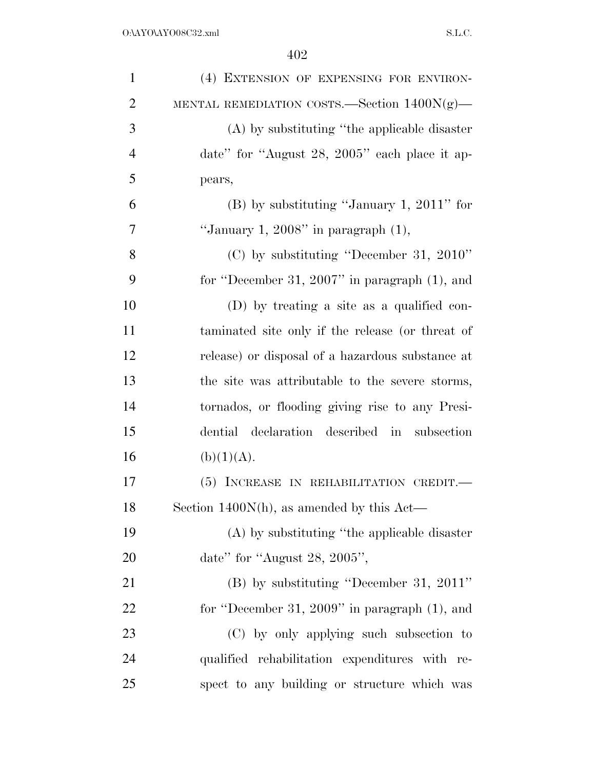| $\mathbf{1}$   | (4) EXTENSION OF EXPENSING FOR ENVIRON-          |
|----------------|--------------------------------------------------|
| $\overline{2}$ | MENTAL REMEDIATION COSTS.—Section $1400N(g)$ —   |
| 3              | (A) by substituting "the applicable disaster     |
| $\overline{4}$ | date" for "August 28, 2005" each place it ap-    |
| 5              | pears,                                           |
| 6              | $(B)$ by substituting "January 1, 2011" for      |
| 7              | "January 1, 2008" in paragraph $(1)$ ,           |
| 8              | $(C)$ by substituting "December 31, 2010"        |
| 9              | for "December 31, 2007" in paragraph $(1)$ , and |
| 10             | (D) by treating a site as a qualified con-       |
| 11             | taminated site only if the release (or threat of |
| 12             | release) or disposal of a hazardous substance at |
| 13             | the site was attributable to the severe storms,  |
| 14             | tornados, or flooding giving rise to any Presi-  |
| 15             | dential declaration described in subsection      |
| 16             | (b)(1)(A).                                       |
| 17             | (5) INCREASE IN REHABILITATION CREDIT.           |
| 18             | Section 1400 $N(h)$ , as amended by this Act—    |
| 19             | (A) by substituting "the applicable disaster     |
| 20             | date" for "August 28, 2005",                     |
| 21             | $(B)$ by substituting "December 31, 2011"        |
| 22             | for "December 31, 2009" in paragraph $(1)$ , and |
| 23             | (C) by only applying such subsection to          |
| 24             | qualified rehabilitation expenditures with re-   |
| 25             | spect to any building or structure which was     |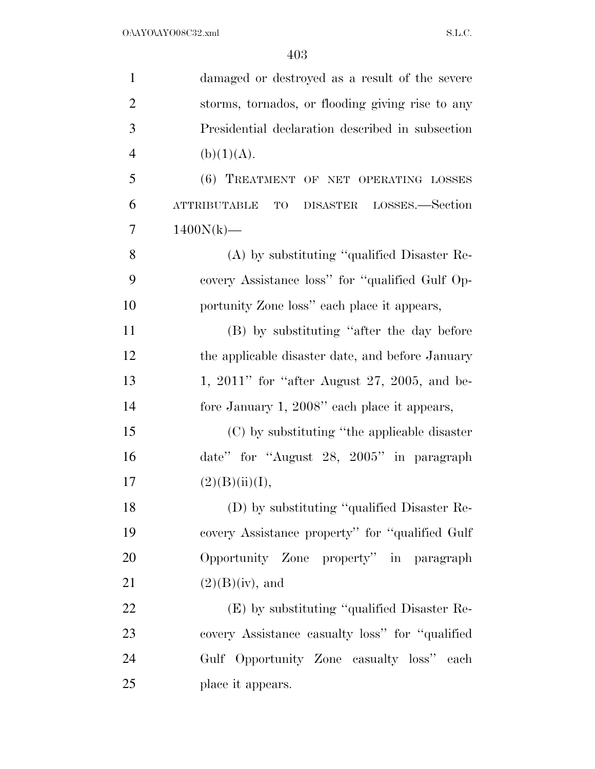| $\mathbf{1}$   | damaged or destroyed as a result of the severe        |
|----------------|-------------------------------------------------------|
| $\overline{2}$ | storms, tornados, or flooding giving rise to any      |
| 3              | Presidential declaration described in subsection      |
| $\overline{4}$ | (b)(1)(A).                                            |
| 5              | (6) TREATMENT OF NET OPERATING LOSSES                 |
| 6              | DISASTER LOSSES.—Section<br><b>ATTRIBUTABLE</b><br>TO |
| 7              | $1400N(k)$ —                                          |
| 8              | (A) by substituting "qualified Disaster Re-           |
| 9              | covery Assistance loss" for "qualified Gulf Op-       |
| 10             | portunity Zone loss" each place it appears,           |
| 11             | (B) by substituting "after the day before             |
| 12             | the applicable disaster date, and before January      |
| 13             | 1, 2011" for "after August 27, 2005, and be-          |
| 14             | fore January 1, 2008" each place it appears,          |
| 15             | (C) by substituting "the applicable disaster          |
| 16             | date" for "August 28, 2005" in paragraph              |
| 17             | (2)(B)(ii)(I),                                        |
| 18             | (D) by substituting "qualified Disaster Re-           |
| 19             | covery Assistance property" for "qualified Gulf"      |
| 20             | Opportunity Zone property" in paragraph               |
| 21             | $(2)(B)(iv)$ , and                                    |
| 22             | (E) by substituting "qualified Disaster Re-           |
| 23             | covery Assistance casualty loss" for "qualified"      |
| 24             | Gulf Opportunity Zone casualty loss" each             |
| 25             | place it appears.                                     |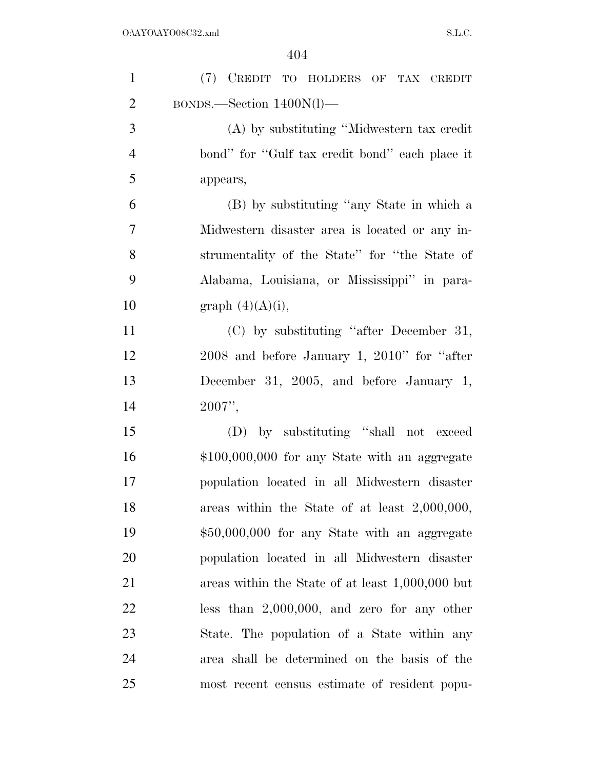| $\mathbf{1}$   | (7) CREDIT TO HOLDERS OF TAX CREDIT              |
|----------------|--------------------------------------------------|
| $\overline{2}$ | BONDS.—Section 1400N(l)—                         |
| 3              | (A) by substituting "Midwestern tax credit"      |
| $\overline{4}$ | bond" for "Gulf tax credit bond" each place it   |
| 5              | appears,                                         |
| 6              | (B) by substituting "any State in which a        |
| 7              | Midwestern disaster area is located or any in-   |
| 8              | strumentality of the State" for "the State of    |
| 9              | Alabama, Louisiana, or Mississippi" in para-     |
| 10             | graph $(4)(A)(i)$ ,                              |
| 11             | (C) by substituting "after December 31,          |
| 12             | $2008$ and before January 1, $2010$ " for "after |
| 13             | December 31, 2005, and before January 1,         |
| 14             | 2007",                                           |
| 15             | (D) by substituting "shall not exceed            |
| 16             | $$100,000,000$ for any State with an aggregate   |
| 17             | population located in all Midwestern disaster    |
| 18             | areas within the State of at least 2,000,000,    |
| 19             | \$50,000,000 for any State with an aggregate     |
| 20             | population located in all Midwestern disaster    |
| 21             | areas within the State of at least 1,000,000 but |
| 22             | less than $2,000,000$ , and zero for any other   |
| 23             | State. The population of a State within any      |
| 24             | area shall be determined on the basis of the     |
| 25             | most recent census estimate of resident popu-    |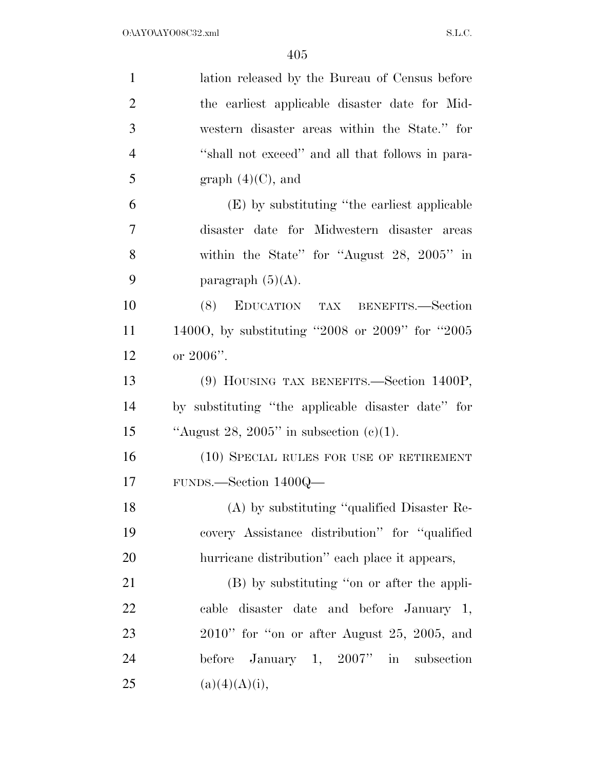| $\mathbf{1}$   | lation released by the Bureau of Census before     |
|----------------|----------------------------------------------------|
| $\overline{2}$ | the earliest applicable disaster date for Mid-     |
| 3              | western disaster areas within the State." for      |
| $\overline{4}$ | "shall not exceed" and all that follows in para-   |
| 5              | graph $(4)(C)$ , and                               |
| 6              | (E) by substituting "the earliest applicable       |
| $\overline{7}$ | disaster date for Midwestern disaster areas        |
| 8              | within the State" for "August 28, $2005"$ in       |
| 9              | paragraph $(5)(A)$ .                               |
| 10             | EDUCATION TAX BENEFITS.—Section<br>(8)             |
| 11             | 14000, by substituting "2008 or 2009" for "2005    |
| 12             | or $2006$ ".                                       |
| 13             | (9) HOUSING TAX BENEFITS.—Section 1400P,           |
| 14             | by substituting "the applicable disaster date" for |
| 15             | "August 28, 2005" in subsection $(c)(1)$ .         |
| 16             | (10) SPECIAL RULES FOR USE OF RETIREMENT           |
| 17             | FUNDS.—Section 1400Q—                              |
| 18             | (A) by substituting "qualified Disaster Re-        |
| 19             | covery Assistance distribution" for "qualified     |
| 20             | hurricane distribution" each place it appears,     |
| 21             | (B) by substituting "on or after the appli-        |
| 22             | cable disaster date and before January 1,          |
| 23             | $2010$ " for "on or after August 25, 2005, and     |
| 24             | before January 1, $2007"$ in subsection            |
| 25             | (a)(4)(A)(i),                                      |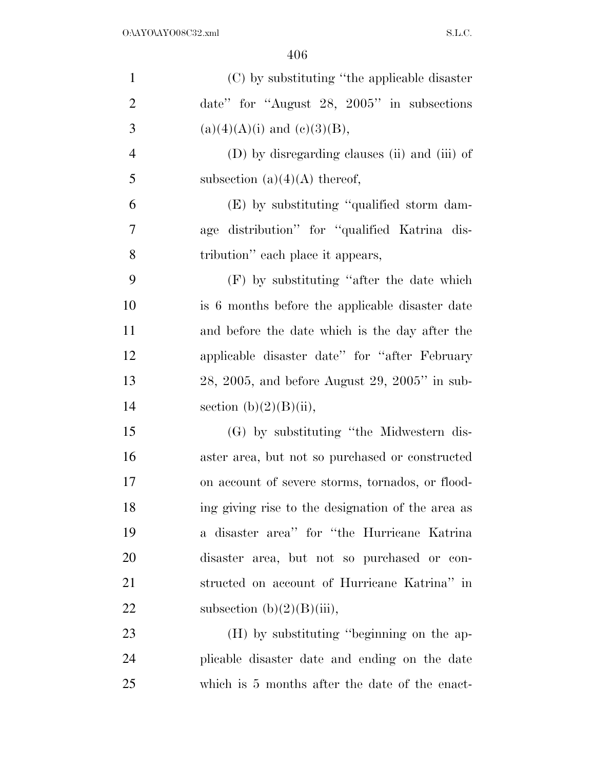| $\mathbf{1}$   | (C) by substituting "the applicable disaster       |
|----------------|----------------------------------------------------|
| $\overline{2}$ | date" for "August $28$ , $2005$ " in subsections   |
| 3              | $(a)(4)(A)(i)$ and $(c)(3)(B)$ ,                   |
| $\overline{4}$ | (D) by disregarding clauses (ii) and (iii) of      |
| 5              | subsection (a) $(4)(A)$ thereof,                   |
| 6              | (E) by substituting "qualified storm dam-          |
| 7              | age distribution" for "qualified Katrina dis-      |
| 8              | tribution" each place it appears,                  |
| 9              | $(F)$ by substituting "after the date which        |
| 10             | is 6 months before the applicable disaster date    |
| 11             | and before the date which is the day after the     |
| 12             | applicable disaster date" for "after February"     |
| 13             | $28, 2005,$ and before August $29, 2005$ " in sub- |
| 14             | section $(b)(2)(B)(ii)$ ,                          |
| 15             | (G) by substituting "the Midwestern dis-           |
| 16             | aster area, but not so purchased or constructed    |
| 17             | on account of severe storms, tornados, or flood-   |
| 18             | ing giving rise to the designation of the area as  |
| 19             | a disaster area" for "the Hurricane Katrina"       |
| 20             | disaster area, but not so purchased or con-        |
| 21             | structed on account of Hurricane Katrina" in       |
| 22             | subsection $(b)(2)(B)(iii)$ ,                      |
| 23             | (H) by substituting "beginning on the ap-          |
| 24             | plicable disaster date and ending on the date      |
| 25             | which is 5 months after the date of the enact-     |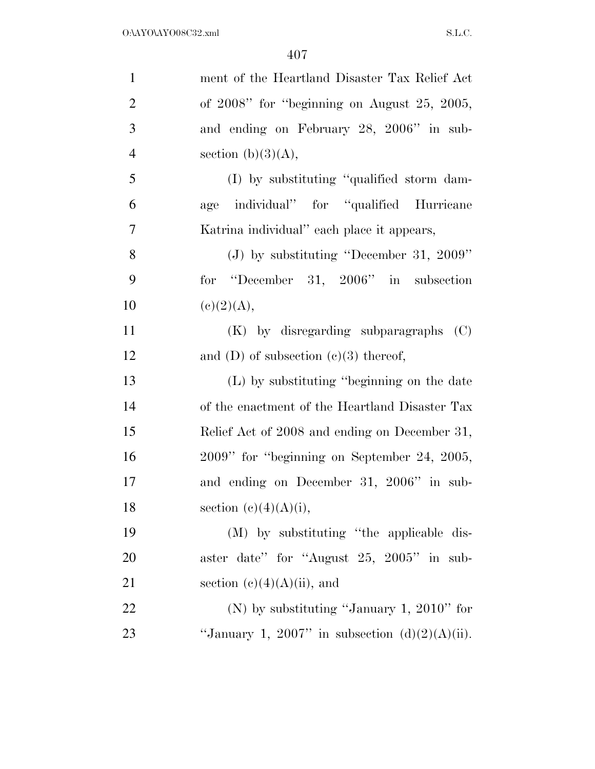| $\mathbf{1}$   | ment of the Heartland Disaster Tax Relief Act     |
|----------------|---------------------------------------------------|
| $\overline{2}$ | of $2008$ " for "beginning on August $25, 2005$ , |
| 3              | and ending on February 28, 2006" in sub-          |
| $\overline{4}$ | section $(b)(3)(A)$ ,                             |
| 5              | (I) by substituting "qualified storm dam-         |
| 6              | individual" for "qualified Hurricane<br>age       |
| 7              | Katrina individual" each place it appears,        |
| 8              | (J) by substituting "December 31, 2009"           |
| 9              | for "December 31, 2006" in subsection             |
| 10             | (e)(2)(A),                                        |
| 11             | $(K)$ by disregarding subparagraphs $(C)$         |
| 12             | and (D) of subsection $(e)(3)$ thereof,           |
| 13             | (L) by substituting "beginning on the date        |
| 14             | of the enactment of the Heartland Disaster Tax    |
| 15             | Relief Act of 2008 and ending on December 31,     |
| 16             | 2009" for "beginning on September 24, 2005,       |
| 17             | and ending on December 31, 2006" in sub-          |
| 18             | section $(c)(4)(A)(i)$ ,                          |
| 19             | (M) by substituting "the applicable dis-          |
| 20             | aster date" for "August 25, 2005" in sub-         |
| 21             | section $(e)(4)(A)(ii)$ , and                     |
| 22             | (N) by substituting "January 1, 2010" for         |
| 23             | "January 1, 2007" in subsection $(d)(2)(A)(ii)$ . |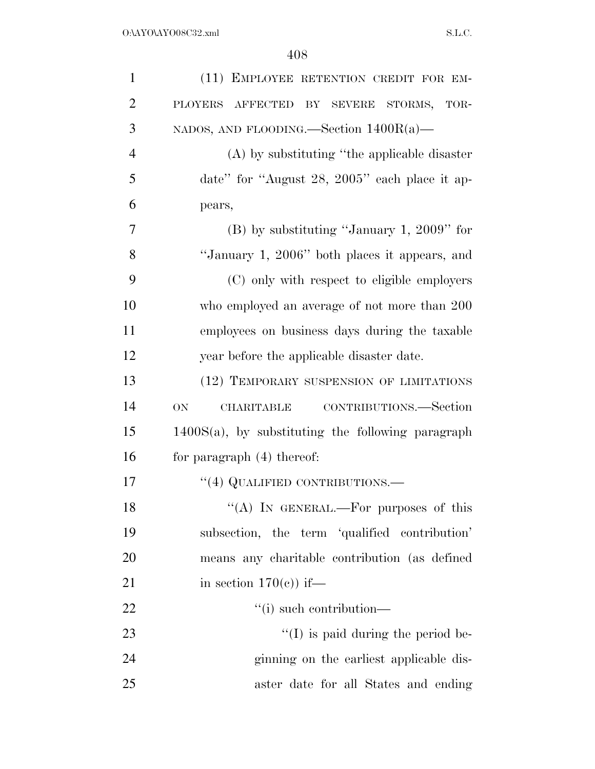| $\mathbf{1}$   | (11) EMPLOYEE RETENTION CREDIT FOR EM-               |
|----------------|------------------------------------------------------|
| $\overline{2}$ | PLOYERS AFFECTED BY SEVERE STORMS, TOR-              |
| 3              | NADOS, AND FLOODING.—Section $1400R(a)$ —            |
| $\overline{4}$ | $(A)$ by substituting "the applicable disaster"      |
| 5              | date" for "August 28, 2005" each place it ap-        |
| 6              | pears,                                               |
| 7              | $(B)$ by substituting "January 1, 2009" for          |
| 8              | "January 1, 2006" both places it appears, and        |
| 9              | (C) only with respect to eligible employers          |
| 10             | who employed an average of not more than 200         |
| 11             | employees on business days during the taxable        |
| 12             | year before the applicable disaster date.            |
| 13             | (12) TEMPORARY SUSPENSION OF LIMITATIONS             |
| 14             | CONTRIBUTIONS.—Section<br>ON<br>CHARITABLE           |
| 15             | $1400S(a)$ , by substituting the following paragraph |
| 16             | for paragraph $(4)$ thereof:                         |
| 17             | $``(4)$ QUALIFIED CONTRIBUTIONS.—                    |
| 18             | "(A) IN GENERAL.—For purposes of this                |
| 19             | subsection, the term 'qualified contribution'        |
| 20             | means any charitable contribution (as defined        |
| 21             | in section $170(e)$ if—                              |
| 22             | $``(i)$ such contribution—                           |
| 23             | $\lq\lq$ (I) is paid during the period be-           |
| 24             | ginning on the earliest applicable dis-              |
| 25             | aster date for all States and ending                 |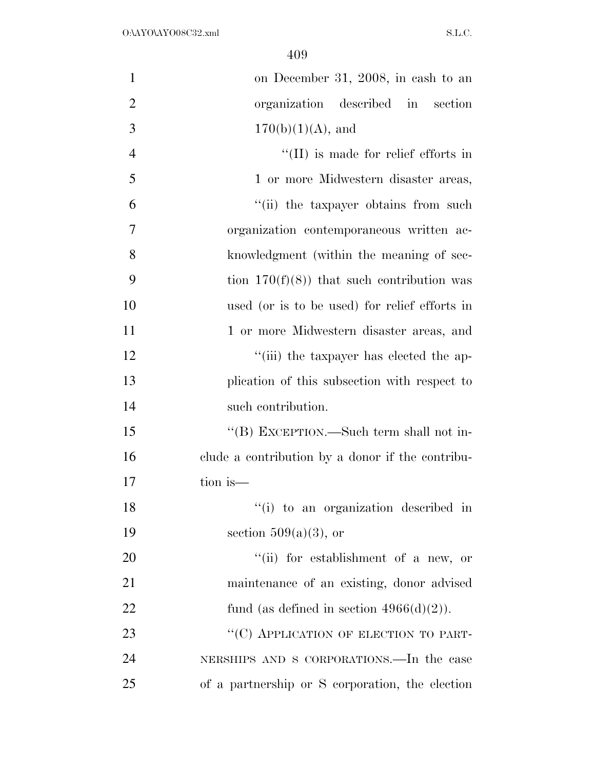| $\mathbf{1}$   | on December 31, 2008, in cash to an              |
|----------------|--------------------------------------------------|
| $\overline{2}$ | organization described in<br>section             |
| 3              | $170(b)(1)(A)$ , and                             |
| $\overline{4}$ | $\lq\lq$ (II) is made for relief efforts in      |
| 5              | 1 or more Midwestern disaster areas,             |
| 6              | "(ii) the taxpayer obtains from such             |
| 7              | organization contemporaneous written ac-         |
| 8              | knowledgment (within the meaning of sec-         |
| 9              | tion $170(f)(8)$ that such contribution was      |
| 10             | used (or is to be used) for relief efforts in    |
| 11             | 1 or more Midwestern disaster areas, and         |
| 12             | "(iii) the taxpayer has elected the ap-          |
| 13             | plication of this subsection with respect to     |
| 14             | such contribution.                               |
| 15             | "(B) EXCEPTION.—Such term shall not in-          |
| 16             | clude a contribution by a donor if the contribu- |
| 17             | tion is—                                         |
| 18             | "(i) to an organization described in             |
| 19             | section $509(a)(3)$ , or                         |
| 20             | "(ii) for establishment of a new, or             |
| 21             | maintenance of an existing, donor advised        |
| 22             | fund (as defined in section $4966(d)(2)$ ).      |
| 23             | "(C) APPLICATION OF ELECTION TO PART-            |
| 24             | NERSHIPS AND S CORPORATIONS.—In the case         |
| 25             | of a partnership or S corporation, the election  |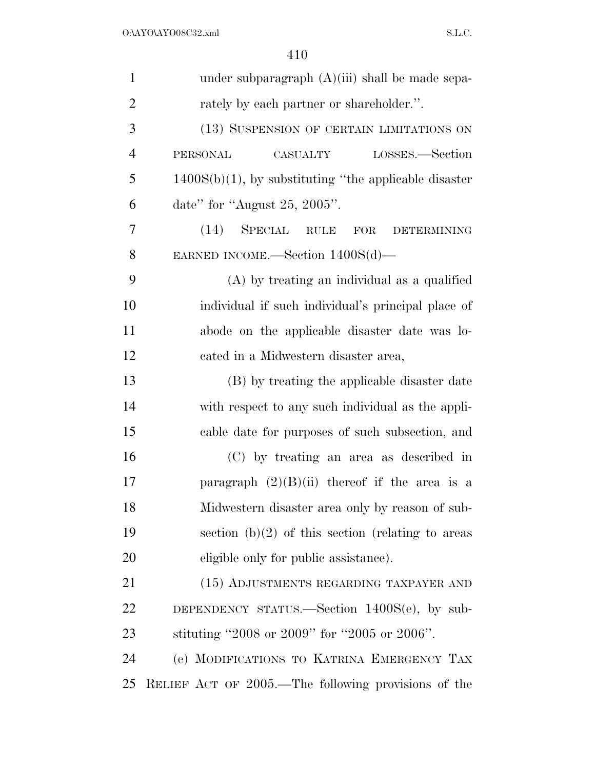| $\mathbf{1}$   | under subparagraph $(A)(iii)$ shall be made sepa-          |
|----------------|------------------------------------------------------------|
| $\overline{2}$ | rately by each partner or shareholder.".                   |
| 3              | (13) SUSPENSION OF CERTAIN LIMITATIONS ON                  |
| $\overline{4}$ | LOSSES.—Section<br><b>PERSONAL</b><br>CASUALTY             |
| 5              | $1400S(b)(1)$ , by substituting "the applicable disaster"  |
| 6              | date" for "August 25, 2005".                               |
| 7              | $(14)$ SPECIAL<br><b>RULE</b><br>FOR<br><b>DETERMINING</b> |
| 8              | EARNED INCOME.—Section $1400S(d)$ —                        |
| 9              | (A) by treating an individual as a qualified               |
| 10             | individual if such individual's principal place of         |
| 11             | abode on the applicable disaster date was lo-              |
| 12             | cated in a Midwestern disaster area,                       |
| 13             | (B) by treating the applicable disaster date               |
| 14             | with respect to any such individual as the appli-          |
| 15             | cable date for purposes of such subsection, and            |
| 16             | (C) by treating an area as described in                    |
| 17             | paragraph $(2)(B)(ii)$ thereof if the area is a            |
| 18             | Midwestern disaster area only by reason of sub-            |
| 19             | section $(b)(2)$ of this section (relating to areas        |
| 20             | eligible only for public assistance).                      |
| 21             | (15) ADJUSTMENTS REGARDING TAXPAYER AND                    |
| 22             | DEPENDENCY STATUS.—Section $1400S(e)$ , by sub-            |
| 23             | stituting "2008 or 2009" for "2005 or 2006".               |
| 24             | (e) MODIFICATIONS TO KATRINA EMERGENCY TAX                 |
| 25             | RELIEF ACT OF 2005.—The following provisions of the        |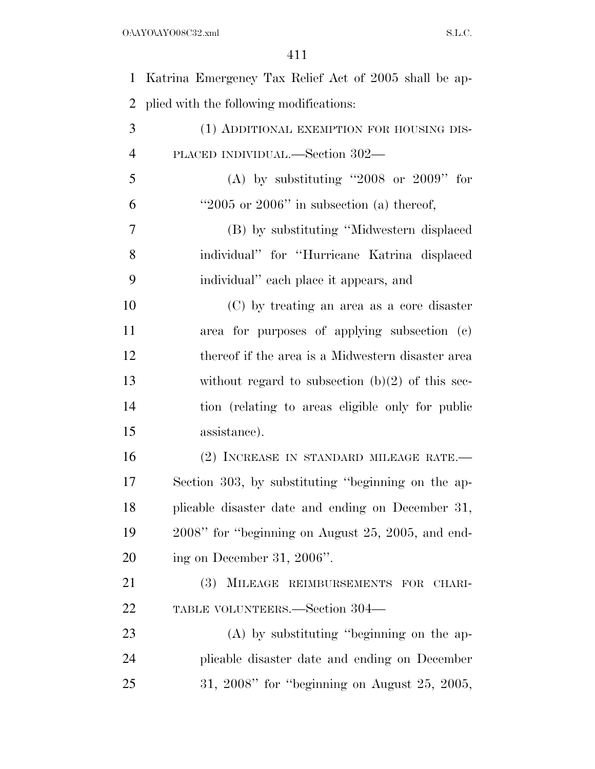| $\mathbf{1}$   | Katrina Emergency Tax Relief Act of 2005 shall be ap- |
|----------------|-------------------------------------------------------|
| $\overline{2}$ | plied with the following modifications:               |
| 3              | (1) ADDITIONAL EXEMPTION FOR HOUSING DIS-             |
| $\overline{4}$ | PLACED INDIVIDUAL.—Section 302—                       |
| 5              | (A) by substituting "2008 or 2009" for                |
| 6              | " $2005$ or $2006$ " in subsection (a) thereof,       |
| 7              | (B) by substituting "Midwestern displaced             |
| 8              | individual" for "Hurricane Katrina displaced          |
| 9              | individual" each place it appears, and                |
| 10             | (C) by treating an area as a core disaster            |
| 11             | area for purposes of applying subsection (c)          |
| 12             | thereof if the area is a Midwestern disaster area     |
| 13             | without regard to subsection $(b)(2)$ of this sec-    |
| 14             | tion (relating to areas eligible only for public      |
| 15             | assistance).                                          |
| 16             | (2) INCREASE IN STANDARD MILEAGE RATE.—               |
| 17             | Section 303, by substituting "beginning on the ap-    |
| 18             | plicable disaster date and ending on December 31,     |
| 19             | 2008" for "beginning on August 25, 2005, and end-     |
| 20             | ing on December 31, 2006".                            |
| 21             | (3) MILEAGE REIMBURSEMENTS FOR CHARI-                 |
| 22             | TABLE VOLUNTEERS.—Section 304—                        |
| 23             | $(A)$ by substituting "beginning on the ap-           |
| 24             | plicable disaster date and ending on December         |
| 25             | $31, 2008"$ for "beginning on August 25, 2005,        |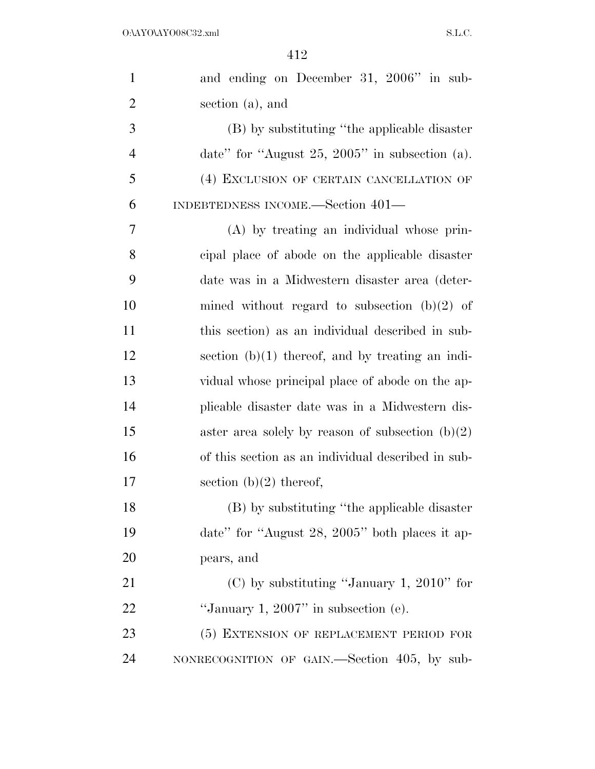| $\mathbf{1}$   | and ending on December 31, 2006" in sub-           |
|----------------|----------------------------------------------------|
| $\overline{2}$ | section (a), and                                   |
| 3              | (B) by substituting "the applicable disaster       |
| $\overline{4}$ | date" for "August 25, 2005" in subsection $(a)$ .  |
| 5              | (4) EXCLUSION OF CERTAIN CANCELLATION OF           |
| 6              | INDEBTEDNESS INCOME.—Section 401—                  |
| 7              | (A) by treating an individual whose prin-          |
| 8              | cipal place of abode on the applicable disaster    |
| 9              | date was in a Midwestern disaster area (deter-     |
| 10             | mined without regard to subsection $(b)(2)$ of     |
| 11             | this section) as an individual described in sub-   |
| 12             | section $(b)(1)$ thereof, and by treating an indi- |
| 13             | vidual whose principal place of abode on the ap-   |
| 14             | plicable disaster date was in a Midwestern dis-    |
| 15             | aster area solely by reason of subsection $(b)(2)$ |
| 16             | of this section as an individual described in sub- |
| 17             | section $(b)(2)$ thereof,                          |
| 18             | (B) by substituting "the applicable disaster       |
| 19             | date" for "August 28, 2005" both places it ap-     |
| 20             | pears, and                                         |
| 21             | $(C)$ by substituting "January 1, 2010" for        |
| 22             | "January 1, 2007" in subsection $(e)$ .            |
| 23             | (5) EXTENSION OF REPLACEMENT PERIOD FOR            |
| 24             | NONRECOGNITION OF GAIN.—Section 405, by sub-       |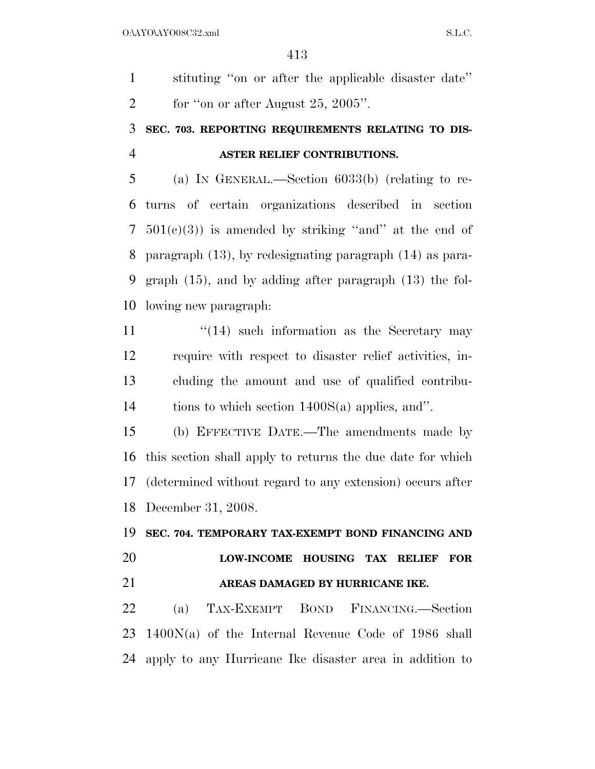stituting ''on or after the applicable disaster date'' 2 for "on or after August  $25, 2005$ ".

### **SEC. 703. REPORTING REQUIREMENTS RELATING TO DIS-ASTER RELIEF CONTRIBUTIONS.**

 (a) IN GENERAL.—Section 6033(b) (relating to re- turns of certain organizations described in section  $7\quad 501(c)(3)$  is amended by striking "and" at the end of paragraph (13), by redesignating paragraph (14) as para- graph (15), and by adding after paragraph (13) the fol-lowing new paragraph:

 $\frac{1}{14}$  such information as the Secretary may require with respect to disaster relief activities, in- cluding the amount and use of qualified contribu-tions to which section 1400S(a) applies, and''.

 (b) EFFECTIVE DATE.—The amendments made by this section shall apply to returns the due date for which (determined without regard to any extension) occurs after December 31, 2008.

#### **SEC. 704. TEMPORARY TAX-EXEMPT BOND FINANCING AND**

### **LOW-INCOME HOUSING TAX RELIEF FOR AREAS DAMAGED BY HURRICANE IKE.**

 (a) TAX-EXEMPT BOND FINANCING.—Section 1400N(a) of the Internal Revenue Code of 1986 shall apply to any Hurricane Ike disaster area in addition to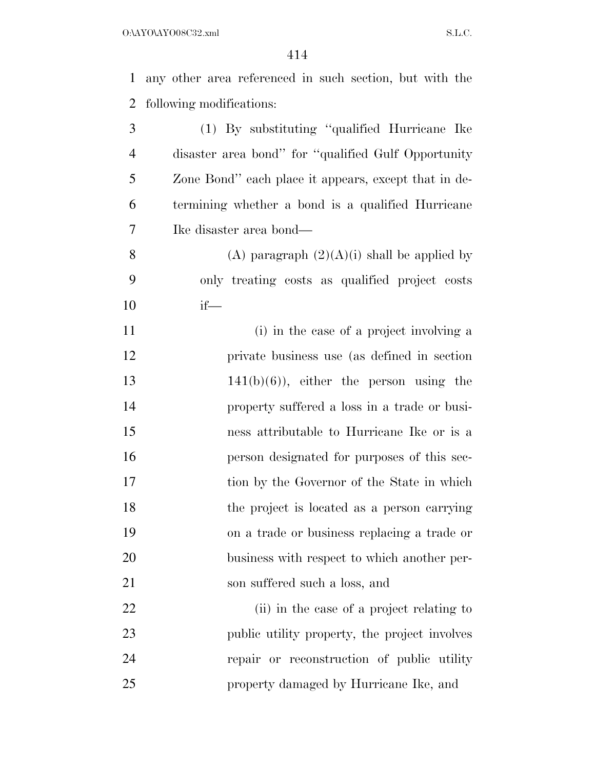any other area referenced in such section, but with the following modifications:

 (1) By substituting ''qualified Hurricane Ike disaster area bond'' for ''qualified Gulf Opportunity Zone Bond'' each place it appears, except that in de- termining whether a bond is a qualified Hurricane Ike disaster area bond— 8 (A) paragraph  $(2)(A)(i)$  shall be applied by

 only treating costs as qualified project costs if—

11 (i) in the case of a project involving a private business use (as defined in section  $141(b)(6)$ , either the person using the property suffered a loss in a trade or busi- ness attributable to Hurricane Ike or is a person designated for purposes of this sec-17 tion by the Governor of the State in which the project is located as a person carrying on a trade or business replacing a trade or business with respect to which another per-son suffered such a loss, and

22 (ii) in the case of a project relating to 23 public utility property, the project involves repair or reconstruction of public utility property damaged by Hurricane Ike, and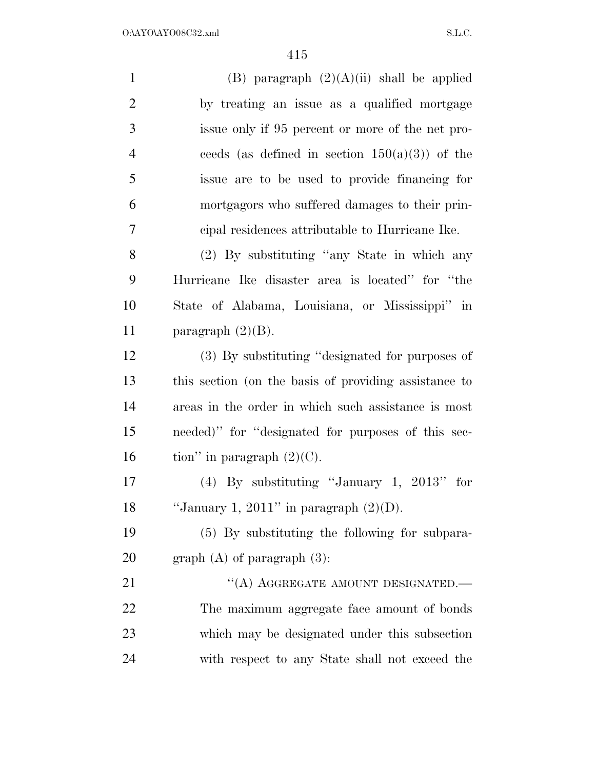| $\mathbf{1}$   | (B) paragraph $(2)(A)(ii)$ shall be applied           |
|----------------|-------------------------------------------------------|
| $\overline{2}$ | by treating an issue as a qualified mortgage          |
| 3              | issue only if 95 percent or more of the net pro-      |
| $\overline{4}$ | ceeds (as defined in section $150(a)(3)$ ) of the     |
| 5              | issue are to be used to provide financing for         |
| 6              | mortgagors who suffered damages to their prin-        |
| 7              | cipal residences attributable to Hurricane Ike.       |
| 8              | (2) By substituting "any State in which any           |
| 9              | Hurricane Ike disaster area is located" for "the      |
| 10             | State of Alabama, Louisiana, or Mississippi" in       |
| 11             | paragraph $(2)(B)$ .                                  |
| 12             | (3) By substituting "designated for purposes of       |
| 13             | this section (on the basis of providing assistance to |
| 14             | areas in the order in which such assistance is most   |
| 15             | needed)" for "designated for purposes of this sec-    |
| 16             | tion" in paragraph $(2)(C)$ .                         |
| 17             | (4) By substituting "January 1, $2013"$ for           |
| 18             | "January 1, 2011" in paragraph $(2)(D)$ .             |
| 19             | (5) By substituting the following for subpara-        |
| 20             | graph $(A)$ of paragraph $(3)$ :                      |
| 21             | "(A) AGGREGATE AMOUNT DESIGNATED.—                    |
| 22             | The maximum aggregate face amount of bonds            |
| 23             | which may be designated under this subsection         |
| 24             | with respect to any State shall not exceed the        |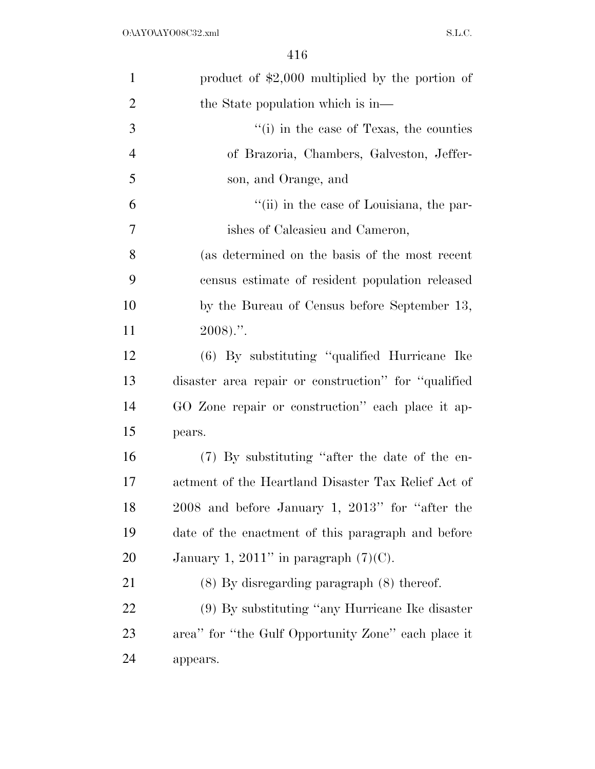| $\mathbf{1}$   | product of $$2,000$ multiplied by the portion of     |
|----------------|------------------------------------------------------|
| $\overline{2}$ | the State population which is in-                    |
| 3              | "(i) in the case of Texas, the counties              |
| $\overline{4}$ | of Brazoria, Chambers, Galveston, Jeffer-            |
| 5              | son, and Orange, and                                 |
| 6              | "(ii) in the case of Louisiana, the par-             |
| 7              | ishes of Calcasieu and Cameron,                      |
| 8              | (as determined on the basis of the most recent       |
| 9              | census estimate of resident population released      |
| 10             | by the Bureau of Census before September 13,         |
| 11             | $2008$ ).".                                          |
| 12             | (6) By substituting "qualified Hurricane Ike         |
| 13             | disaster area repair or construction" for "qualified |
| 14             | GO Zone repair or construction" each place it ap-    |
| 15             | pears.                                               |
| 16             | (7) By substituting "after the date of the en-       |
| 17             | actment of the Heartland Disaster Tax Relief Act of  |
| 18             | 2008 and before January 1, 2013" for "after the      |
| 19             | date of the enactment of this paragraph and before   |
| 20             | January 1, 2011" in paragraph $(7)(C)$ .             |
| 21             | $(8)$ By disregarding paragraph $(8)$ thereof.       |
| <u>22</u>      | $(9)$ By substituting "any Hurricane Ike disaster"   |
| 23             | area" for "the Gulf Opportunity Zone" each place it  |
| 24             | appears.                                             |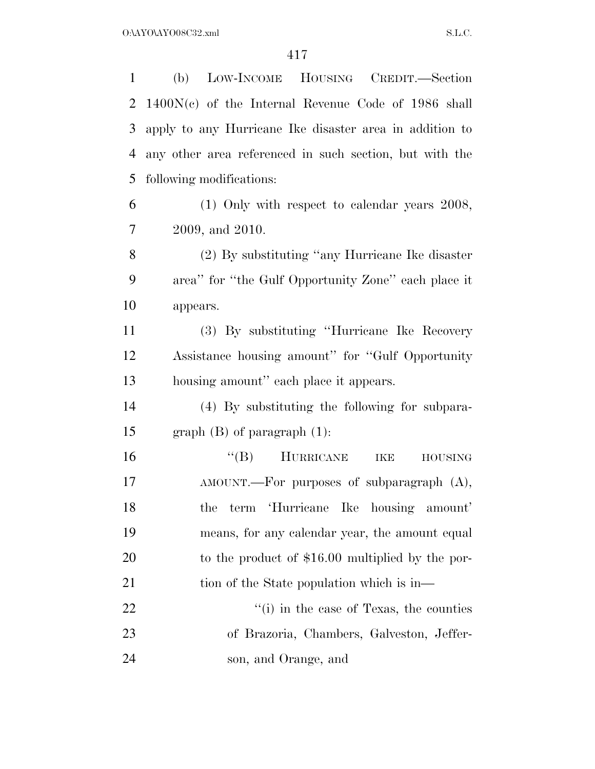| $\mathbf{1}$ | LOW-INCOME HOUSING CREDIT.-Section<br>(b)               |
|--------------|---------------------------------------------------------|
| 2            | $1400N(c)$ of the Internal Revenue Code of 1986 shall   |
| 3            | apply to any Hurricane Ike disaster area in addition to |
| 4            | any other area referenced in such section, but with the |
| 5            | following modifications:                                |
| 6            | $(1)$ Only with respect to calendar years 2008,         |
| 7            | 2009, and 2010.                                         |
| 8            | (2) By substituting "any Hurricane Ike disaster"        |
| 9            | area" for "the Gulf Opportunity Zone" each place it     |
| 10           | appears.                                                |
| 11           | (3) By substituting "Hurricane Ike Recovery"            |
| 12           | Assistance housing amount" for "Gulf Opportunity"       |
| 13           | housing amount" each place it appears.                  |
| 14           | (4) By substituting the following for subpara-          |
| 15           | graph $(B)$ of paragraph $(1)$ :                        |
| 16           | HURRICANE<br>$\mathrm{``(B)}$<br>IKE<br>${\rm HOUSING}$ |
| 17           | $AMOUNT.$ For purposes of subparagraph $(A)$ ,          |
| 18           |                                                         |
|              | term 'Hurricane Ike<br>housing amount'<br>the           |
| 19           | means, for any calendar year, the amount equal          |
| 20           | to the product of $$16.00$ multiplied by the por-       |
| 21           | tion of the State population which is in—               |
| 22           | "(i) in the case of Texas, the counties                 |
| 23           | of Brazoria, Chambers, Galveston, Jeffer-               |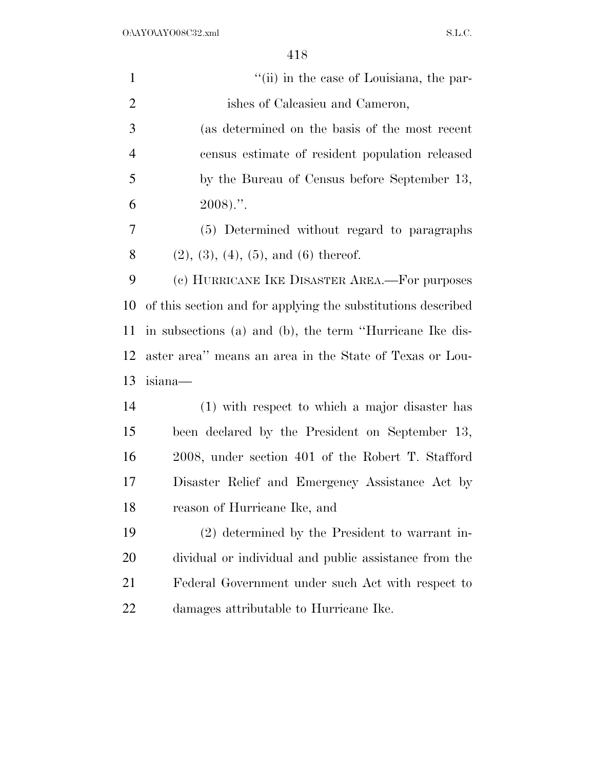$O:\Delta YO\Delta YO08C32.xml$  S.L.C.

| $\mathbf{1}$   | "(ii) in the case of Louisiana, the par-                     |
|----------------|--------------------------------------------------------------|
| $\overline{2}$ | ishes of Calcasieu and Cameron,                              |
| 3              | (as determined on the basis of the most recent               |
| $\overline{4}$ | census estimate of resident population released              |
| 5              | by the Bureau of Census before September 13,                 |
| 6              | $2008$ ).".                                                  |
| 7              | (5) Determined without regard to paragraphs                  |
| 8              | $(2), (3), (4), (5),$ and $(6)$ thereof.                     |
| 9              | (c) HURRICANE IKE DISASTER AREA.—For purposes                |
| 10             | of this section and for applying the substitutions described |
| 11             | in subsections (a) and (b), the term "Hurricane Ike dis-     |
| 12             | aster area" means an area in the State of Texas or Lou-      |
| 13             | isiana—                                                      |
| 14             | (1) with respect to which a major disaster has               |
| 15             | been declared by the President on September 13,              |
| 16             | 2008, under section 401 of the Robert T. Stafford            |
| 17             | Disaster Relief and Emergency Assistance Act by              |
| 18             | reason of Hurricane Ike, and                                 |
| 19             | (2) determined by the President to warrant in-               |
| 20             | dividual or individual and public assistance from the        |
| 21             | Federal Government under such Act with respect to            |
| 22             | damages attributable to Hurricane Ike.                       |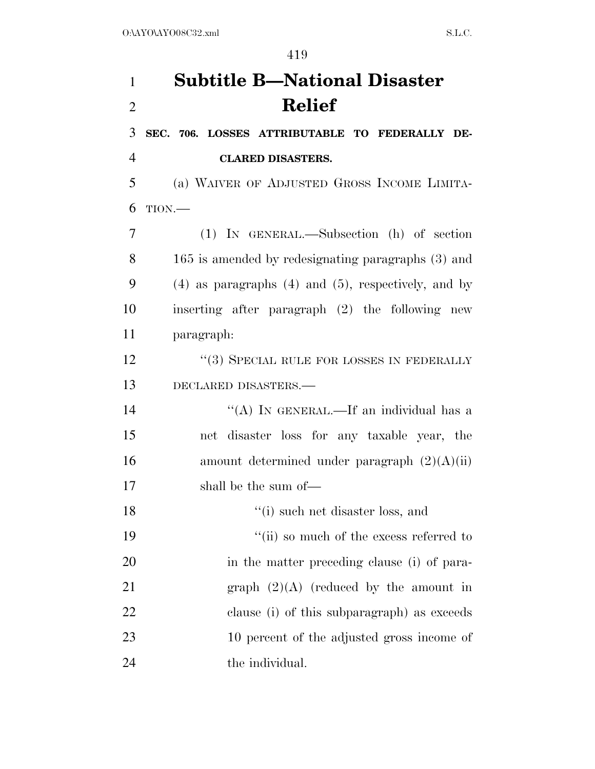# **Subtitle B—National Disaster Relief**

 **SEC. 706. LOSSES ATTRIBUTABLE TO FEDERALLY DE-CLARED DISASTERS.** 

 (a) WAIVER OF ADJUSTED GROSS INCOME LIMITA-TION.—

 (1) IN GENERAL.—Subsection (h) of section 165 is amended by redesignating paragraphs (3) and (4) as paragraphs (4) and (5), respectively, and by inserting after paragraph (2) the following new paragraph:

12 "(3) SPECIAL RULE FOR LOSSES IN FEDERALLY DECLARED DISASTERS.—

14 "(A) IN GENERAL.—If an individual has a net disaster loss for any taxable year, the 16 amount determined under paragraph  $(2)(A)(ii)$ shall be the sum of—

18 ''(i) such net disaster loss, and

 $"$ (ii) so much of the excess referred to in the matter preceding clause (i) of para-21 graph  $(2)(A)$  (reduced by the amount in clause (i) of this subparagraph) as exceeds 10 percent of the adjusted gross income of 24 the individual.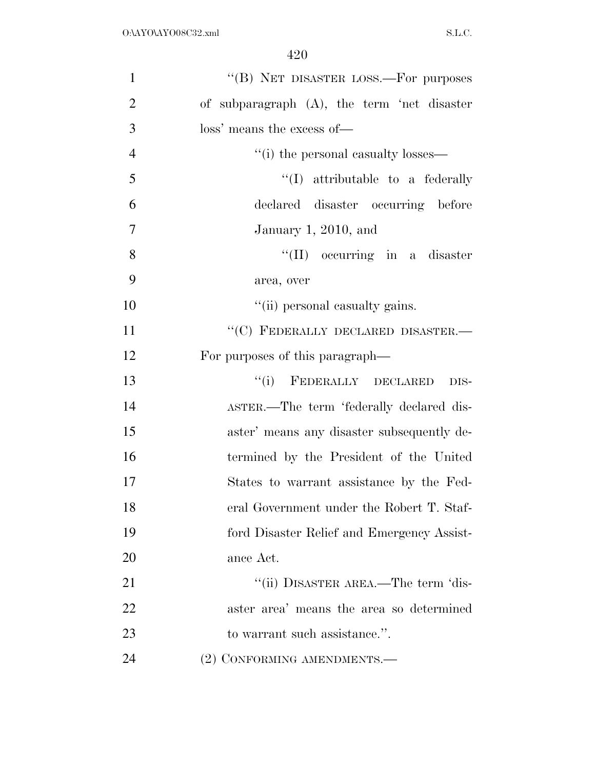| $\mathbf{1}$   | "(B) NET DISASTER LOSS.—For purposes           |
|----------------|------------------------------------------------|
| $\overline{2}$ | of subparagraph $(A)$ , the term 'net disaster |
| 3              | loss' means the excess of—                     |
| $\overline{4}$ | "(i) the personal casualty losses—             |
| 5              | $\lq\lq$ attributable to a federally           |
| 6              | declared disaster occurring before             |
| $\overline{7}$ | January 1, 2010, and                           |
| 8              | $\lq\lq$ (II) occurring in a disaster          |
| 9              | area, over                                     |
| 10             | "(ii) personal casualty gains.                 |
| 11             | "(C) FEDERALLY DECLARED DISASTER. $-$          |
| 12             | For purposes of this paragraph—                |
| 13             | "(i) FEDERALLY DECLARED<br>DIS-                |
| 14             | ASTER.—The term 'federally declared dis-       |
| 15             | aster' means any disaster subsequently de-     |
| 16             | termined by the President of the United        |
| 17             | States to warrant assistance by the Fed-       |
| 18             | eral Government under the Robert T. Staf-      |
| 19             | ford Disaster Relief and Emergency Assist-     |
| 20             | ance Act.                                      |
| 21             | "(ii) DISASTER AREA.—The term 'dis-            |
| 22             | aster area' means the area so determined       |
| 23             | to warrant such assistance.".                  |
| 24             | (2) CONFORMING AMENDMENTS.-                    |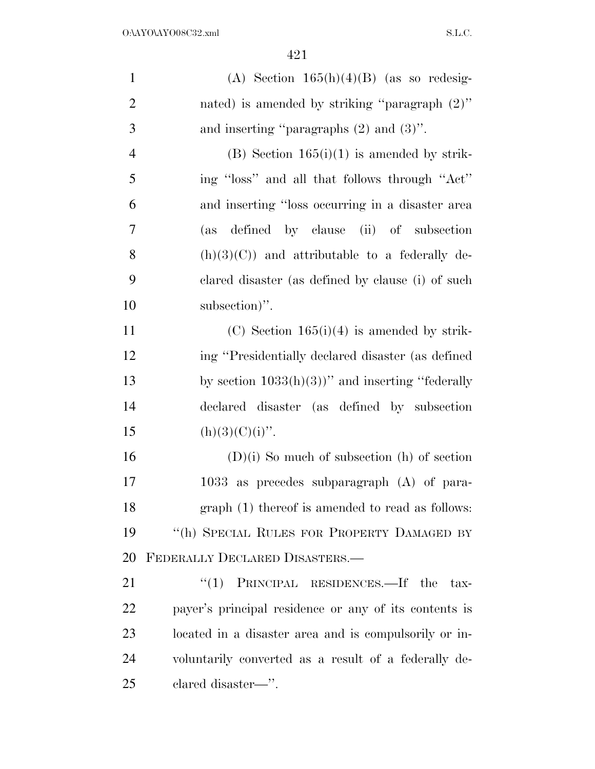| $\mathbf{1}$   | (A) Section $165(h)(4)(B)$ (as so redesig-            |
|----------------|-------------------------------------------------------|
| $\overline{2}$ | nated) is amended by striking "paragraph $(2)$ "      |
| 3              | and inserting "paragraphs $(2)$ and $(3)$ ".          |
| $\overline{4}$ | $(B)$ Section 165(i)(1) is amended by strik-          |
| 5              | ing "loss" and all that follows through "Act"         |
| 6              | and inserting "loss occurring in a disaster area      |
| $\overline{7}$ | defined by clause (ii) of subsection<br>(as           |
| 8              | $(h)(3)(C)$ and attributable to a federally de-       |
| 9              | clared disaster (as defined by clause (i) of such     |
| 10             | subsection)".                                         |
| 11             | $(C)$ Section 165(i)(4) is amended by strik-          |
| 12             | ing "Presidentially declared disaster (as defined     |
| 13             | by section $1033(h)(3)$ " and inserting "federally    |
| 14             | declared disaster (as defined by subsection           |
| 15             | $(h)(3)(C)(i)$ ".                                     |
| 16             | $(D)(i)$ So much of subsection $(h)$ of section       |
| 17             | 1033 as precedes subparagraph (A) of para-            |
| 18             | graph (1) thereof is amended to read as follows:      |
| 19             | "(h) SPECIAL RULES FOR PROPERTY DAMAGED BY            |
| 20             | FEDERALLY DECLARED DISASTERS.                         |
| 21             | "(1) PRINCIPAL RESIDENCES.—If the tax-                |
| 22             | payer's principal residence or any of its contents is |
| 23             | located in a disaster area and is compulsorily or in- |
| 24             | voluntarily converted as a result of a federally de-  |
| 25             | clared disaster—".                                    |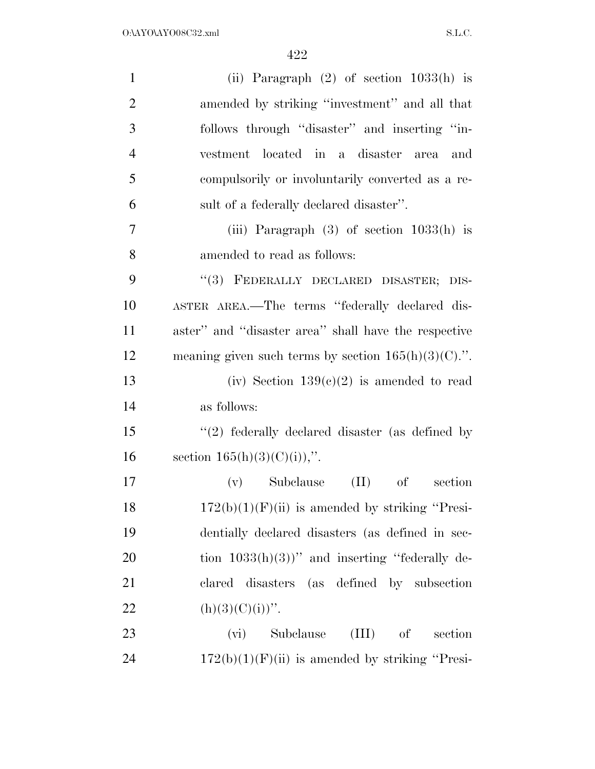| $\mathbf{1}$   | (ii) Paragraph $(2)$ of section $1033(h)$ is           |
|----------------|--------------------------------------------------------|
| $\overline{2}$ | amended by striking "investment" and all that          |
| 3              | follows through "disaster" and inserting "in-          |
| $\overline{4}$ | vestment located in a disaster area<br>and             |
| 5              | compulsorily or involuntarily converted as a re-       |
| 6              | sult of a federally declared disaster".                |
| $\overline{7}$ | (iii) Paragraph $(3)$ of section $1033(h)$ is          |
| 8              | amended to read as follows:                            |
| 9              | "(3) FEDERALLY DECLARED DISASTER; DIS-                 |
| 10             | ASTER AREA.—The terms "federally declared dis-         |
| 11             | aster" and "disaster area" shall have the respective   |
| 12             | meaning given such terms by section $165(h)(3)(C)$ .". |
| 13             | (iv) Section $139(c)(2)$ is amended to read            |
| 14             | as follows:                                            |
| 15             | $\lq(2)$ federally declared disaster (as defined by    |
| 16             | section $165(h)(3)(C)(i)$ ,".                          |
| 17             | (II)<br>(v) Subclause<br>$\sigma f$<br>section         |
| 18             | $172(b)(1)(F)(ii)$ is amended by striking "Presi-      |
| 19             | dentially declared disasters (as defined in sec-       |
| 20             | tion $1033(h)(3)$ " and inserting "federally de-       |
| 21             | clared disasters (as defined by subsection             |
| 22             | $(h)(3)(C)(i))$ ".                                     |
| 23             | $(III)$ of<br>Subclause<br>section<br>(vi)             |
| 24             | $172(b)(1)(F)(ii)$ is amended by striking "Presi-      |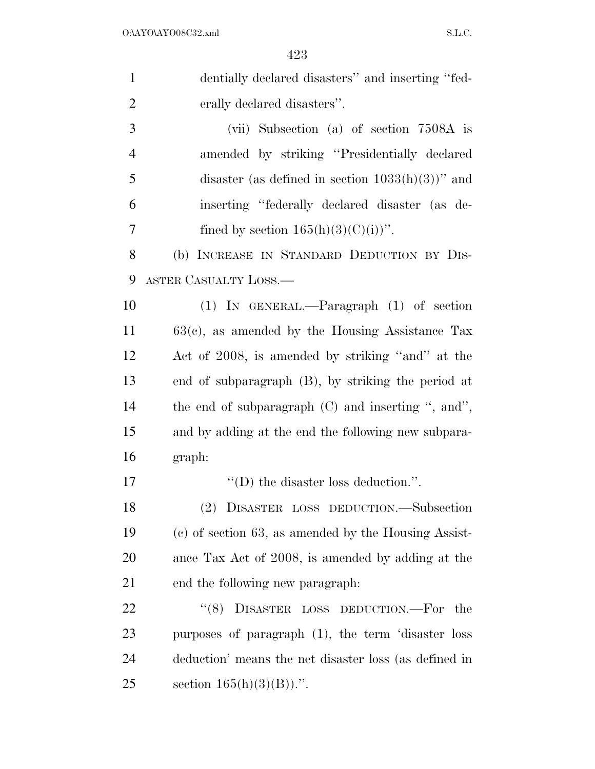| $\mathbf{1}$   | dentially declared disasters" and inserting "fed-      |
|----------------|--------------------------------------------------------|
| $\overline{2}$ | erally declared disasters".                            |
| 3              | (vii) Subsection (a) of section 7508A is               |
| $\overline{4}$ | amended by striking "Presidentially declared"          |
| 5              | disaster (as defined in section $1033(h)(3)$ )" and    |
| 6              | inserting "federally declared disaster (as de-         |
| 7              | fined by section $165(h)(3)(C(i))$ ".                  |
| 8              | (b) INCREASE IN STANDARD DEDUCTION BY DIS-             |
| 9              | ASTER CASUALTY LOSS.—                                  |
| 10             | $(1)$ IN GENERAL.—Paragraph $(1)$ of section           |
| 11             | $63(c)$ , as amended by the Housing Assistance Tax     |
| 12             | Act of 2008, is amended by striking "and" at the       |
| 13             | end of subparagraph (B), by striking the period at     |
| 14             | the end of subparagraph $(C)$ and inserting ", and",   |
| 15             | and by adding at the end the following new subpara-    |
| 16             | graph:                                                 |
| 17             | $\lq\lq$ the disaster loss deduction.".                |
| 18             | (2) DISASTER LOSS DEDUCTION.-Subsection                |
| 19             | $(c)$ of section 63, as amended by the Housing Assist- |
| 20             | ance Tax Act of 2008, is amended by adding at the      |
| 21             | end the following new paragraph.                       |
| 22             | DISASTER LOSS DEDUCTION.-For the<br>(8)                |
| 23             | purposes of paragraph (1), the term 'disaster loss     |
| 24             | deduction' means the net disaster loss (as defined in  |
| 25             | section $165(h)(3)(B)$ .".                             |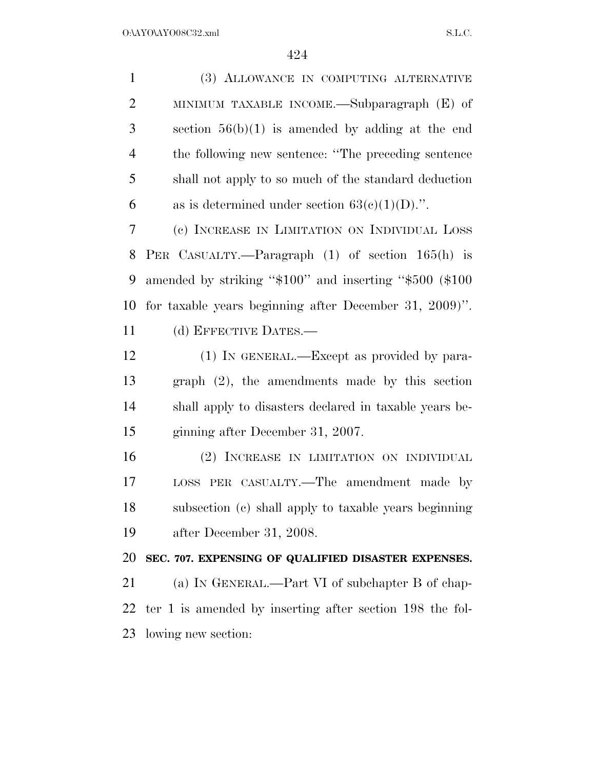(3) ALLOWANCE IN COMPUTING ALTERNATIVE MINIMUM TAXABLE INCOME.—Subparagraph (E) of section 56(b)(1) is amended by adding at the end the following new sentence: ''The preceding sentence shall not apply to so much of the standard deduction 6 as is determined under section  $63(e)(1)(D)$ .". (c) INCREASE IN LIMITATION ON INDIVIDUAL LOSS PER CASUALTY.—Paragraph (1) of section 165(h) is amended by striking ''\$100'' and inserting ''\$500 (\$100 for taxable years beginning after December 31, 2009)''. (d) EFFECTIVE DATES.— 12 (1) IN GENERAL.—Except as provided by para- graph (2), the amendments made by this section shall apply to disasters declared in taxable years be- ginning after December 31, 2007. (2) INCREASE IN LIMITATION ON INDIVIDUAL LOSS PER CASUALTY.—The amendment made by subsection (c) shall apply to taxable years beginning after December 31, 2008. **SEC. 707. EXPENSING OF QUALIFIED DISASTER EXPENSES.**  (a) IN GENERAL.—Part VI of subchapter B of chap- ter 1 is amended by inserting after section 198 the fol-lowing new section: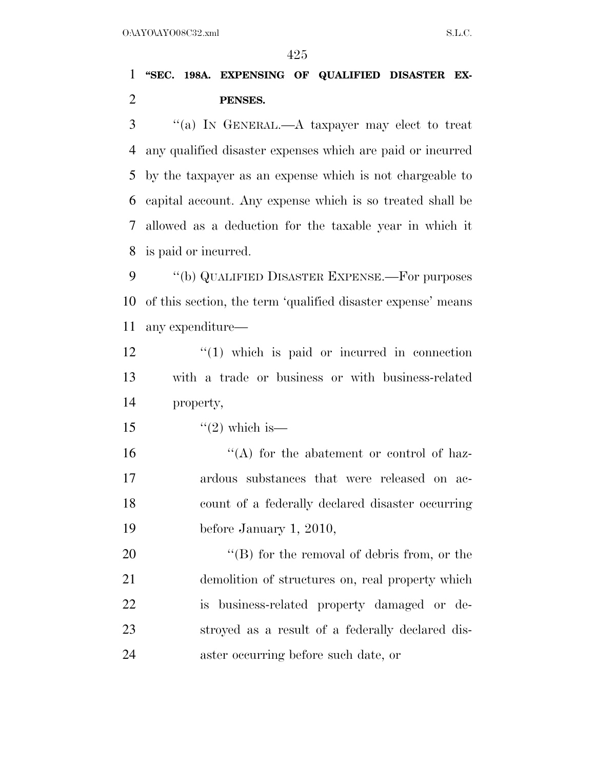### **''SEC. 198A. EXPENSING OF QUALIFIED DISASTER EX-PENSES.**

 ''(a) IN GENERAL.—A taxpayer may elect to treat any qualified disaster expenses which are paid or incurred by the taxpayer as an expense which is not chargeable to capital account. Any expense which is so treated shall be allowed as a deduction for the taxable year in which it is paid or incurred.

 ''(b) QUALIFIED DISASTER EXPENSE.—For purposes of this section, the term 'qualified disaster expense' means any expenditure—

 ''(1) which is paid or incurred in connection with a trade or business or with business-related property,

15  $\frac{15}{2}$  which is —

 $\mathcal{L}(A)$  for the abatement or control of haz- ardous substances that were released on ac- count of a federally declared disaster occurring before January 1, 2010,

 $"$ (B) for the removal of debris from, or the demolition of structures on, real property which is business-related property damaged or de- stroyed as a result of a federally declared dis-aster occurring before such date, or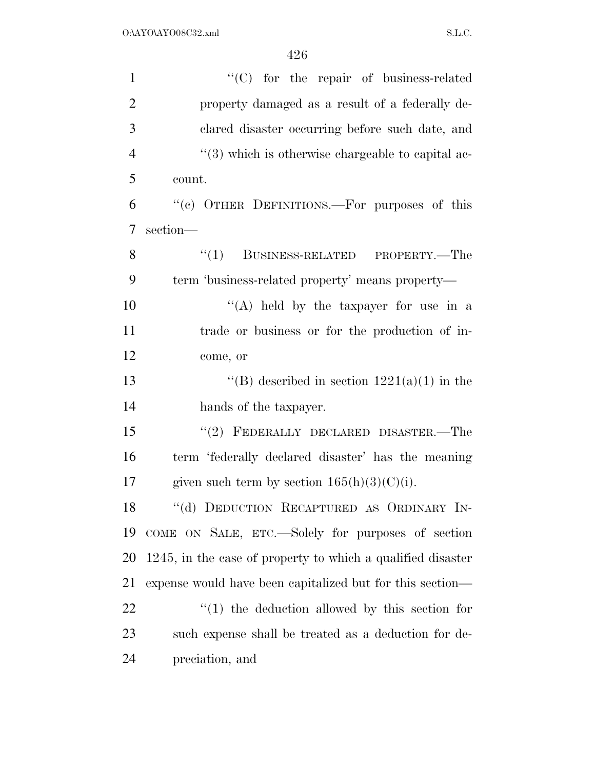| $\mathbf{1}$   | $\lq\lq$ (C) for the repair of business-related             |
|----------------|-------------------------------------------------------------|
| $\overline{2}$ | property damaged as a result of a federally de-             |
| 3              | clared disaster occurring before such date, and             |
| $\overline{4}$ | $\lq(3)$ which is otherwise chargeable to capital ac-       |
| 5              | count.                                                      |
| 6              | "(c) OTHER DEFINITIONS.—For purposes of this                |
| $\overline{7}$ | section-                                                    |
| 8              | BUSINESS-RELATED PROPERTY.—The<br>``(1)                     |
| 9              | term 'business-related property' means property—            |
| 10             | "(A) held by the taxpayer for use in a                      |
| 11             | trade or business or for the production of in-              |
| 12             | come, or                                                    |
| 13             | "(B) described in section $1221(a)(1)$ in the               |
| 14             | hands of the taxpayer.                                      |
| 15             | "(2) FEDERALLY DECLARED DISASTER.—The                       |
| 16             | term 'federally declared disaster' has the meaning          |
| 17             | given such term by section $165(h)(3)(C)(i)$ .              |
| 18             | "(d) DEDUCTION RECAPTURED AS ORDINARY IN-                   |
| 19             | COME ON SALE, ETC.—Solely for purposes of section           |
| 20             | 1245, in the case of property to which a qualified disaster |
| 21             | expense would have been capitalized but for this section—   |
| 22             | $\lq(1)$ the deduction allowed by this section for          |
| 23             | such expense shall be treated as a deduction for de-        |
| 24             | preciation, and                                             |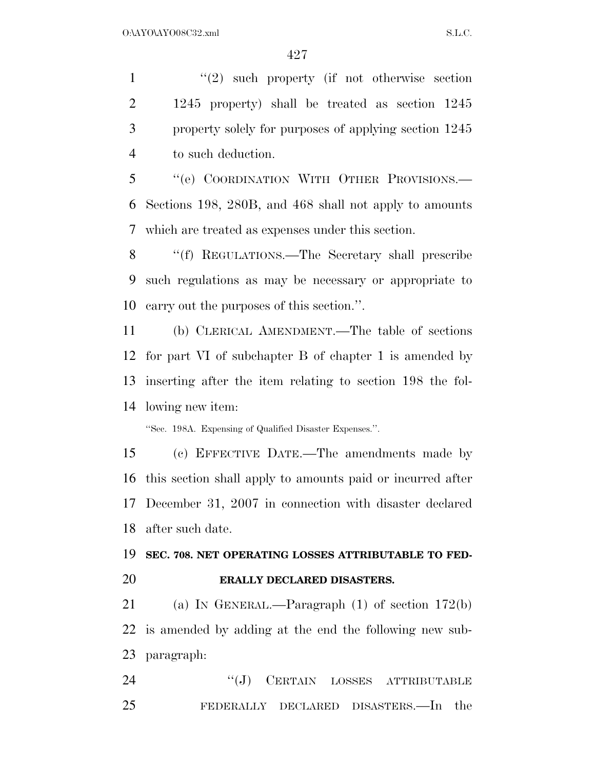1 ''(2) such property (if not otherwise section 1245 property) shall be treated as section 1245 property solely for purposes of applying section 1245 to such deduction.

 ''(e) COORDINATION WITH OTHER PROVISIONS.— Sections 198, 280B, and 468 shall not apply to amounts which are treated as expenses under this section.

 ''(f) REGULATIONS.—The Secretary shall prescribe such regulations as may be necessary or appropriate to carry out the purposes of this section.''.

 (b) CLERICAL AMENDMENT.—The table of sections for part VI of subchapter B of chapter 1 is amended by inserting after the item relating to section 198 the fol-lowing new item:

''Sec. 198A. Expensing of Qualified Disaster Expenses.''.

 (c) EFFECTIVE DATE.—The amendments made by this section shall apply to amounts paid or incurred after December 31, 2007 in connection with disaster declared after such date.

 **SEC. 708. NET OPERATING LOSSES ATTRIBUTABLE TO FED-ERALLY DECLARED DISASTERS.** 

 (a) IN GENERAL.—Paragraph (1) of section 172(b) is amended by adding at the end the following new sub-paragraph:

24 "(J) CERTAIN LOSSES ATTRIBUTABLE FEDERALLY DECLARED DISASTERS.—In the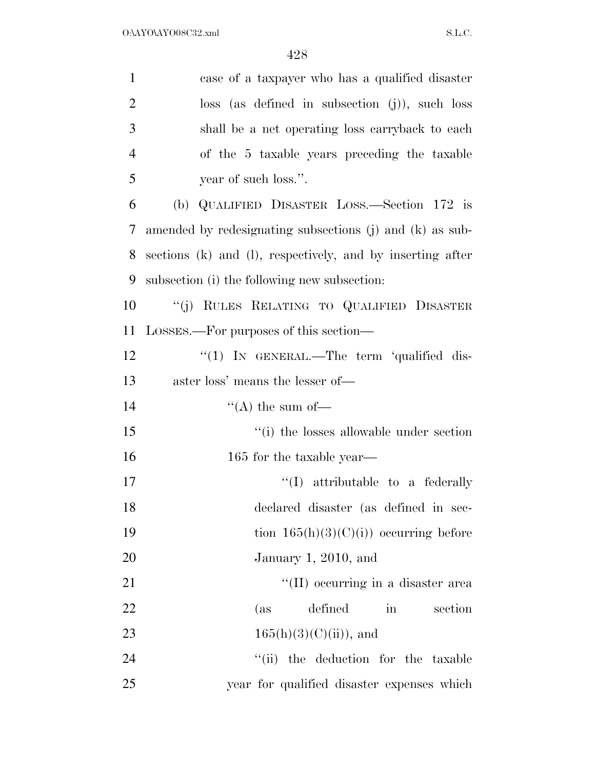| $\mathbf{1}$   | case of a taxpayer who has a qualified disaster            |
|----------------|------------------------------------------------------------|
| $\overline{2}$ | $loss$ (as defined in subsection (j)), such loss           |
| 3              | shall be a net operating loss carryback to each            |
| $\overline{4}$ | of the 5 taxable years preceding the taxable               |
| 5              | year of such loss.".                                       |
| 6              | (b) QUALIFIED DISASTER LOSS.—Section 172 is                |
| 7              | amended by redesignating subsections (j) and (k) as sub-   |
| 8              | sections (k) and (l), respectively, and by inserting after |
| 9              | subsection (i) the following new subsection:               |
| 10             | "(j) RULES RELATING TO QUALIFIED DISASTER                  |
| 11             | LOSSES.—For purposes of this section—                      |
| 12             | "(1) IN GENERAL.—The term 'qualified dis-                  |
| 13             | aster loss' means the lesser of—                           |
| 14             | "(A) the sum of-                                           |
| 15             | "(i) the losses allowable under section                    |
| 16             | 165 for the taxable year—                                  |
| 17             | $\lq\lq$ attributable to a federally                       |
| 18             | declared disaster (as defined in sec-                      |
| 19             | tion $165(h)(3)(C)(i)$ occurring before                    |
| 20             | January 1, 2010, and                                       |
| 21             | "(II) occurring in a disaster area                         |
|                |                                                            |
| 22             | defined<br>$\operatorname{in}$<br>section<br>(as           |
| 23             | $165(h)(3)(C(ii))$ , and                                   |
| 24             | "(ii) the deduction for the taxable                        |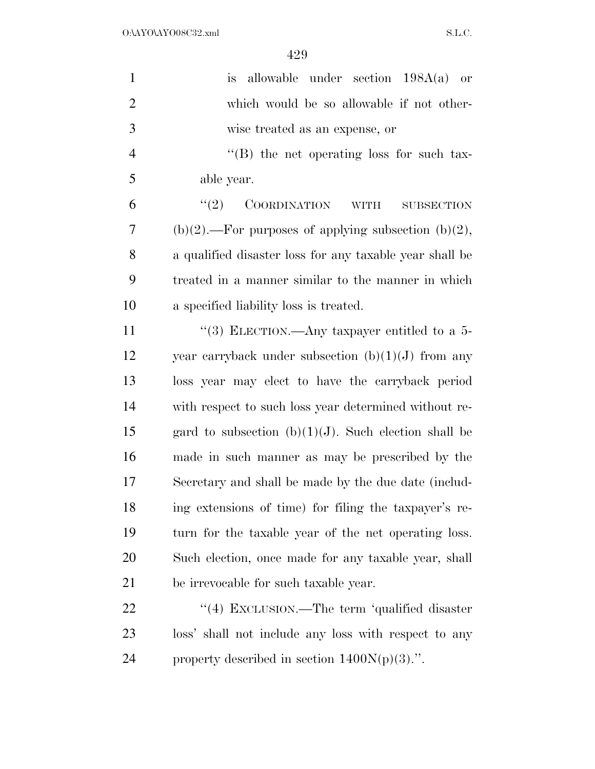$O:\Delta YO\Delta YO08C32.xml$  S.L.C.

| $\mathbf{1}$   | is allowable under section $198A(a)$ or                        |
|----------------|----------------------------------------------------------------|
| $\overline{2}$ | which would be so allowable if not other-                      |
| 3              | wise treated as an expense, or                                 |
| $\overline{4}$ | "(B) the net operating loss for such tax-                      |
| 5              | able year.                                                     |
| 6              | (2)<br><b>COORDINATION</b><br><b>WITH</b><br><b>SUBSECTION</b> |
| 7              | $(b)(2)$ .—For purposes of applying subsection $(b)(2)$ ,      |
| 8              | a qualified disaster loss for any taxable year shall be        |
| 9              | treated in a manner similar to the manner in which             |
| 10             | a specified liability loss is treated.                         |
| 11             | "(3) ELECTION.—Any taxpayer entitled to a $5-$                 |
| 12             | year carryback under subsection $(b)(1)(J)$ from any           |
| 13             | loss year may elect to have the carryback period               |
| 14             | with respect to such loss year determined without re-          |
| 15             | gard to subsection $(b)(1)(J)$ . Such election shall be        |
| 16             | made in such manner as may be prescribed by the                |
| 17             | Secretary and shall be made by the due date (includ-           |
| 18             | ing extensions of time) for filing the taxpayer's re-          |
| 19             | turn for the taxable year of the net operating loss.           |
| 20             | Such election, once made for any taxable year, shall           |
| 21             | be irrevocable for such taxable year.                          |
| 22             | "(4) EXCLUSION.—The term 'qualified disaster                   |
| 23             | loss' shall not include any loss with respect to any           |
| 24             | property described in section $1400N(p)(3)$ .".                |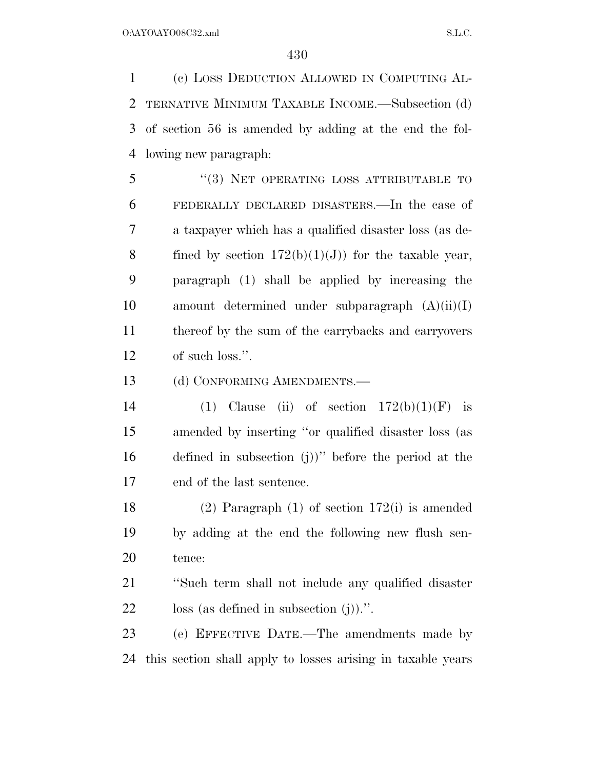(c) LOSS DEDUCTION ALLOWED IN COMPUTING AL- TERNATIVE MINIMUM TAXABLE INCOME.—Subsection (d) of section 56 is amended by adding at the end the fol-lowing new paragraph:

5 "(3) NET OPERATING LOSS ATTRIBUTABLE TO FEDERALLY DECLARED DISASTERS.—In the case of a taxpayer which has a qualified disaster loss (as de-8 fined by section  $172(b)(1)(J)$  for the taxable year, paragraph (1) shall be applied by increasing the amount determined under subparagraph (A)(ii)(I) thereof by the sum of the carrybacks and carryovers of such loss.''.

13 (d) CONFORMING AMENDMENTS.—

14 (1) Clause (ii) of section  $172(b)(1)(F)$  is amended by inserting ''or qualified disaster loss (as defined in subsection (j))'' before the period at the end of the last sentence.

 (2) Paragraph (1) of section 172(i) is amended by adding at the end the following new flush sen-tence:

 ''Such term shall not include any qualified disaster loss (as defined in subsection (j)).''.

 (e) EFFECTIVE DATE.—The amendments made by this section shall apply to losses arising in taxable years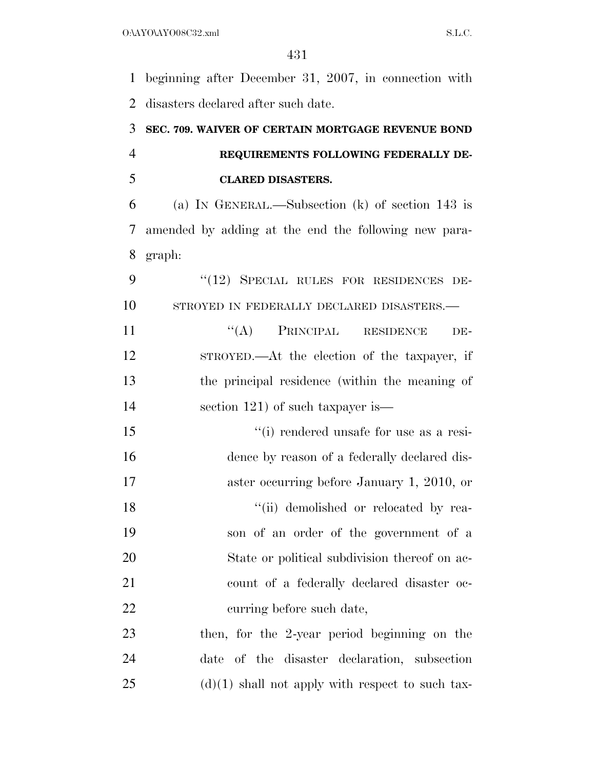beginning after December 31, 2007, in connection with disasters declared after such date.

## **SEC. 709. WAIVER OF CERTAIN MORTGAGE REVENUE BOND REQUIREMENTS FOLLOWING FEDERALLY DE-CLARED DISASTERS.**

 (a) IN GENERAL.—Subsection (k) of section 143 is amended by adding at the end the following new para-graph:

9 "(12) SPECIAL RULES FOR RESIDENCES DE-10 STROYED IN FEDERALLY DECLARED DISASTERS.—

11 "(A) PRINCIPAL RESIDENCE DE- STROYED.—At the election of the taxpayer, if the principal residence (within the meaning of 14 section 121) of such taxpayer is—

 ''(i) rendered unsafe for use as a resi- dence by reason of a federally declared dis- aster occurring before January 1, 2010, or 18 ''(ii) demolished or relocated by rea- son of an order of the government of a State or political subdivision thereof on ac- count of a federally declared disaster oc-curring before such date,

 then, for the 2-year period beginning on the date of the disaster declaration, subsection (d)(1) shall not apply with respect to such tax-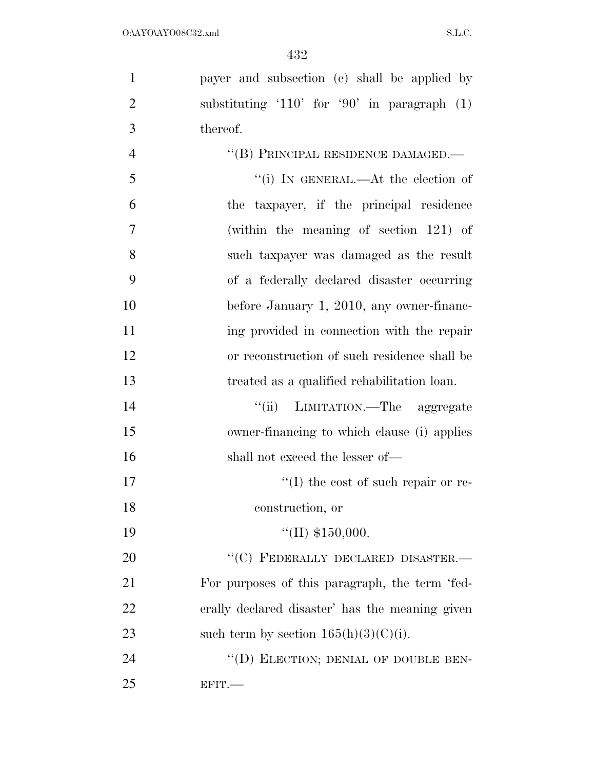| $\mathbf{1}$   | payer and subsection (e) shall be applied by    |
|----------------|-------------------------------------------------|
| $\overline{2}$ | substituting '110' for '90' in paragraph $(1)$  |
| 3              | thereof.                                        |
| $\overline{4}$ | "(B) PRINCIPAL RESIDENCE DAMAGED.-              |
| 5              | "(i) IN GENERAL.—At the election of             |
| 6              | the taxpayer, if the principal residence        |
| 7              | (within the meaning of section $121$ ) of       |
| 8              | such taxpayer was damaged as the result         |
| 9              | of a federally declared disaster occurring      |
| 10             | before January 1, 2010, any owner-financ-       |
| 11             | ing provided in connection with the repair      |
| 12             | or reconstruction of such residence shall be    |
| 13             | treated as a qualified rehabilitation loan.     |
| 14             | LIMITATION.—The aggregate<br>``(ii)             |
| 15             | owner-financing to which clause (i) applies     |
| 16             | shall not exceed the lesser of—                 |
| 17             | $\lq\lq$ the cost of such repair or re-         |
| 18             | construction, or                                |
| 19             | "(II) $$150,000$ .                              |
| 20             | "(C) FEDERALLY DECLARED DISASTER.-              |
| 21             | For purposes of this paragraph, the term 'fed-  |
| 22             | erally declared disaster' has the meaning given |
| 23             | such term by section $165(h)(3)(C)(i)$ .        |
| 24             | "(D) ELECTION; DENIAL OF DOUBLE BEN-            |
| 25             | EFIT.                                           |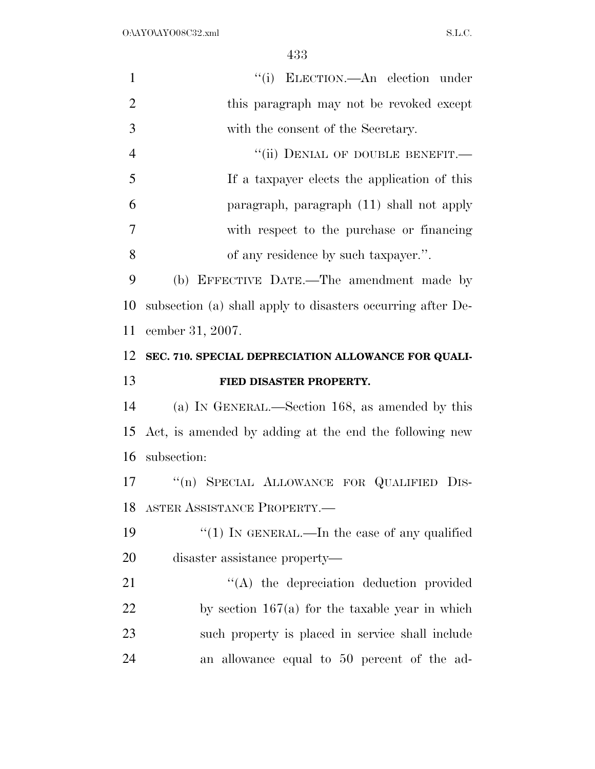| $\mathbf{1}$         | "(i) ELECTION.—An election under                            |
|----------------------|-------------------------------------------------------------|
| $\overline{2}$       | this paragraph may not be revoked except                    |
| 3                    | with the consent of the Secretary.                          |
| $\overline{4}$       | "(ii) DENIAL OF DOUBLE BENEFIT.-                            |
| 5                    | If a taxpayer elects the application of this                |
| 6                    | paragraph, paragraph (11) shall not apply                   |
| $\overline{7}$       | with respect to the purchase or financing                   |
| 8                    | of any residence by such taxpayer.".                        |
| 9                    | (b) EFFECTIVE DATE.—The amendment made by                   |
| 10                   | subsection (a) shall apply to disasters occurring after De- |
| 11                   | cember 31, 2007.                                            |
| 12                   | SEC. 710. SPECIAL DEPRECIATION ALLOWANCE FOR QUALI-         |
|                      |                                                             |
|                      | FIED DISASTER PROPERTY.                                     |
| 13<br>14             | (a) IN GENERAL.—Section 168, as amended by this             |
|                      | Act, is amended by adding at the end the following new      |
|                      | subsection:                                                 |
|                      | "(n) SPECIAL ALLOWANCE FOR QUALIFIED DIS-                   |
| 15<br>16<br>17<br>18 | ASTER ASSISTANCE PROPERTY.                                  |
| 19                   | " $(1)$ In GENERAL.—In the case of any qualified            |
| 20                   | disaster assistance property—                               |
|                      | "(A) the depreciation deduction provided                    |
| 21<br>22             | by section $167(a)$ for the taxable year in which           |
| 23                   | such property is placed in service shall include            |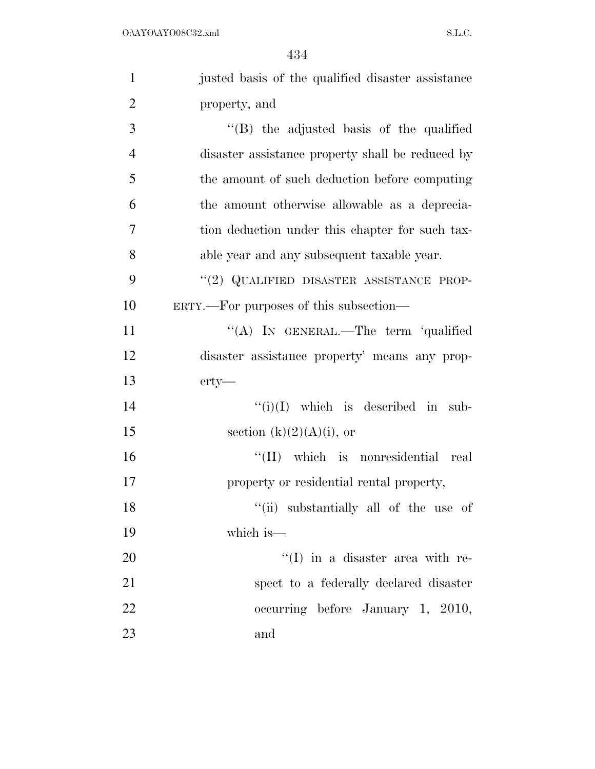| $\mathbf{1}$   | justed basis of the qualified disaster assistance |
|----------------|---------------------------------------------------|
| $\overline{2}$ | property, and                                     |
| 3              | "(B) the adjusted basis of the qualified          |
| $\overline{4}$ | disaster assistance property shall be reduced by  |
|                |                                                   |
| 5              | the amount of such deduction before computing     |
| 6              | the amount otherwise allowable as a deprecia-     |
| 7              | tion deduction under this chapter for such tax-   |
| 8              | able year and any subsequent taxable year.        |
| 9              | "(2) QUALIFIED DISASTER ASSISTANCE PROP-          |
| 10             | ERTY.—For purposes of this subsection—            |
| 11             | "(A) IN GENERAL.—The term 'qualified              |
| 12             | disaster assistance property' means any prop-     |
| 13             | $erty-$                                           |
| 14             | $``(i)(I)$ which is described in sub-             |
| 15             | section $(k)(2)(A)(i)$ , or                       |
| 16             | "(II) which is nonresidential real                |
| 17             | property or residential rental property,          |
| 18             | "(ii) substantially all of the use of             |
| 19             | which is $-$                                      |
| 20             | $\lq(1)$ in a disaster area with re-              |
| 21             | spect to a federally declared disaster            |
| 22             | occurring before January 1, 2010,                 |
| 23             | and                                               |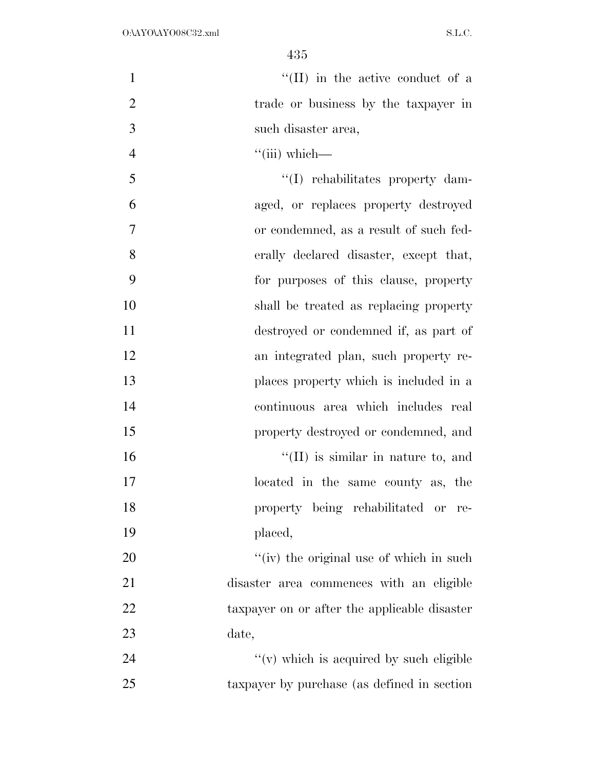$\text{``(II)}$  in the active conduct of a 2 trade or business by the taxpayer in such disaster area, ''(iii) which—

 $\frac{1}{1}$  rehabilitates property dam- aged, or replaces property destroyed or condemned, as a result of such fed- erally declared disaster, except that, for purposes of this clause, property shall be treated as replacing property destroyed or condemned if, as part of an integrated plan, such property re- places property which is included in a continuous area which includes real property destroyed or condemned, and  $\frac{1}{10}$  is similar in nature to, and located in the same county as, the property being rehabilitated or re- placed, 20 ''(iv) the original use of which in such disaster area commences with an eligible 22 taxpayer on or after the applicable disaster date,

24  $''(v)$  which is acquired by such eligible taxpayer by purchase (as defined in section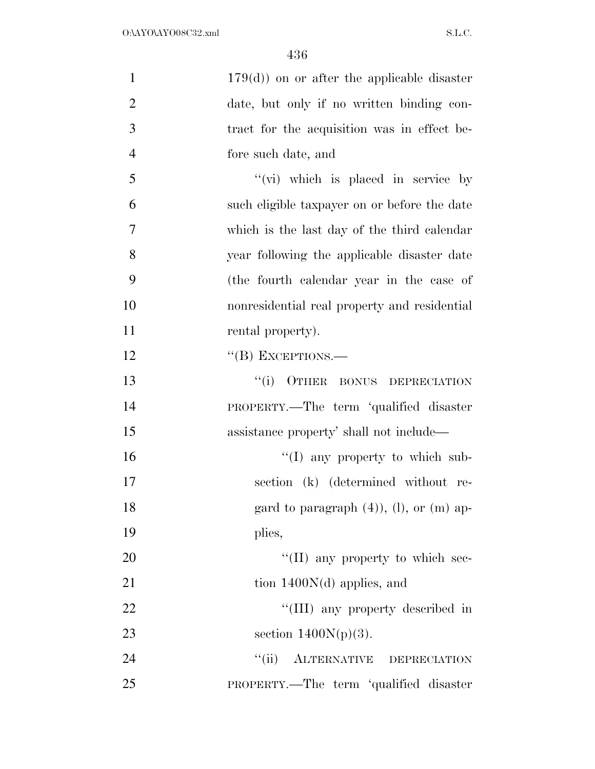| $\mathbf{1}$   | $179(d)$ on or after the applicable disaster   |
|----------------|------------------------------------------------|
| $\overline{2}$ | date, but only if no written binding con-      |
| 3              | tract for the acquisition was in effect be-    |
| $\overline{4}$ | fore such date, and                            |
| 5              | "(vi) which is placed in service by            |
| 6              | such eligible taxpayer on or before the date   |
| 7              | which is the last day of the third calendar    |
| 8              | year following the applicable disaster date    |
| 9              | (the fourth calendar year in the case of       |
| 10             | nonresidential real property and residential   |
| 11             | rental property).                              |
| 12             | $\lq\lq$ (B) EXCEPTIONS.—                      |
| 13             | ``(i)<br>OTHER BONUS DEPRECIATION              |
| 14             | PROPERTY.—The term 'qualified disaster         |
| 15             | assistance property' shall not include—        |
| 16             | "(I) any property to which sub-                |
| 17             | section (k) (determined without re-            |
| 18             | gard to paragraph $(4)$ , $(l)$ , or $(m)$ ap- |
| 19             | plies,                                         |
| 20             | "(II) any property to which sec-               |
| 21             | tion $1400N(d)$ applies, and                   |
| 22             | "(III) any property described in               |
| 23             | section $1400N(p)(3)$ .                        |
| 24             | "(ii) ALTERNATIVE DEPRECIATION                 |
| 25             | PROPERTY.—The term 'qualified disaster         |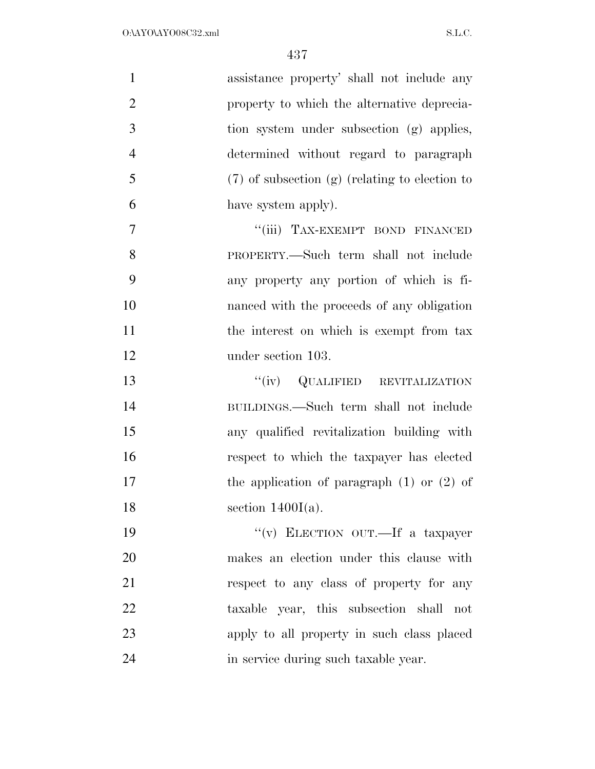| $\mathbf{1}$   | assistance property' shall not include any         |
|----------------|----------------------------------------------------|
| $\overline{2}$ | property to which the alternative deprecia-        |
| 3              | tion system under subsection (g) applies,          |
| $\overline{4}$ | determined without regard to paragraph             |
| 5              | $(7)$ of subsection $(g)$ (relating to election to |
| 6              | have system apply).                                |
| $\tau$         | "(iii) TAX-EXEMPT BOND FINANCED                    |
| 8              | PROPERTY.—Such term shall not include              |
| 9              | any property any portion of which is fi-           |
| 10             | nanced with the proceeds of any obligation         |
| 11             | the interest on which is exempt from tax           |
| 12             | under section 103.                                 |
| 13             | "(iv) QUALIFIED REVITALIZATION                     |
| 14             | BUILDINGS.—Such term shall not include             |
| 15             | any qualified revitalization building with         |
| 16             | respect to which the taxpayer has elected          |
| 17             | the application of paragraph $(1)$ or $(2)$ of     |
| 18             | section $1400I(a)$ .                               |
| 19             | "(v) ELECTION OUT.—If a taxpayer                   |
| 20             | makes an election under this clause with           |
| 21             | respect to any class of property for any           |
| 22             | taxable year, this subsection shall not            |
| 23             | apply to all property in such class placed         |
| 24             | in service during such taxable year.               |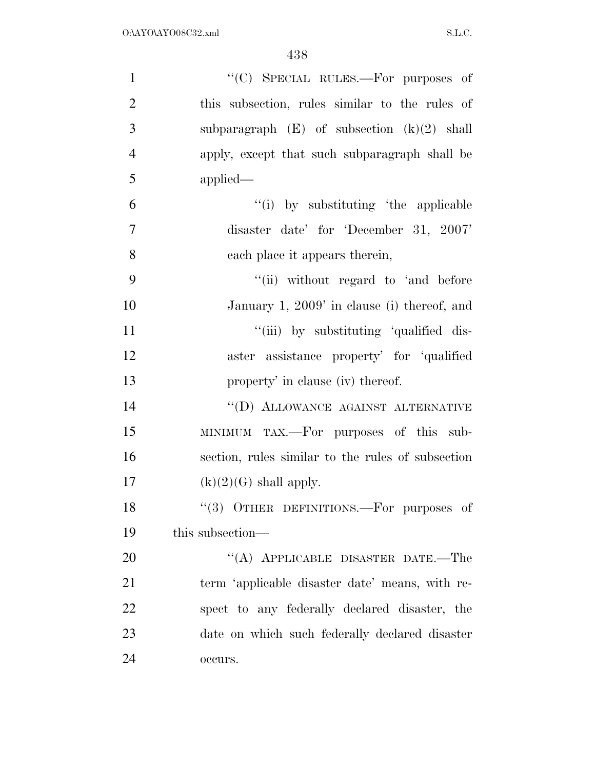| $\mathbf{1}$   | "(C) SPECIAL RULES.—For purposes of               |
|----------------|---------------------------------------------------|
| $\overline{2}$ | this subsection, rules similar to the rules of    |
| 3              | subparagraph $(E)$ of subsection $(k)(2)$ shall   |
| $\overline{4}$ | apply, except that such subparagraph shall be     |
| 5              | applied                                           |
| 6              | "(i) by substituting 'the applicable              |
| $\overline{7}$ | disaster date' for 'December 31, 2007'            |
| 8              | each place it appears therein,                    |
| 9              | "(ii) without regard to 'and before               |
| 10             | January 1, 2009' in clause (i) thereof, and       |
| 11             | "(iii) by substituting 'qualified dis-            |
| 12             | aster assistance property' for 'qualified         |
| 13             | property' in clause (iv) thereof.                 |
| 14             | "(D) ALLOWANCE AGAINST ALTERNATIVE                |
| 15             | MINIMUM TAX.—For purposes of this sub-            |
| 16             | section, rules similar to the rules of subsection |
| 17             | $(k)(2)(G)$ shall apply.                          |
| 18             | "(3) OTHER DEFINITIONS.-For purposes of           |
| 19             | this subsection—                                  |
| 20             | "(A) APPLICABLE DISASTER DATE.—The                |
| 21             | term 'applicable disaster date' means, with re-   |
| 22             | spect to any federally declared disaster, the     |
| 23             | date on which such federally declared disaster    |
| 24             | occurs.                                           |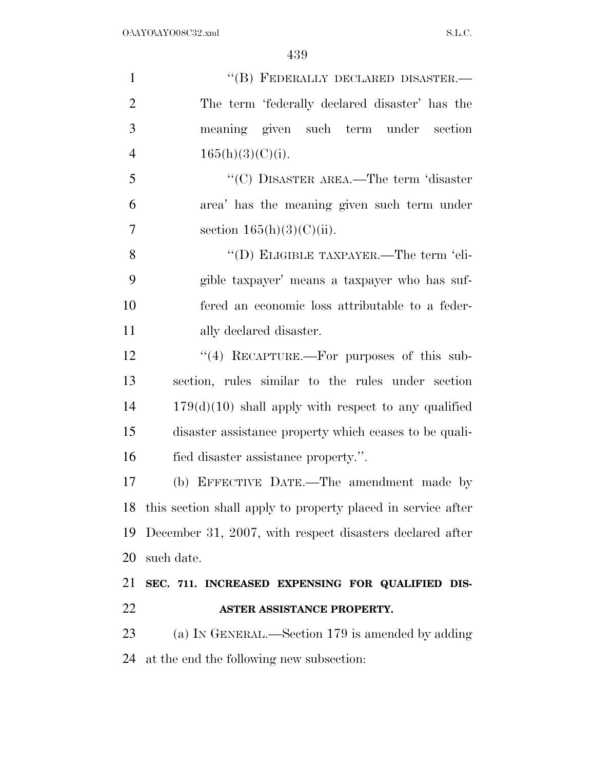1 "(B) FEDERALLY DECLARED DISASTER.— The term 'federally declared disaster' has the meaning given such term under section  $165(h)(3)(C)(i)$ . ''(C) DISASTER AREA.—The term 'disaster area' has the meaning given such term under 7 section  $165(h)(3)(C)(ii)$ . ''(D) ELIGIBLE TAXPAYER.—The term 'eli- gible taxpayer' means a taxpayer who has suf- fered an economic loss attributable to a feder- ally declared disaster. 12 "(4) RECAPTURE.—For purposes of this sub- section, rules similar to the rules under section 179(d)(10) shall apply with respect to any qualified disaster assistance property which ceases to be quali- fied disaster assistance property.''. (b) EFFECTIVE DATE.—The amendment made by this section shall apply to property placed in service after December 31, 2007, with respect disasters declared after such date. **SEC. 711. INCREASED EXPENSING FOR QUALIFIED DIS- ASTER ASSISTANCE PROPERTY.**  (a) IN GENERAL.—Section 179 is amended by adding at the end the following new subsection: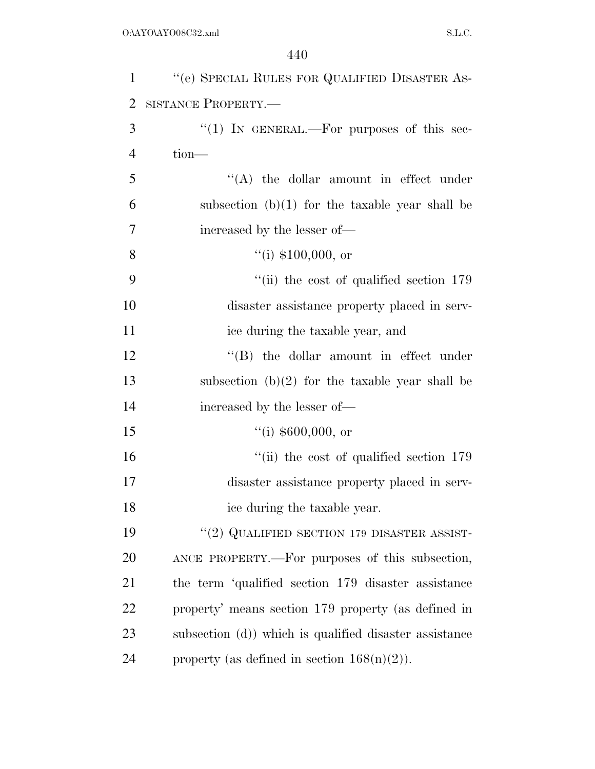| $\mathbf{1}$   | "(e) SPECIAL RULES FOR QUALIFIED DISASTER AS-             |
|----------------|-----------------------------------------------------------|
| $\overline{2}$ | SISTANCE PROPERTY.-                                       |
| 3              | "(1) IN GENERAL.—For purposes of this sec-                |
| $\overline{4}$ | tion-                                                     |
| 5              | "(A) the dollar amount in effect under                    |
| 6              | subsection $(b)(1)$ for the taxable year shall be         |
| 7              | increased by the lesser of—                               |
| 8              | ``(i) \$100,000, or                                       |
| 9              | $``$ (ii) the cost of qualified section 179               |
| 10             | disaster assistance property placed in serv-              |
| 11             | ice during the taxable year, and                          |
| 12             | "(B) the dollar amount in effect under                    |
| 13             | subsection $(b)(2)$ for the taxable year shall be         |
| 14             | increased by the lesser of-                               |
| 15             | $(4)$ \$600,000, or                                       |
| 16             | $\lq$ <sup>"</sup> (ii) the cost of qualified section 179 |
| 17             | disaster assistance property placed in serv-              |
| 18             | ice during the taxable year.                              |
| 19             | "(2) QUALIFIED SECTION 179 DISASTER ASSIST-               |
| 20             | ANCE PROPERTY.—For purposes of this subsection,           |
| 21             | the term 'qualified section 179 disaster assistance       |
| 22             | property' means section 179 property (as defined in       |
| 23             | subsection (d)) which is qualified disaster assistance    |
| 24             | property (as defined in section $168(n)(2)$ ).            |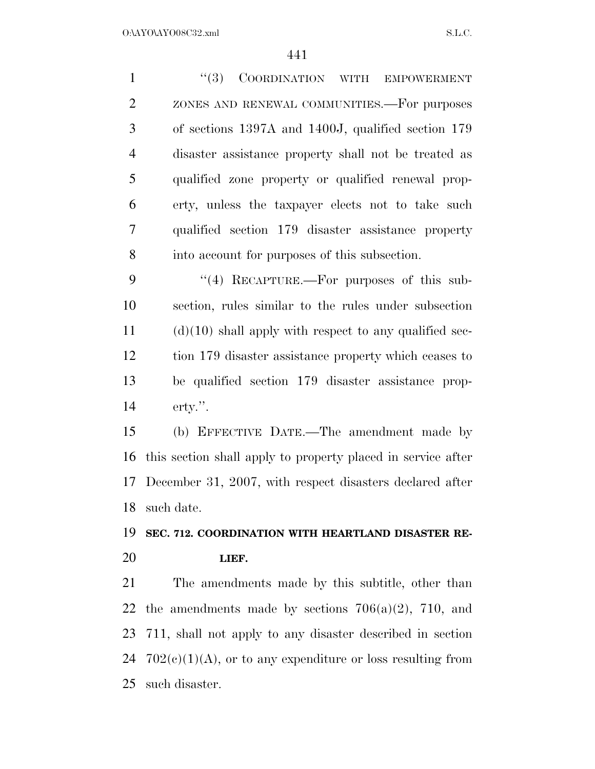| $\mathbf{1}$   | "(3) COORDINATION WITH<br><b>EMPOWERMENT</b>                 |
|----------------|--------------------------------------------------------------|
| $\overline{2}$ | ZONES AND RENEWAL COMMUNITIES. For purposes                  |
| 3              | of sections 1397A and 1400J, qualified section 179           |
| $\overline{4}$ | disaster assistance property shall not be treated as         |
| 5              | qualified zone property or qualified renewal prop-           |
| 6              | erty, unless the taxpayer elects not to take such            |
| 7              | qualified section 179 disaster assistance property           |
| 8              | into account for purposes of this subsection.                |
| 9              | $\cdot$ (4) RECAPTURE.—For purposes of this sub-             |
| 10             | section, rules similar to the rules under subsection         |
| 11             | $(d)(10)$ shall apply with respect to any qualified sec-     |
| 12             | tion 179 disaster assistance property which ceases to        |
| 13             | be qualified section 179 disaster assistance prop-           |
| 14             | $\text{erty."}.$                                             |
| 15             | (b) EFFECTIVE DATE.—The amendment made by                    |
| 16             | this section shall apply to property placed in service after |
| 17             | December 31, 2007, with respect disasters declared after     |
| 18             | such date.                                                   |
| 19             | SEC. 712. COORDINATION WITH HEARTLAND DISASTER RE-           |
| 20             | LIEF.                                                        |
| 21             | The amendments made by this subtitle, other than             |
|                | 22 the amendments made by sections $706(a)(2)$ , 710, and    |
|                |                                                              |

 711, shall not apply to any disaster described in section 24  $702(e)(1)(A)$ , or to any expenditure or loss resulting from such disaster.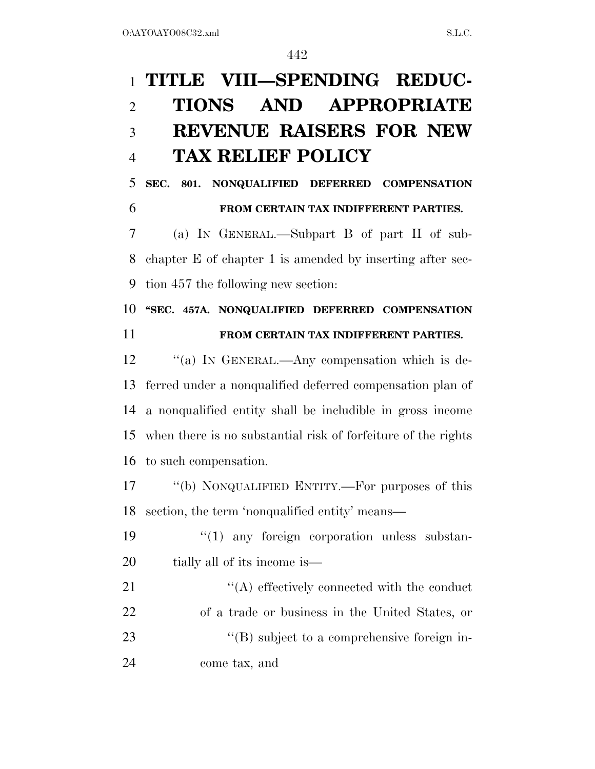## **TITLE VIII—SPENDING REDUC- TIONS AND APPROPRIATE REVENUE RAISERS FOR NEW TAX RELIEF POLICY**

 **SEC. 801. NONQUALIFIED DEFERRED COMPENSATION FROM CERTAIN TAX INDIFFERENT PARTIES.** 

 (a) IN GENERAL.—Subpart B of part II of sub- chapter E of chapter 1 is amended by inserting after sec-tion 457 the following new section:

 **''SEC. 457A. NONQUALIFIED DEFERRED COMPENSATION FROM CERTAIN TAX INDIFFERENT PARTIES.** 

12 "(a) In GENERAL.—Any compensation which is de- ferred under a nonqualified deferred compensation plan of a nonqualified entity shall be includible in gross income when there is no substantial risk of forfeiture of the rights to such compensation.

 ''(b) NONQUALIFIED ENTITY.—For purposes of this section, the term 'nonqualified entity' means—

19  $\frac{1}{2}$  (1) any foreign corporation unless substan-20 tially all of its income is—

 $\langle (A)$  effectively connected with the conduct of a trade or business in the United States, or  $\text{``(B) subject to a comprehensive foreign in--}$ come tax, and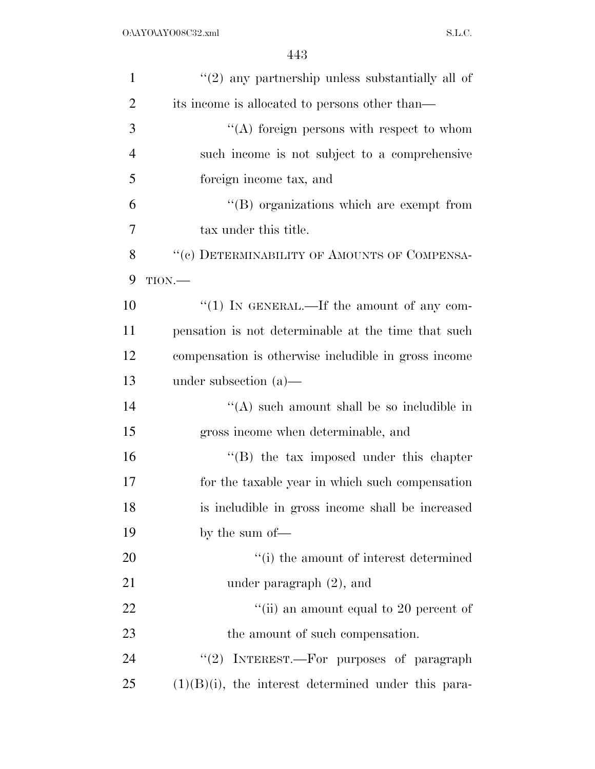| $\mathbf{1}$   | $\lq(2)$ any partnership unless substantially all of   |
|----------------|--------------------------------------------------------|
| 2              | its income is allocated to persons other than—         |
| 3              | $\lq\lq$ foreign persons with respect to whom          |
| $\overline{4}$ | such income is not subject to a comprehensive          |
| 5              | foreign income tax, and                                |
| 6              | $\lq\lq$ organizations which are exempt from           |
| 7              | tax under this title.                                  |
| 8              | "(c) DETERMINABILITY OF AMOUNTS OF COMPENSA-           |
| 9              | $TION$ .                                               |
| 10             | "(1) IN GENERAL.—If the amount of any com-             |
| 11             | pensation is not determinable at the time that such    |
| 12             | compensation is otherwise includible in gross income   |
| 13             | under subsection $(a)$ —                               |
| 14             | $\lq\lq$ such amount shall be so includible in         |
| 15             | gross income when determinable, and                    |
| 16             | $\lq\lq (B)$ the tax imposed under this chapter        |
| 17             | for the taxable year in which such compensation        |
| 18             | is includible in gross income shall be increased       |
| 19             | by the sum of-                                         |
| 20             | "(i) the amount of interest determined                 |
| 21             | under paragraph $(2)$ , and                            |
| 22             | "(ii) an amount equal to 20 percent of                 |
| 23             | the amount of such compensation.                       |
| 24             | "(2) INTEREST.—For purposes of paragraph               |
| 25             | $(1)(B)(i)$ , the interest determined under this para- |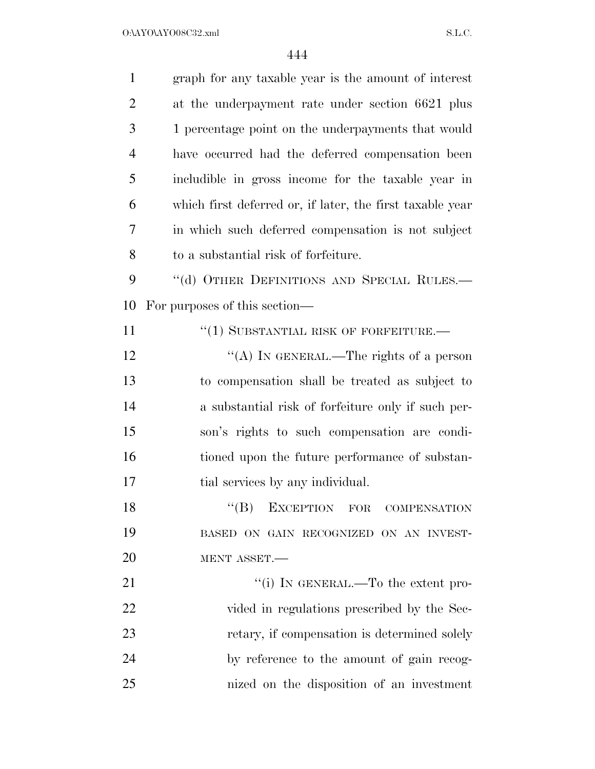$O:\Delta YO\Delta YO08C32.xml$  S.L.C.

| $\mathbf{1}$   | graph for any taxable year is the amount of interest      |
|----------------|-----------------------------------------------------------|
| $\overline{2}$ | at the underpayment rate under section 6621 plus          |
| 3              | 1 percentage point on the underpayments that would        |
| $\overline{4}$ | have occurred had the deferred compensation been          |
| 5              | includible in gross income for the taxable year in        |
| 6              | which first deferred or, if later, the first taxable year |
| 7              | in which such deferred compensation is not subject        |
| 8              | to a substantial risk of forfeiture.                      |
| 9              | "(d) OTHER DEFINITIONS AND SPECIAL RULES.-                |
| 10             | For purposes of this section—                             |
| 11             | $``(1)$ SUBSTANTIAL RISK OF FORFEITURE.—                  |
| 12             | "(A) IN GENERAL.—The rights of a person                   |
| 13             | to compensation shall be treated as subject to            |
| 14             | a substantial risk of forfeiture only if such per-        |
| 15             | son's rights to such compensation are condi-              |
| 16             | tioned upon the future performance of substan-            |
| 17             | tial services by any individual.                          |
| 18             | ``(B)<br>EXCEPTION FOR COMPENSATION                       |
| 19             | BASED ON GAIN RECOGNIZED ON AN INVEST-                    |
| 20             | MENT ASSET.                                               |
| 21             | "(i) IN GENERAL.—To the extent pro-                       |
| 22             | vided in regulations prescribed by the Sec-               |
| 23             | retary, if compensation is determined solely              |
| 24             | by reference to the amount of gain recog-                 |
| 25             | nized on the disposition of an investment                 |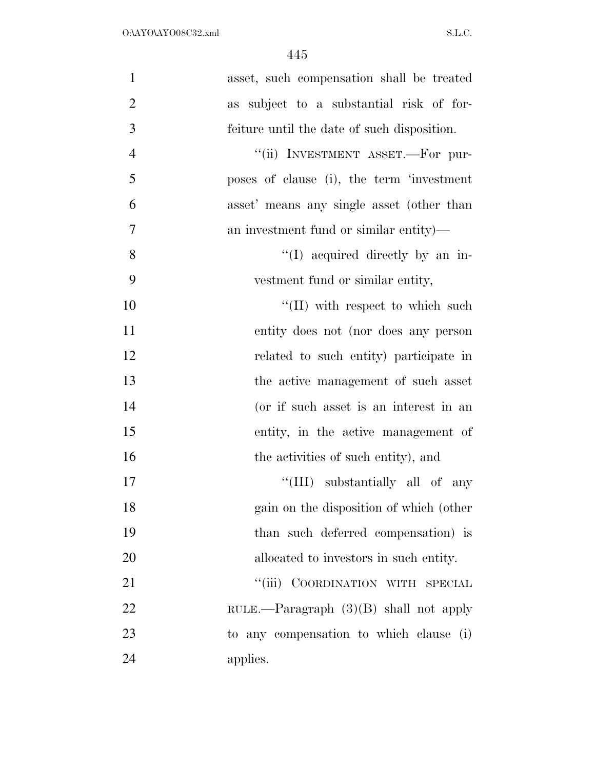| $\mathbf{1}$   | asset, such compensation shall be treated   |
|----------------|---------------------------------------------|
| $\overline{2}$ | subject to a substantial risk of for-<br>as |
| 3              | feiture until the date of such disposition. |
| $\overline{4}$ | "(ii) INVESTMENT ASSET.—For pur-            |
| 5              | poses of clause (i), the term 'investment   |
| 6              | asset' means any single asset (other than   |
| $\tau$         | an investment fund or similar entity)—      |
| 8              | "(I) acquired directly by an in-            |
| 9              | vestment fund or similar entity,            |
| 10             | $\lq\lq$ (II) with respect to which such    |
| 11             | entity does not (nor does any person        |
| 12             | related to such entity) participate in      |
| 13             | the active management of such asset         |
| 14             | (or if such asset is an interest in an      |
| 15             | entity, in the active management of         |
| 16             | the activities of such entity), and         |
| 17             | "(III) substantially all of any             |
| 18             | gain on the disposition of which (other     |
| 19             | than such deferred compensation) is         |
| 20             | allocated to investors in such entity.      |
| 21             | ``(iii)<br>COORDINATION WITH SPECIAL        |
| 22             | RULE.—Paragraph $(3)(B)$ shall not apply    |
| 23             | to any compensation to which clause (i)     |
| 24             | applies.                                    |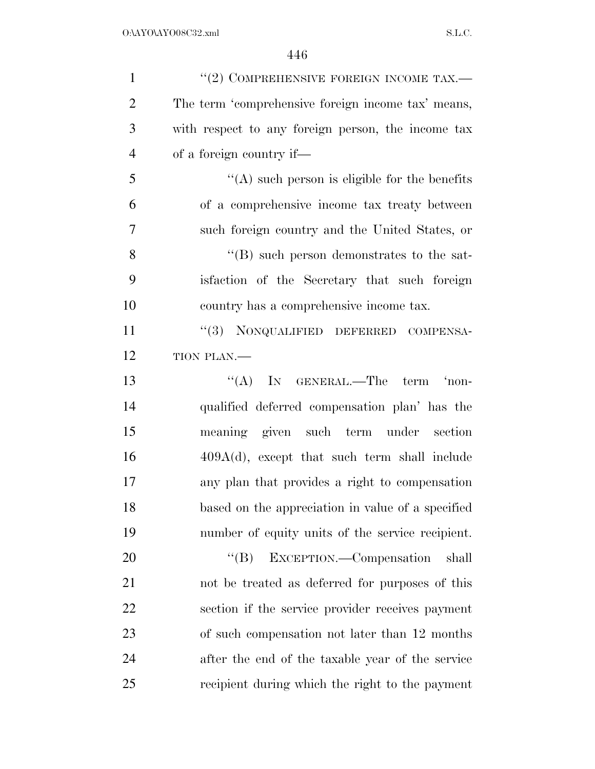| $\mathbf{1}$   | $``(2)$ COMPREHENSIVE FOREIGN INCOME TAX.—         |
|----------------|----------------------------------------------------|
| $\overline{2}$ | The term 'comprehensive foreign income tax' means, |
| 3              | with respect to any foreign person, the income tax |
| $\overline{4}$ | of a foreign country if—                           |
| 5              | $\lq\lq$ such person is eligible for the benefits  |
| 6              | of a comprehensive income tax treaty between       |
| $\overline{7}$ | such foreign country and the United States, or     |
| 8              | $\lq\lq (B)$ such person demonstrates to the sat-  |
| 9              | is faction of the Secretary that such foreign      |
| 10             | country has a comprehensive income tax.            |
| 11             | "(3) NONQUALIFIED DEFERRED COMPENSA-               |
| 12             | TION PLAN.-                                        |
| 13             | "(A) IN GENERAL.—The term 'non-                    |
| 14             | qualified deferred compensation plan' has the      |
| 15             | meaning given such term under section              |
| 16             | $409A(d)$ , except that such term shall include    |
| 17             | any plan that provides a right to compensation     |
| 18             | based on the appreciation in value of a specified  |
| 19             | number of equity units of the service recipient.   |
| 20             | $\lq\lq (B)$<br>EXCEPTION.—Compensation<br>shall   |
| 21             | not be treated as deferred for purposes of this    |
| 22             | section if the service provider receives payment   |
| 23             | of such compensation not later than 12 months      |
| 24             | after the end of the taxable year of the service   |
| 25             | recipient during which the right to the payment    |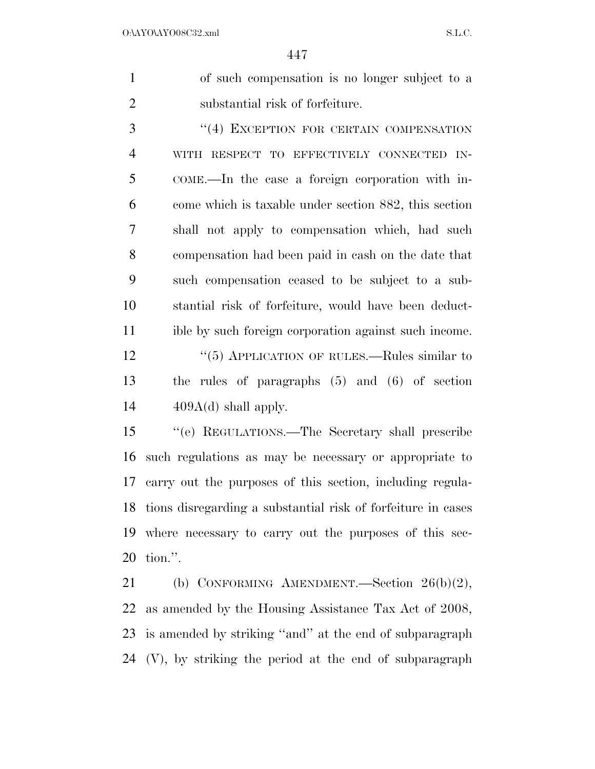of such compensation is no longer subject to a substantial risk of forfeiture.

3 "(4) EXCEPTION FOR CERTAIN COMPENSATION WITH RESPECT TO EFFECTIVELY CONNECTED IN- COME.—In the case a foreign corporation with in- come which is taxable under section 882, this section shall not apply to compensation which, had such compensation had been paid in cash on the date that such compensation ceased to be subject to a sub- stantial risk of forfeiture, would have been deduct- ible by such foreign corporation against such income. 12 "(5) APPLICATION OF RULES.—Rules similar to the rules of paragraphs (5) and (6) of section  $14 \qquad \qquad 409A(d)$  shall apply.

 ''(e) REGULATIONS.—The Secretary shall prescribe such regulations as may be necessary or appropriate to carry out the purposes of this section, including regula- tions disregarding a substantial risk of forfeiture in cases where necessary to carry out the purposes of this sec-tion.''.

 (b) CONFORMING AMENDMENT.—Section 26(b)(2), as amended by the Housing Assistance Tax Act of 2008, is amended by striking ''and'' at the end of subparagraph (V), by striking the period at the end of subparagraph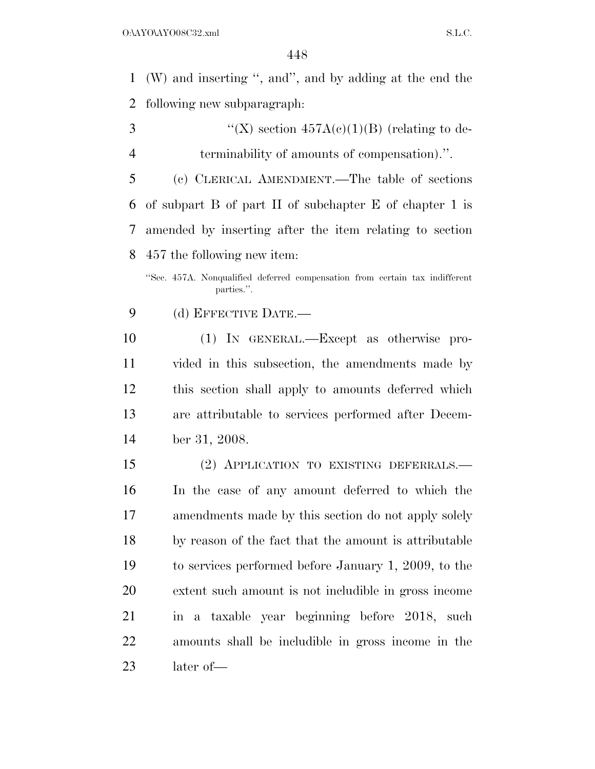(W) and inserting '', and'', and by adding at the end the following new subparagraph:

3  $\text{``(X)} \text{ section } 457A(e)(1)(B) \text{ (relating to de-}$ terminability of amounts of compensation).''.

 (c) CLERICAL AMENDMENT.—The table of sections of subpart B of part II of subchapter E of chapter 1 is amended by inserting after the item relating to section 457 the following new item:

(d) EFFECTIVE DATE.—

 (1) IN GENERAL.—Except as otherwise pro- vided in this subsection, the amendments made by this section shall apply to amounts deferred which are attributable to services performed after Decem-ber 31, 2008.

 (2) APPLICATION TO EXISTING DEFERRALS.— In the case of any amount deferred to which the amendments made by this section do not apply solely by reason of the fact that the amount is attributable to services performed before January 1, 2009, to the extent such amount is not includible in gross income in a taxable year beginning before 2018, such amounts shall be includible in gross income in the later of—

<sup>&#</sup>x27;'Sec. 457A. Nonqualified deferred compensation from certain tax indifferent parties.''.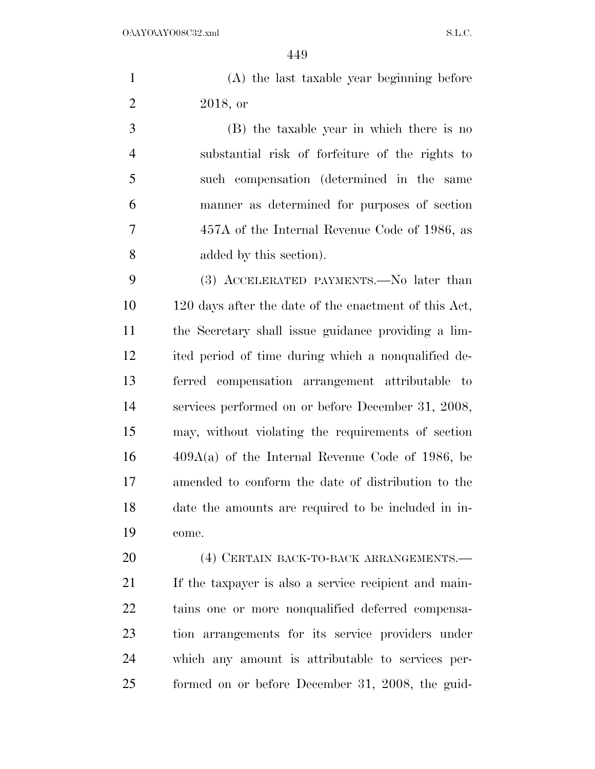| (A) the last taxable year beginning before |
|--------------------------------------------|
| 2018, or                                   |

 (B) the taxable year in which there is no substantial risk of forfeiture of the rights to such compensation (determined in the same manner as determined for purposes of section 457A of the Internal Revenue Code of 1986, as added by this section).

 (3) ACCELERATED PAYMENTS.—No later than 120 days after the date of the enactment of this Act, the Secretary shall issue guidance providing a lim- ited period of time during which a nonqualified de- ferred compensation arrangement attributable to services performed on or before December 31, 2008, may, without violating the requirements of section 409A(a) of the Internal Revenue Code of 1986, be amended to conform the date of distribution to the date the amounts are required to be included in in-come.

 (4) CERTAIN BACK-TO-BACK ARRANGEMENTS.— If the taxpayer is also a service recipient and main- tains one or more nonqualified deferred compensa- tion arrangements for its service providers under which any amount is attributable to services per-formed on or before December 31, 2008, the guid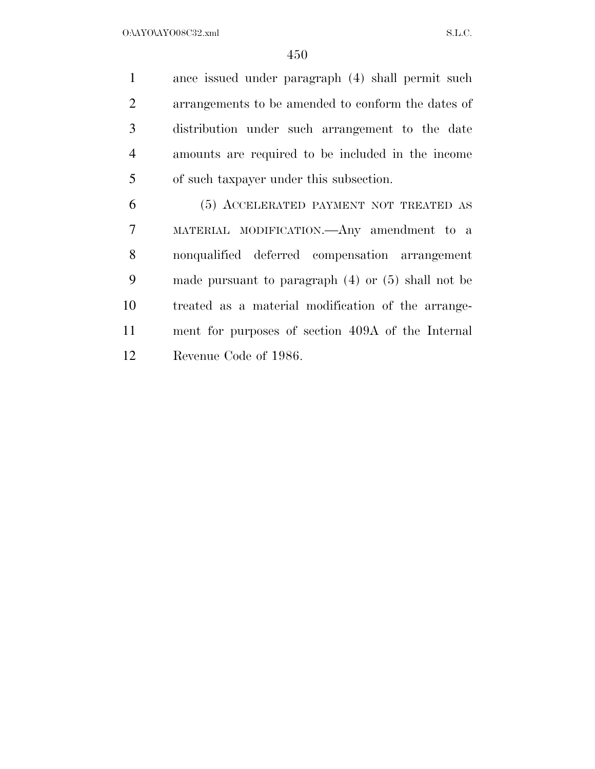$O:\Delta$ YO $\Delta$ YO08C32.xml S.L.C.

 ance issued under paragraph (4) shall permit such arrangements to be amended to conform the dates of distribution under such arrangement to the date amounts are required to be included in the income of such taxpayer under this subsection.

 (5) ACCELERATED PAYMENT NOT TREATED AS MATERIAL MODIFICATION.—Any amendment to a nonqualified deferred compensation arrangement made pursuant to paragraph (4) or (5) shall not be treated as a material modification of the arrange- ment for purposes of section 409A of the Internal Revenue Code of 1986.